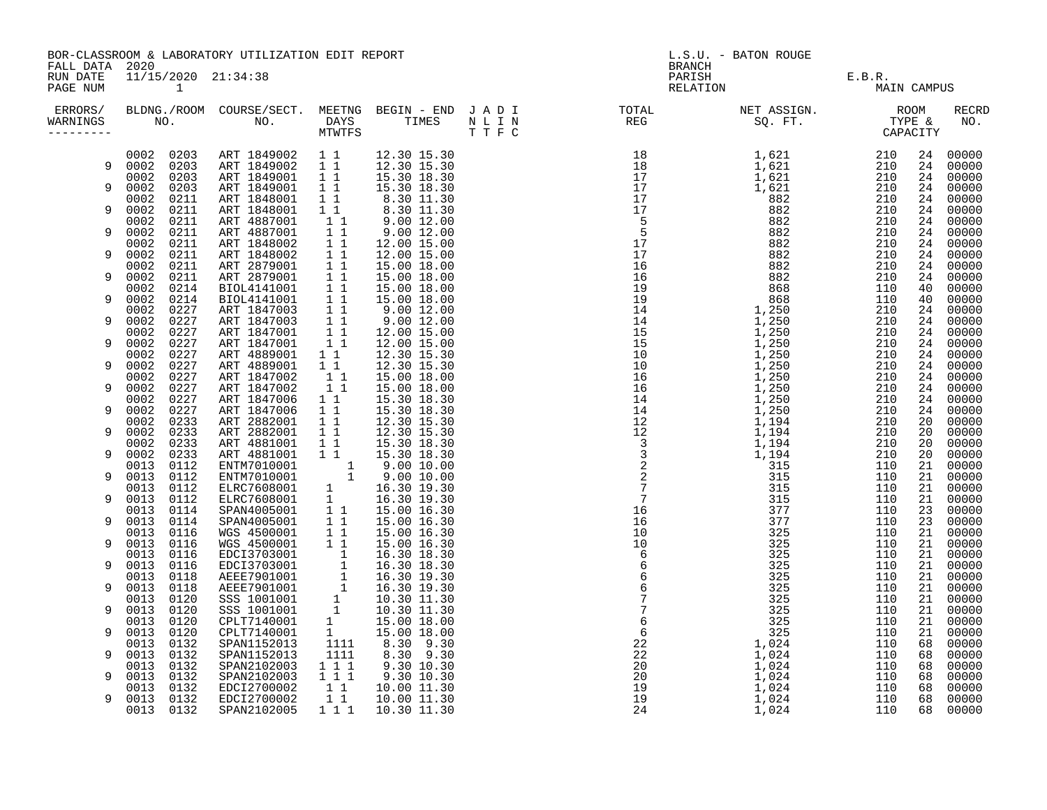| FALL DATA 2020<br>BRANCH<br>11/15/2020 21:34:38<br>PARISH E.B.R.<br>RELATION MAIL<br>RUN DATE<br>PAGE NUM<br>MAIN CAMPUS<br>ERRORS/ BLDNG./ROOM COURSE/SECT. MEETNG BEGIN – END JADI TOTAL TOTAL NETASSIGN. NET ASSIGN. ROOM ROOM COURSE/SECT. MEETNG BEGIN – END JADI TOTAL TOTAL NETASSIGN. TYPE &<br>WARNINGS NO. NO. DAYS TIMES NLIN REG SQ.FT. TPE & CAP<br><b>RECRD</b><br>WARNINGS<br>NO.<br>----------<br>$\begin{array}{cccc} \texttt{N} = 1 & \texttt{N} = 0 & \texttt{N} = 0 & \texttt{N} = 0 & \texttt{N} = 0 & \texttt{N} = 0 & \texttt{N} = 0 & \texttt{N} = 0 & \texttt{N} = 0 & \texttt{N} = 0 & \texttt{N} = 0 & \texttt{N} = 0 & \texttt{N} = 0 & \texttt{N} = 0 & \texttt{N} = 0 & \texttt{N} = 0 & \texttt{N} = 0 & \texttt{N} = 0 & \texttt{N} = 0 & \texttt{N} = 0 & \texttt{N} = 0 & \texttt$<br>0002 0203<br>ART 1849002 1 1<br>12.30 15.30<br>00000<br>24<br>0002 0203<br>ART 1849002<br>$1\quad1$<br>12.30 15.30<br>24<br>9<br>00000<br>15.30 18.30<br>15.30 18.30<br>0203<br>ART 1849001<br>$1\quad1$<br>0002<br>24<br>00000<br>0002<br>0203<br>ART 1849001<br>$1\quad1$<br>24<br>9<br>00000<br>0211<br>ART 1848001<br>$1\quad1$<br>0002<br>8.30 11.30<br>8.30 11.30<br>24<br>00000<br>0002<br>0211<br>ART 1848001<br>$1\quad1$<br>24<br>00000<br>9<br>$9.00$ 12.00<br>9.00 12.00<br>ART 4887001<br>11<br>0002<br>0211<br>24<br>00000<br>11<br>0002<br>0211<br>ART 4887001<br>24<br>00000<br>9<br>$\bar{1}$ $\bar{1}$<br>0002<br>0211<br>ART 1848002<br>12.00 15.00<br>24<br>00000<br>$\begin{array}{ccc} 1 & 1 \\ 1 & 1 \end{array}$<br>0002<br>0211<br>ART 1848002<br>24<br>00000<br>9<br>12.00 15.00<br>ART 2879001<br>0002<br>0211<br>15.00 18.00<br>24<br>00000<br>ART 2879001 1 1<br>0002<br>0211<br>24<br>9<br>15.00 18.00<br>00000<br>BIOL4141001 1 1<br>BIOL4141001 1 1<br>0002<br>0214<br>15.00 18.00<br>40<br>00000<br>0002<br>0214<br>15.00 18.00<br>00000<br>9<br>40<br>ART 1847003 1<br>ART 1847003 1 1<br>0002<br>0227<br>9.00 12.00<br>9.00 12.00<br>24<br>00000<br>0002<br>0227<br>9<br>24<br>00000<br>$1\overline{1}$<br>0002<br>0227<br>ART 1847001<br>12.00 15.00<br>24<br>00000<br>11<br>0002<br>0227<br>ART 1847001<br>00000<br>9<br>12.00 15.00<br>24<br>ART 4889001<br>0002<br>0227<br>$1\quad1$<br>12.30 15.30<br>24<br>00000<br>ART 4889001<br>11<br>0002<br>0227<br>12.30 15.30<br>24<br>00000<br>9<br>11<br>0002<br>0227<br>ART 1847002<br>15.00 18.00<br>24<br>00000<br>11<br>0227<br>ART 1847002<br>0002<br>15.00 18.00<br>00000<br>9<br>24<br>ART 1847006<br>$1\quad1$<br>0002<br>0227<br>15.30 18.30<br>24<br>00000<br>11<br>0227<br>ART 1847006<br>15.30 18.30<br>0002<br>24<br>00000<br>9<br>$1\quad1$<br>0002<br>0233<br>ART 2882001<br>12.30 15.30<br>20<br>00000<br>$12.30$ $15.30$<br>$12.30$ $15.30$<br>ART 2882001<br>0002<br>0233<br>$1\quad1$<br>00000<br>20<br>9<br>11<br>0233<br>ART 4881001<br>0002<br>15.30 18.30<br>20<br>00000<br>0002<br>0233<br>ART 4881001 1 1<br>15.30 18.30<br>20<br>00000<br>9<br>ENTM7010001 1<br>ENTM7010001 1<br>ELRC7608001 1<br>ELRC7608001 1<br>0112<br>0013<br>9.00 10.00<br>21<br>00000<br>0013<br>0112<br>$9.00\ 10.00$<br>21<br>00000<br>9<br>0112<br>00000<br>0013<br>16.30 19.30<br>21<br>0013<br>0112<br>16.30 19.30<br>21<br>00000<br>9<br>SPAN4005001 1<br>SPAN4005001 11<br>0013<br>0114<br>15.00 16.30<br>23<br>00000<br>0013<br>0114<br>15.00 16.30<br>23<br>00000<br>9<br>$\begin{array}{c} \n\overline{1} & \overline{1} \\ 1 & 1\n\end{array}$<br>0013<br>0116<br>WGS 4500001<br>15.00 16.30<br>21<br>00000<br>0013<br>0116<br>WGS 4500001<br>15.00 16.30<br>21<br>00000<br>9<br>WGS 4500001 1<br>EDCI3703001 1<br>EDCI3703001 1<br>AEEE7901001 1<br>AEEE7901001 1<br>SSS 1001001 1<br>SSS 1001001 1<br>CPLT7140001 1<br>CPLT7140001 1<br>0013<br>0116<br>16.30 18.30<br>21<br>00000<br>0013<br>0116<br>16.30 18.30<br>21<br>00000<br>9<br>0013<br>0118<br>16.30 19.30<br>21<br>00000<br>0013<br>0118<br>16.30 19.30<br>21<br>00000<br>9<br>0013<br>0120<br>10.30 11.30<br>21<br>00000<br>0013<br>0120<br>10.30 11.30<br>9<br>21<br>00000<br>0013<br>0120<br>15.00 18.00<br>21<br>00000<br>1<br>0013<br>0120<br>CPLT7140001<br>15.00 18.00<br>00000<br>9<br>21<br>SPAN1152013<br>1111<br>0013<br>0132<br>8.30 9.30<br>68<br>00000<br>1111<br>0013<br>0132<br>SPAN1152013<br>8.30 9.30<br>00000<br>9<br>68<br>$1 1 1$<br>SPAN2102003<br>0013<br>0132<br>9.30 10.30<br>68<br>00000<br>$1 1 1$<br>0013<br>0132<br>SPAN2102003<br>EDCI2700002<br>9.30 10.30<br>00000<br>9<br>68<br>$1\quad1$<br>10.00 11.30<br>0013<br>0132<br>68<br>00000<br>$1\quad1$<br>0013<br>0132<br>EDCI2700002<br>10.00 11.30<br>68<br>00000<br>9<br>1 1 1<br>0013<br>0132<br>SPAN2102005<br>10.30 11.30<br>68<br>00000 |  | BOR-CLASSROOM & LABORATORY UTILIZATION EDIT REPORT |  | L.S.U. - BATON ROUGE |  |  |  |  |  |
|-------------------------------------------------------------------------------------------------------------------------------------------------------------------------------------------------------------------------------------------------------------------------------------------------------------------------------------------------------------------------------------------------------------------------------------------------------------------------------------------------------------------------------------------------------------------------------------------------------------------------------------------------------------------------------------------------------------------------------------------------------------------------------------------------------------------------------------------------------------------------------------------------------------------------------------------------------------------------------------------------------------------------------------------------------------------------------------------------------------------------------------------------------------------------------------------------------------------------------------------------------------------------------------------------------------------------------------------------------------------------------------------------------------------------------------------------------------------------------------------------------------------------------------------------------------------------------------------------------------------------------------------------------------------------------------------------------------------------------------------------------------------------------------------------------------------------------------------------------------------------------------------------------------------------------------------------------------------------------------------------------------------------------------------------------------------------------------------------------------------------------------------------------------------------------------------------------------------------------------------------------------------------------------------------------------------------------------------------------------------------------------------------------------------------------------------------------------------------------------------------------------------------------------------------------------------------------------------------------------------------------------------------------------------------------------------------------------------------------------------------------------------------------------------------------------------------------------------------------------------------------------------------------------------------------------------------------------------------------------------------------------------------------------------------------------------------------------------------------------------------------------------------------------------------------------------------------------------------------------------------------------------------------------------------------------------------------------------------------------------------------------------------------------------------------------------------------------------------------------------------------------------------------------------------------------------------------------------------------------------------------------------------------------------------------------------------------------------------------------------------------------------------------------------------------------------------------------------------------------------------------------------------------------------------------------------------------------------------------------------------------------------------------------------------------------------------------------------------------------------------------------------------------------------------------------------------------------------------------------------------------------------------------------------------------------------------------------------------------------------------------------------------------------------------------------------------------------------------------------------------------------------------------------------------------------------------------------------------------------------------------------------------------------------------------------------------------------------|--|----------------------------------------------------|--|----------------------|--|--|--|--|--|
|                                                                                                                                                                                                                                                                                                                                                                                                                                                                                                                                                                                                                                                                                                                                                                                                                                                                                                                                                                                                                                                                                                                                                                                                                                                                                                                                                                                                                                                                                                                                                                                                                                                                                                                                                                                                                                                                                                                                                                                                                                                                                                                                                                                                                                                                                                                                                                                                                                                                                                                                                                                                                                                                                                                                                                                                                                                                                                                                                                                                                                                                                                                                                                                                                                                                                                                                                                                                                                                                                                                                                                                                                                                                                                                                                                                                                                                                                                                                                                                                                                                                                                                                                                                                                                                                                                                                                                                                                                                                                                                                                                                                                                                                                                                   |  |                                                    |  |                      |  |  |  |  |  |
|                                                                                                                                                                                                                                                                                                                                                                                                                                                                                                                                                                                                                                                                                                                                                                                                                                                                                                                                                                                                                                                                                                                                                                                                                                                                                                                                                                                                                                                                                                                                                                                                                                                                                                                                                                                                                                                                                                                                                                                                                                                                                                                                                                                                                                                                                                                                                                                                                                                                                                                                                                                                                                                                                                                                                                                                                                                                                                                                                                                                                                                                                                                                                                                                                                                                                                                                                                                                                                                                                                                                                                                                                                                                                                                                                                                                                                                                                                                                                                                                                                                                                                                                                                                                                                                                                                                                                                                                                                                                                                                                                                                                                                                                                                                   |  |                                                    |  |                      |  |  |  |  |  |
|                                                                                                                                                                                                                                                                                                                                                                                                                                                                                                                                                                                                                                                                                                                                                                                                                                                                                                                                                                                                                                                                                                                                                                                                                                                                                                                                                                                                                                                                                                                                                                                                                                                                                                                                                                                                                                                                                                                                                                                                                                                                                                                                                                                                                                                                                                                                                                                                                                                                                                                                                                                                                                                                                                                                                                                                                                                                                                                                                                                                                                                                                                                                                                                                                                                                                                                                                                                                                                                                                                                                                                                                                                                                                                                                                                                                                                                                                                                                                                                                                                                                                                                                                                                                                                                                                                                                                                                                                                                                                                                                                                                                                                                                                                                   |  |                                                    |  |                      |  |  |  |  |  |
|                                                                                                                                                                                                                                                                                                                                                                                                                                                                                                                                                                                                                                                                                                                                                                                                                                                                                                                                                                                                                                                                                                                                                                                                                                                                                                                                                                                                                                                                                                                                                                                                                                                                                                                                                                                                                                                                                                                                                                                                                                                                                                                                                                                                                                                                                                                                                                                                                                                                                                                                                                                                                                                                                                                                                                                                                                                                                                                                                                                                                                                                                                                                                                                                                                                                                                                                                                                                                                                                                                                                                                                                                                                                                                                                                                                                                                                                                                                                                                                                                                                                                                                                                                                                                                                                                                                                                                                                                                                                                                                                                                                                                                                                                                                   |  |                                                    |  |                      |  |  |  |  |  |
|                                                                                                                                                                                                                                                                                                                                                                                                                                                                                                                                                                                                                                                                                                                                                                                                                                                                                                                                                                                                                                                                                                                                                                                                                                                                                                                                                                                                                                                                                                                                                                                                                                                                                                                                                                                                                                                                                                                                                                                                                                                                                                                                                                                                                                                                                                                                                                                                                                                                                                                                                                                                                                                                                                                                                                                                                                                                                                                                                                                                                                                                                                                                                                                                                                                                                                                                                                                                                                                                                                                                                                                                                                                                                                                                                                                                                                                                                                                                                                                                                                                                                                                                                                                                                                                                                                                                                                                                                                                                                                                                                                                                                                                                                                                   |  |                                                    |  |                      |  |  |  |  |  |
|                                                                                                                                                                                                                                                                                                                                                                                                                                                                                                                                                                                                                                                                                                                                                                                                                                                                                                                                                                                                                                                                                                                                                                                                                                                                                                                                                                                                                                                                                                                                                                                                                                                                                                                                                                                                                                                                                                                                                                                                                                                                                                                                                                                                                                                                                                                                                                                                                                                                                                                                                                                                                                                                                                                                                                                                                                                                                                                                                                                                                                                                                                                                                                                                                                                                                                                                                                                                                                                                                                                                                                                                                                                                                                                                                                                                                                                                                                                                                                                                                                                                                                                                                                                                                                                                                                                                                                                                                                                                                                                                                                                                                                                                                                                   |  |                                                    |  |                      |  |  |  |  |  |
|                                                                                                                                                                                                                                                                                                                                                                                                                                                                                                                                                                                                                                                                                                                                                                                                                                                                                                                                                                                                                                                                                                                                                                                                                                                                                                                                                                                                                                                                                                                                                                                                                                                                                                                                                                                                                                                                                                                                                                                                                                                                                                                                                                                                                                                                                                                                                                                                                                                                                                                                                                                                                                                                                                                                                                                                                                                                                                                                                                                                                                                                                                                                                                                                                                                                                                                                                                                                                                                                                                                                                                                                                                                                                                                                                                                                                                                                                                                                                                                                                                                                                                                                                                                                                                                                                                                                                                                                                                                                                                                                                                                                                                                                                                                   |  |                                                    |  |                      |  |  |  |  |  |
|                                                                                                                                                                                                                                                                                                                                                                                                                                                                                                                                                                                                                                                                                                                                                                                                                                                                                                                                                                                                                                                                                                                                                                                                                                                                                                                                                                                                                                                                                                                                                                                                                                                                                                                                                                                                                                                                                                                                                                                                                                                                                                                                                                                                                                                                                                                                                                                                                                                                                                                                                                                                                                                                                                                                                                                                                                                                                                                                                                                                                                                                                                                                                                                                                                                                                                                                                                                                                                                                                                                                                                                                                                                                                                                                                                                                                                                                                                                                                                                                                                                                                                                                                                                                                                                                                                                                                                                                                                                                                                                                                                                                                                                                                                                   |  |                                                    |  |                      |  |  |  |  |  |
|                                                                                                                                                                                                                                                                                                                                                                                                                                                                                                                                                                                                                                                                                                                                                                                                                                                                                                                                                                                                                                                                                                                                                                                                                                                                                                                                                                                                                                                                                                                                                                                                                                                                                                                                                                                                                                                                                                                                                                                                                                                                                                                                                                                                                                                                                                                                                                                                                                                                                                                                                                                                                                                                                                                                                                                                                                                                                                                                                                                                                                                                                                                                                                                                                                                                                                                                                                                                                                                                                                                                                                                                                                                                                                                                                                                                                                                                                                                                                                                                                                                                                                                                                                                                                                                                                                                                                                                                                                                                                                                                                                                                                                                                                                                   |  |                                                    |  |                      |  |  |  |  |  |
|                                                                                                                                                                                                                                                                                                                                                                                                                                                                                                                                                                                                                                                                                                                                                                                                                                                                                                                                                                                                                                                                                                                                                                                                                                                                                                                                                                                                                                                                                                                                                                                                                                                                                                                                                                                                                                                                                                                                                                                                                                                                                                                                                                                                                                                                                                                                                                                                                                                                                                                                                                                                                                                                                                                                                                                                                                                                                                                                                                                                                                                                                                                                                                                                                                                                                                                                                                                                                                                                                                                                                                                                                                                                                                                                                                                                                                                                                                                                                                                                                                                                                                                                                                                                                                                                                                                                                                                                                                                                                                                                                                                                                                                                                                                   |  |                                                    |  |                      |  |  |  |  |  |
|                                                                                                                                                                                                                                                                                                                                                                                                                                                                                                                                                                                                                                                                                                                                                                                                                                                                                                                                                                                                                                                                                                                                                                                                                                                                                                                                                                                                                                                                                                                                                                                                                                                                                                                                                                                                                                                                                                                                                                                                                                                                                                                                                                                                                                                                                                                                                                                                                                                                                                                                                                                                                                                                                                                                                                                                                                                                                                                                                                                                                                                                                                                                                                                                                                                                                                                                                                                                                                                                                                                                                                                                                                                                                                                                                                                                                                                                                                                                                                                                                                                                                                                                                                                                                                                                                                                                                                                                                                                                                                                                                                                                                                                                                                                   |  |                                                    |  |                      |  |  |  |  |  |
|                                                                                                                                                                                                                                                                                                                                                                                                                                                                                                                                                                                                                                                                                                                                                                                                                                                                                                                                                                                                                                                                                                                                                                                                                                                                                                                                                                                                                                                                                                                                                                                                                                                                                                                                                                                                                                                                                                                                                                                                                                                                                                                                                                                                                                                                                                                                                                                                                                                                                                                                                                                                                                                                                                                                                                                                                                                                                                                                                                                                                                                                                                                                                                                                                                                                                                                                                                                                                                                                                                                                                                                                                                                                                                                                                                                                                                                                                                                                                                                                                                                                                                                                                                                                                                                                                                                                                                                                                                                                                                                                                                                                                                                                                                                   |  |                                                    |  |                      |  |  |  |  |  |
|                                                                                                                                                                                                                                                                                                                                                                                                                                                                                                                                                                                                                                                                                                                                                                                                                                                                                                                                                                                                                                                                                                                                                                                                                                                                                                                                                                                                                                                                                                                                                                                                                                                                                                                                                                                                                                                                                                                                                                                                                                                                                                                                                                                                                                                                                                                                                                                                                                                                                                                                                                                                                                                                                                                                                                                                                                                                                                                                                                                                                                                                                                                                                                                                                                                                                                                                                                                                                                                                                                                                                                                                                                                                                                                                                                                                                                                                                                                                                                                                                                                                                                                                                                                                                                                                                                                                                                                                                                                                                                                                                                                                                                                                                                                   |  |                                                    |  |                      |  |  |  |  |  |
|                                                                                                                                                                                                                                                                                                                                                                                                                                                                                                                                                                                                                                                                                                                                                                                                                                                                                                                                                                                                                                                                                                                                                                                                                                                                                                                                                                                                                                                                                                                                                                                                                                                                                                                                                                                                                                                                                                                                                                                                                                                                                                                                                                                                                                                                                                                                                                                                                                                                                                                                                                                                                                                                                                                                                                                                                                                                                                                                                                                                                                                                                                                                                                                                                                                                                                                                                                                                                                                                                                                                                                                                                                                                                                                                                                                                                                                                                                                                                                                                                                                                                                                                                                                                                                                                                                                                                                                                                                                                                                                                                                                                                                                                                                                   |  |                                                    |  |                      |  |  |  |  |  |
|                                                                                                                                                                                                                                                                                                                                                                                                                                                                                                                                                                                                                                                                                                                                                                                                                                                                                                                                                                                                                                                                                                                                                                                                                                                                                                                                                                                                                                                                                                                                                                                                                                                                                                                                                                                                                                                                                                                                                                                                                                                                                                                                                                                                                                                                                                                                                                                                                                                                                                                                                                                                                                                                                                                                                                                                                                                                                                                                                                                                                                                                                                                                                                                                                                                                                                                                                                                                                                                                                                                                                                                                                                                                                                                                                                                                                                                                                                                                                                                                                                                                                                                                                                                                                                                                                                                                                                                                                                                                                                                                                                                                                                                                                                                   |  |                                                    |  |                      |  |  |  |  |  |
|                                                                                                                                                                                                                                                                                                                                                                                                                                                                                                                                                                                                                                                                                                                                                                                                                                                                                                                                                                                                                                                                                                                                                                                                                                                                                                                                                                                                                                                                                                                                                                                                                                                                                                                                                                                                                                                                                                                                                                                                                                                                                                                                                                                                                                                                                                                                                                                                                                                                                                                                                                                                                                                                                                                                                                                                                                                                                                                                                                                                                                                                                                                                                                                                                                                                                                                                                                                                                                                                                                                                                                                                                                                                                                                                                                                                                                                                                                                                                                                                                                                                                                                                                                                                                                                                                                                                                                                                                                                                                                                                                                                                                                                                                                                   |  |                                                    |  |                      |  |  |  |  |  |
|                                                                                                                                                                                                                                                                                                                                                                                                                                                                                                                                                                                                                                                                                                                                                                                                                                                                                                                                                                                                                                                                                                                                                                                                                                                                                                                                                                                                                                                                                                                                                                                                                                                                                                                                                                                                                                                                                                                                                                                                                                                                                                                                                                                                                                                                                                                                                                                                                                                                                                                                                                                                                                                                                                                                                                                                                                                                                                                                                                                                                                                                                                                                                                                                                                                                                                                                                                                                                                                                                                                                                                                                                                                                                                                                                                                                                                                                                                                                                                                                                                                                                                                                                                                                                                                                                                                                                                                                                                                                                                                                                                                                                                                                                                                   |  |                                                    |  |                      |  |  |  |  |  |
|                                                                                                                                                                                                                                                                                                                                                                                                                                                                                                                                                                                                                                                                                                                                                                                                                                                                                                                                                                                                                                                                                                                                                                                                                                                                                                                                                                                                                                                                                                                                                                                                                                                                                                                                                                                                                                                                                                                                                                                                                                                                                                                                                                                                                                                                                                                                                                                                                                                                                                                                                                                                                                                                                                                                                                                                                                                                                                                                                                                                                                                                                                                                                                                                                                                                                                                                                                                                                                                                                                                                                                                                                                                                                                                                                                                                                                                                                                                                                                                                                                                                                                                                                                                                                                                                                                                                                                                                                                                                                                                                                                                                                                                                                                                   |  |                                                    |  |                      |  |  |  |  |  |
|                                                                                                                                                                                                                                                                                                                                                                                                                                                                                                                                                                                                                                                                                                                                                                                                                                                                                                                                                                                                                                                                                                                                                                                                                                                                                                                                                                                                                                                                                                                                                                                                                                                                                                                                                                                                                                                                                                                                                                                                                                                                                                                                                                                                                                                                                                                                                                                                                                                                                                                                                                                                                                                                                                                                                                                                                                                                                                                                                                                                                                                                                                                                                                                                                                                                                                                                                                                                                                                                                                                                                                                                                                                                                                                                                                                                                                                                                                                                                                                                                                                                                                                                                                                                                                                                                                                                                                                                                                                                                                                                                                                                                                                                                                                   |  |                                                    |  |                      |  |  |  |  |  |
|                                                                                                                                                                                                                                                                                                                                                                                                                                                                                                                                                                                                                                                                                                                                                                                                                                                                                                                                                                                                                                                                                                                                                                                                                                                                                                                                                                                                                                                                                                                                                                                                                                                                                                                                                                                                                                                                                                                                                                                                                                                                                                                                                                                                                                                                                                                                                                                                                                                                                                                                                                                                                                                                                                                                                                                                                                                                                                                                                                                                                                                                                                                                                                                                                                                                                                                                                                                                                                                                                                                                                                                                                                                                                                                                                                                                                                                                                                                                                                                                                                                                                                                                                                                                                                                                                                                                                                                                                                                                                                                                                                                                                                                                                                                   |  |                                                    |  |                      |  |  |  |  |  |
|                                                                                                                                                                                                                                                                                                                                                                                                                                                                                                                                                                                                                                                                                                                                                                                                                                                                                                                                                                                                                                                                                                                                                                                                                                                                                                                                                                                                                                                                                                                                                                                                                                                                                                                                                                                                                                                                                                                                                                                                                                                                                                                                                                                                                                                                                                                                                                                                                                                                                                                                                                                                                                                                                                                                                                                                                                                                                                                                                                                                                                                                                                                                                                                                                                                                                                                                                                                                                                                                                                                                                                                                                                                                                                                                                                                                                                                                                                                                                                                                                                                                                                                                                                                                                                                                                                                                                                                                                                                                                                                                                                                                                                                                                                                   |  |                                                    |  |                      |  |  |  |  |  |
|                                                                                                                                                                                                                                                                                                                                                                                                                                                                                                                                                                                                                                                                                                                                                                                                                                                                                                                                                                                                                                                                                                                                                                                                                                                                                                                                                                                                                                                                                                                                                                                                                                                                                                                                                                                                                                                                                                                                                                                                                                                                                                                                                                                                                                                                                                                                                                                                                                                                                                                                                                                                                                                                                                                                                                                                                                                                                                                                                                                                                                                                                                                                                                                                                                                                                                                                                                                                                                                                                                                                                                                                                                                                                                                                                                                                                                                                                                                                                                                                                                                                                                                                                                                                                                                                                                                                                                                                                                                                                                                                                                                                                                                                                                                   |  |                                                    |  |                      |  |  |  |  |  |
|                                                                                                                                                                                                                                                                                                                                                                                                                                                                                                                                                                                                                                                                                                                                                                                                                                                                                                                                                                                                                                                                                                                                                                                                                                                                                                                                                                                                                                                                                                                                                                                                                                                                                                                                                                                                                                                                                                                                                                                                                                                                                                                                                                                                                                                                                                                                                                                                                                                                                                                                                                                                                                                                                                                                                                                                                                                                                                                                                                                                                                                                                                                                                                                                                                                                                                                                                                                                                                                                                                                                                                                                                                                                                                                                                                                                                                                                                                                                                                                                                                                                                                                                                                                                                                                                                                                                                                                                                                                                                                                                                                                                                                                                                                                   |  |                                                    |  |                      |  |  |  |  |  |
|                                                                                                                                                                                                                                                                                                                                                                                                                                                                                                                                                                                                                                                                                                                                                                                                                                                                                                                                                                                                                                                                                                                                                                                                                                                                                                                                                                                                                                                                                                                                                                                                                                                                                                                                                                                                                                                                                                                                                                                                                                                                                                                                                                                                                                                                                                                                                                                                                                                                                                                                                                                                                                                                                                                                                                                                                                                                                                                                                                                                                                                                                                                                                                                                                                                                                                                                                                                                                                                                                                                                                                                                                                                                                                                                                                                                                                                                                                                                                                                                                                                                                                                                                                                                                                                                                                                                                                                                                                                                                                                                                                                                                                                                                                                   |  |                                                    |  |                      |  |  |  |  |  |
|                                                                                                                                                                                                                                                                                                                                                                                                                                                                                                                                                                                                                                                                                                                                                                                                                                                                                                                                                                                                                                                                                                                                                                                                                                                                                                                                                                                                                                                                                                                                                                                                                                                                                                                                                                                                                                                                                                                                                                                                                                                                                                                                                                                                                                                                                                                                                                                                                                                                                                                                                                                                                                                                                                                                                                                                                                                                                                                                                                                                                                                                                                                                                                                                                                                                                                                                                                                                                                                                                                                                                                                                                                                                                                                                                                                                                                                                                                                                                                                                                                                                                                                                                                                                                                                                                                                                                                                                                                                                                                                                                                                                                                                                                                                   |  |                                                    |  |                      |  |  |  |  |  |
|                                                                                                                                                                                                                                                                                                                                                                                                                                                                                                                                                                                                                                                                                                                                                                                                                                                                                                                                                                                                                                                                                                                                                                                                                                                                                                                                                                                                                                                                                                                                                                                                                                                                                                                                                                                                                                                                                                                                                                                                                                                                                                                                                                                                                                                                                                                                                                                                                                                                                                                                                                                                                                                                                                                                                                                                                                                                                                                                                                                                                                                                                                                                                                                                                                                                                                                                                                                                                                                                                                                                                                                                                                                                                                                                                                                                                                                                                                                                                                                                                                                                                                                                                                                                                                                                                                                                                                                                                                                                                                                                                                                                                                                                                                                   |  |                                                    |  |                      |  |  |  |  |  |
|                                                                                                                                                                                                                                                                                                                                                                                                                                                                                                                                                                                                                                                                                                                                                                                                                                                                                                                                                                                                                                                                                                                                                                                                                                                                                                                                                                                                                                                                                                                                                                                                                                                                                                                                                                                                                                                                                                                                                                                                                                                                                                                                                                                                                                                                                                                                                                                                                                                                                                                                                                                                                                                                                                                                                                                                                                                                                                                                                                                                                                                                                                                                                                                                                                                                                                                                                                                                                                                                                                                                                                                                                                                                                                                                                                                                                                                                                                                                                                                                                                                                                                                                                                                                                                                                                                                                                                                                                                                                                                                                                                                                                                                                                                                   |  |                                                    |  |                      |  |  |  |  |  |
|                                                                                                                                                                                                                                                                                                                                                                                                                                                                                                                                                                                                                                                                                                                                                                                                                                                                                                                                                                                                                                                                                                                                                                                                                                                                                                                                                                                                                                                                                                                                                                                                                                                                                                                                                                                                                                                                                                                                                                                                                                                                                                                                                                                                                                                                                                                                                                                                                                                                                                                                                                                                                                                                                                                                                                                                                                                                                                                                                                                                                                                                                                                                                                                                                                                                                                                                                                                                                                                                                                                                                                                                                                                                                                                                                                                                                                                                                                                                                                                                                                                                                                                                                                                                                                                                                                                                                                                                                                                                                                                                                                                                                                                                                                                   |  |                                                    |  |                      |  |  |  |  |  |
|                                                                                                                                                                                                                                                                                                                                                                                                                                                                                                                                                                                                                                                                                                                                                                                                                                                                                                                                                                                                                                                                                                                                                                                                                                                                                                                                                                                                                                                                                                                                                                                                                                                                                                                                                                                                                                                                                                                                                                                                                                                                                                                                                                                                                                                                                                                                                                                                                                                                                                                                                                                                                                                                                                                                                                                                                                                                                                                                                                                                                                                                                                                                                                                                                                                                                                                                                                                                                                                                                                                                                                                                                                                                                                                                                                                                                                                                                                                                                                                                                                                                                                                                                                                                                                                                                                                                                                                                                                                                                                                                                                                                                                                                                                                   |  |                                                    |  |                      |  |  |  |  |  |
|                                                                                                                                                                                                                                                                                                                                                                                                                                                                                                                                                                                                                                                                                                                                                                                                                                                                                                                                                                                                                                                                                                                                                                                                                                                                                                                                                                                                                                                                                                                                                                                                                                                                                                                                                                                                                                                                                                                                                                                                                                                                                                                                                                                                                                                                                                                                                                                                                                                                                                                                                                                                                                                                                                                                                                                                                                                                                                                                                                                                                                                                                                                                                                                                                                                                                                                                                                                                                                                                                                                                                                                                                                                                                                                                                                                                                                                                                                                                                                                                                                                                                                                                                                                                                                                                                                                                                                                                                                                                                                                                                                                                                                                                                                                   |  |                                                    |  |                      |  |  |  |  |  |
|                                                                                                                                                                                                                                                                                                                                                                                                                                                                                                                                                                                                                                                                                                                                                                                                                                                                                                                                                                                                                                                                                                                                                                                                                                                                                                                                                                                                                                                                                                                                                                                                                                                                                                                                                                                                                                                                                                                                                                                                                                                                                                                                                                                                                                                                                                                                                                                                                                                                                                                                                                                                                                                                                                                                                                                                                                                                                                                                                                                                                                                                                                                                                                                                                                                                                                                                                                                                                                                                                                                                                                                                                                                                                                                                                                                                                                                                                                                                                                                                                                                                                                                                                                                                                                                                                                                                                                                                                                                                                                                                                                                                                                                                                                                   |  |                                                    |  |                      |  |  |  |  |  |
|                                                                                                                                                                                                                                                                                                                                                                                                                                                                                                                                                                                                                                                                                                                                                                                                                                                                                                                                                                                                                                                                                                                                                                                                                                                                                                                                                                                                                                                                                                                                                                                                                                                                                                                                                                                                                                                                                                                                                                                                                                                                                                                                                                                                                                                                                                                                                                                                                                                                                                                                                                                                                                                                                                                                                                                                                                                                                                                                                                                                                                                                                                                                                                                                                                                                                                                                                                                                                                                                                                                                                                                                                                                                                                                                                                                                                                                                                                                                                                                                                                                                                                                                                                                                                                                                                                                                                                                                                                                                                                                                                                                                                                                                                                                   |  |                                                    |  |                      |  |  |  |  |  |
|                                                                                                                                                                                                                                                                                                                                                                                                                                                                                                                                                                                                                                                                                                                                                                                                                                                                                                                                                                                                                                                                                                                                                                                                                                                                                                                                                                                                                                                                                                                                                                                                                                                                                                                                                                                                                                                                                                                                                                                                                                                                                                                                                                                                                                                                                                                                                                                                                                                                                                                                                                                                                                                                                                                                                                                                                                                                                                                                                                                                                                                                                                                                                                                                                                                                                                                                                                                                                                                                                                                                                                                                                                                                                                                                                                                                                                                                                                                                                                                                                                                                                                                                                                                                                                                                                                                                                                                                                                                                                                                                                                                                                                                                                                                   |  |                                                    |  |                      |  |  |  |  |  |
|                                                                                                                                                                                                                                                                                                                                                                                                                                                                                                                                                                                                                                                                                                                                                                                                                                                                                                                                                                                                                                                                                                                                                                                                                                                                                                                                                                                                                                                                                                                                                                                                                                                                                                                                                                                                                                                                                                                                                                                                                                                                                                                                                                                                                                                                                                                                                                                                                                                                                                                                                                                                                                                                                                                                                                                                                                                                                                                                                                                                                                                                                                                                                                                                                                                                                                                                                                                                                                                                                                                                                                                                                                                                                                                                                                                                                                                                                                                                                                                                                                                                                                                                                                                                                                                                                                                                                                                                                                                                                                                                                                                                                                                                                                                   |  |                                                    |  |                      |  |  |  |  |  |
|                                                                                                                                                                                                                                                                                                                                                                                                                                                                                                                                                                                                                                                                                                                                                                                                                                                                                                                                                                                                                                                                                                                                                                                                                                                                                                                                                                                                                                                                                                                                                                                                                                                                                                                                                                                                                                                                                                                                                                                                                                                                                                                                                                                                                                                                                                                                                                                                                                                                                                                                                                                                                                                                                                                                                                                                                                                                                                                                                                                                                                                                                                                                                                                                                                                                                                                                                                                                                                                                                                                                                                                                                                                                                                                                                                                                                                                                                                                                                                                                                                                                                                                                                                                                                                                                                                                                                                                                                                                                                                                                                                                                                                                                                                                   |  |                                                    |  |                      |  |  |  |  |  |
|                                                                                                                                                                                                                                                                                                                                                                                                                                                                                                                                                                                                                                                                                                                                                                                                                                                                                                                                                                                                                                                                                                                                                                                                                                                                                                                                                                                                                                                                                                                                                                                                                                                                                                                                                                                                                                                                                                                                                                                                                                                                                                                                                                                                                                                                                                                                                                                                                                                                                                                                                                                                                                                                                                                                                                                                                                                                                                                                                                                                                                                                                                                                                                                                                                                                                                                                                                                                                                                                                                                                                                                                                                                                                                                                                                                                                                                                                                                                                                                                                                                                                                                                                                                                                                                                                                                                                                                                                                                                                                                                                                                                                                                                                                                   |  |                                                    |  |                      |  |  |  |  |  |
|                                                                                                                                                                                                                                                                                                                                                                                                                                                                                                                                                                                                                                                                                                                                                                                                                                                                                                                                                                                                                                                                                                                                                                                                                                                                                                                                                                                                                                                                                                                                                                                                                                                                                                                                                                                                                                                                                                                                                                                                                                                                                                                                                                                                                                                                                                                                                                                                                                                                                                                                                                                                                                                                                                                                                                                                                                                                                                                                                                                                                                                                                                                                                                                                                                                                                                                                                                                                                                                                                                                                                                                                                                                                                                                                                                                                                                                                                                                                                                                                                                                                                                                                                                                                                                                                                                                                                                                                                                                                                                                                                                                                                                                                                                                   |  |                                                    |  |                      |  |  |  |  |  |
|                                                                                                                                                                                                                                                                                                                                                                                                                                                                                                                                                                                                                                                                                                                                                                                                                                                                                                                                                                                                                                                                                                                                                                                                                                                                                                                                                                                                                                                                                                                                                                                                                                                                                                                                                                                                                                                                                                                                                                                                                                                                                                                                                                                                                                                                                                                                                                                                                                                                                                                                                                                                                                                                                                                                                                                                                                                                                                                                                                                                                                                                                                                                                                                                                                                                                                                                                                                                                                                                                                                                                                                                                                                                                                                                                                                                                                                                                                                                                                                                                                                                                                                                                                                                                                                                                                                                                                                                                                                                                                                                                                                                                                                                                                                   |  |                                                    |  |                      |  |  |  |  |  |
|                                                                                                                                                                                                                                                                                                                                                                                                                                                                                                                                                                                                                                                                                                                                                                                                                                                                                                                                                                                                                                                                                                                                                                                                                                                                                                                                                                                                                                                                                                                                                                                                                                                                                                                                                                                                                                                                                                                                                                                                                                                                                                                                                                                                                                                                                                                                                                                                                                                                                                                                                                                                                                                                                                                                                                                                                                                                                                                                                                                                                                                                                                                                                                                                                                                                                                                                                                                                                                                                                                                                                                                                                                                                                                                                                                                                                                                                                                                                                                                                                                                                                                                                                                                                                                                                                                                                                                                                                                                                                                                                                                                                                                                                                                                   |  |                                                    |  |                      |  |  |  |  |  |
|                                                                                                                                                                                                                                                                                                                                                                                                                                                                                                                                                                                                                                                                                                                                                                                                                                                                                                                                                                                                                                                                                                                                                                                                                                                                                                                                                                                                                                                                                                                                                                                                                                                                                                                                                                                                                                                                                                                                                                                                                                                                                                                                                                                                                                                                                                                                                                                                                                                                                                                                                                                                                                                                                                                                                                                                                                                                                                                                                                                                                                                                                                                                                                                                                                                                                                                                                                                                                                                                                                                                                                                                                                                                                                                                                                                                                                                                                                                                                                                                                                                                                                                                                                                                                                                                                                                                                                                                                                                                                                                                                                                                                                                                                                                   |  |                                                    |  |                      |  |  |  |  |  |
|                                                                                                                                                                                                                                                                                                                                                                                                                                                                                                                                                                                                                                                                                                                                                                                                                                                                                                                                                                                                                                                                                                                                                                                                                                                                                                                                                                                                                                                                                                                                                                                                                                                                                                                                                                                                                                                                                                                                                                                                                                                                                                                                                                                                                                                                                                                                                                                                                                                                                                                                                                                                                                                                                                                                                                                                                                                                                                                                                                                                                                                                                                                                                                                                                                                                                                                                                                                                                                                                                                                                                                                                                                                                                                                                                                                                                                                                                                                                                                                                                                                                                                                                                                                                                                                                                                                                                                                                                                                                                                                                                                                                                                                                                                                   |  |                                                    |  |                      |  |  |  |  |  |
|                                                                                                                                                                                                                                                                                                                                                                                                                                                                                                                                                                                                                                                                                                                                                                                                                                                                                                                                                                                                                                                                                                                                                                                                                                                                                                                                                                                                                                                                                                                                                                                                                                                                                                                                                                                                                                                                                                                                                                                                                                                                                                                                                                                                                                                                                                                                                                                                                                                                                                                                                                                                                                                                                                                                                                                                                                                                                                                                                                                                                                                                                                                                                                                                                                                                                                                                                                                                                                                                                                                                                                                                                                                                                                                                                                                                                                                                                                                                                                                                                                                                                                                                                                                                                                                                                                                                                                                                                                                                                                                                                                                                                                                                                                                   |  |                                                    |  |                      |  |  |  |  |  |
|                                                                                                                                                                                                                                                                                                                                                                                                                                                                                                                                                                                                                                                                                                                                                                                                                                                                                                                                                                                                                                                                                                                                                                                                                                                                                                                                                                                                                                                                                                                                                                                                                                                                                                                                                                                                                                                                                                                                                                                                                                                                                                                                                                                                                                                                                                                                                                                                                                                                                                                                                                                                                                                                                                                                                                                                                                                                                                                                                                                                                                                                                                                                                                                                                                                                                                                                                                                                                                                                                                                                                                                                                                                                                                                                                                                                                                                                                                                                                                                                                                                                                                                                                                                                                                                                                                                                                                                                                                                                                                                                                                                                                                                                                                                   |  |                                                    |  |                      |  |  |  |  |  |
|                                                                                                                                                                                                                                                                                                                                                                                                                                                                                                                                                                                                                                                                                                                                                                                                                                                                                                                                                                                                                                                                                                                                                                                                                                                                                                                                                                                                                                                                                                                                                                                                                                                                                                                                                                                                                                                                                                                                                                                                                                                                                                                                                                                                                                                                                                                                                                                                                                                                                                                                                                                                                                                                                                                                                                                                                                                                                                                                                                                                                                                                                                                                                                                                                                                                                                                                                                                                                                                                                                                                                                                                                                                                                                                                                                                                                                                                                                                                                                                                                                                                                                                                                                                                                                                                                                                                                                                                                                                                                                                                                                                                                                                                                                                   |  |                                                    |  |                      |  |  |  |  |  |
|                                                                                                                                                                                                                                                                                                                                                                                                                                                                                                                                                                                                                                                                                                                                                                                                                                                                                                                                                                                                                                                                                                                                                                                                                                                                                                                                                                                                                                                                                                                                                                                                                                                                                                                                                                                                                                                                                                                                                                                                                                                                                                                                                                                                                                                                                                                                                                                                                                                                                                                                                                                                                                                                                                                                                                                                                                                                                                                                                                                                                                                                                                                                                                                                                                                                                                                                                                                                                                                                                                                                                                                                                                                                                                                                                                                                                                                                                                                                                                                                                                                                                                                                                                                                                                                                                                                                                                                                                                                                                                                                                                                                                                                                                                                   |  |                                                    |  |                      |  |  |  |  |  |
|                                                                                                                                                                                                                                                                                                                                                                                                                                                                                                                                                                                                                                                                                                                                                                                                                                                                                                                                                                                                                                                                                                                                                                                                                                                                                                                                                                                                                                                                                                                                                                                                                                                                                                                                                                                                                                                                                                                                                                                                                                                                                                                                                                                                                                                                                                                                                                                                                                                                                                                                                                                                                                                                                                                                                                                                                                                                                                                                                                                                                                                                                                                                                                                                                                                                                                                                                                                                                                                                                                                                                                                                                                                                                                                                                                                                                                                                                                                                                                                                                                                                                                                                                                                                                                                                                                                                                                                                                                                                                                                                                                                                                                                                                                                   |  |                                                    |  |                      |  |  |  |  |  |
|                                                                                                                                                                                                                                                                                                                                                                                                                                                                                                                                                                                                                                                                                                                                                                                                                                                                                                                                                                                                                                                                                                                                                                                                                                                                                                                                                                                                                                                                                                                                                                                                                                                                                                                                                                                                                                                                                                                                                                                                                                                                                                                                                                                                                                                                                                                                                                                                                                                                                                                                                                                                                                                                                                                                                                                                                                                                                                                                                                                                                                                                                                                                                                                                                                                                                                                                                                                                                                                                                                                                                                                                                                                                                                                                                                                                                                                                                                                                                                                                                                                                                                                                                                                                                                                                                                                                                                                                                                                                                                                                                                                                                                                                                                                   |  |                                                    |  |                      |  |  |  |  |  |
|                                                                                                                                                                                                                                                                                                                                                                                                                                                                                                                                                                                                                                                                                                                                                                                                                                                                                                                                                                                                                                                                                                                                                                                                                                                                                                                                                                                                                                                                                                                                                                                                                                                                                                                                                                                                                                                                                                                                                                                                                                                                                                                                                                                                                                                                                                                                                                                                                                                                                                                                                                                                                                                                                                                                                                                                                                                                                                                                                                                                                                                                                                                                                                                                                                                                                                                                                                                                                                                                                                                                                                                                                                                                                                                                                                                                                                                                                                                                                                                                                                                                                                                                                                                                                                                                                                                                                                                                                                                                                                                                                                                                                                                                                                                   |  |                                                    |  |                      |  |  |  |  |  |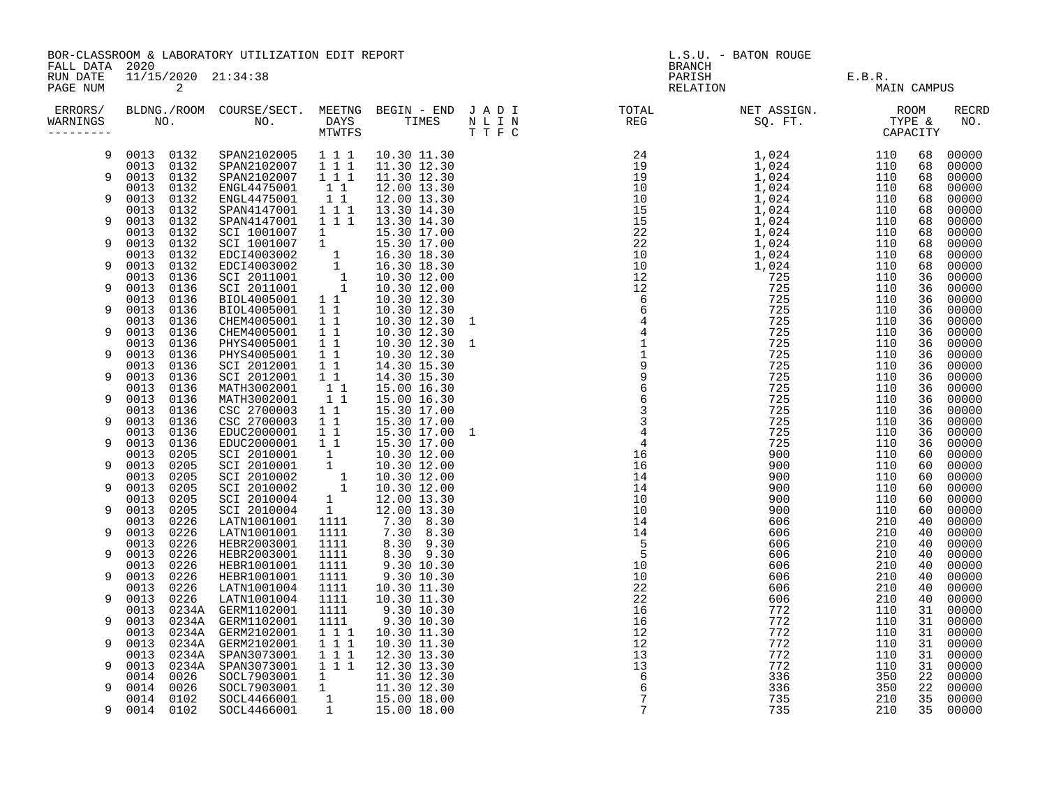|                                        |                                | BOR-CLASSROOM & LABORATORY UTILIZATION EDIT REPORT                                                                                                        |                                                  |                              | L.S.U. - BATON ROUGE                                                                                                                                                                                                              |                    |                       |          |                     |  |
|----------------------------------------|--------------------------------|-----------------------------------------------------------------------------------------------------------------------------------------------------------|--------------------------------------------------|------------------------------|-----------------------------------------------------------------------------------------------------------------------------------------------------------------------------------------------------------------------------------|--------------------|-----------------------|----------|---------------------|--|
| FALL DATA 2020<br>RUN DATE<br>PAGE NUM | 2                              | 11/15/2020 21:34:38                                                                                                                                       |                                                  |                              | BRANCH                                                                                                                                                                                                                            | PARISH<br>RELATION | E.B.R.<br>MAIN CAMPUS |          |                     |  |
| WARNINGS<br>---------                  |                                |                                                                                                                                                           |                                                  |                              | ERRORS/ BLDNG./ROOM COURSE/SECT. MEETNG BEGIN – END JADI TOTAL TOTAL NETASSIGN. NET ASSIGN. ROOM ROOM COURSE/SECT. MEETNG BEGIN – END JADI TOTAL TOTAL NETASSIGN. THE &<br>WARNINGS NO. NO. DAYS TIMES NLIN REG SQ.FT. TPE & CAPA |                    |                       |          | <b>RECRD</b><br>NO. |  |
| 9                                      | 0013 0132                      | SPAN2102005 111<br>SPAN2102007 111                                                                                                                        |                                                  | 10.30 11.30                  |                                                                                                                                                                                                                                   |                    | 110                   | 68       | 00000               |  |
| 9                                      | 0013 0132<br>0132<br>0013      | SPAN2102007 1 1 1                                                                                                                                         |                                                  | 11.30 12.30<br>11.30 12.30   |                                                                                                                                                                                                                                   |                    | 110<br>110            | 68<br>68 | 00000<br>00000      |  |
|                                        | 0013<br>0132                   | ENGL4475001                                                                                                                                               | $1\quad1$                                        | 12.00 13.30                  |                                                                                                                                                                                                                                   |                    | 110                   | 68       | 00000               |  |
| 9                                      | 0013<br>0132                   | ENGL4475001                                                                                                                                               | $\begin{smallmatrix}1&1\\1&1&1\end{smallmatrix}$ | 12.00 13.30                  |                                                                                                                                                                                                                                   |                    | 110                   | 68       | 00000               |  |
| 9                                      | 0013<br>0132<br>0013<br>0132   | SPAN4147001<br>SPAN4147001                                                                                                                                | 1 1 1                                            | 13.30 14.30<br>13.30 14.30   |                                                                                                                                                                                                                                   |                    | 110<br>110            | 68<br>68 | 00000<br>00000      |  |
|                                        | 0013<br>0132                   | SPAN4147007 1<br>SCI 1001007 1<br>SCI 1001007 1<br>EDCI4003002 1<br>EDCI4003002 1<br>SCI 2011001 1<br>SCI 2011001 1<br>BIOL4005001 1 1<br>PIOL4005001 1 1 |                                                  | 15.30 17.00                  |                                                                                                                                                                                                                                   |                    | 110                   | 68       | 00000               |  |
| 9                                      | 0013<br>0132                   |                                                                                                                                                           |                                                  | 15.30 17.00                  |                                                                                                                                                                                                                                   |                    | 110                   | 68       | 00000               |  |
|                                        | 0013<br>0132                   |                                                                                                                                                           |                                                  | 16.30 18.30                  |                                                                                                                                                                                                                                   |                    | 110                   | 68       | 00000               |  |
| 9                                      | 0013<br>0132<br>0013<br>0136   |                                                                                                                                                           |                                                  | 16.30 18.30<br>10.30 12.00   |                                                                                                                                                                                                                                   |                    | 110<br>110            | 68<br>36 | 00000<br>00000      |  |
| 9                                      | 0013<br>0136                   |                                                                                                                                                           |                                                  | 10.30 12.00                  |                                                                                                                                                                                                                                   |                    | 110                   | 36       | 00000               |  |
|                                        | 0013<br>0136                   |                                                                                                                                                           |                                                  | 10.30 12.30                  |                                                                                                                                                                                                                                   |                    | 110                   | 36       | 00000               |  |
| 9                                      | 0013<br>0136<br>0013           | BIOL4005001                                                                                                                                               | 11<br>$\overline{1}$ $\overline{1}$              | 10.30 12.30                  |                                                                                                                                                                                                                                   |                    | 110<br>110            | 36<br>36 | 00000<br>00000      |  |
| 9                                      | 0136<br>0013<br>0136           | CHEM4005001<br>CHEM4005001                                                                                                                                | 11                                               | 10.30 12.30 1<br>10.30 12.30 |                                                                                                                                                                                                                                   |                    | 110                   | 36       | 00000               |  |
|                                        | 0013<br>0136                   | PHYS4005001                                                                                                                                               | 11                                               | 10.30 12.30 1                |                                                                                                                                                                                                                                   |                    | 110                   | 36       | 00000               |  |
| 9                                      | 0013<br>0136                   | PHYS4005001                                                                                                                                               | 11                                               | 10.30 12.30                  |                                                                                                                                                                                                                                   |                    | 110                   | 36       | 00000               |  |
| 9                                      | 0013<br>0136<br>0013<br>0136   | SCI 2012001<br>SCI 2012001                                                                                                                                | $1\quad1$<br>$1\quad1$                           | 14.30 15.30<br>14.30 15.30   |                                                                                                                                                                                                                                   |                    | 110<br>110            | 36<br>36 | 00000<br>00000      |  |
|                                        | 0013<br>0136                   | MATH3002001                                                                                                                                               | $1\quad1$                                        | 15.00 16.30                  |                                                                                                                                                                                                                                   |                    | 110                   | 36       | 00000               |  |
| 9                                      | 0013<br>0136                   | MATH3002001                                                                                                                                               | $1\quad1$                                        | 15.00 16.30                  |                                                                                                                                                                                                                                   |                    | 110                   | 36       | 00000               |  |
|                                        | 0013<br>0136                   | CSC 2700003                                                                                                                                               | $1\quad1$                                        | 15.30 17.00                  |                                                                                                                                                                                                                                   |                    | 110                   | 36       | 00000               |  |
| 9                                      | 0013<br>0136<br>0136<br>0013   | CSC 2700003<br>EDUC2000001                                                                                                                                | $1\quad1$<br>$1\quad1$                           | 15.30 17.00<br>15.30 17.00 1 |                                                                                                                                                                                                                                   |                    | 110<br>110            | 36<br>36 | 00000<br>00000      |  |
| 9                                      | 0013<br>0136                   | EDUC2000001                                                                                                                                               | $1\quad1$                                        | 15.30 17.00                  |                                                                                                                                                                                                                                   |                    | 110                   | 36       | 00000               |  |
|                                        | 0013<br>0205                   | SCI 2010001                                                                                                                                               | $\begin{bmatrix} 1 \\ 1 \end{bmatrix}$           | 10.30 12.00                  |                                                                                                                                                                                                                                   |                    | 110                   | 60       | 00000               |  |
| 9                                      | 0013<br>0205                   | SCI 2010001                                                                                                                                               |                                                  | 10.30 12.00                  |                                                                                                                                                                                                                                   |                    | 110                   | 60       | 00000               |  |
| 9                                      | 0013<br>0205<br>0013<br>0205   | SCI 2010002<br>SCI 2010002                                                                                                                                | $\frac{1}{1}$                                    | 10.30 12.00<br>10.30 12.00   |                                                                                                                                                                                                                                   |                    | 110<br>110            | 60<br>60 | 00000<br>00000      |  |
|                                        | 0013<br>0205                   | SCI 2010004                                                                                                                                               | 1                                                | 12.00 13.30                  |                                                                                                                                                                                                                                   |                    | 110                   | 60       | 00000               |  |
| 9                                      | 0013<br>0205                   | SCI 2010004                                                                                                                                               | 1                                                | 12.00 13.30                  |                                                                                                                                                                                                                                   |                    | 110                   | 60       | 00000               |  |
|                                        | 0226<br>0013                   | LATN1001001                                                                                                                                               | 1111                                             | 7.30 8.30                    |                                                                                                                                                                                                                                   |                    | 210                   | 40       | 00000               |  |
| 9                                      | 0013<br>0226<br>0226<br>0013   | LATN1001001<br>HEBR2003001                                                                                                                                | 1111<br>1111                                     | 7.30 8.30<br>8.30 9.30       |                                                                                                                                                                                                                                   |                    | 210<br>210            | 40<br>40 | 00000<br>00000      |  |
| 9                                      | 0013<br>0226                   | HEBR2003001                                                                                                                                               | 1111                                             | 8.30 9.30                    |                                                                                                                                                                                                                                   |                    | 210                   | 40       | 00000               |  |
|                                        | 0226<br>0013                   | HEBR1001001                                                                                                                                               | 1111                                             | 9.30 10.30                   |                                                                                                                                                                                                                                   |                    | 210                   | 40       | 00000               |  |
| 9                                      | 0013<br>0226                   | HEBR1001001                                                                                                                                               | 1111                                             | 9.30 10.30                   |                                                                                                                                                                                                                                   |                    | 210                   | 40       | 00000               |  |
| 9                                      | 0013<br>0226<br>0013<br>0226   | LATN1001004<br>LATN1001004                                                                                                                                | 1111<br>1111                                     | 10.30 11.30<br>10.30 11.30   |                                                                                                                                                                                                                                   |                    | 210<br>210            | 40<br>40 | 00000<br>00000      |  |
|                                        | 0013                           | 0234A GERM1102001                                                                                                                                         | 1111                                             | 9.30 10.30                   |                                                                                                                                                                                                                                   |                    | 110                   | 31       | 00000               |  |
| 9                                      | 0013<br>0234A                  | GERM1102001                                                                                                                                               | 1111                                             | 9.30 10.30                   |                                                                                                                                                                                                                                   |                    | 110                   | 31       | 00000               |  |
|                                        | 0234A<br>0013                  | GERM2102001                                                                                                                                               | 111                                              | 10.30 11.30                  |                                                                                                                                                                                                                                   |                    | 110                   | 31       | 00000               |  |
| 9                                      | 0234A<br>0013<br>0013<br>0234A | GERM2102001<br>SPAN3073001                                                                                                                                | $1\ 1\ 1$<br>111                                 | 10.30 11.30<br>12.30 13.30   |                                                                                                                                                                                                                                   |                    | 110<br>110            | 31<br>31 | 00000<br>00000      |  |
| 9                                      | 0013<br>0234A                  | SPAN3073001                                                                                                                                               | $\overline{1}$ $\overline{1}$ $\overline{1}$     | 12.30 13.30                  |                                                                                                                                                                                                                                   |                    | 110                   | 31       | 00000               |  |
|                                        | 0026<br>0014                   |                                                                                                                                                           |                                                  |                              |                                                                                                                                                                                                                                   |                    | 350                   | 22       | 00000               |  |
| 9                                      | 0014<br>0026                   |                                                                                                                                                           |                                                  |                              |                                                                                                                                                                                                                                   |                    | 350                   | 22       | 00000               |  |
| 9                                      | 0014<br>0102<br>0014 0102      | 80CL7903001 1 1.30 12.30<br>SOCL7903001 1 11.30 12.30<br>SOCL7903001 1 15.00 18.00<br>SOCL4466001 1 15.00 18.00<br>SOCL4466001 1 15.00 18.00              |                                                  |                              |                                                                                                                                                                                                                                   |                    | 210<br>210            | 35<br>35 | 00000<br>00000      |  |
|                                        |                                |                                                                                                                                                           |                                                  |                              |                                                                                                                                                                                                                                   |                    |                       |          |                     |  |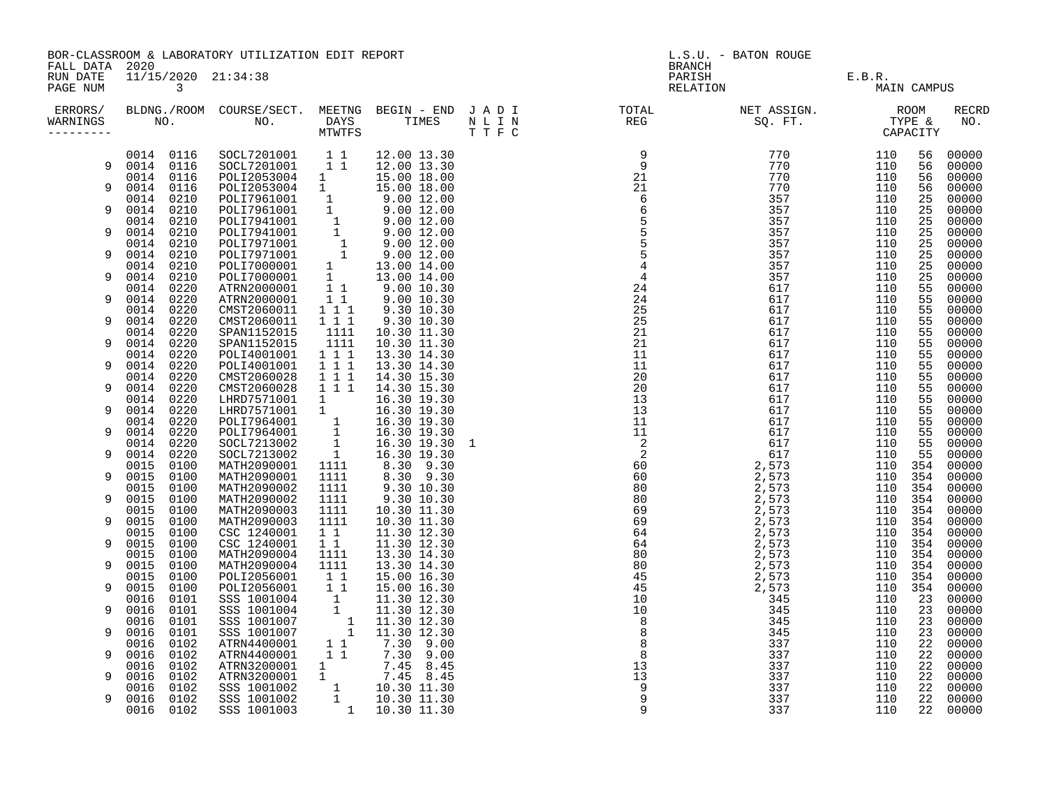|                                        |                                                | BOR-CLASSROOM & LABORATORY UTILIZATION EDIT REPORT                                                                                                                                                                                             |                                                   |                                                                                                                    | L.S.U. - BATON ROUGE                                                                                                                                                                                                                                                                                                                                                                                                                                                                                                                                                                                                                                                     |                                      |                           |                |                         |  |
|----------------------------------------|------------------------------------------------|------------------------------------------------------------------------------------------------------------------------------------------------------------------------------------------------------------------------------------------------|---------------------------------------------------|--------------------------------------------------------------------------------------------------------------------|--------------------------------------------------------------------------------------------------------------------------------------------------------------------------------------------------------------------------------------------------------------------------------------------------------------------------------------------------------------------------------------------------------------------------------------------------------------------------------------------------------------------------------------------------------------------------------------------------------------------------------------------------------------------------|--------------------------------------|---------------------------|----------------|-------------------------|--|
| FALL DATA 2020<br>RUN DATE<br>PAGE NUM | 11/15/2020 21:34:38<br>$\overline{\mathbf{3}}$ |                                                                                                                                                                                                                                                |                                                   |                                                                                                                    | BRANCH                                                                                                                                                                                                                                                                                                                                                                                                                                                                                                                                                                                                                                                                   | PARISH E.B.R.<br>RELATION E.B.R. MAI |                           | MAIN CAMPUS    |                         |  |
| WARNINGS<br>---------                  |                                                |                                                                                                                                                                                                                                                |                                                   |                                                                                                                    | ERRORS/ BLDNG./ROOM COURSE/SECT. MEETNG BEGIN – END JADI TOTAL TOTAL NETASSIGN. NET ASSIGN. ROOM COURSE/SECT. MEETNG BEGIN – END JADI TOTAL TOTAL NETASSIGN. TYPE &<br>WARNINGS NO. NO. DAYS TIMES NLIN REG SQ.FT. TPE & CAPACITY<br>$\begin{array}{cccc} \texttt{N} & \texttt{N} & \texttt{N} & \texttt{N} & \texttt{N} & \texttt{N} & \texttt{N} & \texttt{N} & \texttt{N} & \texttt{N} & \texttt{N} & \texttt{N} & \texttt{N} & \texttt{N} & \texttt{N} & \texttt{N} & \texttt{N} & \texttt{N} & \texttt{N} & \texttt{N} & \texttt{N} & \texttt{N} & \texttt{N} & \texttt{N} & \texttt{N} & \texttt{N} & \texttt{N} & \texttt{N} & \texttt{N} & \texttt{N} & \texttt$ |                                      |                           |                | <b>RECRD</b><br>NO.     |  |
| 9                                      | 0014 0116                                      | 0014 0116 SOCL7201001 1 1 12.00 13.30<br>SOCL7201001  11  12.00  13.30                                                                                                                                                                         |                                                   |                                                                                                                    |                                                                                                                                                                                                                                                                                                                                                                                                                                                                                                                                                                                                                                                                          |                                      | 110<br>110                | 56<br>56       | 00000<br>00000          |  |
| 9                                      | 0014 0116<br>0014 0116                         | POLI2053004 1<br>POLI2053004 1                                                                                                                                                                                                                 |                                                   | 15.00 18.00<br>15.00 18.00                                                                                         |                                                                                                                                                                                                                                                                                                                                                                                                                                                                                                                                                                                                                                                                          |                                      | 110<br>110                | 56<br>56       | 00000<br>00000          |  |
| 9                                      | 0210<br>0014<br>0210<br>0014<br>0014<br>0210   |                                                                                                                                                                                                                                                |                                                   |                                                                                                                    |                                                                                                                                                                                                                                                                                                                                                                                                                                                                                                                                                                                                                                                                          |                                      | 110<br>110<br>110         | 25<br>25<br>25 | 00000<br>00000<br>00000 |  |
| 9                                      | 0014 0210<br>0210<br>0014                      |                                                                                                                                                                                                                                                |                                                   |                                                                                                                    |                                                                                                                                                                                                                                                                                                                                                                                                                                                                                                                                                                                                                                                                          |                                      | 110<br>110                | 25<br>25       | 00000<br>00000          |  |
| 9                                      | 0014<br>0210<br>0014<br>0210                   |                                                                                                                                                                                                                                                |                                                   |                                                                                                                    |                                                                                                                                                                                                                                                                                                                                                                                                                                                                                                                                                                                                                                                                          |                                      | 110<br>110                | 25<br>25       | 00000<br>00000          |  |
| 9                                      | 0014 0210<br>0014<br>0220                      | POLI7961001 1 9.00 12.00<br>POLI7961001 1 9.00 12.00<br>POLI7961001 1 9.00 12.00<br>POLI7941001 1 9.00 12.00<br>POLI7941001 1 9.00 12.00<br>POLI7971001 1 9.00 12.00<br>POLI7971001 1 9.00 12.00<br>POLI7000001 1 13.00 14.00<br>POLI7000001 1 |                                                   |                                                                                                                    |                                                                                                                                                                                                                                                                                                                                                                                                                                                                                                                                                                                                                                                                          |                                      | 110<br>110                | 25<br>55       | 00000<br>00000          |  |
| 9                                      | 0014<br>0220<br>0014 0220                      | CMST2060011                                                                                                                                                                                                                                    | $1 1 1$                                           | 9.30 10.30                                                                                                         |                                                                                                                                                                                                                                                                                                                                                                                                                                                                                                                                                                                                                                                                          |                                      | 110<br>110                | 55<br>55       | 00000<br>00000          |  |
| 9<br>9                                 | 0014<br>0220<br>0014 0220<br>0014 0220         | CMST2060011<br>SPAN1152015<br>SPAN1152015                                                                                                                                                                                                      | $1 1 1$<br>1111<br>1111                           | 9.30 10.30<br>10.30 11.30<br>10.30 11.30                                                                           |                                                                                                                                                                                                                                                                                                                                                                                                                                                                                                                                                                                                                                                                          |                                      | 110<br>110<br>110         | 55<br>55<br>55 | 00000<br>00000<br>00000 |  |
| 9                                      | 0220<br>0014<br>0014 0220                      | POLI4001001<br>POLI4001001                                                                                                                                                                                                                     | 1 1 1<br>111                                      | 13.30 14.30<br>13.30 14.30                                                                                         |                                                                                                                                                                                                                                                                                                                                                                                                                                                                                                                                                                                                                                                                          |                                      | 110<br>110                | 55<br>55       | 00000<br>00000          |  |
| 9                                      | 0220<br>0014<br>0014<br>0220                   | CMST2060028<br>CMST2060028                                                                                                                                                                                                                     | $1 1 1$<br>111                                    | 14.30 15.30<br>14.30 15.30                                                                                         |                                                                                                                                                                                                                                                                                                                                                                                                                                                                                                                                                                                                                                                                          |                                      | 110<br>110                | 55<br>55       | 00000<br>00000          |  |
| 9                                      | 0220<br>0014<br>0014 0220                      | LHRD7571001<br>LHRD7571001 1                                                                                                                                                                                                                   | 1                                                 | 16.30 19.30<br>16.30 19.30                                                                                         |                                                                                                                                                                                                                                                                                                                                                                                                                                                                                                                                                                                                                                                                          |                                      | 110<br>110                | 55<br>55       | 00000<br>00000          |  |
| 9                                      | 0014 0220<br>0014<br>0220<br>0220<br>0014      | POLI7964001<br>POLI7964001<br>SOCL7213002                                                                                                                                                                                                      | $\begin{array}{c}\n1 \\ 1 \\ 1 \\ 1\n\end{array}$ | 16.30 19.30<br>16.30 19.30<br>16.30 19.30 1                                                                        |                                                                                                                                                                                                                                                                                                                                                                                                                                                                                                                                                                                                                                                                          |                                      | 110<br>110<br>110         | 55<br>55<br>55 | 00000<br>00000<br>00000 |  |
| 9                                      | 0014<br>0220<br>0015<br>0100                   | SOCL7213002<br>MATH2090001                                                                                                                                                                                                                     | 1111                                              | 16.30 19.30<br>8.30 9.30                                                                                           |                                                                                                                                                                                                                                                                                                                                                                                                                                                                                                                                                                                                                                                                          |                                      | 110<br>110                | 55<br>354      | 00000<br>00000          |  |
| 9                                      | 0015<br>0100<br>0100<br>0015                   | MATH2090001<br>MATH2090002                                                                                                                                                                                                                     | 1111<br>1111                                      | 8.30 9.30<br>9.30 10.30                                                                                            |                                                                                                                                                                                                                                                                                                                                                                                                                                                                                                                                                                                                                                                                          |                                      | 110 354<br>110            | 354            | 00000<br>00000          |  |
| 9                                      | 0015<br>0100<br>0015<br>0100                   | MATH2090002<br>MATH2090003                                                                                                                                                                                                                     | 1111<br>1111                                      | 9.30 10.30<br>10.30 11.30                                                                                          |                                                                                                                                                                                                                                                                                                                                                                                                                                                                                                                                                                                                                                                                          |                                      | 110 354<br>110 354        |                | 00000<br>00000          |  |
| 9<br>9                                 | 0015<br>0100<br>0015<br>0100<br>0015<br>0100   | MATH2090003<br>CSC 1240001<br>CSC 1240001                                                                                                                                                                                                      | 1111<br>11<br>$1\quad1$                           | 10.30 11.30<br>11.30 12.30<br>11.30 12.30                                                                          |                                                                                                                                                                                                                                                                                                                                                                                                                                                                                                                                                                                                                                                                          |                                      | 110 354<br>110 354<br>110 | 354            | 00000<br>00000<br>00000 |  |
| 9                                      | 0015<br>0100<br>0015<br>0100                   | MATH2090004<br>MATH2090004                                                                                                                                                                                                                     | 1111<br>1111                                      | 13.30 14.30<br>13.30 14.30                                                                                         |                                                                                                                                                                                                                                                                                                                                                                                                                                                                                                                                                                                                                                                                          |                                      | 110 354<br>110 354        |                | 00000<br>00000          |  |
| 9                                      | 0015<br>0100<br>0015<br>0100                   | POLI2056001<br>POLI2056001                                                                                                                                                                                                                     | $1\quad1$<br>11                                   | 15.00 16.30<br>15.00 16.30                                                                                         |                                                                                                                                                                                                                                                                                                                                                                                                                                                                                                                                                                                                                                                                          |                                      | 110 354<br>110            | 354            | 00000<br>00000          |  |
| 9                                      | 0016<br>0101<br>0016<br>0101<br>0016<br>0101   | 5SS 1001004<br>SSS 1001004<br>SSS 1001004<br>SSS 1001007<br>1<br>SSS 1001007<br>1                                                                                                                                                              |                                                   | 11.30 12.30<br>11.30 12.30<br>11.30 12.30                                                                          |                                                                                                                                                                                                                                                                                                                                                                                                                                                                                                                                                                                                                                                                          |                                      | 110<br>110<br>110         | 23<br>23<br>23 | 00000<br>00000<br>00000 |  |
| 9                                      | 0016<br>0101<br>0102<br>0016                   | ATRN4400001                                                                                                                                                                                                                                    | $1\quad1$                                         | 11.30 12.30                                                                                                        |                                                                                                                                                                                                                                                                                                                                                                                                                                                                                                                                                                                                                                                                          |                                      | 110<br>110                | 23<br>22       | 00000<br>00000          |  |
| 9                                      | 0016<br>0102<br>0016<br>0102                   | ATRN4400001<br>ATRN3200001                                                                                                                                                                                                                     | 11<br>$\frac{1}{1}$                               | 7.30 9.00<br>7.30 9.00<br>$7.45$ 8.45<br>$7.45$ 8.45                                                               |                                                                                                                                                                                                                                                                                                                                                                                                                                                                                                                                                                                                                                                                          |                                      | 110<br>110                | 22<br>22       | 00000<br>00000          |  |
| 9                                      | 0016<br>0102<br>0102<br>0016                   | ATRN3200001<br>SSS 1001002                                                                                                                                                                                                                     |                                                   |                                                                                                                    |                                                                                                                                                                                                                                                                                                                                                                                                                                                                                                                                                                                                                                                                          |                                      | 110<br>110                | 22<br>22       | 00000<br>00000          |  |
| 9                                      | 0016<br>0102<br>0016<br>0102                   | SSS 1001002<br>SSS 1001003                                                                                                                                                                                                                     |                                                   | $\begin{array}{cccc} 1 & 10.30 & 11.30 \\ 1 & 10.30 & 11.30 \\ 1 & 10.30 & 11.30 \\ 1 & 10.30 & 11.30 \end{array}$ |                                                                                                                                                                                                                                                                                                                                                                                                                                                                                                                                                                                                                                                                          |                                      | 110<br>110                | 22<br>22       | 00000<br>00000          |  |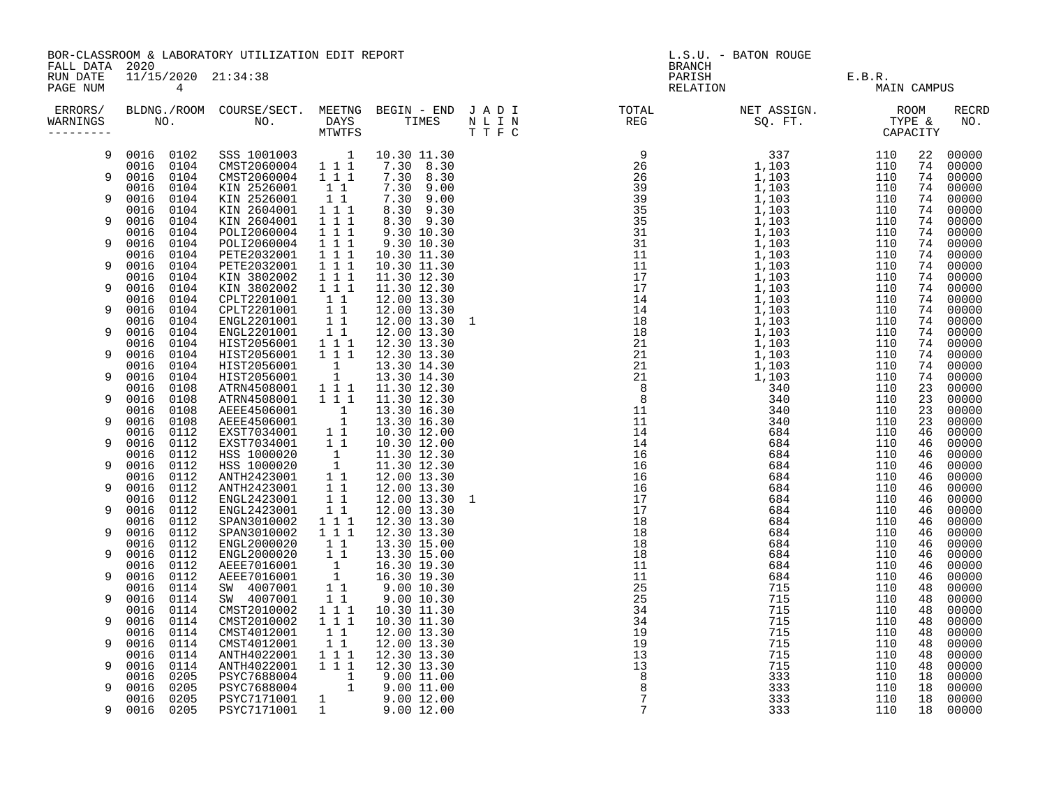|                                        |                              | BOR-CLASSROOM & LABORATORY UTILIZATION EDIT REPORT                |                                                                                                                                |                                                                       | L.S.U. - BATON ROUGE<br><b>BRANCH</b> |  |                    |                       |          |                     |
|----------------------------------------|------------------------------|-------------------------------------------------------------------|--------------------------------------------------------------------------------------------------------------------------------|-----------------------------------------------------------------------|---------------------------------------|--|--------------------|-----------------------|----------|---------------------|
| FALL DATA 2020<br>RUN DATE<br>PAGE NUM | $4\overline{ }$              | 11/15/2020 21:34:38                                               |                                                                                                                                |                                                                       |                                       |  | PARISH<br>RELATION | E.B.R.<br>MAIN CAMPUS |          |                     |
| WARNINGS                               |                              |                                                                   |                                                                                                                                |                                                                       |                                       |  |                    |                       |          | <b>RECRD</b><br>NO. |
| 9                                      |                              | 0016 0102 SSS 1001003 1 10.30 11.30                               |                                                                                                                                |                                                                       |                                       |  |                    | 110                   | 22       | 00000               |
| $\mathsf{Q}$                           | 0016 0104<br>0016<br>0104    | CMST2060004 1 1 1<br>CMST2060004 1 1 1                            |                                                                                                                                | 7.30 8.30<br>7.30 8.30                                                |                                       |  |                    | 110<br>110            | 74<br>74 | 00000<br>00000      |
|                                        | 0104<br>0016                 | KIN 2526001                                                       | $1\quad1$                                                                                                                      | 7.30 9.00                                                             |                                       |  |                    | 110                   | 74       | 00000               |
| 9                                      | 0016<br>0104                 | KIN 2526001                                                       | $1\quad1$                                                                                                                      | 7.30 9.00                                                             |                                       |  |                    | 110                   | 74       | 00000               |
| 9                                      | 0016<br>0104<br>0016<br>0104 | KIN 2604001<br>KIN 2604001                                        | $1 1 1$<br>111                                                                                                                 | 8.30 9.30<br>8.30 9.30                                                |                                       |  |                    | 110<br>110            | 74<br>74 | 00000<br>00000      |
|                                        | 0104<br>0016                 | POLI2060004                                                       |                                                                                                                                | 9.30 10.30                                                            |                                       |  |                    | 110                   | 74       | 00000               |
| 9                                      | 0016<br>0104                 | POLI2060004                                                       | $\begin{array}{rrrr} 1&1&1\\ 1&1&1 \end{array}$                                                                                | 9.30 10.30                                                            |                                       |  |                    | 110                   | 74       | 00000               |
|                                        | 0016<br>0104                 | PETE2032001                                                       | $\begin{array}{rrrr} & \overline{1} & \overline{1} & \overline{1} \\ & \overline{1} & \overline{1} & \overline{1} \end{array}$ | 10.30 11.30                                                           |                                       |  |                    | 110                   | 74       | 00000               |
| 9                                      | 0016<br>0104<br>0104         | PETE2032001                                                       | $\overline{1}$ $\overline{1}$ $\overline{1}$                                                                                   | 10.30 11.30                                                           |                                       |  |                    | 110                   | 74<br>74 | 00000               |
| 9                                      | 0016<br>0016<br>0104         | KIN 3802002<br>KIN 3802002                                        |                                                                                                                                | 11.30 12.30<br>11.30 12.30                                            |                                       |  |                    | 110<br>110            | 74       | 00000<br>00000      |
|                                        | 0016<br>0104                 | CPLT2201001                                                       | $\begin{smallmatrix}1&&1\\&1\\1&&1\end{smallmatrix}$                                                                           | 12.00 13.30                                                           |                                       |  |                    | 110                   | 74       | 00000               |
| 9                                      | 0016<br>0104                 | CPLT2201001 1 1<br>ENGL2201001 1 1<br>ENGL2201001 1 1             |                                                                                                                                | 12.00 13.30                                                           |                                       |  |                    | 110                   | 74       | 00000               |
| 9                                      | 0016<br>0104<br>0016         |                                                                   |                                                                                                                                | 12.00 13.30 1                                                         |                                       |  |                    | 110                   | 74       | 00000               |
|                                        | 0104<br>0016<br>0104         |                                                                   |                                                                                                                                | 12.00 13.30<br>12.30 13.30                                            |                                       |  |                    | 110<br>110            | 74<br>74 | 00000<br>00000      |
| 9                                      | 0016<br>0104                 | HIST2056001 111<br>HIST2056001 111                                |                                                                                                                                | 12.30 13.30                                                           |                                       |  |                    | 110                   | 74       | 00000               |
|                                        | 0016<br>0104                 | HIST2056001 1<br>HIST2056001 1<br>ATRN4508001 1 1 1               |                                                                                                                                | 13.30 14.30                                                           |                                       |  |                    | 110                   | 74       | 00000               |
| 9                                      | 0016<br>0104                 |                                                                   |                                                                                                                                | 13.30 14.30                                                           |                                       |  |                    | 110                   | 74       | 00000               |
| 9                                      | 0016<br>0108<br>0016<br>0108 | ATRN4508001                                                       | 111                                                                                                                            | 11.30 12.30<br>11.30 12.30                                            |                                       |  |                    | 110<br>110            | 23<br>23 | 00000<br>00000      |
|                                        | 0016<br>0108                 |                                                                   |                                                                                                                                | 13.30 16.30                                                           |                                       |  |                    | 110                   | 23       | 00000               |
| 9                                      | 0016<br>0108                 | AEEE4506001 1<br>AEEE4506001 1<br>EXST7034001 1<br>EXST7034001 11 |                                                                                                                                | 13.30 16.30                                                           |                                       |  |                    | 110                   | 23       | 00000               |
|                                        | 0016<br>0112                 |                                                                   |                                                                                                                                | 10.30 12.00                                                           |                                       |  |                    | 110                   | 46       | 00000               |
| 9                                      | 0016<br>0112<br>0016<br>0112 |                                                                   |                                                                                                                                | 10.30 12.00<br>11.30 12.30                                            |                                       |  |                    | 110<br>110            | 46<br>46 | 00000<br>00000      |
| 9                                      | 0016<br>0112                 | HSS 1000020<br>HSS 1000020 1<br>HSS 1000020 1                     |                                                                                                                                | 11.30 12.30                                                           |                                       |  |                    | 110                   | 46       | 00000               |
|                                        | 0016<br>0112                 |                                                                   |                                                                                                                                | 12.00 13.30                                                           |                                       |  |                    | 110                   | 46       | 00000               |
| 9                                      | 0016<br>0112                 | ANTH2423001 1<br>ANTH2423001 1 1<br>ENGL2423001 1 1               |                                                                                                                                | 12.00 13.30                                                           |                                       |  |                    | 110                   | 46       | 00000               |
|                                        | 0016<br>0112                 |                                                                   |                                                                                                                                | 12.00 13.30 1                                                         |                                       |  |                    | 110                   | 46       | 00000               |
| 9                                      | 0016<br>0112<br>0016<br>0112 | ENGL2423001<br>SPAN3010002                                        | $\begin{array}{rrrr} & 1 & 1 & \\ & 1 & 1 & \\ & 1 & 1 & 1 \\ & & 1 & 1 & 1 \end{array}$                                       | 12.00 13.30<br>12.30 13.30                                            |                                       |  |                    | 110<br>110            | 46<br>46 | 00000<br>00000      |
| 9                                      | 0016<br>0112                 | SPAN3010002                                                       |                                                                                                                                | 12.30 13.30                                                           |                                       |  |                    | 110                   | 46       | 00000               |
|                                        | 0016<br>0112                 | ENGL2000020                                                       | $\begin{bmatrix} 1 \\ 1 \\ 1 \end{bmatrix}$                                                                                    | 13.30 15.00                                                           |                                       |  |                    | 110                   | 46       | 00000               |
| 9                                      | 0016<br>0112                 | ENGL2000020                                                       |                                                                                                                                | 13.30 15.00                                                           |                                       |  |                    | 110                   | 46       | 00000               |
| 9                                      | 0016<br>0112<br>0016<br>0112 | AEEE7016001<br>AEEE7016001                                        | $\begin{array}{c} 1 \\ 1 \end{array}$                                                                                          | 16.30 19.30<br>16.30 19.30                                            |                                       |  |                    | 110<br>110            | 46<br>46 | 00000<br>00000      |
|                                        | 0016<br>0114                 | SW 4007001                                                        | $1^{\circ}1$                                                                                                                   |                                                                       |                                       |  |                    | 110                   | 48       | 00000               |
| 9                                      | 0114<br>0016                 | SW 4007001                                                        | $\overline{1}$ $\overline{1}$                                                                                                  | 9.00 10.30<br>9.00 10.30                                              |                                       |  |                    | 110                   | 48       | 00000               |
|                                        | 0016<br>0114                 | CMST2010002                                                       | $1 1 1$                                                                                                                        | 10.30 11.30                                                           |                                       |  |                    | 110                   | 48       | 00000               |
| 9                                      | 0016<br>0114<br>0016<br>0114 | CMST2010002<br>CMST4012001                                        | $1 1 1$<br>11                                                                                                                  | 10.30 11.30                                                           |                                       |  |                    | 110<br>110            | 48       | 00000<br>00000      |
| 9                                      | 0016<br>0114                 | CMST4012001                                                       | 11                                                                                                                             | 12.00 13.30<br>12.00 13.30                                            |                                       |  |                    | 110                   | 48<br>48 | 00000               |
|                                        | 0016<br>0114                 | ANTH4022001                                                       | $1 1 1$                                                                                                                        | 12.30 13.30                                                           |                                       |  |                    | 110                   | 48       | 00000               |
| 9                                      | 0016<br>0114                 | ANTH4022001 111                                                   |                                                                                                                                | 12.30 13.30                                                           |                                       |  |                    | 110                   | 48       | 00000               |
|                                        | 0016<br>0205                 | PSYC7688004 1 9.00 11.00<br>PSYC7688004 1 9.00 11.00              |                                                                                                                                |                                                                       |                                       |  |                    | 110                   | 18       | 00000               |
| 9                                      | 0205<br>0016<br>0205<br>0016 | PSYC7171001                                                       |                                                                                                                                |                                                                       |                                       |  |                    | 110<br>110            | 18<br>18 | 00000<br>00000      |
| 9                                      | 0016<br>0205                 | PSYC7171001                                                       |                                                                                                                                | $\begin{array}{ccc} 1 & 9.00 & 12.00 \\ 1 & 9.00 & 12.00 \end{array}$ |                                       |  |                    | 110                   | 18       | 00000               |
|                                        |                              |                                                                   |                                                                                                                                |                                                                       |                                       |  |                    |                       |          |                     |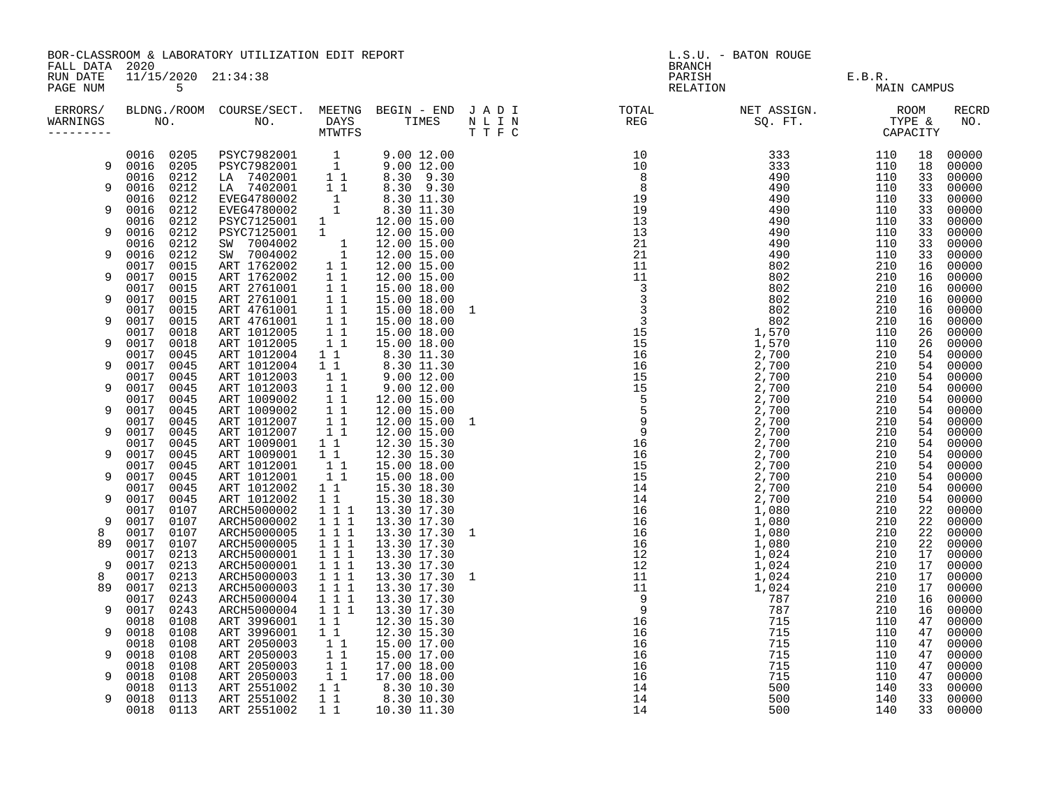| FALL DATA 2020<br>PARISH E.B.R.<br>RELATION MAI<br>RUN DATE<br>11/15/2020 21:34:38<br>PAGE NUM<br>5<br>MAIN CAMPUS<br>ERRORS/ BLDNG./ROOM COURSE/SECT. MEETNG BEGIN – END JADI (TOTAL (NET ASSIGN. ) ROOM (ROOM ) NET ASSIGN. (ROOM<br>WARNINGS NO. NO. DAYS TIMES NLIN (REG ) SQ.FT. TYPE & MINITFS (THE SQ.FT. ) (REG ) (REG ) (REG ) (REG ) (REG )<br><b>RECRD</b><br>NO.<br>WARNINGS<br>$\begin{array}{cccccccc} 1 & 0.12 & 0.12 & 0.12 & 0.12 & 0.12 & 0.12 & 0.12 & 0.12 & 0.12 & 0.12 & 0.12 & 0.12 & 0.12 & 0.12 & 0.12 & 0.12 & 0.12 & 0.12 & 0.12 & 0.12 & 0.12 & 0.12 & 0.12 & 0.12 & 0.12 & 0.12 & 0.12 & 0.12 & 0.12 & 0.12 & 0.12 & 0.12 & 0.12 & 0.12 & 0.12$<br>PSYC7982001 1 9.00 12.00<br>PSYC7982001 1 9.00 12.00<br>LA 7402001 1 8.30 9.30<br>LA 7402001 1 8.30 9.30<br>EVEG4780002 1 8.30 11.30<br>EVEG4780002 1 8.30 11.30<br>EVEG4780002 1 8.30 11.30<br>0016 0205<br>00000<br>18<br>0016 0205<br>9<br>18<br>00000<br>0016 0212<br>33<br>00000<br>0212<br>9<br>0016<br>33<br>00000<br>0212<br>0016<br>00000<br>33<br>0212<br>9<br>0016<br>33<br>00000<br>0016<br>0212<br>EVENT478001<br>PSYC7125001 1<br>SW 7004002 1<br>SW 7004002 1<br>ART 1762002 1<br>ART 1762002 1<br>ART 1762002 1<br>12.00 15.00<br>33<br>00000<br>0016<br>0212<br>12.00 15.00<br>33<br>00000<br>9<br>0212<br>12.00 15.00<br>00000<br>0016<br>33<br>0016<br>0212<br>9<br>12.00 15.00<br>33<br>00000<br>0017<br>0015<br>12.00 15.00<br>16<br>00000<br>0017<br>0015<br>12.00 15.00<br>16<br>00000<br>9<br>NRT 2761001 1 1<br>ART 2761001 1 1<br>ART 4761001 1 1<br>ART 4761001 1 1<br>ART 1012005 1 1<br>ART 1012005 1 1<br>0017<br>0015<br>15.00 18.00<br>00000<br>16<br>0017<br>0015<br>00000<br>9<br>15.00 18.00<br>16<br>0017<br>0015<br>15.00 18.00 1<br>16<br>00000<br>0017<br>0015<br>15.00 18.00<br>9<br>16<br>00000<br>0017<br>0018<br>15.00 18.00<br>00000<br>26<br>$1\quad1$<br>0017<br>0018<br>ART 1012005<br>15.00 18.00<br>26<br>00000<br>9<br>0017<br>ART 1012004<br>$1\quad1$<br>0045<br>$\begin{array}{rrrr} 1 & 1 & 8.30 & 11.30 \\ 1 & 8.30 & 11.30 \\ 1 & 9.00 & 12.00 \\ 1 & 9.00 & 12.00 \end{array}$<br>54<br>00000<br>0017<br>0045<br>ART 1012004<br>54<br>00000<br>9<br>11<br>ART 1012003<br>54<br>0017<br>0045<br>00000<br>ART 1012003<br>$\begin{array}{c} 1 \\ 1 \\ 1 \end{array}$<br>0017<br>0045<br>00000<br>9<br>54<br>ART 1009002<br>0017<br>0045<br>12.00 15.00<br>54<br>00000<br>$\overline{1}$ $\overline{1}$<br>0017<br>0045<br>ART 1009002<br>12.00 15.00<br>00000<br>9<br>54<br>$1\quad1$<br>0017<br>0045<br>ART 1012007<br>12.00 15.00 1<br>54<br>00000<br>0017<br>ART 1012007<br>11<br>0045<br>12.00 15.00<br>00000<br>9<br>54<br>ART 1009001<br>11<br>0017<br>0045<br>12.30 15.30<br>54<br>00000<br>0017<br>$1\quad1$<br>0045<br>ART 1009001<br>12.30 15.30<br>00000<br>9<br>54<br>1 1 15.00 18.00<br>0017<br>0045<br>ART 1012001<br>54<br>00000<br>0017<br>ART 1012001<br>$1\ 1\ 15.00\ 18.00\ 1$<br>$1\ 1\ 15.00\ 18.00\ 1$<br>$1\ 1\ 15.30\ 18.30\ 1$<br>$1\ 1\ 15.30\ 18.30\ 1$<br>$1\ 1\ 13.30\ 17.30\ 1$<br>$1\ 1\ 13.30\ 17.30\ 1$<br>$1\ 1\ 13.30\ 17.30\ 1$<br>$1\ 1\ 1\ 13.30\ 17.30\ 1$<br>$1\ 1\ 1\ 13.30\ 1$<br>0045<br>00000<br>9<br>54<br>0017<br>0045<br>ART 1012002<br>00000<br>54<br>0017<br>0045<br>ART 1012002<br>54<br>00000<br>9<br>0017<br>0107<br>ARCH5000002<br>22<br>00000<br>9<br>0017<br>0107<br>ARCH5000002<br>22<br>00000<br>0017<br>0107<br>ARCH5000005<br>13.30 17.30 1<br>22<br>00000<br>8<br>0017<br>ARCH5000005<br>ARCH5000001<br>89<br>0107<br>22<br>00000<br>0017<br>0213<br>17<br>00000<br>9<br>0017<br>0213<br>ARCH5000001<br>17<br>00000<br>0213<br>ARCH5000003<br>0017<br>13.30 17.30 1<br>8<br>17<br>00000<br>$\overline{1}$ $\overline{1}$ $\overline{1}$<br>89<br>0017<br>0213<br>ARCH5000003<br>17<br>13.30 17.30<br>00000<br>$\frac{1}{1}$ $\frac{1}{1}$<br>ARCH5000004<br>0017<br>0243<br>13.30 17.30<br>00000<br>16<br>0017<br>$1$ 1 1<br>9<br>0243<br>ARCH5000004<br>13.30 17.30<br>16<br>00000<br>0018<br>0108<br>ART 3996001<br>00000<br>1 1<br>12.30 15.30<br>47<br>0018<br>$1\quad1$<br>9<br>0108<br>ART 3996001<br>12.30 15.30<br>00000<br>47<br>$\begin{bmatrix} 1 \\ 1 \\ 1 \end{bmatrix}$<br>0018<br>0108<br>ART 2050003<br>15.00 17.00<br>00000<br>47<br>0018<br>0108<br>ART 2050003<br>15.00 17.00<br>9<br>47<br>00000<br>$1\quad1$<br>0018<br>0108<br>ART 2050003<br>17.00 18.00<br>00000<br>47<br>11<br>0018<br>ART 2050003<br>ART 2551002<br>9<br>0108<br>17.00 18.00<br>47<br>00000<br>$\begin{bmatrix} 1 & 1 \\ 1 & 1 \end{bmatrix}$ $\begin{bmatrix} 8.30 & 10.30 \\ 8.30 & 10.30 \end{bmatrix}$<br>0018<br>0113<br>33<br>00000<br>0018<br>0113<br>ART 2551002<br>33<br>9<br>00000<br>$8.3010.30$<br>10.30 11.30<br>$1\quad1$<br>0018<br>0113<br>ART 2551002<br>33<br>00000 | BOR-CLASSROOM & LABORATORY UTILIZATION EDIT REPORT |  |  |  |  |  | L.S.U. - BATON ROUGE<br><b>BRANCH</b> |  |  |  |  |
|-----------------------------------------------------------------------------------------------------------------------------------------------------------------------------------------------------------------------------------------------------------------------------------------------------------------------------------------------------------------------------------------------------------------------------------------------------------------------------------------------------------------------------------------------------------------------------------------------------------------------------------------------------------------------------------------------------------------------------------------------------------------------------------------------------------------------------------------------------------------------------------------------------------------------------------------------------------------------------------------------------------------------------------------------------------------------------------------------------------------------------------------------------------------------------------------------------------------------------------------------------------------------------------------------------------------------------------------------------------------------------------------------------------------------------------------------------------------------------------------------------------------------------------------------------------------------------------------------------------------------------------------------------------------------------------------------------------------------------------------------------------------------------------------------------------------------------------------------------------------------------------------------------------------------------------------------------------------------------------------------------------------------------------------------------------------------------------------------------------------------------------------------------------------------------------------------------------------------------------------------------------------------------------------------------------------------------------------------------------------------------------------------------------------------------------------------------------------------------------------------------------------------------------------------------------------------------------------------------------------------------------------------------------------------------------------------------------------------------------------------------------------------------------------------------------------------------------------------------------------------------------------------------------------------------------------------------------------------------------------------------------------------------------------------------------------------------------------------------------------------------------------------------------------------------------------------------------------------------------------------------------------------------------------------------------------------------------------------------------------------------------------------------------------------------------------------------------------------------------------------------------------------------------------------------------------------------------------------------------------------------------------------------------------------------------------------------------------------------------------------------------------------------------------------------------------------------------------------------------------------------------------------------------------------------------------------------------------------------------------------------------------------------------------------------------------------------------------------------------------------------------------------------------------------------------------------------------------------------------------------------------------------------------------------------------------------------------------------------------------------------------------------------------------------------------------------------------------------------------------------------------------------------------------------------------------------------------------------------------------------------------------------------------------------------------------------------------------------------------------------------------------------------------|----------------------------------------------------|--|--|--|--|--|---------------------------------------|--|--|--|--|
|                                                                                                                                                                                                                                                                                                                                                                                                                                                                                                                                                                                                                                                                                                                                                                                                                                                                                                                                                                                                                                                                                                                                                                                                                                                                                                                                                                                                                                                                                                                                                                                                                                                                                                                                                                                                                                                                                                                                                                                                                                                                                                                                                                                                                                                                                                                                                                                                                                                                                                                                                                                                                                                                                                                                                                                                                                                                                                                                                                                                                                                                                                                                                                                                                                                                                                                                                                                                                                                                                                                                                                                                                                                                                                                                                                                                                                                                                                                                                                                                                                                                                                                                                                                                                                                                                                                                                                                                                                                                                                                                                                                                                                                                                                                                                                                   |                                                    |  |  |  |  |  |                                       |  |  |  |  |
|                                                                                                                                                                                                                                                                                                                                                                                                                                                                                                                                                                                                                                                                                                                                                                                                                                                                                                                                                                                                                                                                                                                                                                                                                                                                                                                                                                                                                                                                                                                                                                                                                                                                                                                                                                                                                                                                                                                                                                                                                                                                                                                                                                                                                                                                                                                                                                                                                                                                                                                                                                                                                                                                                                                                                                                                                                                                                                                                                                                                                                                                                                                                                                                                                                                                                                                                                                                                                                                                                                                                                                                                                                                                                                                                                                                                                                                                                                                                                                                                                                                                                                                                                                                                                                                                                                                                                                                                                                                                                                                                                                                                                                                                                                                                                                                   |                                                    |  |  |  |  |  |                                       |  |  |  |  |
|                                                                                                                                                                                                                                                                                                                                                                                                                                                                                                                                                                                                                                                                                                                                                                                                                                                                                                                                                                                                                                                                                                                                                                                                                                                                                                                                                                                                                                                                                                                                                                                                                                                                                                                                                                                                                                                                                                                                                                                                                                                                                                                                                                                                                                                                                                                                                                                                                                                                                                                                                                                                                                                                                                                                                                                                                                                                                                                                                                                                                                                                                                                                                                                                                                                                                                                                                                                                                                                                                                                                                                                                                                                                                                                                                                                                                                                                                                                                                                                                                                                                                                                                                                                                                                                                                                                                                                                                                                                                                                                                                                                                                                                                                                                                                                                   |                                                    |  |  |  |  |  |                                       |  |  |  |  |
|                                                                                                                                                                                                                                                                                                                                                                                                                                                                                                                                                                                                                                                                                                                                                                                                                                                                                                                                                                                                                                                                                                                                                                                                                                                                                                                                                                                                                                                                                                                                                                                                                                                                                                                                                                                                                                                                                                                                                                                                                                                                                                                                                                                                                                                                                                                                                                                                                                                                                                                                                                                                                                                                                                                                                                                                                                                                                                                                                                                                                                                                                                                                                                                                                                                                                                                                                                                                                                                                                                                                                                                                                                                                                                                                                                                                                                                                                                                                                                                                                                                                                                                                                                                                                                                                                                                                                                                                                                                                                                                                                                                                                                                                                                                                                                                   |                                                    |  |  |  |  |  |                                       |  |  |  |  |
|                                                                                                                                                                                                                                                                                                                                                                                                                                                                                                                                                                                                                                                                                                                                                                                                                                                                                                                                                                                                                                                                                                                                                                                                                                                                                                                                                                                                                                                                                                                                                                                                                                                                                                                                                                                                                                                                                                                                                                                                                                                                                                                                                                                                                                                                                                                                                                                                                                                                                                                                                                                                                                                                                                                                                                                                                                                                                                                                                                                                                                                                                                                                                                                                                                                                                                                                                                                                                                                                                                                                                                                                                                                                                                                                                                                                                                                                                                                                                                                                                                                                                                                                                                                                                                                                                                                                                                                                                                                                                                                                                                                                                                                                                                                                                                                   |                                                    |  |  |  |  |  |                                       |  |  |  |  |
|                                                                                                                                                                                                                                                                                                                                                                                                                                                                                                                                                                                                                                                                                                                                                                                                                                                                                                                                                                                                                                                                                                                                                                                                                                                                                                                                                                                                                                                                                                                                                                                                                                                                                                                                                                                                                                                                                                                                                                                                                                                                                                                                                                                                                                                                                                                                                                                                                                                                                                                                                                                                                                                                                                                                                                                                                                                                                                                                                                                                                                                                                                                                                                                                                                                                                                                                                                                                                                                                                                                                                                                                                                                                                                                                                                                                                                                                                                                                                                                                                                                                                                                                                                                                                                                                                                                                                                                                                                                                                                                                                                                                                                                                                                                                                                                   |                                                    |  |  |  |  |  |                                       |  |  |  |  |
|                                                                                                                                                                                                                                                                                                                                                                                                                                                                                                                                                                                                                                                                                                                                                                                                                                                                                                                                                                                                                                                                                                                                                                                                                                                                                                                                                                                                                                                                                                                                                                                                                                                                                                                                                                                                                                                                                                                                                                                                                                                                                                                                                                                                                                                                                                                                                                                                                                                                                                                                                                                                                                                                                                                                                                                                                                                                                                                                                                                                                                                                                                                                                                                                                                                                                                                                                                                                                                                                                                                                                                                                                                                                                                                                                                                                                                                                                                                                                                                                                                                                                                                                                                                                                                                                                                                                                                                                                                                                                                                                                                                                                                                                                                                                                                                   |                                                    |  |  |  |  |  |                                       |  |  |  |  |
|                                                                                                                                                                                                                                                                                                                                                                                                                                                                                                                                                                                                                                                                                                                                                                                                                                                                                                                                                                                                                                                                                                                                                                                                                                                                                                                                                                                                                                                                                                                                                                                                                                                                                                                                                                                                                                                                                                                                                                                                                                                                                                                                                                                                                                                                                                                                                                                                                                                                                                                                                                                                                                                                                                                                                                                                                                                                                                                                                                                                                                                                                                                                                                                                                                                                                                                                                                                                                                                                                                                                                                                                                                                                                                                                                                                                                                                                                                                                                                                                                                                                                                                                                                                                                                                                                                                                                                                                                                                                                                                                                                                                                                                                                                                                                                                   |                                                    |  |  |  |  |  |                                       |  |  |  |  |
|                                                                                                                                                                                                                                                                                                                                                                                                                                                                                                                                                                                                                                                                                                                                                                                                                                                                                                                                                                                                                                                                                                                                                                                                                                                                                                                                                                                                                                                                                                                                                                                                                                                                                                                                                                                                                                                                                                                                                                                                                                                                                                                                                                                                                                                                                                                                                                                                                                                                                                                                                                                                                                                                                                                                                                                                                                                                                                                                                                                                                                                                                                                                                                                                                                                                                                                                                                                                                                                                                                                                                                                                                                                                                                                                                                                                                                                                                                                                                                                                                                                                                                                                                                                                                                                                                                                                                                                                                                                                                                                                                                                                                                                                                                                                                                                   |                                                    |  |  |  |  |  |                                       |  |  |  |  |
|                                                                                                                                                                                                                                                                                                                                                                                                                                                                                                                                                                                                                                                                                                                                                                                                                                                                                                                                                                                                                                                                                                                                                                                                                                                                                                                                                                                                                                                                                                                                                                                                                                                                                                                                                                                                                                                                                                                                                                                                                                                                                                                                                                                                                                                                                                                                                                                                                                                                                                                                                                                                                                                                                                                                                                                                                                                                                                                                                                                                                                                                                                                                                                                                                                                                                                                                                                                                                                                                                                                                                                                                                                                                                                                                                                                                                                                                                                                                                                                                                                                                                                                                                                                                                                                                                                                                                                                                                                                                                                                                                                                                                                                                                                                                                                                   |                                                    |  |  |  |  |  |                                       |  |  |  |  |
|                                                                                                                                                                                                                                                                                                                                                                                                                                                                                                                                                                                                                                                                                                                                                                                                                                                                                                                                                                                                                                                                                                                                                                                                                                                                                                                                                                                                                                                                                                                                                                                                                                                                                                                                                                                                                                                                                                                                                                                                                                                                                                                                                                                                                                                                                                                                                                                                                                                                                                                                                                                                                                                                                                                                                                                                                                                                                                                                                                                                                                                                                                                                                                                                                                                                                                                                                                                                                                                                                                                                                                                                                                                                                                                                                                                                                                                                                                                                                                                                                                                                                                                                                                                                                                                                                                                                                                                                                                                                                                                                                                                                                                                                                                                                                                                   |                                                    |  |  |  |  |  |                                       |  |  |  |  |
|                                                                                                                                                                                                                                                                                                                                                                                                                                                                                                                                                                                                                                                                                                                                                                                                                                                                                                                                                                                                                                                                                                                                                                                                                                                                                                                                                                                                                                                                                                                                                                                                                                                                                                                                                                                                                                                                                                                                                                                                                                                                                                                                                                                                                                                                                                                                                                                                                                                                                                                                                                                                                                                                                                                                                                                                                                                                                                                                                                                                                                                                                                                                                                                                                                                                                                                                                                                                                                                                                                                                                                                                                                                                                                                                                                                                                                                                                                                                                                                                                                                                                                                                                                                                                                                                                                                                                                                                                                                                                                                                                                                                                                                                                                                                                                                   |                                                    |  |  |  |  |  |                                       |  |  |  |  |
|                                                                                                                                                                                                                                                                                                                                                                                                                                                                                                                                                                                                                                                                                                                                                                                                                                                                                                                                                                                                                                                                                                                                                                                                                                                                                                                                                                                                                                                                                                                                                                                                                                                                                                                                                                                                                                                                                                                                                                                                                                                                                                                                                                                                                                                                                                                                                                                                                                                                                                                                                                                                                                                                                                                                                                                                                                                                                                                                                                                                                                                                                                                                                                                                                                                                                                                                                                                                                                                                                                                                                                                                                                                                                                                                                                                                                                                                                                                                                                                                                                                                                                                                                                                                                                                                                                                                                                                                                                                                                                                                                                                                                                                                                                                                                                                   |                                                    |  |  |  |  |  |                                       |  |  |  |  |
|                                                                                                                                                                                                                                                                                                                                                                                                                                                                                                                                                                                                                                                                                                                                                                                                                                                                                                                                                                                                                                                                                                                                                                                                                                                                                                                                                                                                                                                                                                                                                                                                                                                                                                                                                                                                                                                                                                                                                                                                                                                                                                                                                                                                                                                                                                                                                                                                                                                                                                                                                                                                                                                                                                                                                                                                                                                                                                                                                                                                                                                                                                                                                                                                                                                                                                                                                                                                                                                                                                                                                                                                                                                                                                                                                                                                                                                                                                                                                                                                                                                                                                                                                                                                                                                                                                                                                                                                                                                                                                                                                                                                                                                                                                                                                                                   |                                                    |  |  |  |  |  |                                       |  |  |  |  |
|                                                                                                                                                                                                                                                                                                                                                                                                                                                                                                                                                                                                                                                                                                                                                                                                                                                                                                                                                                                                                                                                                                                                                                                                                                                                                                                                                                                                                                                                                                                                                                                                                                                                                                                                                                                                                                                                                                                                                                                                                                                                                                                                                                                                                                                                                                                                                                                                                                                                                                                                                                                                                                                                                                                                                                                                                                                                                                                                                                                                                                                                                                                                                                                                                                                                                                                                                                                                                                                                                                                                                                                                                                                                                                                                                                                                                                                                                                                                                                                                                                                                                                                                                                                                                                                                                                                                                                                                                                                                                                                                                                                                                                                                                                                                                                                   |                                                    |  |  |  |  |  |                                       |  |  |  |  |
|                                                                                                                                                                                                                                                                                                                                                                                                                                                                                                                                                                                                                                                                                                                                                                                                                                                                                                                                                                                                                                                                                                                                                                                                                                                                                                                                                                                                                                                                                                                                                                                                                                                                                                                                                                                                                                                                                                                                                                                                                                                                                                                                                                                                                                                                                                                                                                                                                                                                                                                                                                                                                                                                                                                                                                                                                                                                                                                                                                                                                                                                                                                                                                                                                                                                                                                                                                                                                                                                                                                                                                                                                                                                                                                                                                                                                                                                                                                                                                                                                                                                                                                                                                                                                                                                                                                                                                                                                                                                                                                                                                                                                                                                                                                                                                                   |                                                    |  |  |  |  |  |                                       |  |  |  |  |
|                                                                                                                                                                                                                                                                                                                                                                                                                                                                                                                                                                                                                                                                                                                                                                                                                                                                                                                                                                                                                                                                                                                                                                                                                                                                                                                                                                                                                                                                                                                                                                                                                                                                                                                                                                                                                                                                                                                                                                                                                                                                                                                                                                                                                                                                                                                                                                                                                                                                                                                                                                                                                                                                                                                                                                                                                                                                                                                                                                                                                                                                                                                                                                                                                                                                                                                                                                                                                                                                                                                                                                                                                                                                                                                                                                                                                                                                                                                                                                                                                                                                                                                                                                                                                                                                                                                                                                                                                                                                                                                                                                                                                                                                                                                                                                                   |                                                    |  |  |  |  |  |                                       |  |  |  |  |
|                                                                                                                                                                                                                                                                                                                                                                                                                                                                                                                                                                                                                                                                                                                                                                                                                                                                                                                                                                                                                                                                                                                                                                                                                                                                                                                                                                                                                                                                                                                                                                                                                                                                                                                                                                                                                                                                                                                                                                                                                                                                                                                                                                                                                                                                                                                                                                                                                                                                                                                                                                                                                                                                                                                                                                                                                                                                                                                                                                                                                                                                                                                                                                                                                                                                                                                                                                                                                                                                                                                                                                                                                                                                                                                                                                                                                                                                                                                                                                                                                                                                                                                                                                                                                                                                                                                                                                                                                                                                                                                                                                                                                                                                                                                                                                                   |                                                    |  |  |  |  |  |                                       |  |  |  |  |
|                                                                                                                                                                                                                                                                                                                                                                                                                                                                                                                                                                                                                                                                                                                                                                                                                                                                                                                                                                                                                                                                                                                                                                                                                                                                                                                                                                                                                                                                                                                                                                                                                                                                                                                                                                                                                                                                                                                                                                                                                                                                                                                                                                                                                                                                                                                                                                                                                                                                                                                                                                                                                                                                                                                                                                                                                                                                                                                                                                                                                                                                                                                                                                                                                                                                                                                                                                                                                                                                                                                                                                                                                                                                                                                                                                                                                                                                                                                                                                                                                                                                                                                                                                                                                                                                                                                                                                                                                                                                                                                                                                                                                                                                                                                                                                                   |                                                    |  |  |  |  |  |                                       |  |  |  |  |
|                                                                                                                                                                                                                                                                                                                                                                                                                                                                                                                                                                                                                                                                                                                                                                                                                                                                                                                                                                                                                                                                                                                                                                                                                                                                                                                                                                                                                                                                                                                                                                                                                                                                                                                                                                                                                                                                                                                                                                                                                                                                                                                                                                                                                                                                                                                                                                                                                                                                                                                                                                                                                                                                                                                                                                                                                                                                                                                                                                                                                                                                                                                                                                                                                                                                                                                                                                                                                                                                                                                                                                                                                                                                                                                                                                                                                                                                                                                                                                                                                                                                                                                                                                                                                                                                                                                                                                                                                                                                                                                                                                                                                                                                                                                                                                                   |                                                    |  |  |  |  |  |                                       |  |  |  |  |
|                                                                                                                                                                                                                                                                                                                                                                                                                                                                                                                                                                                                                                                                                                                                                                                                                                                                                                                                                                                                                                                                                                                                                                                                                                                                                                                                                                                                                                                                                                                                                                                                                                                                                                                                                                                                                                                                                                                                                                                                                                                                                                                                                                                                                                                                                                                                                                                                                                                                                                                                                                                                                                                                                                                                                                                                                                                                                                                                                                                                                                                                                                                                                                                                                                                                                                                                                                                                                                                                                                                                                                                                                                                                                                                                                                                                                                                                                                                                                                                                                                                                                                                                                                                                                                                                                                                                                                                                                                                                                                                                                                                                                                                                                                                                                                                   |                                                    |  |  |  |  |  |                                       |  |  |  |  |
|                                                                                                                                                                                                                                                                                                                                                                                                                                                                                                                                                                                                                                                                                                                                                                                                                                                                                                                                                                                                                                                                                                                                                                                                                                                                                                                                                                                                                                                                                                                                                                                                                                                                                                                                                                                                                                                                                                                                                                                                                                                                                                                                                                                                                                                                                                                                                                                                                                                                                                                                                                                                                                                                                                                                                                                                                                                                                                                                                                                                                                                                                                                                                                                                                                                                                                                                                                                                                                                                                                                                                                                                                                                                                                                                                                                                                                                                                                                                                                                                                                                                                                                                                                                                                                                                                                                                                                                                                                                                                                                                                                                                                                                                                                                                                                                   |                                                    |  |  |  |  |  |                                       |  |  |  |  |
|                                                                                                                                                                                                                                                                                                                                                                                                                                                                                                                                                                                                                                                                                                                                                                                                                                                                                                                                                                                                                                                                                                                                                                                                                                                                                                                                                                                                                                                                                                                                                                                                                                                                                                                                                                                                                                                                                                                                                                                                                                                                                                                                                                                                                                                                                                                                                                                                                                                                                                                                                                                                                                                                                                                                                                                                                                                                                                                                                                                                                                                                                                                                                                                                                                                                                                                                                                                                                                                                                                                                                                                                                                                                                                                                                                                                                                                                                                                                                                                                                                                                                                                                                                                                                                                                                                                                                                                                                                                                                                                                                                                                                                                                                                                                                                                   |                                                    |  |  |  |  |  |                                       |  |  |  |  |
|                                                                                                                                                                                                                                                                                                                                                                                                                                                                                                                                                                                                                                                                                                                                                                                                                                                                                                                                                                                                                                                                                                                                                                                                                                                                                                                                                                                                                                                                                                                                                                                                                                                                                                                                                                                                                                                                                                                                                                                                                                                                                                                                                                                                                                                                                                                                                                                                                                                                                                                                                                                                                                                                                                                                                                                                                                                                                                                                                                                                                                                                                                                                                                                                                                                                                                                                                                                                                                                                                                                                                                                                                                                                                                                                                                                                                                                                                                                                                                                                                                                                                                                                                                                                                                                                                                                                                                                                                                                                                                                                                                                                                                                                                                                                                                                   |                                                    |  |  |  |  |  |                                       |  |  |  |  |
|                                                                                                                                                                                                                                                                                                                                                                                                                                                                                                                                                                                                                                                                                                                                                                                                                                                                                                                                                                                                                                                                                                                                                                                                                                                                                                                                                                                                                                                                                                                                                                                                                                                                                                                                                                                                                                                                                                                                                                                                                                                                                                                                                                                                                                                                                                                                                                                                                                                                                                                                                                                                                                                                                                                                                                                                                                                                                                                                                                                                                                                                                                                                                                                                                                                                                                                                                                                                                                                                                                                                                                                                                                                                                                                                                                                                                                                                                                                                                                                                                                                                                                                                                                                                                                                                                                                                                                                                                                                                                                                                                                                                                                                                                                                                                                                   |                                                    |  |  |  |  |  |                                       |  |  |  |  |
|                                                                                                                                                                                                                                                                                                                                                                                                                                                                                                                                                                                                                                                                                                                                                                                                                                                                                                                                                                                                                                                                                                                                                                                                                                                                                                                                                                                                                                                                                                                                                                                                                                                                                                                                                                                                                                                                                                                                                                                                                                                                                                                                                                                                                                                                                                                                                                                                                                                                                                                                                                                                                                                                                                                                                                                                                                                                                                                                                                                                                                                                                                                                                                                                                                                                                                                                                                                                                                                                                                                                                                                                                                                                                                                                                                                                                                                                                                                                                                                                                                                                                                                                                                                                                                                                                                                                                                                                                                                                                                                                                                                                                                                                                                                                                                                   |                                                    |  |  |  |  |  |                                       |  |  |  |  |
|                                                                                                                                                                                                                                                                                                                                                                                                                                                                                                                                                                                                                                                                                                                                                                                                                                                                                                                                                                                                                                                                                                                                                                                                                                                                                                                                                                                                                                                                                                                                                                                                                                                                                                                                                                                                                                                                                                                                                                                                                                                                                                                                                                                                                                                                                                                                                                                                                                                                                                                                                                                                                                                                                                                                                                                                                                                                                                                                                                                                                                                                                                                                                                                                                                                                                                                                                                                                                                                                                                                                                                                                                                                                                                                                                                                                                                                                                                                                                                                                                                                                                                                                                                                                                                                                                                                                                                                                                                                                                                                                                                                                                                                                                                                                                                                   |                                                    |  |  |  |  |  |                                       |  |  |  |  |
|                                                                                                                                                                                                                                                                                                                                                                                                                                                                                                                                                                                                                                                                                                                                                                                                                                                                                                                                                                                                                                                                                                                                                                                                                                                                                                                                                                                                                                                                                                                                                                                                                                                                                                                                                                                                                                                                                                                                                                                                                                                                                                                                                                                                                                                                                                                                                                                                                                                                                                                                                                                                                                                                                                                                                                                                                                                                                                                                                                                                                                                                                                                                                                                                                                                                                                                                                                                                                                                                                                                                                                                                                                                                                                                                                                                                                                                                                                                                                                                                                                                                                                                                                                                                                                                                                                                                                                                                                                                                                                                                                                                                                                                                                                                                                                                   |                                                    |  |  |  |  |  |                                       |  |  |  |  |
|                                                                                                                                                                                                                                                                                                                                                                                                                                                                                                                                                                                                                                                                                                                                                                                                                                                                                                                                                                                                                                                                                                                                                                                                                                                                                                                                                                                                                                                                                                                                                                                                                                                                                                                                                                                                                                                                                                                                                                                                                                                                                                                                                                                                                                                                                                                                                                                                                                                                                                                                                                                                                                                                                                                                                                                                                                                                                                                                                                                                                                                                                                                                                                                                                                                                                                                                                                                                                                                                                                                                                                                                                                                                                                                                                                                                                                                                                                                                                                                                                                                                                                                                                                                                                                                                                                                                                                                                                                                                                                                                                                                                                                                                                                                                                                                   |                                                    |  |  |  |  |  |                                       |  |  |  |  |
|                                                                                                                                                                                                                                                                                                                                                                                                                                                                                                                                                                                                                                                                                                                                                                                                                                                                                                                                                                                                                                                                                                                                                                                                                                                                                                                                                                                                                                                                                                                                                                                                                                                                                                                                                                                                                                                                                                                                                                                                                                                                                                                                                                                                                                                                                                                                                                                                                                                                                                                                                                                                                                                                                                                                                                                                                                                                                                                                                                                                                                                                                                                                                                                                                                                                                                                                                                                                                                                                                                                                                                                                                                                                                                                                                                                                                                                                                                                                                                                                                                                                                                                                                                                                                                                                                                                                                                                                                                                                                                                                                                                                                                                                                                                                                                                   |                                                    |  |  |  |  |  |                                       |  |  |  |  |
|                                                                                                                                                                                                                                                                                                                                                                                                                                                                                                                                                                                                                                                                                                                                                                                                                                                                                                                                                                                                                                                                                                                                                                                                                                                                                                                                                                                                                                                                                                                                                                                                                                                                                                                                                                                                                                                                                                                                                                                                                                                                                                                                                                                                                                                                                                                                                                                                                                                                                                                                                                                                                                                                                                                                                                                                                                                                                                                                                                                                                                                                                                                                                                                                                                                                                                                                                                                                                                                                                                                                                                                                                                                                                                                                                                                                                                                                                                                                                                                                                                                                                                                                                                                                                                                                                                                                                                                                                                                                                                                                                                                                                                                                                                                                                                                   |                                                    |  |  |  |  |  |                                       |  |  |  |  |
|                                                                                                                                                                                                                                                                                                                                                                                                                                                                                                                                                                                                                                                                                                                                                                                                                                                                                                                                                                                                                                                                                                                                                                                                                                                                                                                                                                                                                                                                                                                                                                                                                                                                                                                                                                                                                                                                                                                                                                                                                                                                                                                                                                                                                                                                                                                                                                                                                                                                                                                                                                                                                                                                                                                                                                                                                                                                                                                                                                                                                                                                                                                                                                                                                                                                                                                                                                                                                                                                                                                                                                                                                                                                                                                                                                                                                                                                                                                                                                                                                                                                                                                                                                                                                                                                                                                                                                                                                                                                                                                                                                                                                                                                                                                                                                                   |                                                    |  |  |  |  |  |                                       |  |  |  |  |
|                                                                                                                                                                                                                                                                                                                                                                                                                                                                                                                                                                                                                                                                                                                                                                                                                                                                                                                                                                                                                                                                                                                                                                                                                                                                                                                                                                                                                                                                                                                                                                                                                                                                                                                                                                                                                                                                                                                                                                                                                                                                                                                                                                                                                                                                                                                                                                                                                                                                                                                                                                                                                                                                                                                                                                                                                                                                                                                                                                                                                                                                                                                                                                                                                                                                                                                                                                                                                                                                                                                                                                                                                                                                                                                                                                                                                                                                                                                                                                                                                                                                                                                                                                                                                                                                                                                                                                                                                                                                                                                                                                                                                                                                                                                                                                                   |                                                    |  |  |  |  |  |                                       |  |  |  |  |
|                                                                                                                                                                                                                                                                                                                                                                                                                                                                                                                                                                                                                                                                                                                                                                                                                                                                                                                                                                                                                                                                                                                                                                                                                                                                                                                                                                                                                                                                                                                                                                                                                                                                                                                                                                                                                                                                                                                                                                                                                                                                                                                                                                                                                                                                                                                                                                                                                                                                                                                                                                                                                                                                                                                                                                                                                                                                                                                                                                                                                                                                                                                                                                                                                                                                                                                                                                                                                                                                                                                                                                                                                                                                                                                                                                                                                                                                                                                                                                                                                                                                                                                                                                                                                                                                                                                                                                                                                                                                                                                                                                                                                                                                                                                                                                                   |                                                    |  |  |  |  |  |                                       |  |  |  |  |
|                                                                                                                                                                                                                                                                                                                                                                                                                                                                                                                                                                                                                                                                                                                                                                                                                                                                                                                                                                                                                                                                                                                                                                                                                                                                                                                                                                                                                                                                                                                                                                                                                                                                                                                                                                                                                                                                                                                                                                                                                                                                                                                                                                                                                                                                                                                                                                                                                                                                                                                                                                                                                                                                                                                                                                                                                                                                                                                                                                                                                                                                                                                                                                                                                                                                                                                                                                                                                                                                                                                                                                                                                                                                                                                                                                                                                                                                                                                                                                                                                                                                                                                                                                                                                                                                                                                                                                                                                                                                                                                                                                                                                                                                                                                                                                                   |                                                    |  |  |  |  |  |                                       |  |  |  |  |
|                                                                                                                                                                                                                                                                                                                                                                                                                                                                                                                                                                                                                                                                                                                                                                                                                                                                                                                                                                                                                                                                                                                                                                                                                                                                                                                                                                                                                                                                                                                                                                                                                                                                                                                                                                                                                                                                                                                                                                                                                                                                                                                                                                                                                                                                                                                                                                                                                                                                                                                                                                                                                                                                                                                                                                                                                                                                                                                                                                                                                                                                                                                                                                                                                                                                                                                                                                                                                                                                                                                                                                                                                                                                                                                                                                                                                                                                                                                                                                                                                                                                                                                                                                                                                                                                                                                                                                                                                                                                                                                                                                                                                                                                                                                                                                                   |                                                    |  |  |  |  |  |                                       |  |  |  |  |
|                                                                                                                                                                                                                                                                                                                                                                                                                                                                                                                                                                                                                                                                                                                                                                                                                                                                                                                                                                                                                                                                                                                                                                                                                                                                                                                                                                                                                                                                                                                                                                                                                                                                                                                                                                                                                                                                                                                                                                                                                                                                                                                                                                                                                                                                                                                                                                                                                                                                                                                                                                                                                                                                                                                                                                                                                                                                                                                                                                                                                                                                                                                                                                                                                                                                                                                                                                                                                                                                                                                                                                                                                                                                                                                                                                                                                                                                                                                                                                                                                                                                                                                                                                                                                                                                                                                                                                                                                                                                                                                                                                                                                                                                                                                                                                                   |                                                    |  |  |  |  |  |                                       |  |  |  |  |
|                                                                                                                                                                                                                                                                                                                                                                                                                                                                                                                                                                                                                                                                                                                                                                                                                                                                                                                                                                                                                                                                                                                                                                                                                                                                                                                                                                                                                                                                                                                                                                                                                                                                                                                                                                                                                                                                                                                                                                                                                                                                                                                                                                                                                                                                                                                                                                                                                                                                                                                                                                                                                                                                                                                                                                                                                                                                                                                                                                                                                                                                                                                                                                                                                                                                                                                                                                                                                                                                                                                                                                                                                                                                                                                                                                                                                                                                                                                                                                                                                                                                                                                                                                                                                                                                                                                                                                                                                                                                                                                                                                                                                                                                                                                                                                                   |                                                    |  |  |  |  |  |                                       |  |  |  |  |
|                                                                                                                                                                                                                                                                                                                                                                                                                                                                                                                                                                                                                                                                                                                                                                                                                                                                                                                                                                                                                                                                                                                                                                                                                                                                                                                                                                                                                                                                                                                                                                                                                                                                                                                                                                                                                                                                                                                                                                                                                                                                                                                                                                                                                                                                                                                                                                                                                                                                                                                                                                                                                                                                                                                                                                                                                                                                                                                                                                                                                                                                                                                                                                                                                                                                                                                                                                                                                                                                                                                                                                                                                                                                                                                                                                                                                                                                                                                                                                                                                                                                                                                                                                                                                                                                                                                                                                                                                                                                                                                                                                                                                                                                                                                                                                                   |                                                    |  |  |  |  |  |                                       |  |  |  |  |
|                                                                                                                                                                                                                                                                                                                                                                                                                                                                                                                                                                                                                                                                                                                                                                                                                                                                                                                                                                                                                                                                                                                                                                                                                                                                                                                                                                                                                                                                                                                                                                                                                                                                                                                                                                                                                                                                                                                                                                                                                                                                                                                                                                                                                                                                                                                                                                                                                                                                                                                                                                                                                                                                                                                                                                                                                                                                                                                                                                                                                                                                                                                                                                                                                                                                                                                                                                                                                                                                                                                                                                                                                                                                                                                                                                                                                                                                                                                                                                                                                                                                                                                                                                                                                                                                                                                                                                                                                                                                                                                                                                                                                                                                                                                                                                                   |                                                    |  |  |  |  |  |                                       |  |  |  |  |
|                                                                                                                                                                                                                                                                                                                                                                                                                                                                                                                                                                                                                                                                                                                                                                                                                                                                                                                                                                                                                                                                                                                                                                                                                                                                                                                                                                                                                                                                                                                                                                                                                                                                                                                                                                                                                                                                                                                                                                                                                                                                                                                                                                                                                                                                                                                                                                                                                                                                                                                                                                                                                                                                                                                                                                                                                                                                                                                                                                                                                                                                                                                                                                                                                                                                                                                                                                                                                                                                                                                                                                                                                                                                                                                                                                                                                                                                                                                                                                                                                                                                                                                                                                                                                                                                                                                                                                                                                                                                                                                                                                                                                                                                                                                                                                                   |                                                    |  |  |  |  |  |                                       |  |  |  |  |
|                                                                                                                                                                                                                                                                                                                                                                                                                                                                                                                                                                                                                                                                                                                                                                                                                                                                                                                                                                                                                                                                                                                                                                                                                                                                                                                                                                                                                                                                                                                                                                                                                                                                                                                                                                                                                                                                                                                                                                                                                                                                                                                                                                                                                                                                                                                                                                                                                                                                                                                                                                                                                                                                                                                                                                                                                                                                                                                                                                                                                                                                                                                                                                                                                                                                                                                                                                                                                                                                                                                                                                                                                                                                                                                                                                                                                                                                                                                                                                                                                                                                                                                                                                                                                                                                                                                                                                                                                                                                                                                                                                                                                                                                                                                                                                                   |                                                    |  |  |  |  |  |                                       |  |  |  |  |
|                                                                                                                                                                                                                                                                                                                                                                                                                                                                                                                                                                                                                                                                                                                                                                                                                                                                                                                                                                                                                                                                                                                                                                                                                                                                                                                                                                                                                                                                                                                                                                                                                                                                                                                                                                                                                                                                                                                                                                                                                                                                                                                                                                                                                                                                                                                                                                                                                                                                                                                                                                                                                                                                                                                                                                                                                                                                                                                                                                                                                                                                                                                                                                                                                                                                                                                                                                                                                                                                                                                                                                                                                                                                                                                                                                                                                                                                                                                                                                                                                                                                                                                                                                                                                                                                                                                                                                                                                                                                                                                                                                                                                                                                                                                                                                                   |                                                    |  |  |  |  |  |                                       |  |  |  |  |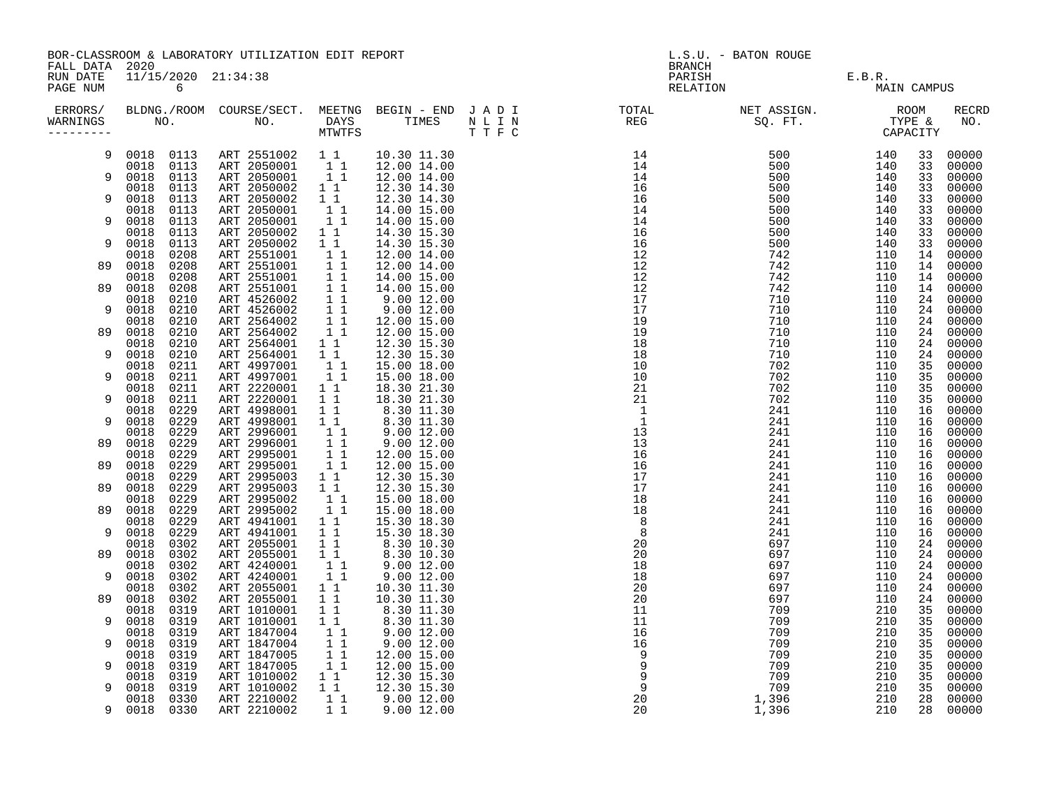| FALL DATA 2020       |                   |              | BOR-CLASSROOM & LABORATORY UTILIZATION EDIT REPORT                                                                                                                                                                                                          |                                                                                                                                                                                                     | <b>BRANCH</b>                                                                                                                                                                                                                                                                  | L.S.U. - BATON ROUGE          |             |          |                |
|----------------------|-------------------|--------------|-------------------------------------------------------------------------------------------------------------------------------------------------------------------------------------------------------------------------------------------------------------|-----------------------------------------------------------------------------------------------------------------------------------------------------------------------------------------------------|--------------------------------------------------------------------------------------------------------------------------------------------------------------------------------------------------------------------------------------------------------------------------------|-------------------------------|-------------|----------|----------------|
| RUN DATE<br>PAGE NUM |                   | 6            | 11/15/2020 21:34:38                                                                                                                                                                                                                                         |                                                                                                                                                                                                     |                                                                                                                                                                                                                                                                                | PARISH E.B.R.<br>RELATION MAI | MAIN CAMPUS |          |                |
| ERRORS/<br>WARNINGS  |                   |              |                                                                                                                                                                                                                                                             |                                                                                                                                                                                                     | $\begin{smallmatrix} 1.11 & 0.01 & 0.01 & 0.01 & 0.01 & 0.01 & 0.01 & 0.01 & 0.01 & 0.01 & 0.01 & 0.01 & 0.01 & 0.01 & 0.01 & 0.01 & 0.01 & 0.01 & 0.01 & 0.01 & 0.01 & 0.01 & 0.01 & 0.01 & 0.01 & 0.01 & 0.01 & 0.01 & 0.01 & 0.01 & 0.01 & 0.01 & 0.01 & 0.01 & 0.01 & 0.0$ |                               |             |          | RECRD<br>NO.   |
| 9                    |                   |              | $\begin{array}{cccc} 0018 & 0113 & \text{ART } 2551002 & 1 & 1 & 10.30 & 11.30 \\ 0018 & 0113 & \text{ART } 2050001 & 1 & 1 & 12.00 & 14.00 \\ 0018 & 0113 & \text{ART } 2050001 & 1 & 1 & 12.00 & 14.00 \\ \end{array}$                                    |                                                                                                                                                                                                     |                                                                                                                                                                                                                                                                                |                               |             | 33       | 00000          |
|                      |                   |              |                                                                                                                                                                                                                                                             |                                                                                                                                                                                                     |                                                                                                                                                                                                                                                                                |                               |             | 33       | 00000          |
| 9                    | 0018 0113<br>0018 | 0113         | ART 2050002                                                                                                                                                                                                                                                 |                                                                                                                                                                                                     |                                                                                                                                                                                                                                                                                |                               |             | 33<br>33 | 00000<br>00000 |
| 9                    | 0018              | 0113         | ART 2050002                                                                                                                                                                                                                                                 | $\begin{array}{rrrr} 1 & 1 & 12.30 & 14.30 \\ 1 & 1 & 12.30 & 14.30 \\ 1 & 1 & 14.00 & 15.00 \\ 1 & 1 & 14.00 & 15.00 \\ \end{array}$                                                               |                                                                                                                                                                                                                                                                                |                               |             | 33       | 00000          |
|                      | 0018              | 0113         | ART 2050001                                                                                                                                                                                                                                                 |                                                                                                                                                                                                     |                                                                                                                                                                                                                                                                                |                               |             | 33       | 00000          |
| 9                    | 0018              | 0113         | ART 2050001<br>ART 2050001 11 14.00 15.00<br>ART 2050002 11 14.00 15.00<br>ART 2050002 11 14.30 15.30<br>ART 2050002 11 14.30 15.30<br>ART 2551001 11 12.00 14.00<br>ART 2551001 11 12.00 14.00<br>ART 2551001 11 14.00 15.00<br>ART 2551001 11 14.00 15.00 |                                                                                                                                                                                                     |                                                                                                                                                                                                                                                                                |                               |             | 33       | 00000          |
| 9                    | 0018<br>0018      | 0113<br>0113 |                                                                                                                                                                                                                                                             |                                                                                                                                                                                                     |                                                                                                                                                                                                                                                                                |                               |             | 33       | 00000<br>00000 |
|                      | 0018              | 0208         |                                                                                                                                                                                                                                                             |                                                                                                                                                                                                     |                                                                                                                                                                                                                                                                                |                               |             | 33<br>14 | 00000          |
| 89                   | 0018              | 0208         |                                                                                                                                                                                                                                                             |                                                                                                                                                                                                     |                                                                                                                                                                                                                                                                                |                               |             | 14       | 00000          |
|                      | 0018              | 0208         |                                                                                                                                                                                                                                                             |                                                                                                                                                                                                     |                                                                                                                                                                                                                                                                                |                               |             | 14       | 00000          |
| 89                   | 0018              | 0208         |                                                                                                                                                                                                                                                             |                                                                                                                                                                                                     |                                                                                                                                                                                                                                                                                |                               |             | 14       | 00000          |
|                      | 0018              | 0210         |                                                                                                                                                                                                                                                             |                                                                                                                                                                                                     |                                                                                                                                                                                                                                                                                |                               |             | 24       | 00000          |
| 9                    | 0018<br>0018      | 0210<br>0210 |                                                                                                                                                                                                                                                             |                                                                                                                                                                                                     |                                                                                                                                                                                                                                                                                |                               |             | 24<br>24 | 00000<br>00000 |
| 89                   | 0018              | 0210         |                                                                                                                                                                                                                                                             |                                                                                                                                                                                                     |                                                                                                                                                                                                                                                                                |                               |             | 24       | 00000          |
|                      | 0018              | 0210         |                                                                                                                                                                                                                                                             |                                                                                                                                                                                                     |                                                                                                                                                                                                                                                                                |                               |             | 24       | 00000          |
| 9                    | 0018              | 0210         |                                                                                                                                                                                                                                                             |                                                                                                                                                                                                     |                                                                                                                                                                                                                                                                                |                               |             | 24       | 00000          |
|                      | 0018              | 0211         |                                                                                                                                                                                                                                                             |                                                                                                                                                                                                     |                                                                                                                                                                                                                                                                                |                               |             | 35       | 00000          |
| 9                    | 0018<br>0018      | 0211<br>0211 |                                                                                                                                                                                                                                                             |                                                                                                                                                                                                     |                                                                                                                                                                                                                                                                                |                               |             | 35       | 00000          |
| 9                    | 0018              | 0211         |                                                                                                                                                                                                                                                             |                                                                                                                                                                                                     |                                                                                                                                                                                                                                                                                |                               |             | 35<br>35 | 00000<br>00000 |
|                      | 0018              | 0229         |                                                                                                                                                                                                                                                             |                                                                                                                                                                                                     |                                                                                                                                                                                                                                                                                |                               |             | 16       | 00000          |
| 9                    | 0018              | 0229         |                                                                                                                                                                                                                                                             |                                                                                                                                                                                                     |                                                                                                                                                                                                                                                                                |                               |             | 16       | 00000          |
|                      | 0018              | 0229         |                                                                                                                                                                                                                                                             |                                                                                                                                                                                                     |                                                                                                                                                                                                                                                                                |                               |             | 16       | 00000          |
| 89                   | 0018              | 0229         |                                                                                                                                                                                                                                                             |                                                                                                                                                                                                     |                                                                                                                                                                                                                                                                                |                               |             | 16       | 00000          |
| 89                   | 0018<br>0018      | 0229<br>0229 |                                                                                                                                                                                                                                                             |                                                                                                                                                                                                     |                                                                                                                                                                                                                                                                                |                               |             | 16<br>16 | 00000          |
|                      | 0018              | 0229         |                                                                                                                                                                                                                                                             |                                                                                                                                                                                                     |                                                                                                                                                                                                                                                                                |                               |             | 16       | 00000<br>00000 |
| 89                   | 0018              | 0229         | ART 2995003<br>ART 2995003                                                                                                                                                                                                                                  |                                                                                                                                                                                                     |                                                                                                                                                                                                                                                                                |                               |             | 16       | 00000          |
|                      | 0018              | 0229         | ART 2995002                                                                                                                                                                                                                                                 |                                                                                                                                                                                                     |                                                                                                                                                                                                                                                                                |                               |             | 16       | 00000          |
| 89                   | 0018              | 0229         | ART 2995002<br>ART 4941001                                                                                                                                                                                                                                  | $\begin{array}{rrrr} 1 & 1 & 12.30 & 15.30 \ 1 & 1 & 12.30 & 15.30 \ 1 & 1 & 15.00 & 18.00 \ 1 & 1 & 15.00 & 18.00 \end{array}$                                                                     |                                                                                                                                                                                                                                                                                |                               |             | 16       | 00000          |
|                      | 0018              | 0229         |                                                                                                                                                                                                                                                             |                                                                                                                                                                                                     |                                                                                                                                                                                                                                                                                |                               |             | 16       | 00000          |
| 9                    | 0018<br>0018      | 0229<br>0302 | ART 4941001<br>ART 2055001                                                                                                                                                                                                                                  | $\begin{array}{rrrr} 1 & 1 & 15.30 & 18.30 \ 1 & 1 & 15.30 & 18.30 \ 1 & 1 & 15.30 & 18.30 \ 1 & 1 & 8.30 & 10.30 \ 1 & 1 & 9.00 & 12.00 \ 1 & 1 & 9.00 & 12.00 \end{array}$                        |                                                                                                                                                                                                                                                                                |                               |             | 16<br>24 | 00000<br>00000 |
| 89                   | 0018              | 0302         | ART 2055001                                                                                                                                                                                                                                                 |                                                                                                                                                                                                     |                                                                                                                                                                                                                                                                                |                               |             | 24       | 00000          |
|                      | 0018              | 0302         |                                                                                                                                                                                                                                                             |                                                                                                                                                                                                     |                                                                                                                                                                                                                                                                                |                               |             | 24       | 00000          |
| 9                    | 0018              | 0302         | ART 4240001<br>ART 4240001<br>ART 2055001                                                                                                                                                                                                                   |                                                                                                                                                                                                     |                                                                                                                                                                                                                                                                                |                               |             | 24       | 00000          |
|                      | 0018              | 0302<br>0302 |                                                                                                                                                                                                                                                             | $1 1 1 10.30 11.30$<br>$1 1 1 0.30 11.30$                                                                                                                                                           |                                                                                                                                                                                                                                                                                |                               |             | 24       | 00000          |
| 89                   | 0018              |              | ART 2055001                                                                                                                                                                                                                                                 |                                                                                                                                                                                                     |                                                                                                                                                                                                                                                                                |                               |             | 24       | 00000          |
| 9                    | 0018<br>0018      | 0319<br>0319 | ART 1010001                                                                                                                                                                                                                                                 |                                                                                                                                                                                                     |                                                                                                                                                                                                                                                                                |                               |             | 35       | 00000          |
|                      | 0018              | 0319         | ART 1010001<br>ART 1847004                                                                                                                                                                                                                                  |                                                                                                                                                                                                     |                                                                                                                                                                                                                                                                                |                               |             | 35<br>35 | 00000<br>00000 |
| 9                    | 0018              | 0319         | ART 1847004                                                                                                                                                                                                                                                 |                                                                                                                                                                                                     |                                                                                                                                                                                                                                                                                |                               |             | 35       | 00000          |
|                      | 0018              | 0319         | ART 1847005                                                                                                                                                                                                                                                 |                                                                                                                                                                                                     |                                                                                                                                                                                                                                                                                |                               |             | 35       | 00000          |
| 9                    | 0018              | 0319         | ART 1847005                                                                                                                                                                                                                                                 | $\begin{array}{rrrr} 1 & 1 & 1.30 & 11.30 \ 1 & 1 & 8.30 & 11.30 \ 1 & 1 & 9.00 & 12.00 \ 1 & 1 & 9.00 & 12.00 \ 1 & 1 & 12.00 & 15.00 \ 1 & 1 & 12.00 & 15.00 \ 1 & 1 & 12.00 & 15.00 \end{array}$ |                                                                                                                                                                                                                                                                                |                               |             | 35       | 00000          |
|                      | 0018              | 0319         | ART 1010002<br>ART 1010002                                                                                                                                                                                                                                  |                                                                                                                                                                                                     |                                                                                                                                                                                                                                                                                |                               |             | 35       | 00000          |
| 9                    | 0018<br>0018      | 0319<br>0330 | ART 2210002                                                                                                                                                                                                                                                 |                                                                                                                                                                                                     |                                                                                                                                                                                                                                                                                |                               |             | 35<br>28 | 00000<br>00000 |
| 9                    | 0018 0330         |              | ART 2210002                                                                                                                                                                                                                                                 | $\begin{array}{rrrr} 1&1&12.30&15.30\ 1&1&12.30&15.30\ 1&1&9.00&12.00\ 1&1&9.00&12.00 \end{array}$                                                                                                  |                                                                                                                                                                                                                                                                                |                               |             | 28       | 00000          |
|                      |                   |              |                                                                                                                                                                                                                                                             |                                                                                                                                                                                                     |                                                                                                                                                                                                                                                                                |                               |             |          |                |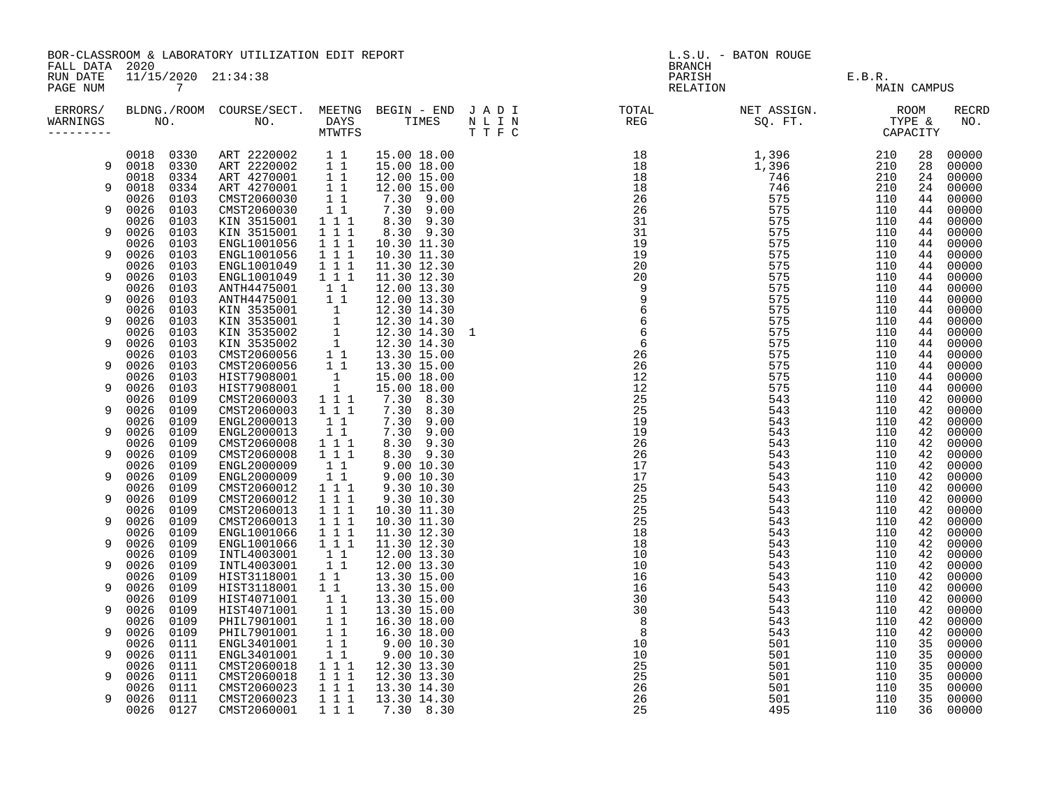|                                        |                              | BOR-CLASSROOM & LABORATORY UTILIZATION EDIT REPORT                                                                                                                                                                                           |                                                                                                                                |                                                                                  | L.S.U. - BATON ROUGE                                                                                                                                                                                                                                                                                                                                                                                                                                                                                               |                                |             |          |                     |
|----------------------------------------|------------------------------|----------------------------------------------------------------------------------------------------------------------------------------------------------------------------------------------------------------------------------------------|--------------------------------------------------------------------------------------------------------------------------------|----------------------------------------------------------------------------------|--------------------------------------------------------------------------------------------------------------------------------------------------------------------------------------------------------------------------------------------------------------------------------------------------------------------------------------------------------------------------------------------------------------------------------------------------------------------------------------------------------------------|--------------------------------|-------------|----------|---------------------|
| FALL DATA 2020<br>RUN DATE<br>PAGE NUM | 11/15/2020 21:34:38<br>7     |                                                                                                                                                                                                                                              |                                                                                                                                |                                                                                  | BRANCH                                                                                                                                                                                                                                                                                                                                                                                                                                                                                                             | PARISH E.B.R.<br>RELATION MAIN | MAIN CAMPUS |          |                     |
| WARNINGS<br>---------                  |                              |                                                                                                                                                                                                                                              |                                                                                                                                |                                                                                  | ERRORS/ BLDNG./ROOM COURSE/SECT. MEETNG BEGIN – END JADI TOTAL TOTAL NETASSIGN. NET ASSIGN. ROOM ROOM COURSE/SECT. MEETNG BEGIN – END JADI TOTAL TOTAL NETASSIGN. TYPE &<br>WARNINGS NO. NO. DAYS TIMES NLIN REG SQ.FT. TPE & CAP<br>$\begin{array}{cccc} 0.11 & 0.01 & 0.02 & 0.03 & 0.04 & 0.04 & 0.04 & 0.04 & 0.04 & 0.04 & 0.04 & 0.04 & 0.04 & 0.04 & 0.04 & 0.04 & 0.04 & 0.04 & 0.04 & 0.04 & 0.04 & 0.04 & 0.04 & 0.04 & 0.04 & 0.04 & 0.04 & 0.04 & 0.04 & 0.04 & 0.04 & 0.04 & 0.04 & 0.04 & 0.04 & 0.$ |                                |             |          | <b>RECRD</b><br>NO. |
|                                        |                              | $\begin{array}{cccc} 0018 & 0330 & \text{ART } 2220002 & 1 & 1 & 15.00 & 18.00 \\ 0018 & 0330 & \text{ART } 2220002 & 1 & 1 & 15.00 & 18.00 \\ 0018 & 0334 & \text{ART } 4270001 & 1 & 1 & 12.00 & 15.00 \end{array}$                        |                                                                                                                                |                                                                                  |                                                                                                                                                                                                                                                                                                                                                                                                                                                                                                                    |                                |             | 28       | 00000               |
| 9                                      | 0018 0330                    |                                                                                                                                                                                                                                              |                                                                                                                                |                                                                                  |                                                                                                                                                                                                                                                                                                                                                                                                                                                                                                                    |                                |             | 28       | 00000               |
|                                        |                              |                                                                                                                                                                                                                                              |                                                                                                                                |                                                                                  |                                                                                                                                                                                                                                                                                                                                                                                                                                                                                                                    |                                |             | 24       | 00000               |
| 9                                      | 0018<br>0334<br>0103<br>0026 | ART 4270001<br>CMST2060030                                                                                                                                                                                                                   | 11                                                                                                                             | 12.00 15.00                                                                      |                                                                                                                                                                                                                                                                                                                                                                                                                                                                                                                    |                                |             | 24<br>44 | 00000<br>00000      |
| 9                                      | 0026<br>0103                 | CMST2060030                                                                                                                                                                                                                                  |                                                                                                                                | $\begin{array}{cccc} 1 & 1 & & 7.30 & 9.00 \\ 1 & 1 & & 7.30 & 9.00 \end{array}$ |                                                                                                                                                                                                                                                                                                                                                                                                                                                                                                                    |                                |             | 44       | 00000               |
|                                        | 0026<br>0103                 | KIN 3515001                                                                                                                                                                                                                                  | $1 1 1$                                                                                                                        | 8.30 9.30                                                                        |                                                                                                                                                                                                                                                                                                                                                                                                                                                                                                                    |                                |             | 44       | 00000               |
| 9                                      | 0026<br>0103                 | KIN 3515001                                                                                                                                                                                                                                  | $1\hspace{0.1cm} 1\hspace{0.1cm} 1$                                                                                            | 8.30 9.30                                                                        |                                                                                                                                                                                                                                                                                                                                                                                                                                                                                                                    |                                |             | 44       | 00000               |
|                                        | 0026<br>0103                 | ENGL1001056                                                                                                                                                                                                                                  | $1 1 1$                                                                                                                        | 10.30 11.30                                                                      |                                                                                                                                                                                                                                                                                                                                                                                                                                                                                                                    |                                |             | 44       | 00000               |
| 9                                      | 0026<br>0103                 | ENGL1001056                                                                                                                                                                                                                                  | $\begin{array}{rrrr} & \overline{1} & \overline{1} & \overline{1} \\ & \overline{1} & \overline{1} & \overline{1} \end{array}$ | 10.30 11.30                                                                      |                                                                                                                                                                                                                                                                                                                                                                                                                                                                                                                    |                                |             | 44       | 00000               |
|                                        | 0026<br>0103                 | ENGL1001049                                                                                                                                                                                                                                  |                                                                                                                                | 11.30 12.30                                                                      |                                                                                                                                                                                                                                                                                                                                                                                                                                                                                                                    |                                |             | 44       | 00000               |
| 9                                      | 0026<br>0103                 | ENGL1001049                                                                                                                                                                                                                                  | $1 1 1$                                                                                                                        | 11.30 12.30                                                                      |                                                                                                                                                                                                                                                                                                                                                                                                                                                                                                                    |                                |             | 44       | 00000               |
| 9                                      | 0026<br>0103<br>0026<br>0103 | ANTH4475001<br>ANTH4475001                                                                                                                                                                                                                   | $1\quad1$<br>$1\overline{1}$                                                                                                   | 12.00 13.30<br>12.00 13.30                                                       |                                                                                                                                                                                                                                                                                                                                                                                                                                                                                                                    |                                |             | 44<br>44 | 00000<br>00000      |
|                                        | 0026<br>0103                 |                                                                                                                                                                                                                                              |                                                                                                                                |                                                                                  |                                                                                                                                                                                                                                                                                                                                                                                                                                                                                                                    |                                |             | 44       | 00000               |
| 9                                      | 0026<br>0103                 | KIN 3535001 1 12.30 14.30<br>KIN 3535001 1 12.30 14.30<br>KIN 3535002 1 12.30 14.30<br>KIN 3535002 1 12.30 14.30 1<br>KIN 3535002 1 12.30 14.30 1<br>KIN 3535002 1 12.30 14.30<br>CMST2060056 1 1 13.30 15.00<br>CMST2060056 1 1 13.30 15.00 |                                                                                                                                |                                                                                  |                                                                                                                                                                                                                                                                                                                                                                                                                                                                                                                    |                                |             | 44       | 00000               |
|                                        | 0026<br>0103                 |                                                                                                                                                                                                                                              |                                                                                                                                |                                                                                  |                                                                                                                                                                                                                                                                                                                                                                                                                                                                                                                    |                                |             | 44       | 00000               |
| 9                                      | 0026<br>0103                 |                                                                                                                                                                                                                                              |                                                                                                                                |                                                                                  |                                                                                                                                                                                                                                                                                                                                                                                                                                                                                                                    |                                |             | 44       | 00000               |
|                                        | 0026<br>0103                 |                                                                                                                                                                                                                                              |                                                                                                                                |                                                                                  |                                                                                                                                                                                                                                                                                                                                                                                                                                                                                                                    |                                |             | 44       | 00000               |
| 9                                      | 0026<br>0103                 |                                                                                                                                                                                                                                              |                                                                                                                                |                                                                                  |                                                                                                                                                                                                                                                                                                                                                                                                                                                                                                                    |                                |             | 44       | 00000               |
|                                        | 0026<br>0103                 | HIST7908001                                                                                                                                                                                                                                  | $\frac{1}{1}$                                                                                                                  | 15.00 18.00                                                                      |                                                                                                                                                                                                                                                                                                                                                                                                                                                                                                                    |                                |             | 44       | 00000               |
| 9                                      | 0026<br>0103                 | HIST7908001                                                                                                                                                                                                                                  |                                                                                                                                | 15.00 18.00                                                                      |                                                                                                                                                                                                                                                                                                                                                                                                                                                                                                                    |                                |             | 44       | 00000               |
| 9                                      | 0026<br>0109<br>0026         | CMST2060003                                                                                                                                                                                                                                  | $1 1 1$<br>1 1 1                                                                                                               | 7.30 8.30<br>7.30 8.30                                                           |                                                                                                                                                                                                                                                                                                                                                                                                                                                                                                                    |                                |             | 42       | 00000               |
|                                        | 0109<br>0026<br>0109         | CMST2060003<br>ENGL2000013                                                                                                                                                                                                                   | $1\quad1$                                                                                                                      | 7.30 9.00                                                                        |                                                                                                                                                                                                                                                                                                                                                                                                                                                                                                                    |                                |             | 42<br>42 | 00000<br>00000      |
| 9                                      | 0109<br>0026                 | ENGL2000013                                                                                                                                                                                                                                  | 11                                                                                                                             | 7.30 9.00                                                                        |                                                                                                                                                                                                                                                                                                                                                                                                                                                                                                                    |                                |             | 42       | 00000               |
|                                        | 0026<br>0109                 | CMST2060008                                                                                                                                                                                                                                  | $1 1 1$                                                                                                                        | 8.30 9.30                                                                        |                                                                                                                                                                                                                                                                                                                                                                                                                                                                                                                    |                                |             | 42       | 00000               |
| 9                                      | 0026<br>0109                 | CMST2060008                                                                                                                                                                                                                                  | $1 1 1$                                                                                                                        | 8.30 9.30                                                                        |                                                                                                                                                                                                                                                                                                                                                                                                                                                                                                                    |                                |             | 42       | 00000               |
|                                        | 0109<br>0026                 | ENGL2000009                                                                                                                                                                                                                                  | $1\quad1$                                                                                                                      | 9.00 10.30                                                                       |                                                                                                                                                                                                                                                                                                                                                                                                                                                                                                                    |                                |             | 42       | 00000               |
| 9                                      | 0109<br>0026                 | ENGL2000009                                                                                                                                                                                                                                  | $1\quad1$                                                                                                                      | 9.0010.30                                                                        |                                                                                                                                                                                                                                                                                                                                                                                                                                                                                                                    |                                |             | 42       | 00000               |
|                                        | 0026<br>0109                 | CMST2060012                                                                                                                                                                                                                                  | $1\ 1\ 1$                                                                                                                      | 9.30 10.30                                                                       |                                                                                                                                                                                                                                                                                                                                                                                                                                                                                                                    |                                |             | 42       | 00000               |
| 9                                      | 0026<br>0109                 | CMST2060012                                                                                                                                                                                                                                  | 1 1 1                                                                                                                          | 9.30 10.30                                                                       |                                                                                                                                                                                                                                                                                                                                                                                                                                                                                                                    |                                |             | 42       | 00000               |
|                                        | 0026<br>0109                 | CMST2060013                                                                                                                                                                                                                                  | $1 1 1$                                                                                                                        | 10.30 11.30                                                                      |                                                                                                                                                                                                                                                                                                                                                                                                                                                                                                                    |                                |             | 42       | 00000               |
| 9                                      | 0026<br>0109<br>0026         | CMST2060013                                                                                                                                                                                                                                  | 1 1 1<br>$1 1 1$                                                                                                               | 10.30 11.30                                                                      |                                                                                                                                                                                                                                                                                                                                                                                                                                                                                                                    |                                |             | 42<br>42 | 00000               |
| 9                                      | 0109<br>0026<br>0109         | ENGL1001066<br>ENGL1001066                                                                                                                                                                                                                   | $1 1 1$                                                                                                                        | 11.30 12.30<br>11.30 12.30                                                       |                                                                                                                                                                                                                                                                                                                                                                                                                                                                                                                    |                                |             | 42       | 00000<br>00000      |
|                                        | 0026<br>0109                 | INTL4003001                                                                                                                                                                                                                                  | $1\quad1$                                                                                                                      | 12.00 13.30                                                                      |                                                                                                                                                                                                                                                                                                                                                                                                                                                                                                                    |                                |             | 42       | 00000               |
| 9                                      | 0026<br>0109                 | INTL4003001                                                                                                                                                                                                                                  | 11                                                                                                                             | 12.00 13.30                                                                      |                                                                                                                                                                                                                                                                                                                                                                                                                                                                                                                    |                                |             | 42       | 00000               |
|                                        | 0026<br>0109                 | HIST3118001                                                                                                                                                                                                                                  | $1\quad1$                                                                                                                      | 13.30 15.00                                                                      |                                                                                                                                                                                                                                                                                                                                                                                                                                                                                                                    |                                |             | 42       | 00000               |
| 9                                      | 0026<br>0109                 | HIST3118001                                                                                                                                                                                                                                  | $1\quad1$                                                                                                                      | 13.30 15.00                                                                      |                                                                                                                                                                                                                                                                                                                                                                                                                                                                                                                    |                                |             | 42       | 00000               |
|                                        | 0026<br>0109                 | HIST4071001                                                                                                                                                                                                                                  | $1\quad1$                                                                                                                      | 13.30 15.00                                                                      |                                                                                                                                                                                                                                                                                                                                                                                                                                                                                                                    |                                |             | 42       | 00000               |
| 9                                      | 0026<br>0109                 | HIST4071001                                                                                                                                                                                                                                  | 11                                                                                                                             | 13.30 15.00                                                                      |                                                                                                                                                                                                                                                                                                                                                                                                                                                                                                                    |                                |             | 42       | 00000               |
|                                        | 0026<br>0109                 | PHIL7901001                                                                                                                                                                                                                                  | $\begin{array}{c} 1 \ \overline{1} \\ 1 \ \overline{1} \end{array}$                                                            | 16.30 18.00                                                                      |                                                                                                                                                                                                                                                                                                                                                                                                                                                                                                                    |                                |             | 42       | 00000               |
| 9                                      | 0026<br>0109                 | PHIL7901001                                                                                                                                                                                                                                  |                                                                                                                                | 16.30 18.00                                                                      |                                                                                                                                                                                                                                                                                                                                                                                                                                                                                                                    |                                |             | 42       | 00000               |
|                                        | 0026<br>0111                 | ENGL3401001                                                                                                                                                                                                                                  | $\overline{1}$ $\overline{1}$                                                                                                  | 9.00 10.30                                                                       |                                                                                                                                                                                                                                                                                                                                                                                                                                                                                                                    |                                |             | 35       | 00000               |
| 9                                      | 0026<br>0111<br>0026<br>0111 | ENGL3401001<br>CMST2060018                                                                                                                                                                                                                   |                                                                                                                                | 9.00 10.30<br>12.30 13.30                                                        |                                                                                                                                                                                                                                                                                                                                                                                                                                                                                                                    |                                |             | 35<br>35 | 00000<br>00000      |
| 9                                      | 0026<br>0111                 | CMST2060018                                                                                                                                                                                                                                  |                                                                                                                                | 12.30 13.30                                                                      |                                                                                                                                                                                                                                                                                                                                                                                                                                                                                                                    |                                |             | 35       | 00000               |
|                                        | 0026<br>0111                 | CMST2060023                                                                                                                                                                                                                                  | $\begin{array}{rrrr} & 1 & 1 & \\ 1 & 1 & 1 & \\ 1 & 1 & 1 & \\ 1 & 1 & 1 & \\ \end{array}$                                    | 13.30 14.30                                                                      |                                                                                                                                                                                                                                                                                                                                                                                                                                                                                                                    |                                |             | 35       | 00000               |
| 9                                      | 0026<br>0111                 | CMST2060023                                                                                                                                                                                                                                  | 1 1 1                                                                                                                          | 13.30 14.30                                                                      |                                                                                                                                                                                                                                                                                                                                                                                                                                                                                                                    |                                |             | 35       | 00000               |
|                                        | 0026<br>0127                 | CMST2060001                                                                                                                                                                                                                                  | 111                                                                                                                            | 7.30 8.30                                                                        |                                                                                                                                                                                                                                                                                                                                                                                                                                                                                                                    |                                |             | 36       | 00000               |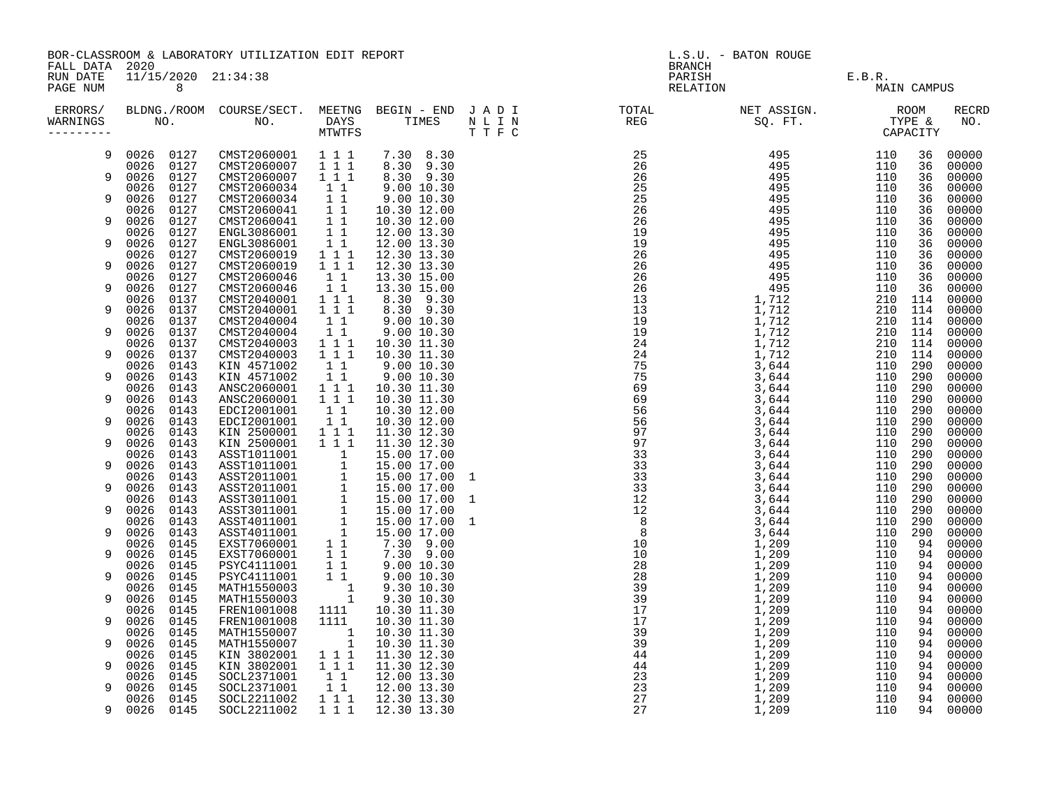BOR-CLASSROOM & LABORATORY UTILIZATION EDIT REPORT And the contract of the contract of the second second second t FALL DATA 2020 BRANCH

| ERRORS/<br>WARNINGS | BLDNG./ROOM<br>NO. |              | COURSE/SECT.<br>NO.        | MEETNG<br><b>DAYS</b><br>MTWTFS | BEGIN - END<br>TIMES         | JADI<br>N L I N<br>TTFC | TOTAL<br><b>REG</b> | NET ASSIGN.<br>SQ. FT. |            | <b>ROOM</b><br>TYPE &<br>CAPACITY | <b>RECRD</b><br>NO. |
|---------------------|--------------------|--------------|----------------------------|---------------------------------|------------------------------|-------------------------|---------------------|------------------------|------------|-----------------------------------|---------------------|
| 9                   | 0026               | 0127         | CMST2060001                | 1 1 1                           | 8.30<br>7.30                 |                         | 25                  | 495                    | 110        | 36                                | 00000               |
| 9                   | 0026<br>0026       | 0127<br>0127 | CMST2060007<br>CMST2060007 | 111<br>111                      | 9.30<br>8.30<br>8.30<br>9.30 |                         | 26<br>26            | 495<br>495             | 110<br>110 | 36<br>36                          | 00000<br>00000      |
|                     | 0026               | 0127         | CMST2060034                | $1\quad1$                       | 9.00 10.30                   |                         | 25                  | 495                    | 110        | 36                                | 00000               |
| 9                   | 0026<br>0026       | 0127<br>0127 | CMST2060034<br>CMST2060041 | $1\quad1$<br>$1\quad1$          | 9.00 10.30<br>10.30 12.00    |                         | 25<br>26            | 495<br>495             | 110<br>110 | 36<br>36                          | 00000<br>00000      |
| -9                  | 0026               | 0127         | CMST2060041                | $1\quad1$                       | 10.30 12.00                  |                         | 26                  | 495                    | 110        | 36                                | 00000               |
|                     | 0026               | 0127         | ENGL3086001                | $1\quad1$                       | 12.00 13.30                  |                         | 19                  | 495                    | 110        | 36                                | 00000               |
| 9                   | 0026               | 0127         | ENGL3086001                | 11                              | 12.00 13.30                  |                         | 19                  | 495                    | 110        | 36                                | 00000               |
|                     | 0026               | 0127         | CMST2060019                | 1 1 1                           | 12.30 13.30                  |                         | 26                  | 495                    | 110        | 36                                | 00000               |
| 9                   | 0026<br>0026       | 0127<br>0127 | CMST2060019<br>CMST2060046 | 1 1 1<br>$1\quad1$              | 12.30 13.30<br>13.30 15.00   |                         | 26<br>26            | 495<br>495             | 110<br>110 | 36<br>36                          | 00000<br>00000      |
| 9                   | 0026               | 0127         | CMST2060046                | $1\quad1$                       | 13.30 15.00                  |                         | 26                  | 495                    | 110        | 36                                | 00000               |
|                     | 0026               | 0137         | CMST2040001                | 111                             | 8.30<br>9.30                 |                         | 13                  | 1,712                  | 210        | 114                               | 00000               |
| 9                   | 0026               | 0137         | CMST2040001                | 1 1 1                           | 9.30<br>8.30                 |                         | 13                  | 1,712                  | 210        | 114                               | 00000               |
|                     | 0026               | 0137         | CMST2040004                | $1\quad1$                       | 9.00 10.30                   |                         | 19                  | 1,712                  | 210        | 114                               | 00000               |
| 9                   | 0026               | 0137         | CMST2040004                | $1\quad1$                       | 9.00 10.30                   |                         | 19                  | 1,712                  | 210        | 114                               | 00000               |
| 9                   | 0026<br>0026       | 0137<br>0137 | CMST2040003<br>CMST2040003 | 111<br>1 1 1                    | 10.30 11.30<br>10.30 11.30   |                         | 24<br>24            | 1,712<br>1,712         | 210<br>210 | 114<br>114                        | 00000<br>00000      |
|                     | 0026               | 0143         | KIN 4571002                | $1\quad1$                       | 9.00 10.30                   |                         | 75                  | 3,644                  | 110        | 290                               | 00000               |
| 9                   | 0026               | 0143         | KIN 4571002                | $1\quad1$                       | 9.00 10.30                   |                         | 75                  | 3,644                  | 110        | 290                               | 00000               |
|                     | 0026               | 0143         | ANSC2060001                | 111                             | 10.30 11.30                  |                         | 69                  | 3,644                  | 110        | 290                               | 00000               |
| 9                   | 0026               | 0143         | ANSC2060001                | 1 1 1                           | 10.30 11.30                  |                         | 69                  | 3,644                  | 110        | 290                               | 00000               |
| 9                   | 0026<br>0026       | 0143<br>0143 | EDCI2001001<br>EDCI2001001 | $1\quad1$<br>$1\quad1$          | 10.30 12.00<br>10.30 12.00   |                         | 56<br>56            | 3,644<br>3,644         | 110<br>110 | 290<br>290                        | 00000<br>00000      |
|                     | 0026               | 0143         | KIN 2500001                | 1 1 1                           | 11.30 12.30                  |                         | 97                  | 3,644                  | 110        | 290                               | 00000               |
| 9                   | 0026               | 0143         | KIN 2500001                | 1 1 1                           | 11.30 12.30                  |                         | 97                  | 3,644                  | 110        | 290                               | 00000               |
|                     | 0026               | 0143         | ASST1011001                | 1                               | 15.00 17.00                  |                         | 33                  | 3,644                  | 110        | 290                               | 00000               |
| 9                   | 0026               | 0143         | ASST1011001                | $\mathbf{1}$                    | 15.00 17.00                  |                         | 33                  | 3,644                  | 110        | 290                               | 00000               |
| 9                   | 0026<br>0026       | 0143<br>0143 | ASST2011001<br>ASST2011001 | 1<br>1                          | 15.00 17.00<br>15.00 17.00   | 1                       | 33<br>33            | 3,644<br>3,644         | 110<br>110 | 290<br>290                        | 00000<br>00000      |
|                     | 0026               | 0143         | ASST3011001                | $\mathbf 1$                     | 15.00 17.00                  | - 1                     | 12                  | 3,644                  | 110        | 290                               | 00000               |
| 9                   | 0026               | 0143         | ASST3011001                | $\mathbf 1$                     | 15.00 17.00                  |                         | 12                  | 3,644                  | 110        | 290                               | 00000               |
|                     | 0026               | 0143         | ASST4011001                | $\mathbf{1}$                    | 15.00 17.00                  | -1                      | 8 <sup>8</sup>      | 3,644                  | 110        | 290                               | 00000               |
| 9                   | 0026               | 0143         | ASST4011001                | $\mathbf{1}$                    | 15.00 17.00                  |                         | 8                   | 3,644                  | 110        | 290                               | 00000               |
| 9                   | 0026<br>0026       | 0145<br>0145 | EXST7060001<br>EXST7060001 | $1\quad1$<br>11                 | 7.30<br>9.00<br>7.30 9.00    |                         | 10<br>$10 \,$       | 1,209<br>1,209         | 110<br>110 | 94<br>94                          | 00000<br>00000      |
|                     | 0026               | 0145         | PSYC4111001                | $1\quad1$                       | 9.00 10.30                   |                         | 28                  | 1,209                  | 110        | 94                                | 00000               |
| 9                   | 0026               | 0145         | PSYC4111001                | 11                              | 9.00 10.30                   |                         | 28                  | 1,209                  | 110        | 94                                | 00000               |
|                     | 0026               | 0145         | MATH1550003                | 1                               | 9.30 10.30                   |                         | 39                  | 1,209                  | 110        | 94                                | 00000               |
| 9                   | 0026               | 0145         | MATH1550003                | 1                               | 9.30 10.30                   |                         | 39                  | 1,209                  | 110        | 94                                | 00000               |
| -9                  | 0026<br>0026       | 0145<br>0145 | FREN1001008<br>FREN1001008 | 1111<br>1111                    | 10.30 11.30<br>10.30 11.30   |                         | 17<br>17            | 1,209<br>1,209         | 110<br>110 | 94<br>94                          | 00000<br>00000      |
|                     | 0026               | 0145         | MATH1550007                | 1                               | 10.30 11.30                  |                         | 39                  | 1,209                  | 110        | 94                                | 00000               |
| q                   | 0026               | 0145         | MATH1550007                | $\mathbf{1}$                    | 10.30 11.30                  |                         | 39                  | 1,209                  | 110        | 94                                | 00000               |
|                     | 0026               | 0145         | KIN 3802001                | 1 1 1                           | 11.30 12.30                  |                         | 44                  | 1,209                  | 110        | 94                                | 00000               |
| 9                   | 0026               | 0145         | KIN 3802001                | 1 1 1                           | 11.30 12.30                  |                         | 44                  | 1,209                  | 110        | 94                                | 00000               |
| q                   | 0026<br>0026       | 0145<br>0145 | SOCL2371001<br>SOCL2371001 | 11<br>$1\quad1$                 | 12.00 13.30<br>12.00 13.30   |                         | 23<br>23            | 1,209<br>1,209         | 110<br>110 | 94<br>94                          | 00000<br>00000      |
|                     |                    |              |                            |                                 |                              |                         |                     |                        |            |                                   |                     |

RUN DATE 11/15/2020 21:34:38 PARISH E.B.R. PARISH E.B.R. E.B.R. E.B.R. E.B.R. E.B.R. E.B.R. E.B.R. E.B.R. E.B.R. E.B.R. E.B.R. E.B.R. E.B.R. E.B.R. E.B.R. 0026 0145 SOCL2211002 1 1 1 12.30 13.30 27 1,209 110 94 00000 9 0026 0145 SOCL2211002 1 1 1 12.30 13.30 27 1,209 110 94 00000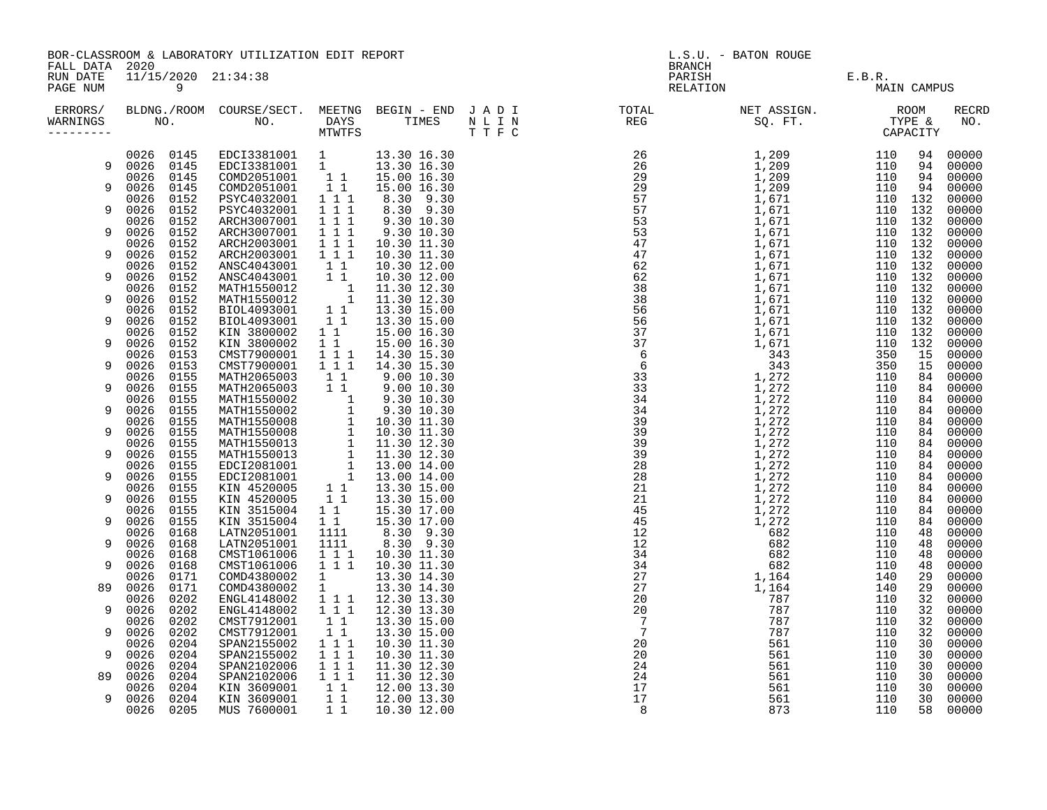| RUN DATE<br>11/15/2020 21:34:38<br>PARISH E.B.R.<br>RELATION MAI<br>PAGE NUM<br>9<br>MAIN CAMPUS<br>ERRORS/<br><b>RECRD</b><br>WARNINGS<br>NO.<br>9<br>9<br>9<br>9<br>9<br>9<br>9<br>9<br>9<br>9<br>9<br>89<br>9<br>9<br>q<br>89<br>9 | FALL DATA 2020 | BOR-CLASSROOM & LABORATORY UTILIZATION EDIT REPORT |  |  |  |  |  | L.S.U. - BATON ROUGE<br><b>BRANCH</b> |  |  |  |  |
|---------------------------------------------------------------------------------------------------------------------------------------------------------------------------------------------------------------------------------------|----------------|----------------------------------------------------|--|--|--|--|--|---------------------------------------|--|--|--|--|
|                                                                                                                                                                                                                                       |                |                                                    |  |  |  |  |  |                                       |  |  |  |  |
|                                                                                                                                                                                                                                       |                |                                                    |  |  |  |  |  |                                       |  |  |  |  |
|                                                                                                                                                                                                                                       |                |                                                    |  |  |  |  |  |                                       |  |  |  |  |
|                                                                                                                                                                                                                                       |                |                                                    |  |  |  |  |  |                                       |  |  |  |  |
|                                                                                                                                                                                                                                       |                |                                                    |  |  |  |  |  |                                       |  |  |  |  |
|                                                                                                                                                                                                                                       |                |                                                    |  |  |  |  |  |                                       |  |  |  |  |
|                                                                                                                                                                                                                                       |                |                                                    |  |  |  |  |  |                                       |  |  |  |  |
|                                                                                                                                                                                                                                       |                |                                                    |  |  |  |  |  |                                       |  |  |  |  |
|                                                                                                                                                                                                                                       |                |                                                    |  |  |  |  |  |                                       |  |  |  |  |
|                                                                                                                                                                                                                                       |                |                                                    |  |  |  |  |  |                                       |  |  |  |  |
|                                                                                                                                                                                                                                       |                |                                                    |  |  |  |  |  |                                       |  |  |  |  |
|                                                                                                                                                                                                                                       |                |                                                    |  |  |  |  |  |                                       |  |  |  |  |
|                                                                                                                                                                                                                                       |                |                                                    |  |  |  |  |  |                                       |  |  |  |  |
|                                                                                                                                                                                                                                       |                |                                                    |  |  |  |  |  |                                       |  |  |  |  |
|                                                                                                                                                                                                                                       |                |                                                    |  |  |  |  |  |                                       |  |  |  |  |
|                                                                                                                                                                                                                                       |                |                                                    |  |  |  |  |  |                                       |  |  |  |  |
|                                                                                                                                                                                                                                       |                |                                                    |  |  |  |  |  |                                       |  |  |  |  |
|                                                                                                                                                                                                                                       |                |                                                    |  |  |  |  |  |                                       |  |  |  |  |
|                                                                                                                                                                                                                                       |                |                                                    |  |  |  |  |  |                                       |  |  |  |  |
|                                                                                                                                                                                                                                       |                |                                                    |  |  |  |  |  |                                       |  |  |  |  |
|                                                                                                                                                                                                                                       |                |                                                    |  |  |  |  |  |                                       |  |  |  |  |
|                                                                                                                                                                                                                                       |                |                                                    |  |  |  |  |  |                                       |  |  |  |  |
|                                                                                                                                                                                                                                       |                |                                                    |  |  |  |  |  |                                       |  |  |  |  |
|                                                                                                                                                                                                                                       |                |                                                    |  |  |  |  |  |                                       |  |  |  |  |
|                                                                                                                                                                                                                                       |                |                                                    |  |  |  |  |  |                                       |  |  |  |  |
|                                                                                                                                                                                                                                       |                |                                                    |  |  |  |  |  |                                       |  |  |  |  |
|                                                                                                                                                                                                                                       |                |                                                    |  |  |  |  |  |                                       |  |  |  |  |
|                                                                                                                                                                                                                                       |                |                                                    |  |  |  |  |  |                                       |  |  |  |  |
|                                                                                                                                                                                                                                       |                |                                                    |  |  |  |  |  |                                       |  |  |  |  |
|                                                                                                                                                                                                                                       |                |                                                    |  |  |  |  |  |                                       |  |  |  |  |
|                                                                                                                                                                                                                                       |                |                                                    |  |  |  |  |  |                                       |  |  |  |  |
|                                                                                                                                                                                                                                       |                |                                                    |  |  |  |  |  |                                       |  |  |  |  |
|                                                                                                                                                                                                                                       |                |                                                    |  |  |  |  |  |                                       |  |  |  |  |
|                                                                                                                                                                                                                                       |                |                                                    |  |  |  |  |  |                                       |  |  |  |  |
|                                                                                                                                                                                                                                       |                |                                                    |  |  |  |  |  |                                       |  |  |  |  |
|                                                                                                                                                                                                                                       |                |                                                    |  |  |  |  |  |                                       |  |  |  |  |
|                                                                                                                                                                                                                                       |                |                                                    |  |  |  |  |  |                                       |  |  |  |  |
|                                                                                                                                                                                                                                       |                |                                                    |  |  |  |  |  |                                       |  |  |  |  |
|                                                                                                                                                                                                                                       |                |                                                    |  |  |  |  |  |                                       |  |  |  |  |
|                                                                                                                                                                                                                                       |                |                                                    |  |  |  |  |  |                                       |  |  |  |  |
|                                                                                                                                                                                                                                       |                |                                                    |  |  |  |  |  |                                       |  |  |  |  |
|                                                                                                                                                                                                                                       |                |                                                    |  |  |  |  |  |                                       |  |  |  |  |
|                                                                                                                                                                                                                                       |                |                                                    |  |  |  |  |  |                                       |  |  |  |  |
|                                                                                                                                                                                                                                       |                |                                                    |  |  |  |  |  |                                       |  |  |  |  |
|                                                                                                                                                                                                                                       |                |                                                    |  |  |  |  |  |                                       |  |  |  |  |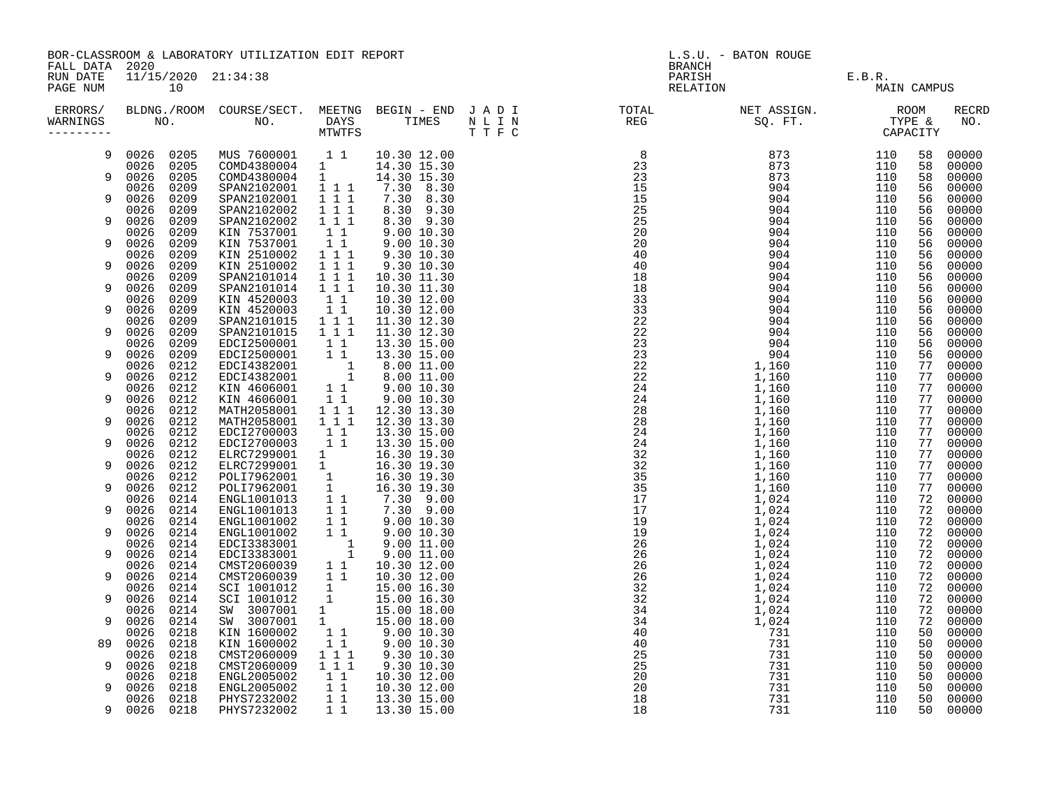|                                        | BOR-CLASSROOM & LABORATORY UTILIZATION EDIT REPORT |              |                                                                                                                                                                                                                                                |                                                                       |                            |  | L.S.U. - BATON ROUGE                                                                                                                                                                                                                                                                                                                                                                                                                                                                                                                                                                                                                                                       |                               |             |          |                     |  |
|----------------------------------------|----------------------------------------------------|--------------|------------------------------------------------------------------------------------------------------------------------------------------------------------------------------------------------------------------------------------------------|-----------------------------------------------------------------------|----------------------------|--|----------------------------------------------------------------------------------------------------------------------------------------------------------------------------------------------------------------------------------------------------------------------------------------------------------------------------------------------------------------------------------------------------------------------------------------------------------------------------------------------------------------------------------------------------------------------------------------------------------------------------------------------------------------------------|-------------------------------|-------------|----------|---------------------|--|
| FALL DATA 2020<br>RUN DATE<br>PAGE NUM |                                                    | 10           | 11/15/2020 21:34:38                                                                                                                                                                                                                            |                                                                       |                            |  | <b>BRANCH</b>                                                                                                                                                                                                                                                                                                                                                                                                                                                                                                                                                                                                                                                              | PARISH E.B.R.<br>RELATION MAI | MAIN CAMPUS |          |                     |  |
| WARNINGS<br>---------                  |                                                    |              |                                                                                                                                                                                                                                                |                                                                       |                            |  | ERRORS/ BLDNG./ROOM COURSE/SECT. MEETNG BEGIN – END JADI TOTAL TOTAL NETASSIGN. NET ASSIGN. ROOM COURSE/SECT. MEETNG BEGIN – END JADI TOTAL TOTAL NETASSIGN. TYPE &<br>WARNINGS NO. NO. DAYS TIMES NLIN REG SQ.FT. TPE & CAPACITY<br>$\begin{array}{cccccccc} \texttt{N} & \texttt{N} & \texttt{N} & \texttt{N} & \texttt{N} & \texttt{N} & \texttt{N} & \texttt{N} & \texttt{N} & \texttt{N} & \texttt{N} & \texttt{N} & \texttt{N} & \texttt{N} & \texttt{N} & \texttt{N} & \texttt{N} & \texttt{N} & \texttt{N} & \texttt{N} & \texttt{N} & \texttt{N} & \texttt{N} & \texttt{N} & \texttt{N} & \texttt{N} & \texttt{N} & \texttt{N} & \texttt{N} & \texttt{N} & \text$ |                               |             |          | <b>RECRD</b><br>NO. |  |
| 9                                      | 0026 0205                                          |              | MUS 7600001 11 10.30 12.00                                                                                                                                                                                                                     |                                                                       |                            |  |                                                                                                                                                                                                                                                                                                                                                                                                                                                                                                                                                                                                                                                                            |                               | 110         | 58       | 00000               |  |
| 9                                      | 0026 0205<br>0026                                  |              | COMD4380004 1                                                                                                                                                                                                                                  |                                                                       | 14.30 15.30                |  |                                                                                                                                                                                                                                                                                                                                                                                                                                                                                                                                                                                                                                                                            |                               | 110         | 58       | 00000               |  |
|                                        | 0026                                               | 0205<br>0209 | COMD4380004 1<br>SPAN2102001                                                                                                                                                                                                                   | $\overline{1}$ 1 1                                                    | 14.30 15.30<br>7.30 8.30   |  |                                                                                                                                                                                                                                                                                                                                                                                                                                                                                                                                                                                                                                                                            |                               | 110<br>110  | 58<br>56 | 00000<br>00000      |  |
| 9                                      | 0026                                               | 0209         | SPAN2102001                                                                                                                                                                                                                                    | $\begin{array}{cccc} 1 & 1 & 1 \\ 1 & 1 & 1 \\ 1 & 1 & 1 \end{array}$ | 7.30 8.30                  |  |                                                                                                                                                                                                                                                                                                                                                                                                                                                                                                                                                                                                                                                                            |                               | 110         | 56       | 00000               |  |
| 9                                      | 0026<br>0026                                       | 0209<br>0209 | SPAN2102002                                                                                                                                                                                                                                    |                                                                       | 8.30 9.30<br>8.30 9.30     |  |                                                                                                                                                                                                                                                                                                                                                                                                                                                                                                                                                                                                                                                                            |                               | 110<br>110  | 56<br>56 | 00000<br>00000      |  |
|                                        | 0026                                               | 0209         | SPAN2102002<br>KIN 7537001                                                                                                                                                                                                                     |                                                                       | $9.00\ 10.30$              |  |                                                                                                                                                                                                                                                                                                                                                                                                                                                                                                                                                                                                                                                                            |                               | 110         | 56       | 00000               |  |
| 9                                      | 0026                                               | 0209         | KIN 7537001                                                                                                                                                                                                                                    | $\begin{bmatrix} 1 & 1 \\ 1 & 1 \end{bmatrix}$                        | 9.0010.30                  |  |                                                                                                                                                                                                                                                                                                                                                                                                                                                                                                                                                                                                                                                                            |                               | 110         | 56       | 00000               |  |
|                                        | 0026                                               | 0209         | KIN 2510002                                                                                                                                                                                                                                    | $\begin{smallmatrix}&&1\\1&1&1\\1&1&1\end{smallmatrix}$               | 9.30 10.30                 |  |                                                                                                                                                                                                                                                                                                                                                                                                                                                                                                                                                                                                                                                                            |                               | 110         | 56       | 00000               |  |
| 9                                      | 0026<br>0026                                       | 0209<br>0209 | KIN 2510002<br>SPAN2101014                                                                                                                                                                                                                     | $\overline{1}$ $\overline{1}$ $\overline{1}$                          | 9.30 10.30<br>10.30 11.30  |  |                                                                                                                                                                                                                                                                                                                                                                                                                                                                                                                                                                                                                                                                            |                               | 110<br>110  | 56<br>56 | 00000<br>00000      |  |
| 9                                      | 0026                                               | 0209         | SPAN2101014                                                                                                                                                                                                                                    | $1 1 1$                                                               | 10.30 11.30                |  |                                                                                                                                                                                                                                                                                                                                                                                                                                                                                                                                                                                                                                                                            |                               | 110         | 56       | 00000               |  |
|                                        | 0026                                               | 0209         | KIN 4520003                                                                                                                                                                                                                                    | $1\quad1$                                                             | 10.30 12.00                |  |                                                                                                                                                                                                                                                                                                                                                                                                                                                                                                                                                                                                                                                                            |                               | 110         | 56       | 00000               |  |
| 9                                      | 0026<br>0026                                       | 0209<br>0209 | KIN 4520003<br>SPAN2101015                                                                                                                                                                                                                     | 11<br>$1 1 1$                                                         | 10.30 12.00<br>11.30 12.30 |  |                                                                                                                                                                                                                                                                                                                                                                                                                                                                                                                                                                                                                                                                            |                               | 110<br>110  | 56<br>56 | 00000<br>00000      |  |
| 9                                      | 0026                                               | 0209         | SPAN2101015                                                                                                                                                                                                                                    | $1 1 1$                                                               | 11.30 12.30                |  |                                                                                                                                                                                                                                                                                                                                                                                                                                                                                                                                                                                                                                                                            |                               | 110         | 56       | 00000               |  |
|                                        | 0026                                               | 0209         | EDCI2500001                                                                                                                                                                                                                                    | $\begin{array}{rr} & 1 & 1 \\ & 1 & 1 \end{array}$                    | 13.30 15.00                |  |                                                                                                                                                                                                                                                                                                                                                                                                                                                                                                                                                                                                                                                                            |                               | 110         | 56       | 00000               |  |
| 9                                      | 0026                                               | 0209         | EDCI2500001                                                                                                                                                                                                                                    |                                                                       | 13.30 15.00                |  |                                                                                                                                                                                                                                                                                                                                                                                                                                                                                                                                                                                                                                                                            |                               | 110<br>110  | 56<br>77 | 00000<br>00000      |  |
| 9                                      | 0026<br>0026                                       | 0212<br>0212 | EDCI4382001 1<br>EDCI4382001 1                                                                                                                                                                                                                 |                                                                       | 8.00 11.00<br>8.00 11.00   |  |                                                                                                                                                                                                                                                                                                                                                                                                                                                                                                                                                                                                                                                                            |                               | 110         | 77       | 00000               |  |
|                                        | 0026                                               | 0212         | KIN 4606001 11<br>KIN 4606001 11<br>MATH2058001 111                                                                                                                                                                                            |                                                                       | 9.00 10.30<br>9.00 10.30   |  |                                                                                                                                                                                                                                                                                                                                                                                                                                                                                                                                                                                                                                                                            |                               | 110         | 77       | 00000               |  |
| 9                                      | 0026                                               | 0212         |                                                                                                                                                                                                                                                |                                                                       |                            |  |                                                                                                                                                                                                                                                                                                                                                                                                                                                                                                                                                                                                                                                                            |                               | 110         | 77       | 00000               |  |
| 9                                      | 0026<br>0026                                       | 0212<br>0212 | MATH2058001                                                                                                                                                                                                                                    | $1 1 1$                                                               | 12.30 13.30<br>12.30 13.30 |  |                                                                                                                                                                                                                                                                                                                                                                                                                                                                                                                                                                                                                                                                            |                               | 110<br>110  | 77<br>77 | 00000<br>00000      |  |
|                                        | 0026                                               | 0212         | EDCI2700003                                                                                                                                                                                                                                    | $\begin{array}{rr} & 1 & 1 \\ & 1 & 1 \end{array}$                    | 13.30 15.00                |  |                                                                                                                                                                                                                                                                                                                                                                                                                                                                                                                                                                                                                                                                            |                               | 110         | 77       | 00000               |  |
| 9                                      | 0026                                               | 0212         | EDCI2700003                                                                                                                                                                                                                                    |                                                                       | 13.30 15.00                |  |                                                                                                                                                                                                                                                                                                                                                                                                                                                                                                                                                                                                                                                                            |                               | 110         | 77       | 00000               |  |
| 9                                      | 0026<br>0026                                       | 0212<br>0212 | ELRC7299001 1<br>ELRC7299001 1                                                                                                                                                                                                                 |                                                                       | 16.30 19.30<br>16.30 19.30 |  |                                                                                                                                                                                                                                                                                                                                                                                                                                                                                                                                                                                                                                                                            |                               | 110<br>110  | 77<br>77 | 00000<br>00000      |  |
|                                        | 0026                                               | 0212         |                                                                                                                                                                                                                                                |                                                                       |                            |  |                                                                                                                                                                                                                                                                                                                                                                                                                                                                                                                                                                                                                                                                            |                               | 110         | 77       | 00000               |  |
| 9                                      | 0026                                               | 0212         |                                                                                                                                                                                                                                                |                                                                       |                            |  |                                                                                                                                                                                                                                                                                                                                                                                                                                                                                                                                                                                                                                                                            |                               | 110         | 77       | 00000               |  |
| 9                                      | 0026<br>0026                                       | 0214<br>0214 |                                                                                                                                                                                                                                                |                                                                       |                            |  |                                                                                                                                                                                                                                                                                                                                                                                                                                                                                                                                                                                                                                                                            |                               | 110<br>110  | 72<br>72 | 00000<br>00000      |  |
|                                        | 0026                                               | 0214         |                                                                                                                                                                                                                                                |                                                                       |                            |  |                                                                                                                                                                                                                                                                                                                                                                                                                                                                                                                                                                                                                                                                            |                               | 110         | 72       | 00000               |  |
| 9                                      | 0026                                               | 0214         | ELRC/299001 1 16.30 19.30<br>POLI7962001 1 16.30 19.30<br>POLI7962001 1 16.30 19.30<br>ENGL1001013 1 1 7.30 9.00<br>ENGL1001013 1 1 7.30 9.00<br>ENGL1001002 1 1 9.00 10.30<br>ENGL1001002 1 9.00 10.30<br>ENGL1001002 1 9.00 10.30<br>EDCI338 |                                                                       |                            |  |                                                                                                                                                                                                                                                                                                                                                                                                                                                                                                                                                                                                                                                                            |                               | 110         | 72       | 00000               |  |
|                                        | 0026                                               | 0214         |                                                                                                                                                                                                                                                |                                                                       |                            |  |                                                                                                                                                                                                                                                                                                                                                                                                                                                                                                                                                                                                                                                                            |                               | 110         | 72       | 00000               |  |
| 9                                      | 0026<br>0026                                       | 0214<br>0214 | EDCI3383001 1<br>CMST2060039 1 1 10.30 12.00<br>CMST2060039 1 1 10.30 12.00<br>SCI 1001012 1 15.00 16.30<br>SCI 1001012 1 15.00 16.30<br>SW 3007001 1 15.00 18.00<br>SW 3007001 1 15.00 18.00<br>KIN 1600002 1 1 9.00 10.30<br>KIN 1600002 1 1 |                                                                       |                            |  |                                                                                                                                                                                                                                                                                                                                                                                                                                                                                                                                                                                                                                                                            |                               | 110<br>110  | 72<br>72 | 00000<br>00000      |  |
| 9                                      | 0026                                               | 0214         |                                                                                                                                                                                                                                                |                                                                       |                            |  |                                                                                                                                                                                                                                                                                                                                                                                                                                                                                                                                                                                                                                                                            |                               | 110         | 72       | 00000               |  |
|                                        | 0026                                               | 0214         |                                                                                                                                                                                                                                                |                                                                       |                            |  |                                                                                                                                                                                                                                                                                                                                                                                                                                                                                                                                                                                                                                                                            |                               | 110         | 72       | 00000               |  |
| 9                                      | 0026<br>0026                                       | 0214<br>0214 |                                                                                                                                                                                                                                                |                                                                       |                            |  |                                                                                                                                                                                                                                                                                                                                                                                                                                                                                                                                                                                                                                                                            |                               | 110<br>110  | 72<br>72 | 00000<br>00000      |  |
| 9                                      | 0026                                               | 0214         |                                                                                                                                                                                                                                                |                                                                       |                            |  |                                                                                                                                                                                                                                                                                                                                                                                                                                                                                                                                                                                                                                                                            |                               | 110         | 72       | 00000               |  |
|                                        | 0026                                               | 0218         |                                                                                                                                                                                                                                                |                                                                       |                            |  |                                                                                                                                                                                                                                                                                                                                                                                                                                                                                                                                                                                                                                                                            |                               | 110         | 50       | 00000               |  |
| 89                                     | 0026                                               | 0218         |                                                                                                                                                                                                                                                |                                                                       |                            |  |                                                                                                                                                                                                                                                                                                                                                                                                                                                                                                                                                                                                                                                                            |                               | 110         | 50       | 00000               |  |
| 9                                      | 0026<br>0026                                       | 0218<br>0218 | CMST2060009<br>CMST2060009                                                                                                                                                                                                                     | $1\overline{1}$<br>1 1 1                                              | 9.30 10.30<br>9.30 10.30   |  |                                                                                                                                                                                                                                                                                                                                                                                                                                                                                                                                                                                                                                                                            |                               | 110<br>110  | 50<br>50 | 00000<br>00000      |  |
|                                        | 0026                                               | 0218         | ENGL2005002                                                                                                                                                                                                                                    | $\begin{array}{rr} & 1 & 1 \\ & 1 & 1 \end{array}$                    | 10.30 12.00                |  |                                                                                                                                                                                                                                                                                                                                                                                                                                                                                                                                                                                                                                                                            |                               | 110         | 50       | 00000               |  |
| 9                                      | 0026                                               | 0218         | ENGL2005002                                                                                                                                                                                                                                    |                                                                       | 10.30 12.00                |  |                                                                                                                                                                                                                                                                                                                                                                                                                                                                                                                                                                                                                                                                            |                               | 110         | 50       | 00000               |  |
| 9                                      | 0026<br>0026                                       | 0218<br>0218 | PHYS7232002<br>PHYS7232002                                                                                                                                                                                                                     | $\begin{array}{c} 1 \\ 1 \\ 1 \end{array}$                            | 13.30 15.00<br>13.30 15.00 |  |                                                                                                                                                                                                                                                                                                                                                                                                                                                                                                                                                                                                                                                                            |                               | 110<br>110  | 50<br>50 | 00000<br>00000      |  |
|                                        |                                                    |              |                                                                                                                                                                                                                                                |                                                                       |                            |  |                                                                                                                                                                                                                                                                                                                                                                                                                                                                                                                                                                                                                                                                            |                               |             |          |                     |  |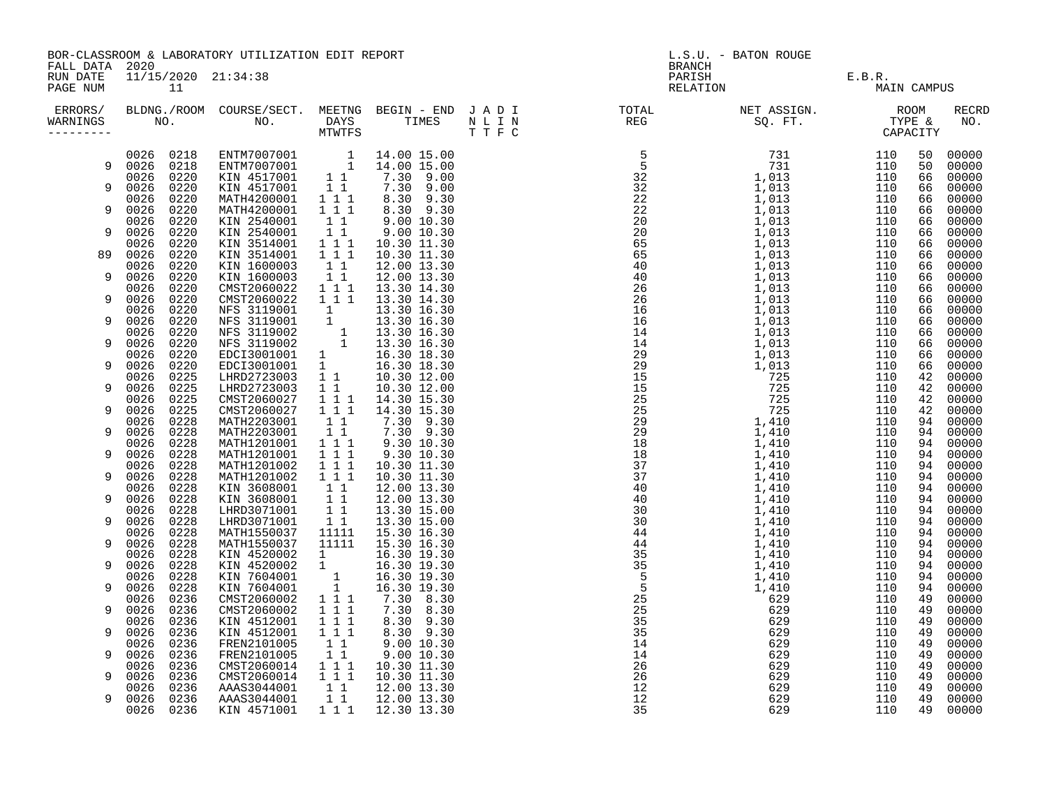|                                        | BOR-CLASSROOM & LABORATORY UTILIZATION EDIT REPORT |              |                                                                                                                                                                                                                                               |                                                |                                                                                                                                                                                                                                                                                                                                                   |  | L.S.U. - BATON ROUGE                                                                                                                                                                                                                                                                                                                                                                                                                                                                                                |                                      |             |          |                |  |
|----------------------------------------|----------------------------------------------------|--------------|-----------------------------------------------------------------------------------------------------------------------------------------------------------------------------------------------------------------------------------------------|------------------------------------------------|---------------------------------------------------------------------------------------------------------------------------------------------------------------------------------------------------------------------------------------------------------------------------------------------------------------------------------------------------|--|---------------------------------------------------------------------------------------------------------------------------------------------------------------------------------------------------------------------------------------------------------------------------------------------------------------------------------------------------------------------------------------------------------------------------------------------------------------------------------------------------------------------|--------------------------------------|-------------|----------|----------------|--|
| FALL DATA 2020<br>RUN DATE<br>PAGE NUM |                                                    | 11           | 11/15/2020 21:34:38                                                                                                                                                                                                                           |                                                |                                                                                                                                                                                                                                                                                                                                                   |  | <b>BRANCH</b>                                                                                                                                                                                                                                                                                                                                                                                                                                                                                                       | PARISH E.B.R.<br>RELATION E.B.R. MAI | MAIN CAMPUS |          |                |  |
| WARNINGS<br>---------                  |                                                    |              |                                                                                                                                                                                                                                               |                                                |                                                                                                                                                                                                                                                                                                                                                   |  | ERRORS/ BLDNG./ROOM COURSE/SECT. MEETNG BEGIN – END JADI TOTAL TOTAL NETASSIGN. NET ASSIGN. ROOM ROOM COURSE/SECT. MEETNG BEGIN – END JADI TOTAL TOTAL NETASSIGN. TYPE &<br>WARNINGS NO. NO. DAYS TIMES NLIN REG SQ.FT. TYPE & CA<br>$\begin{smallmatrix} 10.18 & 0.18 & 0.18 & 0.18 & 0.18 & 0.18 & 0.18 & 0.18 & 0.18 & 0.18 & 0.18 & 0.18 & 0.18 & 0.18 & 0.18 & 0.18 & 0.18 & 0.18 & 0.18 & 0.18 & 0.18 & 0.18 & 0.18 & 0.18 & 0.18 & 0.18 & 0.18 & 0.18 & 0.18 & 0.18 & 0.18 & 0.18 & 0.18 & 0.18 & 0.18 & 0.$ |                                      |             |          | RECRD<br>NO.   |  |
|                                        | 0026 0218                                          |              | ENTM7007001 1 14.00 15.00<br>ENTM7007001 1 14.00 15.00<br>KIN 4517001 1 1 7.30 9.00<br>KIN 4517001 1 1 7.30 9.00                                                                                                                              |                                                |                                                                                                                                                                                                                                                                                                                                                   |  |                                                                                                                                                                                                                                                                                                                                                                                                                                                                                                                     |                                      |             |          | 50 00000       |  |
| 9                                      | 0026 0218                                          |              |                                                                                                                                                                                                                                               |                                                |                                                                                                                                                                                                                                                                                                                                                   |  |                                                                                                                                                                                                                                                                                                                                                                                                                                                                                                                     |                                      |             | 50       | 00000          |  |
|                                        | 0026 0220                                          |              |                                                                                                                                                                                                                                               |                                                |                                                                                                                                                                                                                                                                                                                                                   |  |                                                                                                                                                                                                                                                                                                                                                                                                                                                                                                                     |                                      |             | 66       | 00000          |  |
| 9                                      | 0026 0220<br>0026                                  | 0220         | MATH4200001                                                                                                                                                                                                                                   | $1\quad1$<br>$1 1 1$                           | 8.30 9.30                                                                                                                                                                                                                                                                                                                                         |  |                                                                                                                                                                                                                                                                                                                                                                                                                                                                                                                     |                                      |             | 66<br>66 | 00000<br>00000 |  |
| 9                                      | 0026                                               | 0220         | MATH4200001                                                                                                                                                                                                                                   | $1 1 1$                                        | 8.30 9.30                                                                                                                                                                                                                                                                                                                                         |  |                                                                                                                                                                                                                                                                                                                                                                                                                                                                                                                     |                                      |             | 66       | 00000          |  |
|                                        | 0026                                               | 0220         | KIN 2540001                                                                                                                                                                                                                                   | $1\quad1$                                      |                                                                                                                                                                                                                                                                                                                                                   |  |                                                                                                                                                                                                                                                                                                                                                                                                                                                                                                                     |                                      |             | 66       | 00000          |  |
| 9                                      | 0026                                               | 0220         | KIN 2540001                                                                                                                                                                                                                                   |                                                | 9.00 10.30<br>9.00 10.30<br>$\begin{bmatrix} 1 & 1 & 9 & 0 & 0 & 1 & 0 & 3 & 0 \\ 1 & 1 & 1 & 1 & 0 & 3 & 0 & 1 & 1 & 3 \\ 1 & 1 & 1 & 0 & 0 & 3 & 1 & 1 & 3 & 0 \\ 0 & 0 & 0 & 0 & 0 & 1 & 0 & 0 & 0 \\ 0 & 0 & 0 & 0 & 0 & 0 & 0 & 0 & 0 \\ 0 & 0 & 0 & 0 & 0 & 0 & 0 & 0 & 0 \\ 0 & 0 & 0 & 0 & 0 & 0 & 0 & 0 & 0 \\ 0 & 0 & 0 & 0 & 0 & 0 & $ |  |                                                                                                                                                                                                                                                                                                                                                                                                                                                                                                                     |                                      |             | 66       | 00000          |  |
|                                        | 0026                                               | 0220         | KIN 3514001                                                                                                                                                                                                                                   |                                                |                                                                                                                                                                                                                                                                                                                                                   |  |                                                                                                                                                                                                                                                                                                                                                                                                                                                                                                                     |                                      |             | 66       | 00000          |  |
| 89                                     | 0026                                               | 0220         | KIN 3514001                                                                                                                                                                                                                                   | $1 1 1$                                        | 10.30 11.30                                                                                                                                                                                                                                                                                                                                       |  |                                                                                                                                                                                                                                                                                                                                                                                                                                                                                                                     |                                      |             | 66       | 00000          |  |
|                                        | 0026                                               | 0220         | KIN 1600003                                                                                                                                                                                                                                   | $\begin{bmatrix} 1 & 1 \\ 1 & 1 \end{bmatrix}$ | 12.00 13.30                                                                                                                                                                                                                                                                                                                                       |  |                                                                                                                                                                                                                                                                                                                                                                                                                                                                                                                     |                                      |             | 66       | 00000          |  |
| 9                                      | 0026                                               | 0220         | KIN 1600003                                                                                                                                                                                                                                   |                                                | 12.00 13.30                                                                                                                                                                                                                                                                                                                                       |  |                                                                                                                                                                                                                                                                                                                                                                                                                                                                                                                     |                                      |             | 66       | 00000          |  |
| 9                                      | 0026<br>0026                                       | 0220<br>0220 | CMST2060022<br>CMST2060022                                                                                                                                                                                                                    | 111<br>$1 1 1$                                 | 13.30 14.30                                                                                                                                                                                                                                                                                                                                       |  |                                                                                                                                                                                                                                                                                                                                                                                                                                                                                                                     |                                      |             | 66       | 00000<br>00000 |  |
|                                        | 0026                                               | 0220         |                                                                                                                                                                                                                                               |                                                | 13.30 14.30                                                                                                                                                                                                                                                                                                                                       |  |                                                                                                                                                                                                                                                                                                                                                                                                                                                                                                                     |                                      |             | 66<br>66 | 00000          |  |
| 9                                      | 0026                                               | 0220         |                                                                                                                                                                                                                                               |                                                |                                                                                                                                                                                                                                                                                                                                                   |  |                                                                                                                                                                                                                                                                                                                                                                                                                                                                                                                     |                                      |             | 66       | 00000          |  |
|                                        | 0026                                               | 0220         |                                                                                                                                                                                                                                               |                                                |                                                                                                                                                                                                                                                                                                                                                   |  |                                                                                                                                                                                                                                                                                                                                                                                                                                                                                                                     |                                      |             | 66       | 00000          |  |
| 9                                      | 0026                                               | 0220         |                                                                                                                                                                                                                                               |                                                |                                                                                                                                                                                                                                                                                                                                                   |  |                                                                                                                                                                                                                                                                                                                                                                                                                                                                                                                     |                                      |             | 66       | 00000          |  |
|                                        | 0026                                               | 0220         | MFS 3119001<br>MFS 3119001 1 13.30 14.30<br>MFS 3119001 1 13.30 16.30<br>MFS 3119002 1 13.30 16.30<br>MFS 3119002 1 13.30 16.30<br>MFS 3119002 1 13.30 16.30<br>EDCI3001001 1 16.30 18.30<br>EDCI3001001 1 16.30 18.30<br>EDCI3001001 1 16.30 |                                                |                                                                                                                                                                                                                                                                                                                                                   |  |                                                                                                                                                                                                                                                                                                                                                                                                                                                                                                                     |                                      |             | 66       | 00000          |  |
| 9                                      | 0026 0220                                          |              |                                                                                                                                                                                                                                               |                                                |                                                                                                                                                                                                                                                                                                                                                   |  |                                                                                                                                                                                                                                                                                                                                                                                                                                                                                                                     |                                      |             | 66       | 00000          |  |
|                                        | 0026                                               | 0225         |                                                                                                                                                                                                                                               |                                                |                                                                                                                                                                                                                                                                                                                                                   |  |                                                                                                                                                                                                                                                                                                                                                                                                                                                                                                                     |                                      |             | 42       | 00000          |  |
| 9                                      | 0026 0225<br>0026                                  | 0225         | CMST2060027                                                                                                                                                                                                                                   |                                                |                                                                                                                                                                                                                                                                                                                                                   |  |                                                                                                                                                                                                                                                                                                                                                                                                                                                                                                                     |                                      |             | 42<br>42 | 00000<br>00000 |  |
| 9                                      | 0026 0225                                          |              | CMST2060027                                                                                                                                                                                                                                   |                                                |                                                                                                                                                                                                                                                                                                                                                   |  |                                                                                                                                                                                                                                                                                                                                                                                                                                                                                                                     |                                      |             | 42       | 00000          |  |
|                                        | 0026 0228                                          |              | MATH2203001                                                                                                                                                                                                                                   | $1\quad1$                                      | 7.30 9.30                                                                                                                                                                                                                                                                                                                                         |  |                                                                                                                                                                                                                                                                                                                                                                                                                                                                                                                     |                                      |             | 94       | 00000          |  |
| 9                                      | 0026 0228                                          |              | MATH2203001                                                                                                                                                                                                                                   | 11                                             |                                                                                                                                                                                                                                                                                                                                                   |  |                                                                                                                                                                                                                                                                                                                                                                                                                                                                                                                     |                                      |             | 94       | 00000          |  |
|                                        | 0026                                               | 0228         | MATH1201001                                                                                                                                                                                                                                   | 111                                            | 7.30 9.30<br>9.30 10.30                                                                                                                                                                                                                                                                                                                           |  |                                                                                                                                                                                                                                                                                                                                                                                                                                                                                                                     |                                      |             | 94       | 00000          |  |
| 9                                      | 0026 0228                                          |              | MATH1201001                                                                                                                                                                                                                                   | $1 1 1$                                        | 9.30 10.30                                                                                                                                                                                                                                                                                                                                        |  |                                                                                                                                                                                                                                                                                                                                                                                                                                                                                                                     |                                      |             | 94       | 00000          |  |
|                                        | 0026                                               | 0228         | MATH1201002                                                                                                                                                                                                                                   | $1 1 1$                                        | 10.30 11.30                                                                                                                                                                                                                                                                                                                                       |  |                                                                                                                                                                                                                                                                                                                                                                                                                                                                                                                     |                                      |             | 94       | 00000          |  |
| 9                                      | 0026                                               | 0228         | MATH1201002                                                                                                                                                                                                                                   | 1 1 1                                          | 10.30 11.30                                                                                                                                                                                                                                                                                                                                       |  |                                                                                                                                                                                                                                                                                                                                                                                                                                                                                                                     |                                      |             | 94       | 00000          |  |
| 9                                      | 0026<br>0026                                       | 0228<br>0228 | KIN 3608001<br>KIN 3608001                                                                                                                                                                                                                    | $1\quad1$<br>$1\quad1$                         | 12.00 13.30<br>12.00 13.30                                                                                                                                                                                                                                                                                                                        |  |                                                                                                                                                                                                                                                                                                                                                                                                                                                                                                                     |                                      |             | 94<br>94 | 00000<br>00000 |  |
|                                        | 0026                                               | 0228         | LHRD3071001 1 1                                                                                                                                                                                                                               |                                                | 13.30 15.00                                                                                                                                                                                                                                                                                                                                       |  |                                                                                                                                                                                                                                                                                                                                                                                                                                                                                                                     |                                      |             | 94       | 00000          |  |
| 9                                      | 0026 0228                                          |              | LHRD3071001                                                                                                                                                                                                                                   | $1\quad1$                                      | 13.30 15.00                                                                                                                                                                                                                                                                                                                                       |  |                                                                                                                                                                                                                                                                                                                                                                                                                                                                                                                     |                                      |             | 94       | 00000          |  |
|                                        | 0026                                               | 0228         | MATH1550037                                                                                                                                                                                                                                   | 11111                                          | 15.30 16.30                                                                                                                                                                                                                                                                                                                                       |  |                                                                                                                                                                                                                                                                                                                                                                                                                                                                                                                     |                                      |             | 94       | 00000          |  |
| 9                                      | 0026                                               | 0228         | MATH1550037                                                                                                                                                                                                                                   | 11111                                          | 15.30 16.30                                                                                                                                                                                                                                                                                                                                       |  |                                                                                                                                                                                                                                                                                                                                                                                                                                                                                                                     |                                      |             | 94       | 00000          |  |
|                                        | 0026                                               | 0228         | KIN 4520002                                                                                                                                                                                                                                   | $\frac{1}{1}$<br>$\frac{1}{1}$                 | 16.30 19.30                                                                                                                                                                                                                                                                                                                                       |  |                                                                                                                                                                                                                                                                                                                                                                                                                                                                                                                     |                                      |             | 94       | 00000          |  |
| 9                                      | 0026                                               | 0228         | KIN 4520002                                                                                                                                                                                                                                   |                                                | 16.30 19.30                                                                                                                                                                                                                                                                                                                                       |  |                                                                                                                                                                                                                                                                                                                                                                                                                                                                                                                     |                                      |             | 94       | 00000          |  |
|                                        | 0026                                               | 0228         | KIN 7604001                                                                                                                                                                                                                                   |                                                | 16.30 19.30                                                                                                                                                                                                                                                                                                                                       |  |                                                                                                                                                                                                                                                                                                                                                                                                                                                                                                                     |                                      |             | 94       | 00000          |  |
| 9                                      | 0026                                               | 0228<br>0236 | KIN 7604001<br>CMST2060002                                                                                                                                                                                                                    | $1\bar{1}1$                                    | 16.30 19.30<br>7.30 8.30                                                                                                                                                                                                                                                                                                                          |  |                                                                                                                                                                                                                                                                                                                                                                                                                                                                                                                     |                                      |             | 94       | 00000          |  |
| 9                                      | 0026<br>0026 0236                                  |              | CMST2060002                                                                                                                                                                                                                                   | $1 1 1$                                        | 7.30 8.30                                                                                                                                                                                                                                                                                                                                         |  |                                                                                                                                                                                                                                                                                                                                                                                                                                                                                                                     |                                      |             | 49<br>49 | 00000<br>00000 |  |
|                                        | 0026                                               | 0236         | KIN 4512001                                                                                                                                                                                                                                   | $1 1 1$                                        | 8.30 9.30                                                                                                                                                                                                                                                                                                                                         |  |                                                                                                                                                                                                                                                                                                                                                                                                                                                                                                                     |                                      |             | 49       | 00000          |  |
| 9                                      | 0026                                               | 0236         | KIN 4512001                                                                                                                                                                                                                                   | $1 1 1$                                        | 8.30 9.30                                                                                                                                                                                                                                                                                                                                         |  |                                                                                                                                                                                                                                                                                                                                                                                                                                                                                                                     |                                      |             | 49       | 00000          |  |
|                                        | 0026                                               | 0236         | FREN2101005                                                                                                                                                                                                                                   | $1\quad1$                                      | 9.00 10.30                                                                                                                                                                                                                                                                                                                                        |  |                                                                                                                                                                                                                                                                                                                                                                                                                                                                                                                     |                                      |             | 49       | 00000          |  |
| 9                                      | 0026                                               | 0236         | FREN2101005                                                                                                                                                                                                                                   | 11                                             | 9.00 10.30                                                                                                                                                                                                                                                                                                                                        |  |                                                                                                                                                                                                                                                                                                                                                                                                                                                                                                                     |                                      |             | 49       | 00000          |  |
|                                        | 0026                                               | 0236         | CMST2060014 1 1 1 10.30 11.30                                                                                                                                                                                                                 |                                                |                                                                                                                                                                                                                                                                                                                                                   |  |                                                                                                                                                                                                                                                                                                                                                                                                                                                                                                                     |                                      |             | 49       | 00000          |  |
| 9                                      | 0026                                               | 0236         | CMST2060014<br>AAAS3044001                                                                                                                                                                                                                    | $1 1 1$                                        | 10.30 11.30                                                                                                                                                                                                                                                                                                                                       |  |                                                                                                                                                                                                                                                                                                                                                                                                                                                                                                                     |                                      |             | 49       | 00000          |  |
|                                        | 0026 0236                                          |              |                                                                                                                                                                                                                                               | $1\quad1$                                      | 12.00 13.30                                                                                                                                                                                                                                                                                                                                       |  |                                                                                                                                                                                                                                                                                                                                                                                                                                                                                                                     |                                      |             | 49       | 00000          |  |
| 9                                      | 0026 0236                                          |              | AAAS3044001                                                                                                                                                                                                                                   | $\begin{array}{c} 1 & 1 \end{array}$           | 12.00 13.30                                                                                                                                                                                                                                                                                                                                       |  |                                                                                                                                                                                                                                                                                                                                                                                                                                                                                                                     |                                      |             | 49<br>49 | 00000          |  |
|                                        | 0026 0236                                          |              | KIN 4571001                                                                                                                                                                                                                                   |                                                | 1 1 1 1 1 1 2 . 30 1 3 . 30                                                                                                                                                                                                                                                                                                                       |  |                                                                                                                                                                                                                                                                                                                                                                                                                                                                                                                     |                                      |             |          | 00000          |  |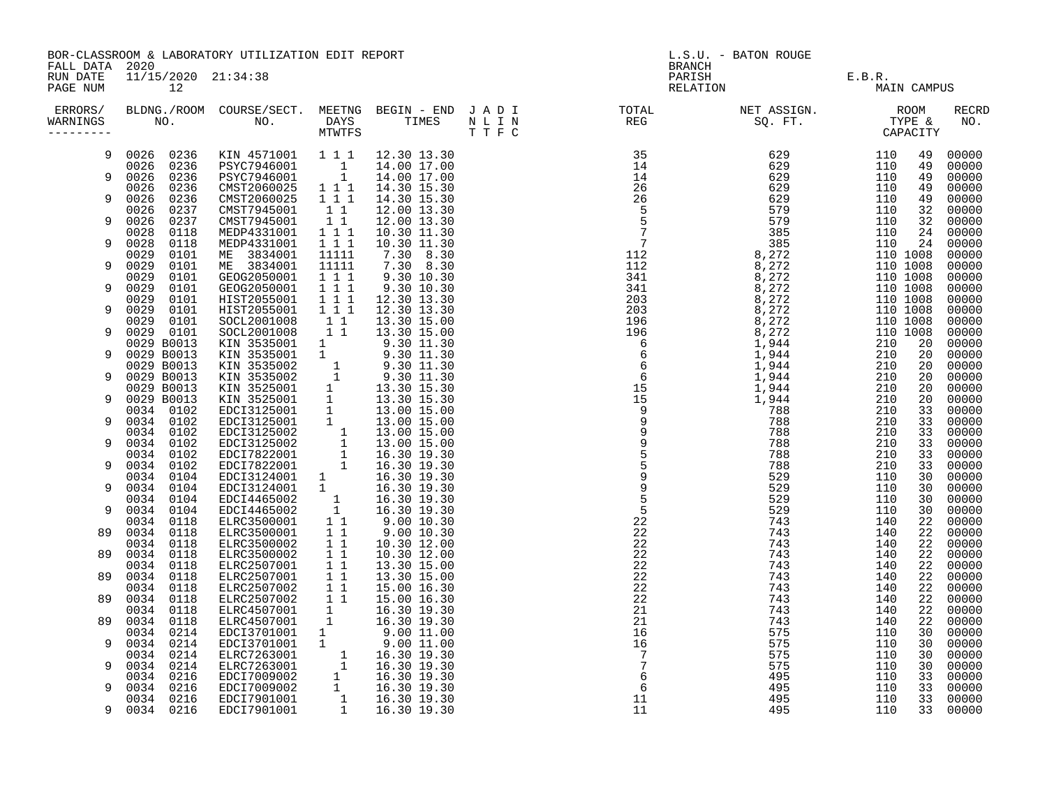|                                        |                              | BOR-CLASSROOM & LABORATORY UTILIZATION EDIT REPORT                                                                                                                                                                                             |                                                |                            | L.S.U. - BATON ROUGE<br><b>BRANCH</b>                                                                                                                                                                                                                                                                                                                                                                                                    |              |                      |             |                     |
|----------------------------------------|------------------------------|------------------------------------------------------------------------------------------------------------------------------------------------------------------------------------------------------------------------------------------------|------------------------------------------------|----------------------------|------------------------------------------------------------------------------------------------------------------------------------------------------------------------------------------------------------------------------------------------------------------------------------------------------------------------------------------------------------------------------------------------------------------------------------------|--------------|----------------------|-------------|---------------------|
| FALL DATA 2020<br>RUN DATE<br>PAGE NUM | 11/15/2020 21:34:38<br>12    |                                                                                                                                                                                                                                                |                                                |                            | PARISH<br>RELATION                                                                                                                                                                                                                                                                                                                                                                                                                       | $\mathbf{I}$ | E.B.R.               | MAIN CAMPUS |                     |
| ERRORS/<br>WARNINGS<br>----------      |                              |                                                                                                                                                                                                                                                |                                                |                            | $\begin{array}{cccccccc} \textbf{N} & \textbf{E} & \textbf{F} & \textbf{S} & \textbf{S} & \textbf{S} & \textbf{S} & \textbf{S} \\ \textbf{N} & \textbf{I} & \textbf{I} & \textbf{I} & \textbf{I} & \textbf{I} & \textbf{I} & \textbf{I} \\ \textbf{N} & \textbf{I} & \textbf{I} & \textbf{I} & \textbf{I} & \textbf{I} & \textbf{I} & \textbf{I} \\ \textbf{N} & \textbf{I} & \textbf{I} & \textbf{I} & \textbf{I} & \textbf{I} & \text$ |              |                      |             | <b>RECRD</b><br>NO. |
| 9                                      | 0026 0236                    | KIN 4571001 111                                                                                                                                                                                                                                |                                                | 12.30 13.30                |                                                                                                                                                                                                                                                                                                                                                                                                                                          |              |                      | 49          | 00000               |
| 9                                      | 0026<br>0236<br>0026<br>0236 | PSYC7946001 1<br>PSYC7946001 1                                                                                                                                                                                                                 |                                                | 14.00 17.00<br>14.00 17.00 |                                                                                                                                                                                                                                                                                                                                                                                                                                          |              |                      | 49<br>49    | 00000<br>00000      |
|                                        | 0236<br>0026                 | CMST2060025                                                                                                                                                                                                                                    | 1 1 1                                          | 14.30 15.30                |                                                                                                                                                                                                                                                                                                                                                                                                                                          |              |                      | 49          | 00000               |
| 9                                      | 0026<br>0236<br>0026<br>0237 | CMST2060025<br>CMST7945001                                                                                                                                                                                                                     | 1 1 1<br>11                                    | 14.30 15.30<br>12.00 13.30 |                                                                                                                                                                                                                                                                                                                                                                                                                                          |              |                      | 49<br>32    | 00000<br>00000      |
| 9                                      | 0026<br>0237                 | CMST7945001                                                                                                                                                                                                                                    | $\overline{1}$ $\overline{1}$                  | 12.00 13.30                |                                                                                                                                                                                                                                                                                                                                                                                                                                          |              |                      | 32          | 00000               |
| 9                                      | 0028<br>0118<br>0028<br>0118 | MEDP4331001<br>MEDP4331001                                                                                                                                                                                                                     | $1 1 1$<br>$1$ 1 1                             | 10.30 11.30<br>10.30 11.30 |                                                                                                                                                                                                                                                                                                                                                                                                                                          |              |                      | 24<br>24    | 00000<br>00000      |
|                                        | 0029<br>0101                 | ME 3834001                                                                                                                                                                                                                                     | 11111                                          | 7.30 8.30                  |                                                                                                                                                                                                                                                                                                                                                                                                                                          |              | 110 1008             |             | 00000               |
| 9                                      | 0029<br>0101<br>0029<br>0101 | ME 3834001<br>GEOG2050001                                                                                                                                                                                                                      | 11111<br>$1 1 1$                               | 7.30 8.30<br>$9.30\ 10.30$ |                                                                                                                                                                                                                                                                                                                                                                                                                                          |              | 110 1008<br>110 1008 |             | 00000<br>00000      |
| 9                                      | 0029<br>0101                 | GEOG2050001                                                                                                                                                                                                                                    | 1 1 1                                          | 9.30 10.30                 |                                                                                                                                                                                                                                                                                                                                                                                                                                          |              | 110 1008             |             | 00000               |
| 9                                      | 0029<br>0101<br>0029<br>0101 | HIST2055001<br>HIST2055001                                                                                                                                                                                                                     | $1 1 1$<br>111                                 | 12.30 13.30<br>12.30 13.30 |                                                                                                                                                                                                                                                                                                                                                                                                                                          |              | 110 1008<br>110 1008 |             | 00000<br>00000      |
|                                        | 0029<br>0101                 | SOCL2001008                                                                                                                                                                                                                                    | $\begin{array}{rr} 1 & 1 \\ 1 & 1 \end{array}$ | 13.30 15.00                |                                                                                                                                                                                                                                                                                                                                                                                                                                          |              | 110 1008             |             | 00000               |
| 9                                      | 0029<br>0101<br>0029 B0013   | SOCL2001008<br>KIN 3535001                                                                                                                                                                                                                     |                                                | 13.30 15.00<br>9.30 11.30  |                                                                                                                                                                                                                                                                                                                                                                                                                                          |              | 110 1008             | 20          | 00000<br>00000      |
| 9                                      | 0029 B0013                   |                                                                                                                                                                                                                                                | $\frac{1}{1}$                                  |                            |                                                                                                                                                                                                                                                                                                                                                                                                                                          |              |                      | 20          | 00000               |
| 9                                      | 0029 B0013<br>0029 B0013     |                                                                                                                                                                                                                                                |                                                |                            |                                                                                                                                                                                                                                                                                                                                                                                                                                          |              |                      | 20<br>20    | 00000<br>00000      |
|                                        | 0029 B0013                   |                                                                                                                                                                                                                                                |                                                |                            |                                                                                                                                                                                                                                                                                                                                                                                                                                          |              |                      | 20          | 00000               |
| 9                                      | 0029 B0013<br>0034 0102      |                                                                                                                                                                                                                                                |                                                |                            |                                                                                                                                                                                                                                                                                                                                                                                                                                          |              |                      | 20<br>33    | 00000<br>00000      |
| 9                                      | 0034 0102                    |                                                                                                                                                                                                                                                |                                                |                            |                                                                                                                                                                                                                                                                                                                                                                                                                                          |              |                      | 33          | 00000               |
| 9                                      | 0034 0102<br>0102<br>0034    |                                                                                                                                                                                                                                                |                                                |                            |                                                                                                                                                                                                                                                                                                                                                                                                                                          |              |                      | 33<br>33    | 00000<br>00000      |
|                                        | 0034 0102                    |                                                                                                                                                                                                                                                |                                                |                            |                                                                                                                                                                                                                                                                                                                                                                                                                                          |              |                      | 33          | 00000               |
| 9                                      | 0034 0102<br>0034 0104       |                                                                                                                                                                                                                                                |                                                |                            |                                                                                                                                                                                                                                                                                                                                                                                                                                          |              |                      | 33<br>30    | 00000<br>00000      |
| 9                                      | 0034<br>0104                 |                                                                                                                                                                                                                                                |                                                |                            |                                                                                                                                                                                                                                                                                                                                                                                                                                          |              |                      | 30          | 00000               |
| 9                                      | 0034<br>0104<br>0034<br>0104 |                                                                                                                                                                                                                                                |                                                |                            |                                                                                                                                                                                                                                                                                                                                                                                                                                          |              |                      | 30<br>30    | 00000<br>00000      |
|                                        | 0118<br>0034                 |                                                                                                                                                                                                                                                |                                                |                            |                                                                                                                                                                                                                                                                                                                                                                                                                                          |              |                      | 22          | 00000               |
| 89                                     | 0034<br>0118<br>0034<br>0118 | ELRC3500001<br>ELRC3500002                                                                                                                                                                                                                     | $1\quad1$<br>$1\quad1$                         | 9.00 10.30<br>10.30 12.00  |                                                                                                                                                                                                                                                                                                                                                                                                                                          |              |                      | 22<br>22    | 00000<br>00000      |
| 89                                     | 0034 0118                    | ELRC3500002                                                                                                                                                                                                                                    | $1\quad1$                                      | 10.30 12.00                |                                                                                                                                                                                                                                                                                                                                                                                                                                          |              |                      | 22          | 00000               |
|                                        | 0034 0118                    | ELRC2507001                                                                                                                                                                                                                                    | 11                                             | 13.30 15.00                |                                                                                                                                                                                                                                                                                                                                                                                                                                          |              |                      | 22          | 00000               |
| 89                                     | 0034<br>0118<br>0034<br>0118 | ELRC2507001                                                                                                                                                                                                                                    | $1\quad1$                                      | 13.30 15.00<br>15.00 16.30 |                                                                                                                                                                                                                                                                                                                                                                                                                                          |              |                      | 22<br>22    | 00000<br>00000      |
| 89                                     | 0034<br>0118                 | ELRC2507002   1   1<br>ELRC2507002   1   1                                                                                                                                                                                                     |                                                | 15.00 16.30                |                                                                                                                                                                                                                                                                                                                                                                                                                                          |              |                      | 22          | 00000               |
| 89                                     | 0118<br>0034<br>0034<br>0118 | ELRC4507001 1<br>ELRC4507001 1<br>ELRC4507001                                                                                                                                                                                                  |                                                | 16.30 19.30<br>16.30 19.30 |                                                                                                                                                                                                                                                                                                                                                                                                                                          |              |                      | 22<br>22    | 00000<br>00000      |
|                                        | 0034<br>0214                 |                                                                                                                                                                                                                                                |                                                |                            |                                                                                                                                                                                                                                                                                                                                                                                                                                          |              |                      | 30          | 00000               |
| 9                                      | 0034<br>0214<br>0034<br>0214 |                                                                                                                                                                                                                                                |                                                |                            |                                                                                                                                                                                                                                                                                                                                                                                                                                          |              |                      | 30<br>30    | 00000<br>00000      |
| 9                                      | 0214<br>0034                 |                                                                                                                                                                                                                                                |                                                |                            |                                                                                                                                                                                                                                                                                                                                                                                                                                          |              |                      | 30          | 00000               |
| 9                                      | 0034<br>0216<br>0034<br>0216 |                                                                                                                                                                                                                                                |                                                |                            |                                                                                                                                                                                                                                                                                                                                                                                                                                          |              |                      | 33<br>33    | 00000<br>00000      |
|                                        | 0034 0216                    | ELRC4507001 1 16.30 19.30<br>EDCI3701001 1 9.00 11.00<br>EDCI3701001 1 9.00 11.00<br>ELRC7263001 1 16.30 19.30<br>ELRC7263001 1 16.30 19.30<br>EDCI7009002 1 16.30 19.30<br>EDCI7009002 1 16.30 19.30<br>EDCI7901001 1 16.30 19.30<br>EDCI7901 |                                                |                            |                                                                                                                                                                                                                                                                                                                                                                                                                                          |              |                      | 33          | 00000               |
| 9                                      | 0034 0216                    |                                                                                                                                                                                                                                                |                                                |                            |                                                                                                                                                                                                                                                                                                                                                                                                                                          |              |                      | 33          | 00000               |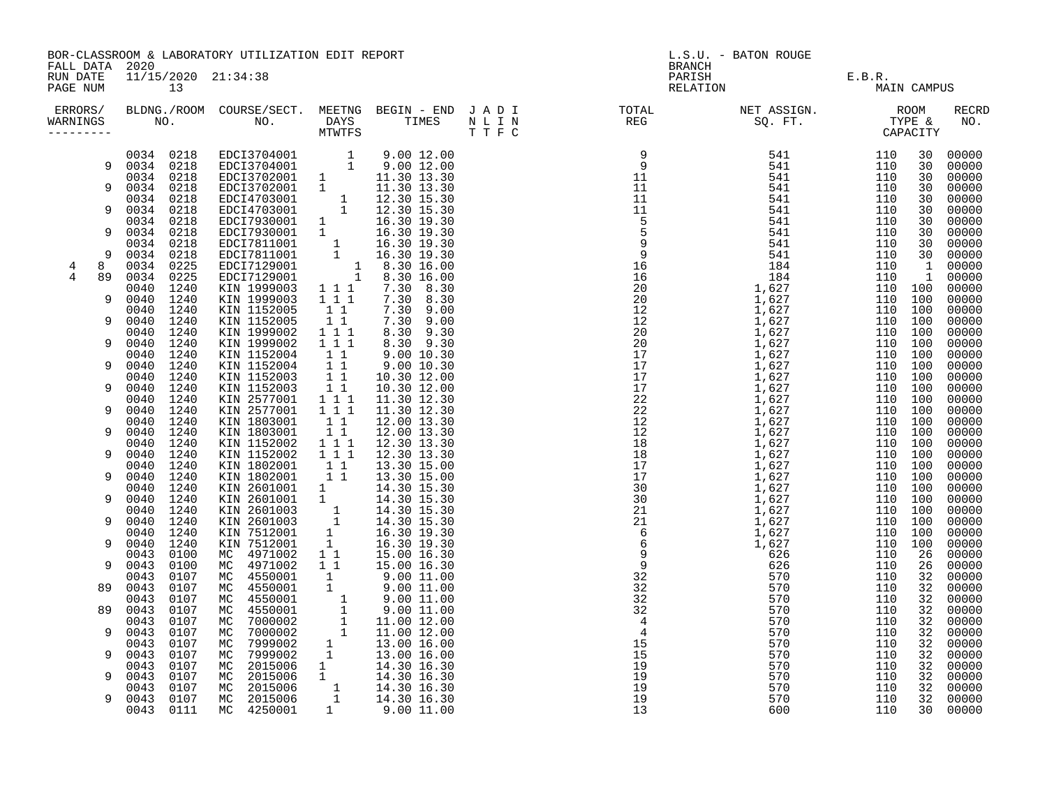| FALL DATA 2020                                                                                                                    |                                                                                                                                                                                                                                                                                                                                                                                                                                                                                                                                                                                                                                                                                                                              | BOR-CLASSROOM & LABORATORY UTILIZATION EDIT REPORT                                                                                                                                                                                                                                                                                                                                                                                                                                                                                                                                                                                                                                                                                                                                                                                                  |                                                                                        |                                                                                                                                                                                                                         | <b>BRANCH</b>                                                                                                                                                                                                                                                                                                                                                                                                                      | L.S.U. - BATON ROUGE |             |                                                                                                                                                                                                                                                                                                                                                                                                                                                    |
|-----------------------------------------------------------------------------------------------------------------------------------|------------------------------------------------------------------------------------------------------------------------------------------------------------------------------------------------------------------------------------------------------------------------------------------------------------------------------------------------------------------------------------------------------------------------------------------------------------------------------------------------------------------------------------------------------------------------------------------------------------------------------------------------------------------------------------------------------------------------------|-----------------------------------------------------------------------------------------------------------------------------------------------------------------------------------------------------------------------------------------------------------------------------------------------------------------------------------------------------------------------------------------------------------------------------------------------------------------------------------------------------------------------------------------------------------------------------------------------------------------------------------------------------------------------------------------------------------------------------------------------------------------------------------------------------------------------------------------------------|----------------------------------------------------------------------------------------|-------------------------------------------------------------------------------------------------------------------------------------------------------------------------------------------------------------------------|------------------------------------------------------------------------------------------------------------------------------------------------------------------------------------------------------------------------------------------------------------------------------------------------------------------------------------------------------------------------------------------------------------------------------------|----------------------|-------------|----------------------------------------------------------------------------------------------------------------------------------------------------------------------------------------------------------------------------------------------------------------------------------------------------------------------------------------------------------------------------------------------------------------------------------------------------|
| RUN DATE<br>PAGE NUM                                                                                                              | 11/15/2020 21:34:38<br>13                                                                                                                                                                                                                                                                                                                                                                                                                                                                                                                                                                                                                                                                                                    |                                                                                                                                                                                                                                                                                                                                                                                                                                                                                                                                                                                                                                                                                                                                                                                                                                                     |                                                                                        |                                                                                                                                                                                                                         | PARISH<br>RELATION                                                                                                                                                                                                                                                                                                                                                                                                                 | E.B.R.<br>MAIN C.    | MAIN CAMPUS |                                                                                                                                                                                                                                                                                                                                                                                                                                                    |
| ERRORS/<br>WARNINGS<br>---------                                                                                                  |                                                                                                                                                                                                                                                                                                                                                                                                                                                                                                                                                                                                                                                                                                                              |                                                                                                                                                                                                                                                                                                                                                                                                                                                                                                                                                                                                                                                                                                                                                                                                                                                     |                                                                                        |                                                                                                                                                                                                                         |                                                                                                                                                                                                                                                                                                                                                                                                                                    |                      |             | RECRD                                                                                                                                                                                                                                                                                                                                                                                                                                              |
| 9<br>9<br>9<br>9<br>8<br>4<br>4<br>89<br>9<br>9<br>9<br>9<br>9<br>9<br>9<br>9<br>9<br>9<br>9<br>9<br>9<br>89<br>89<br>9<br>9<br>9 | 0034 0218<br>9 0034 0218<br>0034 0218<br>0034 0218<br>0034 0218<br>0034 0218<br>0034 0218<br>0034 0218<br>0034 0218<br>0034 0218<br>0034 0225<br>0034 0225<br>0040<br>1240<br>0040 1240<br>0040 1240<br>0040 1240<br>1240<br>0040<br>0040<br>1240<br>1240<br>0040<br>0040<br>1240<br>1240<br>0040<br>0040<br>1240<br>0040<br>1240<br>0040 1240<br>0040 1240<br>0040 1240<br>0040 1240<br>0040 1240<br>0040 1240<br>0040<br>1240<br>0040<br>1240<br>1240<br>0040<br>0040<br>1240<br>1240<br>0040<br>0040<br>1240<br>0040<br>1240<br>0043<br>0100<br>0043<br>0100<br>0043<br>0107<br>0043<br>0107<br>0043<br>0107<br>0043<br>0107<br>0043<br>0107<br>0043 0107<br>0043<br>0107<br>0043<br>0107<br>0043<br>0107<br>0043<br>0107 | EDCI3704001 1 9.00 12.00<br>EDCI3704001 1 9.00 12.00<br>EDCI3702001 1 11.30 13.30<br>EDCI3702001 1 11.30 13.30<br>EDCI4703001 1 12.30 15.30<br>EDCI4703001 1 12.30 15.30<br>EDCI7930001 1 16.30 19.30<br>EDCI7930001 1 16.30 19.30<br>EDCI7811<br>KIN 1999003<br>KIN 1999003 1 1 1<br>KIN 1152005<br>KIN 1152005<br>KIN 1999002<br>KIN 1999002 111<br>KIN 1152004 11<br>KIN 1152004<br>KIN 1152003<br>KIN 1152003<br>KIN 2577001 1 1 11.30 12.30<br>KIN 2577001 1 1 11.30 12.30<br>KIN 1803001 1 1 12.00 13.30<br>KIN 1803001 1 1 12.00 13.30<br>KIN 1152002 1 1 1 12.30 13.30<br>KIN 1152002 1 1 1<br>KIN 1152002 1 1 1 12.30 13.30<br>KIN 1802001 1 1 13.30 15.00<br>KIN 2601001 1 1 14.30 15.30<br>KIN 2601001 1 14.30 15.30<br>KIN 2601001 1 14.30 15.30<br>KIN 2601003 1 14.30 15.30<br>KIN 2601003 1 14.30 15.30<br>KIN 7512001 1 16.30 19.30 | 1 1 1<br>$1\quad1$<br>$\begin{smallmatrix} &\bar{1}&\bar{1}\\ 1&1&1 \end{smallmatrix}$ | 7.30 8.30<br>7.30 8.30<br>7.30 9.00<br>7.30 9.00<br>8.30 9.30<br>$8.30$ $9.30$<br>9.00 10.30<br>$\begin{array}{cccc} 1 & 1 & 9.00 & 10.30 \\ 1 & 1 & 10.30 & 12.00 \\ 1 & 1 & 10.30 & 12.00 \end{array}$<br>12.30 13.30 | $\begin{array}{cccc} \textbf{R1} = \textbf{1} & \textbf{1} & \textbf{1} & \textbf{1} & \textbf{1} & \textbf{1} & \textbf{1} & \textbf{1} & \textbf{1} & \textbf{1} & \textbf{1} & \textbf{1} & \textbf{1} & \textbf{1} & \textbf{1} & \textbf{1} & \textbf{1} & \textbf{1} & \textbf{1} & \textbf{1} & \textbf{1} & \textbf{1} & \textbf{1} & \textbf{1} & \textbf{1} & \textbf{1} & \textbf{1} & \textbf{1} & \textbf{1} & \text$ |                      |             | 00000<br>30 00000<br>00000<br>00000<br>00000<br>00000<br>00000<br>00000<br>00000<br>30 00000<br>00000<br>00000<br>00000<br>00000<br>00000<br>00000<br>00000<br>00000<br>00000<br>00000<br>00000<br>00000<br>00000<br>00000<br>00000<br>00000<br>00000<br>00000<br>00000<br>00000<br>00000<br>00000<br>00000<br>00000<br>00000<br>00000<br>00000<br>00000<br>00000<br>00000<br>00000<br>00000<br>00000<br>00000<br>00000<br>00000<br>00000<br>00000 |
| 9                                                                                                                                 | 0043<br>0107<br>0043 0107<br>0043 0111                                                                                                                                                                                                                                                                                                                                                                                                                                                                                                                                                                                                                                                                                       |                                                                                                                                                                                                                                                                                                                                                                                                                                                                                                                                                                                                                                                                                                                                                                                                                                                     |                                                                                        |                                                                                                                                                                                                                         |                                                                                                                                                                                                                                                                                                                                                                                                                                    |                      |             | 00000<br>32 00000<br>30 00000                                                                                                                                                                                                                                                                                                                                                                                                                      |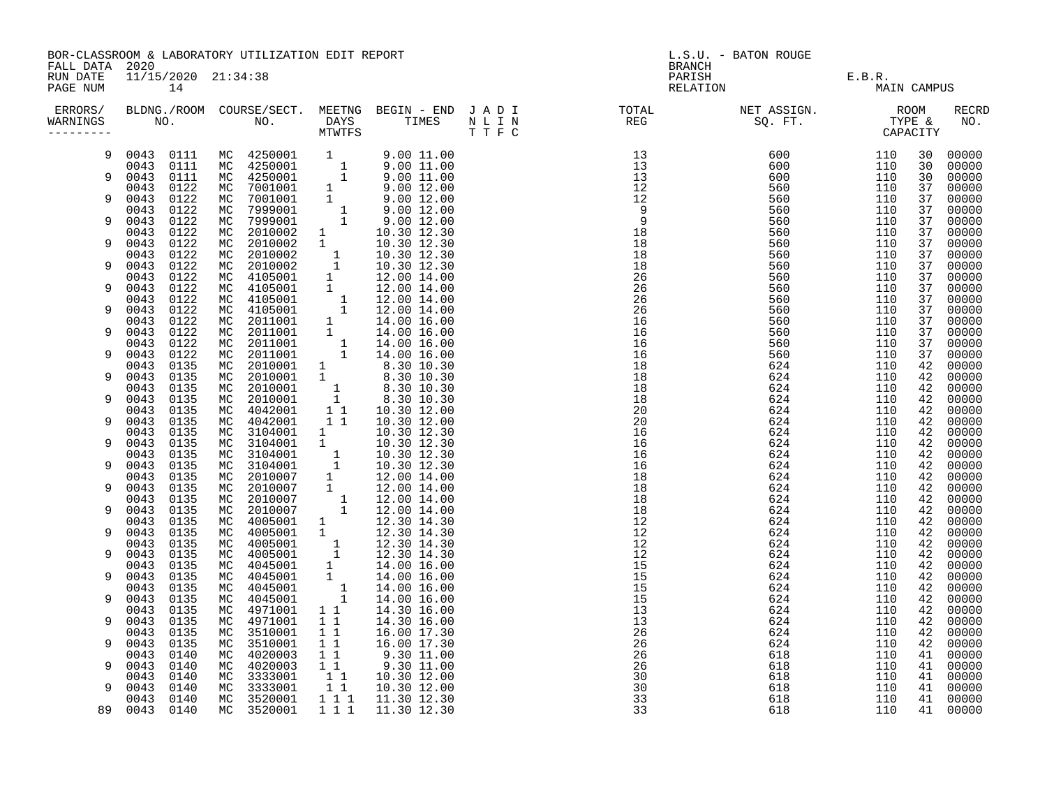| FALL DATA 2020       |                              |                           | BOR-CLASSROOM & LABORATORY UTILIZATION EDIT REPORT |                                                 |                                                                                                                                                                                                                                                                                                            | L.S.U. - BATON ROUGE<br><b>BRANCH</b> |                               |             |          |                |  |
|----------------------|------------------------------|---------------------------|----------------------------------------------------|-------------------------------------------------|------------------------------------------------------------------------------------------------------------------------------------------------------------------------------------------------------------------------------------------------------------------------------------------------------------|---------------------------------------|-------------------------------|-------------|----------|----------------|--|
| RUN DATE<br>PAGE NUM |                              | 11/15/2020 21:34:38<br>14 |                                                    |                                                 |                                                                                                                                                                                                                                                                                                            |                                       | PARISH E.B.R.<br>RELATION MAI | MAIN CAMPUS |          |                |  |
| WARNINGS             |                              |                           |                                                    |                                                 |                                                                                                                                                                                                                                                                                                            |                                       |                               |             |          | RECRD<br>NO.   |  |
| 9                    |                              |                           |                                                    |                                                 | $\begin{array}{cccccc} 0043 & 0111 & \text{MC} & 4250001 & 1 & 9.00 & 11.00 \\ 0043 & 0111 & \text{MC} & 4250001 & 1 & 9.00 & 11.00 \\ 0043 & 0111 & \text{MC} & 4250001 & 1 & 9.00 & 11.00 \\ 0043 & 0122 & \text{MC} & 7001001 & 1 & 9.00 & 12.00 \\ 0043 & 0122 & \text{MC} & 7001001 & 1 & 9.00 & 12.$ |                                       |                               | 110         | 30       | 00000          |  |
| 9                    |                              |                           |                                                    |                                                 |                                                                                                                                                                                                                                                                                                            |                                       |                               | 110<br>110  | 30<br>30 | 00000<br>00000 |  |
|                      |                              |                           |                                                    |                                                 |                                                                                                                                                                                                                                                                                                            |                                       |                               | 110         | 37       | 00000          |  |
| 9                    |                              |                           |                                                    |                                                 |                                                                                                                                                                                                                                                                                                            |                                       |                               | 110         | 37       | 00000          |  |
|                      |                              |                           |                                                    |                                                 |                                                                                                                                                                                                                                                                                                            |                                       |                               | 110         | 37       | 00000          |  |
| 9                    | 0043<br>0122                 | МC                        | 2010002                                            |                                                 | 10.30 12.30                                                                                                                                                                                                                                                                                                |                                       |                               | 110<br>110  | 37<br>37 | 00000<br>00000 |  |
| 9                    | 0043<br>0122                 | МC                        | 2010002                                            | $\begin{matrix} 1 \\ 1 \end{matrix}$            | 10.30 12.30                                                                                                                                                                                                                                                                                                |                                       |                               | 110         | 37       | 00000          |  |
|                      | 0043<br>0122                 |                           |                                                    |                                                 |                                                                                                                                                                                                                                                                                                            |                                       |                               | 110         | 37       | 00000          |  |
| 9                    | 0043<br>0122                 |                           |                                                    |                                                 |                                                                                                                                                                                                                                                                                                            |                                       |                               | 110         | 37       | 00000          |  |
|                      | 0043<br>0122                 |                           |                                                    |                                                 |                                                                                                                                                                                                                                                                                                            |                                       |                               | 110         | 37       | 00000          |  |
| 9                    | 0043<br>0122<br>0122<br>0043 |                           |                                                    |                                                 |                                                                                                                                                                                                                                                                                                            |                                       |                               | 110<br>110  | 37<br>37 | 00000<br>00000 |  |
| 9                    | 0043<br>0122                 |                           |                                                    |                                                 |                                                                                                                                                                                                                                                                                                            |                                       |                               | 110         | 37       | 00000          |  |
|                      | 0043<br>0122                 |                           |                                                    |                                                 |                                                                                                                                                                                                                                                                                                            |                                       |                               | 110         | 37       | 00000          |  |
| 9                    | 0043<br>0122                 |                           |                                                    |                                                 |                                                                                                                                                                                                                                                                                                            |                                       |                               | 110         | 37       | 00000          |  |
| 9                    | 0043<br>0122                 |                           |                                                    |                                                 |                                                                                                                                                                                                                                                                                                            |                                       |                               | 110         | 37       | 00000          |  |
|                      | 0043<br>0122<br>0043<br>0135 |                           |                                                    |                                                 |                                                                                                                                                                                                                                                                                                            |                                       |                               | 110<br>110  | 37<br>42 | 00000<br>00000 |  |
| 9                    | 0043<br>0135                 |                           |                                                    |                                                 |                                                                                                                                                                                                                                                                                                            |                                       |                               | 110         | 42       | 00000          |  |
|                      | 0135<br>0043                 |                           |                                                    |                                                 |                                                                                                                                                                                                                                                                                                            |                                       |                               | 110         | 42       | 00000          |  |
| 9                    | 0043<br>0135                 |                           |                                                    |                                                 |                                                                                                                                                                                                                                                                                                            |                                       |                               | 110         | 42       | 00000          |  |
|                      | 0043<br>0135<br>0043         |                           |                                                    |                                                 |                                                                                                                                                                                                                                                                                                            |                                       |                               | 110         | 42       | 00000          |  |
| 9                    | 0135<br>0135<br>0043         |                           | MC 4042001<br>MC 3104001                           | 11                                              | 10.30 12.00<br>10.30 12.30                                                                                                                                                                                                                                                                                 |                                       |                               | 110<br>110  | 42<br>42 | 00000<br>00000 |  |
| 9                    | 0043<br>0135                 |                           | MC 3104001                                         | $\begin{matrix}1\\1\end{matrix}$                | 10.30 12.30                                                                                                                                                                                                                                                                                                |                                       |                               | 110         | 42       | 00000          |  |
|                      | 0135<br>0043                 |                           |                                                    |                                                 |                                                                                                                                                                                                                                                                                                            |                                       |                               | 110         | 42       | 00000          |  |
| 9                    | 0135<br>0043                 |                           |                                                    |                                                 |                                                                                                                                                                                                                                                                                                            |                                       |                               | 110         | 42       | 00000          |  |
| 9                    | 0135<br>0043<br>0043<br>0135 |                           |                                                    |                                                 |                                                                                                                                                                                                                                                                                                            |                                       |                               | 110<br>110  | 42<br>42 | 00000<br>00000 |  |
|                      | 0135<br>0043                 |                           |                                                    |                                                 |                                                                                                                                                                                                                                                                                                            |                                       |                               | 110         | 42       | 00000          |  |
| 9                    | 0043<br>0135                 |                           |                                                    |                                                 |                                                                                                                                                                                                                                                                                                            |                                       |                               | 110         | 42       | 00000          |  |
|                      | 0135<br>0043                 |                           |                                                    |                                                 |                                                                                                                                                                                                                                                                                                            |                                       |                               | 110         | 42       | 00000          |  |
| 9                    | 0043<br>0135                 |                           |                                                    |                                                 |                                                                                                                                                                                                                                                                                                            |                                       |                               | 110         | 42       | 00000          |  |
| 9                    | 0043<br>0135<br>0043<br>0135 |                           |                                                    |                                                 |                                                                                                                                                                                                                                                                                                            |                                       |                               | 110<br>110  | 42<br>42 | 00000<br>00000 |  |
|                      | 0135<br>0043                 |                           |                                                    |                                                 |                                                                                                                                                                                                                                                                                                            |                                       |                               | 110         | 42       | 00000          |  |
| 9                    | 0043<br>0135                 |                           |                                                    |                                                 |                                                                                                                                                                                                                                                                                                            |                                       |                               | 110         | 42       | 00000          |  |
|                      | 0043<br>0135                 |                           |                                                    |                                                 |                                                                                                                                                                                                                                                                                                            |                                       |                               | 110         | 42       | 00000          |  |
| 9                    | 0043<br>0135                 |                           |                                                    |                                                 |                                                                                                                                                                                                                                                                                                            |                                       |                               | 110         | 42       | 00000          |  |
| 9                    | 0043<br>0135<br>0043<br>0135 |                           | MC 4971001                                         | 11                                              | 14.30 16.00<br>14.30 16.00                                                                                                                                                                                                                                                                                 |                                       |                               | 110<br>110  | 42<br>42 | 00000<br>00000 |  |
|                      | 0043<br>0135                 |                           | MC 4971001<br>MC 3510001                           | $\begin{array}{ccc} 1 & 1 \\ 1 & 1 \end{array}$ |                                                                                                                                                                                                                                                                                                            |                                       |                               | 110         | 42       | 00000          |  |
| 9                    | 0043<br>0135                 | MC                        | 3510001                                            |                                                 | $\begin{array}{cc} 1 & 1 & 16.00 & 17.30 \\ 1 & 1 & 16.00 & 17.30 \end{array}$                                                                                                                                                                                                                             |                                       |                               | 110         | 42       | 00000          |  |
|                      | 0043<br>0140                 | МC                        | 4020003                                            |                                                 | $\begin{array}{ccc} 1 & 1 & 9.30 & 11.00 \\ 1 & 1 & 9.30 & 11.00 \end{array}$                                                                                                                                                                                                                              |                                       |                               | 110         | 41       | 00000          |  |
| 9                    | 0043<br>0140                 |                           | MC 4020003                                         |                                                 |                                                                                                                                                                                                                                                                                                            |                                       |                               | 110         | 41       | 00000          |  |
| 9                    | 0043<br>0140<br>0140<br>0043 |                           |                                                    | $\begin{bmatrix} 1 \\ 1 \\ 1 \end{bmatrix}$     | 10.30 12.00<br>10.30 12.00                                                                                                                                                                                                                                                                                 |                                       |                               | 110<br>110  | 41<br>41 | 00000<br>00000 |  |
|                      | 0140<br>0043                 |                           | MC 3333001<br>MC 3333001<br>MC 3520001             |                                                 | 1 1 1 1 11.30 12.30                                                                                                                                                                                                                                                                                        |                                       |                               | 110         |          | 41 00000       |  |
|                      | 89 0043 0140                 |                           | MC 3520001                                         | $1 1 1$                                         | 11.30 12.30                                                                                                                                                                                                                                                                                                |                                       |                               | 110         |          | 41 00000       |  |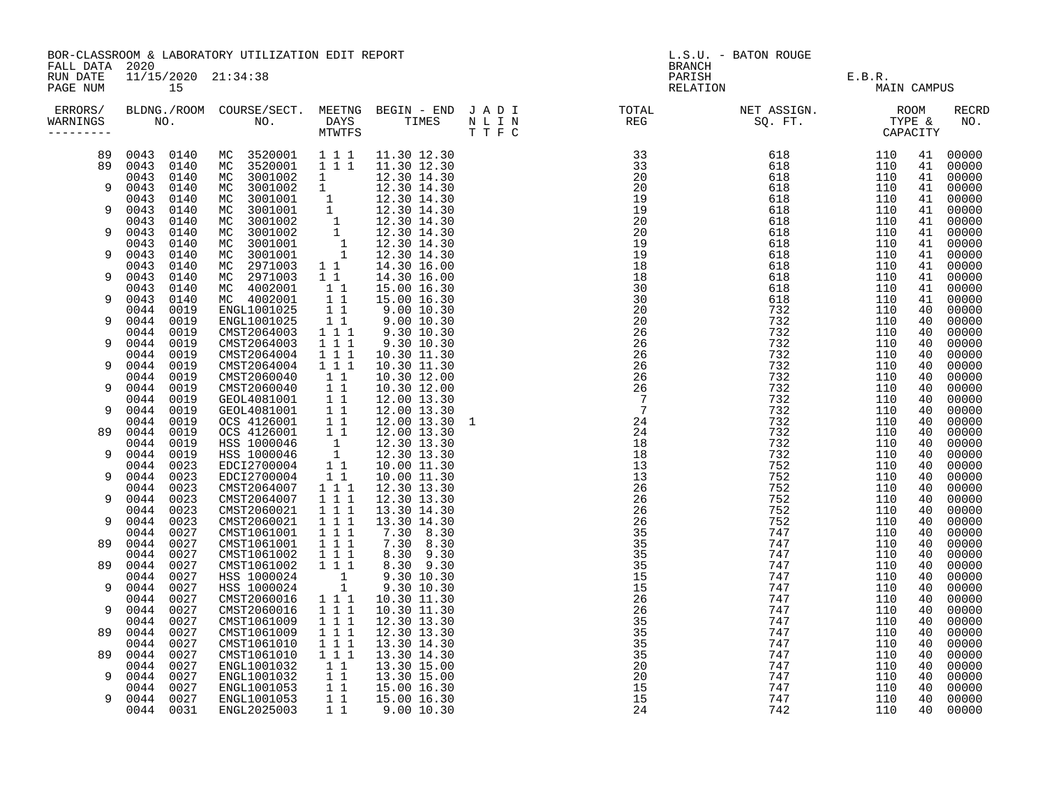| RUN DATE<br>11/15/2020 21:34:38<br>PARISH<br>$\mathbf{r} = \mathbf{r} \times \mathbf{r}$<br>E.B.R.<br>PAGE NUM<br>15<br>RELATION<br>MAIN CAMPUS<br>ERRORS/<br>RECRD<br>NO.<br>WARNINGS<br>MC 3520001 111<br>0043 0140<br>11.30 12.30<br>110<br>41<br>00000<br>89<br>$\overline{1}$ $\overline{1}$ $\overline{1}$<br>89<br>0043 0140<br>MC 3520001<br>11.30 12.30<br>110<br>41<br>00000<br>MC 3001002<br>0043<br>0140<br>$\mathbf{1}$<br>12.30 14.30<br>110<br>00000<br>41<br>MC 3001002 1 12.30 14.30<br>MC 3001001 1 12.30 14.30<br>MC 3001001 1 12.30 14.30<br>MC 3001001 1 12.30 14.30<br>MC 3001002 1 12.30 14.30<br>MC 3001002 1 12.30 14.30<br>MC 3001001 1 12.30 14.30<br>MC 2971003 1 12.30 14.30<br>MC 2971003 1 1<br>0043<br>9<br>0140<br>110<br>00000<br>41<br>0043<br>0140<br>00000<br>110<br>41<br>0043<br>9<br>0140<br>110<br>00000<br>41<br>110<br>0043<br>0140<br>00000<br>41<br>0043<br>9<br>0140<br>110<br>41<br>00000<br>110<br>00000<br>0043<br>0140<br>41<br>0043<br>9<br>0140<br>110<br>41<br>00000<br>0043<br>0140<br>110<br>00000<br>41<br>$\begin{array}{cccc} 1&1&14.30&16.00\ 1&1&14.30&16.00\ 1&1&15.00&16.30\ 1&1&5.00&16.30\ 1&9.00&10.30\ 1&1&9.00&10.30\ 1&1&1&9.30&10.30\ \end{array}$<br>0043<br>MC 2971003<br>9<br>0140<br>110<br>41<br>00000<br>MC 4002001<br>110<br>00000<br>0043<br>0140<br>41<br>MC 4002001<br>9<br>0043<br>0140<br>00000<br>110<br>41<br>ENGL1001025<br>0044<br>0019<br>110<br>00000<br>40<br>0044<br>ENGL1001025<br>0019<br>110<br>00000<br>9<br>40<br>0019<br>CMST2064003<br>0044<br>110<br>00000<br>40<br>$1 \quad 1 \quad 1$<br>9<br>0044<br>0019<br>CMST2064003<br>9.30 10.30<br>00000<br>110<br>40<br>0044<br>0019<br>CMST2064004<br>1 1 1<br>10.30 11.30<br>110<br>40<br>00000<br>0044<br>$1 1 1$<br>0019<br>CMST2064004<br>10.30 11.30<br>110<br>40<br>00000<br>9<br>0019<br>CMST2060040<br>11<br>10.30 12.00<br>0044<br>110<br>00000<br>40<br>$\overline{1}$ $\overline{1}$<br>0044<br>0019<br>CMST2060040<br>10.30 12.00<br>00000<br>9<br>110<br>40<br>0044<br>0019<br>GEOL4081001<br>$\begin{array}{cc} 1 & 1 \\ 1 & 1 \end{array}$<br>12.00 13.30<br>110<br>40<br>00000<br>0044<br>0019<br>GEOL4081001<br>12.00 13.30<br>110<br>00000<br>9<br>40<br>$\begin{array}{c} 1 \\ 1 \\ 1 \end{array}$<br>0019<br>OCS 4126001<br>12.00 13.30 1<br>0044<br>110<br>40<br>00000<br>0044<br>0019<br>OCS 4126001<br>89<br>12.00 13.30<br>110<br>00000<br>40<br>$\begin{bmatrix} 1 \\ 1 \\ 1 \end{bmatrix}$<br>0044<br>0019<br>HSS 1000046<br>12.30 13.30<br>110<br>40<br>00000<br>0044<br>HSS 1000046<br>12.30 13.30<br>0019<br>110<br>40<br>00000<br>9<br>EDCI2700004<br>0044<br>0023<br>10.00 11.30<br>110<br>40<br>00000<br>11<br>0044<br>0023<br>EDCI2700004<br>CMST2064007<br>CMST2064007<br>9<br>10.00 11.30<br>110<br>40<br>00000<br>$1^{\overline{1}}1^{\overline{1}}$<br>0044<br>0023<br>12.30 13.30<br>110<br>40<br>00000<br>$1\overline{1}$ $1\overline{1}$<br>0044<br>0023<br>9<br>12.30 13.30<br>110<br>00000<br>40<br>0023<br>1 1 1<br>0044<br>CMST2060021<br>13.30 14.30<br>110<br>40<br>00000<br>0023<br>CMST2060021<br>$1 1 1$<br>0044<br>13.30 14.30<br>00000<br>9<br>110<br>40<br>$\begin{array}{rrrr} & 1 & 1 & 1 \\ & 1 & 1 & 1 \end{array}$<br>0044<br>0027<br>CMST1061001<br>7.30 8.30<br>110<br>00000<br>40<br>CMST1061001<br>0027<br>7.30 8.30<br>0044<br>110<br>00000<br>89<br>40<br>1 1 1<br>0044<br>0027<br>CMST1061002<br>8.30 9.30<br>110<br>40<br>00000<br>CMST1061002<br>$1 1 1$<br>0044<br>0027<br>8.30 9.30<br>00000<br>89<br>110<br>40<br>HSS 1000024<br>$\begin{bmatrix} 1 \\ 1 \end{bmatrix}$<br>0044<br>0027<br>9.30 10.30<br>110<br>00000<br>40<br>HSS 1000024<br>9.30 10.30<br>0044<br>0027<br>110<br>00000<br>9<br>40<br>$1 1 1$<br>10.30 11.30<br>0044<br>0027<br>CMST2060016<br>110<br>40<br>00000<br>$1$ 1 1<br>0044<br>0027<br>CMST2060016<br>10.30 11.30<br>110<br>00000<br>9<br>40<br>CMST1061009<br>CMST1061009<br>$1 1 1$<br>0044<br>0027<br>12.30 13.30<br>110<br>40<br>00000<br>$1$ 1 1<br>0044<br>0027<br>12.30 13.30<br>110<br>00000<br>89<br>40<br>$1 1 1$<br>0027<br>CMST1061010<br>0044<br>13.30 14.30<br>110<br>40<br>00000<br>CMST1061010<br>$1$ 1 1<br>89<br>0044<br>0027<br>13.30 14.30<br>110<br>00000<br>40<br>0027<br>ENGL1001032<br>11<br>0044<br>13.30 15.00<br>110<br>40<br>00000<br>0027<br>ENGL1001032 1 1<br>ENGL1001053 1 1<br>0044<br>13.30 15.00<br>110<br>00000<br>9<br>40<br>0027<br>15.00 16.30<br>0044<br>110<br>40<br>00000<br>$1\quad1$<br>0044<br>0027<br>ENGL1001053<br>15.00 16.30<br>110<br>40<br>00000<br>9<br>ENGL2025003<br>$1\quad1$<br>00000<br>0044 0031<br>9.00 10.30<br>110<br>40 | FALL DATA 2020 | BOR-CLASSROOM & LABORATORY UTILIZATION EDIT REPORT |  | L.S.U. - BATON ROUGE<br><b>BRANCH</b> |  |  |  |  |  |
|------------------------------------------------------------------------------------------------------------------------------------------------------------------------------------------------------------------------------------------------------------------------------------------------------------------------------------------------------------------------------------------------------------------------------------------------------------------------------------------------------------------------------------------------------------------------------------------------------------------------------------------------------------------------------------------------------------------------------------------------------------------------------------------------------------------------------------------------------------------------------------------------------------------------------------------------------------------------------------------------------------------------------------------------------------------------------------------------------------------------------------------------------------------------------------------------------------------------------------------------------------------------------------------------------------------------------------------------------------------------------------------------------------------------------------------------------------------------------------------------------------------------------------------------------------------------------------------------------------------------------------------------------------------------------------------------------------------------------------------------------------------------------------------------------------------------------------------------------------------------------------------------------------------------------------------------------------------------------------------------------------------------------------------------------------------------------------------------------------------------------------------------------------------------------------------------------------------------------------------------------------------------------------------------------------------------------------------------------------------------------------------------------------------------------------------------------------------------------------------------------------------------------------------------------------------------------------------------------------------------------------------------------------------------------------------------------------------------------------------------------------------------------------------------------------------------------------------------------------------------------------------------------------------------------------------------------------------------------------------------------------------------------------------------------------------------------------------------------------------------------------------------------------------------------------------------------------------------------------------------------------------------------------------------------------------------------------------------------------------------------------------------------------------------------------------------------------------------------------------------------------------------------------------------------------------------------------------------------------------------------------------------------------------------------------------------------------------------------------------------------------------------------------------------------------------------------------------------------------------------------------------------------------------------------------------------------------------------------------------------------------------------------------------------------------------------------------------------------------------------------------------------------------------------------------------------------------------------------------------------------------------------------------------------------------------------------------------------------------------------------------------------------------------------------------------------------------------------------------------------------------------------------------------------------------------------------------------------------------------------------------|----------------|----------------------------------------------------|--|---------------------------------------|--|--|--|--|--|
|                                                                                                                                                                                                                                                                                                                                                                                                                                                                                                                                                                                                                                                                                                                                                                                                                                                                                                                                                                                                                                                                                                                                                                                                                                                                                                                                                                                                                                                                                                                                                                                                                                                                                                                                                                                                                                                                                                                                                                                                                                                                                                                                                                                                                                                                                                                                                                                                                                                                                                                                                                                                                                                                                                                                                                                                                                                                                                                                                                                                                                                                                                                                                                                                                                                                                                                                                                                                                                                                                                                                                                                                                                                                                                                                                                                                                                                                                                                                                                                                                                                                                                                                                                                                                                                                                                                                                                                                                                                                                                                                                                                                                                    |                |                                                    |  |                                       |  |  |  |  |  |
|                                                                                                                                                                                                                                                                                                                                                                                                                                                                                                                                                                                                                                                                                                                                                                                                                                                                                                                                                                                                                                                                                                                                                                                                                                                                                                                                                                                                                                                                                                                                                                                                                                                                                                                                                                                                                                                                                                                                                                                                                                                                                                                                                                                                                                                                                                                                                                                                                                                                                                                                                                                                                                                                                                                                                                                                                                                                                                                                                                                                                                                                                                                                                                                                                                                                                                                                                                                                                                                                                                                                                                                                                                                                                                                                                                                                                                                                                                                                                                                                                                                                                                                                                                                                                                                                                                                                                                                                                                                                                                                                                                                                                                    |                |                                                    |  |                                       |  |  |  |  |  |
|                                                                                                                                                                                                                                                                                                                                                                                                                                                                                                                                                                                                                                                                                                                                                                                                                                                                                                                                                                                                                                                                                                                                                                                                                                                                                                                                                                                                                                                                                                                                                                                                                                                                                                                                                                                                                                                                                                                                                                                                                                                                                                                                                                                                                                                                                                                                                                                                                                                                                                                                                                                                                                                                                                                                                                                                                                                                                                                                                                                                                                                                                                                                                                                                                                                                                                                                                                                                                                                                                                                                                                                                                                                                                                                                                                                                                                                                                                                                                                                                                                                                                                                                                                                                                                                                                                                                                                                                                                                                                                                                                                                                                                    |                |                                                    |  |                                       |  |  |  |  |  |
|                                                                                                                                                                                                                                                                                                                                                                                                                                                                                                                                                                                                                                                                                                                                                                                                                                                                                                                                                                                                                                                                                                                                                                                                                                                                                                                                                                                                                                                                                                                                                                                                                                                                                                                                                                                                                                                                                                                                                                                                                                                                                                                                                                                                                                                                                                                                                                                                                                                                                                                                                                                                                                                                                                                                                                                                                                                                                                                                                                                                                                                                                                                                                                                                                                                                                                                                                                                                                                                                                                                                                                                                                                                                                                                                                                                                                                                                                                                                                                                                                                                                                                                                                                                                                                                                                                                                                                                                                                                                                                                                                                                                                                    |                |                                                    |  |                                       |  |  |  |  |  |
|                                                                                                                                                                                                                                                                                                                                                                                                                                                                                                                                                                                                                                                                                                                                                                                                                                                                                                                                                                                                                                                                                                                                                                                                                                                                                                                                                                                                                                                                                                                                                                                                                                                                                                                                                                                                                                                                                                                                                                                                                                                                                                                                                                                                                                                                                                                                                                                                                                                                                                                                                                                                                                                                                                                                                                                                                                                                                                                                                                                                                                                                                                                                                                                                                                                                                                                                                                                                                                                                                                                                                                                                                                                                                                                                                                                                                                                                                                                                                                                                                                                                                                                                                                                                                                                                                                                                                                                                                                                                                                                                                                                                                                    |                |                                                    |  |                                       |  |  |  |  |  |
|                                                                                                                                                                                                                                                                                                                                                                                                                                                                                                                                                                                                                                                                                                                                                                                                                                                                                                                                                                                                                                                                                                                                                                                                                                                                                                                                                                                                                                                                                                                                                                                                                                                                                                                                                                                                                                                                                                                                                                                                                                                                                                                                                                                                                                                                                                                                                                                                                                                                                                                                                                                                                                                                                                                                                                                                                                                                                                                                                                                                                                                                                                                                                                                                                                                                                                                                                                                                                                                                                                                                                                                                                                                                                                                                                                                                                                                                                                                                                                                                                                                                                                                                                                                                                                                                                                                                                                                                                                                                                                                                                                                                                                    |                |                                                    |  |                                       |  |  |  |  |  |
|                                                                                                                                                                                                                                                                                                                                                                                                                                                                                                                                                                                                                                                                                                                                                                                                                                                                                                                                                                                                                                                                                                                                                                                                                                                                                                                                                                                                                                                                                                                                                                                                                                                                                                                                                                                                                                                                                                                                                                                                                                                                                                                                                                                                                                                                                                                                                                                                                                                                                                                                                                                                                                                                                                                                                                                                                                                                                                                                                                                                                                                                                                                                                                                                                                                                                                                                                                                                                                                                                                                                                                                                                                                                                                                                                                                                                                                                                                                                                                                                                                                                                                                                                                                                                                                                                                                                                                                                                                                                                                                                                                                                                                    |                |                                                    |  |                                       |  |  |  |  |  |
|                                                                                                                                                                                                                                                                                                                                                                                                                                                                                                                                                                                                                                                                                                                                                                                                                                                                                                                                                                                                                                                                                                                                                                                                                                                                                                                                                                                                                                                                                                                                                                                                                                                                                                                                                                                                                                                                                                                                                                                                                                                                                                                                                                                                                                                                                                                                                                                                                                                                                                                                                                                                                                                                                                                                                                                                                                                                                                                                                                                                                                                                                                                                                                                                                                                                                                                                                                                                                                                                                                                                                                                                                                                                                                                                                                                                                                                                                                                                                                                                                                                                                                                                                                                                                                                                                                                                                                                                                                                                                                                                                                                                                                    |                |                                                    |  |                                       |  |  |  |  |  |
|                                                                                                                                                                                                                                                                                                                                                                                                                                                                                                                                                                                                                                                                                                                                                                                                                                                                                                                                                                                                                                                                                                                                                                                                                                                                                                                                                                                                                                                                                                                                                                                                                                                                                                                                                                                                                                                                                                                                                                                                                                                                                                                                                                                                                                                                                                                                                                                                                                                                                                                                                                                                                                                                                                                                                                                                                                                                                                                                                                                                                                                                                                                                                                                                                                                                                                                                                                                                                                                                                                                                                                                                                                                                                                                                                                                                                                                                                                                                                                                                                                                                                                                                                                                                                                                                                                                                                                                                                                                                                                                                                                                                                                    |                |                                                    |  |                                       |  |  |  |  |  |
|                                                                                                                                                                                                                                                                                                                                                                                                                                                                                                                                                                                                                                                                                                                                                                                                                                                                                                                                                                                                                                                                                                                                                                                                                                                                                                                                                                                                                                                                                                                                                                                                                                                                                                                                                                                                                                                                                                                                                                                                                                                                                                                                                                                                                                                                                                                                                                                                                                                                                                                                                                                                                                                                                                                                                                                                                                                                                                                                                                                                                                                                                                                                                                                                                                                                                                                                                                                                                                                                                                                                                                                                                                                                                                                                                                                                                                                                                                                                                                                                                                                                                                                                                                                                                                                                                                                                                                                                                                                                                                                                                                                                                                    |                |                                                    |  |                                       |  |  |  |  |  |
|                                                                                                                                                                                                                                                                                                                                                                                                                                                                                                                                                                                                                                                                                                                                                                                                                                                                                                                                                                                                                                                                                                                                                                                                                                                                                                                                                                                                                                                                                                                                                                                                                                                                                                                                                                                                                                                                                                                                                                                                                                                                                                                                                                                                                                                                                                                                                                                                                                                                                                                                                                                                                                                                                                                                                                                                                                                                                                                                                                                                                                                                                                                                                                                                                                                                                                                                                                                                                                                                                                                                                                                                                                                                                                                                                                                                                                                                                                                                                                                                                                                                                                                                                                                                                                                                                                                                                                                                                                                                                                                                                                                                                                    |                |                                                    |  |                                       |  |  |  |  |  |
|                                                                                                                                                                                                                                                                                                                                                                                                                                                                                                                                                                                                                                                                                                                                                                                                                                                                                                                                                                                                                                                                                                                                                                                                                                                                                                                                                                                                                                                                                                                                                                                                                                                                                                                                                                                                                                                                                                                                                                                                                                                                                                                                                                                                                                                                                                                                                                                                                                                                                                                                                                                                                                                                                                                                                                                                                                                                                                                                                                                                                                                                                                                                                                                                                                                                                                                                                                                                                                                                                                                                                                                                                                                                                                                                                                                                                                                                                                                                                                                                                                                                                                                                                                                                                                                                                                                                                                                                                                                                                                                                                                                                                                    |                |                                                    |  |                                       |  |  |  |  |  |
|                                                                                                                                                                                                                                                                                                                                                                                                                                                                                                                                                                                                                                                                                                                                                                                                                                                                                                                                                                                                                                                                                                                                                                                                                                                                                                                                                                                                                                                                                                                                                                                                                                                                                                                                                                                                                                                                                                                                                                                                                                                                                                                                                                                                                                                                                                                                                                                                                                                                                                                                                                                                                                                                                                                                                                                                                                                                                                                                                                                                                                                                                                                                                                                                                                                                                                                                                                                                                                                                                                                                                                                                                                                                                                                                                                                                                                                                                                                                                                                                                                                                                                                                                                                                                                                                                                                                                                                                                                                                                                                                                                                                                                    |                |                                                    |  |                                       |  |  |  |  |  |
|                                                                                                                                                                                                                                                                                                                                                                                                                                                                                                                                                                                                                                                                                                                                                                                                                                                                                                                                                                                                                                                                                                                                                                                                                                                                                                                                                                                                                                                                                                                                                                                                                                                                                                                                                                                                                                                                                                                                                                                                                                                                                                                                                                                                                                                                                                                                                                                                                                                                                                                                                                                                                                                                                                                                                                                                                                                                                                                                                                                                                                                                                                                                                                                                                                                                                                                                                                                                                                                                                                                                                                                                                                                                                                                                                                                                                                                                                                                                                                                                                                                                                                                                                                                                                                                                                                                                                                                                                                                                                                                                                                                                                                    |                |                                                    |  |                                       |  |  |  |  |  |
|                                                                                                                                                                                                                                                                                                                                                                                                                                                                                                                                                                                                                                                                                                                                                                                                                                                                                                                                                                                                                                                                                                                                                                                                                                                                                                                                                                                                                                                                                                                                                                                                                                                                                                                                                                                                                                                                                                                                                                                                                                                                                                                                                                                                                                                                                                                                                                                                                                                                                                                                                                                                                                                                                                                                                                                                                                                                                                                                                                                                                                                                                                                                                                                                                                                                                                                                                                                                                                                                                                                                                                                                                                                                                                                                                                                                                                                                                                                                                                                                                                                                                                                                                                                                                                                                                                                                                                                                                                                                                                                                                                                                                                    |                |                                                    |  |                                       |  |  |  |  |  |
|                                                                                                                                                                                                                                                                                                                                                                                                                                                                                                                                                                                                                                                                                                                                                                                                                                                                                                                                                                                                                                                                                                                                                                                                                                                                                                                                                                                                                                                                                                                                                                                                                                                                                                                                                                                                                                                                                                                                                                                                                                                                                                                                                                                                                                                                                                                                                                                                                                                                                                                                                                                                                                                                                                                                                                                                                                                                                                                                                                                                                                                                                                                                                                                                                                                                                                                                                                                                                                                                                                                                                                                                                                                                                                                                                                                                                                                                                                                                                                                                                                                                                                                                                                                                                                                                                                                                                                                                                                                                                                                                                                                                                                    |                |                                                    |  |                                       |  |  |  |  |  |
|                                                                                                                                                                                                                                                                                                                                                                                                                                                                                                                                                                                                                                                                                                                                                                                                                                                                                                                                                                                                                                                                                                                                                                                                                                                                                                                                                                                                                                                                                                                                                                                                                                                                                                                                                                                                                                                                                                                                                                                                                                                                                                                                                                                                                                                                                                                                                                                                                                                                                                                                                                                                                                                                                                                                                                                                                                                                                                                                                                                                                                                                                                                                                                                                                                                                                                                                                                                                                                                                                                                                                                                                                                                                                                                                                                                                                                                                                                                                                                                                                                                                                                                                                                                                                                                                                                                                                                                                                                                                                                                                                                                                                                    |                |                                                    |  |                                       |  |  |  |  |  |
|                                                                                                                                                                                                                                                                                                                                                                                                                                                                                                                                                                                                                                                                                                                                                                                                                                                                                                                                                                                                                                                                                                                                                                                                                                                                                                                                                                                                                                                                                                                                                                                                                                                                                                                                                                                                                                                                                                                                                                                                                                                                                                                                                                                                                                                                                                                                                                                                                                                                                                                                                                                                                                                                                                                                                                                                                                                                                                                                                                                                                                                                                                                                                                                                                                                                                                                                                                                                                                                                                                                                                                                                                                                                                                                                                                                                                                                                                                                                                                                                                                                                                                                                                                                                                                                                                                                                                                                                                                                                                                                                                                                                                                    |                |                                                    |  |                                       |  |  |  |  |  |
|                                                                                                                                                                                                                                                                                                                                                                                                                                                                                                                                                                                                                                                                                                                                                                                                                                                                                                                                                                                                                                                                                                                                                                                                                                                                                                                                                                                                                                                                                                                                                                                                                                                                                                                                                                                                                                                                                                                                                                                                                                                                                                                                                                                                                                                                                                                                                                                                                                                                                                                                                                                                                                                                                                                                                                                                                                                                                                                                                                                                                                                                                                                                                                                                                                                                                                                                                                                                                                                                                                                                                                                                                                                                                                                                                                                                                                                                                                                                                                                                                                                                                                                                                                                                                                                                                                                                                                                                                                                                                                                                                                                                                                    |                |                                                    |  |                                       |  |  |  |  |  |
|                                                                                                                                                                                                                                                                                                                                                                                                                                                                                                                                                                                                                                                                                                                                                                                                                                                                                                                                                                                                                                                                                                                                                                                                                                                                                                                                                                                                                                                                                                                                                                                                                                                                                                                                                                                                                                                                                                                                                                                                                                                                                                                                                                                                                                                                                                                                                                                                                                                                                                                                                                                                                                                                                                                                                                                                                                                                                                                                                                                                                                                                                                                                                                                                                                                                                                                                                                                                                                                                                                                                                                                                                                                                                                                                                                                                                                                                                                                                                                                                                                                                                                                                                                                                                                                                                                                                                                                                                                                                                                                                                                                                                                    |                |                                                    |  |                                       |  |  |  |  |  |
|                                                                                                                                                                                                                                                                                                                                                                                                                                                                                                                                                                                                                                                                                                                                                                                                                                                                                                                                                                                                                                                                                                                                                                                                                                                                                                                                                                                                                                                                                                                                                                                                                                                                                                                                                                                                                                                                                                                                                                                                                                                                                                                                                                                                                                                                                                                                                                                                                                                                                                                                                                                                                                                                                                                                                                                                                                                                                                                                                                                                                                                                                                                                                                                                                                                                                                                                                                                                                                                                                                                                                                                                                                                                                                                                                                                                                                                                                                                                                                                                                                                                                                                                                                                                                                                                                                                                                                                                                                                                                                                                                                                                                                    |                |                                                    |  |                                       |  |  |  |  |  |
|                                                                                                                                                                                                                                                                                                                                                                                                                                                                                                                                                                                                                                                                                                                                                                                                                                                                                                                                                                                                                                                                                                                                                                                                                                                                                                                                                                                                                                                                                                                                                                                                                                                                                                                                                                                                                                                                                                                                                                                                                                                                                                                                                                                                                                                                                                                                                                                                                                                                                                                                                                                                                                                                                                                                                                                                                                                                                                                                                                                                                                                                                                                                                                                                                                                                                                                                                                                                                                                                                                                                                                                                                                                                                                                                                                                                                                                                                                                                                                                                                                                                                                                                                                                                                                                                                                                                                                                                                                                                                                                                                                                                                                    |                |                                                    |  |                                       |  |  |  |  |  |
|                                                                                                                                                                                                                                                                                                                                                                                                                                                                                                                                                                                                                                                                                                                                                                                                                                                                                                                                                                                                                                                                                                                                                                                                                                                                                                                                                                                                                                                                                                                                                                                                                                                                                                                                                                                                                                                                                                                                                                                                                                                                                                                                                                                                                                                                                                                                                                                                                                                                                                                                                                                                                                                                                                                                                                                                                                                                                                                                                                                                                                                                                                                                                                                                                                                                                                                                                                                                                                                                                                                                                                                                                                                                                                                                                                                                                                                                                                                                                                                                                                                                                                                                                                                                                                                                                                                                                                                                                                                                                                                                                                                                                                    |                |                                                    |  |                                       |  |  |  |  |  |
|                                                                                                                                                                                                                                                                                                                                                                                                                                                                                                                                                                                                                                                                                                                                                                                                                                                                                                                                                                                                                                                                                                                                                                                                                                                                                                                                                                                                                                                                                                                                                                                                                                                                                                                                                                                                                                                                                                                                                                                                                                                                                                                                                                                                                                                                                                                                                                                                                                                                                                                                                                                                                                                                                                                                                                                                                                                                                                                                                                                                                                                                                                                                                                                                                                                                                                                                                                                                                                                                                                                                                                                                                                                                                                                                                                                                                                                                                                                                                                                                                                                                                                                                                                                                                                                                                                                                                                                                                                                                                                                                                                                                                                    |                |                                                    |  |                                       |  |  |  |  |  |
|                                                                                                                                                                                                                                                                                                                                                                                                                                                                                                                                                                                                                                                                                                                                                                                                                                                                                                                                                                                                                                                                                                                                                                                                                                                                                                                                                                                                                                                                                                                                                                                                                                                                                                                                                                                                                                                                                                                                                                                                                                                                                                                                                                                                                                                                                                                                                                                                                                                                                                                                                                                                                                                                                                                                                                                                                                                                                                                                                                                                                                                                                                                                                                                                                                                                                                                                                                                                                                                                                                                                                                                                                                                                                                                                                                                                                                                                                                                                                                                                                                                                                                                                                                                                                                                                                                                                                                                                                                                                                                                                                                                                                                    |                |                                                    |  |                                       |  |  |  |  |  |
|                                                                                                                                                                                                                                                                                                                                                                                                                                                                                                                                                                                                                                                                                                                                                                                                                                                                                                                                                                                                                                                                                                                                                                                                                                                                                                                                                                                                                                                                                                                                                                                                                                                                                                                                                                                                                                                                                                                                                                                                                                                                                                                                                                                                                                                                                                                                                                                                                                                                                                                                                                                                                                                                                                                                                                                                                                                                                                                                                                                                                                                                                                                                                                                                                                                                                                                                                                                                                                                                                                                                                                                                                                                                                                                                                                                                                                                                                                                                                                                                                                                                                                                                                                                                                                                                                                                                                                                                                                                                                                                                                                                                                                    |                |                                                    |  |                                       |  |  |  |  |  |
|                                                                                                                                                                                                                                                                                                                                                                                                                                                                                                                                                                                                                                                                                                                                                                                                                                                                                                                                                                                                                                                                                                                                                                                                                                                                                                                                                                                                                                                                                                                                                                                                                                                                                                                                                                                                                                                                                                                                                                                                                                                                                                                                                                                                                                                                                                                                                                                                                                                                                                                                                                                                                                                                                                                                                                                                                                                                                                                                                                                                                                                                                                                                                                                                                                                                                                                                                                                                                                                                                                                                                                                                                                                                                                                                                                                                                                                                                                                                                                                                                                                                                                                                                                                                                                                                                                                                                                                                                                                                                                                                                                                                                                    |                |                                                    |  |                                       |  |  |  |  |  |
|                                                                                                                                                                                                                                                                                                                                                                                                                                                                                                                                                                                                                                                                                                                                                                                                                                                                                                                                                                                                                                                                                                                                                                                                                                                                                                                                                                                                                                                                                                                                                                                                                                                                                                                                                                                                                                                                                                                                                                                                                                                                                                                                                                                                                                                                                                                                                                                                                                                                                                                                                                                                                                                                                                                                                                                                                                                                                                                                                                                                                                                                                                                                                                                                                                                                                                                                                                                                                                                                                                                                                                                                                                                                                                                                                                                                                                                                                                                                                                                                                                                                                                                                                                                                                                                                                                                                                                                                                                                                                                                                                                                                                                    |                |                                                    |  |                                       |  |  |  |  |  |
|                                                                                                                                                                                                                                                                                                                                                                                                                                                                                                                                                                                                                                                                                                                                                                                                                                                                                                                                                                                                                                                                                                                                                                                                                                                                                                                                                                                                                                                                                                                                                                                                                                                                                                                                                                                                                                                                                                                                                                                                                                                                                                                                                                                                                                                                                                                                                                                                                                                                                                                                                                                                                                                                                                                                                                                                                                                                                                                                                                                                                                                                                                                                                                                                                                                                                                                                                                                                                                                                                                                                                                                                                                                                                                                                                                                                                                                                                                                                                                                                                                                                                                                                                                                                                                                                                                                                                                                                                                                                                                                                                                                                                                    |                |                                                    |  |                                       |  |  |  |  |  |
|                                                                                                                                                                                                                                                                                                                                                                                                                                                                                                                                                                                                                                                                                                                                                                                                                                                                                                                                                                                                                                                                                                                                                                                                                                                                                                                                                                                                                                                                                                                                                                                                                                                                                                                                                                                                                                                                                                                                                                                                                                                                                                                                                                                                                                                                                                                                                                                                                                                                                                                                                                                                                                                                                                                                                                                                                                                                                                                                                                                                                                                                                                                                                                                                                                                                                                                                                                                                                                                                                                                                                                                                                                                                                                                                                                                                                                                                                                                                                                                                                                                                                                                                                                                                                                                                                                                                                                                                                                                                                                                                                                                                                                    |                |                                                    |  |                                       |  |  |  |  |  |
|                                                                                                                                                                                                                                                                                                                                                                                                                                                                                                                                                                                                                                                                                                                                                                                                                                                                                                                                                                                                                                                                                                                                                                                                                                                                                                                                                                                                                                                                                                                                                                                                                                                                                                                                                                                                                                                                                                                                                                                                                                                                                                                                                                                                                                                                                                                                                                                                                                                                                                                                                                                                                                                                                                                                                                                                                                                                                                                                                                                                                                                                                                                                                                                                                                                                                                                                                                                                                                                                                                                                                                                                                                                                                                                                                                                                                                                                                                                                                                                                                                                                                                                                                                                                                                                                                                                                                                                                                                                                                                                                                                                                                                    |                |                                                    |  |                                       |  |  |  |  |  |
|                                                                                                                                                                                                                                                                                                                                                                                                                                                                                                                                                                                                                                                                                                                                                                                                                                                                                                                                                                                                                                                                                                                                                                                                                                                                                                                                                                                                                                                                                                                                                                                                                                                                                                                                                                                                                                                                                                                                                                                                                                                                                                                                                                                                                                                                                                                                                                                                                                                                                                                                                                                                                                                                                                                                                                                                                                                                                                                                                                                                                                                                                                                                                                                                                                                                                                                                                                                                                                                                                                                                                                                                                                                                                                                                                                                                                                                                                                                                                                                                                                                                                                                                                                                                                                                                                                                                                                                                                                                                                                                                                                                                                                    |                |                                                    |  |                                       |  |  |  |  |  |
|                                                                                                                                                                                                                                                                                                                                                                                                                                                                                                                                                                                                                                                                                                                                                                                                                                                                                                                                                                                                                                                                                                                                                                                                                                                                                                                                                                                                                                                                                                                                                                                                                                                                                                                                                                                                                                                                                                                                                                                                                                                                                                                                                                                                                                                                                                                                                                                                                                                                                                                                                                                                                                                                                                                                                                                                                                                                                                                                                                                                                                                                                                                                                                                                                                                                                                                                                                                                                                                                                                                                                                                                                                                                                                                                                                                                                                                                                                                                                                                                                                                                                                                                                                                                                                                                                                                                                                                                                                                                                                                                                                                                                                    |                |                                                    |  |                                       |  |  |  |  |  |
|                                                                                                                                                                                                                                                                                                                                                                                                                                                                                                                                                                                                                                                                                                                                                                                                                                                                                                                                                                                                                                                                                                                                                                                                                                                                                                                                                                                                                                                                                                                                                                                                                                                                                                                                                                                                                                                                                                                                                                                                                                                                                                                                                                                                                                                                                                                                                                                                                                                                                                                                                                                                                                                                                                                                                                                                                                                                                                                                                                                                                                                                                                                                                                                                                                                                                                                                                                                                                                                                                                                                                                                                                                                                                                                                                                                                                                                                                                                                                                                                                                                                                                                                                                                                                                                                                                                                                                                                                                                                                                                                                                                                                                    |                |                                                    |  |                                       |  |  |  |  |  |
|                                                                                                                                                                                                                                                                                                                                                                                                                                                                                                                                                                                                                                                                                                                                                                                                                                                                                                                                                                                                                                                                                                                                                                                                                                                                                                                                                                                                                                                                                                                                                                                                                                                                                                                                                                                                                                                                                                                                                                                                                                                                                                                                                                                                                                                                                                                                                                                                                                                                                                                                                                                                                                                                                                                                                                                                                                                                                                                                                                                                                                                                                                                                                                                                                                                                                                                                                                                                                                                                                                                                                                                                                                                                                                                                                                                                                                                                                                                                                                                                                                                                                                                                                                                                                                                                                                                                                                                                                                                                                                                                                                                                                                    |                |                                                    |  |                                       |  |  |  |  |  |
|                                                                                                                                                                                                                                                                                                                                                                                                                                                                                                                                                                                                                                                                                                                                                                                                                                                                                                                                                                                                                                                                                                                                                                                                                                                                                                                                                                                                                                                                                                                                                                                                                                                                                                                                                                                                                                                                                                                                                                                                                                                                                                                                                                                                                                                                                                                                                                                                                                                                                                                                                                                                                                                                                                                                                                                                                                                                                                                                                                                                                                                                                                                                                                                                                                                                                                                                                                                                                                                                                                                                                                                                                                                                                                                                                                                                                                                                                                                                                                                                                                                                                                                                                                                                                                                                                                                                                                                                                                                                                                                                                                                                                                    |                |                                                    |  |                                       |  |  |  |  |  |
|                                                                                                                                                                                                                                                                                                                                                                                                                                                                                                                                                                                                                                                                                                                                                                                                                                                                                                                                                                                                                                                                                                                                                                                                                                                                                                                                                                                                                                                                                                                                                                                                                                                                                                                                                                                                                                                                                                                                                                                                                                                                                                                                                                                                                                                                                                                                                                                                                                                                                                                                                                                                                                                                                                                                                                                                                                                                                                                                                                                                                                                                                                                                                                                                                                                                                                                                                                                                                                                                                                                                                                                                                                                                                                                                                                                                                                                                                                                                                                                                                                                                                                                                                                                                                                                                                                                                                                                                                                                                                                                                                                                                                                    |                |                                                    |  |                                       |  |  |  |  |  |
|                                                                                                                                                                                                                                                                                                                                                                                                                                                                                                                                                                                                                                                                                                                                                                                                                                                                                                                                                                                                                                                                                                                                                                                                                                                                                                                                                                                                                                                                                                                                                                                                                                                                                                                                                                                                                                                                                                                                                                                                                                                                                                                                                                                                                                                                                                                                                                                                                                                                                                                                                                                                                                                                                                                                                                                                                                                                                                                                                                                                                                                                                                                                                                                                                                                                                                                                                                                                                                                                                                                                                                                                                                                                                                                                                                                                                                                                                                                                                                                                                                                                                                                                                                                                                                                                                                                                                                                                                                                                                                                                                                                                                                    |                |                                                    |  |                                       |  |  |  |  |  |
|                                                                                                                                                                                                                                                                                                                                                                                                                                                                                                                                                                                                                                                                                                                                                                                                                                                                                                                                                                                                                                                                                                                                                                                                                                                                                                                                                                                                                                                                                                                                                                                                                                                                                                                                                                                                                                                                                                                                                                                                                                                                                                                                                                                                                                                                                                                                                                                                                                                                                                                                                                                                                                                                                                                                                                                                                                                                                                                                                                                                                                                                                                                                                                                                                                                                                                                                                                                                                                                                                                                                                                                                                                                                                                                                                                                                                                                                                                                                                                                                                                                                                                                                                                                                                                                                                                                                                                                                                                                                                                                                                                                                                                    |                |                                                    |  |                                       |  |  |  |  |  |
|                                                                                                                                                                                                                                                                                                                                                                                                                                                                                                                                                                                                                                                                                                                                                                                                                                                                                                                                                                                                                                                                                                                                                                                                                                                                                                                                                                                                                                                                                                                                                                                                                                                                                                                                                                                                                                                                                                                                                                                                                                                                                                                                                                                                                                                                                                                                                                                                                                                                                                                                                                                                                                                                                                                                                                                                                                                                                                                                                                                                                                                                                                                                                                                                                                                                                                                                                                                                                                                                                                                                                                                                                                                                                                                                                                                                                                                                                                                                                                                                                                                                                                                                                                                                                                                                                                                                                                                                                                                                                                                                                                                                                                    |                |                                                    |  |                                       |  |  |  |  |  |
|                                                                                                                                                                                                                                                                                                                                                                                                                                                                                                                                                                                                                                                                                                                                                                                                                                                                                                                                                                                                                                                                                                                                                                                                                                                                                                                                                                                                                                                                                                                                                                                                                                                                                                                                                                                                                                                                                                                                                                                                                                                                                                                                                                                                                                                                                                                                                                                                                                                                                                                                                                                                                                                                                                                                                                                                                                                                                                                                                                                                                                                                                                                                                                                                                                                                                                                                                                                                                                                                                                                                                                                                                                                                                                                                                                                                                                                                                                                                                                                                                                                                                                                                                                                                                                                                                                                                                                                                                                                                                                                                                                                                                                    |                |                                                    |  |                                       |  |  |  |  |  |
|                                                                                                                                                                                                                                                                                                                                                                                                                                                                                                                                                                                                                                                                                                                                                                                                                                                                                                                                                                                                                                                                                                                                                                                                                                                                                                                                                                                                                                                                                                                                                                                                                                                                                                                                                                                                                                                                                                                                                                                                                                                                                                                                                                                                                                                                                                                                                                                                                                                                                                                                                                                                                                                                                                                                                                                                                                                                                                                                                                                                                                                                                                                                                                                                                                                                                                                                                                                                                                                                                                                                                                                                                                                                                                                                                                                                                                                                                                                                                                                                                                                                                                                                                                                                                                                                                                                                                                                                                                                                                                                                                                                                                                    |                |                                                    |  |                                       |  |  |  |  |  |
|                                                                                                                                                                                                                                                                                                                                                                                                                                                                                                                                                                                                                                                                                                                                                                                                                                                                                                                                                                                                                                                                                                                                                                                                                                                                                                                                                                                                                                                                                                                                                                                                                                                                                                                                                                                                                                                                                                                                                                                                                                                                                                                                                                                                                                                                                                                                                                                                                                                                                                                                                                                                                                                                                                                                                                                                                                                                                                                                                                                                                                                                                                                                                                                                                                                                                                                                                                                                                                                                                                                                                                                                                                                                                                                                                                                                                                                                                                                                                                                                                                                                                                                                                                                                                                                                                                                                                                                                                                                                                                                                                                                                                                    |                |                                                    |  |                                       |  |  |  |  |  |
|                                                                                                                                                                                                                                                                                                                                                                                                                                                                                                                                                                                                                                                                                                                                                                                                                                                                                                                                                                                                                                                                                                                                                                                                                                                                                                                                                                                                                                                                                                                                                                                                                                                                                                                                                                                                                                                                                                                                                                                                                                                                                                                                                                                                                                                                                                                                                                                                                                                                                                                                                                                                                                                                                                                                                                                                                                                                                                                                                                                                                                                                                                                                                                                                                                                                                                                                                                                                                                                                                                                                                                                                                                                                                                                                                                                                                                                                                                                                                                                                                                                                                                                                                                                                                                                                                                                                                                                                                                                                                                                                                                                                                                    |                |                                                    |  |                                       |  |  |  |  |  |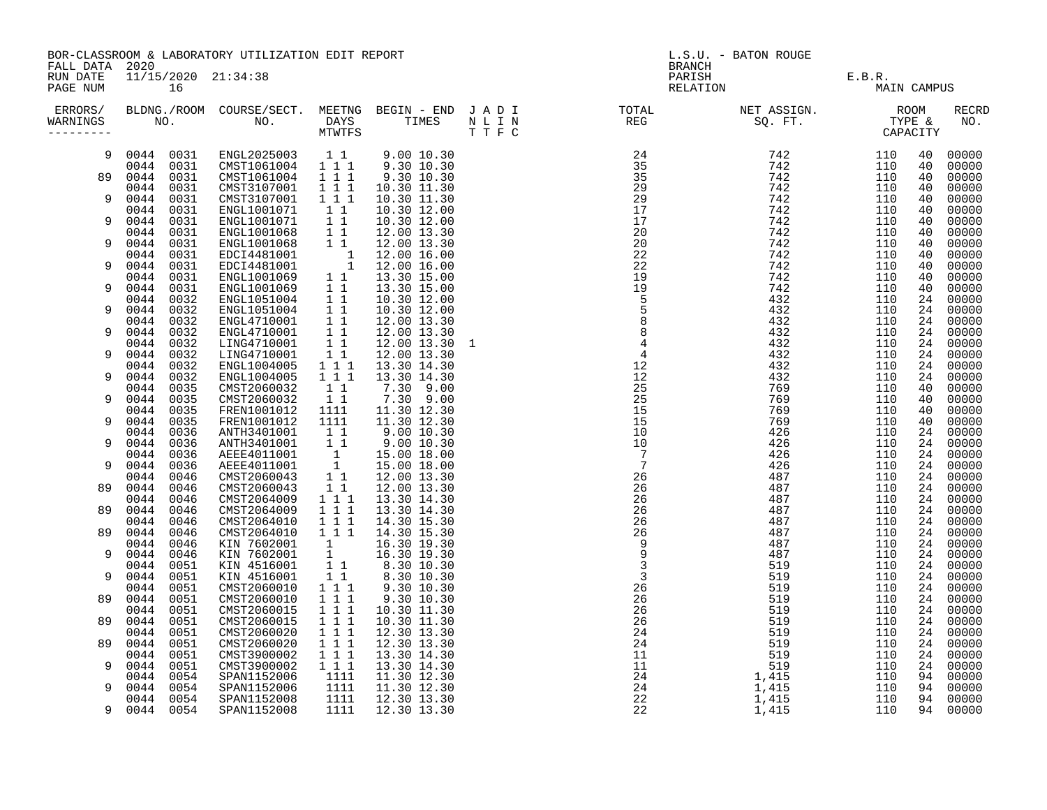| FALL DATA 2020                   |                              | BOR-CLASSROOM & LABORATORY UTILIZATION EDIT REPORT                                                                                                                                                                                           |                                                                                                        |                                                                                                                                                   | <b>BRANCH</b>                                                                                                             | L.S.U. - BATON ROUGE       |             |          |                     |
|----------------------------------|------------------------------|----------------------------------------------------------------------------------------------------------------------------------------------------------------------------------------------------------------------------------------------|--------------------------------------------------------------------------------------------------------|---------------------------------------------------------------------------------------------------------------------------------------------------|---------------------------------------------------------------------------------------------------------------------------|----------------------------|-------------|----------|---------------------|
| RUN DATE<br>PAGE NUM             | 16                           | 11/15/2020 21:34:38                                                                                                                                                                                                                          |                                                                                                        |                                                                                                                                                   |                                                                                                                           | PARISH E.B.R. RELATION MAI | MAIN CAMPUS |          |                     |
| ERRORS/<br>WARNINGS<br>--------- |                              |                                                                                                                                                                                                                                              |                                                                                                        |                                                                                                                                                   | BLDNG./ROOM COURSE/SECT. MEETNG BEGIN – END JADI TOTAL NET ASSIGN. NET ASSIGN. ROOM NO. DAYS TIMES NLIN REG SQ.FT. TYPE & |                            |             |          | <b>RECRD</b><br>NO. |
| 9                                | 0044 0031                    | 0044 0031 ENGL2025003 11 9.00 10.30<br>CMST1061004 1 1 1                                                                                                                                                                                     |                                                                                                        | $9.30$ $10.30$                                                                                                                                    |                                                                                                                           |                            | 110<br>110  | 40<br>40 | 00000<br>00000      |
| 89                               | 0044<br>0031                 | CMST1061004 1 1 1<br>CMST3107001 1 1 1                                                                                                                                                                                                       |                                                                                                        | 9.30 10.30                                                                                                                                        |                                                                                                                           |                            | 110         | 40       | 00000               |
| 9                                | 0044<br>0031<br>0044<br>0031 | CMST3107001                                                                                                                                                                                                                                  | 1 1 1                                                                                                  | 10.30 11.30<br>10.30 11.30                                                                                                                        |                                                                                                                           |                            | 110<br>110  | 40<br>40 | 00000<br>00000      |
| 9                                | 0044<br>0031<br>0044<br>0031 | ENGL1001071<br>ENGL1001071                                                                                                                                                                                                                   | $\begin{array}{c} 1 \overline{1} \\ 1 \overline{1} \end{array}$                                        | 10.30 12.00<br>10.30 12.00                                                                                                                        |                                                                                                                           |                            | 110<br>110  | 40<br>40 | 00000<br>00000      |
| 9                                | 0044<br>0031<br>0044<br>0031 |                                                                                                                                                                                                                                              |                                                                                                        |                                                                                                                                                   |                                                                                                                           |                            | 110<br>110  | 40<br>40 | 00000<br>00000      |
|                                  | 0044<br>0031                 | ENGL1001071 1 1 10.30 12.00<br>ENGL1001068 1 1 12.00 13.30<br>ENGL1001068 1 1 12.00 13.30<br>EDCI4481001 1 12.00 16.00<br>EDCI4481001 1 12.00 16.00<br>ENGL1001069 1 1 13.30 15.00<br>ENGL1051004 1 1 10.30 12.00<br>ENGL1051004 1 1 10.30 1 |                                                                                                        |                                                                                                                                                   |                                                                                                                           |                            | 110         | 40       | 00000               |
| 9                                | 0044<br>0031<br>0044<br>0031 |                                                                                                                                                                                                                                              |                                                                                                        |                                                                                                                                                   |                                                                                                                           |                            | 110<br>110  | 40<br>40 | 00000<br>00000      |
| 9                                | 0044<br>0031<br>0044<br>0032 |                                                                                                                                                                                                                                              |                                                                                                        |                                                                                                                                                   |                                                                                                                           |                            | 110<br>110  | 40<br>24 | 00000<br>00000      |
| 9                                | 0044<br>0032<br>0044         |                                                                                                                                                                                                                                              |                                                                                                        |                                                                                                                                                   |                                                                                                                           |                            | 110         | 24<br>24 | 00000               |
| 9                                | 0032<br>0044<br>0032         |                                                                                                                                                                                                                                              |                                                                                                        | 12.00 13.30                                                                                                                                       |                                                                                                                           |                            | 110<br>110  | 24       | 00000<br>00000      |
| 9                                | 0044<br>0032<br>0044<br>0032 | ENGL4710001 1 1<br>LING4710001 1 1<br>LING4710001 1 1<br>LING4710001                                                                                                                                                                         |                                                                                                        | 12.00 13.30 1<br>12.00 13.30                                                                                                                      |                                                                                                                           |                            | 110<br>110  | 24<br>24 | 00000<br>00000      |
| 9                                | 0044<br>0032<br>0044<br>0032 | ENGL1004005<br>ENGL1004005                                                                                                                                                                                                                   | $\begin{smallmatrix}&&1\\1&1&1\\1&1&1\end{smallmatrix}$                                                | 13.30 14.30<br>13.30 14.30                                                                                                                        |                                                                                                                           |                            | 110<br>110  | 24<br>24 | 00000<br>00000      |
|                                  | 0044<br>0035                 | CMST2060032                                                                                                                                                                                                                                  | 11                                                                                                     | 7.30 9.00                                                                                                                                         |                                                                                                                           |                            | 110         | 40       | 00000               |
| 9                                | 0044<br>0035<br>0044<br>0035 | CMST2060032<br>FREN1001012                                                                                                                                                                                                                   | 11<br>1111                                                                                             | 7.30 9.00<br>11.30 12.30                                                                                                                          |                                                                                                                           |                            | 110<br>110  | 40<br>40 | 00000<br>00000      |
| 9                                | 0044<br>0035<br>0044<br>0036 | FREN1001012<br>ANTH3401001                                                                                                                                                                                                                   | 1111<br>$1\quad1$                                                                                      | 11.30 12.30<br>9.00 10.30                                                                                                                         |                                                                                                                           |                            | 110<br>110  | 40<br>24 | 00000<br>00000      |
| 9                                | 0044<br>0036                 | ANTH3401001                                                                                                                                                                                                                                  |                                                                                                        | $\begin{array}{cccc} 1&1&9.00&10.30\ 1&1&9.00&10.30\ 1&15.00&18.00\ 1&15.00&18.00\ 1&1&2.00&13.30\ 1&1&12.00&13.30\ 1&1&13.30&14.30\ \end{array}$ |                                                                                                                           |                            | 110         | 24       | 00000               |
| 9                                | 0044<br>0036<br>0044<br>0036 | AEEE4011001<br>AEEE4011001                                                                                                                                                                                                                   |                                                                                                        |                                                                                                                                                   |                                                                                                                           |                            | 110<br>110  | 24<br>24 | 00000<br>00000      |
| 89                               | 0046<br>0044<br>0044<br>0046 | CMST2060043<br>CMST2060043                                                                                                                                                                                                                   |                                                                                                        |                                                                                                                                                   |                                                                                                                           |                            | 110<br>110  | 24<br>24 | 00000<br>00000      |
| 89                               | 0044<br>0046<br>0044<br>0046 | CMST2064009<br>CMST2064009                                                                                                                                                                                                                   | $\overline{1}$ $\overline{1}$ $\overline{1}$                                                           | 13.30 14.30                                                                                                                                       |                                                                                                                           |                            | 110<br>110  | 24<br>24 | 00000<br>00000      |
|                                  | 0044<br>0046                 | CMST2064010                                                                                                                                                                                                                                  | 1 1 1                                                                                                  | 14.30 15.30                                                                                                                                       |                                                                                                                           |                            | 110         | 24       | 00000               |
| 89                               | 0044<br>0046<br>0044<br>0046 | CMST2064010                                                                                                                                                                                                                                  | $1\quad 1\quad 1$                                                                                      | 14.30 15.30                                                                                                                                       |                                                                                                                           |                            | 110<br>110  | 24<br>24 | 00000<br>00000      |
| 9                                | 0044<br>0046<br>0044<br>0051 | KIN 7602001 1 16.30 19.30<br>KIN 7602001 1 16.30 19.30                                                                                                                                                                                       |                                                                                                        |                                                                                                                                                   |                                                                                                                           |                            | 110<br>110  | 24<br>24 | 00000<br>00000      |
| 9                                | 0044<br>0051                 | XIN 4516001 1 1 8.30 10.30<br>XIN 4516001 1 1 8.30 10.30<br>XIN 4516001 1 1 8.30 10.30                                                                                                                                                       |                                                                                                        |                                                                                                                                                   |                                                                                                                           |                            | 110         | 24       | 00000               |
| 89                               | 0044<br>0051<br>0044<br>0051 | CMST2060010<br>CMST2060010                                                                                                                                                                                                                   | $1 1 1$<br>$\begin{array}{cccc}\n\overline{1} & \overline{1} & \overline{1} \\ 1 & 1 & 1\n\end{array}$ | 9.30 10.30<br>9.30 10.30                                                                                                                          |                                                                                                                           |                            | 110<br>110  | 24<br>24 | 00000<br>00000      |
| 89                               | 0044<br>0051<br>0044<br>0051 | CMST2060015<br>CMST2060015                                                                                                                                                                                                                   |                                                                                                        | 10.30 11.30<br>10.30 11.30                                                                                                                        |                                                                                                                           |                            | 110<br>110  | 24<br>24 | 00000<br>00000      |
| 89                               | 0044<br>0051<br>0044<br>0051 | CMST2060020<br>CMST2060020                                                                                                                                                                                                                   | $\begin{smallmatrix}1&1&1\\1&1&1\end{smallmatrix}$<br>$1\ 1\ 1$                                        | 12.30 13.30<br>12.30 13.30                                                                                                                        |                                                                                                                           |                            | 110<br>110  | 24<br>24 | 00000<br>00000      |
|                                  | 0044<br>0051                 | CMST3900002                                                                                                                                                                                                                                  | $1 1 1$                                                                                                | 13.30 14.30                                                                                                                                       |                                                                                                                           |                            | 110         | 24       | 00000               |
| 9                                | 0044<br>0051<br>0054<br>0044 | CMST3900002<br>SPAN1152006                                                                                                                                                                                                                   | $1$ 1 1<br>1111                                                                                        | 13.30 14.30<br>11.30 12.30                                                                                                                        |                                                                                                                           |                            | 110<br>110  | 24<br>94 | 00000<br>00000      |
| 9                                | 0044<br>0054<br>0054<br>0044 | SPAN1152006<br>SPAN1152008                                                                                                                                                                                                                   | 1111<br>1111                                                                                           | 11.30 12.30<br>12.30 13.30                                                                                                                        |                                                                                                                           |                            | 110<br>110  | 94<br>94 | 00000<br>00000      |
| 9                                | 0044 0054                    | SPAN1152008                                                                                                                                                                                                                                  | 1111                                                                                                   | 12.30 13.30                                                                                                                                       |                                                                                                                           |                            | 110         |          | 94 00000            |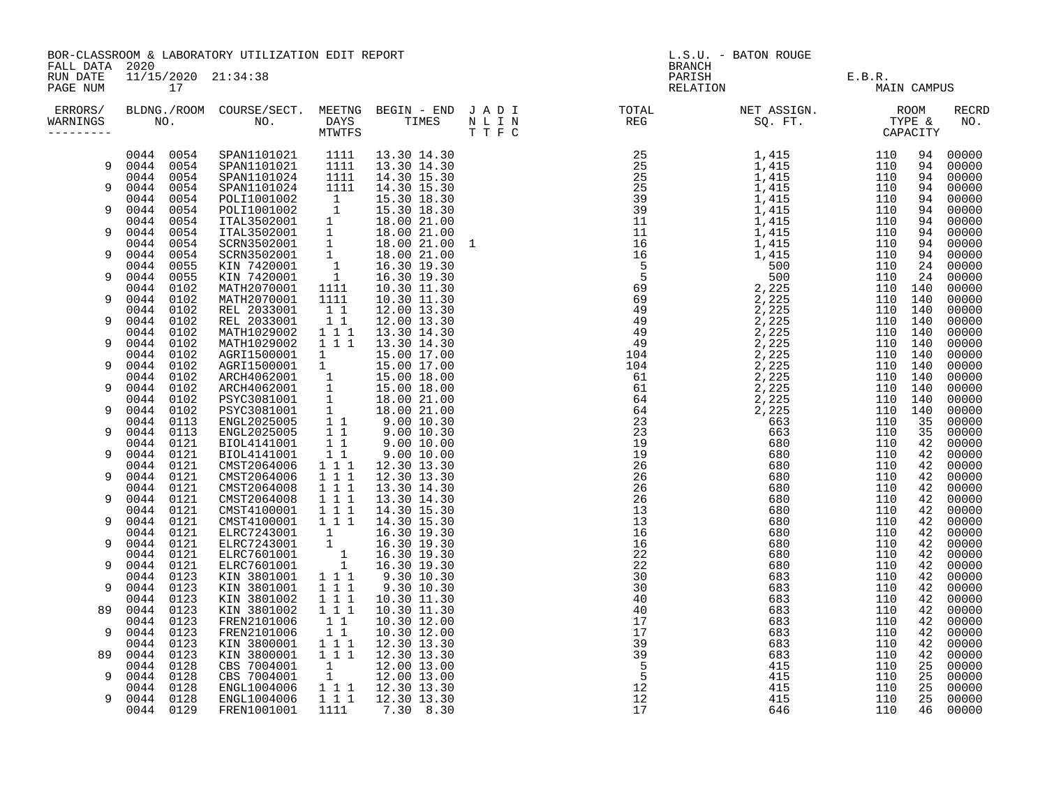| RUN DATE<br>11/15/2020 21:34:38<br>PARISH E.B.R.<br>RELATION MAI<br>PAGE NUM<br>17<br>MAIN CAMPUS<br>ERRORS/ BLDNG./ROOM COURSE/SECT. MEETNG BEGIN – END JADI (TOTAL (NET ASSIGN. ) ROOM (ROOM ) NET ASSIGN. (ROOM<br>VARNINGS NO. NO. DAYS TIMES NLIN (REG ) SQ.FT. TYPE & MINITFS (THE STYPE ) (THE STYPE ) (THE STYPE ) (THE STYPE<br>RECRD<br>NO.<br>WARNINGS<br>0044 0054<br>SPAN1101021 1111 13.30 14.30<br>SPAN1101021 1111 13.30 14.30<br>SPAN1101024 1111 14.30 15.30<br>00000<br>94<br>9 0044 0054<br>94<br>00000<br>0044 0054<br>94<br>00000<br>0044 0054<br>SPAN1101024 1111 14.30 15.30<br>SPAN1101024 1111 14.30 15.30<br>POLI1001002 1 15.30 18.30<br>POLI1001002 1 15.30 18.30<br>TAL3502001 1 18.00 21.00<br>SCRN3502001 1 18.00 21.00<br>SCRN3502001 1 18.00 21.00<br>SCRN3502001 1 18.00 21.00<br>N<br>9<br>94<br>00000<br>0044 0054<br>00000<br>94<br>0044 0054<br>9<br>00000<br>94<br>0044 0054<br>94<br>00000<br>0044 0054<br>94<br>9<br>00000<br>0044 0054<br>00000<br>94<br>0044 0054<br>9<br>94<br>00000<br>0044 0055<br>24<br>00000<br>0044 0055<br>24<br>00000<br>9<br>10.30 11.30<br>0044 0102<br>MATH2070001<br>1111<br>110 140<br>00000<br>110 140<br>9<br>0044 0102<br>MATH2070001<br>1111<br>10.30 11.30<br>00000<br>0044 0102<br>REL 2033001<br>11<br>12.00 13.30<br>110 140<br>00000<br>REL 2033001<br>$1\quad1$<br>0044 0102<br>12.00 13.30<br>110 140<br>00000<br>9<br>0044 0102<br>MATH1029002<br>$1\quad1\quad1$<br>13.30 14.30<br>110 140<br>00000<br>$1 1 1$<br>0044 0102<br>MATH1029002<br>13.30 14.30<br>110 140<br>00000<br>9<br>MATH1029002 1 1 1 13.30 14.30<br>AGRI1500001 1 15.00 17.00<br>AGRI1500001 1 15.00 17.00<br>ARCH4062001 1 15.00 18.00<br>ARCH4062001 1 15.00 18.00<br>PSYC3081001 1 18.00 21.00<br>PSYC3081001 1 18.00 21.00<br>PSYC3081001 1 9.00 10.30<br>ENG<br>0044 0102<br>110 140<br>00000<br>0044 0102<br>110 140<br>00000<br>9<br>0044 0102<br>110 140<br>00000<br>0044 0102<br>110 140<br>00000<br>9<br>0044 0102<br>110 140<br>00000<br>0044 0102<br>110 140<br>00000<br>9<br>0044 0113<br>35<br>00000<br>0044 0113<br>9<br>35<br>00000<br>0044 0121<br>42<br>00000<br>$\begin{array}{cccc} 1 & 1 & 9.00 & 10.00 \\ 1 & 1 & 12.30 & 13.30 \end{array}$<br>0044 0121<br>42<br>00000<br>9<br>CMST2064006<br>0044 0121<br>42<br>00000<br>$\begin{array}{cccc}\n\overline{1} & \overline{1} & \overline{1} \\ 1 & 1 & 1\n\end{array}$<br>0044 0121<br>9<br>CMST2064006<br>12.30 13.30<br>42<br>00000<br>0044 0121<br>CMST2064008<br>13.30 14.30<br>42<br>00000<br>$\overline{1}$ $\overline{1}$ $1$<br>CMST2064008<br>0044 0121<br>13.30 14.30<br>42<br>00000<br>9<br>CMST4100001 111<br>CMST4100001 111<br>0044 0121<br>14.30 15.30<br>42<br>00000<br>14.30 15.30<br>0044 0121<br>42<br>00000<br>9<br>0044 0121<br>ELRC7243001<br>$1$<br>$16.30$<br>$19.30$<br>$1$<br>$16.30$<br>$19.30$<br>$1$<br>$16.30$<br>$19.30$<br>42<br>00000<br>0044 0121<br>ELRC7243001<br>42<br>00000<br>9<br>0044 0121<br>ELRC7601001<br>00000<br>42<br>0044 0121<br>ELRC7601001<br>00000<br>9<br>42<br>0044 0123<br>1 1 1<br>KIN 3801001<br>9.30 10.30<br>42<br>00000<br>KIN 3801001<br>$1 1 1$<br>0044 0123<br>9.30 10.30<br>9<br>42<br>00000<br>1 1 1<br>0044 0123<br>KIN 3801002<br>10.30 11.30<br>42<br>00000<br>$1 1 1$<br>0044 0123<br>KIN 3801002<br>00000<br>89<br>10.30 11.30<br>42<br>$1\quad1$<br>0044 0123<br>FREN2101006<br>10.30 12.00<br>42<br>00000<br>$1\quad1$<br>0044 0123<br>FREN2101006<br>9<br>10.30 12.00<br>42<br>00000<br>1 1 1 1 12.30 13.30<br>0044 0123<br>KIN 3800001<br>42<br>00000<br>KIN 3800001<br>1 1 1 1 1 2 . 30 1 3 . 30<br>0044 0123<br>00000<br>89<br>42<br>CBS 7004001<br>0044 0128<br>1<br>12.00 13.00<br>00000<br>25<br>$\frac{1}{2}$<br>0044 0128<br>CBS 7004001<br>12.00 13.00<br>25<br>00000<br>9<br>0044 0128<br>ENGL1004006<br>25<br>00000<br>ENGL1004006<br>0044 0128<br>25<br>00000<br>9<br>0044 0129<br>FREN1001001<br>1111<br>46<br>00000<br>7.30 8.30 | FALL DATA 2020 | BOR-CLASSROOM & LABORATORY UTILIZATION EDIT REPORT |  |  |  |  | L.S.U. - BATON ROUGE<br><b>BRANCH</b> |  |  |  |  |  |
|---------------------------------------------------------------------------------------------------------------------------------------------------------------------------------------------------------------------------------------------------------------------------------------------------------------------------------------------------------------------------------------------------------------------------------------------------------------------------------------------------------------------------------------------------------------------------------------------------------------------------------------------------------------------------------------------------------------------------------------------------------------------------------------------------------------------------------------------------------------------------------------------------------------------------------------------------------------------------------------------------------------------------------------------------------------------------------------------------------------------------------------------------------------------------------------------------------------------------------------------------------------------------------------------------------------------------------------------------------------------------------------------------------------------------------------------------------------------------------------------------------------------------------------------------------------------------------------------------------------------------------------------------------------------------------------------------------------------------------------------------------------------------------------------------------------------------------------------------------------------------------------------------------------------------------------------------------------------------------------------------------------------------------------------------------------------------------------------------------------------------------------------------------------------------------------------------------------------------------------------------------------------------------------------------------------------------------------------------------------------------------------------------------------------------------------------------------------------------------------------------------------------------------------------------------------------------------------------------------------------------------------------------------------------------------------------------------------------------------------------------------------------------------------------------------------------------------------------------------------------------------------------------------------------------------------------------------------------------------------------------------------------------------------------------------------------------------------------------------------------------------------------------------------------------------------------------------------------------------------------------------------------------------------------------------------------------------------------------------------------------------------------------------------------------------------------------------------------------------------------------------------------------------------------------------------------------------------------------------------------------------------------------------------------------------------------------------------------------------------------------------------------------------------------------------------------------------------------------------------------------------------------------------------------------------------------------------|----------------|----------------------------------------------------|--|--|--|--|---------------------------------------|--|--|--|--|--|
|                                                                                                                                                                                                                                                                                                                                                                                                                                                                                                                                                                                                                                                                                                                                                                                                                                                                                                                                                                                                                                                                                                                                                                                                                                                                                                                                                                                                                                                                                                                                                                                                                                                                                                                                                                                                                                                                                                                                                                                                                                                                                                                                                                                                                                                                                                                                                                                                                                                                                                                                                                                                                                                                                                                                                                                                                                                                                                                                                                                                                                                                                                                                                                                                                                                                                                                                                                                                                                                                                                                                                                                                                                                                                                                                                                                                                                                                                                                                                         |                |                                                    |  |  |  |  |                                       |  |  |  |  |  |
|                                                                                                                                                                                                                                                                                                                                                                                                                                                                                                                                                                                                                                                                                                                                                                                                                                                                                                                                                                                                                                                                                                                                                                                                                                                                                                                                                                                                                                                                                                                                                                                                                                                                                                                                                                                                                                                                                                                                                                                                                                                                                                                                                                                                                                                                                                                                                                                                                                                                                                                                                                                                                                                                                                                                                                                                                                                                                                                                                                                                                                                                                                                                                                                                                                                                                                                                                                                                                                                                                                                                                                                                                                                                                                                                                                                                                                                                                                                                                         |                |                                                    |  |  |  |  |                                       |  |  |  |  |  |
|                                                                                                                                                                                                                                                                                                                                                                                                                                                                                                                                                                                                                                                                                                                                                                                                                                                                                                                                                                                                                                                                                                                                                                                                                                                                                                                                                                                                                                                                                                                                                                                                                                                                                                                                                                                                                                                                                                                                                                                                                                                                                                                                                                                                                                                                                                                                                                                                                                                                                                                                                                                                                                                                                                                                                                                                                                                                                                                                                                                                                                                                                                                                                                                                                                                                                                                                                                                                                                                                                                                                                                                                                                                                                                                                                                                                                                                                                                                                                         |                |                                                    |  |  |  |  |                                       |  |  |  |  |  |
|                                                                                                                                                                                                                                                                                                                                                                                                                                                                                                                                                                                                                                                                                                                                                                                                                                                                                                                                                                                                                                                                                                                                                                                                                                                                                                                                                                                                                                                                                                                                                                                                                                                                                                                                                                                                                                                                                                                                                                                                                                                                                                                                                                                                                                                                                                                                                                                                                                                                                                                                                                                                                                                                                                                                                                                                                                                                                                                                                                                                                                                                                                                                                                                                                                                                                                                                                                                                                                                                                                                                                                                                                                                                                                                                                                                                                                                                                                                                                         |                |                                                    |  |  |  |  |                                       |  |  |  |  |  |
|                                                                                                                                                                                                                                                                                                                                                                                                                                                                                                                                                                                                                                                                                                                                                                                                                                                                                                                                                                                                                                                                                                                                                                                                                                                                                                                                                                                                                                                                                                                                                                                                                                                                                                                                                                                                                                                                                                                                                                                                                                                                                                                                                                                                                                                                                                                                                                                                                                                                                                                                                                                                                                                                                                                                                                                                                                                                                                                                                                                                                                                                                                                                                                                                                                                                                                                                                                                                                                                                                                                                                                                                                                                                                                                                                                                                                                                                                                                                                         |                |                                                    |  |  |  |  |                                       |  |  |  |  |  |
|                                                                                                                                                                                                                                                                                                                                                                                                                                                                                                                                                                                                                                                                                                                                                                                                                                                                                                                                                                                                                                                                                                                                                                                                                                                                                                                                                                                                                                                                                                                                                                                                                                                                                                                                                                                                                                                                                                                                                                                                                                                                                                                                                                                                                                                                                                                                                                                                                                                                                                                                                                                                                                                                                                                                                                                                                                                                                                                                                                                                                                                                                                                                                                                                                                                                                                                                                                                                                                                                                                                                                                                                                                                                                                                                                                                                                                                                                                                                                         |                |                                                    |  |  |  |  |                                       |  |  |  |  |  |
|                                                                                                                                                                                                                                                                                                                                                                                                                                                                                                                                                                                                                                                                                                                                                                                                                                                                                                                                                                                                                                                                                                                                                                                                                                                                                                                                                                                                                                                                                                                                                                                                                                                                                                                                                                                                                                                                                                                                                                                                                                                                                                                                                                                                                                                                                                                                                                                                                                                                                                                                                                                                                                                                                                                                                                                                                                                                                                                                                                                                                                                                                                                                                                                                                                                                                                                                                                                                                                                                                                                                                                                                                                                                                                                                                                                                                                                                                                                                                         |                |                                                    |  |  |  |  |                                       |  |  |  |  |  |
|                                                                                                                                                                                                                                                                                                                                                                                                                                                                                                                                                                                                                                                                                                                                                                                                                                                                                                                                                                                                                                                                                                                                                                                                                                                                                                                                                                                                                                                                                                                                                                                                                                                                                                                                                                                                                                                                                                                                                                                                                                                                                                                                                                                                                                                                                                                                                                                                                                                                                                                                                                                                                                                                                                                                                                                                                                                                                                                                                                                                                                                                                                                                                                                                                                                                                                                                                                                                                                                                                                                                                                                                                                                                                                                                                                                                                                                                                                                                                         |                |                                                    |  |  |  |  |                                       |  |  |  |  |  |
|                                                                                                                                                                                                                                                                                                                                                                                                                                                                                                                                                                                                                                                                                                                                                                                                                                                                                                                                                                                                                                                                                                                                                                                                                                                                                                                                                                                                                                                                                                                                                                                                                                                                                                                                                                                                                                                                                                                                                                                                                                                                                                                                                                                                                                                                                                                                                                                                                                                                                                                                                                                                                                                                                                                                                                                                                                                                                                                                                                                                                                                                                                                                                                                                                                                                                                                                                                                                                                                                                                                                                                                                                                                                                                                                                                                                                                                                                                                                                         |                |                                                    |  |  |  |  |                                       |  |  |  |  |  |
|                                                                                                                                                                                                                                                                                                                                                                                                                                                                                                                                                                                                                                                                                                                                                                                                                                                                                                                                                                                                                                                                                                                                                                                                                                                                                                                                                                                                                                                                                                                                                                                                                                                                                                                                                                                                                                                                                                                                                                                                                                                                                                                                                                                                                                                                                                                                                                                                                                                                                                                                                                                                                                                                                                                                                                                                                                                                                                                                                                                                                                                                                                                                                                                                                                                                                                                                                                                                                                                                                                                                                                                                                                                                                                                                                                                                                                                                                                                                                         |                |                                                    |  |  |  |  |                                       |  |  |  |  |  |
|                                                                                                                                                                                                                                                                                                                                                                                                                                                                                                                                                                                                                                                                                                                                                                                                                                                                                                                                                                                                                                                                                                                                                                                                                                                                                                                                                                                                                                                                                                                                                                                                                                                                                                                                                                                                                                                                                                                                                                                                                                                                                                                                                                                                                                                                                                                                                                                                                                                                                                                                                                                                                                                                                                                                                                                                                                                                                                                                                                                                                                                                                                                                                                                                                                                                                                                                                                                                                                                                                                                                                                                                                                                                                                                                                                                                                                                                                                                                                         |                |                                                    |  |  |  |  |                                       |  |  |  |  |  |
|                                                                                                                                                                                                                                                                                                                                                                                                                                                                                                                                                                                                                                                                                                                                                                                                                                                                                                                                                                                                                                                                                                                                                                                                                                                                                                                                                                                                                                                                                                                                                                                                                                                                                                                                                                                                                                                                                                                                                                                                                                                                                                                                                                                                                                                                                                                                                                                                                                                                                                                                                                                                                                                                                                                                                                                                                                                                                                                                                                                                                                                                                                                                                                                                                                                                                                                                                                                                                                                                                                                                                                                                                                                                                                                                                                                                                                                                                                                                                         |                |                                                    |  |  |  |  |                                       |  |  |  |  |  |
|                                                                                                                                                                                                                                                                                                                                                                                                                                                                                                                                                                                                                                                                                                                                                                                                                                                                                                                                                                                                                                                                                                                                                                                                                                                                                                                                                                                                                                                                                                                                                                                                                                                                                                                                                                                                                                                                                                                                                                                                                                                                                                                                                                                                                                                                                                                                                                                                                                                                                                                                                                                                                                                                                                                                                                                                                                                                                                                                                                                                                                                                                                                                                                                                                                                                                                                                                                                                                                                                                                                                                                                                                                                                                                                                                                                                                                                                                                                                                         |                |                                                    |  |  |  |  |                                       |  |  |  |  |  |
|                                                                                                                                                                                                                                                                                                                                                                                                                                                                                                                                                                                                                                                                                                                                                                                                                                                                                                                                                                                                                                                                                                                                                                                                                                                                                                                                                                                                                                                                                                                                                                                                                                                                                                                                                                                                                                                                                                                                                                                                                                                                                                                                                                                                                                                                                                                                                                                                                                                                                                                                                                                                                                                                                                                                                                                                                                                                                                                                                                                                                                                                                                                                                                                                                                                                                                                                                                                                                                                                                                                                                                                                                                                                                                                                                                                                                                                                                                                                                         |                |                                                    |  |  |  |  |                                       |  |  |  |  |  |
|                                                                                                                                                                                                                                                                                                                                                                                                                                                                                                                                                                                                                                                                                                                                                                                                                                                                                                                                                                                                                                                                                                                                                                                                                                                                                                                                                                                                                                                                                                                                                                                                                                                                                                                                                                                                                                                                                                                                                                                                                                                                                                                                                                                                                                                                                                                                                                                                                                                                                                                                                                                                                                                                                                                                                                                                                                                                                                                                                                                                                                                                                                                                                                                                                                                                                                                                                                                                                                                                                                                                                                                                                                                                                                                                                                                                                                                                                                                                                         |                |                                                    |  |  |  |  |                                       |  |  |  |  |  |
|                                                                                                                                                                                                                                                                                                                                                                                                                                                                                                                                                                                                                                                                                                                                                                                                                                                                                                                                                                                                                                                                                                                                                                                                                                                                                                                                                                                                                                                                                                                                                                                                                                                                                                                                                                                                                                                                                                                                                                                                                                                                                                                                                                                                                                                                                                                                                                                                                                                                                                                                                                                                                                                                                                                                                                                                                                                                                                                                                                                                                                                                                                                                                                                                                                                                                                                                                                                                                                                                                                                                                                                                                                                                                                                                                                                                                                                                                                                                                         |                |                                                    |  |  |  |  |                                       |  |  |  |  |  |
|                                                                                                                                                                                                                                                                                                                                                                                                                                                                                                                                                                                                                                                                                                                                                                                                                                                                                                                                                                                                                                                                                                                                                                                                                                                                                                                                                                                                                                                                                                                                                                                                                                                                                                                                                                                                                                                                                                                                                                                                                                                                                                                                                                                                                                                                                                                                                                                                                                                                                                                                                                                                                                                                                                                                                                                                                                                                                                                                                                                                                                                                                                                                                                                                                                                                                                                                                                                                                                                                                                                                                                                                                                                                                                                                                                                                                                                                                                                                                         |                |                                                    |  |  |  |  |                                       |  |  |  |  |  |
|                                                                                                                                                                                                                                                                                                                                                                                                                                                                                                                                                                                                                                                                                                                                                                                                                                                                                                                                                                                                                                                                                                                                                                                                                                                                                                                                                                                                                                                                                                                                                                                                                                                                                                                                                                                                                                                                                                                                                                                                                                                                                                                                                                                                                                                                                                                                                                                                                                                                                                                                                                                                                                                                                                                                                                                                                                                                                                                                                                                                                                                                                                                                                                                                                                                                                                                                                                                                                                                                                                                                                                                                                                                                                                                                                                                                                                                                                                                                                         |                |                                                    |  |  |  |  |                                       |  |  |  |  |  |
|                                                                                                                                                                                                                                                                                                                                                                                                                                                                                                                                                                                                                                                                                                                                                                                                                                                                                                                                                                                                                                                                                                                                                                                                                                                                                                                                                                                                                                                                                                                                                                                                                                                                                                                                                                                                                                                                                                                                                                                                                                                                                                                                                                                                                                                                                                                                                                                                                                                                                                                                                                                                                                                                                                                                                                                                                                                                                                                                                                                                                                                                                                                                                                                                                                                                                                                                                                                                                                                                                                                                                                                                                                                                                                                                                                                                                                                                                                                                                         |                |                                                    |  |  |  |  |                                       |  |  |  |  |  |
|                                                                                                                                                                                                                                                                                                                                                                                                                                                                                                                                                                                                                                                                                                                                                                                                                                                                                                                                                                                                                                                                                                                                                                                                                                                                                                                                                                                                                                                                                                                                                                                                                                                                                                                                                                                                                                                                                                                                                                                                                                                                                                                                                                                                                                                                                                                                                                                                                                                                                                                                                                                                                                                                                                                                                                                                                                                                                                                                                                                                                                                                                                                                                                                                                                                                                                                                                                                                                                                                                                                                                                                                                                                                                                                                                                                                                                                                                                                                                         |                |                                                    |  |  |  |  |                                       |  |  |  |  |  |
|                                                                                                                                                                                                                                                                                                                                                                                                                                                                                                                                                                                                                                                                                                                                                                                                                                                                                                                                                                                                                                                                                                                                                                                                                                                                                                                                                                                                                                                                                                                                                                                                                                                                                                                                                                                                                                                                                                                                                                                                                                                                                                                                                                                                                                                                                                                                                                                                                                                                                                                                                                                                                                                                                                                                                                                                                                                                                                                                                                                                                                                                                                                                                                                                                                                                                                                                                                                                                                                                                                                                                                                                                                                                                                                                                                                                                                                                                                                                                         |                |                                                    |  |  |  |  |                                       |  |  |  |  |  |
|                                                                                                                                                                                                                                                                                                                                                                                                                                                                                                                                                                                                                                                                                                                                                                                                                                                                                                                                                                                                                                                                                                                                                                                                                                                                                                                                                                                                                                                                                                                                                                                                                                                                                                                                                                                                                                                                                                                                                                                                                                                                                                                                                                                                                                                                                                                                                                                                                                                                                                                                                                                                                                                                                                                                                                                                                                                                                                                                                                                                                                                                                                                                                                                                                                                                                                                                                                                                                                                                                                                                                                                                                                                                                                                                                                                                                                                                                                                                                         |                |                                                    |  |  |  |  |                                       |  |  |  |  |  |
|                                                                                                                                                                                                                                                                                                                                                                                                                                                                                                                                                                                                                                                                                                                                                                                                                                                                                                                                                                                                                                                                                                                                                                                                                                                                                                                                                                                                                                                                                                                                                                                                                                                                                                                                                                                                                                                                                                                                                                                                                                                                                                                                                                                                                                                                                                                                                                                                                                                                                                                                                                                                                                                                                                                                                                                                                                                                                                                                                                                                                                                                                                                                                                                                                                                                                                                                                                                                                                                                                                                                                                                                                                                                                                                                                                                                                                                                                                                                                         |                |                                                    |  |  |  |  |                                       |  |  |  |  |  |
|                                                                                                                                                                                                                                                                                                                                                                                                                                                                                                                                                                                                                                                                                                                                                                                                                                                                                                                                                                                                                                                                                                                                                                                                                                                                                                                                                                                                                                                                                                                                                                                                                                                                                                                                                                                                                                                                                                                                                                                                                                                                                                                                                                                                                                                                                                                                                                                                                                                                                                                                                                                                                                                                                                                                                                                                                                                                                                                                                                                                                                                                                                                                                                                                                                                                                                                                                                                                                                                                                                                                                                                                                                                                                                                                                                                                                                                                                                                                                         |                |                                                    |  |  |  |  |                                       |  |  |  |  |  |
|                                                                                                                                                                                                                                                                                                                                                                                                                                                                                                                                                                                                                                                                                                                                                                                                                                                                                                                                                                                                                                                                                                                                                                                                                                                                                                                                                                                                                                                                                                                                                                                                                                                                                                                                                                                                                                                                                                                                                                                                                                                                                                                                                                                                                                                                                                                                                                                                                                                                                                                                                                                                                                                                                                                                                                                                                                                                                                                                                                                                                                                                                                                                                                                                                                                                                                                                                                                                                                                                                                                                                                                                                                                                                                                                                                                                                                                                                                                                                         |                |                                                    |  |  |  |  |                                       |  |  |  |  |  |
|                                                                                                                                                                                                                                                                                                                                                                                                                                                                                                                                                                                                                                                                                                                                                                                                                                                                                                                                                                                                                                                                                                                                                                                                                                                                                                                                                                                                                                                                                                                                                                                                                                                                                                                                                                                                                                                                                                                                                                                                                                                                                                                                                                                                                                                                                                                                                                                                                                                                                                                                                                                                                                                                                                                                                                                                                                                                                                                                                                                                                                                                                                                                                                                                                                                                                                                                                                                                                                                                                                                                                                                                                                                                                                                                                                                                                                                                                                                                                         |                |                                                    |  |  |  |  |                                       |  |  |  |  |  |
|                                                                                                                                                                                                                                                                                                                                                                                                                                                                                                                                                                                                                                                                                                                                                                                                                                                                                                                                                                                                                                                                                                                                                                                                                                                                                                                                                                                                                                                                                                                                                                                                                                                                                                                                                                                                                                                                                                                                                                                                                                                                                                                                                                                                                                                                                                                                                                                                                                                                                                                                                                                                                                                                                                                                                                                                                                                                                                                                                                                                                                                                                                                                                                                                                                                                                                                                                                                                                                                                                                                                                                                                                                                                                                                                                                                                                                                                                                                                                         |                |                                                    |  |  |  |  |                                       |  |  |  |  |  |
|                                                                                                                                                                                                                                                                                                                                                                                                                                                                                                                                                                                                                                                                                                                                                                                                                                                                                                                                                                                                                                                                                                                                                                                                                                                                                                                                                                                                                                                                                                                                                                                                                                                                                                                                                                                                                                                                                                                                                                                                                                                                                                                                                                                                                                                                                                                                                                                                                                                                                                                                                                                                                                                                                                                                                                                                                                                                                                                                                                                                                                                                                                                                                                                                                                                                                                                                                                                                                                                                                                                                                                                                                                                                                                                                                                                                                                                                                                                                                         |                |                                                    |  |  |  |  |                                       |  |  |  |  |  |
|                                                                                                                                                                                                                                                                                                                                                                                                                                                                                                                                                                                                                                                                                                                                                                                                                                                                                                                                                                                                                                                                                                                                                                                                                                                                                                                                                                                                                                                                                                                                                                                                                                                                                                                                                                                                                                                                                                                                                                                                                                                                                                                                                                                                                                                                                                                                                                                                                                                                                                                                                                                                                                                                                                                                                                                                                                                                                                                                                                                                                                                                                                                                                                                                                                                                                                                                                                                                                                                                                                                                                                                                                                                                                                                                                                                                                                                                                                                                                         |                |                                                    |  |  |  |  |                                       |  |  |  |  |  |
|                                                                                                                                                                                                                                                                                                                                                                                                                                                                                                                                                                                                                                                                                                                                                                                                                                                                                                                                                                                                                                                                                                                                                                                                                                                                                                                                                                                                                                                                                                                                                                                                                                                                                                                                                                                                                                                                                                                                                                                                                                                                                                                                                                                                                                                                                                                                                                                                                                                                                                                                                                                                                                                                                                                                                                                                                                                                                                                                                                                                                                                                                                                                                                                                                                                                                                                                                                                                                                                                                                                                                                                                                                                                                                                                                                                                                                                                                                                                                         |                |                                                    |  |  |  |  |                                       |  |  |  |  |  |
|                                                                                                                                                                                                                                                                                                                                                                                                                                                                                                                                                                                                                                                                                                                                                                                                                                                                                                                                                                                                                                                                                                                                                                                                                                                                                                                                                                                                                                                                                                                                                                                                                                                                                                                                                                                                                                                                                                                                                                                                                                                                                                                                                                                                                                                                                                                                                                                                                                                                                                                                                                                                                                                                                                                                                                                                                                                                                                                                                                                                                                                                                                                                                                                                                                                                                                                                                                                                                                                                                                                                                                                                                                                                                                                                                                                                                                                                                                                                                         |                |                                                    |  |  |  |  |                                       |  |  |  |  |  |
|                                                                                                                                                                                                                                                                                                                                                                                                                                                                                                                                                                                                                                                                                                                                                                                                                                                                                                                                                                                                                                                                                                                                                                                                                                                                                                                                                                                                                                                                                                                                                                                                                                                                                                                                                                                                                                                                                                                                                                                                                                                                                                                                                                                                                                                                                                                                                                                                                                                                                                                                                                                                                                                                                                                                                                                                                                                                                                                                                                                                                                                                                                                                                                                                                                                                                                                                                                                                                                                                                                                                                                                                                                                                                                                                                                                                                                                                                                                                                         |                |                                                    |  |  |  |  |                                       |  |  |  |  |  |
|                                                                                                                                                                                                                                                                                                                                                                                                                                                                                                                                                                                                                                                                                                                                                                                                                                                                                                                                                                                                                                                                                                                                                                                                                                                                                                                                                                                                                                                                                                                                                                                                                                                                                                                                                                                                                                                                                                                                                                                                                                                                                                                                                                                                                                                                                                                                                                                                                                                                                                                                                                                                                                                                                                                                                                                                                                                                                                                                                                                                                                                                                                                                                                                                                                                                                                                                                                                                                                                                                                                                                                                                                                                                                                                                                                                                                                                                                                                                                         |                |                                                    |  |  |  |  |                                       |  |  |  |  |  |
|                                                                                                                                                                                                                                                                                                                                                                                                                                                                                                                                                                                                                                                                                                                                                                                                                                                                                                                                                                                                                                                                                                                                                                                                                                                                                                                                                                                                                                                                                                                                                                                                                                                                                                                                                                                                                                                                                                                                                                                                                                                                                                                                                                                                                                                                                                                                                                                                                                                                                                                                                                                                                                                                                                                                                                                                                                                                                                                                                                                                                                                                                                                                                                                                                                                                                                                                                                                                                                                                                                                                                                                                                                                                                                                                                                                                                                                                                                                                                         |                |                                                    |  |  |  |  |                                       |  |  |  |  |  |
|                                                                                                                                                                                                                                                                                                                                                                                                                                                                                                                                                                                                                                                                                                                                                                                                                                                                                                                                                                                                                                                                                                                                                                                                                                                                                                                                                                                                                                                                                                                                                                                                                                                                                                                                                                                                                                                                                                                                                                                                                                                                                                                                                                                                                                                                                                                                                                                                                                                                                                                                                                                                                                                                                                                                                                                                                                                                                                                                                                                                                                                                                                                                                                                                                                                                                                                                                                                                                                                                                                                                                                                                                                                                                                                                                                                                                                                                                                                                                         |                |                                                    |  |  |  |  |                                       |  |  |  |  |  |
|                                                                                                                                                                                                                                                                                                                                                                                                                                                                                                                                                                                                                                                                                                                                                                                                                                                                                                                                                                                                                                                                                                                                                                                                                                                                                                                                                                                                                                                                                                                                                                                                                                                                                                                                                                                                                                                                                                                                                                                                                                                                                                                                                                                                                                                                                                                                                                                                                                                                                                                                                                                                                                                                                                                                                                                                                                                                                                                                                                                                                                                                                                                                                                                                                                                                                                                                                                                                                                                                                                                                                                                                                                                                                                                                                                                                                                                                                                                                                         |                |                                                    |  |  |  |  |                                       |  |  |  |  |  |
|                                                                                                                                                                                                                                                                                                                                                                                                                                                                                                                                                                                                                                                                                                                                                                                                                                                                                                                                                                                                                                                                                                                                                                                                                                                                                                                                                                                                                                                                                                                                                                                                                                                                                                                                                                                                                                                                                                                                                                                                                                                                                                                                                                                                                                                                                                                                                                                                                                                                                                                                                                                                                                                                                                                                                                                                                                                                                                                                                                                                                                                                                                                                                                                                                                                                                                                                                                                                                                                                                                                                                                                                                                                                                                                                                                                                                                                                                                                                                         |                |                                                    |  |  |  |  |                                       |  |  |  |  |  |
|                                                                                                                                                                                                                                                                                                                                                                                                                                                                                                                                                                                                                                                                                                                                                                                                                                                                                                                                                                                                                                                                                                                                                                                                                                                                                                                                                                                                                                                                                                                                                                                                                                                                                                                                                                                                                                                                                                                                                                                                                                                                                                                                                                                                                                                                                                                                                                                                                                                                                                                                                                                                                                                                                                                                                                                                                                                                                                                                                                                                                                                                                                                                                                                                                                                                                                                                                                                                                                                                                                                                                                                                                                                                                                                                                                                                                                                                                                                                                         |                |                                                    |  |  |  |  |                                       |  |  |  |  |  |
|                                                                                                                                                                                                                                                                                                                                                                                                                                                                                                                                                                                                                                                                                                                                                                                                                                                                                                                                                                                                                                                                                                                                                                                                                                                                                                                                                                                                                                                                                                                                                                                                                                                                                                                                                                                                                                                                                                                                                                                                                                                                                                                                                                                                                                                                                                                                                                                                                                                                                                                                                                                                                                                                                                                                                                                                                                                                                                                                                                                                                                                                                                                                                                                                                                                                                                                                                                                                                                                                                                                                                                                                                                                                                                                                                                                                                                                                                                                                                         |                |                                                    |  |  |  |  |                                       |  |  |  |  |  |
|                                                                                                                                                                                                                                                                                                                                                                                                                                                                                                                                                                                                                                                                                                                                                                                                                                                                                                                                                                                                                                                                                                                                                                                                                                                                                                                                                                                                                                                                                                                                                                                                                                                                                                                                                                                                                                                                                                                                                                                                                                                                                                                                                                                                                                                                                                                                                                                                                                                                                                                                                                                                                                                                                                                                                                                                                                                                                                                                                                                                                                                                                                                                                                                                                                                                                                                                                                                                                                                                                                                                                                                                                                                                                                                                                                                                                                                                                                                                                         |                |                                                    |  |  |  |  |                                       |  |  |  |  |  |
|                                                                                                                                                                                                                                                                                                                                                                                                                                                                                                                                                                                                                                                                                                                                                                                                                                                                                                                                                                                                                                                                                                                                                                                                                                                                                                                                                                                                                                                                                                                                                                                                                                                                                                                                                                                                                                                                                                                                                                                                                                                                                                                                                                                                                                                                                                                                                                                                                                                                                                                                                                                                                                                                                                                                                                                                                                                                                                                                                                                                                                                                                                                                                                                                                                                                                                                                                                                                                                                                                                                                                                                                                                                                                                                                                                                                                                                                                                                                                         |                |                                                    |  |  |  |  |                                       |  |  |  |  |  |
|                                                                                                                                                                                                                                                                                                                                                                                                                                                                                                                                                                                                                                                                                                                                                                                                                                                                                                                                                                                                                                                                                                                                                                                                                                                                                                                                                                                                                                                                                                                                                                                                                                                                                                                                                                                                                                                                                                                                                                                                                                                                                                                                                                                                                                                                                                                                                                                                                                                                                                                                                                                                                                                                                                                                                                                                                                                                                                                                                                                                                                                                                                                                                                                                                                                                                                                                                                                                                                                                                                                                                                                                                                                                                                                                                                                                                                                                                                                                                         |                |                                                    |  |  |  |  |                                       |  |  |  |  |  |
|                                                                                                                                                                                                                                                                                                                                                                                                                                                                                                                                                                                                                                                                                                                                                                                                                                                                                                                                                                                                                                                                                                                                                                                                                                                                                                                                                                                                                                                                                                                                                                                                                                                                                                                                                                                                                                                                                                                                                                                                                                                                                                                                                                                                                                                                                                                                                                                                                                                                                                                                                                                                                                                                                                                                                                                                                                                                                                                                                                                                                                                                                                                                                                                                                                                                                                                                                                                                                                                                                                                                                                                                                                                                                                                                                                                                                                                                                                                                                         |                |                                                    |  |  |  |  |                                       |  |  |  |  |  |
|                                                                                                                                                                                                                                                                                                                                                                                                                                                                                                                                                                                                                                                                                                                                                                                                                                                                                                                                                                                                                                                                                                                                                                                                                                                                                                                                                                                                                                                                                                                                                                                                                                                                                                                                                                                                                                                                                                                                                                                                                                                                                                                                                                                                                                                                                                                                                                                                                                                                                                                                                                                                                                                                                                                                                                                                                                                                                                                                                                                                                                                                                                                                                                                                                                                                                                                                                                                                                                                                                                                                                                                                                                                                                                                                                                                                                                                                                                                                                         |                |                                                    |  |  |  |  |                                       |  |  |  |  |  |
|                                                                                                                                                                                                                                                                                                                                                                                                                                                                                                                                                                                                                                                                                                                                                                                                                                                                                                                                                                                                                                                                                                                                                                                                                                                                                                                                                                                                                                                                                                                                                                                                                                                                                                                                                                                                                                                                                                                                                                                                                                                                                                                                                                                                                                                                                                                                                                                                                                                                                                                                                                                                                                                                                                                                                                                                                                                                                                                                                                                                                                                                                                                                                                                                                                                                                                                                                                                                                                                                                                                                                                                                                                                                                                                                                                                                                                                                                                                                                         |                |                                                    |  |  |  |  |                                       |  |  |  |  |  |
|                                                                                                                                                                                                                                                                                                                                                                                                                                                                                                                                                                                                                                                                                                                                                                                                                                                                                                                                                                                                                                                                                                                                                                                                                                                                                                                                                                                                                                                                                                                                                                                                                                                                                                                                                                                                                                                                                                                                                                                                                                                                                                                                                                                                                                                                                                                                                                                                                                                                                                                                                                                                                                                                                                                                                                                                                                                                                                                                                                                                                                                                                                                                                                                                                                                                                                                                                                                                                                                                                                                                                                                                                                                                                                                                                                                                                                                                                                                                                         |                |                                                    |  |  |  |  |                                       |  |  |  |  |  |
|                                                                                                                                                                                                                                                                                                                                                                                                                                                                                                                                                                                                                                                                                                                                                                                                                                                                                                                                                                                                                                                                                                                                                                                                                                                                                                                                                                                                                                                                                                                                                                                                                                                                                                                                                                                                                                                                                                                                                                                                                                                                                                                                                                                                                                                                                                                                                                                                                                                                                                                                                                                                                                                                                                                                                                                                                                                                                                                                                                                                                                                                                                                                                                                                                                                                                                                                                                                                                                                                                                                                                                                                                                                                                                                                                                                                                                                                                                                                                         |                |                                                    |  |  |  |  |                                       |  |  |  |  |  |
|                                                                                                                                                                                                                                                                                                                                                                                                                                                                                                                                                                                                                                                                                                                                                                                                                                                                                                                                                                                                                                                                                                                                                                                                                                                                                                                                                                                                                                                                                                                                                                                                                                                                                                                                                                                                                                                                                                                                                                                                                                                                                                                                                                                                                                                                                                                                                                                                                                                                                                                                                                                                                                                                                                                                                                                                                                                                                                                                                                                                                                                                                                                                                                                                                                                                                                                                                                                                                                                                                                                                                                                                                                                                                                                                                                                                                                                                                                                                                         |                |                                                    |  |  |  |  |                                       |  |  |  |  |  |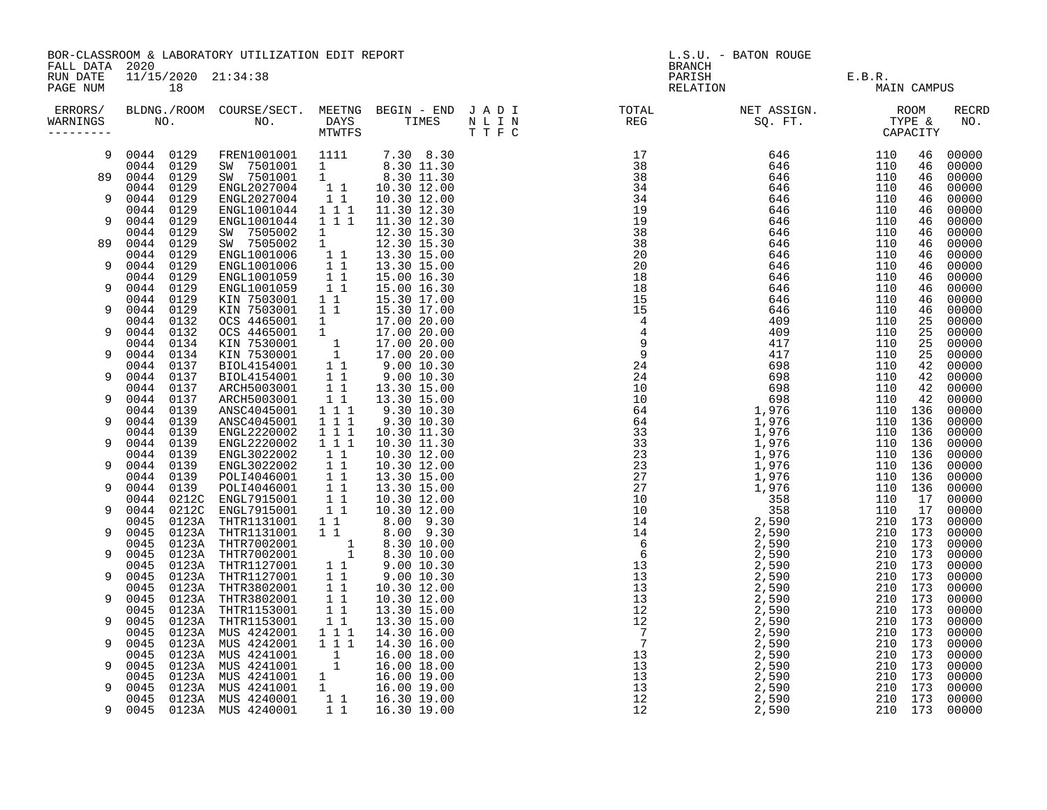| FALL DATA 2020       |                           |                | BOR-CLASSROOM & LABORATORY UTILIZATION EDIT REPORT                                                                                                                                                                                             |                                                                     |                             |  | L.S.U. - BATON ROUGE<br><b>BRANCH</b> |               |                    |             |                |  |
|----------------------|---------------------------|----------------|------------------------------------------------------------------------------------------------------------------------------------------------------------------------------------------------------------------------------------------------|---------------------------------------------------------------------|-----------------------------|--|---------------------------------------|---------------|--------------------|-------------|----------------|--|
| RUN DATE<br>PAGE NUM | 11/15/2020 21:34:38<br>18 |                |                                                                                                                                                                                                                                                |                                                                     |                             |  | PARISH<br>RELATION                    | E.B.R.<br>MAI |                    | MAIN CAMPUS |                |  |
| ERRORS/<br>WARNINGS  |                           |                |                                                                                                                                                                                                                                                |                                                                     |                             |  |                                       |               |                    |             | RECRD<br>NO.   |  |
| 9                    | 0044 0129                 |                | FREN1001001 1111                                                                                                                                                                                                                               |                                                                     | 7.30 8.30                   |  |                                       |               | 110                | 46          | 00000          |  |
|                      | 0044 0129                 |                | SW 7501001 1<br>SW 7501001 1                                                                                                                                                                                                                   |                                                                     | 8.30 11.30<br>8.30 11.30    |  |                                       |               | 110                | 46          | 00000          |  |
|                      | 89 0044 0129<br>0044 0129 |                | ENGL2027004                                                                                                                                                                                                                                    |                                                                     | 1 1 10.30 12.00             |  |                                       |               | 110<br>110         | 46<br>46    | 00000<br>00000 |  |
| 9                    | 0044                      | 0129           | ENGL2027004<br>ENGL1001044<br>ENGL1001044                                                                                                                                                                                                      | 11                                                                  | 10.30 12.00                 |  |                                       |               | 110                | 46          | 00000          |  |
| 9                    | 0044<br>0044              | 0129<br>0129   |                                                                                                                                                                                                                                                | $1\overline{1}$<br>1 1 1                                            | 11.30 12.30                 |  |                                       |               | 110                | 46          | 00000          |  |
|                      | 0044                      | 0129           |                                                                                                                                                                                                                                                |                                                                     | 11.30 12.30<br>12.30 15.30  |  |                                       |               | 110<br>110         | 46<br>46    | 00000<br>00000 |  |
| 89                   | 0044                      | 0129           | SW 7505002<br>SW 7505002                                                                                                                                                                                                                       | $\begin{array}{c} 1 \\ 1 \end{array}$                               | 12.30 15.30                 |  |                                       |               | 110                | 46          | 00000          |  |
|                      | 0044                      | 0129           | ENGL1001006 1 1<br>ENGL1001006 1 1<br>ENGL1001059 1 1                                                                                                                                                                                          |                                                                     | 13.30 15.00                 |  |                                       |               | 110                | 46          | 00000          |  |
| 9                    | 0044<br>0044              | 0129           |                                                                                                                                                                                                                                                |                                                                     | 13.30 15.00                 |  |                                       |               | 110<br>110         | 46          | 00000          |  |
| 9                    | 0044                      | 0129<br>0129   | ENGL1001059                                                                                                                                                                                                                                    | $1\quad1$                                                           | 15.00 16.30<br>15.00 16.30  |  |                                       |               | 110                | 46<br>46    | 00000<br>00000 |  |
|                      | 0044                      | 0129           | KIN 7503001                                                                                                                                                                                                                                    | $1\quad1$                                                           | 15.30 17.00                 |  |                                       |               | 110                | 46          | 00000          |  |
| 9                    | 0044 0129                 |                | KIN 7503001                                                                                                                                                                                                                                    | $1\quad1$                                                           | 15.30 17.00                 |  |                                       |               | 110                | 46          | 00000          |  |
| 9                    | 0044<br>0044 0132         | 0132           | KIN 7503001 1 1 15.30 17.00<br>OCS 4465001 1 17.00 20.00<br>CCS 4465001 1 17.00 20.00<br>KIN 7530001 1 17.00 20.00<br>KIN 7530001 1 17.00 20.00<br>BIOL4154001 1 1 9.00 10.30<br>BIOL4154001 1 1 3.30 15.00<br>ARCH5003001 1 1 13.30 15.00<br> |                                                                     |                             |  |                                       |               | 110<br>110         | 25          | 00000<br>00000 |  |
|                      | 0044                      | 0134           |                                                                                                                                                                                                                                                |                                                                     |                             |  |                                       |               | 110                | 25<br>25    | 00000          |  |
| 9                    | 0044                      | 0134           |                                                                                                                                                                                                                                                |                                                                     |                             |  |                                       |               | 110                | 25          | 00000          |  |
|                      | 0044 0137                 |                |                                                                                                                                                                                                                                                |                                                                     |                             |  |                                       |               | 110                | 42          | 00000          |  |
| 9                    | 0044 0137                 |                |                                                                                                                                                                                                                                                |                                                                     |                             |  |                                       |               | 110                | 42          | 00000          |  |
| 9                    | 0044<br>0044 0137         | 0137           |                                                                                                                                                                                                                                                |                                                                     |                             |  |                                       |               | 110<br>110         | 42<br>42    | 00000<br>00000 |  |
|                      | 0044                      | 0139           |                                                                                                                                                                                                                                                |                                                                     |                             |  |                                       |               | 110 136            |             | 00000          |  |
| 9                    | 0044                      | 0139           | ANSC4045001<br>ENGL2220002<br>ENGL2220002                                                                                                                                                                                                      | $1 \quad 1 \quad 1$                                                 | 9.30 10.30                  |  |                                       |               | 110 136            |             | 00000          |  |
|                      | 0044                      | 0139           |                                                                                                                                                                                                                                                | $\overline{1}$ $\overline{1}$ $\overline{1}$                        | 10.30 11.30                 |  |                                       |               | 110 136            |             | 00000          |  |
| 9                    | 0044<br>0044 0139         | 0139           |                                                                                                                                                                                                                                                | $1\ 1\ 1$                                                           | 10.30 11.30<br>10.30 12.00  |  |                                       |               | 110 136<br>110 136 |             | 00000<br>00000 |  |
| 9                    | 0044 0139                 |                | ENGL322002 11<br>ENGL3022002 11<br>ENGL3022002 11<br>POLI4046001 11<br>POLI4046001 11<br>ENGL7915001 11<br>ENGL7915001 11<br>ENGL7915001 11                                                                                                    |                                                                     | 10.30 12.00                 |  |                                       |               | 110 136            |             | 00000          |  |
|                      | 0044 0139                 |                |                                                                                                                                                                                                                                                |                                                                     | 13.30 15.00                 |  |                                       |               | 110 136            |             | 00000          |  |
| 9                    | 0044                      | 0139           |                                                                                                                                                                                                                                                |                                                                     | 13.30 15.00                 |  |                                       |               | 110 136            |             | 00000          |  |
| 9                    | 0044<br>0044              | 0212C<br>0212C |                                                                                                                                                                                                                                                |                                                                     | 10.30 12.00<br>10.30 12.00  |  |                                       |               | 110<br>110         | 17<br>17    | 00000<br>00000 |  |
|                      | 0045                      | 0123A          | THTR1131001 1 1                                                                                                                                                                                                                                |                                                                     | 8.00 9.30                   |  |                                       |               | 210 173            |             | 00000          |  |
| 9                    | 0045                      |                | 0123A THTR1131001<br>0123A THTR7002001                                                                                                                                                                                                         | $1\quad1$                                                           | 8.00 9.30                   |  |                                       |               | 210 173            |             | 00000          |  |
|                      | 0045                      |                | 0123A THTR7002001<br>0123A THTR7002001 1<br>0123A THTR7002001 1<br>0123A THTR1127001 11<br>0123A THTR1127001 11                                                                                                                                |                                                                     | 8.30 10.00                  |  |                                       |               | 210 173            |             | 00000          |  |
| 9                    | 0045<br>0045              |                |                                                                                                                                                                                                                                                |                                                                     | 8.30 10.00                  |  |                                       |               | 210 173<br>210 173 |             | 00000<br>00000 |  |
| 9                    | 0045                      |                |                                                                                                                                                                                                                                                |                                                                     | 9.00 10.30<br>$9.00\ 10.30$ |  |                                       |               | 210 173            |             | 00000          |  |
|                      | 0045                      |                |                                                                                                                                                                                                                                                |                                                                     | 10.30 12.00                 |  |                                       |               | 210 173            |             | 00000          |  |
| 9                    | 0045                      |                | 0123A THTR3802001 1 1<br>0123A THTR3802001 1 1<br>0123A THTR1153001 1 1                                                                                                                                                                        |                                                                     | 10.30 12.00                 |  |                                       |               | 210 173            |             | 00000          |  |
|                      | 0045                      |                |                                                                                                                                                                                                                                                |                                                                     | 13.30 15.00                 |  |                                       |               | 210 173            |             | 00000          |  |
| 9                    | 0045<br>0045              | 0123A<br>0123A | THTR1153001<br>MUS 4242001                                                                                                                                                                                                                     | $\begin{array}{rrrr} & 1 & 1 \\ 1 & 1 & 1 \\ 1 & 1 & 1 \end{array}$ | 13.30 15.00<br>14.30 16.00  |  |                                       |               | 210 173<br>210 173 |             | 00000<br>00000 |  |
| 9                    | 0045                      | 0123A          |                                                                                                                                                                                                                                                |                                                                     | 14.30 16.00                 |  |                                       |               | 210 173            |             | 00000          |  |
|                      | 0045                      | 0123A          |                                                                                                                                                                                                                                                | $\frac{1}{1}$                                                       | 16.00 18.00                 |  |                                       |               | 210 173            |             | 00000          |  |
| 9                    | 0045                      | 0123A          | MUS 4242001<br>MUS 4241001<br>MUS 4241001<br>MUS 4241001<br>MUS 4241001<br>MUS 4241001                                                                                                                                                         |                                                                     | 16.00 18.00                 |  |                                       |               | 210 173            |             | 00000          |  |
| 9                    | 0045<br>0045              | 0123A<br>0123A |                                                                                                                                                                                                                                                | $\begin{matrix}1\\1\end{matrix}$                                    | 16.00 19.00<br>16.00 19.00  |  |                                       |               | 210 173<br>210 173 |             | 00000<br>00000 |  |
|                      | 0045                      |                | 0123A MUS 4240001                                                                                                                                                                                                                              |                                                                     | 1 1 16.30 19.00             |  |                                       |               | 210 173            |             | 00000          |  |
| 9                    | 0045                      |                | 0123A MUS 4240001                                                                                                                                                                                                                              |                                                                     | 1 1 16.30 19.00             |  |                                       |               | 210 173            |             | 00000          |  |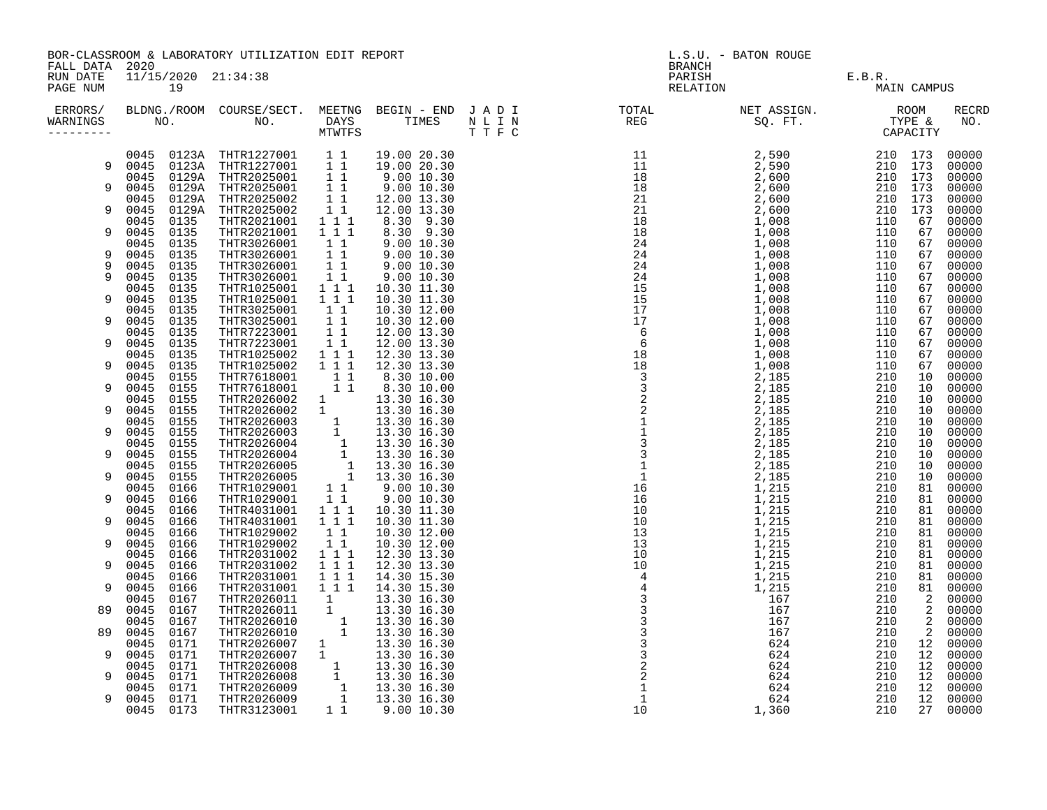|                                                                     | BOR-CLASSROOM & LABORATORY UTILIZATION EDIT REPORT |              |                                                                                                                                                                                                                                                                                                                                       |                                                    |                                                                                                                                                | L.S.U. - BATON ROUGE |                                                                                                                                                                                                                                                                                                                                                                                                                                                                                                                                                                                                                                 |             |  |              |  |
|---------------------------------------------------------------------|----------------------------------------------------|--------------|---------------------------------------------------------------------------------------------------------------------------------------------------------------------------------------------------------------------------------------------------------------------------------------------------------------------------------------|----------------------------------------------------|------------------------------------------------------------------------------------------------------------------------------------------------|----------------------|---------------------------------------------------------------------------------------------------------------------------------------------------------------------------------------------------------------------------------------------------------------------------------------------------------------------------------------------------------------------------------------------------------------------------------------------------------------------------------------------------------------------------------------------------------------------------------------------------------------------------------|-------------|--|--------------|--|
| FALL DATA 2020<br>RUN DATE<br>11/15/2020 21:34:38<br>PAGE NUM<br>19 |                                                    |              |                                                                                                                                                                                                                                                                                                                                       |                                                    |                                                                                                                                                |                      |                                                                                                                                                                                                                                                                                                                                                                                                                                                                                                                                                                                                                                 | MAIN CAMPUS |  |              |  |
| WARNINGS                                                            |                                                    |              |                                                                                                                                                                                                                                                                                                                                       |                                                    |                                                                                                                                                |                      | ERRORS/ BLDNG./ROOM COURSE/SECT. MEETNG BEGIN – END JADI TOTAL TOTAL NETASSIGN. NET ASSIGN. ROOM ROOM COURSE/SECT. MEETNG BEGIN – END JADI TOTAL TOTAL NETASSIGN. TYPE &<br>WARNINGS NO. NO. DAYS TIMES NLIN REG SQ.FT. TPE & CAP<br>$\begin{smallmatrix}\textbf{1.5} & \textbf{2.6} & \textbf{3.7} & \textbf{4.8} & \textbf{5.8} & \textbf{6.8} & \textbf{6.8} & \textbf{7.8} & \textbf{8.8} & \textbf{8.8} & \textbf{9.8} & \textbf{1.9} & \textbf{1.9} & \textbf{1.9} & \textbf{1.9} & \textbf{1.9} & \textbf{1.9} & \textbf{1.9} & \textbf{1.9} & \textbf{1.9} & \textbf{1.9} & \textbf{1.9} & \textbf{1.9} & \textbf{1.9}$ |             |  | RECRD<br>NO. |  |
|                                                                     |                                                    |              | 0045 0123A THTR1227001 1 1 19.00 20.30<br>0045 0123A THTR1227001 1 1 19.00 20.30<br>0045 0129A THTR2025001 1 9.00 10.30<br>0045 0129A THTR2025001 1 9.00 10.30<br>0045 0129A THTR2025002 1 1 12.00 13.30<br>0045 0129A THTR2025002 1 1 1                                                                                              |                                                    |                                                                                                                                                |                      |                                                                                                                                                                                                                                                                                                                                                                                                                                                                                                                                                                                                                                 |             |  |              |  |
| 9                                                                   |                                                    |              |                                                                                                                                                                                                                                                                                                                                       |                                                    |                                                                                                                                                |                      |                                                                                                                                                                                                                                                                                                                                                                                                                                                                                                                                                                                                                                 |             |  |              |  |
| 9                                                                   |                                                    |              |                                                                                                                                                                                                                                                                                                                                       |                                                    |                                                                                                                                                |                      |                                                                                                                                                                                                                                                                                                                                                                                                                                                                                                                                                                                                                                 |             |  |              |  |
|                                                                     |                                                    |              |                                                                                                                                                                                                                                                                                                                                       |                                                    |                                                                                                                                                |                      |                                                                                                                                                                                                                                                                                                                                                                                                                                                                                                                                                                                                                                 |             |  |              |  |
| 9                                                                   |                                                    |              |                                                                                                                                                                                                                                                                                                                                       |                                                    |                                                                                                                                                |                      |                                                                                                                                                                                                                                                                                                                                                                                                                                                                                                                                                                                                                                 |             |  |              |  |
|                                                                     |                                                    |              |                                                                                                                                                                                                                                                                                                                                       |                                                    |                                                                                                                                                |                      |                                                                                                                                                                                                                                                                                                                                                                                                                                                                                                                                                                                                                                 |             |  |              |  |
| 9                                                                   | 0045 0135                                          |              | THTR2021001                                                                                                                                                                                                                                                                                                                           | 1 1 1                                              |                                                                                                                                                |                      |                                                                                                                                                                                                                                                                                                                                                                                                                                                                                                                                                                                                                                 |             |  |              |  |
|                                                                     | 0045 0135                                          |              | THTR3026001                                                                                                                                                                                                                                                                                                                           |                                                    |                                                                                                                                                |                      |                                                                                                                                                                                                                                                                                                                                                                                                                                                                                                                                                                                                                                 |             |  |              |  |
| 9                                                                   | 0045 0135                                          |              | THTR3026001                                                                                                                                                                                                                                                                                                                           |                                                    |                                                                                                                                                |                      |                                                                                                                                                                                                                                                                                                                                                                                                                                                                                                                                                                                                                                 |             |  |              |  |
| 9<br>9                                                              | 0045<br>0045 0135                                  | 0135         | THTR3026001<br>THTR3026001                                                                                                                                                                                                                                                                                                            |                                                    | $\begin{array}{rrrr} 1 & 1 & 9.00 & 10.30 \ 1 & 1 & 9.00 & 10.30 \ 1 & 1 & 9.00 & 10.30 \ 1 & 1 & 9.00 & 10.30 \ 1 & 9.00 & 10.30 \end{array}$ |                      |                                                                                                                                                                                                                                                                                                                                                                                                                                                                                                                                                                                                                                 |             |  |              |  |
|                                                                     | 0045 0135                                          |              | THTR1025001                                                                                                                                                                                                                                                                                                                           | $1 1 1$                                            |                                                                                                                                                |                      |                                                                                                                                                                                                                                                                                                                                                                                                                                                                                                                                                                                                                                 |             |  |              |  |
| 9                                                                   | 0045                                               | 0135         | THTR1025001                                                                                                                                                                                                                                                                                                                           | 1 1 1                                              |                                                                                                                                                |                      |                                                                                                                                                                                                                                                                                                                                                                                                                                                                                                                                                                                                                                 |             |  |              |  |
|                                                                     | 0045                                               | 0135         | THTR3025001                                                                                                                                                                                                                                                                                                                           | $1\quad1$                                          |                                                                                                                                                |                      |                                                                                                                                                                                                                                                                                                                                                                                                                                                                                                                                                                                                                                 |             |  |              |  |
| 9                                                                   | 0045 0135                                          |              | THTR3025001                                                                                                                                                                                                                                                                                                                           | $1\quad1$                                          |                                                                                                                                                |                      |                                                                                                                                                                                                                                                                                                                                                                                                                                                                                                                                                                                                                                 |             |  |              |  |
|                                                                     | 0045 0135                                          |              | THTR7223001                                                                                                                                                                                                                                                                                                                           |                                                    |                                                                                                                                                |                      |                                                                                                                                                                                                                                                                                                                                                                                                                                                                                                                                                                                                                                 |             |  |              |  |
| 9                                                                   | 0045 0135                                          |              | THTR7223001                                                                                                                                                                                                                                                                                                                           |                                                    |                                                                                                                                                |                      |                                                                                                                                                                                                                                                                                                                                                                                                                                                                                                                                                                                                                                 |             |  |              |  |
| 9                                                                   | 0045 0135                                          |              | THTR1025002                                                                                                                                                                                                                                                                                                                           | $1$ 1 1                                            |                                                                                                                                                |                      |                                                                                                                                                                                                                                                                                                                                                                                                                                                                                                                                                                                                                                 |             |  |              |  |
|                                                                     | 0045 0135<br>0045                                  | 0155         | THTR1025002<br>$\begin{tabular}{cccc} \texttt{THTR1025002} & 1 & 1 & 1 & 12.30 & 13.30 \\ \texttt{THTR7618001} & 1 & 1 & 8.30 & 10.00 \\ \texttt{THTR7618001} & 1 & 8.30 & 10.00 \\ \texttt{THTR2026002} & 1 & 13.30 & 16.30 \\ \texttt{THTR2026002} & 1 & 13.30 & 16.30 \\ \texttt{THTR2026003} & 1 & 13.30 & 16.30 \\ \texttt{THTR$ |                                                    |                                                                                                                                                |                      |                                                                                                                                                                                                                                                                                                                                                                                                                                                                                                                                                                                                                                 |             |  |              |  |
| 9                                                                   | 0045                                               | 0155         |                                                                                                                                                                                                                                                                                                                                       |                                                    |                                                                                                                                                |                      |                                                                                                                                                                                                                                                                                                                                                                                                                                                                                                                                                                                                                                 |             |  |              |  |
|                                                                     | 0045                                               | 0155         |                                                                                                                                                                                                                                                                                                                                       |                                                    |                                                                                                                                                |                      |                                                                                                                                                                                                                                                                                                                                                                                                                                                                                                                                                                                                                                 |             |  |              |  |
| 9                                                                   | 0045 0155                                          |              |                                                                                                                                                                                                                                                                                                                                       |                                                    |                                                                                                                                                |                      |                                                                                                                                                                                                                                                                                                                                                                                                                                                                                                                                                                                                                                 |             |  |              |  |
|                                                                     | 0045 0155                                          |              |                                                                                                                                                                                                                                                                                                                                       |                                                    |                                                                                                                                                |                      |                                                                                                                                                                                                                                                                                                                                                                                                                                                                                                                                                                                                                                 |             |  |              |  |
| 9                                                                   | 0045 0155                                          |              |                                                                                                                                                                                                                                                                                                                                       |                                                    |                                                                                                                                                |                      |                                                                                                                                                                                                                                                                                                                                                                                                                                                                                                                                                                                                                                 |             |  |              |  |
|                                                                     | 0045 0155                                          |              |                                                                                                                                                                                                                                                                                                                                       |                                                    |                                                                                                                                                |                      |                                                                                                                                                                                                                                                                                                                                                                                                                                                                                                                                                                                                                                 |             |  |              |  |
| 9                                                                   | 0045 0155<br>0045 0155                             |              |                                                                                                                                                                                                                                                                                                                                       |                                                    |                                                                                                                                                |                      |                                                                                                                                                                                                                                                                                                                                                                                                                                                                                                                                                                                                                                 |             |  |              |  |
| 9                                                                   | 0045                                               | 0155         |                                                                                                                                                                                                                                                                                                                                       |                                                    |                                                                                                                                                |                      |                                                                                                                                                                                                                                                                                                                                                                                                                                                                                                                                                                                                                                 |             |  |              |  |
|                                                                     | 0045                                               | 0166         |                                                                                                                                                                                                                                                                                                                                       |                                                    |                                                                                                                                                |                      |                                                                                                                                                                                                                                                                                                                                                                                                                                                                                                                                                                                                                                 |             |  |              |  |
| 9                                                                   | 0045 0166                                          |              |                                                                                                                                                                                                                                                                                                                                       |                                                    |                                                                                                                                                |                      |                                                                                                                                                                                                                                                                                                                                                                                                                                                                                                                                                                                                                                 |             |  |              |  |
|                                                                     | 0045 0166                                          |              | THTR4031001 1 1 1                                                                                                                                                                                                                                                                                                                     |                                                    |                                                                                                                                                |                      |                                                                                                                                                                                                                                                                                                                                                                                                                                                                                                                                                                                                                                 |             |  |              |  |
| 9                                                                   | 0045                                               | 0166         | THTR4031001                                                                                                                                                                                                                                                                                                                           | 1 1 1                                              |                                                                                                                                                |                      |                                                                                                                                                                                                                                                                                                                                                                                                                                                                                                                                                                                                                                 |             |  |              |  |
|                                                                     | 0045                                               | 0166         | THTR1029002                                                                                                                                                                                                                                                                                                                           | $\begin{array}{rr} & 1 & 1 \\ & 1 & 1 \end{array}$ |                                                                                                                                                |                      |                                                                                                                                                                                                                                                                                                                                                                                                                                                                                                                                                                                                                                 |             |  |              |  |
| 9                                                                   | 0045 0166<br>0045 0166                             |              | THTR1029002                                                                                                                                                                                                                                                                                                                           | $1 1 1$                                            |                                                                                                                                                |                      |                                                                                                                                                                                                                                                                                                                                                                                                                                                                                                                                                                                                                                 |             |  |              |  |
| 9                                                                   | 0045                                               | 0166         | THTR2031002                                                                                                                                                                                                                                                                                                                           | 111                                                |                                                                                                                                                |                      |                                                                                                                                                                                                                                                                                                                                                                                                                                                                                                                                                                                                                                 |             |  |              |  |
|                                                                     | 0045                                               | 0166         | THTR2031002<br>THTR2031001                                                                                                                                                                                                                                                                                                            | $1 1 1$                                            |                                                                                                                                                |                      |                                                                                                                                                                                                                                                                                                                                                                                                                                                                                                                                                                                                                                 |             |  |              |  |
| 9                                                                   | 0045 0166                                          |              | THTR2031001                                                                                                                                                                                                                                                                                                                           | $1 1 1$                                            |                                                                                                                                                |                      |                                                                                                                                                                                                                                                                                                                                                                                                                                                                                                                                                                                                                                 |             |  |              |  |
|                                                                     | 0045 0167                                          |              | THTR2026011                                                                                                                                                                                                                                                                                                                           | $\begin{bmatrix} 1 \\ 1 \\ 1 \\ 1 \end{bmatrix}$   |                                                                                                                                                |                      |                                                                                                                                                                                                                                                                                                                                                                                                                                                                                                                                                                                                                                 |             |  |              |  |
| 89                                                                  | 0045 0167                                          |              | THTR2026011                                                                                                                                                                                                                                                                                                                           |                                                    |                                                                                                                                                |                      |                                                                                                                                                                                                                                                                                                                                                                                                                                                                                                                                                                                                                                 |             |  |              |  |
|                                                                     | 0045                                               | 0167         | THTR2026010                                                                                                                                                                                                                                                                                                                           |                                                    |                                                                                                                                                |                      |                                                                                                                                                                                                                                                                                                                                                                                                                                                                                                                                                                                                                                 |             |  |              |  |
| 89                                                                  | 0045 0167                                          |              | THTR2026010                                                                                                                                                                                                                                                                                                                           |                                                    |                                                                                                                                                |                      |                                                                                                                                                                                                                                                                                                                                                                                                                                                                                                                                                                                                                                 |             |  |              |  |
| 9                                                                   | 0045<br>0045                                       | 0171<br>0171 | THIRZ026010 1 13.30 16.30<br>THTR2026007 1 13.30 16.30<br>THTR2026007 1 13.30 16.30<br>THTR2026008 1 13.30 16.30<br>THTR2026008 1 13.30 16.30<br>THTR2026009 1 13.30 16.30<br>THTR2026009 1 13.30 16.30<br>THTR2026009 1 13.30 16.30<br>THTR31                                                                                        |                                                    |                                                                                                                                                |                      |                                                                                                                                                                                                                                                                                                                                                                                                                                                                                                                                                                                                                                 |             |  |              |  |
|                                                                     | 0045                                               | 0171         |                                                                                                                                                                                                                                                                                                                                       |                                                    |                                                                                                                                                |                      |                                                                                                                                                                                                                                                                                                                                                                                                                                                                                                                                                                                                                                 |             |  |              |  |
| 9                                                                   | 0045                                               | 0171         |                                                                                                                                                                                                                                                                                                                                       |                                                    |                                                                                                                                                |                      |                                                                                                                                                                                                                                                                                                                                                                                                                                                                                                                                                                                                                                 |             |  |              |  |
|                                                                     | 0045 0171                                          |              |                                                                                                                                                                                                                                                                                                                                       |                                                    |                                                                                                                                                |                      |                                                                                                                                                                                                                                                                                                                                                                                                                                                                                                                                                                                                                                 |             |  |              |  |
| 9                                                                   | 0045 0171                                          |              |                                                                                                                                                                                                                                                                                                                                       |                                                    |                                                                                                                                                |                      |                                                                                                                                                                                                                                                                                                                                                                                                                                                                                                                                                                                                                                 |             |  |              |  |
|                                                                     | 0045 0173                                          |              |                                                                                                                                                                                                                                                                                                                                       |                                                    |                                                                                                                                                |                      |                                                                                                                                                                                                                                                                                                                                                                                                                                                                                                                                                                                                                                 |             |  |              |  |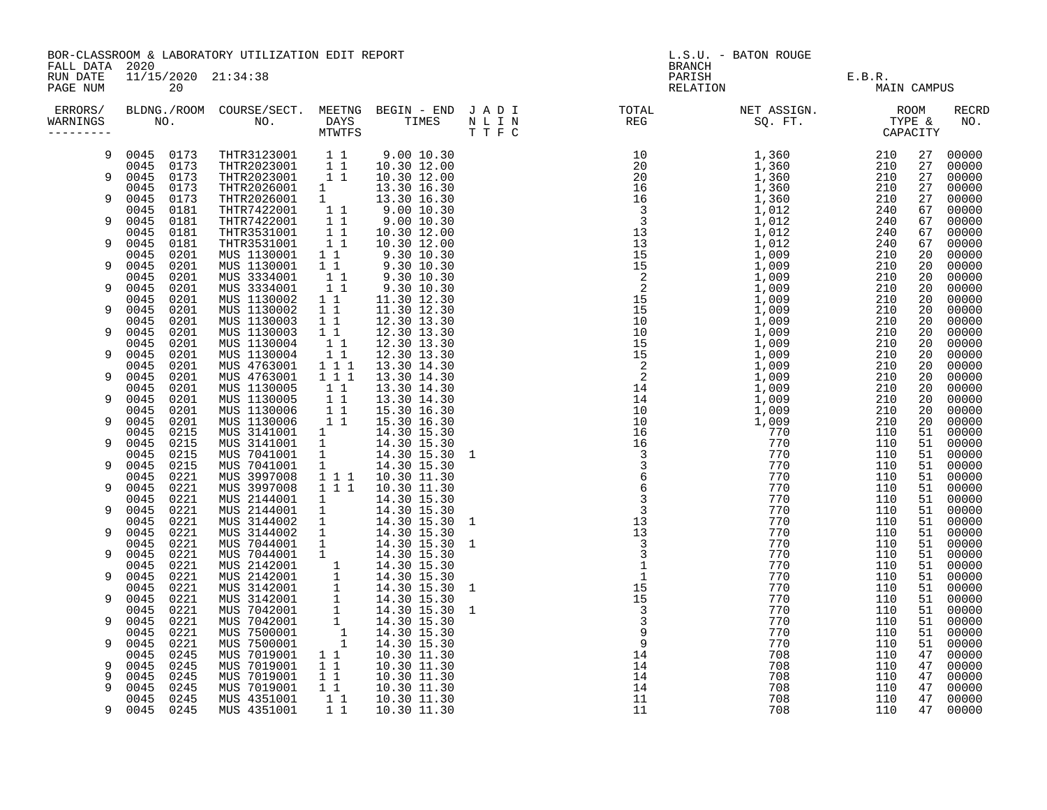|                              |                                                                                                                                                                                                                                                                                                                                                                                                             |                                                                                                                                                                                                                                                                                    |                                                                                                                                                                                                                                                                                                                                                                                                                                                                                                                                                                                                                                                                                                                                                                                                                                                                                                                                                                                                              |                                                                                                                                                                                                                                                                                                                                                                                                                                                                                                                                              | L.S.U. - BATON ROUGE                                                              |               |        |                              |                                                                                                                                                                                                                                                                                                                                                                                                                                                                                                                                                                                                                                                                                |  |
|------------------------------|-------------------------------------------------------------------------------------------------------------------------------------------------------------------------------------------------------------------------------------------------------------------------------------------------------------------------------------------------------------------------------------------------------------|------------------------------------------------------------------------------------------------------------------------------------------------------------------------------------------------------------------------------------------------------------------------------------|--------------------------------------------------------------------------------------------------------------------------------------------------------------------------------------------------------------------------------------------------------------------------------------------------------------------------------------------------------------------------------------------------------------------------------------------------------------------------------------------------------------------------------------------------------------------------------------------------------------------------------------------------------------------------------------------------------------------------------------------------------------------------------------------------------------------------------------------------------------------------------------------------------------------------------------------------------------------------------------------------------------|----------------------------------------------------------------------------------------------------------------------------------------------------------------------------------------------------------------------------------------------------------------------------------------------------------------------------------------------------------------------------------------------------------------------------------------------------------------------------------------------------------------------------------------------|-----------------------------------------------------------------------------------|---------------|--------|------------------------------|--------------------------------------------------------------------------------------------------------------------------------------------------------------------------------------------------------------------------------------------------------------------------------------------------------------------------------------------------------------------------------------------------------------------------------------------------------------------------------------------------------------------------------------------------------------------------------------------------------------------------------------------------------------------------------|--|
| 20                           |                                                                                                                                                                                                                                                                                                                                                                                                             |                                                                                                                                                                                                                                                                                    |                                                                                                                                                                                                                                                                                                                                                                                                                                                                                                                                                                                                                                                                                                                                                                                                                                                                                                                                                                                                              |                                                                                                                                                                                                                                                                                                                                                                                                                                                                                                                                              |                                                                                   |               | E.B.R. |                              |                                                                                                                                                                                                                                                                                                                                                                                                                                                                                                                                                                                                                                                                                |  |
|                              |                                                                                                                                                                                                                                                                                                                                                                                                             |                                                                                                                                                                                                                                                                                    |                                                                                                                                                                                                                                                                                                                                                                                                                                                                                                                                                                                                                                                                                                                                                                                                                                                                                                                                                                                                              |                                                                                                                                                                                                                                                                                                                                                                                                                                                                                                                                              |                                                                                   |               |        |                              | <b>RECRD</b><br>NO.                                                                                                                                                                                                                                                                                                                                                                                                                                                                                                                                                                                                                                                            |  |
| 0045 0173                    |                                                                                                                                                                                                                                                                                                                                                                                                             |                                                                                                                                                                                                                                                                                    |                                                                                                                                                                                                                                                                                                                                                                                                                                                                                                                                                                                                                                                                                                                                                                                                                                                                                                                                                                                                              |                                                                                                                                                                                                                                                                                                                                                                                                                                                                                                                                              |                                                                                   |               |        |                              | 00000<br>00000                                                                                                                                                                                                                                                                                                                                                                                                                                                                                                                                                                                                                                                                 |  |
| 0045 0173                    |                                                                                                                                                                                                                                                                                                                                                                                                             |                                                                                                                                                                                                                                                                                    |                                                                                                                                                                                                                                                                                                                                                                                                                                                                                                                                                                                                                                                                                                                                                                                                                                                                                                                                                                                                              |                                                                                                                                                                                                                                                                                                                                                                                                                                                                                                                                              |                                                                                   |               |        | 27                           | 00000                                                                                                                                                                                                                                                                                                                                                                                                                                                                                                                                                                                                                                                                          |  |
| 0045<br>0173                 |                                                                                                                                                                                                                                                                                                                                                                                                             |                                                                                                                                                                                                                                                                                    | 13.30 16.30                                                                                                                                                                                                                                                                                                                                                                                                                                                                                                                                                                                                                                                                                                                                                                                                                                                                                                                                                                                                  |                                                                                                                                                                                                                                                                                                                                                                                                                                                                                                                                              |                                                                                   |               |        | 27                           | 00000<br>00000                                                                                                                                                                                                                                                                                                                                                                                                                                                                                                                                                                                                                                                                 |  |
| 0045<br>0181                 |                                                                                                                                                                                                                                                                                                                                                                                                             |                                                                                                                                                                                                                                                                                    | $9.00\ 10.30$                                                                                                                                                                                                                                                                                                                                                                                                                                                                                                                                                                                                                                                                                                                                                                                                                                                                                                                                                                                                |                                                                                                                                                                                                                                                                                                                                                                                                                                                                                                                                              |                                                                                   |               |        | 67                           | 00000<br>00000                                                                                                                                                                                                                                                                                                                                                                                                                                                                                                                                                                                                                                                                 |  |
| 0045<br>0181                 | THTR3531001                                                                                                                                                                                                                                                                                                                                                                                                 |                                                                                                                                                                                                                                                                                    |                                                                                                                                                                                                                                                                                                                                                                                                                                                                                                                                                                                                                                                                                                                                                                                                                                                                                                                                                                                                              |                                                                                                                                                                                                                                                                                                                                                                                                                                                                                                                                              |                                                                                   |               |        | 67                           | 00000<br>00000                                                                                                                                                                                                                                                                                                                                                                                                                                                                                                                                                                                                                                                                 |  |
| 0045                         |                                                                                                                                                                                                                                                                                                                                                                                                             |                                                                                                                                                                                                                                                                                    |                                                                                                                                                                                                                                                                                                                                                                                                                                                                                                                                                                                                                                                                                                                                                                                                                                                                                                                                                                                                              |                                                                                                                                                                                                                                                                                                                                                                                                                                                                                                                                              |                                                                                   |               |        | 20                           | 00000<br>00000                                                                                                                                                                                                                                                                                                                                                                                                                                                                                                                                                                                                                                                                 |  |
| 0045<br>0201                 |                                                                                                                                                                                                                                                                                                                                                                                                             |                                                                                                                                                                                                                                                                                    |                                                                                                                                                                                                                                                                                                                                                                                                                                                                                                                                                                                                                                                                                                                                                                                                                                                                                                                                                                                                              |                                                                                                                                                                                                                                                                                                                                                                                                                                                                                                                                              |                                                                                   |               |        | 20                           | 00000<br>00000                                                                                                                                                                                                                                                                                                                                                                                                                                                                                                                                                                                                                                                                 |  |
| 0201<br>0045                 | MUS 1130002                                                                                                                                                                                                                                                                                                                                                                                                 |                                                                                                                                                                                                                                                                                    |                                                                                                                                                                                                                                                                                                                                                                                                                                                                                                                                                                                                                                                                                                                                                                                                                                                                                                                                                                                                              |                                                                                                                                                                                                                                                                                                                                                                                                                                                                                                                                              |                                                                                   |               |        | 20                           | 00000<br>00000                                                                                                                                                                                                                                                                                                                                                                                                                                                                                                                                                                                                                                                                 |  |
| 0045<br>0201                 | MUS 1130003                                                                                                                                                                                                                                                                                                                                                                                                 | $1\quad1$                                                                                                                                                                                                                                                                          | 12.30 13.30                                                                                                                                                                                                                                                                                                                                                                                                                                                                                                                                                                                                                                                                                                                                                                                                                                                                                                                                                                                                  |                                                                                                                                                                                                                                                                                                                                                                                                                                                                                                                                              |                                                                                   |               |        | 20                           | 00000<br>00000                                                                                                                                                                                                                                                                                                                                                                                                                                                                                                                                                                                                                                                                 |  |
| 0201<br>0045                 | MUS 1130004                                                                                                                                                                                                                                                                                                                                                                                                 |                                                                                                                                                                                                                                                                                    |                                                                                                                                                                                                                                                                                                                                                                                                                                                                                                                                                                                                                                                                                                                                                                                                                                                                                                                                                                                                              |                                                                                                                                                                                                                                                                                                                                                                                                                                                                                                                                              |                                                                                   |               |        | 20                           | 00000                                                                                                                                                                                                                                                                                                                                                                                                                                                                                                                                                                                                                                                                          |  |
| 0045<br>0201                 | MUS 4763001                                                                                                                                                                                                                                                                                                                                                                                                 |                                                                                                                                                                                                                                                                                    | 13.30 14.30                                                                                                                                                                                                                                                                                                                                                                                                                                                                                                                                                                                                                                                                                                                                                                                                                                                                                                                                                                                                  |                                                                                                                                                                                                                                                                                                                                                                                                                                                                                                                                              |                                                                                   |               |        | 20                           | 00000<br>00000                                                                                                                                                                                                                                                                                                                                                                                                                                                                                                                                                                                                                                                                 |  |
| 0045<br>0201                 | MUS 1130005                                                                                                                                                                                                                                                                                                                                                                                                 |                                                                                                                                                                                                                                                                                    | 13.30 14.30                                                                                                                                                                                                                                                                                                                                                                                                                                                                                                                                                                                                                                                                                                                                                                                                                                                                                                                                                                                                  |                                                                                                                                                                                                                                                                                                                                                                                                                                                                                                                                              |                                                                                   |               |        | 20                           | 00000<br>00000                                                                                                                                                                                                                                                                                                                                                                                                                                                                                                                                                                                                                                                                 |  |
| 0201                         |                                                                                                                                                                                                                                                                                                                                                                                                             |                                                                                                                                                                                                                                                                                    | 13.30 14.30                                                                                                                                                                                                                                                                                                                                                                                                                                                                                                                                                                                                                                                                                                                                                                                                                                                                                                                                                                                                  |                                                                                                                                                                                                                                                                                                                                                                                                                                                                                                                                              |                                                                                   |               |        | 20                           | 00000<br>00000                                                                                                                                                                                                                                                                                                                                                                                                                                                                                                                                                                                                                                                                 |  |
| 0045<br>0201                 |                                                                                                                                                                                                                                                                                                                                                                                                             |                                                                                                                                                                                                                                                                                    | 15.30 16.30                                                                                                                                                                                                                                                                                                                                                                                                                                                                                                                                                                                                                                                                                                                                                                                                                                                                                                                                                                                                  |                                                                                                                                                                                                                                                                                                                                                                                                                                                                                                                                              |                                                                                   |               |        | 20                           | 00000<br>00000                                                                                                                                                                                                                                                                                                                                                                                                                                                                                                                                                                                                                                                                 |  |
| 0045<br>0215                 |                                                                                                                                                                                                                                                                                                                                                                                                             |                                                                                                                                                                                                                                                                                    |                                                                                                                                                                                                                                                                                                                                                                                                                                                                                                                                                                                                                                                                                                                                                                                                                                                                                                                                                                                                              |                                                                                                                                                                                                                                                                                                                                                                                                                                                                                                                                              |                                                                                   |               |        | 51                           | 00000<br>00000                                                                                                                                                                                                                                                                                                                                                                                                                                                                                                                                                                                                                                                                 |  |
| 0045<br>0215                 |                                                                                                                                                                                                                                                                                                                                                                                                             |                                                                                                                                                                                                                                                                                    | 14.30 15.30                                                                                                                                                                                                                                                                                                                                                                                                                                                                                                                                                                                                                                                                                                                                                                                                                                                                                                                                                                                                  |                                                                                                                                                                                                                                                                                                                                                                                                                                                                                                                                              |                                                                                   |               |        | 51                           | 00000<br>00000                                                                                                                                                                                                                                                                                                                                                                                                                                                                                                                                                                                                                                                                 |  |
| 0045<br>0221                 | MUS 3997008                                                                                                                                                                                                                                                                                                                                                                                                 |                                                                                                                                                                                                                                                                                    |                                                                                                                                                                                                                                                                                                                                                                                                                                                                                                                                                                                                                                                                                                                                                                                                                                                                                                                                                                                                              |                                                                                                                                                                                                                                                                                                                                                                                                                                                                                                                                              |                                                                                   |               |        | 51                           | 00000                                                                                                                                                                                                                                                                                                                                                                                                                                                                                                                                                                                                                                                                          |  |
| 0045<br>0221                 | MUS 2144001                                                                                                                                                                                                                                                                                                                                                                                                 |                                                                                                                                                                                                                                                                                    | 14.30 15.30                                                                                                                                                                                                                                                                                                                                                                                                                                                                                                                                                                                                                                                                                                                                                                                                                                                                                                                                                                                                  |                                                                                                                                                                                                                                                                                                                                                                                                                                                                                                                                              |                                                                                   |               |        | 51                           | 00000<br>00000                                                                                                                                                                                                                                                                                                                                                                                                                                                                                                                                                                                                                                                                 |  |
| 0045<br>0221                 |                                                                                                                                                                                                                                                                                                                                                                                                             |                                                                                                                                                                                                                                                                                    | 14.30 15.30                                                                                                                                                                                                                                                                                                                                                                                                                                                                                                                                                                                                                                                                                                                                                                                                                                                                                                                                                                                                  |                                                                                                                                                                                                                                                                                                                                                                                                                                                                                                                                              |                                                                                   |               |        | 51                           | 00000<br>00000                                                                                                                                                                                                                                                                                                                                                                                                                                                                                                                                                                                                                                                                 |  |
| 0045<br>0221                 |                                                                                                                                                                                                                                                                                                                                                                                                             |                                                                                                                                                                                                                                                                                    | 14.30 15.30                                                                                                                                                                                                                                                                                                                                                                                                                                                                                                                                                                                                                                                                                                                                                                                                                                                                                                                                                                                                  |                                                                                                                                                                                                                                                                                                                                                                                                                                                                                                                                              |                                                                                   |               |        | 51                           | 00000<br>00000                                                                                                                                                                                                                                                                                                                                                                                                                                                                                                                                                                                                                                                                 |  |
| 0045<br>0221                 |                                                                                                                                                                                                                                                                                                                                                                                                             |                                                                                                                                                                                                                                                                                    | 14.30 15.30                                                                                                                                                                                                                                                                                                                                                                                                                                                                                                                                                                                                                                                                                                                                                                                                                                                                                                                                                                                                  |                                                                                                                                                                                                                                                                                                                                                                                                                                                                                                                                              |                                                                                   |               |        | 51                           | 00000<br>00000                                                                                                                                                                                                                                                                                                                                                                                                                                                                                                                                                                                                                                                                 |  |
| 0045<br>0221<br>0045         |                                                                                                                                                                                                                                                                                                                                                                                                             |                                                                                                                                                                                                                                                                                    |                                                                                                                                                                                                                                                                                                                                                                                                                                                                                                                                                                                                                                                                                                                                                                                                                                                                                                                                                                                                              |                                                                                                                                                                                                                                                                                                                                                                                                                                                                                                                                              |                                                                                   |               |        | 51<br>51                     | 00000<br>00000                                                                                                                                                                                                                                                                                                                                                                                                                                                                                                                                                                                                                                                                 |  |
| 0221                         |                                                                                                                                                                                                                                                                                                                                                                                                             |                                                                                                                                                                                                                                                                                    |                                                                                                                                                                                                                                                                                                                                                                                                                                                                                                                                                                                                                                                                                                                                                                                                                                                                                                                                                                                                              |                                                                                                                                                                                                                                                                                                                                                                                                                                                                                                                                              |                                                                                   |               |        | 51                           | 00000<br>00000                                                                                                                                                                                                                                                                                                                                                                                                                                                                                                                                                                                                                                                                 |  |
| 0221<br>0045                 |                                                                                                                                                                                                                                                                                                                                                                                                             |                                                                                                                                                                                                                                                                                    | 14.30 15.30                                                                                                                                                                                                                                                                                                                                                                                                                                                                                                                                                                                                                                                                                                                                                                                                                                                                                                                                                                                                  |                                                                                                                                                                                                                                                                                                                                                                                                                                                                                                                                              |                                                                                   |               |        | 51                           | 00000<br>00000                                                                                                                                                                                                                                                                                                                                                                                                                                                                                                                                                                                                                                                                 |  |
| 0045<br>0245                 | MUS 7019001                                                                                                                                                                                                                                                                                                                                                                                                 |                                                                                                                                                                                                                                                                                    | 10.30 11.30                                                                                                                                                                                                                                                                                                                                                                                                                                                                                                                                                                                                                                                                                                                                                                                                                                                                                                                                                                                                  |                                                                                                                                                                                                                                                                                                                                                                                                                                                                                                                                              |                                                                                   |               |        | 47                           | 00000<br>00000                                                                                                                                                                                                                                                                                                                                                                                                                                                                                                                                                                                                                                                                 |  |
| 0045<br>0245                 | MUS 7019001                                                                                                                                                                                                                                                                                                                                                                                                 |                                                                                                                                                                                                                                                                                    |                                                                                                                                                                                                                                                                                                                                                                                                                                                                                                                                                                                                                                                                                                                                                                                                                                                                                                                                                                                                              |                                                                                                                                                                                                                                                                                                                                                                                                                                                                                                                                              |                                                                                   |               |        | 47                           | 00000                                                                                                                                                                                                                                                                                                                                                                                                                                                                                                                                                                                                                                                                          |  |
| 0045<br>0245<br>0045<br>0245 | MUS 4351001<br>MUS 4351001                                                                                                                                                                                                                                                                                                                                                                                  |                                                                                                                                                                                                                                                                                    | 10.30 11.30                                                                                                                                                                                                                                                                                                                                                                                                                                                                                                                                                                                                                                                                                                                                                                                                                                                                                                                                                                                                  |                                                                                                                                                                                                                                                                                                                                                                                                                                                                                                                                              | 11                                                                                | 708           | 110    | 47<br>47                     | 00000<br>00000<br>00000                                                                                                                                                                                                                                                                                                                                                                                                                                                                                                                                                                                                                                                        |  |
|                              | FALL DATA 2020<br>0045 0173<br>0045<br>0173<br>0045<br>0181<br>0045<br>0181<br>0201<br>0045<br>0201<br>0045<br>0201<br>0045<br>0201<br>0045<br>0201<br>0045<br>0201<br>0045<br>0201<br>0045<br>0045<br>0201<br>0045<br>0215<br>0045<br>0215<br>0045<br>0221<br>0221<br>0045<br>0045<br>0221<br>0045<br>0221<br>0045<br>0221<br>0221<br>0045<br>0045<br>0221<br>0045<br>0221<br>0045<br>0245<br>0245<br>0045 | 11/15/2020 21:34:38<br>THTR3531001<br>MUS 1130001<br>MUS 1130001<br>MUS 3334001<br>MUS 3334001<br>MUS 1130002<br>MUS 1130003<br>MUS 1130004<br>MUS 4763001<br>MUS 1130005<br>MUS 1130006<br>MUS 1130006<br>MUS 3997008<br>MUS 2144001<br>MUS 3144002<br>MUS 7019001<br>MUS 7019001 | THTR3123001 1 1<br>THTR2023001 1 1<br>THTR2023001 1 1<br>THTR2026001 1<br>THTR7422001 1<br>THTR7422001 1 1<br>THTR7422001 1 1<br>THTR7422001 1 1<br>$\begin{array}{c} 1 \\ 1 \\ 1 \end{array}$<br>$1\quad1$<br>$\begin{bmatrix} 1 \\ 1 \\ 1 \end{bmatrix}$<br>1 1<br>$1\quad1$<br>$\begin{array}{c} \bar{1} \ \bar{1} \\ 1 \ \bar{1} \\ 1 \ \bar{1} \end{array}$<br>$\begin{array}{rrrr} & 1 & 1 & 1 \\ & 1 & 1 & 1 \end{array}$<br>$\begin{array}{cccc}\n & 1 & 1 \\  & 1 & 1 \\  & 1 & 1 \\  & & 1 & 1 \\  & & 1 & 1\n\end{array}$<br>MUS 3141001 1<br>MUS 3141001 1<br>MUS 7041001 1<br>MUS 7041001 1<br>$1\overline{1}\overline{1}$<br>1<br>$\frac{1}{1}$<br>MUS 3144002 1<br>MUS 3144002 1<br>MUS 7044001 1<br>MUS 7044001 1<br>MUS 2142001 1<br>MUS 2142001 1<br>MUS 3142001 1<br>MUS 3142001 1<br>MUS 7042001 1<br>MUS 7042001 1<br>MUS 7500001 1<br>MUS 7500001 1<br>MUS 7500001 1<br>MUS 7500001 1<br>MUS 7500001<br>$1\;1$<br>11<br>$1\quad1$<br>11<br>$\begin{bmatrix} 1 \\ 1 \\ 1 \end{bmatrix}$ | BOR-CLASSROOM & LABORATORY UTILIZATION EDIT REPORT<br>9.00 10.30<br>10.30 12.00<br>10.30 12.00<br>13.30 16.30<br>$9.00\ 10.30$<br>10.30 12.00<br>10.30 12.00<br>1 1 9.30 10.30<br>9.30 10.30<br>9.30 10.30<br>9.30 10.30<br>11.30 12.30<br>11.30 12.30<br>12.30 13.30<br>12.30 13.30<br>12.30 13.30<br>13.30 14.30<br>15.30 16.30<br>14.30 15.30<br>14.30 15.30<br>1 1 1 1 10.30 11.30<br>10.30 11.30<br>14.30 15.30<br>14.30 15.30<br>14.30 15.30<br>14.30 15.30<br>14.30 15.30<br>10.30 11.30<br>10.30 11.30<br>10.30 11.30<br>10.30 11.30 | 14.30 15.30 1<br>14.30 15.30 1<br>14.30 15.30 1<br>14.30 15.30 1<br>14.30 15.30 1 | <b>BRANCH</b> |        | PARISH<br>PARISH<br>RELATION | MAIN CAMPUS<br>ERRORS/ BLDNG./ROOM COURSE/SECT. MEETNG BEGIN – END JADI TOTAL TOTAL NETASSIGN. NET ASSIGN. ROOM ROOM COURSE/SECT. MEETNG BEGIN – END JADI TOTAL TOTAL NETASSIGN. TYPE &<br>WARNINGS NO. NO. DAYS TIMES NLIN REG SQ.FT. TPE & CAP<br>$\begin{array}{cccccccc} 0.01 & 0.02 & 0.03 & 0.04 & 0.04 & 0.04 & 0.04 & 0.04 & 0.04 & 0.04 & 0.04 & 0.04 & 0.04 & 0.04 & 0.04 & 0.04 & 0.04 & 0.04 & 0.04 & 0.04 & 0.04 & 0.04 & 0.04 & 0.04 & 0.04 & 0.04 & 0.04 & 0.04 & 0.04 & 0.04 & 0.04 & 0.04 & 0.04 & 0.04 & 0.04 & 0$<br>27<br>27<br>27<br>67<br>67<br>20<br>20<br>20<br>20<br>20<br>20<br>20<br>51<br>51<br>51<br>51<br>51<br>51<br>51<br>51<br>51<br>47<br>47 |  |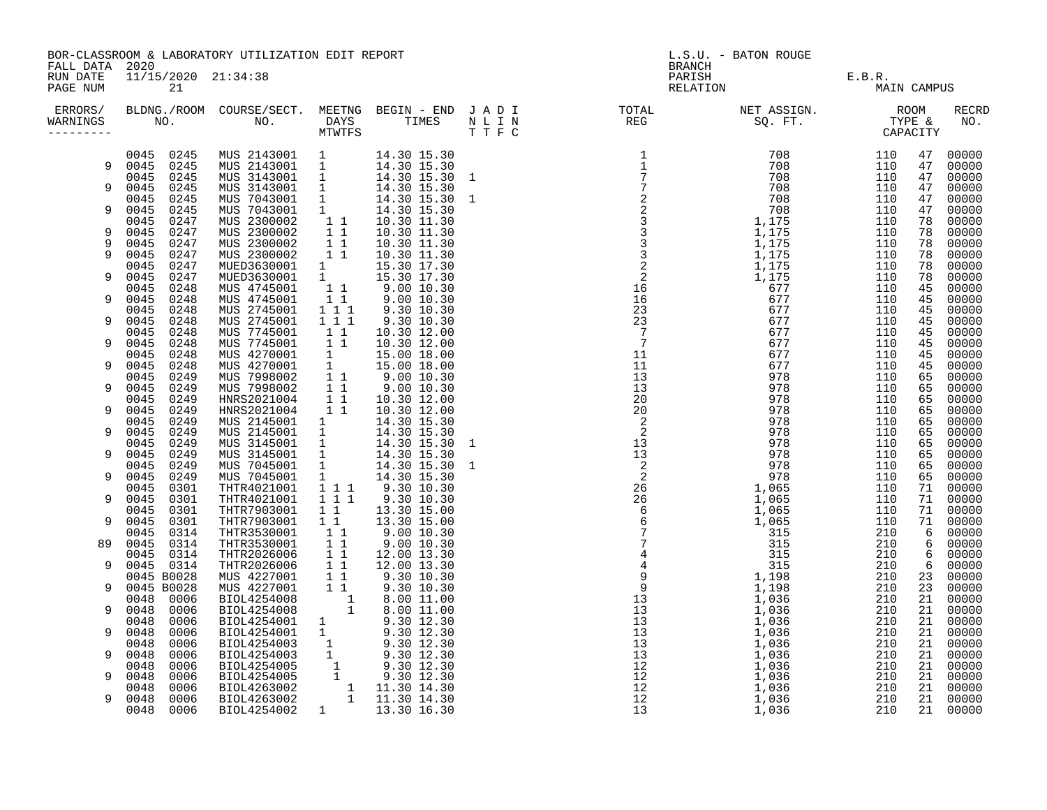| PARISH<br>RELATION E.B.R. MAIN CAN<br>RELATION MAIN CAN<br>11/15/2020 21:34:38<br>RUN DATE<br>PAGE NUM<br>21<br>MAIN CAMPUS<br>BLDNG./ROOM COURSE/SECT. MEETNG BEGIN – END JADI TOTAL NET ASSIGN. NET ASSIGN. ROOM ROOM COURSE WE BEGIN – END JADI TOTAL TOTAL NET ASSIGN. TYPE & CAPACITY<br>RECRD<br>ERRORS/<br>NO.<br>WARNINGS<br>$\begin{array}{cccc} \text{F} & \text{F} & \text{F} & \text{F} & \text{F} & \text{F} & \text{F} & \text{F} & \text{F} & \text{F} & \text{F} & \text{F} & \text{F} & \text{F} & \text{F} & \text{F} & \text{F} & \text{F} & \text{F} & \text{F} & \text{F} & \text{F} & \text{F} & \text{F} & \text{F} & \text{F} & \text{F} & \text{F} & \text{F} & \text{F} & \text{F} & \text{F} & \text{F} & \text{F} & \text{F} & \text{$<br>0045 0245<br>MUS 2143001 1 14.30 15.30<br>MUS 2143001 1 14.30 15.30<br>MUS 3143001 1 14.30 15.30 1<br>MUS 3143001 1 14.30 15.30 1<br>MUS 7043001 1 14.30 15.30 1<br>MUS 7043001 1 14.30 15.30 1<br>MUS 2300002 1 1 10.30 11.30<br>MUS 2300002 1 1 10.30 1<br>00000<br>47<br>9 0045 0245<br>47<br>00000<br>0045 0245<br>47<br>00000<br>0045 0245<br>9<br>00000<br>47<br>0045<br>0245<br>47<br>00000<br>0045<br>0245<br>00000<br>9<br>47<br>0045<br>0247<br>78<br>00000<br>NUS 2300002 1 1 10.30 11.30<br>MUS 2300002 1 1 10.30 11.30<br>MUS 2300002 1 1 10.30 11.30<br>0045 0247<br>9<br>78<br>00000<br>9<br>0045<br>0247<br>78<br>00000<br>9<br>0045 0247<br>78<br>00000<br>0045<br>0247<br>MUED3630001<br>$\begin{array}{ccc} 1 & 1 & 15\ 1 & 15\ 1 & 15\ 1 & 15\ 1 & 15\ 1 & 1 & 9\ 1 & 9\ 1 & 0 & 10\ 1 & 1 & 9\ 1 & 0 & 10\ 1 & 0 & 0 & 1 \end{array}$<br>78<br>00000<br>0045 0247<br>MUED3630001<br>00000<br>9<br>78<br>0045<br>0248<br>MUS 4745001<br>45<br>00000<br>0045<br>9<br>0248<br>MUS 4745001<br>45<br>00000<br>9.30 10.30<br>$\begin{array}{rrrr} & 1 & 1 \\ & 1 & 1 \\ & & 1 & 1 \end{array}$<br>0045<br>0248<br>MUS 2745001<br>MUS 2745001<br>MUS 7745001<br>45<br>00000<br>0045 0248<br>9.30 10.30<br>9<br>45<br>00000<br>0248<br>$1\quad1$<br>0045<br>10.30 12.00<br>00000<br>45<br>0045 0248<br>MUS 7745001 1 1 10.30 12.00<br>MUS 7745001 1 15.00 18.00<br>MUS 4270001 1 15.00 18.00<br>MUS 7998002 1 1 9.00 10.30<br>MUS 7998002 1 1 9.00 10.30<br>9<br>45<br>00000<br>0045<br>0248<br>45<br>00000<br>0045 0248<br>9<br>45<br>00000<br>0249<br>0045<br>00000<br>65<br>0045<br>9<br>0249<br>65<br>00000<br>HNRS2021004 1 1 10.30 12.00<br>0249<br>0045<br>65<br>00000<br>0045 0249<br>HNRS2021004 1 1 10.30 12.00<br>9<br>65<br>00000<br>0045 0249<br>HNRS2021004 1 1 10.30 12.00<br>MUS 2145001 1 14.30 15.30<br>MUS 2145001 1 14.30 15.30<br>MUS 3145001 1 14.30 15.30 1<br>MUS 3145001 1 14.30 15.30 1<br>MUS 7045001 1 14.30 15.30 1<br>MUS 7045001 1 14.30 15.30 1<br>MUS 7045001 1 1 9.30 10<br>65<br>00000<br>0045 0249<br>9<br>65<br>00000<br>0045 0249<br>65<br>00000<br>0045 0249<br>9<br>65<br>00000<br>0045 0249<br>65<br>00000<br>0045 0249<br>00000<br>9<br>65<br>0045 0301<br>71 00000<br>0045 0301<br>9<br>71 00000<br>0045 0301<br>THTR7903001<br>$\begin{array}{cccc} 1 & 1 & & 13 \, . \, 30 & 15 \, . \, 00 \\ 1 & 1 & & 13 \, . \, 30 & 15 \, . \, 00 \end{array}$<br>71 00000<br>0045 0301<br>THTR7903001<br>00000<br>9<br>71<br>0045 0314<br>6<br>00000<br>$6\overline{6}$<br>0045 0314<br>89<br>00000<br>0045 0314<br>6<br>00000<br>0045 0314<br>9<br>6<br>00000<br>0045 B0028<br>23<br>00000<br>0045 B0028<br>23<br>9<br>00000<br>0048 0006<br>21<br>00000<br>0048 0006<br>9<br>21<br>00000<br>0048<br>0006<br>00000<br>21<br>0048<br>0006<br>21 00000<br>9<br>0048<br>0006<br>00000<br>21<br>0048<br>9<br>0006<br>21<br>00000<br>0048<br>0006<br>21<br>00000<br>0048<br>0006<br>21 00000<br>9<br>0048<br>0006<br>21<br>00000<br>0048 0006<br>21 00000<br>9<br>1 13.30 16.30<br>BIOL4254002<br>21 00000<br>0048 0006 |  | BOR-CLASSROOM & LABORATORY UTILIZATION EDIT REPORT<br>FALL DATA 2020 |  |  |  |  | L.S.U. - BATON ROUGE<br><b>BRANCH</b> |  |  |  |  |
|------------------------------------------------------------------------------------------------------------------------------------------------------------------------------------------------------------------------------------------------------------------------------------------------------------------------------------------------------------------------------------------------------------------------------------------------------------------------------------------------------------------------------------------------------------------------------------------------------------------------------------------------------------------------------------------------------------------------------------------------------------------------------------------------------------------------------------------------------------------------------------------------------------------------------------------------------------------------------------------------------------------------------------------------------------------------------------------------------------------------------------------------------------------------------------------------------------------------------------------------------------------------------------------------------------------------------------------------------------------------------------------------------------------------------------------------------------------------------------------------------------------------------------------------------------------------------------------------------------------------------------------------------------------------------------------------------------------------------------------------------------------------------------------------------------------------------------------------------------------------------------------------------------------------------------------------------------------------------------------------------------------------------------------------------------------------------------------------------------------------------------------------------------------------------------------------------------------------------------------------------------------------------------------------------------------------------------------------------------------------------------------------------------------------------------------------------------------------------------------------------------------------------------------------------------------------------------------------------------------------------------------------------------------------------------------------------------------------------------------------------------------------------------------------------------------------------------------------------------------------------------------------------------------------------------------------------------------------------------------------------------------------------------------------------------------------------------------------------------------------------------------------------------------------------------------------------------------------------------------------------------------------------------------------------------------------------------------------------------------------------------------------------------------------------------------------------------------------------------------------------------------------------------------------------------------------------------------------------------------------------------------------------------------------------------------------------------------------------------------------------------------------------------------------------------------------------------------|--|----------------------------------------------------------------------|--|--|--|--|---------------------------------------|--|--|--|--|
|                                                                                                                                                                                                                                                                                                                                                                                                                                                                                                                                                                                                                                                                                                                                                                                                                                                                                                                                                                                                                                                                                                                                                                                                                                                                                                                                                                                                                                                                                                                                                                                                                                                                                                                                                                                                                                                                                                                                                                                                                                                                                                                                                                                                                                                                                                                                                                                                                                                                                                                                                                                                                                                                                                                                                                                                                                                                                                                                                                                                                                                                                                                                                                                                                                                                                                                                                                                                                                                                                                                                                                                                                                                                                                                                                                                                                                          |  |                                                                      |  |  |  |  |                                       |  |  |  |  |
|                                                                                                                                                                                                                                                                                                                                                                                                                                                                                                                                                                                                                                                                                                                                                                                                                                                                                                                                                                                                                                                                                                                                                                                                                                                                                                                                                                                                                                                                                                                                                                                                                                                                                                                                                                                                                                                                                                                                                                                                                                                                                                                                                                                                                                                                                                                                                                                                                                                                                                                                                                                                                                                                                                                                                                                                                                                                                                                                                                                                                                                                                                                                                                                                                                                                                                                                                                                                                                                                                                                                                                                                                                                                                                                                                                                                                                          |  |                                                                      |  |  |  |  |                                       |  |  |  |  |
|                                                                                                                                                                                                                                                                                                                                                                                                                                                                                                                                                                                                                                                                                                                                                                                                                                                                                                                                                                                                                                                                                                                                                                                                                                                                                                                                                                                                                                                                                                                                                                                                                                                                                                                                                                                                                                                                                                                                                                                                                                                                                                                                                                                                                                                                                                                                                                                                                                                                                                                                                                                                                                                                                                                                                                                                                                                                                                                                                                                                                                                                                                                                                                                                                                                                                                                                                                                                                                                                                                                                                                                                                                                                                                                                                                                                                                          |  |                                                                      |  |  |  |  |                                       |  |  |  |  |
|                                                                                                                                                                                                                                                                                                                                                                                                                                                                                                                                                                                                                                                                                                                                                                                                                                                                                                                                                                                                                                                                                                                                                                                                                                                                                                                                                                                                                                                                                                                                                                                                                                                                                                                                                                                                                                                                                                                                                                                                                                                                                                                                                                                                                                                                                                                                                                                                                                                                                                                                                                                                                                                                                                                                                                                                                                                                                                                                                                                                                                                                                                                                                                                                                                                                                                                                                                                                                                                                                                                                                                                                                                                                                                                                                                                                                                          |  |                                                                      |  |  |  |  |                                       |  |  |  |  |
|                                                                                                                                                                                                                                                                                                                                                                                                                                                                                                                                                                                                                                                                                                                                                                                                                                                                                                                                                                                                                                                                                                                                                                                                                                                                                                                                                                                                                                                                                                                                                                                                                                                                                                                                                                                                                                                                                                                                                                                                                                                                                                                                                                                                                                                                                                                                                                                                                                                                                                                                                                                                                                                                                                                                                                                                                                                                                                                                                                                                                                                                                                                                                                                                                                                                                                                                                                                                                                                                                                                                                                                                                                                                                                                                                                                                                                          |  |                                                                      |  |  |  |  |                                       |  |  |  |  |
|                                                                                                                                                                                                                                                                                                                                                                                                                                                                                                                                                                                                                                                                                                                                                                                                                                                                                                                                                                                                                                                                                                                                                                                                                                                                                                                                                                                                                                                                                                                                                                                                                                                                                                                                                                                                                                                                                                                                                                                                                                                                                                                                                                                                                                                                                                                                                                                                                                                                                                                                                                                                                                                                                                                                                                                                                                                                                                                                                                                                                                                                                                                                                                                                                                                                                                                                                                                                                                                                                                                                                                                                                                                                                                                                                                                                                                          |  |                                                                      |  |  |  |  |                                       |  |  |  |  |
|                                                                                                                                                                                                                                                                                                                                                                                                                                                                                                                                                                                                                                                                                                                                                                                                                                                                                                                                                                                                                                                                                                                                                                                                                                                                                                                                                                                                                                                                                                                                                                                                                                                                                                                                                                                                                                                                                                                                                                                                                                                                                                                                                                                                                                                                                                                                                                                                                                                                                                                                                                                                                                                                                                                                                                                                                                                                                                                                                                                                                                                                                                                                                                                                                                                                                                                                                                                                                                                                                                                                                                                                                                                                                                                                                                                                                                          |  |                                                                      |  |  |  |  |                                       |  |  |  |  |
|                                                                                                                                                                                                                                                                                                                                                                                                                                                                                                                                                                                                                                                                                                                                                                                                                                                                                                                                                                                                                                                                                                                                                                                                                                                                                                                                                                                                                                                                                                                                                                                                                                                                                                                                                                                                                                                                                                                                                                                                                                                                                                                                                                                                                                                                                                                                                                                                                                                                                                                                                                                                                                                                                                                                                                                                                                                                                                                                                                                                                                                                                                                                                                                                                                                                                                                                                                                                                                                                                                                                                                                                                                                                                                                                                                                                                                          |  |                                                                      |  |  |  |  |                                       |  |  |  |  |
|                                                                                                                                                                                                                                                                                                                                                                                                                                                                                                                                                                                                                                                                                                                                                                                                                                                                                                                                                                                                                                                                                                                                                                                                                                                                                                                                                                                                                                                                                                                                                                                                                                                                                                                                                                                                                                                                                                                                                                                                                                                                                                                                                                                                                                                                                                                                                                                                                                                                                                                                                                                                                                                                                                                                                                                                                                                                                                                                                                                                                                                                                                                                                                                                                                                                                                                                                                                                                                                                                                                                                                                                                                                                                                                                                                                                                                          |  |                                                                      |  |  |  |  |                                       |  |  |  |  |
|                                                                                                                                                                                                                                                                                                                                                                                                                                                                                                                                                                                                                                                                                                                                                                                                                                                                                                                                                                                                                                                                                                                                                                                                                                                                                                                                                                                                                                                                                                                                                                                                                                                                                                                                                                                                                                                                                                                                                                                                                                                                                                                                                                                                                                                                                                                                                                                                                                                                                                                                                                                                                                                                                                                                                                                                                                                                                                                                                                                                                                                                                                                                                                                                                                                                                                                                                                                                                                                                                                                                                                                                                                                                                                                                                                                                                                          |  |                                                                      |  |  |  |  |                                       |  |  |  |  |
|                                                                                                                                                                                                                                                                                                                                                                                                                                                                                                                                                                                                                                                                                                                                                                                                                                                                                                                                                                                                                                                                                                                                                                                                                                                                                                                                                                                                                                                                                                                                                                                                                                                                                                                                                                                                                                                                                                                                                                                                                                                                                                                                                                                                                                                                                                                                                                                                                                                                                                                                                                                                                                                                                                                                                                                                                                                                                                                                                                                                                                                                                                                                                                                                                                                                                                                                                                                                                                                                                                                                                                                                                                                                                                                                                                                                                                          |  |                                                                      |  |  |  |  |                                       |  |  |  |  |
|                                                                                                                                                                                                                                                                                                                                                                                                                                                                                                                                                                                                                                                                                                                                                                                                                                                                                                                                                                                                                                                                                                                                                                                                                                                                                                                                                                                                                                                                                                                                                                                                                                                                                                                                                                                                                                                                                                                                                                                                                                                                                                                                                                                                                                                                                                                                                                                                                                                                                                                                                                                                                                                                                                                                                                                                                                                                                                                                                                                                                                                                                                                                                                                                                                                                                                                                                                                                                                                                                                                                                                                                                                                                                                                                                                                                                                          |  |                                                                      |  |  |  |  |                                       |  |  |  |  |
|                                                                                                                                                                                                                                                                                                                                                                                                                                                                                                                                                                                                                                                                                                                                                                                                                                                                                                                                                                                                                                                                                                                                                                                                                                                                                                                                                                                                                                                                                                                                                                                                                                                                                                                                                                                                                                                                                                                                                                                                                                                                                                                                                                                                                                                                                                                                                                                                                                                                                                                                                                                                                                                                                                                                                                                                                                                                                                                                                                                                                                                                                                                                                                                                                                                                                                                                                                                                                                                                                                                                                                                                                                                                                                                                                                                                                                          |  |                                                                      |  |  |  |  |                                       |  |  |  |  |
|                                                                                                                                                                                                                                                                                                                                                                                                                                                                                                                                                                                                                                                                                                                                                                                                                                                                                                                                                                                                                                                                                                                                                                                                                                                                                                                                                                                                                                                                                                                                                                                                                                                                                                                                                                                                                                                                                                                                                                                                                                                                                                                                                                                                                                                                                                                                                                                                                                                                                                                                                                                                                                                                                                                                                                                                                                                                                                                                                                                                                                                                                                                                                                                                                                                                                                                                                                                                                                                                                                                                                                                                                                                                                                                                                                                                                                          |  |                                                                      |  |  |  |  |                                       |  |  |  |  |
|                                                                                                                                                                                                                                                                                                                                                                                                                                                                                                                                                                                                                                                                                                                                                                                                                                                                                                                                                                                                                                                                                                                                                                                                                                                                                                                                                                                                                                                                                                                                                                                                                                                                                                                                                                                                                                                                                                                                                                                                                                                                                                                                                                                                                                                                                                                                                                                                                                                                                                                                                                                                                                                                                                                                                                                                                                                                                                                                                                                                                                                                                                                                                                                                                                                                                                                                                                                                                                                                                                                                                                                                                                                                                                                                                                                                                                          |  |                                                                      |  |  |  |  |                                       |  |  |  |  |
|                                                                                                                                                                                                                                                                                                                                                                                                                                                                                                                                                                                                                                                                                                                                                                                                                                                                                                                                                                                                                                                                                                                                                                                                                                                                                                                                                                                                                                                                                                                                                                                                                                                                                                                                                                                                                                                                                                                                                                                                                                                                                                                                                                                                                                                                                                                                                                                                                                                                                                                                                                                                                                                                                                                                                                                                                                                                                                                                                                                                                                                                                                                                                                                                                                                                                                                                                                                                                                                                                                                                                                                                                                                                                                                                                                                                                                          |  |                                                                      |  |  |  |  |                                       |  |  |  |  |
|                                                                                                                                                                                                                                                                                                                                                                                                                                                                                                                                                                                                                                                                                                                                                                                                                                                                                                                                                                                                                                                                                                                                                                                                                                                                                                                                                                                                                                                                                                                                                                                                                                                                                                                                                                                                                                                                                                                                                                                                                                                                                                                                                                                                                                                                                                                                                                                                                                                                                                                                                                                                                                                                                                                                                                                                                                                                                                                                                                                                                                                                                                                                                                                                                                                                                                                                                                                                                                                                                                                                                                                                                                                                                                                                                                                                                                          |  |                                                                      |  |  |  |  |                                       |  |  |  |  |
|                                                                                                                                                                                                                                                                                                                                                                                                                                                                                                                                                                                                                                                                                                                                                                                                                                                                                                                                                                                                                                                                                                                                                                                                                                                                                                                                                                                                                                                                                                                                                                                                                                                                                                                                                                                                                                                                                                                                                                                                                                                                                                                                                                                                                                                                                                                                                                                                                                                                                                                                                                                                                                                                                                                                                                                                                                                                                                                                                                                                                                                                                                                                                                                                                                                                                                                                                                                                                                                                                                                                                                                                                                                                                                                                                                                                                                          |  |                                                                      |  |  |  |  |                                       |  |  |  |  |
|                                                                                                                                                                                                                                                                                                                                                                                                                                                                                                                                                                                                                                                                                                                                                                                                                                                                                                                                                                                                                                                                                                                                                                                                                                                                                                                                                                                                                                                                                                                                                                                                                                                                                                                                                                                                                                                                                                                                                                                                                                                                                                                                                                                                                                                                                                                                                                                                                                                                                                                                                                                                                                                                                                                                                                                                                                                                                                                                                                                                                                                                                                                                                                                                                                                                                                                                                                                                                                                                                                                                                                                                                                                                                                                                                                                                                                          |  |                                                                      |  |  |  |  |                                       |  |  |  |  |
|                                                                                                                                                                                                                                                                                                                                                                                                                                                                                                                                                                                                                                                                                                                                                                                                                                                                                                                                                                                                                                                                                                                                                                                                                                                                                                                                                                                                                                                                                                                                                                                                                                                                                                                                                                                                                                                                                                                                                                                                                                                                                                                                                                                                                                                                                                                                                                                                                                                                                                                                                                                                                                                                                                                                                                                                                                                                                                                                                                                                                                                                                                                                                                                                                                                                                                                                                                                                                                                                                                                                                                                                                                                                                                                                                                                                                                          |  |                                                                      |  |  |  |  |                                       |  |  |  |  |
|                                                                                                                                                                                                                                                                                                                                                                                                                                                                                                                                                                                                                                                                                                                                                                                                                                                                                                                                                                                                                                                                                                                                                                                                                                                                                                                                                                                                                                                                                                                                                                                                                                                                                                                                                                                                                                                                                                                                                                                                                                                                                                                                                                                                                                                                                                                                                                                                                                                                                                                                                                                                                                                                                                                                                                                                                                                                                                                                                                                                                                                                                                                                                                                                                                                                                                                                                                                                                                                                                                                                                                                                                                                                                                                                                                                                                                          |  |                                                                      |  |  |  |  |                                       |  |  |  |  |
|                                                                                                                                                                                                                                                                                                                                                                                                                                                                                                                                                                                                                                                                                                                                                                                                                                                                                                                                                                                                                                                                                                                                                                                                                                                                                                                                                                                                                                                                                                                                                                                                                                                                                                                                                                                                                                                                                                                                                                                                                                                                                                                                                                                                                                                                                                                                                                                                                                                                                                                                                                                                                                                                                                                                                                                                                                                                                                                                                                                                                                                                                                                                                                                                                                                                                                                                                                                                                                                                                                                                                                                                                                                                                                                                                                                                                                          |  |                                                                      |  |  |  |  |                                       |  |  |  |  |
|                                                                                                                                                                                                                                                                                                                                                                                                                                                                                                                                                                                                                                                                                                                                                                                                                                                                                                                                                                                                                                                                                                                                                                                                                                                                                                                                                                                                                                                                                                                                                                                                                                                                                                                                                                                                                                                                                                                                                                                                                                                                                                                                                                                                                                                                                                                                                                                                                                                                                                                                                                                                                                                                                                                                                                                                                                                                                                                                                                                                                                                                                                                                                                                                                                                                                                                                                                                                                                                                                                                                                                                                                                                                                                                                                                                                                                          |  |                                                                      |  |  |  |  |                                       |  |  |  |  |
|                                                                                                                                                                                                                                                                                                                                                                                                                                                                                                                                                                                                                                                                                                                                                                                                                                                                                                                                                                                                                                                                                                                                                                                                                                                                                                                                                                                                                                                                                                                                                                                                                                                                                                                                                                                                                                                                                                                                                                                                                                                                                                                                                                                                                                                                                                                                                                                                                                                                                                                                                                                                                                                                                                                                                                                                                                                                                                                                                                                                                                                                                                                                                                                                                                                                                                                                                                                                                                                                                                                                                                                                                                                                                                                                                                                                                                          |  |                                                                      |  |  |  |  |                                       |  |  |  |  |
|                                                                                                                                                                                                                                                                                                                                                                                                                                                                                                                                                                                                                                                                                                                                                                                                                                                                                                                                                                                                                                                                                                                                                                                                                                                                                                                                                                                                                                                                                                                                                                                                                                                                                                                                                                                                                                                                                                                                                                                                                                                                                                                                                                                                                                                                                                                                                                                                                                                                                                                                                                                                                                                                                                                                                                                                                                                                                                                                                                                                                                                                                                                                                                                                                                                                                                                                                                                                                                                                                                                                                                                                                                                                                                                                                                                                                                          |  |                                                                      |  |  |  |  |                                       |  |  |  |  |
|                                                                                                                                                                                                                                                                                                                                                                                                                                                                                                                                                                                                                                                                                                                                                                                                                                                                                                                                                                                                                                                                                                                                                                                                                                                                                                                                                                                                                                                                                                                                                                                                                                                                                                                                                                                                                                                                                                                                                                                                                                                                                                                                                                                                                                                                                                                                                                                                                                                                                                                                                                                                                                                                                                                                                                                                                                                                                                                                                                                                                                                                                                                                                                                                                                                                                                                                                                                                                                                                                                                                                                                                                                                                                                                                                                                                                                          |  |                                                                      |  |  |  |  |                                       |  |  |  |  |
|                                                                                                                                                                                                                                                                                                                                                                                                                                                                                                                                                                                                                                                                                                                                                                                                                                                                                                                                                                                                                                                                                                                                                                                                                                                                                                                                                                                                                                                                                                                                                                                                                                                                                                                                                                                                                                                                                                                                                                                                                                                                                                                                                                                                                                                                                                                                                                                                                                                                                                                                                                                                                                                                                                                                                                                                                                                                                                                                                                                                                                                                                                                                                                                                                                                                                                                                                                                                                                                                                                                                                                                                                                                                                                                                                                                                                                          |  |                                                                      |  |  |  |  |                                       |  |  |  |  |
|                                                                                                                                                                                                                                                                                                                                                                                                                                                                                                                                                                                                                                                                                                                                                                                                                                                                                                                                                                                                                                                                                                                                                                                                                                                                                                                                                                                                                                                                                                                                                                                                                                                                                                                                                                                                                                                                                                                                                                                                                                                                                                                                                                                                                                                                                                                                                                                                                                                                                                                                                                                                                                                                                                                                                                                                                                                                                                                                                                                                                                                                                                                                                                                                                                                                                                                                                                                                                                                                                                                                                                                                                                                                                                                                                                                                                                          |  |                                                                      |  |  |  |  |                                       |  |  |  |  |
|                                                                                                                                                                                                                                                                                                                                                                                                                                                                                                                                                                                                                                                                                                                                                                                                                                                                                                                                                                                                                                                                                                                                                                                                                                                                                                                                                                                                                                                                                                                                                                                                                                                                                                                                                                                                                                                                                                                                                                                                                                                                                                                                                                                                                                                                                                                                                                                                                                                                                                                                                                                                                                                                                                                                                                                                                                                                                                                                                                                                                                                                                                                                                                                                                                                                                                                                                                                                                                                                                                                                                                                                                                                                                                                                                                                                                                          |  |                                                                      |  |  |  |  |                                       |  |  |  |  |
|                                                                                                                                                                                                                                                                                                                                                                                                                                                                                                                                                                                                                                                                                                                                                                                                                                                                                                                                                                                                                                                                                                                                                                                                                                                                                                                                                                                                                                                                                                                                                                                                                                                                                                                                                                                                                                                                                                                                                                                                                                                                                                                                                                                                                                                                                                                                                                                                                                                                                                                                                                                                                                                                                                                                                                                                                                                                                                                                                                                                                                                                                                                                                                                                                                                                                                                                                                                                                                                                                                                                                                                                                                                                                                                                                                                                                                          |  |                                                                      |  |  |  |  |                                       |  |  |  |  |
|                                                                                                                                                                                                                                                                                                                                                                                                                                                                                                                                                                                                                                                                                                                                                                                                                                                                                                                                                                                                                                                                                                                                                                                                                                                                                                                                                                                                                                                                                                                                                                                                                                                                                                                                                                                                                                                                                                                                                                                                                                                                                                                                                                                                                                                                                                                                                                                                                                                                                                                                                                                                                                                                                                                                                                                                                                                                                                                                                                                                                                                                                                                                                                                                                                                                                                                                                                                                                                                                                                                                                                                                                                                                                                                                                                                                                                          |  |                                                                      |  |  |  |  |                                       |  |  |  |  |
|                                                                                                                                                                                                                                                                                                                                                                                                                                                                                                                                                                                                                                                                                                                                                                                                                                                                                                                                                                                                                                                                                                                                                                                                                                                                                                                                                                                                                                                                                                                                                                                                                                                                                                                                                                                                                                                                                                                                                                                                                                                                                                                                                                                                                                                                                                                                                                                                                                                                                                                                                                                                                                                                                                                                                                                                                                                                                                                                                                                                                                                                                                                                                                                                                                                                                                                                                                                                                                                                                                                                                                                                                                                                                                                                                                                                                                          |  |                                                                      |  |  |  |  |                                       |  |  |  |  |
|                                                                                                                                                                                                                                                                                                                                                                                                                                                                                                                                                                                                                                                                                                                                                                                                                                                                                                                                                                                                                                                                                                                                                                                                                                                                                                                                                                                                                                                                                                                                                                                                                                                                                                                                                                                                                                                                                                                                                                                                                                                                                                                                                                                                                                                                                                                                                                                                                                                                                                                                                                                                                                                                                                                                                                                                                                                                                                                                                                                                                                                                                                                                                                                                                                                                                                                                                                                                                                                                                                                                                                                                                                                                                                                                                                                                                                          |  |                                                                      |  |  |  |  |                                       |  |  |  |  |
|                                                                                                                                                                                                                                                                                                                                                                                                                                                                                                                                                                                                                                                                                                                                                                                                                                                                                                                                                                                                                                                                                                                                                                                                                                                                                                                                                                                                                                                                                                                                                                                                                                                                                                                                                                                                                                                                                                                                                                                                                                                                                                                                                                                                                                                                                                                                                                                                                                                                                                                                                                                                                                                                                                                                                                                                                                                                                                                                                                                                                                                                                                                                                                                                                                                                                                                                                                                                                                                                                                                                                                                                                                                                                                                                                                                                                                          |  |                                                                      |  |  |  |  |                                       |  |  |  |  |
|                                                                                                                                                                                                                                                                                                                                                                                                                                                                                                                                                                                                                                                                                                                                                                                                                                                                                                                                                                                                                                                                                                                                                                                                                                                                                                                                                                                                                                                                                                                                                                                                                                                                                                                                                                                                                                                                                                                                                                                                                                                                                                                                                                                                                                                                                                                                                                                                                                                                                                                                                                                                                                                                                                                                                                                                                                                                                                                                                                                                                                                                                                                                                                                                                                                                                                                                                                                                                                                                                                                                                                                                                                                                                                                                                                                                                                          |  |                                                                      |  |  |  |  |                                       |  |  |  |  |
|                                                                                                                                                                                                                                                                                                                                                                                                                                                                                                                                                                                                                                                                                                                                                                                                                                                                                                                                                                                                                                                                                                                                                                                                                                                                                                                                                                                                                                                                                                                                                                                                                                                                                                                                                                                                                                                                                                                                                                                                                                                                                                                                                                                                                                                                                                                                                                                                                                                                                                                                                                                                                                                                                                                                                                                                                                                                                                                                                                                                                                                                                                                                                                                                                                                                                                                                                                                                                                                                                                                                                                                                                                                                                                                                                                                                                                          |  |                                                                      |  |  |  |  |                                       |  |  |  |  |
|                                                                                                                                                                                                                                                                                                                                                                                                                                                                                                                                                                                                                                                                                                                                                                                                                                                                                                                                                                                                                                                                                                                                                                                                                                                                                                                                                                                                                                                                                                                                                                                                                                                                                                                                                                                                                                                                                                                                                                                                                                                                                                                                                                                                                                                                                                                                                                                                                                                                                                                                                                                                                                                                                                                                                                                                                                                                                                                                                                                                                                                                                                                                                                                                                                                                                                                                                                                                                                                                                                                                                                                                                                                                                                                                                                                                                                          |  |                                                                      |  |  |  |  |                                       |  |  |  |  |
|                                                                                                                                                                                                                                                                                                                                                                                                                                                                                                                                                                                                                                                                                                                                                                                                                                                                                                                                                                                                                                                                                                                                                                                                                                                                                                                                                                                                                                                                                                                                                                                                                                                                                                                                                                                                                                                                                                                                                                                                                                                                                                                                                                                                                                                                                                                                                                                                                                                                                                                                                                                                                                                                                                                                                                                                                                                                                                                                                                                                                                                                                                                                                                                                                                                                                                                                                                                                                                                                                                                                                                                                                                                                                                                                                                                                                                          |  |                                                                      |  |  |  |  |                                       |  |  |  |  |
|                                                                                                                                                                                                                                                                                                                                                                                                                                                                                                                                                                                                                                                                                                                                                                                                                                                                                                                                                                                                                                                                                                                                                                                                                                                                                                                                                                                                                                                                                                                                                                                                                                                                                                                                                                                                                                                                                                                                                                                                                                                                                                                                                                                                                                                                                                                                                                                                                                                                                                                                                                                                                                                                                                                                                                                                                                                                                                                                                                                                                                                                                                                                                                                                                                                                                                                                                                                                                                                                                                                                                                                                                                                                                                                                                                                                                                          |  |                                                                      |  |  |  |  |                                       |  |  |  |  |
|                                                                                                                                                                                                                                                                                                                                                                                                                                                                                                                                                                                                                                                                                                                                                                                                                                                                                                                                                                                                                                                                                                                                                                                                                                                                                                                                                                                                                                                                                                                                                                                                                                                                                                                                                                                                                                                                                                                                                                                                                                                                                                                                                                                                                                                                                                                                                                                                                                                                                                                                                                                                                                                                                                                                                                                                                                                                                                                                                                                                                                                                                                                                                                                                                                                                                                                                                                                                                                                                                                                                                                                                                                                                                                                                                                                                                                          |  |                                                                      |  |  |  |  |                                       |  |  |  |  |
|                                                                                                                                                                                                                                                                                                                                                                                                                                                                                                                                                                                                                                                                                                                                                                                                                                                                                                                                                                                                                                                                                                                                                                                                                                                                                                                                                                                                                                                                                                                                                                                                                                                                                                                                                                                                                                                                                                                                                                                                                                                                                                                                                                                                                                                                                                                                                                                                                                                                                                                                                                                                                                                                                                                                                                                                                                                                                                                                                                                                                                                                                                                                                                                                                                                                                                                                                                                                                                                                                                                                                                                                                                                                                                                                                                                                                                          |  |                                                                      |  |  |  |  |                                       |  |  |  |  |
|                                                                                                                                                                                                                                                                                                                                                                                                                                                                                                                                                                                                                                                                                                                                                                                                                                                                                                                                                                                                                                                                                                                                                                                                                                                                                                                                                                                                                                                                                                                                                                                                                                                                                                                                                                                                                                                                                                                                                                                                                                                                                                                                                                                                                                                                                                                                                                                                                                                                                                                                                                                                                                                                                                                                                                                                                                                                                                                                                                                                                                                                                                                                                                                                                                                                                                                                                                                                                                                                                                                                                                                                                                                                                                                                                                                                                                          |  |                                                                      |  |  |  |  |                                       |  |  |  |  |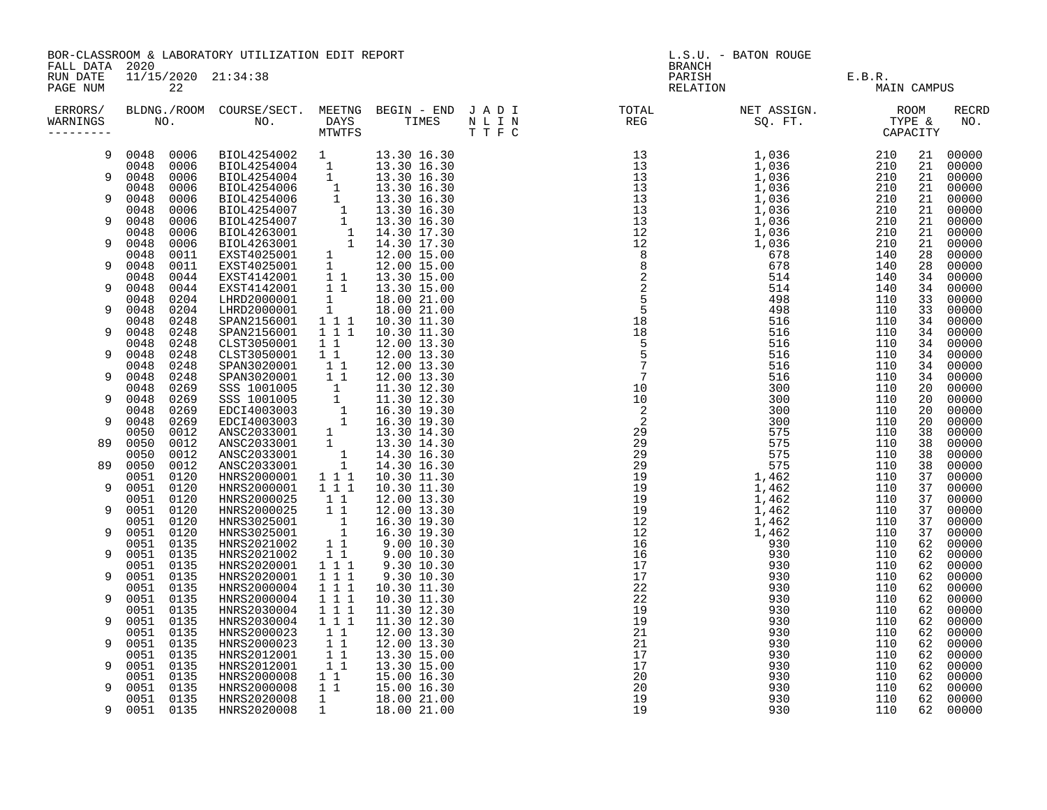| FALL DATA 2020       |                                                                                                                                                                                                                                                                | BOR-CLASSROOM & LABORATORY UTILIZATION EDIT REPORT |                                                    |                                                                                                                                                                                                                                                | L.S.U. - BATON ROUGE<br><b>BRANCH</b>                                                                                                                                                                                                                                                                                                                                                                           |             |  |          |                |  |
|----------------------|----------------------------------------------------------------------------------------------------------------------------------------------------------------------------------------------------------------------------------------------------------------|----------------------------------------------------|----------------------------------------------------|------------------------------------------------------------------------------------------------------------------------------------------------------------------------------------------------------------------------------------------------|-----------------------------------------------------------------------------------------------------------------------------------------------------------------------------------------------------------------------------------------------------------------------------------------------------------------------------------------------------------------------------------------------------------------|-------------|--|----------|----------------|--|
| RUN DATE<br>PAGE NUM | 11/15/2020 21:34:38<br>22<br>ERRORS/ BLDNG./ROOM COURSE/SECT. MEETNG BEGIN – END JADI TOTAL TOTAL NETASSIGN. NET ASSIGN. ROOM ROOM COURSE/SECT. MEETNG BEGIN – END JADI TOTAL TOTAL NETASSIGN. TYPE &<br>MARNINGS NO. NO. DAYS TIMES NLIN REG SQ.FT. TPE & CAP |                                                    |                                                    |                                                                                                                                                                                                                                                | PARISH E.B.R.<br>RELATION E.B.R. MAI                                                                                                                                                                                                                                                                                                                                                                            | MAIN CAMPUS |  |          |                |  |
| WARNINGS             |                                                                                                                                                                                                                                                                |                                                    |                                                    |                                                                                                                                                                                                                                                | $\begin{tabular}{cccccccc} \textbf{11} & \textbf{12} & \textbf{13} & \textbf{15} & \textbf{16} & \textbf{17} & \textbf{18} & \textbf{18} & \textbf{18} & \textbf{18} & \textbf{19} & \textbf{19} & \textbf{19} & \textbf{19} & \textbf{19} & \textbf{19} & \textbf{19} & \textbf{19} & \textbf{19} & \textbf{19} & \textbf{19} & \textbf{19} & \textbf{19} & \textbf{19} & \textbf{19} & \textbf{19} & \textbf$ |             |  |          | RECRD<br>NO.   |  |
| 9                    |                                                                                                                                                                                                                                                                |                                                    |                                                    |                                                                                                                                                                                                                                                |                                                                                                                                                                                                                                                                                                                                                                                                                 |             |  |          | 21 00000       |  |
| 9                    |                                                                                                                                                                                                                                                                |                                                    |                                                    |                                                                                                                                                                                                                                                |                                                                                                                                                                                                                                                                                                                                                                                                                 |             |  | 21       | 00000          |  |
|                      |                                                                                                                                                                                                                                                                |                                                    |                                                    |                                                                                                                                                                                                                                                |                                                                                                                                                                                                                                                                                                                                                                                                                 |             |  | 21<br>21 | 00000<br>00000 |  |
| 9                    |                                                                                                                                                                                                                                                                |                                                    |                                                    |                                                                                                                                                                                                                                                |                                                                                                                                                                                                                                                                                                                                                                                                                 |             |  | 21       | 00000          |  |
|                      |                                                                                                                                                                                                                                                                |                                                    |                                                    |                                                                                                                                                                                                                                                |                                                                                                                                                                                                                                                                                                                                                                                                                 |             |  | 21       | 00000          |  |
| 9                    |                                                                                                                                                                                                                                                                |                                                    |                                                    |                                                                                                                                                                                                                                                |                                                                                                                                                                                                                                                                                                                                                                                                                 |             |  | 21       | 00000          |  |
|                      |                                                                                                                                                                                                                                                                |                                                    |                                                    |                                                                                                                                                                                                                                                |                                                                                                                                                                                                                                                                                                                                                                                                                 |             |  | 21       | 00000          |  |
| 9                    |                                                                                                                                                                                                                                                                |                                                    |                                                    |                                                                                                                                                                                                                                                |                                                                                                                                                                                                                                                                                                                                                                                                                 |             |  | 21<br>28 | 00000<br>00000 |  |
| 9                    |                                                                                                                                                                                                                                                                |                                                    |                                                    |                                                                                                                                                                                                                                                |                                                                                                                                                                                                                                                                                                                                                                                                                 |             |  | 28       | 00000          |  |
|                      |                                                                                                                                                                                                                                                                |                                                    |                                                    |                                                                                                                                                                                                                                                |                                                                                                                                                                                                                                                                                                                                                                                                                 |             |  | 34       | 00000          |  |
| 9                    |                                                                                                                                                                                                                                                                |                                                    |                                                    |                                                                                                                                                                                                                                                |                                                                                                                                                                                                                                                                                                                                                                                                                 |             |  | 34       | 00000          |  |
|                      |                                                                                                                                                                                                                                                                |                                                    |                                                    |                                                                                                                                                                                                                                                |                                                                                                                                                                                                                                                                                                                                                                                                                 |             |  | 33       | 00000          |  |
| 9                    | 0048<br>0204                                                                                                                                                                                                                                                   | LHRD2000001                                        |                                                    |                                                                                                                                                                                                                                                |                                                                                                                                                                                                                                                                                                                                                                                                                 |             |  | 33       | 00000          |  |
|                      | 0048<br>0248                                                                                                                                                                                                                                                   | SPAN2156001                                        |                                                    | $\begin{array}{cccc} 1 & 18.00 & 21.00 \\ 1 & 1 & 10.30 & 11.30 \\ 1 & 1 & 10.30 & 11.30 \\ \end{array}$                                                                                                                                       |                                                                                                                                                                                                                                                                                                                                                                                                                 |             |  | 34       | 00000          |  |
| 9                    | 0048 0248<br>0048<br>0248                                                                                                                                                                                                                                      | SPAN2156001<br>CLST3050001                         | $1\quad1$                                          |                                                                                                                                                                                                                                                |                                                                                                                                                                                                                                                                                                                                                                                                                 |             |  | 34<br>34 | 00000<br>00000 |  |
| 9                    | 0048<br>0248                                                                                                                                                                                                                                                   | CLST3050001                                        | 11                                                 |                                                                                                                                                                                                                                                |                                                                                                                                                                                                                                                                                                                                                                                                                 |             |  | 34       | 00000          |  |
|                      | 0248<br>0048                                                                                                                                                                                                                                                   | SPAN3020001                                        |                                                    | 1 1 12.00 13.30                                                                                                                                                                                                                                |                                                                                                                                                                                                                                                                                                                                                                                                                 |             |  | 34       | 00000          |  |
|                      | 0048 0248                                                                                                                                                                                                                                                      |                                                    |                                                    |                                                                                                                                                                                                                                                |                                                                                                                                                                                                                                                                                                                                                                                                                 |             |  | 34       | 00000          |  |
|                      | 0269<br>0048                                                                                                                                                                                                                                                   |                                                    |                                                    | SPAN3020001 1 1 12.00 13.30<br>SPAN3020001 1 1 12.00 13.30<br>SSS 1001005 1 11.30 12.30<br>SSS 1001005 1 11.30 12.30<br>EDCI4003003 1 16.30 19.30<br>EDCI4003003 1 16.30 19.30<br>ANSC2033001 1 13.30 14.30<br>ANSC2033001 1 14.30 16.30<br>AN |                                                                                                                                                                                                                                                                                                                                                                                                                 |             |  | 20       | 00000          |  |
| 9                    | 0048<br>0269                                                                                                                                                                                                                                                   |                                                    |                                                    |                                                                                                                                                                                                                                                |                                                                                                                                                                                                                                                                                                                                                                                                                 |             |  | 20       | 00000          |  |
| 9                    | 0048<br>0269<br>0048<br>0269                                                                                                                                                                                                                                   |                                                    |                                                    |                                                                                                                                                                                                                                                |                                                                                                                                                                                                                                                                                                                                                                                                                 |             |  | 20<br>20 | 00000<br>00000 |  |
|                      | 0050<br>0012                                                                                                                                                                                                                                                   |                                                    |                                                    |                                                                                                                                                                                                                                                |                                                                                                                                                                                                                                                                                                                                                                                                                 |             |  | 38       | 00000          |  |
| 89                   | 0050<br>0012                                                                                                                                                                                                                                                   |                                                    |                                                    |                                                                                                                                                                                                                                                |                                                                                                                                                                                                                                                                                                                                                                                                                 |             |  | 38       | 00000          |  |
|                      | 0050<br>0012                                                                                                                                                                                                                                                   |                                                    |                                                    |                                                                                                                                                                                                                                                |                                                                                                                                                                                                                                                                                                                                                                                                                 |             |  | 38       | 00000          |  |
| 89                   | 0050 0012                                                                                                                                                                                                                                                      |                                                    |                                                    |                                                                                                                                                                                                                                                |                                                                                                                                                                                                                                                                                                                                                                                                                 |             |  | 38       | 00000          |  |
|                      | 0051 0120                                                                                                                                                                                                                                                      | HNRS2000001                                        | $1 1 1$                                            |                                                                                                                                                                                                                                                |                                                                                                                                                                                                                                                                                                                                                                                                                 |             |  | 37       | 00000          |  |
| 9                    | 0051 0120<br>0051 0120                                                                                                                                                                                                                                         | HNRS2000001<br>HNRS2000025                         | $1 1 1$<br>11                                      |                                                                                                                                                                                                                                                |                                                                                                                                                                                                                                                                                                                                                                                                                 |             |  | 37<br>37 | 00000<br>00000 |  |
| 9                    | 0051 0120                                                                                                                                                                                                                                                      | HNRS2000025                                        | 11                                                 |                                                                                                                                                                                                                                                |                                                                                                                                                                                                                                                                                                                                                                                                                 |             |  | 37       | 00000          |  |
|                      | 0051 0120                                                                                                                                                                                                                                                      | HNRS3025001                                        |                                                    |                                                                                                                                                                                                                                                |                                                                                                                                                                                                                                                                                                                                                                                                                 |             |  | 37       | 00000          |  |
| 9                    | 0051<br>0120                                                                                                                                                                                                                                                   | HNRS3025001                                        |                                                    | $\begin{array}{rrrr} 1 & 1 & 16.30 & 19.30 \ 1 & 16.30 & 19.30 \ 1 & 1 & 9.00 & 10.30 \ 1 & 1 & 9.00 & 10.30 \ \end{array}$                                                                                                                    |                                                                                                                                                                                                                                                                                                                                                                                                                 |             |  | 37       | 00000          |  |
|                      | 0051 0135                                                                                                                                                                                                                                                      | HNRS2021002                                        |                                                    |                                                                                                                                                                                                                                                |                                                                                                                                                                                                                                                                                                                                                                                                                 |             |  | 62       | 00000          |  |
| 9                    | 0051 0135                                                                                                                                                                                                                                                      | HNRS2021002                                        |                                                    |                                                                                                                                                                                                                                                |                                                                                                                                                                                                                                                                                                                                                                                                                 |             |  | 62       | 00000          |  |
| 9                    | 0051 0135                                                                                                                                                                                                                                                      | HNRS2020001                                        | $1 1 1$                                            |                                                                                                                                                                                                                                                |                                                                                                                                                                                                                                                                                                                                                                                                                 |             |  | 62       | 00000          |  |
|                      | 0051<br>0135<br>0051 0135                                                                                                                                                                                                                                      | HNRS2020001<br>HNRS2000004                         | $1 1 1$<br>$1 1 1$                                 |                                                                                                                                                                                                                                                |                                                                                                                                                                                                                                                                                                                                                                                                                 |             |  | 62<br>62 | 00000<br>00000 |  |
| 9                    | 0051 0135                                                                                                                                                                                                                                                      | HNRS2000004                                        | $1 1 1$                                            |                                                                                                                                                                                                                                                |                                                                                                                                                                                                                                                                                                                                                                                                                 |             |  | 62       | 00000          |  |
|                      | 0051 0135                                                                                                                                                                                                                                                      | HNRS2030004                                        | 111                                                |                                                                                                                                                                                                                                                |                                                                                                                                                                                                                                                                                                                                                                                                                 |             |  | 62       | 00000          |  |
| q                    | 0051<br>0135                                                                                                                                                                                                                                                   | HNRS2030004                                        | 1 1 1                                              |                                                                                                                                                                                                                                                |                                                                                                                                                                                                                                                                                                                                                                                                                 |             |  | 62       | 00000          |  |
|                      | 0051 0135                                                                                                                                                                                                                                                      | HNRS2000023                                        | $1\quad1$                                          |                                                                                                                                                                                                                                                |                                                                                                                                                                                                                                                                                                                                                                                                                 |             |  | 62       | 00000          |  |
| 9                    | 0051 0135                                                                                                                                                                                                                                                      | HNRS2000023                                        | 11                                                 |                                                                                                                                                                                                                                                |                                                                                                                                                                                                                                                                                                                                                                                                                 |             |  | 62       | 00000          |  |
| 9                    | 0051 0135<br>0051 0135                                                                                                                                                                                                                                         | HNRS2012001<br>HNRS2012001                         | $\begin{array}{rr} & 1 & 1 \\ & 1 & 1 \end{array}$ |                                                                                                                                                                                                                                                |                                                                                                                                                                                                                                                                                                                                                                                                                 |             |  | 62<br>62 | 00000<br>00000 |  |
|                      | 0051 0135                                                                                                                                                                                                                                                      |                                                    | $1\quad1$                                          |                                                                                                                                                                                                                                                |                                                                                                                                                                                                                                                                                                                                                                                                                 |             |  | 62       | 00000          |  |
| 9                    | 0051 0135                                                                                                                                                                                                                                                      | HNRS2000008<br>HNRS2000008                         | $\overline{1}$ $\overline{1}$                      |                                                                                                                                                                                                                                                |                                                                                                                                                                                                                                                                                                                                                                                                                 |             |  | 62       | 00000          |  |
|                      | 0051 0135                                                                                                                                                                                                                                                      | HNRS2020008                                        | $\frac{1}{1}$                                      |                                                                                                                                                                                                                                                |                                                                                                                                                                                                                                                                                                                                                                                                                 |             |  | 62       | 00000          |  |
| 9                    | 0051 0135                                                                                                                                                                                                                                                      | HNRS2020008                                        |                                                    |                                                                                                                                                                                                                                                |                                                                                                                                                                                                                                                                                                                                                                                                                 |             |  | 62       | 00000          |  |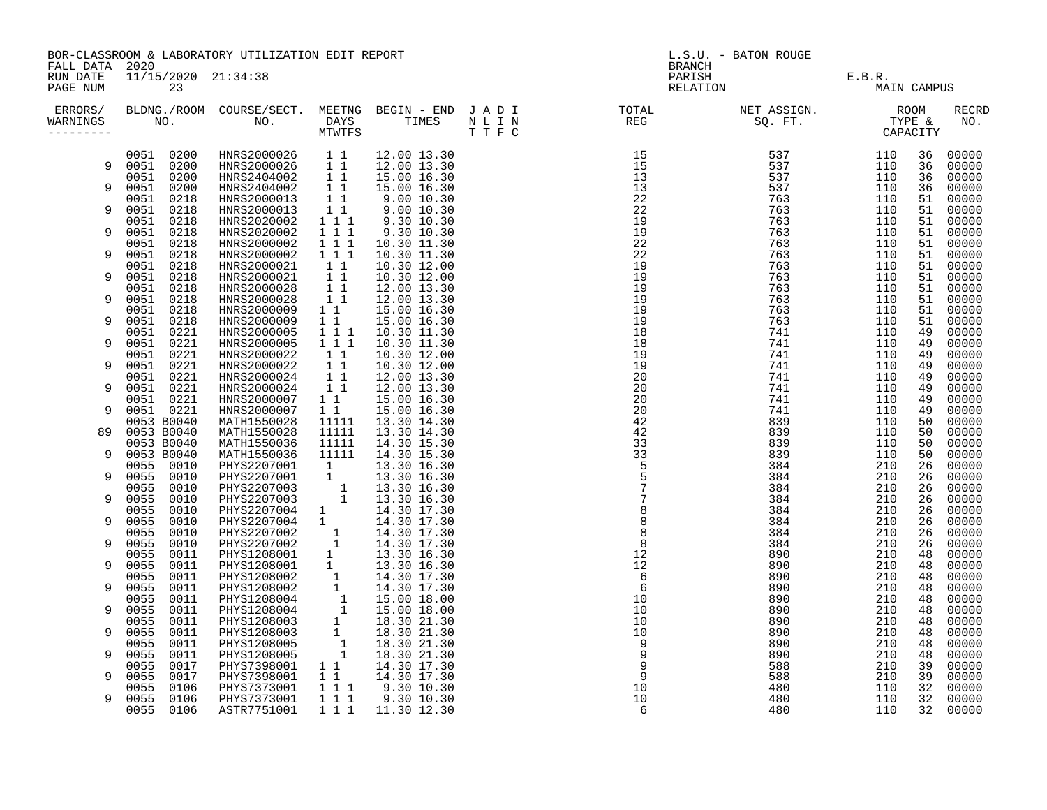| FALL DATA 2020       | BOR-CLASSROOM & LABORATORY UTILIZATION EDIT REPORT |                           |                                                                                                                                                                                                                                                |                                                                                                           |                                                   |  | L.S.U. - BATON ROUGE<br>${\tt BRANCH}$ |                               |             |          |                |  |
|----------------------|----------------------------------------------------|---------------------------|------------------------------------------------------------------------------------------------------------------------------------------------------------------------------------------------------------------------------------------------|-----------------------------------------------------------------------------------------------------------|---------------------------------------------------|--|----------------------------------------|-------------------------------|-------------|----------|----------------|--|
| RUN DATE<br>PAGE NUM |                                                    | 11/15/2020 21:34:38<br>23 |                                                                                                                                                                                                                                                |                                                                                                           |                                                   |  |                                        | PARISH E.B.R.<br>RELATION MAI | MAIN CAMPUS |          |                |  |
| ERRORS/<br>WARNINGS  |                                                    |                           |                                                                                                                                                                                                                                                |                                                                                                           |                                                   |  |                                        |                               |             |          | RECRD<br>NO.   |  |
|                      | 0051 0200                                          |                           | HNRS2000026 1 1 12.00 13.30<br>HNRS2000026 1 1 12.00 13.30<br>HNRS2404002 1 1 15.00 16.30<br>HNRS2000013 1 1 9.00 10.30<br>HNRS2000013 1 9.00 10.30<br>HNRS2000013 1 9.00 10.30<br>HNRS2000013 1 9.00 10.30                                    |                                                                                                           | 12.00 13.30                                       |  |                                        |                               |             | 36       | 00000          |  |
| 9                    | 0051 0200<br>0051 0200                             |                           |                                                                                                                                                                                                                                                |                                                                                                           |                                                   |  |                                        |                               |             | 36<br>36 | 00000          |  |
| 9                    | 0051 0200                                          |                           |                                                                                                                                                                                                                                                |                                                                                                           |                                                   |  |                                        |                               |             | 36       | 00000<br>00000 |  |
|                      | 0051                                               | 0218                      |                                                                                                                                                                                                                                                |                                                                                                           |                                                   |  |                                        |                               |             | 51       | 00000          |  |
| 9                    | 0051                                               | 0218                      | HNRS2000013<br>HNRS2000013<br>HNRS2020002                                                                                                                                                                                                      |                                                                                                           | $9.00$ $10.30$<br>$9.30$ $10.30$                  |  |                                        |                               |             | 51       | 00000          |  |
|                      | 0051                                               | 0218                      |                                                                                                                                                                                                                                                | $1 1 1$                                                                                                   |                                                   |  |                                        |                               |             | 51       | 00000          |  |
| 9                    | 0051 0218<br>0051                                  | 0218                      | HNRS2020002<br>HNRS2000002                                                                                                                                                                                                                     | $\begin{array}{rrrr} 1 & 1 & 1 \\ 1 & 1 & 1 \end{array}$                                                  | 9.30 10.30<br>10.30 11.30                         |  |                                        |                               |             | 51<br>51 | 00000<br>00000 |  |
| 9                    | 0051                                               | 0218                      |                                                                                                                                                                                                                                                | $1 1 1$                                                                                                   | 10.30 11.30                                       |  |                                        |                               |             | 51       | 00000          |  |
|                      | 0051                                               | 0218                      | HNRS2000002<br>HNRS2000021                                                                                                                                                                                                                     |                                                                                                           | 10.30 12.00                                       |  |                                        |                               |             | 51       | 00000          |  |
| 9                    | 0051                                               | 0218                      | HNRS2000021                                                                                                                                                                                                                                    | $\begin{bmatrix} 1 & 1 \\ 1 & 1 \end{bmatrix}$                                                            | 10.30 12.00                                       |  |                                        |                               |             | 51       | 00000          |  |
|                      | 0051                                               | 0218                      | HNRS2000028                                                                                                                                                                                                                                    | $\begin{array}{c} \overline{1} & \overline{1} \\ \overline{1} & 1 \end{array}$                            | 12.00 13.30                                       |  |                                        |                               |             | 51       | 00000          |  |
| 9                    | 0051                                               | 0218                      | HNRS2000028                                                                                                                                                                                                                                    |                                                                                                           | 12.00 13.30                                       |  |                                        |                               |             | 51<br>51 | 00000          |  |
| 9                    | 0051 0218<br>0051                                  | 0218                      | HNRS2000009 11 15.00 16.30<br>HNRS2000009 11 15.00 16.30<br>HNRS2000005 1 1 1 10.30 11.30                                                                                                                                                      |                                                                                                           |                                                   |  |                                        |                               |             | 51       | 00000<br>00000 |  |
|                      | 0051 0221                                          |                           |                                                                                                                                                                                                                                                |                                                                                                           |                                                   |  |                                        |                               |             | 49       | 00000          |  |
| 9                    | 0051                                               | 0221                      | HNRS2000005                                                                                                                                                                                                                                    | 111                                                                                                       | 10.30 11.30                                       |  |                                        |                               |             | 49       | 00000          |  |
|                      | 0051 0221                                          |                           | HNRS2000022                                                                                                                                                                                                                                    | 11                                                                                                        | 10.30 12.00                                       |  |                                        |                               |             | 49       | 00000          |  |
| 9                    | 0051                                               | 0221                      | HNRS2000022                                                                                                                                                                                                                                    | 11                                                                                                        | 10.30 12.00                                       |  |                                        |                               |             | 49       | 00000          |  |
| 9                    | 0051<br>0051                                       | 0221<br>0221              | HNRS2000024<br>HNRS2000024                                                                                                                                                                                                                     | $\begin{array}{c} \begin{array}{c} 1 \\ 1 \end{array} \\ \begin{array}{c} 1 \\ 1 \end{array} \end{array}$ | 12.00 13.30<br>12.00 13.30                        |  |                                        |                               |             | 49<br>49 | 00000<br>00000 |  |
|                      |                                                    |                           |                                                                                                                                                                                                                                                |                                                                                                           | 15.00 16.30                                       |  |                                        |                               |             | 49       | 00000          |  |
| 9                    | 0051 0221<br>0051 0221                             |                           | HNRS2000007<br>HNRS2000007                                                                                                                                                                                                                     | $\begin{matrix} 1 & 1 \\ 1 & 1 \end{matrix}$                                                              | 15.00 16.30                                       |  |                                        |                               |             | 49       | 00000          |  |
|                      | 0053 B0040                                         |                           | MATH1550028<br>MATH1550028                                                                                                                                                                                                                     | 11111<br>11111                                                                                            | 13.30 14.30                                       |  |                                        |                               |             | 50       | 00000          |  |
| 89                   | 0053 B0040                                         |                           |                                                                                                                                                                                                                                                |                                                                                                           | 13.30 14.30                                       |  |                                        |                               |             | 50       | 00000          |  |
| 9                    | 0053 B0040<br>0053 B0040                           |                           | MATH1550036 11111 14.30 15.30<br>MATH1550036 11111 14.30 15.30<br>MATH1550036 11111 14.30 15.30<br>PHYS2207001 1 13.30 16.30<br>PHYS2207003 1 13.30 16.30<br>PHYS2207003 1 13.30 16.30<br>PHYS2207003 1 13.30 16.30                            |                                                                                                           |                                                   |  |                                        |                               |             | 50<br>50 | 00000<br>00000 |  |
|                      | 0055 0010                                          |                           |                                                                                                                                                                                                                                                |                                                                                                           |                                                   |  |                                        |                               |             | 26       | 00000          |  |
| 9                    | 0055                                               | 0010                      |                                                                                                                                                                                                                                                |                                                                                                           |                                                   |  |                                        |                               |             | 26       | 00000          |  |
|                      | 0055                                               | 0010                      |                                                                                                                                                                                                                                                |                                                                                                           |                                                   |  |                                        |                               |             | 26       | 00000          |  |
| 9                    | 0055                                               | 0010                      |                                                                                                                                                                                                                                                |                                                                                                           |                                                   |  |                                        |                               |             | 26       | 00000          |  |
| 9                    | 0055<br>0055                                       | 0010<br>0010              | PHYS2207004 1<br>PHYS2207004 1                                                                                                                                                                                                                 |                                                                                                           | $14.30$ $17.30$<br>$14.30$ $17.30$<br>14.30 17.30 |  |                                        |                               |             | 26<br>26 | 00000<br>00000 |  |
|                      | 0055                                               | 0010                      |                                                                                                                                                                                                                                                |                                                                                                           |                                                   |  |                                        |                               |             | 26       | 00000          |  |
| 9                    | 0055                                               | 0010                      |                                                                                                                                                                                                                                                |                                                                                                           |                                                   |  |                                        |                               |             | 26       | 00000          |  |
|                      | 0055                                               | 0011                      |                                                                                                                                                                                                                                                |                                                                                                           |                                                   |  |                                        |                               |             | 48       | 00000          |  |
| 9                    | 0055                                               | 0011                      |                                                                                                                                                                                                                                                |                                                                                                           |                                                   |  |                                        |                               |             | 48       | 00000          |  |
|                      | 0055                                               | 0011                      |                                                                                                                                                                                                                                                |                                                                                                           |                                                   |  |                                        |                               |             | 48       | 00000          |  |
| 9                    | 0055<br>0055                                       | 0011<br>0011              |                                                                                                                                                                                                                                                |                                                                                                           |                                                   |  |                                        |                               |             | 48<br>48 | 00000<br>00000 |  |
| 9                    | 0055                                               | 0011                      |                                                                                                                                                                                                                                                |                                                                                                           |                                                   |  |                                        |                               |             | 48       | 00000          |  |
|                      | 0055                                               | 0011                      |                                                                                                                                                                                                                                                |                                                                                                           |                                                   |  |                                        |                               |             | 48       | 00000          |  |
| 9                    | 0055                                               | 0011                      |                                                                                                                                                                                                                                                |                                                                                                           |                                                   |  |                                        |                               |             | 48       | 00000          |  |
|                      | 0055                                               | 0011                      |                                                                                                                                                                                                                                                |                                                                                                           |                                                   |  |                                        |                               |             | 48       | 00000          |  |
| 9                    | 0055<br>0055                                       | 0011                      |                                                                                                                                                                                                                                                |                                                                                                           |                                                   |  |                                        |                               |             | 48<br>39 | 00000<br>00000 |  |
| 9                    | 0055                                               | 0017<br>0017              |                                                                                                                                                                                                                                                |                                                                                                           |                                                   |  |                                        |                               |             | 39       | 00000          |  |
|                      | 0055                                               | 0106                      |                                                                                                                                                                                                                                                |                                                                                                           |                                                   |  |                                        |                               |             | 32       | 00000          |  |
| 9                    | 0055                                               | 0106                      | HYS2207004 1 14.30 17.30<br>PHYS2207002 1 14.30 17.30<br>PHYS2207002 1 14.30 17.30<br>PHYS1208001 1 13.30 16.30<br>PHYS1208001 1 13.30 16.30<br>PHYS1208002 1 14.30 17.30<br>PHYS1208002 1 14.30 17.30<br>PHYS1208002 1 14.30 17.30<br>PHYS120 |                                                                                                           |                                                   |  |                                        |                               |             | 32       | 00000          |  |
|                      | 0055                                               | 0106                      |                                                                                                                                                                                                                                                |                                                                                                           |                                                   |  |                                        |                               |             | 32       | 00000          |  |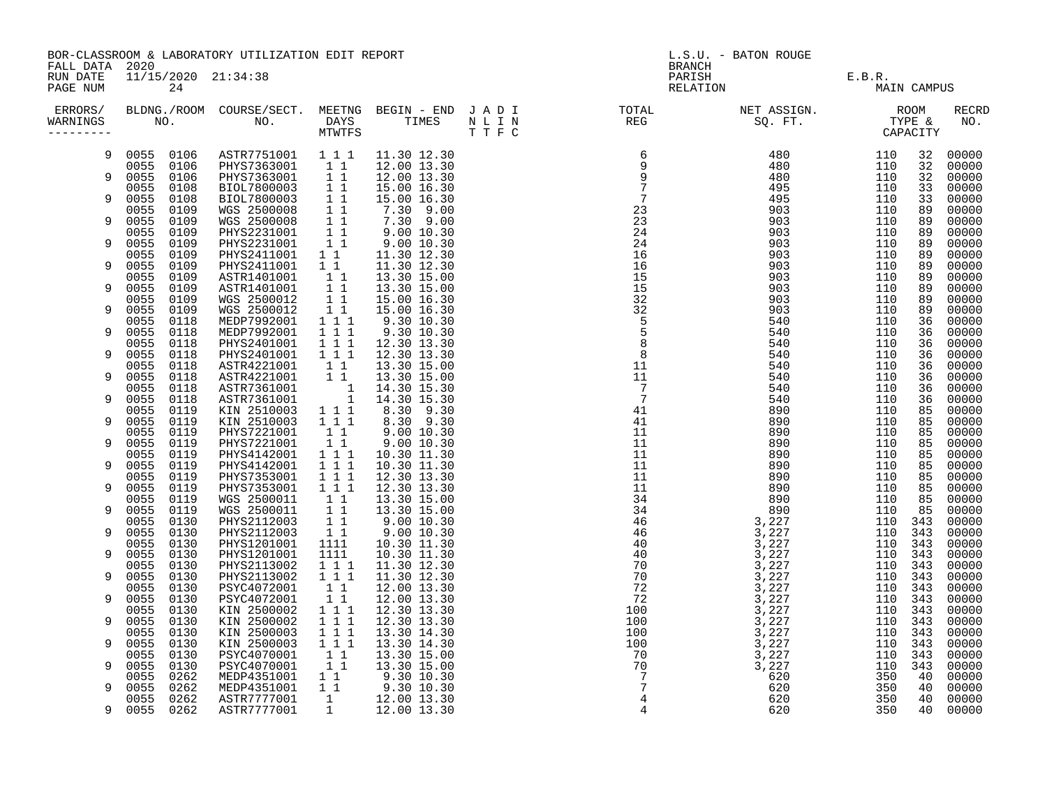| FALL DATA 2020        |                              | BOR-CLASSROOM & LABORATORY UTILIZATION EDIT REPORT |                                                                                                                                |                                                                                                                                                                      | L.S.U. - BATON ROUGE<br><b>BRANCH</b>                                                                                                                                                                                                                                            |                                |                    |             |                     |  |
|-----------------------|------------------------------|----------------------------------------------------|--------------------------------------------------------------------------------------------------------------------------------|----------------------------------------------------------------------------------------------------------------------------------------------------------------------|----------------------------------------------------------------------------------------------------------------------------------------------------------------------------------------------------------------------------------------------------------------------------------|--------------------------------|--------------------|-------------|---------------------|--|
| RUN DATE<br>PAGE NUM  | 11/15/2020 21:34:38<br>24    |                                                    |                                                                                                                                |                                                                                                                                                                      |                                                                                                                                                                                                                                                                                  | PARISH E.B.R.<br>RELATION MAIN |                    | MAIN CAMPUS |                     |  |
| WARNINGS<br>--------- |                              |                                                    |                                                                                                                                |                                                                                                                                                                      | $\begin{array}{cccccccc} 0.11 & 0.14 & 0.14 & 0.14 & 0.14 & 0.14 & 0.14 & 0.14 & 0.14 & 0.14 & 0.14 & 0.14 & 0.14 & 0.14 & 0.14 & 0.14 & 0.14 & 0.14 & 0.14 & 0.14 & 0.14 & 0.14 & 0.14 & 0.14 & 0.14 & 0.14 & 0.14 & 0.14 & 0.14 & 0.14 & 0.14 & 0.14 & 0.14 & 0.14 & 0.14 & 0$ |                                |                    |             | <b>RECRD</b><br>NO. |  |
| 9                     |                              | 0055 0106 ASTR7751001 111                          |                                                                                                                                | 11.30 12.30                                                                                                                                                          |                                                                                                                                                                                                                                                                                  |                                | 110                | 32          | 00000               |  |
| 9                     | 0055 0106<br>0055<br>0106    | PHYS7363001 11<br>PHYS7363001 11                   |                                                                                                                                | 12.00 13.30<br>12.00 13.30                                                                                                                                           |                                                                                                                                                                                                                                                                                  |                                | 110<br>110         | 32<br>32    | 00000<br>00000      |  |
|                       | 0055<br>0108                 | BIOL7800003 1 1                                    |                                                                                                                                | 15.00 16.30                                                                                                                                                          |                                                                                                                                                                                                                                                                                  |                                | 110                | 33          | 00000               |  |
| 9                     | 0055<br>0108<br>0055<br>0109 | BIOL7800003 1 1<br>WGS 2500008                     |                                                                                                                                | 15.00 16.30<br>7.30 9.00                                                                                                                                             |                                                                                                                                                                                                                                                                                  |                                | 110<br>110         | 33<br>89    | 00000<br>00000      |  |
| 9                     | 0055<br>0109                 | WGS 2500008                                        | $\begin{array}{c} 1 \\ 1 \\ 1 \\ 1 \\ 1 \\ 1 \\ \end{array}$                                                                   |                                                                                                                                                                      |                                                                                                                                                                                                                                                                                  |                                | 110                | 89          | 00000               |  |
|                       | 0055<br>0109                 | PHYS2231001                                        |                                                                                                                                | $\begin{array}{cccc} 1 & 1 & 7.30 & 9.00 \ 1 & 1 & 9.00 & 10.30 \ 1 & 1 & 9.00 & 10.30 \ 1 & 1 & 11.30 & 12.30 \ \end{array}$                                        |                                                                                                                                                                                                                                                                                  |                                | 110                | 89          | 00000               |  |
| 9                     | 0055<br>0109                 | PHYS2231001                                        |                                                                                                                                |                                                                                                                                                                      |                                                                                                                                                                                                                                                                                  |                                | 110                | 89          | 00000               |  |
| 9                     | 0055<br>0109<br>0055<br>0109 | PHYS2411001<br>PHYS2411001                         |                                                                                                                                |                                                                                                                                                                      |                                                                                                                                                                                                                                                                                  |                                | 110<br>110         | 89<br>89    | 00000<br>00000      |  |
|                       | 0055<br>0109                 | ASTR1401001                                        |                                                                                                                                | $\begin{array}{rrrr} 1 & 1 & 11.30 & 12.30 \\ 1 & 1 & 13.30 & 15.00 \end{array}$                                                                                     |                                                                                                                                                                                                                                                                                  |                                | 110                | 89          | 00000               |  |
| 9                     | 0055<br>0109                 | ASTR1401001                                        | $\begin{array}{cc} 1 & 1 \\ 1 & 1 \end{array}$                                                                                 | 13.30 15.00                                                                                                                                                          |                                                                                                                                                                                                                                                                                  |                                | 110                | 89          | 00000               |  |
| 9                     | 0055<br>0109<br>0055<br>0109 | WGS 2500012                                        |                                                                                                                                | 15.00 16.30                                                                                                                                                          |                                                                                                                                                                                                                                                                                  |                                | 110<br>110         | 89<br>89    | 00000<br>00000      |  |
|                       | 0055<br>0118                 | WGS 2500012 1<br>MEDP7992001 111                   |                                                                                                                                | 15.00 16.30<br>9.30 10.30                                                                                                                                            |                                                                                                                                                                                                                                                                                  |                                | 110                | 36          | 00000               |  |
| 9                     | 0055<br>0118                 | MEDP7992001                                        | $1 1 1$                                                                                                                        | 9.30 10.30                                                                                                                                                           |                                                                                                                                                                                                                                                                                  |                                | 110                | 36          | 00000               |  |
|                       | 0055<br>0118                 | PHYS2401001                                        | $1 1 1$                                                                                                                        | 12.30 13.30                                                                                                                                                          |                                                                                                                                                                                                                                                                                  |                                | 110                | 36          | 00000               |  |
| 9                     | 0055<br>0118<br>0055<br>0118 | PHYS2401001                                        | 111                                                                                                                            | 12.30 13.30<br>13.30 15.00                                                                                                                                           |                                                                                                                                                                                                                                                                                  |                                | 110<br>110         | 36<br>36    | 00000<br>00000      |  |
| 9                     | 0055<br>0118                 | ASTR4221001 1 1<br>ASTR4221001 1 1                 |                                                                                                                                | 13.30 15.00                                                                                                                                                          |                                                                                                                                                                                                                                                                                  |                                | 110                | 36          | 00000               |  |
|                       | 0055<br>0118                 | ASTR7361001 1<br>ASTR7361001 1                     |                                                                                                                                | 14.30 15.30                                                                                                                                                          |                                                                                                                                                                                                                                                                                  |                                | 110                | 36          | 00000               |  |
| 9                     | 0055<br>0118<br>0055<br>0119 | KIN 2510003 1 1 1                                  |                                                                                                                                | 14.30 15.30<br>8.30 9.30                                                                                                                                             |                                                                                                                                                                                                                                                                                  |                                | 110<br>110         | 36<br>85    | 00000<br>00000      |  |
| 9                     | 0055<br>0119                 | KIN 2510003 111                                    |                                                                                                                                |                                                                                                                                                                      |                                                                                                                                                                                                                                                                                  |                                | 110                | 85          | 00000               |  |
|                       | 0119<br>0055                 | PHYS7221001                                        | $\begin{array}{rr} & 1 & 1 \\ & 1 & 1 \end{array}$                                                                             | 8.30 9.30<br>9.00 10.30<br>9.00 10.30                                                                                                                                |                                                                                                                                                                                                                                                                                  |                                | 110                | 85          | 00000               |  |
| 9                     | 0055<br>0119                 | PHYS7221001                                        |                                                                                                                                |                                                                                                                                                                      |                                                                                                                                                                                                                                                                                  |                                | 110                | 85          | 00000               |  |
| 9                     | 0055<br>0119<br>0055<br>0119 | PHYS4142001<br>PHYS4142001                         |                                                                                                                                | $1\ 1\ 1\ 1\ 10.30\ 11.30$<br>$1\ 1\ 1\ 10.30\ 11.30$                                                                                                                |                                                                                                                                                                                                                                                                                  |                                | 110<br>110         | 85<br>85    | 00000<br>00000      |  |
|                       | 0055<br>0119                 | PHYS7353001                                        |                                                                                                                                | 12.30 13.30                                                                                                                                                          |                                                                                                                                                                                                                                                                                  |                                | 110                | 85          | 00000               |  |
| 9                     | 0055<br>0119                 | PHYS7353001                                        | $\begin{array}{rrrr} 1&1&1\\ 1&1&1 \end{array}$                                                                                | 12.30 13.30                                                                                                                                                          |                                                                                                                                                                                                                                                                                  |                                | 110                | 85          | 00000               |  |
|                       | 0055<br>0119                 | WGS 2500011                                        | $1\quad1$                                                                                                                      | 13.30 15.00                                                                                                                                                          |                                                                                                                                                                                                                                                                                  |                                | 110                | 85          | 00000               |  |
| 9                     | 0055<br>0119<br>0055<br>0130 | WGS 2500011<br>PHYS2112003 1 1                     | $\overline{1}$ $\overline{1}$                                                                                                  | 13.30 15.00                                                                                                                                                          |                                                                                                                                                                                                                                                                                  |                                | 110<br>110 343     | 85          | 00000<br>00000      |  |
| 9                     | 0055<br>0130                 |                                                    | $1\quad1$                                                                                                                      | 9.00 10.30<br>9.00 10.30                                                                                                                                             |                                                                                                                                                                                                                                                                                  |                                | 110                | 343         | 00000               |  |
|                       | 0055<br>0130                 | PHYS2112003<br>PHYS1201001                         | 1111                                                                                                                           | 10.30 11.30                                                                                                                                                          |                                                                                                                                                                                                                                                                                  |                                | 110                | 343         | 00000               |  |
| 9                     | 0055<br>0130<br>0055<br>0130 | PHYS1201001                                        | 1111                                                                                                                           | 10.30 11.30                                                                                                                                                          |                                                                                                                                                                                                                                                                                  |                                | 110 343<br>110 343 |             | 00000               |  |
| 9                     | 0055<br>0130                 | PHYS2113002<br>PHYS2113002                         | 1 1 1<br>111                                                                                                                   | 11.30 12.30<br>11.30 12.30                                                                                                                                           |                                                                                                                                                                                                                                                                                  |                                | 110 343            |             | 00000<br>00000      |  |
|                       | 0055<br>0130                 | PSYC4072001                                        | $1\quad1$                                                                                                                      | 12.00 13.30                                                                                                                                                          |                                                                                                                                                                                                                                                                                  |                                | 110 343            |             | 00000               |  |
| 9                     | 0055<br>0130                 | PSYC4072001                                        | $\begin{array}{c} \bar{1} & \bar{1} \\ 1 & 1 & 1 \end{array}$                                                                  | 12.00 13.30                                                                                                                                                          |                                                                                                                                                                                                                                                                                  |                                | 110 343            |             | 00000               |  |
| 9                     | 0055<br>0130<br>0055<br>0130 | KIN 2500002<br>KIN 2500002                         |                                                                                                                                | 12.30 13.30<br>12.30 13.30                                                                                                                                           |                                                                                                                                                                                                                                                                                  |                                | 110 343<br>110 343 |             | 00000<br>00000      |  |
|                       | 0055<br>0130                 | KIN 2500003                                        | $\begin{array}{rrrr} & \overline{1} & \overline{1} & \overline{1} \\ & \overline{1} & \overline{1} & \overline{1} \end{array}$ | 13.30 14.30                                                                                                                                                          |                                                                                                                                                                                                                                                                                  |                                | 110 343            |             | 00000               |  |
| 9                     | 0055<br>0130                 | KIN 2500003                                        | $1 1 1$                                                                                                                        | 13.30 14.30                                                                                                                                                          |                                                                                                                                                                                                                                                                                  |                                | 110 343            |             | 00000               |  |
|                       | 0055<br>0130                 | PSYC4070001                                        | $1\quad1$                                                                                                                      | 13.30 15.00                                                                                                                                                          |                                                                                                                                                                                                                                                                                  |                                | 110 343            |             | 00000               |  |
| 9                     | 0055<br>0130<br>0262<br>0055 | PSYC4070001<br>MEDP4351001                         | $1\quad1$                                                                                                                      | 13.30 15.00                                                                                                                                                          |                                                                                                                                                                                                                                                                                  |                                | 110 343<br>350     | 40          | 00000<br>00000      |  |
| 9                     | 0055<br>0262                 | MEDP4351001 1 1                                    |                                                                                                                                |                                                                                                                                                                      |                                                                                                                                                                                                                                                                                  |                                | 350                | 40          | 00000               |  |
|                       | 0262<br>0055                 | ASTR7777001                                        |                                                                                                                                | $\begin{array}{ccc} 1 & 1 & 9 \cdot 30 & 10 \cdot 30 \ 1 & 1 & 9 \cdot 30 & 10 \cdot 30 \ 1 & 12 \cdot 00 & 13 \cdot 30 \ 1 & 12 \cdot 00 & 13 \cdot 30 \end{array}$ |                                                                                                                                                                                                                                                                                  |                                | 350                | 40          | 00000               |  |
| 9                     | 0055 0262                    | ASTR7777001                                        |                                                                                                                                |                                                                                                                                                                      |                                                                                                                                                                                                                                                                                  |                                | 350                | 40          | 00000               |  |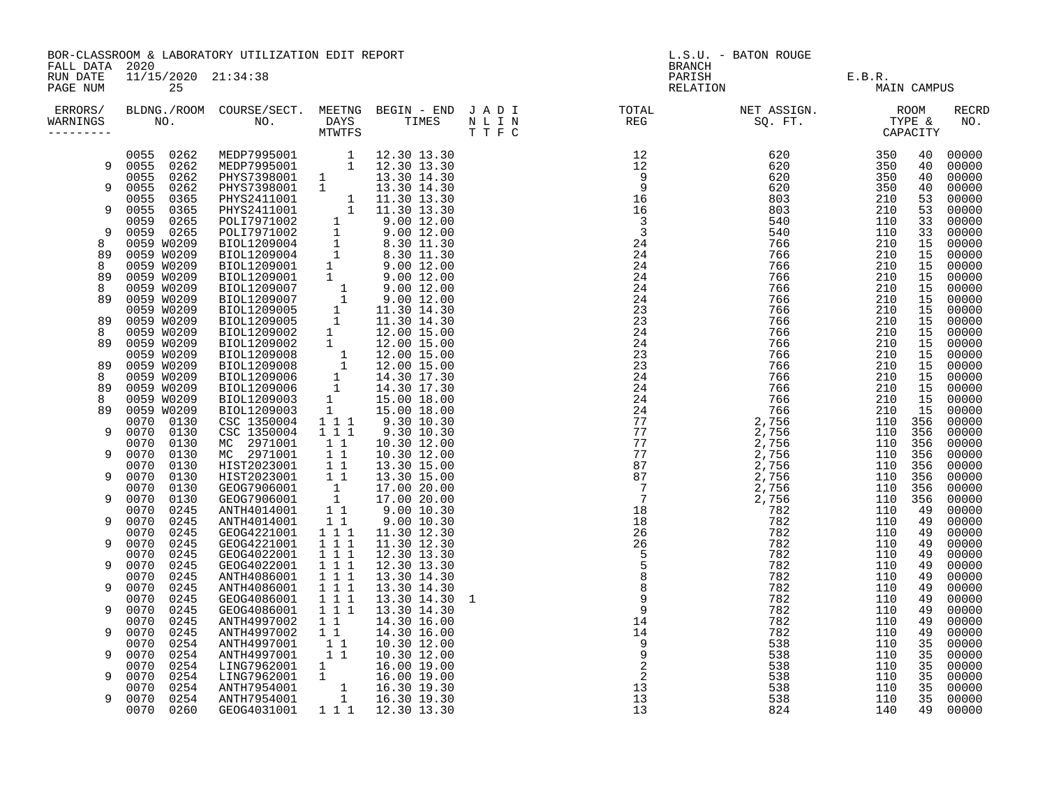|                                        |                              | BOR-CLASSROOM & LABORATORY UTILIZATION EDIT REPORT                                                                                                                                                                                             |                                                                                    |                            | L.S.U. - BATON ROUGE<br><b>BRANCH</b> |                    |               |         |             |                |
|----------------------------------------|------------------------------|------------------------------------------------------------------------------------------------------------------------------------------------------------------------------------------------------------------------------------------------|------------------------------------------------------------------------------------|----------------------------|---------------------------------------|--------------------|---------------|---------|-------------|----------------|
| FALL DATA 2020<br>RUN DATE<br>PAGE NUM | 11/15/2020 21:34:38<br>25    |                                                                                                                                                                                                                                                |                                                                                    |                            |                                       | PARISH<br>RELATION | E.B.R.<br>MAI |         | MAIN CAMPUS |                |
| ERRORS/<br>WARNINGS<br>---------       |                              |                                                                                                                                                                                                                                                |                                                                                    |                            |                                       |                    |               |         |             | RECRD<br>NO.   |
|                                        | 0055 0262<br>9 0055 0262     | MEDP7995001 1 12.30 13.30<br>MEDP7995001 1 12.30 13.30<br>PHYS7398001 1 13.30 14.30<br>PHYS7398001 1 13.30 14.30                                                                                                                               |                                                                                    |                            |                                       |                    |               |         | 40<br>40    | 00000<br>00000 |
|                                        | 0055 0262                    |                                                                                                                                                                                                                                                |                                                                                    |                            |                                       |                    |               |         | 40          | 00000          |
| 9                                      | 0262<br>0055<br>0055<br>0365 |                                                                                                                                                                                                                                                |                                                                                    |                            |                                       |                    |               |         | 40<br>53    | 00000<br>00000 |
| 9                                      | 0365<br>0055                 | PHYS7398001 1 13.30 14.30<br>PHYS7398001 1 11.30 13.30<br>PHYS2411001 1 11.30 13.30<br>PHYS2411001 1 11.30 13.30<br>PHYS2411001 1 11.30 13.30<br>PDL17971002 1 9.00 12.00<br>PDL17971002 1 9.00 12.00<br>BDDL1209004 1 8.30 11.30<br>BDDL12090 |                                                                                    |                            |                                       |                    |               |         | 53          | 00000          |
| 9                                      | 0265<br>0059<br>0059 0265    |                                                                                                                                                                                                                                                |                                                                                    |                            |                                       |                    |               |         | 33          | 00000          |
| 8                                      | 0059 W0209                   |                                                                                                                                                                                                                                                |                                                                                    |                            |                                       |                    |               |         | 33<br>15    | 00000<br>00000 |
| 89                                     | 0059 W0209                   |                                                                                                                                                                                                                                                |                                                                                    |                            |                                       |                    |               |         | 15          | 00000          |
| 8                                      | 0059 W0209                   |                                                                                                                                                                                                                                                |                                                                                    |                            |                                       |                    |               |         | 15          | 00000          |
| 89<br>8                                | 0059 W0209<br>0059 W0209     |                                                                                                                                                                                                                                                |                                                                                    |                            |                                       |                    |               |         | 15<br>15    | 00000<br>00000 |
| 89                                     | 0059 W0209                   |                                                                                                                                                                                                                                                |                                                                                    |                            |                                       |                    |               |         | 15          | 00000          |
|                                        | 0059 W0209                   |                                                                                                                                                                                                                                                |                                                                                    |                            |                                       |                    |               |         | 15          | 00000          |
| 89<br>8                                | 0059 W0209<br>0059 W0209     |                                                                                                                                                                                                                                                |                                                                                    |                            |                                       |                    |               |         | 15<br>15    | 00000<br>00000 |
| 89                                     | 0059 W0209                   |                                                                                                                                                                                                                                                |                                                                                    |                            |                                       |                    |               |         | 15          | 00000          |
|                                        | 0059 W0209                   |                                                                                                                                                                                                                                                |                                                                                    |                            |                                       |                    |               |         | 15          | 00000          |
| 89<br>8                                | 0059 W0209<br>0059 W0209     |                                                                                                                                                                                                                                                |                                                                                    |                            |                                       |                    |               |         | 15<br>15    | 00000<br>00000 |
| 89                                     | 0059 W0209                   |                                                                                                                                                                                                                                                |                                                                                    |                            |                                       |                    |               |         | 15          | 00000          |
| 8                                      | 0059 W0209                   |                                                                                                                                                                                                                                                |                                                                                    |                            |                                       |                    |               |         | 15          | 00000          |
| 89                                     | 0059 W0209                   |                                                                                                                                                                                                                                                |                                                                                    |                            |                                       |                    |               |         | 15          | 00000          |
| 9                                      | 0070 0130<br>0070 0130       | CSC 1350004<br>CSC 1350004                                                                                                                                                                                                                     | $\begin{array}{rrrr} & 1 & 1 & 1 \\ & 1 & 1 & 1 \\ & & 1 & 1 \end{array}$          | 9.30 10.30<br>9.30 10.30   |                                       |                    |               | 110 356 | 356         | 00000<br>00000 |
|                                        | 0070<br>0130                 | MC 2971001                                                                                                                                                                                                                                     |                                                                                    | 10.30 12.00                |                                       |                    |               |         | 356         | 00000          |
| 9                                      | 0070<br>0130                 | MC 2971001                                                                                                                                                                                                                                     | 11                                                                                 | 10.30 12.00                |                                       |                    |               |         | 356         | 00000          |
| 9                                      | 0130<br>0070<br>0070         | HIST2023001                                                                                                                                                                                                                                    | $\overline{1}$ $\overline{1}$                                                      | 13.30 15.00<br>13.30 15.00 |                                       |                    |               | 110 356 | 356         | 00000<br>00000 |
|                                        | 0130<br>0070<br>0130         |                                                                                                                                                                                                                                                |                                                                                    | 17.00 20.00                |                                       |                    |               |         | 356         | 00000          |
| 9                                      | 0070<br>0130                 | HIST2023001 11<br>GEOG7906001 1<br>GEOG7906001 1<br>ANTH4014001 11                                                                                                                                                                             |                                                                                    | 17.00 20.00                |                                       |                    |               |         | 356         | 00000          |
|                                        | 0245<br>0070                 |                                                                                                                                                                                                                                                |                                                                                    | 9.0010.30                  |                                       |                    |               |         | 49          | 00000          |
| 9                                      | 0070<br>0245<br>0070<br>0245 | ANTH4014001<br>GEOG4221001                                                                                                                                                                                                                     | $1\quad1$<br>$1\ 1\ 1$                                                             | 9.00 10.30<br>11.30 12.30  |                                       |                    |               |         | 49<br>49    | 00000<br>00000 |
| 9                                      | 0070<br>0245                 | GEOG4221001                                                                                                                                                                                                                                    | $1 1 1$                                                                            | 11.30 12.30                |                                       |                    |               |         | 49          | 00000          |
|                                        | 0070<br>0245                 | GEOG4022001                                                                                                                                                                                                                                    | $\overline{1}$ $\overline{1}$ $\overline{1}$                                       | 12.30 13.30                |                                       |                    |               |         | 49          | 00000          |
| 9                                      | 0070<br>0245<br>0245<br>0070 | GEOG4022001<br>ANTH4086001                                                                                                                                                                                                                     | $1 1 1$<br>$1 1 1$                                                                 | 12.30 13.30<br>13.30 14.30 |                                       |                    |               |         | 49<br>49    | 00000<br>00000 |
| 9                                      | 0070<br>0245                 | ANTH4086001                                                                                                                                                                                                                                    |                                                                                    | 13.30 14.30                |                                       |                    |               |         | 49          | 00000          |
|                                        | 0070<br>0245                 | GEOG4086001                                                                                                                                                                                                                                    | $\begin{array}{cccc} 1 & 1 & 1 \\ 1 & 1 & 1 \\ 1 & 1 & 1 \\ 1 & 1 & 1 \end{array}$ | 13.30 14.30 1              |                                       |                    |               |         | 49          | 00000          |
| 9                                      | 0070<br>0245                 | GEOG4086001                                                                                                                                                                                                                                    |                                                                                    | 13.30 14.30                |                                       |                    |               |         | 49          | 00000          |
| 9                                      | 0245<br>0070<br>0070<br>0245 | ANTH4997002<br>ANTH4997002                                                                                                                                                                                                                     | $\begin{array}{cc} 1 & 1 \\ 1 & 1 \end{array}$                                     | 14.30 16.00<br>14.30 16.00 |                                       |                    |               |         | 49<br>49    | 00000<br>00000 |
|                                        | 0070<br>0254                 |                                                                                                                                                                                                                                                | $1\quad1$                                                                          | 10.30 12.00                |                                       |                    |               |         | 35          | 00000          |
| 9                                      | 0070<br>0254                 | ANTH4997001<br>ANTH4997001                                                                                                                                                                                                                     | $\overline{1}$ $\overline{1}$                                                      | 10.30 12.00                |                                       |                    |               |         | 35          | 00000          |
| 9                                      | 0070<br>0254<br>0070<br>0254 |                                                                                                                                                                                                                                                |                                                                                    |                            |                                       |                    |               |         | 35<br>35    | 00000<br>00000 |
|                                        | 0070<br>0254                 |                                                                                                                                                                                                                                                |                                                                                    |                            |                                       |                    |               |         | 35          | 00000          |
| 9                                      | 0254<br>0070                 | 1 16.00 19.00<br>11 16.00 19.00<br>11 16.00 19.00<br>1 16.30 19.30<br>1 16.30 19.30<br>1 16.30 19.30                                                                                                                                           |                                                                                    |                            |                                       |                    |               |         | 35          | 00000          |
|                                        | 0070 0260                    | GEOG4031001                                                                                                                                                                                                                                    |                                                                                    | 1 1 1 1 1 2.30 13.30       |                                       |                    |               |         | 49          | 00000          |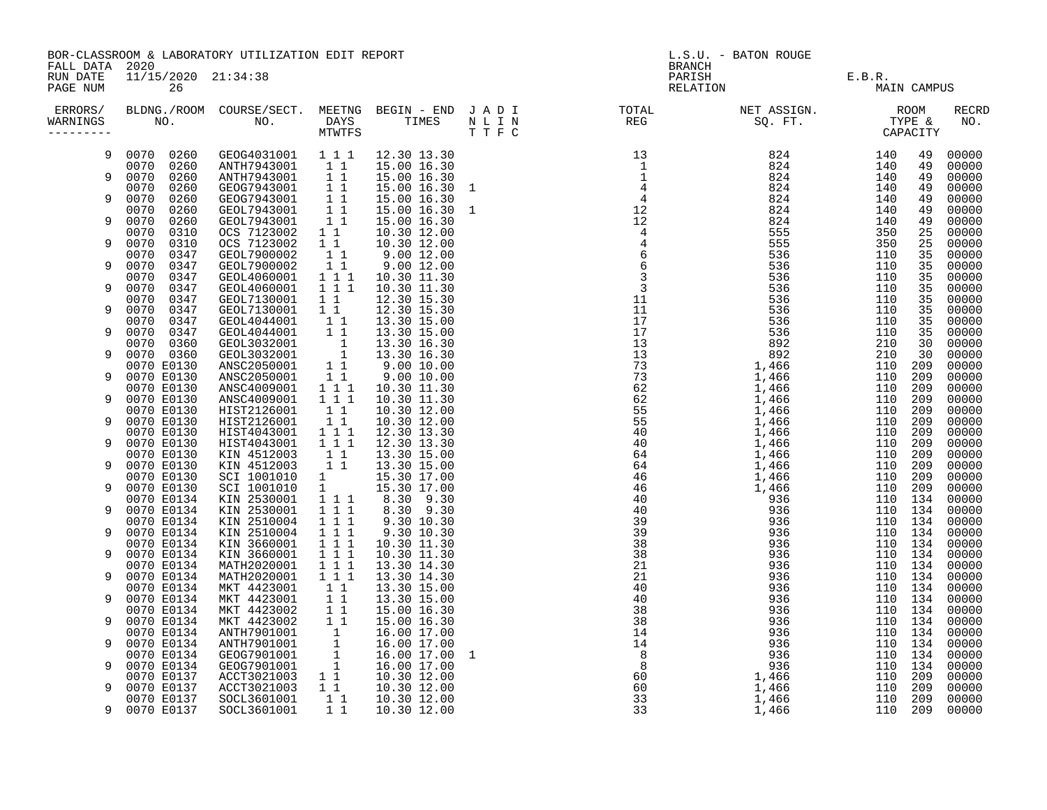|                                        |                              | BOR-CLASSROOM & LABORATORY UTILIZATION EDIT REPORT |                                                                                               |                              |                    | L.S.U. - BATON ROUGE<br><b>BRANCH</b>                                                                                         |  |                                      |                    |                     |  |
|----------------------------------------|------------------------------|----------------------------------------------------|-----------------------------------------------------------------------------------------------|------------------------------|--------------------|-------------------------------------------------------------------------------------------------------------------------------|--|--------------------------------------|--------------------|---------------------|--|
| FALL DATA 2020<br>RUN DATE<br>PAGE NUM | 11/15/2020 21:34:38<br>26    |                                                    |                                                                                               |                              |                    | PARISH<br>RELATION                                                                                                            |  | E.B.R.                               | <b>MAIN CAMPUS</b> |                     |  |
| ERRORS/<br>WARNINGS                    |                              |                                                    | MTWTFS                                                                                        |                              | $\mathbb{T}$ T F C | BLDNG./ROOM COURSE/SECT. MEETNG BEGIN - END JADI TOTAL TOTAL NET ASSIGN.<br>NO. NO. DAYS TIMES NLIN REG SQ.FT.<br>MTWTFS TTFC |  | ROOM<br>TYPE &<br>TIPE &<br>CAPACITY |                    | <b>RECRD</b><br>NO. |  |
| 9                                      | 0070 0260                    | GEOG4031001 1 1 1                                  |                                                                                               | 12.30 13.30                  |                    |                                                                                                                               |  | 140                                  | 49                 | 00000               |  |
| 9                                      | 0070 0260<br>0070<br>0260    | ANTH7943001 1 1<br>ANTH7943001                     | $1\quad1$                                                                                     | 15.00 16.30<br>15.00 16.30   |                    |                                                                                                                               |  | 140<br>140                           | 49<br>49           | 00000<br>00000      |  |
| 9                                      | 0070<br>0260                 | GEOG7943001 1 1                                    | 11                                                                                            | 15.00 16.30 1                |                    |                                                                                                                               |  | 140                                  | 49                 | 00000               |  |
|                                        | 0070<br>0260<br>0260<br>0070 | GEOG7943001<br>GEOL7943001                         | 11                                                                                            | 15.00 16.30<br>15.00 16.30 1 |                    |                                                                                                                               |  | 140<br>140                           | 49<br>49           | 00000<br>00000      |  |
| 9                                      | 0070<br>0260<br>0070<br>0310 | GEOL7943001<br>OCS 7123002                         | 11<br>$1\quad1$                                                                               | 15.00 16.30<br>10.30 12.00   |                    |                                                                                                                               |  | 140<br>350                           | 49<br>25           | 00000<br>00000      |  |
| 9                                      | 0070<br>0310                 | OCS 7123002                                        | $1\quad1$                                                                                     | 10.30 12.00                  |                    |                                                                                                                               |  | 350                                  | 25                 | 00000               |  |
| 9                                      | 0070<br>0347<br>0070<br>0347 | GEOL7900002<br>GEOL7900002                         | $1\quad1$<br>11                                                                               | 9.0012.00<br>9.00 12.00      |                    |                                                                                                                               |  | 110<br>110                           | 35<br>35           | 00000<br>00000      |  |
|                                        | 0070<br>0347                 | GEOL4060001                                        | $1 1 1$                                                                                       | 10.30 11.30                  |                    |                                                                                                                               |  | 110                                  | 35                 | 00000               |  |
| 9                                      | 0070<br>0347<br>0070<br>0347 | GEOL4060001<br>GEOL7130001                         | $1 \quad 1 \quad 1$<br>$1\quad1$                                                              | 10.30 11.30<br>12.30 15.30   |                    |                                                                                                                               |  | 110<br>110                           | 35<br>35           | 00000<br>00000      |  |
| 9                                      | 0070<br>0347                 | GEOL7130001                                        | $1\quad1$                                                                                     | 12.30 15.30                  |                    |                                                                                                                               |  | 110                                  | 35                 | 00000               |  |
| 9                                      | 0070<br>0347<br>0070<br>0347 | GEOL4044001<br>GEOL4044001                         | 11<br>$1\quad1$                                                                               | 13.30 15.00<br>13.30 15.00   |                    |                                                                                                                               |  | 110<br>110                           | 35<br>35           | 00000<br>00000      |  |
|                                        | 0360<br>0070                 | GEOL3032001                                        | $\begin{array}{c}\n1 \\ 1 \\ 1\n\end{array}$                                                  | 13.30 16.30                  |                    |                                                                                                                               |  | 210                                  | 30                 | 00000               |  |
| 9                                      | 0070 0360<br>0070 E0130      | GEOL3032001<br>ANSC2050001                         |                                                                                               | 13.30 16.30                  |                    |                                                                                                                               |  | 210<br>110                           | 30<br>209          | 00000<br>00000      |  |
| 9                                      | 0070 E0130                   | ANSC2050001                                        | $1\quad1$                                                                                     | 9.00 10.00<br>9.00 10.00     |                    |                                                                                                                               |  | 110                                  | 209                | 00000               |  |
| 9                                      | 0070 E0130<br>0070 E0130     | ANSC4009001<br>ANSC4009001                         | $1 1 1$<br>$1 1 1$                                                                            | 10.30 11.30<br>10.30 11.30   |                    |                                                                                                                               |  | 110<br>110                           | 209<br>209         | 00000<br>00000      |  |
|                                        | 0070 E0130                   | HIST2126001                                        | $1\quad1$                                                                                     | 10.30 12.00                  |                    |                                                                                                                               |  | 110 209                              |                    | 00000               |  |
| 9                                      | 0070 E0130<br>0070 E0130     | HIST2126001<br>HIST4043001                         | $1\quad1$<br>$1 1 1$                                                                          | 10.30 12.00<br>12.30 13.30   |                    |                                                                                                                               |  | 110<br>110                           | 209<br>209         | 00000<br>00000      |  |
| 9                                      | 0070 E0130<br>0070 E0130     | HIST4043001<br>KIN 4512003                         | 1 1 1<br>$1\quad1$                                                                            | 12.30 13.30                  |                    |                                                                                                                               |  | 110 209<br>110                       | 209                | 00000<br>00000      |  |
| 9                                      | 0070 E0130                   | KIN 4512003                                        | $1\quad1$                                                                                     | 13.30 15.00<br>13.30 15.00   |                    |                                                                                                                               |  | 110                                  | 209                | 00000               |  |
| 9                                      | 0070 E0130<br>0070 E0130     | SCI 1001010<br>SCI 1001010                         | $\frac{1}{1}$                                                                                 | 15.30 17.00<br>15.30 17.00   |                    |                                                                                                                               |  | 110<br>110                           | 209<br>209         | 00000<br>00000      |  |
|                                        | 0070 E0134                   | KIN 2530001                                        | $\frac{1}{1}$ 1 1                                                                             | 8.30 9.30                    |                    |                                                                                                                               |  | 110 134                              |                    | 00000               |  |
| 9                                      | 0070 E0134<br>0070 E0134     | KIN 2530001<br>KIN 2510004                         | $\begin{array}{rrrr} & \overline{1} & \overline{1} & \overline{1} \\ & 1 & 1 & 1 \end{array}$ | 8.30 9.30<br>9.30 10.30      |                    |                                                                                                                               |  | 110 134<br>110 134                   |                    | 00000<br>00000      |  |
| 9                                      | 0070 E0134                   | KIN 2510004                                        | $1 1 1$                                                                                       | 9.30 10.30                   |                    |                                                                                                                               |  | 110 134                              |                    | 00000               |  |
| 9                                      | 0070 E0134<br>0070 E0134     | KIN 3660001<br>KIN 3660001                         | $1 1 1$<br>$1 1 1$                                                                            | 10.30 11.30<br>10.30 11.30   |                    |                                                                                                                               |  | 110 134<br>110 134                   |                    | 00000<br>00000      |  |
|                                        | 0070 E0134                   | MATH2020001                                        | $1 1 1$                                                                                       | 13.30 14.30                  |                    |                                                                                                                               |  | 110 134                              |                    | 00000               |  |
| 9                                      | 0070 E0134<br>0070 E0134     | MATH2020001<br>MKT 4423001                         | 1 1 1<br>11                                                                                   | 13.30 14.30<br>13.30 15.00   |                    |                                                                                                                               |  | 110 134<br>110 134                   |                    | 00000<br>00000      |  |
| 9                                      | 0070 E0134                   | MKT 4423001                                        | $1\quad1$                                                                                     | 13.30 15.00                  |                    |                                                                                                                               |  | 110 134                              |                    | 00000               |  |
| 9                                      | 0070 E0134<br>0070 E0134     | MKT 4423002<br>MKT 4423002                         | 11<br>$1\quad1$                                                                               | 15.00 16.30<br>15.00 16.30   |                    |                                                                                                                               |  | 110 134<br>110 134                   |                    | 00000<br>00000      |  |
|                                        | 0070 E0134                   | ANTH7901001                                        |                                                                                               | 16.00 17.00                  |                    |                                                                                                                               |  | 110 134                              |                    | 00000               |  |
| 9                                      | 0070 E0134<br>0070 E0134     | ANTH7901001<br>GEOG7901001                         | $\begin{bmatrix} 1 \\ 1 \\ 1 \\ 1 \\ 1 \end{bmatrix}$                                         | 16.00 17.00<br>16.00 17.00 1 |                    |                                                                                                                               |  | 110 134<br>110 134                   |                    | 00000<br>00000      |  |
| 9                                      | 0070 E0134                   | GEOG7901001                                        |                                                                                               | 16.00 17.00                  |                    |                                                                                                                               |  | 110 134                              |                    | 00000               |  |
| 9                                      | 0070 E0137<br>0070 E0137     | ACCT3021003<br>ACCT3021003                         | $1\quad1$<br>11                                                                               | 10.30 12.00<br>10.30 12.00   |                    |                                                                                                                               |  | 110 209<br>110                       | 209                | 00000<br>00000      |  |
|                                        | 0070 E0137                   | SOCL3601001  11  10.30 12.00                       |                                                                                               |                              |                    |                                                                                                                               |  | 110                                  | 209                | 00000               |  |
| 9                                      | 0070 E0137                   | SOCL3601001                                        | $1\quad1$                                                                                     | 10.30 12.00                  |                    |                                                                                                                               |  | 110 209                              |                    | 00000               |  |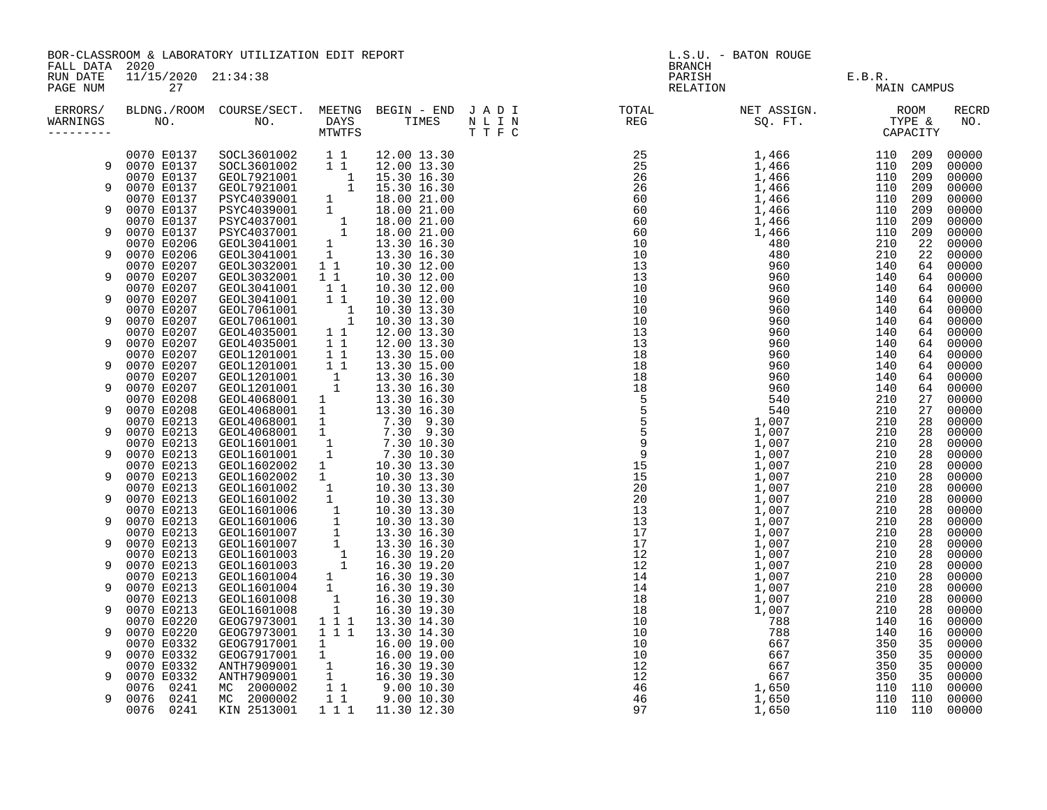|                      |                                             | BOR-CLASSROOM & LABORATORY UTILIZATION EDIT REPORT                                                                                                                                                                                             |                                            |                                                                                                                                                                                                                                                                                              | L.S.U. - BATON ROUGE<br><b>BRANCH</b> |                                                                                                                                                                                                                                                                                                                     |                   |  |             |                     |
|----------------------|---------------------------------------------|------------------------------------------------------------------------------------------------------------------------------------------------------------------------------------------------------------------------------------------------|--------------------------------------------|----------------------------------------------------------------------------------------------------------------------------------------------------------------------------------------------------------------------------------------------------------------------------------------------|---------------------------------------|---------------------------------------------------------------------------------------------------------------------------------------------------------------------------------------------------------------------------------------------------------------------------------------------------------------------|-------------------|--|-------------|---------------------|
| RUN DATE<br>PAGE NUM | FALL DATA 2020<br>11/15/2020 21:34:38<br>27 |                                                                                                                                                                                                                                                |                                            |                                                                                                                                                                                                                                                                                              |                                       | PARISH<br>RELATION                                                                                                                                                                                                                                                                                                  | $E.B.R.$<br>I MA: |  | MAIN CAMPUS |                     |
| ERRORS/<br>WARNINGS  |                                             |                                                                                                                                                                                                                                                |                                            |                                                                                                                                                                                                                                                                                              |                                       | $\begin{tabular}{cccc} $M=1$ R & $M=0$ & $M=0$ & $M=0$ & $M=0$ & $M=0$ & $M=0$ & $M=0$ & $M=0$ & $M=0$ & $M=0$ & $M=0$ & $M=0$ & $M=0$ & $M=0$ & $M=0$ & $M=0$ & $M=0$ & $M=0$ & $M=0$ & $M=0$ & $M=0$ & $M=0$ & $M=0$ & $M=0$ & $M=0$ & $M=0$ & $M=0$ & $M=0$ & $M=0$ & $M=0$ & $M=0$ & $M=0$ & $M=0$ & $M=0$ & $$ |                   |  |             | <b>RECRD</b><br>NO. |
|                      | 0070 E0137                                  | SOCL3601002 1 1 12.00 13.30<br>SOCL3601002 1 1 12.00 13.30<br>GEOL7921001 1 15.30 16.30<br>GEOL7921001 1 15.30 16.30<br>PSYC4039001 1 18.00 21.00<br>PSYC4037001 1 18.00 21.00<br>PSYC4037001 1 18.00 21.00<br>PSYC4037001 1 18.00 21.00<br>GE |                                            |                                                                                                                                                                                                                                                                                              |                                       |                                                                                                                                                                                                                                                                                                                     |                   |  |             | 00000               |
| 9                    | 0070 E0137                                  |                                                                                                                                                                                                                                                |                                            |                                                                                                                                                                                                                                                                                              |                                       |                                                                                                                                                                                                                                                                                                                     |                   |  |             | 00000               |
| 9                    | 0070 E0137<br>0070 E0137                    |                                                                                                                                                                                                                                                |                                            |                                                                                                                                                                                                                                                                                              |                                       |                                                                                                                                                                                                                                                                                                                     |                   |  |             | 00000<br>00000      |
|                      | 0070 E0137                                  |                                                                                                                                                                                                                                                |                                            |                                                                                                                                                                                                                                                                                              |                                       |                                                                                                                                                                                                                                                                                                                     |                   |  |             | 00000               |
| 9                    | 0070 E0137                                  |                                                                                                                                                                                                                                                |                                            |                                                                                                                                                                                                                                                                                              |                                       |                                                                                                                                                                                                                                                                                                                     |                   |  |             | 00000               |
|                      | 0070 E0137                                  |                                                                                                                                                                                                                                                |                                            |                                                                                                                                                                                                                                                                                              |                                       |                                                                                                                                                                                                                                                                                                                     |                   |  |             | 00000               |
| 9                    | 0070 E0137                                  |                                                                                                                                                                                                                                                |                                            |                                                                                                                                                                                                                                                                                              |                                       |                                                                                                                                                                                                                                                                                                                     |                   |  |             | 00000               |
|                      | 0070 E0206<br>0070 E0206                    | GEOL3041001                                                                                                                                                                                                                                    | 1                                          | 13.30 16.30                                                                                                                                                                                                                                                                                  |                                       |                                                                                                                                                                                                                                                                                                                     |                   |  |             | 00000<br>00000      |
|                      | 0070 E0207                                  | GEOL3032001                                                                                                                                                                                                                                    |                                            | $1 1 13.30 10.30$<br>$1 1 1 0.30 12.00$                                                                                                                                                                                                                                                      |                                       |                                                                                                                                                                                                                                                                                                                     |                   |  |             | 00000               |
| 9                    | 0070 E0207                                  | GEOL3032001                                                                                                                                                                                                                                    | $1\quad1$                                  | 10.30 12.00                                                                                                                                                                                                                                                                                  |                                       |                                                                                                                                                                                                                                                                                                                     |                   |  |             | 00000               |
|                      | 0070 E0207                                  | GEOL3041001                                                                                                                                                                                                                                    | $1\quad1$                                  | 10.30 12.00                                                                                                                                                                                                                                                                                  |                                       |                                                                                                                                                                                                                                                                                                                     |                   |  |             | 00000               |
| 9                    | 0070 E0207                                  | GEOL3041001                                                                                                                                                                                                                                    | $1\quad1$                                  | 10.30 12.00                                                                                                                                                                                                                                                                                  |                                       |                                                                                                                                                                                                                                                                                                                     |                   |  |             | 00000               |
| 9                    | 0070 E0207                                  | GEOL7061001                                                                                                                                                                                                                                    | $\begin{array}{cc} & 1 \\ & 1 \end{array}$ | 10.30 13.30                                                                                                                                                                                                                                                                                  |                                       |                                                                                                                                                                                                                                                                                                                     |                   |  |             | 00000               |
|                      | 0070 E0207<br>0070 E0207                    | GEOL7061001<br>GEOL4035001                                                                                                                                                                                                                     | 11                                         | 10.30 13.30<br>12.00 13.30                                                                                                                                                                                                                                                                   |                                       |                                                                                                                                                                                                                                                                                                                     |                   |  |             | 00000<br>00000      |
|                      | 0070 E0207                                  | GEOL4035001                                                                                                                                                                                                                                    | $1\quad1$                                  | 12.00 13.30                                                                                                                                                                                                                                                                                  |                                       |                                                                                                                                                                                                                                                                                                                     |                   |  |             | 00000               |
|                      | 0070 E0207                                  | GEOL1201001                                                                                                                                                                                                                                    | $1\quad1$                                  | 13.30 15.00                                                                                                                                                                                                                                                                                  |                                       |                                                                                                                                                                                                                                                                                                                     |                   |  |             | 00000               |
| 9                    | 0070 E0207                                  | GEOL1201001                                                                                                                                                                                                                                    | $1\quad1$                                  | 13.30 15.00                                                                                                                                                                                                                                                                                  |                                       |                                                                                                                                                                                                                                                                                                                     |                   |  |             | 00000               |
|                      | 0070 E0207                                  | GEOL1201001                                                                                                                                                                                                                                    | $\frac{1}{1}$                              | 13.30 16.30                                                                                                                                                                                                                                                                                  |                                       |                                                                                                                                                                                                                                                                                                                     |                   |  |             | 00000               |
| 9                    | 0070 E0207                                  | GEOL1201001<br>GEOL4068001                                                                                                                                                                                                                     |                                            | 13.30 16.30                                                                                                                                                                                                                                                                                  |                                       |                                                                                                                                                                                                                                                                                                                     |                   |  |             | 00000<br>00000      |
| 9                    | 0070 E0208<br>0070 E0208                    | GEOL4068001                                                                                                                                                                                                                                    | $\frac{1}{1}$                              | 13.30 16.30<br>13.30 16.30                                                                                                                                                                                                                                                                   |                                       |                                                                                                                                                                                                                                                                                                                     |                   |  |             | 00000               |
|                      | 0070 E0213                                  | GEOL4068001                                                                                                                                                                                                                                    | $\frac{1}{3}$                              | 7.30 9.30                                                                                                                                                                                                                                                                                    |                                       |                                                                                                                                                                                                                                                                                                                     |                   |  |             | 00000               |
| 9                    | 0070 E0213                                  | GEOL4068001                                                                                                                                                                                                                                    |                                            |                                                                                                                                                                                                                                                                                              |                                       |                                                                                                                                                                                                                                                                                                                     |                   |  |             | 00000               |
|                      | 0070 E0213                                  | GEOL1601001                                                                                                                                                                                                                                    |                                            |                                                                                                                                                                                                                                                                                              |                                       |                                                                                                                                                                                                                                                                                                                     |                   |  |             | 00000               |
| 9                    | 0070 E0213                                  | GEOL1601001                                                                                                                                                                                                                                    |                                            |                                                                                                                                                                                                                                                                                              |                                       |                                                                                                                                                                                                                                                                                                                     |                   |  |             | 00000               |
| 9                    | 0070 E0213<br>0070 E0213                    | GEOL1602002<br>GEOL1602002                                                                                                                                                                                                                     |                                            |                                                                                                                                                                                                                                                                                              |                                       |                                                                                                                                                                                                                                                                                                                     |                   |  |             | 00000<br>00000      |
|                      | 0070 E0213                                  | GEOL1601002                                                                                                                                                                                                                                    |                                            |                                                                                                                                                                                                                                                                                              |                                       |                                                                                                                                                                                                                                                                                                                     |                   |  |             | 00000               |
| 9                    | 0070 E0213                                  | GEOL1601002                                                                                                                                                                                                                                    |                                            |                                                                                                                                                                                                                                                                                              |                                       |                                                                                                                                                                                                                                                                                                                     |                   |  |             | 00000               |
|                      | 0070 E0213                                  | GEOL1601006                                                                                                                                                                                                                                    |                                            |                                                                                                                                                                                                                                                                                              |                                       |                                                                                                                                                                                                                                                                                                                     |                   |  |             | 00000               |
| 9                    | 0070 E0213                                  | GEOL1601006                                                                                                                                                                                                                                    |                                            | $\begin{array}{cccc} 1 & 7.30 & 9.30 \\ 1 & 7.30 & 9.30 \\ 1 & 7.30 & 10.30 \\ 1 & 7.30 & 10.30 \\ 1 & 10.30 & 13.30 \\ 1 & 10.30 & 13.30 \\ 1 & 10.30 & 13.30 \\ 1 & 10.30 & 13.30 \\ 1 & 10.30 & 13.30 \\ 1 & 10.30 & 13.30 \\ 1 & 10.30 & 13.30 \\ 1 & 10.30 & 13.30 \\ 1 & 10.30 & 19.3$ |                                       |                                                                                                                                                                                                                                                                                                                     |                   |  |             | 00000               |
| 9                    | 0070 E0213<br>0070 E0213                    | GEOL1601007<br>GEOL1601007                                                                                                                                                                                                                     |                                            |                                                                                                                                                                                                                                                                                              |                                       |                                                                                                                                                                                                                                                                                                                     |                   |  |             | 00000<br>00000      |
|                      | 0070 E0213                                  | GEOL1601003                                                                                                                                                                                                                                    |                                            |                                                                                                                                                                                                                                                                                              |                                       |                                                                                                                                                                                                                                                                                                                     |                   |  |             | 00000               |
| 9                    | 0070 E0213                                  | GEOL1601003                                                                                                                                                                                                                                    |                                            |                                                                                                                                                                                                                                                                                              |                                       |                                                                                                                                                                                                                                                                                                                     |                   |  |             | 00000               |
|                      | 0070 E0213                                  | GEOL1601004                                                                                                                                                                                                                                    |                                            |                                                                                                                                                                                                                                                                                              |                                       |                                                                                                                                                                                                                                                                                                                     |                   |  |             | 00000               |
| 9                    | 0070 E0213                                  | GEOL1601004                                                                                                                                                                                                                                    | 1                                          | 16.30 19.30                                                                                                                                                                                                                                                                                  |                                       |                                                                                                                                                                                                                                                                                                                     |                   |  |             | 00000               |
| 9                    | 0070 E0213                                  | GEOL1601008                                                                                                                                                                                                                                    | $\begin{bmatrix} 1 \\ 1 \end{bmatrix}$     | 16.30 19.30                                                                                                                                                                                                                                                                                  |                                       |                                                                                                                                                                                                                                                                                                                     |                   |  |             | 00000               |
|                      | 0070 E0213<br>0070 E0220                    | GEOL1601008<br>GEOG7973001                                                                                                                                                                                                                     | $1 1 1$                                    | 16.30 19.30<br>13.30 14.30                                                                                                                                                                                                                                                                   |                                       |                                                                                                                                                                                                                                                                                                                     |                   |  |             | 00000<br>00000      |
| 9                    | 0070 E0220                                  | GEOG7973001                                                                                                                                                                                                                                    | $1 1 1$                                    | 13.30 14.30                                                                                                                                                                                                                                                                                  |                                       |                                                                                                                                                                                                                                                                                                                     |                   |  |             | 00000               |
|                      | 0070 E0332                                  | GEOG7917001                                                                                                                                                                                                                                    | 1                                          | 16.00 19.00                                                                                                                                                                                                                                                                                  |                                       |                                                                                                                                                                                                                                                                                                                     |                   |  |             | 00000               |
| 9                    | 0070 E0332                                  | GEOG7917001                                                                                                                                                                                                                                    |                                            | 16.00 19.00                                                                                                                                                                                                                                                                                  |                                       |                                                                                                                                                                                                                                                                                                                     |                   |  |             | 00000               |
|                      | 0070 E0332                                  | ANTH7909001                                                                                                                                                                                                                                    | $\frac{1}{1}$                              | 16.30 19.30                                                                                                                                                                                                                                                                                  |                                       |                                                                                                                                                                                                                                                                                                                     |                   |  |             | 00000               |
| 9                    | 0070 E0332                                  | ANTH7909001                                                                                                                                                                                                                                    |                                            | $\begin{array}{ccc} 1 & 10.50 & 15.50 \\ 1 & 16.30 & 19.30 \\ 1 & 1 & 9.00 & 10.30 \end{array}$                                                                                                                                                                                              |                                       |                                                                                                                                                                                                                                                                                                                     |                   |  |             | 00000               |
|                      | 0076 0241<br>0076 0241                      | MC 2000002<br>MC 2000002                                                                                                                                                                                                                       |                                            | 1 1 9.00 10.30                                                                                                                                                                                                                                                                               |                                       |                                                                                                                                                                                                                                                                                                                     |                   |  |             | 00000<br>00000      |
|                      | 0076 0241                                   | KIN 2513001                                                                                                                                                                                                                                    |                                            | 1 1 1 1 1 1 1 . 30 1 2 . 30                                                                                                                                                                                                                                                                  |                                       |                                                                                                                                                                                                                                                                                                                     |                   |  |             | 00000               |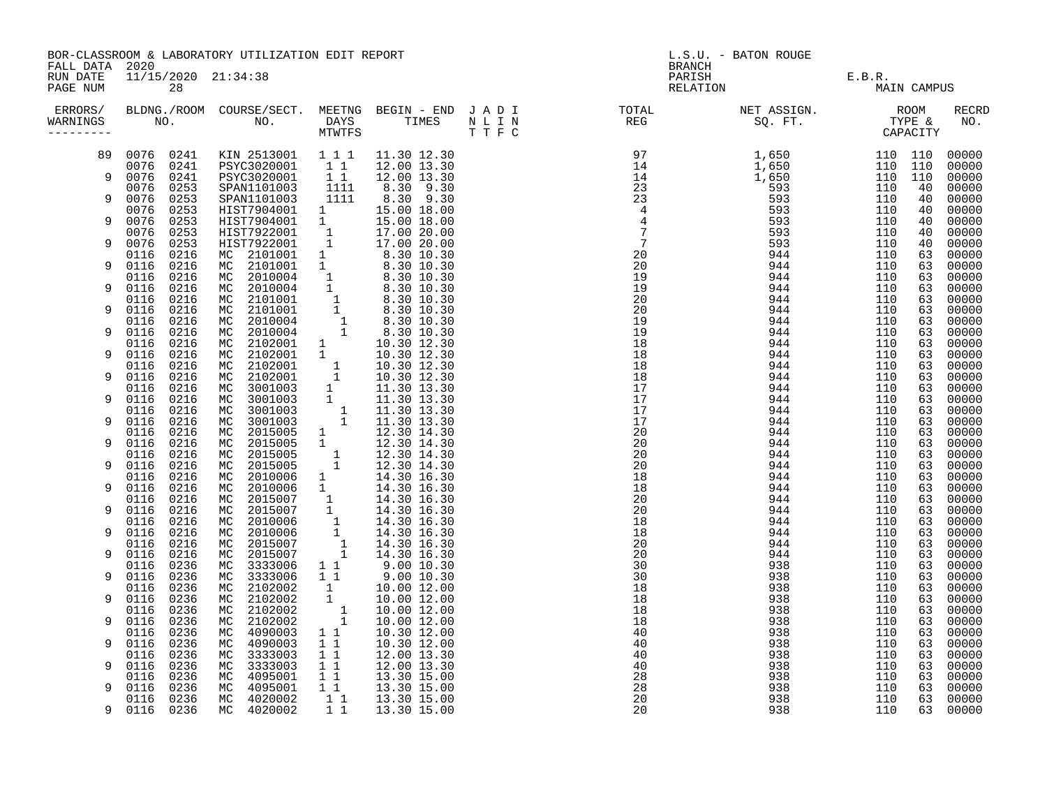| FALL DATA 2020       |                        |              | BOR-CLASSROOM & LABORATORY UTILIZATION EDIT REPORT                                                                                                                                                                                             |                                                      |                                                                               | L.S.U. - BATON ROUGE<br><b>BRANCH</b> |                                                                                                                                                                                                                                                                                                                                                                                                                                                                             |                    |        |             |                     |
|----------------------|------------------------|--------------|------------------------------------------------------------------------------------------------------------------------------------------------------------------------------------------------------------------------------------------------|------------------------------------------------------|-------------------------------------------------------------------------------|---------------------------------------|-----------------------------------------------------------------------------------------------------------------------------------------------------------------------------------------------------------------------------------------------------------------------------------------------------------------------------------------------------------------------------------------------------------------------------------------------------------------------------|--------------------|--------|-------------|---------------------|
| RUN DATE<br>PAGE NUM |                        | 28           | 11/15/2020 21:34:38                                                                                                                                                                                                                            |                                                      |                                                                               |                                       |                                                                                                                                                                                                                                                                                                                                                                                                                                                                             | PARISH<br>RELATION | E.B.R. | MAIN CAMPUS |                     |
| WARNINGS             |                        |              |                                                                                                                                                                                                                                                |                                                      |                                                                               |                                       | ERRORS/ BLDNG./ROOM COURSE/SECT. MEETNG BEGIN – END JADI (TOTAL (NET ASSIGN. ) ROOM (ROOM )<br>MARNINGS NO. NO. DAYS TIMES NLIN (REG ) SQ.FT. TYPE & MTWTFS (THE SQ.FT. ) (THE SCAPACITY)<br>$\begin{smallmatrix} 1.01 & 0.01 & 0.01 & 0.01 & 0.01 & 0.01 & 0.01 & 0.01 & 0.01 & 0.01 & 0.01 & 0.01 & 0.01 & 0.01 & 0.01 & 0.01 & 0.01 & 0.01 & 0.01 & 0.01 & 0.01 & 0.01 & 0.01 & 0.01 & 0.01 & 0.01 & 0.01 & 0.01 & 0.01 & 0.01 & 0.01 & 0.01 & 0.01 & 0.01 & 0.01 & 0.0$ |                    |        |             | <b>RECRD</b><br>NO. |
| 89                   | 0076 0241<br>0076 0241 |              | KIN 2513001 111 11.30 12.30                                                                                                                                                                                                                    |                                                      | 12.00 13.30                                                                   |                                       |                                                                                                                                                                                                                                                                                                                                                                                                                                                                             |                    |        |             | 00000<br>00000      |
| 9                    | 0076 0241              |              | PSYC3020001 11<br>PSYC3020001 11                                                                                                                                                                                                               |                                                      | 12.00 13.30                                                                   |                                       |                                                                                                                                                                                                                                                                                                                                                                                                                                                                             |                    |        |             | 00000               |
| 9                    | 0076 0253<br>0076 0253 |              | SPAN1101003 1111<br>SPAN1101003 1111                                                                                                                                                                                                           |                                                      | 8.30 9.30<br>8.30 9.30                                                        |                                       |                                                                                                                                                                                                                                                                                                                                                                                                                                                                             |                    |        |             | 00000<br>00000      |
| 9                    | 0076<br>0076           | 0253<br>0253 |                                                                                                                                                                                                                                                |                                                      |                                                                               |                                       |                                                                                                                                                                                                                                                                                                                                                                                                                                                                             |                    |        |             | 00000<br>00000      |
| 9                    | 0076<br>0076           | 0253<br>0253 |                                                                                                                                                                                                                                                |                                                      |                                                                               |                                       |                                                                                                                                                                                                                                                                                                                                                                                                                                                                             |                    |        |             | 00000<br>00000      |
|                      | 0116                   | 0216         |                                                                                                                                                                                                                                                |                                                      |                                                                               |                                       |                                                                                                                                                                                                                                                                                                                                                                                                                                                                             |                    |        |             | 00000               |
| 9                    | 0116<br>0116           | 0216<br>0216 |                                                                                                                                                                                                                                                |                                                      |                                                                               |                                       |                                                                                                                                                                                                                                                                                                                                                                                                                                                                             |                    |        |             | 00000<br>00000      |
| 9                    | 0116<br>0116           | 0216<br>0216 |                                                                                                                                                                                                                                                |                                                      |                                                                               |                                       |                                                                                                                                                                                                                                                                                                                                                                                                                                                                             |                    |        |             | 00000<br>00000      |
| 9                    | 0116                   | 0216         |                                                                                                                                                                                                                                                |                                                      |                                                                               |                                       |                                                                                                                                                                                                                                                                                                                                                                                                                                                                             |                    |        |             | 00000               |
| 9                    | 0116<br>0116           | 0216<br>0216 |                                                                                                                                                                                                                                                |                                                      |                                                                               |                                       |                                                                                                                                                                                                                                                                                                                                                                                                                                                                             |                    |        |             | 00000<br>00000      |
| 9                    | 0116<br>0116           | 0216<br>0216 |                                                                                                                                                                                                                                                |                                                      |                                                                               |                                       |                                                                                                                                                                                                                                                                                                                                                                                                                                                                             |                    |        |             | 00000<br>00000      |
|                      | 0116                   | 0216         |                                                                                                                                                                                                                                                |                                                      |                                                                               |                                       |                                                                                                                                                                                                                                                                                                                                                                                                                                                                             |                    |        |             | 00000               |
| 9                    | 0116<br>0116           | 0216<br>0216 |                                                                                                                                                                                                                                                |                                                      |                                                                               |                                       |                                                                                                                                                                                                                                                                                                                                                                                                                                                                             |                    |        |             | 00000<br>00000      |
| 9                    | 0116<br>0116           | 0216<br>0216 |                                                                                                                                                                                                                                                |                                                      |                                                                               |                                       |                                                                                                                                                                                                                                                                                                                                                                                                                                                                             |                    |        |             | 00000<br>00000      |
| 9                    | 0116                   | 0216         |                                                                                                                                                                                                                                                |                                                      |                                                                               |                                       |                                                                                                                                                                                                                                                                                                                                                                                                                                                                             |                    |        |             | 00000               |
| 9                    | 0116<br>0116           | 0216<br>0216 |                                                                                                                                                                                                                                                |                                                      |                                                                               |                                       |                                                                                                                                                                                                                                                                                                                                                                                                                                                                             |                    |        |             | 00000<br>00000      |
| 9                    | 0116<br>0116           | 0216<br>0216 |                                                                                                                                                                                                                                                |                                                      |                                                                               |                                       |                                                                                                                                                                                                                                                                                                                                                                                                                                                                             |                    |        |             | 00000<br>00000      |
|                      | 0116                   | 0216         |                                                                                                                                                                                                                                                |                                                      |                                                                               |                                       |                                                                                                                                                                                                                                                                                                                                                                                                                                                                             |                    |        |             | 00000               |
| 9                    | 0116<br>0116           | 0216<br>0216 |                                                                                                                                                                                                                                                |                                                      |                                                                               |                                       |                                                                                                                                                                                                                                                                                                                                                                                                                                                                             |                    |        |             | 00000<br>00000      |
| 9                    | 0116<br>0116           | 0216<br>0216 |                                                                                                                                                                                                                                                |                                                      |                                                                               |                                       |                                                                                                                                                                                                                                                                                                                                                                                                                                                                             |                    |        |             | 00000<br>00000      |
| 9                    | 0116                   | 0216         |                                                                                                                                                                                                                                                |                                                      |                                                                               |                                       |                                                                                                                                                                                                                                                                                                                                                                                                                                                                             |                    |        |             | 00000               |
| 9                    | 0116<br>0116           | 0216<br>0216 | NC 2102001 1 10.30 12.30<br>MC 2102001 1 10.30 12.30<br>MC 2102001 1 10.30 12.30<br>MC 3001003 1 11.30 13.30<br>MC 3001003 1 11.30 13.30<br>MC 3001003 1 11.30 13.30<br>MC 2015005 1 12.30 14.30<br>MC 2015005 1 12.30 14.30<br>MC 2015005 1 1 |                                                      |                                                                               |                                       |                                                                                                                                                                                                                                                                                                                                                                                                                                                                             |                    |        |             | 00000<br>00000      |
| 9                    | 0116<br>0116           | 0236<br>0236 | MC 3333006<br>MC 3333006                                                                                                                                                                                                                       |                                                      | $\begin{array}{ccc} 1 & 1 & 9.00 & 10.30 \\ 1 & 1 & 9.00 & 10.30 \end{array}$ |                                       |                                                                                                                                                                                                                                                                                                                                                                                                                                                                             |                    |        |             | 00000<br>00000      |
| 9                    | 0116                   | 0236         | MC 2102002<br>2102002                                                                                                                                                                                                                          |                                                      | 10.00 12.00                                                                   |                                       |                                                                                                                                                                                                                                                                                                                                                                                                                                                                             |                    |        |             | 00000               |
|                      | 0116<br>0116           | 0236<br>0236 | МC<br>2102002<br>МC                                                                                                                                                                                                                            | $\begin{bmatrix} 1 \\ 1 \\ 1 \\ 1 \end{bmatrix}$     | 10.00 12.00<br>10.00 12.00                                                    |                                       |                                                                                                                                                                                                                                                                                                                                                                                                                                                                             |                    |        |             | 00000<br>00000      |
| 9                    | 0116<br>0116           | 0236<br>0236 | MC 2102002<br>MC 4090003 1 1                                                                                                                                                                                                                   |                                                      | 10.00 12.00<br>10.30 12.00                                                    |                                       |                                                                                                                                                                                                                                                                                                                                                                                                                                                                             |                    |        |             | 00000<br>00000      |
| 9                    | 0116<br>0116           | 0236<br>0236 | 4090003<br>МC<br>MC 3333003                                                                                                                                                                                                                    | $1\quad1$                                            | 10.30 12.00<br>12.00 13.30                                                    |                                       |                                                                                                                                                                                                                                                                                                                                                                                                                                                                             |                    |        |             | 00000<br>00000      |
| 9                    | 0116                   | 0236         | 3333003<br>МC                                                                                                                                                                                                                                  | $\begin{matrix} 1 & 1 \\ 1 & 1 \end{matrix}$         | 12.00 13.30                                                                   |                                       |                                                                                                                                                                                                                                                                                                                                                                                                                                                                             |                    |        |             | 00000               |
| 9                    | 0116<br>0116           | 0236<br>0236 | MC 4095001<br>MC 4095001                                                                                                                                                                                                                       | $\begin{array}{c} 1 \\ 1 \\ 1 \\ 1 \\ 1 \end{array}$ | 13.30 15.00<br>13.30 15.00                                                    |                                       |                                                                                                                                                                                                                                                                                                                                                                                                                                                                             |                    |        |             | 00000<br>00000      |
| 9                    | 0116<br>0116 0236      | 0236         | MC 4020002<br>MC 4020002                                                                                                                                                                                                                       | $1\quad1$                                            | 13.30 15.00<br>13.30 15.00                                                    |                                       |                                                                                                                                                                                                                                                                                                                                                                                                                                                                             |                    |        |             | 00000<br>00000      |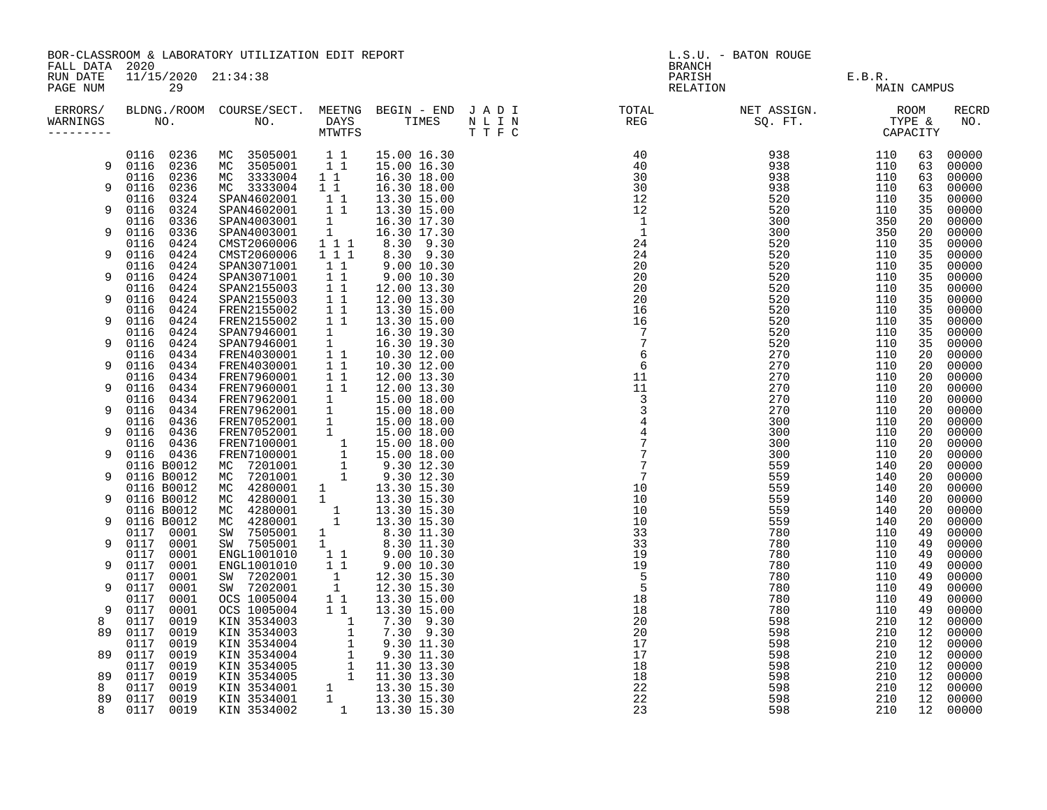| FALL DATA 2020                    |                              | BOR-CLASSROOM & LABORATORY UTILIZATION EDIT REPORT                                                                                                                                                                                             |                                             |                                                                                                                            | L.S.U. - BATON ROUGE<br><b>BRANCH</b> |  |                    |                       |          |                      |
|-----------------------------------|------------------------------|------------------------------------------------------------------------------------------------------------------------------------------------------------------------------------------------------------------------------------------------|---------------------------------------------|----------------------------------------------------------------------------------------------------------------------------|---------------------------------------|--|--------------------|-----------------------|----------|----------------------|
| RUN DATE<br>PAGE NUM              | 11/15/2020 21:34:38<br>29    |                                                                                                                                                                                                                                                |                                             |                                                                                                                            |                                       |  | PARISH<br>RELATION | E.B.R.<br>MAIN CAMPUS |          |                      |
| ERRORS/<br>WARNINGS<br>---------- |                              |                                                                                                                                                                                                                                                |                                             |                                                                                                                            |                                       |  |                    |                       |          | <b>RECRD</b><br>NO.  |
|                                   | 0116 0236                    | MC 3505001 11                                                                                                                                                                                                                                  |                                             | 15.00 16.30                                                                                                                |                                       |  |                    |                       | 63       | 00000                |
|                                   | 9 0116 0236                  | MC 3505001 1 1                                                                                                                                                                                                                                 |                                             | 15.00 16.30                                                                                                                |                                       |  |                    |                       | 63       | 00000                |
| 9                                 | 0116 0236<br>0116 0236       | MC 3333004 11 16.30 18.00<br>MC 3333004 11                                                                                                                                                                                                     |                                             | 16.30 18.00                                                                                                                |                                       |  |                    |                       | 63<br>63 | 00000<br>00000       |
|                                   | 0116 0324                    | SPAN4602001                                                                                                                                                                                                                                    | $1\quad1$                                   | 13.30 15.00                                                                                                                |                                       |  |                    |                       | 35       | 00000                |
| 9                                 | 0116<br>0324                 | SPAN4602001                                                                                                                                                                                                                                    | $1\quad1$                                   | 13.30 15.00                                                                                                                |                                       |  |                    |                       | 35       | 00000                |
| 9                                 | 0116 0336                    | SPAN4003001                                                                                                                                                                                                                                    | $\begin{bmatrix} 1 \\ 1 \\ 1 \end{bmatrix}$ | 16.30 17.30                                                                                                                |                                       |  |                    |                       | 20<br>20 | 00000                |
|                                   | 0116 0336<br>0116 0424       | SPAN4003001<br>CMST2060006                                                                                                                                                                                                                     |                                             | 16.30 17.30<br>8.30 9.30                                                                                                   |                                       |  |                    |                       | 35       | 00000<br>00000       |
| 9                                 | 0116 0424                    | CMST2060006                                                                                                                                                                                                                                    | $1 1 1$                                     | 8.30 9.30                                                                                                                  |                                       |  |                    |                       | 35       | 00000                |
|                                   | 0116 0424                    | SPAN3071001                                                                                                                                                                                                                                    | $1\quad1$                                   | 9.00 10.30                                                                                                                 |                                       |  |                    |                       | 35       | 00000                |
| 9                                 | 0116 0424                    | SPAN3071001                                                                                                                                                                                                                                    | 11                                          | $9.00\ 10.30$                                                                                                              |                                       |  |                    |                       | 35       | 00000                |
| 9                                 | 0116 0424<br>0116<br>0424    | SPAN2155003<br>SPAN2155003                                                                                                                                                                                                                     | $1\quad1$<br>11                             | 12.00 13.30<br>12.00 13.30                                                                                                 |                                       |  |                    |                       | 35<br>35 | 00000<br>00000       |
|                                   | 0116 0424                    | FREN2155002                                                                                                                                                                                                                                    | 11                                          | 13.30 15.00                                                                                                                |                                       |  |                    |                       | 35       | 00000                |
| 9                                 | 0116<br>0424                 | FREN2155002                                                                                                                                                                                                                                    | $1\quad1$                                   | 13.30 15.00                                                                                                                |                                       |  |                    |                       | 35       | 00000                |
|                                   | 0116 0424                    |                                                                                                                                                                                                                                                |                                             | 16.30 19.30                                                                                                                |                                       |  |                    |                       | 35       | 00000                |
| 9                                 | 0116<br>0424<br>0116 0434    | SPAN7946001 1<br>SPAN7946001 1<br>FREN4030001 11<br>FREN4030001 11                                                                                                                                                                             |                                             | 16.30 19.30<br>10.30 12.00                                                                                                 |                                       |  |                    |                       | 35<br>20 | 00000<br>00000       |
| 9                                 | 0116<br>0434                 |                                                                                                                                                                                                                                                |                                             | 10.30 12.00                                                                                                                |                                       |  |                    |                       | 20       | 00000                |
|                                   | 0116<br>0434                 | FREN7960001 11<br>FREN7960001 11                                                                                                                                                                                                               |                                             | 12.00 13.30                                                                                                                |                                       |  |                    |                       | 20       | 00000                |
| 9                                 | 0116<br>0434                 |                                                                                                                                                                                                                                                |                                             | 12.00 13.30                                                                                                                |                                       |  |                    |                       | 20       | 00000                |
| 9                                 | 0116<br>0434<br>0116 0434    | FREN7962001 1<br>FREN7962001 1                                                                                                                                                                                                                 |                                             | 15.00 18.00<br>15.00 18.00                                                                                                 |                                       |  |                    |                       | 20<br>20 | 00000<br>00000       |
|                                   | 0116 0436                    | FRENT962001 1 15.00 18.00<br>FRENT052001 1 15.00 18.00<br>FRENT052001 1 15.00 18.00<br>FRENT100001 1 15.00 18.00<br>FRENT100001 1 15.00 18.00<br>MC 7201001 1 9.30 12.30<br>MC 4280001 1 3.30 15.30<br>MC 4280001 1 13.30 15.30<br>MC 4280001  |                                             |                                                                                                                            |                                       |  |                    |                       | 20       | 00000                |
| 9                                 | 0116 0436                    |                                                                                                                                                                                                                                                |                                             |                                                                                                                            |                                       |  |                    |                       | 20       | 00000                |
|                                   | 0116 0436                    |                                                                                                                                                                                                                                                |                                             |                                                                                                                            |                                       |  |                    |                       | 20       | 00000                |
| 9                                 | 0116 0436<br>0116 B0012      |                                                                                                                                                                                                                                                |                                             |                                                                                                                            |                                       |  |                    |                       | 20<br>20 | 00000<br>00000       |
| 9                                 | 0116 B0012                   |                                                                                                                                                                                                                                                |                                             |                                                                                                                            |                                       |  |                    |                       | 20       | 00000                |
|                                   | 0116 B0012                   |                                                                                                                                                                                                                                                |                                             |                                                                                                                            |                                       |  |                    |                       | 20       | 00000                |
| 9                                 | 0116 B0012                   |                                                                                                                                                                                                                                                |                                             |                                                                                                                            |                                       |  |                    |                       | 20       | 00000                |
|                                   | 0116 B0012<br>0116 B0012     |                                                                                                                                                                                                                                                |                                             |                                                                                                                            |                                       |  |                    |                       | 20       | 00000                |
| 9                                 | 0117 0001                    |                                                                                                                                                                                                                                                |                                             |                                                                                                                            |                                       |  |                    |                       | 20<br>49 | 00000<br>00000       |
| 9                                 | 0117 0001                    |                                                                                                                                                                                                                                                |                                             | $\begin{array}{r} 8.30 \ \ 11.30 \ \ 8.30 \ \ 11.30 \ \ 9.00 \ \ 10.30 \ \ 9.00 \ \ 10.30 \ \ 12.30 \ \ 15.30 \end{array}$ |                                       |  |                    |                       | 49       | 00000                |
|                                   | 0001<br>0117                 | ENGL1001010                                                                                                                                                                                                                                    | 11                                          |                                                                                                                            |                                       |  |                    |                       | 49       | 00000                |
| 9                                 | 0117<br>0001                 | ENGL1001010                                                                                                                                                                                                                                    | $1\quad1$                                   |                                                                                                                            |                                       |  |                    |                       | 49       | 00000                |
| 9                                 | 0001<br>0117<br>0117<br>0001 | SW 7202001<br>SW 7202001                                                                                                                                                                                                                       | $\begin{array}{c} 1 \\ 1 \end{array}$       | 12.30 15.30                                                                                                                |                                       |  |                    |                       | 49<br>49 | 00000<br>00000       |
|                                   | 0117<br>0001                 | OCS 1005004                                                                                                                                                                                                                                    | $1\quad1$                                   | 13.30 15.00                                                                                                                |                                       |  |                    |                       | 49       | 00000                |
| 9                                 | 0117<br>0001                 |                                                                                                                                                                                                                                                |                                             |                                                                                                                            |                                       |  |                    |                       | 49       | 00000                |
| 8                                 | 0117<br>0019                 |                                                                                                                                                                                                                                                |                                             |                                                                                                                            |                                       |  |                    |                       | 12       | 00000                |
| 89                                | 0117<br>0019<br>0117         |                                                                                                                                                                                                                                                |                                             |                                                                                                                            |                                       |  |                    |                       | 12<br>12 | 00000<br>00000       |
| 89                                | 0019<br>0117<br>0019         |                                                                                                                                                                                                                                                |                                             |                                                                                                                            |                                       |  |                    |                       | 12       | 00000                |
|                                   | 0019<br>0117                 |                                                                                                                                                                                                                                                |                                             |                                                                                                                            |                                       |  |                    |                       | 12       | 00000                |
| 89                                | 0117<br>0019                 |                                                                                                                                                                                                                                                |                                             |                                                                                                                            |                                       |  |                    |                       | 12       | 00000                |
| 8                                 | 0019<br>0117                 |                                                                                                                                                                                                                                                |                                             |                                                                                                                            |                                       |  |                    |                       | 12       | 00000                |
| 89<br>8                           | 0117<br>0019<br>0117<br>0019 | 0CS 1005004 1 1 13.30 15.00<br>0CS 1005004 1 1 13.30 15.00<br>0CS 1005004 1 7.30 9.30<br>KIN 3534003 1 7.30 9.30<br>KIN 3534004 1 9.30 11.30<br>KIN 3534004 1 9.30 11.30<br>KIN 3534005 1 11.30 13.30<br>KIN 3534005 1 11.30 13.30<br>KIN 3534 |                                             |                                                                                                                            |                                       |  |                    |                       |          | 12 00000<br>12 00000 |
|                                   |                              |                                                                                                                                                                                                                                                |                                             |                                                                                                                            |                                       |  |                    |                       |          |                      |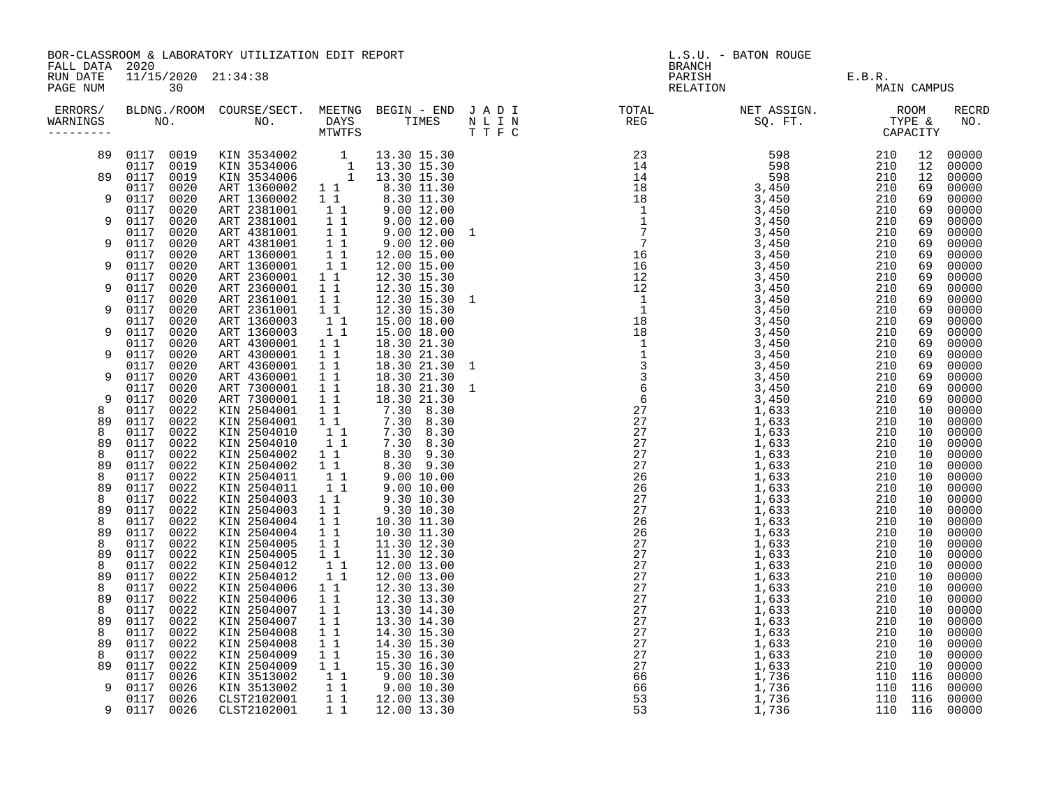| FALL DATA 2020         |                                      | BOR-CLASSROOM & LABORATORY UTILIZATION EDIT REPORT                                                                |                                                                                |                                                                                                                                                                                                               | L.S.U. - BATON ROUGE<br><b>BRANCH</b> |                                                                                                                                                                                                                                   |                               |                    |                       |                         |
|------------------------|--------------------------------------|-------------------------------------------------------------------------------------------------------------------|--------------------------------------------------------------------------------|---------------------------------------------------------------------------------------------------------------------------------------------------------------------------------------------------------------|---------------------------------------|-----------------------------------------------------------------------------------------------------------------------------------------------------------------------------------------------------------------------------------|-------------------------------|--------------------|-----------------------|-------------------------|
| RUN DATE<br>PAGE NUM   | 11/15/2020 21:34:38<br>30            |                                                                                                                   |                                                                                |                                                                                                                                                                                                               |                                       |                                                                                                                                                                                                                                   | PARISH E.B.R.<br>RELATION MAI | MAIN CAMPUS        |                       |                         |
| WARNINGS<br>---------- |                                      |                                                                                                                   |                                                                                |                                                                                                                                                                                                               |                                       | ERRORS/ BLDNG./ROOM COURSE/SECT. MEETNG BEGIN – END JADI TOTAL TOTAL NETASSIGN. NET ASSIGN. ROOM ROOM COURSE/SECT. MEETNG BEGIN – END JADI TOTAL TOTAL NETASSIGN. TYPE &<br>WARNINGS NO. NO. DAYS TIMES NLIN REG SQ.FT. TPE & CAP |                               |                    |                       | <b>RECRD</b><br>NO.     |
| 89                     |                                      | 0117 0019 KIN 3534002 1 13.30 15.30<br>0117 0019 KIN 3534006 1 13.30 15.30<br>0117 0019 KIN 3534006 1 13.30 15.30 |                                                                                |                                                                                                                                                                                                               |                                       |                                                                                                                                                                                                                                   |                               |                    | 12<br>12              | 00000<br>00000          |
| 89                     | 0117 0019<br>0117                    |                                                                                                                   |                                                                                |                                                                                                                                                                                                               |                                       |                                                                                                                                                                                                                                   |                               |                    | 12 <sup>°</sup>       | 00000                   |
| 9                      | 0020<br>0117<br>0020<br>0117<br>0020 | ART 1360002 1 1<br>ART 1360002                                                                                    | $\begin{matrix} 1 \\ 1 \\ 1 \\ 1 \end{matrix}$                                 | 8.30 11.30<br>8.30 11.30<br>9.00 12.00<br>9.00 12.00<br>9.00 12.00 1                                                                                                                                          |                                       |                                                                                                                                                                                                                                   |                               |                    | 69<br>69<br>69        | 00000<br>00000<br>00000 |
| 9                      | 0117<br>0020<br>0117<br>0020         | ART 2381001<br>ART 2381001                                                                                        |                                                                                |                                                                                                                                                                                                               |                                       |                                                                                                                                                                                                                                   |                               |                    | 69<br>69              | 00000<br>00000          |
| 9                      | 0117<br>0020                         | ART 4381001 1 1<br>ART 4381001 1 1<br>ART 1360001 1 1<br>ART 1360001 1 1<br>ART 1360001 1 1                       |                                                                                | 9.0012.00                                                                                                                                                                                                     |                                       |                                                                                                                                                                                                                                   |                               |                    | 69                    | 00000                   |
| 9                      | 0117<br>0020<br>0117<br>0020         |                                                                                                                   |                                                                                | 12.00 15.00<br>12.00 15.00                                                                                                                                                                                    |                                       |                                                                                                                                                                                                                                   |                               |                    | 69<br>69              | 00000<br>00000          |
| 9                      | 0117<br>0020<br>0117<br>0020         | ART 2360001 1 1<br>ART 2360001                                                                                    | $\begin{array}{cc} 1 & 1 \\ 1 & 1 \end{array}$                                 | 12.30 15.30<br>12.30 15.30                                                                                                                                                                                    |                                       |                                                                                                                                                                                                                                   |                               |                    | 69<br>69              | 00000<br>00000          |
| 9                      | 0020<br>0117<br>0117<br>0020         | ART 2361001                                                                                                       |                                                                                | $\begin{array}{rrrrr} 12.30 & 15.30 & 1 \\ 12.30 & 15.30 & 1 \end{array}$<br>12.30 15.30                                                                                                                      |                                       |                                                                                                                                                                                                                                   |                               |                    | 69<br>69              | 00000<br>00000          |
| 9                      | 0117<br>0020<br>0117<br>0020         | ART 2361001 1 1<br>ART 1360003 1 1<br>ART 1360003 1 1                                                             |                                                                                | 15.00 18.00<br>15.00 18.00                                                                                                                                                                                    |                                       |                                                                                                                                                                                                                                   |                               |                    | 69<br>69              | 00000<br>00000          |
|                        | 0117<br>0020                         | ART 4300001 1 1                                                                                                   |                                                                                | 18.30 21.30                                                                                                                                                                                                   |                                       |                                                                                                                                                                                                                                   |                               |                    | 69                    | 00000                   |
| 9                      | 0117<br>0020<br>0117<br>0020         | ART 4300001<br>ART 4360001                                                                                        | 11<br>11                                                                       | 18.30 21.30<br>18.30 21.30 1                                                                                                                                                                                  |                                       |                                                                                                                                                                                                                                   |                               |                    | 69<br>69              | 00000<br>00000          |
| 9                      | 0117<br>0020<br>0020<br>0117         | ART 4360001<br>ART 7300001                                                                                        | 11<br>11                                                                       | 18.30 21.30<br>18.30 21.30 1<br>18.30 21.30 1<br>18.30 21.30<br>30 8.30                                                                                                                                       |                                       |                                                                                                                                                                                                                                   |                               |                    | 69<br>69              | 00000<br>00000          |
| 9<br>8                 | 0020<br>0117<br>0117<br>0022         | ART 7300001<br>KIN 2504001                                                                                        | $\begin{array}{rr} 1 & 1 \\ 1 & 1 \end{array}$                                 |                                                                                                                                                                                                               |                                       |                                                                                                                                                                                                                                   |                               |                    | 69<br>10 <sub>1</sub> | 00000<br>00000          |
| 89<br>8                | 0117<br>0022<br>0117<br>0022         | KIN 2504001                                                                                                       | $\begin{array}{c} \bar{1} \ \bar{1} \\ 1 \ \bar{1} \\ 1 \ \bar{1} \end{array}$ | $7.30$ 8.30<br>$7.30$ 8.30                                                                                                                                                                                    |                                       |                                                                                                                                                                                                                                   |                               |                    | 10<br>10              | 00000<br>00000          |
| 89                     | 0022<br>0117                         | KIN 2504010<br>KIN 2504010                                                                                        |                                                                                | 7.30 8.30<br>7.30 8.30                                                                                                                                                                                        |                                       |                                                                                                                                                                                                                                   |                               |                    | 10                    | 00000                   |
| 8<br>89                | 0117<br>0022<br>0117<br>0022         | KIN 2504002<br>KIN 2504002                                                                                        |                                                                                | 8.30 9.30<br>8.30 9.30                                                                                                                                                                                        |                                       |                                                                                                                                                                                                                                   |                               |                    | 10<br>10              | 00000<br>00000          |
| 8<br>89                | 0117<br>0022<br>0117<br>0022         | KIN 2504011<br>KIN 2504011                                                                                        | $\begin{bmatrix} 1 & 1 \\ 1 & 1 \\ 1 & 1 \\ 1 & 1 \end{bmatrix}$               | 9.00 10.00<br>9.00 10.00<br>9.30 10.30                                                                                                                                                                        |                                       |                                                                                                                                                                                                                                   |                               |                    | 10<br>10              | 00000<br>00000          |
| 8<br>89                | 0022<br>0117<br>0117<br>0022         | KIN 2504003<br>KIN 2504003 11                                                                                     | $1\quad1$                                                                      |                                                                                                                                                                                                               |                                       |                                                                                                                                                                                                                                   |                               |                    | 10<br>10              | 00000<br>00000          |
| 8<br>89                | 0022<br>0117<br>0022<br>0117         | KIN 2504004<br>KIN 2504004                                                                                        |                                                                                |                                                                                                                                                                                                               |                                       |                                                                                                                                                                                                                                   |                               |                    | 10 <sub>1</sub><br>10 | 00000<br>00000          |
| 8<br>89                | 0022<br>0117<br>0117<br>0022         | KIN 2504005                                                                                                       |                                                                                | $\begin{array}{cccc} 1&1&9\cdot .30&10\cdot .30\ 1&1&9\cdot .30&10\cdot .30\ 1&1&10\cdot .30&11\cdot .30\ 1&1&10\cdot .30&11\cdot .30\ 1&1&11\cdot .30&12\cdot .30\ 1&1&11\cdot .30&12\cdot .30\ \end{array}$ |                                       |                                                                                                                                                                                                                                   |                               |                    | 10<br>10              | 00000<br>00000          |
| 8                      | 0117<br>0022                         | KIN 2504005 11<br>KIN 2504012 11<br>KIN 2504012 11                                                                |                                                                                | 12.00 13.00                                                                                                                                                                                                   |                                       |                                                                                                                                                                                                                                   |                               |                    | 10                    | 00000                   |
| 89<br>8                | 0022<br>0117<br>0117<br>0022         | KIN 2504006                                                                                                       | 11                                                                             | 12.00 13.00<br>12.30 13.30                                                                                                                                                                                    |                                       |                                                                                                                                                                                                                                   |                               |                    | 10<br>10              | 00000<br>00000          |
| 89<br>8                | 0117<br>0022<br>0117<br>0022         | KIN 2504006<br>KIN 2504007                                                                                        | $\begin{array}{rr} 1 & 1 \\ 1 & 1 \end{array}$                                 | 12.30 13.30<br>13.30 14.30                                                                                                                                                                                    |                                       |                                                                                                                                                                                                                                   |                               |                    | 10 <sub>1</sub><br>10 | 00000<br>00000          |
| 89<br>8                | 0117<br>0022<br>0117<br>0022         | KIN 2504007<br>KIN 2504008                                                                                        | $\begin{array}{rr} 1 & 1 \\ 1 & 1 \end{array}$                                 | 13.30 14.30<br>14.30 15.30                                                                                                                                                                                    |                                       |                                                                                                                                                                                                                                   |                               |                    | 10<br>10              | 00000<br>00000          |
| 89<br>8                | 0117<br>0022<br>0022<br>0117         | KIN 2504008<br>KIN 2504009                                                                                        | 11<br>$\overline{1}$ $\overline{1}$                                            | 14.30 15.30<br>15.30 16.30                                                                                                                                                                                    |                                       |                                                                                                                                                                                                                                   |                               |                    | 10<br>10              | 00000<br>00000          |
| 89                     | 0022<br>0117                         |                                                                                                                   |                                                                                | 15.30 16.30                                                                                                                                                                                                   |                                       |                                                                                                                                                                                                                                   |                               |                    | 10                    | 00000                   |
| 9                      | 0026<br>0117<br>0117<br>0026         | XIN 2504009 11<br>KIN 3513002 11<br>KIN 3513002 11<br>CLST2102001 11                                              |                                                                                | 9.00 10.30<br>9.00 10.30                                                                                                                                                                                      |                                       |                                                                                                                                                                                                                                   |                               | 110 116            | 116                   | 00000<br>00000          |
| 9                      | 0026<br>0117<br>0117 0026            | CLST2102001                                                                                                       | $\overline{1}$ $\overline{1}$                                                  | 12.00 13.30<br>12.00 13.30                                                                                                                                                                                    |                                       |                                                                                                                                                                                                                                   |                               | 110 116<br>110 116 |                       | 00000<br>00000          |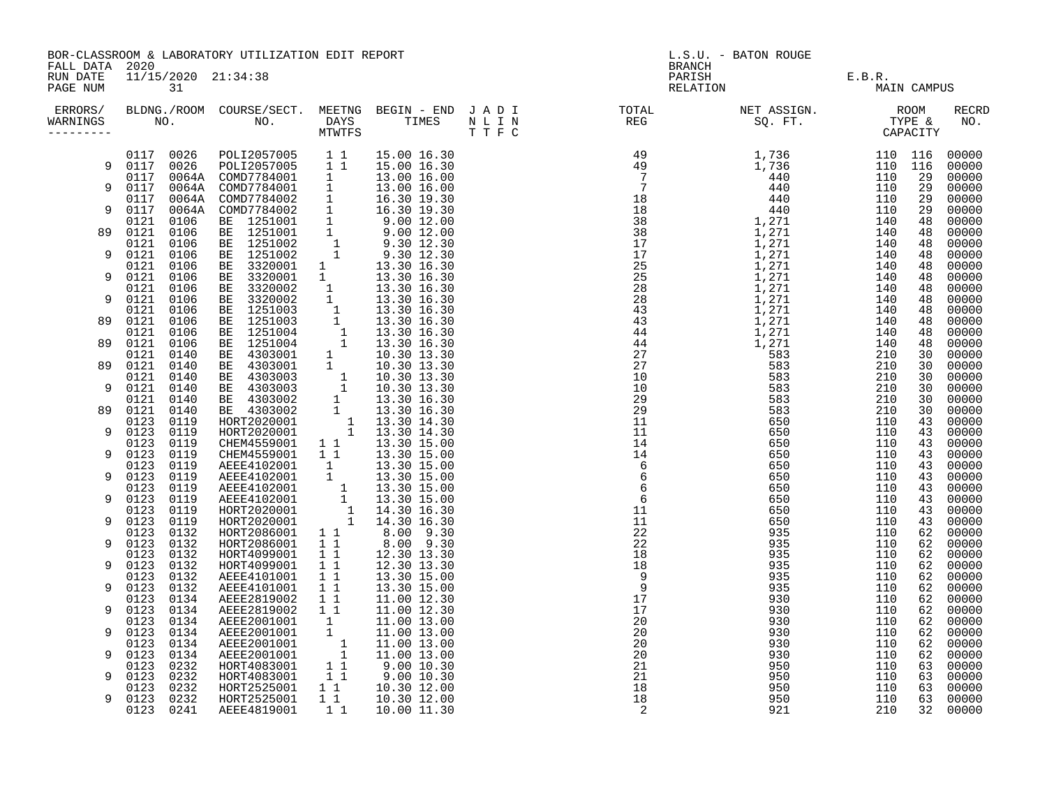| FALL DATA 2020<br>PARISH E.B.R.<br>RELATION E.B.R. MAI<br>11/15/2020 21:34:38<br>RUN DATE<br>PAGE NUM<br>31<br>MAIN CAMPUS<br>ERRORS/ BLDNG./ROOM COURSE/SECT. MEETNG BEGIN – END JADI TOTAL TOTAL NETASSIGN. NET ASSIGN. ROOM ROOM COURSE/SECT. MEETNG BEGIN – END JADI TOTAL TOTAL NETASSIGN. TYPE &<br>WARNINGS NO. NO. DAYS TIMES NLIN REG SQ.FT. TYPE & CA<br><b>RECRD</b><br>WARNINGS<br>NO.<br>---------<br>15.00 16.30<br>00000<br>9<br>00000<br>00000<br>9<br>00000<br>00000<br>9<br>00000<br>00000<br>89<br>00000<br>00000<br>9<br>00000<br>00000<br>9<br>00000<br>00000<br>00000<br>9<br>00000<br>89<br>00000<br>00000<br>00000<br>89<br>00000<br>89<br>00000<br>00000<br>9<br>00000<br>00000<br>89<br>00000<br>00000<br>9<br>00000<br>00000<br>9<br>00000<br>00000<br>9<br>00000<br>00000<br>9<br>00000<br>00000<br>00000<br>9<br>HORT2086001 1 44.30 16.30<br>HORT2086001 1 8.00 9.30<br>HORT2086001 1 8.00 9.30<br>HORT4099001 1 1 12.30 13.30<br>HORT4099001 1 1 12.30 13.30<br>AEEE4101001 1 1 13.30 15.00<br>AEEE4101001 1 1 13.30 15.00<br>AEEE4101001 1 1 13.30 15.00<br>0123<br>0132<br>00000<br>0123<br>0132<br>9<br>00000<br>0132<br>0123<br>00000<br>0132<br>0123<br>00000<br>9<br>0132<br>0123<br>00000<br>0123<br>0132<br>00000<br>9<br>0134<br>AEEE2819002 1 1<br>11.00 12.30<br>0123<br>00000<br>AEEE2819002 1 1<br>0123<br>0134<br>11.00 12.30<br>00000<br>9<br>0123<br>0134<br>AEEE2819002 1 1 11.00 12.30<br>AEEE2001001 1 11.00 13.00<br>AEEE2001001 1 11.00 13.00<br>AEEE2001001 1 11.00 13.00<br>AEEE2001001 1 11.00 13.00<br>HORT4083001 1 9.00 10.30<br>HORT4083001 1 9.00 10.30<br>HORT2525001 1 1 10.30 12.00<br>HORT<br>00000<br>0123<br>0134<br>9<br>00000<br>0134<br>0123<br>00000<br>0123<br>0134<br>00000<br>9<br>0123<br>0232<br>00000<br>0232<br>0123<br>00000<br>9<br>0232<br>0123<br>00000<br>0123 0232<br>00000<br>9<br>$1\quad1$<br>0123 0241<br>AEEE4819001<br>00000<br>10.00 11.30 |  |  | BOR-CLASSROOM & LABORATORY UTILIZATION EDIT REPORT |  | L.S.U. - BATON ROUGE<br>BRANCH |  |  |  |  |  |
|--------------------------------------------------------------------------------------------------------------------------------------------------------------------------------------------------------------------------------------------------------------------------------------------------------------------------------------------------------------------------------------------------------------------------------------------------------------------------------------------------------------------------------------------------------------------------------------------------------------------------------------------------------------------------------------------------------------------------------------------------------------------------------------------------------------------------------------------------------------------------------------------------------------------------------------------------------------------------------------------------------------------------------------------------------------------------------------------------------------------------------------------------------------------------------------------------------------------------------------------------------------------------------------------------------------------------------------------------------------------------------------------------------------------------------------------------------------------------------------------------------------------------------------------------------------------------------------------------------------------------------------------------------------------------------------------------------------------------------------------------------------------------------------------------------------------------------------------------------------------------------------------------------------------------------------|--|--|----------------------------------------------------|--|--------------------------------|--|--|--|--|--|
|                                                                                                                                                                                                                                                                                                                                                                                                                                                                                                                                                                                                                                                                                                                                                                                                                                                                                                                                                                                                                                                                                                                                                                                                                                                                                                                                                                                                                                                                                                                                                                                                                                                                                                                                                                                                                                                                                                                                      |  |  |                                                    |  |                                |  |  |  |  |  |
|                                                                                                                                                                                                                                                                                                                                                                                                                                                                                                                                                                                                                                                                                                                                                                                                                                                                                                                                                                                                                                                                                                                                                                                                                                                                                                                                                                                                                                                                                                                                                                                                                                                                                                                                                                                                                                                                                                                                      |  |  |                                                    |  |                                |  |  |  |  |  |
|                                                                                                                                                                                                                                                                                                                                                                                                                                                                                                                                                                                                                                                                                                                                                                                                                                                                                                                                                                                                                                                                                                                                                                                                                                                                                                                                                                                                                                                                                                                                                                                                                                                                                                                                                                                                                                                                                                                                      |  |  |                                                    |  |                                |  |  |  |  |  |
|                                                                                                                                                                                                                                                                                                                                                                                                                                                                                                                                                                                                                                                                                                                                                                                                                                                                                                                                                                                                                                                                                                                                                                                                                                                                                                                                                                                                                                                                                                                                                                                                                                                                                                                                                                                                                                                                                                                                      |  |  |                                                    |  |                                |  |  |  |  |  |
|                                                                                                                                                                                                                                                                                                                                                                                                                                                                                                                                                                                                                                                                                                                                                                                                                                                                                                                                                                                                                                                                                                                                                                                                                                                                                                                                                                                                                                                                                                                                                                                                                                                                                                                                                                                                                                                                                                                                      |  |  |                                                    |  |                                |  |  |  |  |  |
|                                                                                                                                                                                                                                                                                                                                                                                                                                                                                                                                                                                                                                                                                                                                                                                                                                                                                                                                                                                                                                                                                                                                                                                                                                                                                                                                                                                                                                                                                                                                                                                                                                                                                                                                                                                                                                                                                                                                      |  |  |                                                    |  |                                |  |  |  |  |  |
|                                                                                                                                                                                                                                                                                                                                                                                                                                                                                                                                                                                                                                                                                                                                                                                                                                                                                                                                                                                                                                                                                                                                                                                                                                                                                                                                                                                                                                                                                                                                                                                                                                                                                                                                                                                                                                                                                                                                      |  |  |                                                    |  |                                |  |  |  |  |  |
|                                                                                                                                                                                                                                                                                                                                                                                                                                                                                                                                                                                                                                                                                                                                                                                                                                                                                                                                                                                                                                                                                                                                                                                                                                                                                                                                                                                                                                                                                                                                                                                                                                                                                                                                                                                                                                                                                                                                      |  |  |                                                    |  |                                |  |  |  |  |  |
|                                                                                                                                                                                                                                                                                                                                                                                                                                                                                                                                                                                                                                                                                                                                                                                                                                                                                                                                                                                                                                                                                                                                                                                                                                                                                                                                                                                                                                                                                                                                                                                                                                                                                                                                                                                                                                                                                                                                      |  |  |                                                    |  |                                |  |  |  |  |  |
|                                                                                                                                                                                                                                                                                                                                                                                                                                                                                                                                                                                                                                                                                                                                                                                                                                                                                                                                                                                                                                                                                                                                                                                                                                                                                                                                                                                                                                                                                                                                                                                                                                                                                                                                                                                                                                                                                                                                      |  |  |                                                    |  |                                |  |  |  |  |  |
|                                                                                                                                                                                                                                                                                                                                                                                                                                                                                                                                                                                                                                                                                                                                                                                                                                                                                                                                                                                                                                                                                                                                                                                                                                                                                                                                                                                                                                                                                                                                                                                                                                                                                                                                                                                                                                                                                                                                      |  |  |                                                    |  |                                |  |  |  |  |  |
|                                                                                                                                                                                                                                                                                                                                                                                                                                                                                                                                                                                                                                                                                                                                                                                                                                                                                                                                                                                                                                                                                                                                                                                                                                                                                                                                                                                                                                                                                                                                                                                                                                                                                                                                                                                                                                                                                                                                      |  |  |                                                    |  |                                |  |  |  |  |  |
|                                                                                                                                                                                                                                                                                                                                                                                                                                                                                                                                                                                                                                                                                                                                                                                                                                                                                                                                                                                                                                                                                                                                                                                                                                                                                                                                                                                                                                                                                                                                                                                                                                                                                                                                                                                                                                                                                                                                      |  |  |                                                    |  |                                |  |  |  |  |  |
|                                                                                                                                                                                                                                                                                                                                                                                                                                                                                                                                                                                                                                                                                                                                                                                                                                                                                                                                                                                                                                                                                                                                                                                                                                                                                                                                                                                                                                                                                                                                                                                                                                                                                                                                                                                                                                                                                                                                      |  |  |                                                    |  |                                |  |  |  |  |  |
|                                                                                                                                                                                                                                                                                                                                                                                                                                                                                                                                                                                                                                                                                                                                                                                                                                                                                                                                                                                                                                                                                                                                                                                                                                                                                                                                                                                                                                                                                                                                                                                                                                                                                                                                                                                                                                                                                                                                      |  |  |                                                    |  |                                |  |  |  |  |  |
|                                                                                                                                                                                                                                                                                                                                                                                                                                                                                                                                                                                                                                                                                                                                                                                                                                                                                                                                                                                                                                                                                                                                                                                                                                                                                                                                                                                                                                                                                                                                                                                                                                                                                                                                                                                                                                                                                                                                      |  |  |                                                    |  |                                |  |  |  |  |  |
|                                                                                                                                                                                                                                                                                                                                                                                                                                                                                                                                                                                                                                                                                                                                                                                                                                                                                                                                                                                                                                                                                                                                                                                                                                                                                                                                                                                                                                                                                                                                                                                                                                                                                                                                                                                                                                                                                                                                      |  |  |                                                    |  |                                |  |  |  |  |  |
|                                                                                                                                                                                                                                                                                                                                                                                                                                                                                                                                                                                                                                                                                                                                                                                                                                                                                                                                                                                                                                                                                                                                                                                                                                                                                                                                                                                                                                                                                                                                                                                                                                                                                                                                                                                                                                                                                                                                      |  |  |                                                    |  |                                |  |  |  |  |  |
|                                                                                                                                                                                                                                                                                                                                                                                                                                                                                                                                                                                                                                                                                                                                                                                                                                                                                                                                                                                                                                                                                                                                                                                                                                                                                                                                                                                                                                                                                                                                                                                                                                                                                                                                                                                                                                                                                                                                      |  |  |                                                    |  |                                |  |  |  |  |  |
|                                                                                                                                                                                                                                                                                                                                                                                                                                                                                                                                                                                                                                                                                                                                                                                                                                                                                                                                                                                                                                                                                                                                                                                                                                                                                                                                                                                                                                                                                                                                                                                                                                                                                                                                                                                                                                                                                                                                      |  |  |                                                    |  |                                |  |  |  |  |  |
|                                                                                                                                                                                                                                                                                                                                                                                                                                                                                                                                                                                                                                                                                                                                                                                                                                                                                                                                                                                                                                                                                                                                                                                                                                                                                                                                                                                                                                                                                                                                                                                                                                                                                                                                                                                                                                                                                                                                      |  |  |                                                    |  |                                |  |  |  |  |  |
|                                                                                                                                                                                                                                                                                                                                                                                                                                                                                                                                                                                                                                                                                                                                                                                                                                                                                                                                                                                                                                                                                                                                                                                                                                                                                                                                                                                                                                                                                                                                                                                                                                                                                                                                                                                                                                                                                                                                      |  |  |                                                    |  |                                |  |  |  |  |  |
|                                                                                                                                                                                                                                                                                                                                                                                                                                                                                                                                                                                                                                                                                                                                                                                                                                                                                                                                                                                                                                                                                                                                                                                                                                                                                                                                                                                                                                                                                                                                                                                                                                                                                                                                                                                                                                                                                                                                      |  |  |                                                    |  |                                |  |  |  |  |  |
|                                                                                                                                                                                                                                                                                                                                                                                                                                                                                                                                                                                                                                                                                                                                                                                                                                                                                                                                                                                                                                                                                                                                                                                                                                                                                                                                                                                                                                                                                                                                                                                                                                                                                                                                                                                                                                                                                                                                      |  |  |                                                    |  |                                |  |  |  |  |  |
|                                                                                                                                                                                                                                                                                                                                                                                                                                                                                                                                                                                                                                                                                                                                                                                                                                                                                                                                                                                                                                                                                                                                                                                                                                                                                                                                                                                                                                                                                                                                                                                                                                                                                                                                                                                                                                                                                                                                      |  |  |                                                    |  |                                |  |  |  |  |  |
|                                                                                                                                                                                                                                                                                                                                                                                                                                                                                                                                                                                                                                                                                                                                                                                                                                                                                                                                                                                                                                                                                                                                                                                                                                                                                                                                                                                                                                                                                                                                                                                                                                                                                                                                                                                                                                                                                                                                      |  |  |                                                    |  |                                |  |  |  |  |  |
|                                                                                                                                                                                                                                                                                                                                                                                                                                                                                                                                                                                                                                                                                                                                                                                                                                                                                                                                                                                                                                                                                                                                                                                                                                                                                                                                                                                                                                                                                                                                                                                                                                                                                                                                                                                                                                                                                                                                      |  |  |                                                    |  |                                |  |  |  |  |  |
|                                                                                                                                                                                                                                                                                                                                                                                                                                                                                                                                                                                                                                                                                                                                                                                                                                                                                                                                                                                                                                                                                                                                                                                                                                                                                                                                                                                                                                                                                                                                                                                                                                                                                                                                                                                                                                                                                                                                      |  |  |                                                    |  |                                |  |  |  |  |  |
|                                                                                                                                                                                                                                                                                                                                                                                                                                                                                                                                                                                                                                                                                                                                                                                                                                                                                                                                                                                                                                                                                                                                                                                                                                                                                                                                                                                                                                                                                                                                                                                                                                                                                                                                                                                                                                                                                                                                      |  |  |                                                    |  |                                |  |  |  |  |  |
|                                                                                                                                                                                                                                                                                                                                                                                                                                                                                                                                                                                                                                                                                                                                                                                                                                                                                                                                                                                                                                                                                                                                                                                                                                                                                                                                                                                                                                                                                                                                                                                                                                                                                                                                                                                                                                                                                                                                      |  |  |                                                    |  |                                |  |  |  |  |  |
|                                                                                                                                                                                                                                                                                                                                                                                                                                                                                                                                                                                                                                                                                                                                                                                                                                                                                                                                                                                                                                                                                                                                                                                                                                                                                                                                                                                                                                                                                                                                                                                                                                                                                                                                                                                                                                                                                                                                      |  |  |                                                    |  |                                |  |  |  |  |  |
|                                                                                                                                                                                                                                                                                                                                                                                                                                                                                                                                                                                                                                                                                                                                                                                                                                                                                                                                                                                                                                                                                                                                                                                                                                                                                                                                                                                                                                                                                                                                                                                                                                                                                                                                                                                                                                                                                                                                      |  |  |                                                    |  |                                |  |  |  |  |  |
|                                                                                                                                                                                                                                                                                                                                                                                                                                                                                                                                                                                                                                                                                                                                                                                                                                                                                                                                                                                                                                                                                                                                                                                                                                                                                                                                                                                                                                                                                                                                                                                                                                                                                                                                                                                                                                                                                                                                      |  |  |                                                    |  |                                |  |  |  |  |  |
|                                                                                                                                                                                                                                                                                                                                                                                                                                                                                                                                                                                                                                                                                                                                                                                                                                                                                                                                                                                                                                                                                                                                                                                                                                                                                                                                                                                                                                                                                                                                                                                                                                                                                                                                                                                                                                                                                                                                      |  |  |                                                    |  |                                |  |  |  |  |  |
|                                                                                                                                                                                                                                                                                                                                                                                                                                                                                                                                                                                                                                                                                                                                                                                                                                                                                                                                                                                                                                                                                                                                                                                                                                                                                                                                                                                                                                                                                                                                                                                                                                                                                                                                                                                                                                                                                                                                      |  |  |                                                    |  |                                |  |  |  |  |  |
|                                                                                                                                                                                                                                                                                                                                                                                                                                                                                                                                                                                                                                                                                                                                                                                                                                                                                                                                                                                                                                                                                                                                                                                                                                                                                                                                                                                                                                                                                                                                                                                                                                                                                                                                                                                                                                                                                                                                      |  |  |                                                    |  |                                |  |  |  |  |  |
|                                                                                                                                                                                                                                                                                                                                                                                                                                                                                                                                                                                                                                                                                                                                                                                                                                                                                                                                                                                                                                                                                                                                                                                                                                                                                                                                                                                                                                                                                                                                                                                                                                                                                                                                                                                                                                                                                                                                      |  |  |                                                    |  |                                |  |  |  |  |  |
|                                                                                                                                                                                                                                                                                                                                                                                                                                                                                                                                                                                                                                                                                                                                                                                                                                                                                                                                                                                                                                                                                                                                                                                                                                                                                                                                                                                                                                                                                                                                                                                                                                                                                                                                                                                                                                                                                                                                      |  |  |                                                    |  |                                |  |  |  |  |  |
|                                                                                                                                                                                                                                                                                                                                                                                                                                                                                                                                                                                                                                                                                                                                                                                                                                                                                                                                                                                                                                                                                                                                                                                                                                                                                                                                                                                                                                                                                                                                                                                                                                                                                                                                                                                                                                                                                                                                      |  |  |                                                    |  |                                |  |  |  |  |  |
|                                                                                                                                                                                                                                                                                                                                                                                                                                                                                                                                                                                                                                                                                                                                                                                                                                                                                                                                                                                                                                                                                                                                                                                                                                                                                                                                                                                                                                                                                                                                                                                                                                                                                                                                                                                                                                                                                                                                      |  |  |                                                    |  |                                |  |  |  |  |  |
|                                                                                                                                                                                                                                                                                                                                                                                                                                                                                                                                                                                                                                                                                                                                                                                                                                                                                                                                                                                                                                                                                                                                                                                                                                                                                                                                                                                                                                                                                                                                                                                                                                                                                                                                                                                                                                                                                                                                      |  |  |                                                    |  |                                |  |  |  |  |  |
|                                                                                                                                                                                                                                                                                                                                                                                                                                                                                                                                                                                                                                                                                                                                                                                                                                                                                                                                                                                                                                                                                                                                                                                                                                                                                                                                                                                                                                                                                                                                                                                                                                                                                                                                                                                                                                                                                                                                      |  |  |                                                    |  |                                |  |  |  |  |  |
|                                                                                                                                                                                                                                                                                                                                                                                                                                                                                                                                                                                                                                                                                                                                                                                                                                                                                                                                                                                                                                                                                                                                                                                                                                                                                                                                                                                                                                                                                                                                                                                                                                                                                                                                                                                                                                                                                                                                      |  |  |                                                    |  |                                |  |  |  |  |  |
|                                                                                                                                                                                                                                                                                                                                                                                                                                                                                                                                                                                                                                                                                                                                                                                                                                                                                                                                                                                                                                                                                                                                                                                                                                                                                                                                                                                                                                                                                                                                                                                                                                                                                                                                                                                                                                                                                                                                      |  |  |                                                    |  |                                |  |  |  |  |  |
|                                                                                                                                                                                                                                                                                                                                                                                                                                                                                                                                                                                                                                                                                                                                                                                                                                                                                                                                                                                                                                                                                                                                                                                                                                                                                                                                                                                                                                                                                                                                                                                                                                                                                                                                                                                                                                                                                                                                      |  |  |                                                    |  |                                |  |  |  |  |  |
|                                                                                                                                                                                                                                                                                                                                                                                                                                                                                                                                                                                                                                                                                                                                                                                                                                                                                                                                                                                                                                                                                                                                                                                                                                                                                                                                                                                                                                                                                                                                                                                                                                                                                                                                                                                                                                                                                                                                      |  |  |                                                    |  |                                |  |  |  |  |  |
|                                                                                                                                                                                                                                                                                                                                                                                                                                                                                                                                                                                                                                                                                                                                                                                                                                                                                                                                                                                                                                                                                                                                                                                                                                                                                                                                                                                                                                                                                                                                                                                                                                                                                                                                                                                                                                                                                                                                      |  |  |                                                    |  |                                |  |  |  |  |  |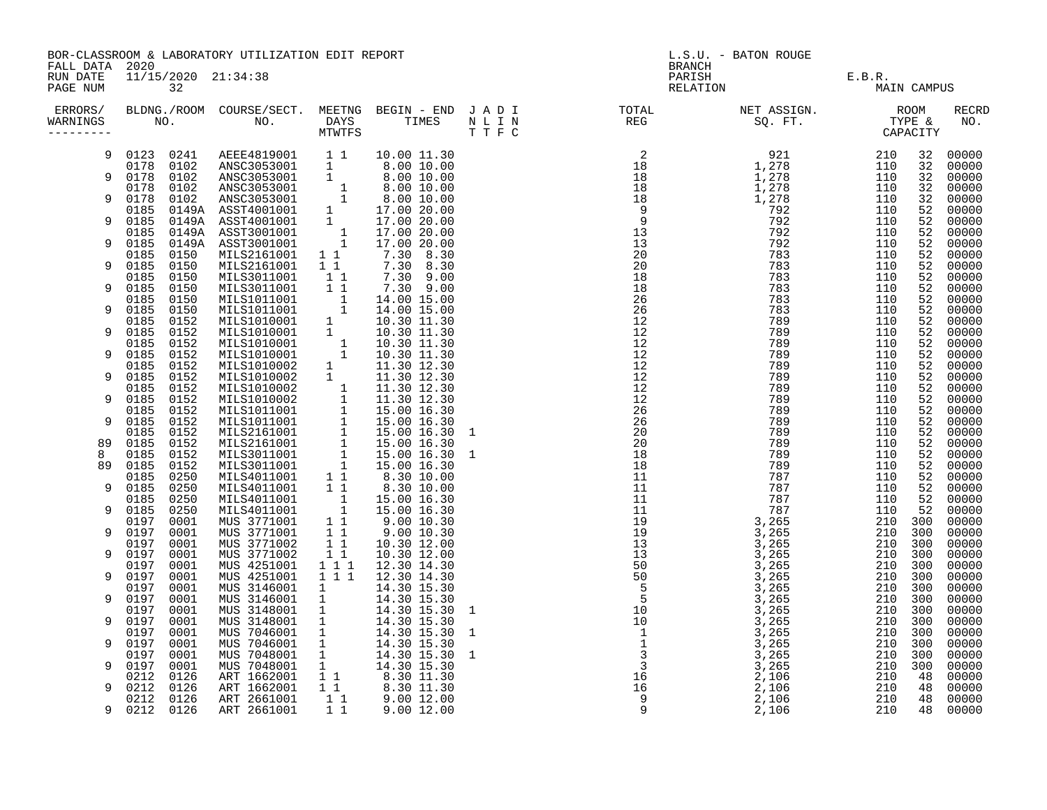|                                        |                   |              | BOR-CLASSROOM & LABORATORY UTILIZATION EDIT REPORT                                                                                                                                                                                                            |                                                      |                                                                                                                                                                                         | L.S.U. - BATON ROUGE<br><b>BRANCH</b>                                                                                                                                                                                             |                              |            |             |                     |  |
|----------------------------------------|-------------------|--------------|---------------------------------------------------------------------------------------------------------------------------------------------------------------------------------------------------------------------------------------------------------------|------------------------------------------------------|-----------------------------------------------------------------------------------------------------------------------------------------------------------------------------------------|-----------------------------------------------------------------------------------------------------------------------------------------------------------------------------------------------------------------------------------|------------------------------|------------|-------------|---------------------|--|
| FALL DATA 2020<br>RUN DATE<br>PAGE NUM |                   | 32           | 11/15/2020 21:34:38                                                                                                                                                                                                                                           |                                                      |                                                                                                                                                                                         |                                                                                                                                                                                                                                   | PARISH<br>PARISH<br>RELATION | E.B.R.     | MAIN CAMPUS |                     |  |
| WARNINGS<br>---------                  |                   |              | M C.<br>10.00 L.<br>102 ANSC3053001 1 1 10.00 L.<br>102 ANSC3053001 1 8.00 10.00<br>102 ANSC3053001 1 8.00 10.00<br>0102 ANSC3053001 1 8.00 10.00<br>0102 ANSC3053001 1 8.00 10.00<br>0149A ASST4001001 1 17.00 20.00<br>0149A ASST4001001 1 1                |                                                      |                                                                                                                                                                                         | ERRORS/ BLDNG./ROOM COURSE/SECT. MEETNG BEGIN – END JADI TOTAL TOTAL NETASSIGN. NET ASSIGN. ROOM ROOM COURSE/SECT. MEETNG BEGIN – END JADI TOTAL TOTAL NETASSIGN. TYPE &<br>WARNINGS NO. NO. DAYS TIMES NLIN REG SQ.FT. TPE & CAP |                              |            |             | <b>RECRD</b><br>NO. |  |
| 9                                      |                   | 0123 0241    |                                                                                                                                                                                                                                                               |                                                      |                                                                                                                                                                                         |                                                                                                                                                                                                                                   |                              | 210        | 32          | 00000               |  |
| 9                                      | 0178 0102<br>0178 |              |                                                                                                                                                                                                                                                               |                                                      |                                                                                                                                                                                         |                                                                                                                                                                                                                                   |                              | 110<br>110 | 32<br>32    | 00000<br>00000      |  |
|                                        | 0178              |              |                                                                                                                                                                                                                                                               |                                                      |                                                                                                                                                                                         |                                                                                                                                                                                                                                   |                              | 110        | 32          | 00000               |  |
| 9                                      | 0178              |              |                                                                                                                                                                                                                                                               |                                                      |                                                                                                                                                                                         |                                                                                                                                                                                                                                   |                              | 110        | 32          | 00000               |  |
| 9                                      | 0185<br>0185      |              |                                                                                                                                                                                                                                                               |                                                      |                                                                                                                                                                                         |                                                                                                                                                                                                                                   |                              | 110<br>110 | 52<br>52    | 00000<br>00000      |  |
|                                        | 0185              |              |                                                                                                                                                                                                                                                               |                                                      |                                                                                                                                                                                         |                                                                                                                                                                                                                                   |                              | 110        | 52          | 00000               |  |
| 9                                      | 0185<br>0185      |              |                                                                                                                                                                                                                                                               |                                                      |                                                                                                                                                                                         |                                                                                                                                                                                                                                   |                              | 110<br>110 | 52<br>52    | 00000<br>00000      |  |
| 9                                      | 0185              |              |                                                                                                                                                                                                                                                               |                                                      |                                                                                                                                                                                         |                                                                                                                                                                                                                                   |                              | 110        | 52          | 00000               |  |
|                                        | 0185              | 0150         | MILS3011001                                                                                                                                                                                                                                                   | $1\quad1$                                            | 7.30 9.00                                                                                                                                                                               |                                                                                                                                                                                                                                   |                              | 110        | 52          | 00000               |  |
| 9                                      | 0185<br>0185      | 0150<br>0150 | MILS3011001                                                                                                                                                                                                                                                   | $1\quad1$                                            | 7.30 9.00                                                                                                                                                                               |                                                                                                                                                                                                                                   |                              | 110<br>110 | 52<br>52    | 00000<br>00000      |  |
| 9                                      | 0185              | 0150         |                                                                                                                                                                                                                                                               |                                                      |                                                                                                                                                                                         |                                                                                                                                                                                                                                   |                              | 110        | 52          | 00000               |  |
|                                        | 0185              | 0152         |                                                                                                                                                                                                                                                               |                                                      |                                                                                                                                                                                         |                                                                                                                                                                                                                                   |                              | 110        | 52          | 00000               |  |
| 9                                      | 0185<br>0185      | 0152<br>0152 |                                                                                                                                                                                                                                                               |                                                      |                                                                                                                                                                                         |                                                                                                                                                                                                                                   |                              | 110<br>110 | 52<br>52    | 00000<br>00000      |  |
| 9                                      | 0185              | 0152         |                                                                                                                                                                                                                                                               |                                                      |                                                                                                                                                                                         |                                                                                                                                                                                                                                   |                              | 110        | 52          | 00000               |  |
|                                        | 0185              | 0152         |                                                                                                                                                                                                                                                               |                                                      |                                                                                                                                                                                         |                                                                                                                                                                                                                                   |                              | 110        | 52          | 00000               |  |
| 9                                      | 0185<br>0185      | 0152<br>0152 |                                                                                                                                                                                                                                                               |                                                      |                                                                                                                                                                                         |                                                                                                                                                                                                                                   |                              | 110<br>110 | 52<br>52    | 00000<br>00000      |  |
| 9                                      | 0185              | 0152         |                                                                                                                                                                                                                                                               |                                                      |                                                                                                                                                                                         |                                                                                                                                                                                                                                   |                              | 110        | 52          | 00000               |  |
|                                        | 0185              | 0152         |                                                                                                                                                                                                                                                               |                                                      |                                                                                                                                                                                         |                                                                                                                                                                                                                                   |                              | 110        | 52          | 00000               |  |
| 9                                      | 0185<br>0185      | 0152<br>0152 |                                                                                                                                                                                                                                                               |                                                      |                                                                                                                                                                                         |                                                                                                                                                                                                                                   |                              | 110<br>110 | 52<br>52    | 00000<br>00000      |  |
| 89                                     | 0185              | 0152         |                                                                                                                                                                                                                                                               |                                                      |                                                                                                                                                                                         |                                                                                                                                                                                                                                   |                              | 110        | 52          | 00000               |  |
| 8<br>89                                | 0185<br>0185      | 0152<br>0152 |                                                                                                                                                                                                                                                               |                                                      |                                                                                                                                                                                         |                                                                                                                                                                                                                                   |                              | 110<br>110 | 52<br>52    | 00000<br>00000      |  |
|                                        | 0185              | 0250         |                                                                                                                                                                                                                                                               |                                                      |                                                                                                                                                                                         |                                                                                                                                                                                                                                   |                              | 110        | 52          | 00000               |  |
| 9                                      | 0185              | 0250         |                                                                                                                                                                                                                                                               |                                                      |                                                                                                                                                                                         |                                                                                                                                                                                                                                   |                              | 110        | 52          | 00000               |  |
| 9                                      | 0185<br>0185      | 0250<br>0250 |                                                                                                                                                                                                                                                               |                                                      |                                                                                                                                                                                         |                                                                                                                                                                                                                                   |                              | 110<br>110 | 52<br>52    | 00000<br>00000      |  |
|                                        | 0197              | 0001         |                                                                                                                                                                                                                                                               |                                                      |                                                                                                                                                                                         |                                                                                                                                                                                                                                   |                              | 210        | 300         | 00000               |  |
| 9                                      | 0197              | 0001         | MILS3011001 1 1 7.30 9.00<br>MILS1011001 1 1 7.30 9.00<br>MILS1011001 1 14.00 15.00<br>MILS1011001 1 14.00 15.00<br>MILS1010001 1 10.30 11.30<br>MILS1010001 1 10.30 11.30<br>MILS1010001 1 10.30 11.30<br>MILS1010002 1 11.30 12.30<br>MILS10<br>MUS 3771001 | $\begin{array}{c} 1 \\ 1 \\ 1 \\ 1 \\ 1 \end{array}$ | $9.00\ 10.30$                                                                                                                                                                           |                                                                                                                                                                                                                                   |                              | 210 300    |             | 00000               |  |
| 9                                      | 0197<br>0197      | 0001<br>0001 | MUS 3771002<br>MUS 3771002                                                                                                                                                                                                                                    |                                                      | 10.30 12.00<br>10.30 12.00                                                                                                                                                              |                                                                                                                                                                                                                                   |                              | 210<br>210 | 300<br>300  | 00000<br>00000      |  |
|                                        | 0197              | 0001         | MUS 4251001                                                                                                                                                                                                                                                   | 1 1 1                                                | 12.30 14.30                                                                                                                                                                             |                                                                                                                                                                                                                                   |                              | 210        | 300         | 00000               |  |
| 9                                      | 0197              | 0001         | MUS 4251001                                                                                                                                                                                                                                                   | 1 1 1                                                | 12.30 14.30                                                                                                                                                                             |                                                                                                                                                                                                                                   |                              | 210 300    |             | 00000               |  |
| 9                                      | 0197<br>0197      | 0001<br>0001 | MUS 3146001<br>MUS 3146001                                                                                                                                                                                                                                    |                                                      | 14.30 15.30<br>14.30 15.30                                                                                                                                                              |                                                                                                                                                                                                                                   |                              | 210<br>210 | 300<br>300  | 00000<br>00000      |  |
|                                        | 0197              | 0001         | MUS 3148001                                                                                                                                                                                                                                                   | $\begin{array}{c} 1 \\ 1 \\ 1 \end{array}$           | 14.30 15.30 1                                                                                                                                                                           |                                                                                                                                                                                                                                   |                              | 210 300    |             | 00000               |  |
| 9                                      | 0197              | 0001         | MUS 3148001                                                                                                                                                                                                                                                   | $\overline{1}$                                       | 14.30 15.30                                                                                                                                                                             |                                                                                                                                                                                                                                   |                              | 210 300    |             | 00000               |  |
| 9                                      | 0197<br>0197      | 0001<br>0001 | MUS 7046001<br>MUS 7046001                                                                                                                                                                                                                                    | $\overline{1}$<br>$\overline{1}$                     | 14.30 15.30 1<br>14.30 15.30                                                                                                                                                            |                                                                                                                                                                                                                                   |                              | 210<br>210 | 300<br>300  | 00000<br>00000      |  |
|                                        | 0197              | 0001         | MUS 7048001 1                                                                                                                                                                                                                                                 |                                                      | 14.30 15.30 1                                                                                                                                                                           |                                                                                                                                                                                                                                   |                              | 210        | 300         | 00000               |  |
| 9                                      | 0197              | 0001         | MUS 7048001                                                                                                                                                                                                                                                   |                                                      |                                                                                                                                                                                         |                                                                                                                                                                                                                                   |                              | 210 300    |             | 00000               |  |
| 9                                      | 0212<br>0212      | 0126<br>0126 | ART 1662001<br>ART 1662001                                                                                                                                                                                                                                    |                                                      |                                                                                                                                                                                         |                                                                                                                                                                                                                                   |                              | 210<br>210 | 48<br>48    | 00000<br>00000      |  |
|                                        | 0212              | 0126         | ART 2661001                                                                                                                                                                                                                                                   |                                                      | $\begin{array}{cccc} & 1 & & 14.30 & \text{15} \dots \\ & 1 & 1 & 8.30 & 11.30 \\ 1 & 1 & 8.30 & 11.30 \\ 1 & 1 & 9.00 & 12.00 \\ 1 & 1 & 9.00 & 12.00 \\ & & 9.00 & 12.00 \end{array}$ |                                                                                                                                                                                                                                   |                              | 210        | 48          | 00000               |  |
| 9                                      | 0212              | 0126         | ART 2661001                                                                                                                                                                                                                                                   |                                                      |                                                                                                                                                                                         |                                                                                                                                                                                                                                   |                              | 210        | 48          | 00000               |  |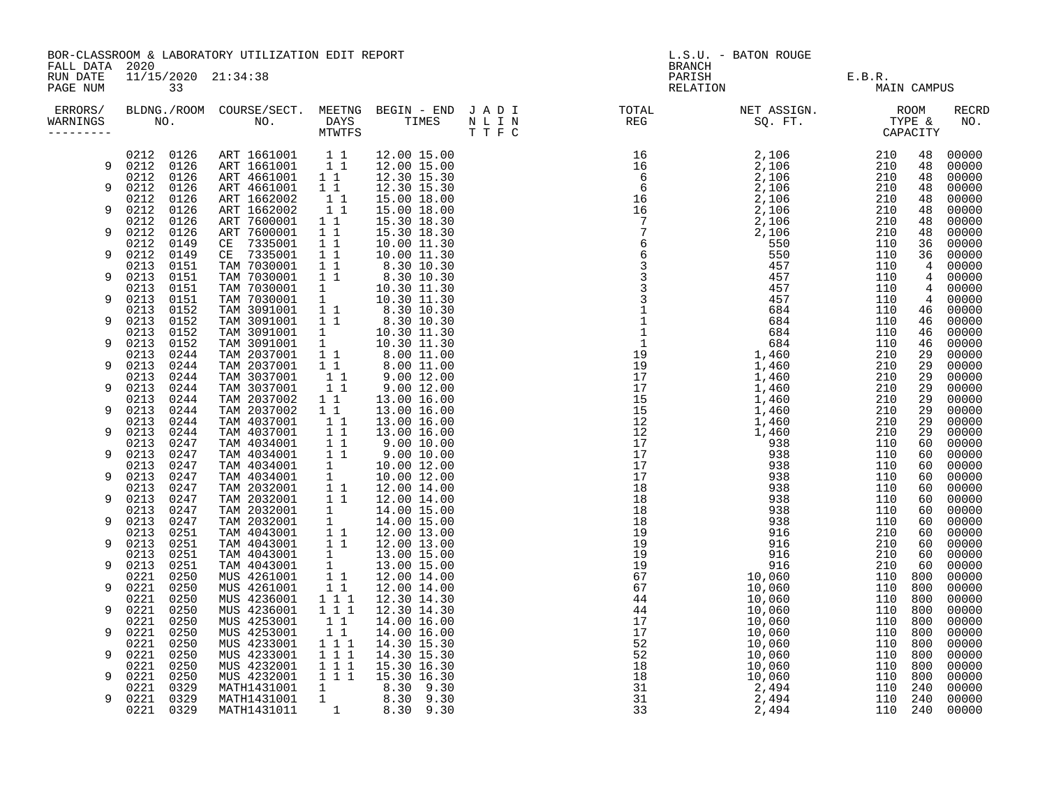|                                        |                              | BOR-CLASSROOM & LABORATORY UTILIZATION EDIT REPORT                 |                                                                                               |                                                                                                                             | L.S.U. - BATON ROUGE<br><b>BRANCH</b>                                                                                                                                                                                                                                                                                                                                                                                                                                                                                |                                       |         |                     |                     |  |
|----------------------------------------|------------------------------|--------------------------------------------------------------------|-----------------------------------------------------------------------------------------------|-----------------------------------------------------------------------------------------------------------------------------|----------------------------------------------------------------------------------------------------------------------------------------------------------------------------------------------------------------------------------------------------------------------------------------------------------------------------------------------------------------------------------------------------------------------------------------------------------------------------------------------------------------------|---------------------------------------|---------|---------------------|---------------------|--|
| FALL DATA 2020<br>RUN DATE<br>PAGE NUM | 33                           | 11/15/2020 21:34:38                                                |                                                                                               |                                                                                                                             |                                                                                                                                                                                                                                                                                                                                                                                                                                                                                                                      | PARISH E.B.R.<br>RELATION E.B.R. MAIN |         | MAIN CAMPUS         |                     |  |
| WARNINGS<br>---------                  |                              |                                                                    |                                                                                               |                                                                                                                             | ERRORS/ BLDNG./ROOM COURSE/SECT. MEETNG BEGIN – END JADI TOTAL TOTAL NETASSIGN. NETASSIGN. ROOM COURSE/SECT. MEETNG BEGIN – END JADI TOTAL TOTAL NETASSIGN. TYPE &<br>WARNINGS NO. NO. DAYS TIMES NLIN REG SQ.FT. TPE & CAPACITY<br>$\begin{tabular}{cccc} 16.189 & 10.066 & 10.066 & 10.066 \\ 16.19 & 16.106 & 10.060 \\ 16.10 & 16.106 & 2.106 & 2.106 \\ 16.10 & 2.106 & 2.106 & 2.100 \\ 16.10 & 2.106 & 2.100 \\ 16.10 & 2.106 & 2.100 \\ 16.10 & 2.106 & 2.100 \\ 16.10 & 2.106 & 2.100 \\ 16.10 & 2.106 & 2$ |                                       |         |                     | <b>RECRD</b><br>NO. |  |
|                                        |                              | 0212 0126 ART 1661001 1 1                                          |                                                                                               | 12.00 15.00                                                                                                                 |                                                                                                                                                                                                                                                                                                                                                                                                                                                                                                                      |                                       |         | 48                  | 00000               |  |
| 9                                      | 0212 0126                    | ART 1661001 11                                                     |                                                                                               | 12.00 15.00                                                                                                                 |                                                                                                                                                                                                                                                                                                                                                                                                                                                                                                                      |                                       |         | 48                  | 00000               |  |
|                                        | 0126<br>0212                 | ART 4661001 11                                                     |                                                                                               | 12.30 15.30                                                                                                                 |                                                                                                                                                                                                                                                                                                                                                                                                                                                                                                                      |                                       |         | 48                  | 00000               |  |
| 9                                      | 0212<br>0126<br>0126<br>0212 | ART 4661001<br>ART 1662002                                         | 11<br>11                                                                                      | 12.30 15.30<br>15.00 18.00                                                                                                  |                                                                                                                                                                                                                                                                                                                                                                                                                                                                                                                      |                                       |         | 48<br>48            | 00000<br>00000      |  |
| 9                                      | 0212<br>0126                 | ART 1662002                                                        | 11                                                                                            | 15.00 18.00                                                                                                                 |                                                                                                                                                                                                                                                                                                                                                                                                                                                                                                                      |                                       |         | 48                  | 00000               |  |
|                                        | 0212<br>0126                 | ART 7600001                                                        | $1\quad1$                                                                                     | 15.30 18.30                                                                                                                 |                                                                                                                                                                                                                                                                                                                                                                                                                                                                                                                      |                                       |         | 48                  | 00000               |  |
| 9                                      | 0212<br>0126                 | ART 7600001                                                        | $\begin{array}{cc} & 1\\ & 1\\ & 1 \end{array}$                                               | 15.30 18.30                                                                                                                 |                                                                                                                                                                                                                                                                                                                                                                                                                                                                                                                      |                                       |         | 48                  | 00000               |  |
|                                        | 0212<br>0149                 | CE 7335001                                                         |                                                                                               | 10.00 11.30                                                                                                                 |                                                                                                                                                                                                                                                                                                                                                                                                                                                                                                                      |                                       |         | 36                  | 00000               |  |
| 9                                      | 0212<br>0149                 | CE 7335001                                                         | 11                                                                                            | 10.00 11.30                                                                                                                 |                                                                                                                                                                                                                                                                                                                                                                                                                                                                                                                      |                                       |         | 36                  | 00000               |  |
|                                        | 0213<br>0151                 | TAM 7030001                                                        | $\begin{array}{cc} 1 & 1 \\ 1 & 1 \end{array}$                                                | 8.30 10.30<br>8.30 10.30                                                                                                    |                                                                                                                                                                                                                                                                                                                                                                                                                                                                                                                      |                                       |         | 4                   | 00000               |  |
| 9                                      | 0213<br>0151                 | TAM 7030001                                                        |                                                                                               |                                                                                                                             |                                                                                                                                                                                                                                                                                                                                                                                                                                                                                                                      |                                       |         | $\overline{4}$      | 00000               |  |
| 9                                      | 0213<br>0151<br>0213         | TAM 7030001<br>TAM 7030001                                         | $\frac{1}{1}$                                                                                 | $10.30$ $\overline{11.30}$                                                                                                  |                                                                                                                                                                                                                                                                                                                                                                                                                                                                                                                      |                                       |         | 4<br>$\overline{4}$ | 00000<br>00000      |  |
|                                        | 0151<br>0213<br>0152         | TAM 3091001                                                        |                                                                                               | 10.30 11.30                                                                                                                 |                                                                                                                                                                                                                                                                                                                                                                                                                                                                                                                      |                                       |         | 46                  | 00000               |  |
| 9                                      | 0213<br>0152                 | TAM 3091001                                                        | $\begin{array}{cc} 1 & 1 \\ 1 & 1 \end{array}$                                                | 8.30 10.30<br>8.30 10.30                                                                                                    |                                                                                                                                                                                                                                                                                                                                                                                                                                                                                                                      |                                       |         | 46                  | 00000               |  |
|                                        | 0213<br>0152                 | TAM 3091001                                                        |                                                                                               |                                                                                                                             |                                                                                                                                                                                                                                                                                                                                                                                                                                                                                                                      |                                       |         | 46                  | 00000               |  |
| 9                                      | 0213<br>0152                 | TAM 3091001                                                        |                                                                                               | $\begin{array}{ccc} 1 & 10.30 & 11.30 \ 1 & 10.30 & 11.30 \ 1 & 1 & 8.00 & 11.00 \ \end{array}$                             |                                                                                                                                                                                                                                                                                                                                                                                                                                                                                                                      |                                       |         | 46                  | 00000               |  |
|                                        | 0213<br>0244                 | TAM 2037001                                                        |                                                                                               | $\begin{array}{cccc} 1 & 1 & 8.00 & 11.00 \ 1 & 1 & 8.00 & 11.00 \ 1 & 1 & 9.00 & 12.00 \ 1 & 1 & 9.00 & 12.00 \end{array}$ |                                                                                                                                                                                                                                                                                                                                                                                                                                                                                                                      |                                       |         | 29                  | 00000               |  |
| 9                                      | 0213<br>0244                 | TAM 2037001                                                        |                                                                                               |                                                                                                                             |                                                                                                                                                                                                                                                                                                                                                                                                                                                                                                                      |                                       |         | 29                  | 00000               |  |
|                                        | 0213<br>0244                 | TAM 3037001                                                        |                                                                                               |                                                                                                                             |                                                                                                                                                                                                                                                                                                                                                                                                                                                                                                                      |                                       |         | 29                  | 00000               |  |
| 9                                      | 0213<br>0244                 | TAM 3037001                                                        |                                                                                               |                                                                                                                             |                                                                                                                                                                                                                                                                                                                                                                                                                                                                                                                      |                                       |         | 29                  | 00000               |  |
| 9                                      | 0213<br>0244<br>0213<br>0244 | TAM 2037002<br>TAM 2037002                                         |                                                                                               |                                                                                                                             |                                                                                                                                                                                                                                                                                                                                                                                                                                                                                                                      |                                       |         | 29<br>29            | 00000<br>00000      |  |
|                                        | 0213<br>0244                 | TAM 4037001                                                        | $1\quad1$                                                                                     | 13.00 16.00                                                                                                                 |                                                                                                                                                                                                                                                                                                                                                                                                                                                                                                                      |                                       |         | 29                  | 00000               |  |
| 9                                      | 0213<br>0244                 | TAM 4037001                                                        |                                                                                               | 13.00 16.00                                                                                                                 |                                                                                                                                                                                                                                                                                                                                                                                                                                                                                                                      |                                       |         | 29                  | 00000               |  |
|                                        | 0213<br>0247                 | TAM 4034001                                                        | $\begin{array}{c} \overline{1} & \overline{1} \\ 1 & 1 \end{array}$                           | 9.00 10.00                                                                                                                  |                                                                                                                                                                                                                                                                                                                                                                                                                                                                                                                      |                                       |         | 60                  | 00000               |  |
| 9                                      | 0213<br>0247                 | TAM 4034001 1 1                                                    |                                                                                               | 9.00 10.00                                                                                                                  |                                                                                                                                                                                                                                                                                                                                                                                                                                                                                                                      |                                       |         | 60                  | 00000               |  |
|                                        | 0247<br>0213                 |                                                                    |                                                                                               | 10.00 12.00                                                                                                                 |                                                                                                                                                                                                                                                                                                                                                                                                                                                                                                                      |                                       |         | 60                  | 00000               |  |
| 9                                      | 0213<br>0247                 | TAM 4034001 1<br>TAM 4034001 1<br>TAM 2032001 11<br>TAM 2032001 11 |                                                                                               | 10.00 12.00                                                                                                                 |                                                                                                                                                                                                                                                                                                                                                                                                                                                                                                                      |                                       |         | 60                  | 00000               |  |
|                                        | 0213<br>0247                 |                                                                    |                                                                                               | 12.00 14.00                                                                                                                 |                                                                                                                                                                                                                                                                                                                                                                                                                                                                                                                      |                                       |         | 60                  | 00000               |  |
| 9                                      | 0213<br>0247                 |                                                                    |                                                                                               | 12.00 14.00                                                                                                                 |                                                                                                                                                                                                                                                                                                                                                                                                                                                                                                                      |                                       |         | 60                  | 00000               |  |
|                                        | 0247<br>0213                 | TAM 2032001 1<br>TAM 2032001 1                                     |                                                                                               | 14.00 15.00                                                                                                                 |                                                                                                                                                                                                                                                                                                                                                                                                                                                                                                                      |                                       |         | 60                  | 00000               |  |
| 9                                      | 0213<br>0247                 |                                                                    |                                                                                               | 14.00 15.00                                                                                                                 |                                                                                                                                                                                                                                                                                                                                                                                                                                                                                                                      |                                       |         | 60                  | 00000               |  |
| 9                                      | 0213<br>0251<br>0213<br>0251 |                                                                    |                                                                                               | TAM 4043001 1 1 12.00 13.00<br>TAM 4043001 1 1 12.00 13.00                                                                  |                                                                                                                                                                                                                                                                                                                                                                                                                                                                                                                      |                                       |         | 60<br>60            | 00000<br>00000      |  |
|                                        | 0251<br>0213                 | TAM 4043001                                                        | $\mathbf{1}$                                                                                  | 13.00 15.00                                                                                                                 |                                                                                                                                                                                                                                                                                                                                                                                                                                                                                                                      |                                       |         | 60                  | 00000               |  |
| 9                                      | 0213<br>0251                 | TAM 4043001                                                        | 1                                                                                             | 13.00 15.00                                                                                                                 |                                                                                                                                                                                                                                                                                                                                                                                                                                                                                                                      |                                       |         | 60                  | 00000               |  |
|                                        | 0221<br>0250                 | MUS 4261001                                                        | 11                                                                                            | 12.00 14.00                                                                                                                 |                                                                                                                                                                                                                                                                                                                                                                                                                                                                                                                      |                                       |         | 800                 | 00000               |  |
| 9                                      | 0221<br>0250                 | MUS 4261001                                                        | 11                                                                                            | 12.00 14.00                                                                                                                 |                                                                                                                                                                                                                                                                                                                                                                                                                                                                                                                      |                                       |         | 800                 | 00000               |  |
|                                        | 0250<br>0221                 | MUS 4236001                                                        | $1\quad1$ <sup>1</sup>                                                                        | 12.30 14.30                                                                                                                 |                                                                                                                                                                                                                                                                                                                                                                                                                                                                                                                      |                                       |         | 800                 | 00000               |  |
| 9                                      | 0221<br>0250                 | MUS 4236001                                                        | 1 1 1                                                                                         | 12.30 14.30                                                                                                                 |                                                                                                                                                                                                                                                                                                                                                                                                                                                                                                                      |                                       |         | 800                 | 00000               |  |
|                                        | 0250<br>0221                 | MUS 4253001                                                        | $\begin{array}{rr} 1 & 1 \\ 1 & 1 \end{array}$                                                | 14.00 16.00                                                                                                                 |                                                                                                                                                                                                                                                                                                                                                                                                                                                                                                                      |                                       | 110 800 |                     | 00000               |  |
| 9                                      | 0221<br>0250                 | MUS 4253001                                                        |                                                                                               | 14.00 16.00                                                                                                                 |                                                                                                                                                                                                                                                                                                                                                                                                                                                                                                                      |                                       |         | 800                 | 00000               |  |
|                                        | 0250<br>0221                 | MUS 4233001                                                        | 1 1 1                                                                                         | 14.30 15.30                                                                                                                 |                                                                                                                                                                                                                                                                                                                                                                                                                                                                                                                      |                                       |         | 800                 | 00000               |  |
| 9                                      | 0221<br>0250<br>0250<br>0221 | MUS 4233001<br>MUS 4232001                                         | $\begin{array}{rrrr} & \overline{1} & \overline{1} & \overline{1} \\ & 1 & 1 & 1 \end{array}$ | 14.30 15.30<br>15.30 16.30                                                                                                  |                                                                                                                                                                                                                                                                                                                                                                                                                                                                                                                      |                                       | 110 800 | 800                 | 00000<br>00000      |  |
| 9                                      | 0221<br>0250                 |                                                                    | 1 1 1                                                                                         | 15.30 16.30                                                                                                                 |                                                                                                                                                                                                                                                                                                                                                                                                                                                                                                                      |                                       |         | 800                 | 00000               |  |
|                                        | 0329<br>0221                 | MUS 4232001<br>MATH1431001                                         |                                                                                               | 1 8.30 9.30                                                                                                                 |                                                                                                                                                                                                                                                                                                                                                                                                                                                                                                                      |                                       |         | 240                 | 00000               |  |
| 9                                      | 0221<br>0329                 | MATH1431001                                                        | 1                                                                                             |                                                                                                                             |                                                                                                                                                                                                                                                                                                                                                                                                                                                                                                                      |                                       | 110 240 |                     | 00000               |  |
|                                        | 0221<br>0329                 | MATH1431011                                                        |                                                                                               | $\begin{array}{cccc} 1 & 8.30 & 9.30 \\ 1 & 8.30 & 9.30 \end{array}$                                                        |                                                                                                                                                                                                                                                                                                                                                                                                                                                                                                                      |                                       | 110 240 |                     | 00000               |  |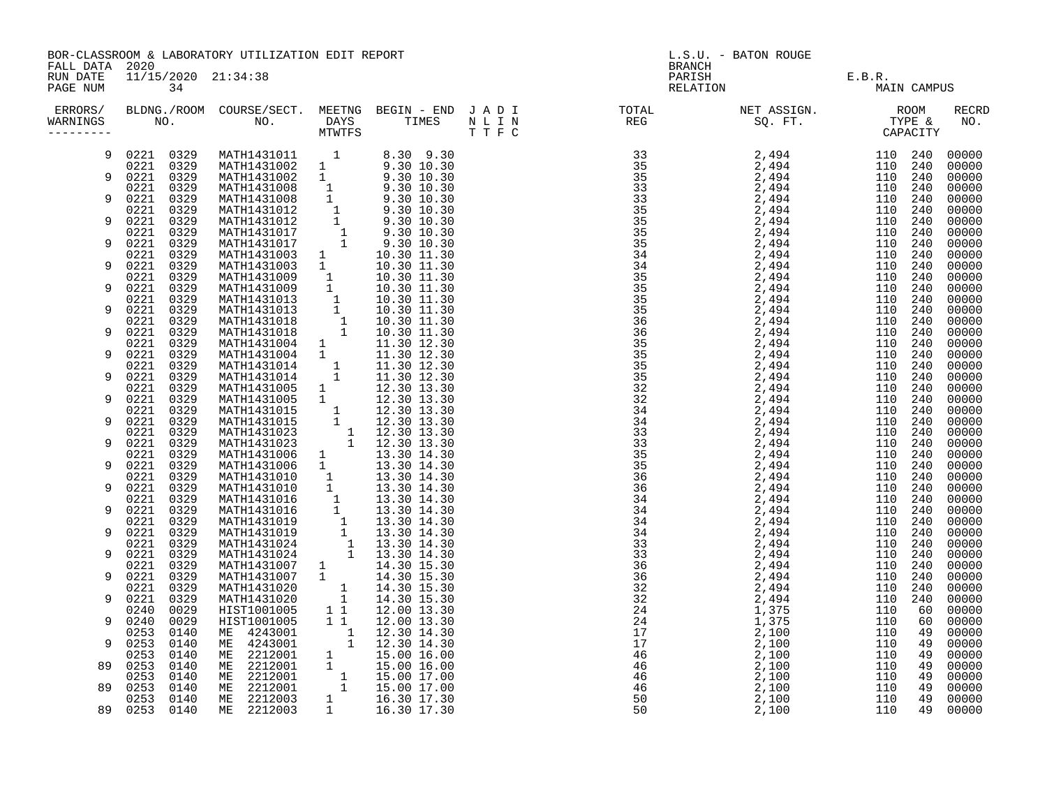|                | BOR-CLASSROOM & LABORATORY UTILIZATION EDIT REPORT | L.S.U. - BATON ROUGE |  |
|----------------|----------------------------------------------------|----------------------|--|
| FALL DATA 2020 |                                                    | <b>BRANCH</b>        |  |
|                | RUN DATE 11/15/2020 21:34:38                       | PARISH               |  |

| ERRORS/<br>WARNINGS | NO.          |              | BLDNG./ROOM COURSE/SECT.<br>NO. | MEETNG<br><b>DAYS</b><br>MTWTFS              | BEGIN - END JADI<br>TIMES  | N L I N<br>TTFC | TOTAL<br>REG | NET ASSIGN.<br>SO. FT. |            | ROOM<br>TYPE &<br>CAPACITY | <b>RECRD</b><br>NO. |
|---------------------|--------------|--------------|---------------------------------|----------------------------------------------|----------------------------|-----------------|--------------|------------------------|------------|----------------------------|---------------------|
|                     | 0221<br>0221 | 0329<br>0329 | MATH1431011<br>MATH1431002      | $\mathbf{1}$<br>$\mathbf{1}$                 | 8.30 9.30<br>9.30 10.30    |                 |              | 2,494<br>2,494         | 110<br>110 | 240<br>240                 | 00000<br>00000      |
| 9                   | 0221<br>0221 | 0329<br>0329 | MATH1431002<br>MATH1431008      | $\mathbf{1}$<br>$\mathbf{1}$                 | 9.30 10.30<br>9.30 10.30   |                 |              | 2,494<br>2,494         | 110<br>110 | 240<br>240                 | 00000<br>00000      |
| 9                   | 0221<br>0221 | 0329<br>0329 | MATH1431008<br>MATH1431012      | $\mathbf{1}$<br>$\overline{\phantom{a}}$     | 9.30 10.30<br>9.30 10.30   |                 |              | 2,494<br>2,494         | 110<br>110 | 240<br>240                 | 00000<br>00000      |
| 9                   | 0221         | 0329         | MATH1431012                     | $\begin{smallmatrix}1\cr-1\end{smallmatrix}$ | 9.30 10.30                 |                 |              | 2,494                  | 110        | 240                        | 00000               |
| 9                   | 0221<br>0221 | 0329<br>0329 | MATH1431017<br>MATH1431017      | $\mathbf{1}$                                 | 9.30 10.30<br>9.30 10.30   |                 |              | 2,494<br>2,494         | 110<br>110 | 240<br>240                 | 00000<br>00000      |
| 9                   | 0221<br>0221 | 0329<br>0329 | MATH1431003<br>MATH1431003      | $\mathbf{1}$<br>$\mathbf{1}$                 | 10.30 11.30<br>10.30 11.30 |                 |              | 2,494<br>2,494         | 110<br>110 | 240<br>240                 | 00000<br>00000      |
| 9                   | 0221<br>0221 | 0329<br>0329 | MATH1431009<br>MATH1431009      | 1<br>$\mathbf{1}$                            | 10.30 11.30<br>10.30 11.30 |                 |              | 2,494<br>2,494         | 110<br>110 | 240<br>240                 | 00000<br>00000      |
| 9                   | 0221<br>0221 | 0329<br>0329 | MATH1431013<br>MATH1431013      | $\overline{\phantom{a}}$<br>$\mathbf{1}$     | 10.30 11.30<br>10.30 11.30 |                 |              | 2,494<br>2,494         | 110<br>110 | 240<br>240                 | 00000<br>00000      |
| 9                   | 0221<br>0221 | 0329<br>0329 | MATH1431018<br>MATH1431018      | $\frac{1}{1}$                                | 10.30 11.30                |                 |              | 2,494<br>2,494         | 110<br>110 | 240<br>240                 | 00000<br>00000      |
|                     | 0221         | 0329         | MATH1431004                     | 1                                            | 10.30 11.30<br>11.30 12.30 |                 |              | 2,494                  | 110        | 240                        | 00000               |
| 9                   | 0221<br>0221 | 0329<br>0329 | MATH1431004<br>MATH1431014      | 1                                            | 11.30 12.30<br>11.30 12.30 |                 |              | 2,494<br>2,494         | 110<br>110 | 240<br>240                 | 00000<br>00000      |
| 9                   | 0221<br>0221 | 0329<br>0329 | MATH1431014<br>MATH1431005      | 1                                            | 11.30 12.30<br>12.30 13.30 |                 |              | 2,494<br>2,494         | 110<br>110 | 240<br>240                 | 00000<br>00000      |
| 9                   | 0221<br>0221 | 0329<br>0329 | MATH1431005<br>MATH1431015      | $\mathbf{1}$<br>$\mathbf{1}$                 | 12.30 13.30<br>12.30 13.30 |                 |              | 2,494<br>2,494         | 110<br>110 | 240<br>240                 | 00000<br>00000      |
| 9                   | 0221<br>0221 | 0329<br>0329 | MATH1431015<br>MATH1431023      | $\mathbf{1}$<br>$\overline{\phantom{a}}$ 1   | 12.30 13.30<br>12.30 13.30 |                 |              | 2,494<br>2,494         | 110<br>110 | 240<br>240                 | 00000<br>00000      |
| 9                   | 0221<br>0221 | 0329<br>0329 | MATH1431023<br>MATH1431006      | $\mathbf{1}$<br>$\mathbf{1}$                 | 12.30 13.30<br>13.30 14.30 |                 |              | 2,494<br>2,494         | 110<br>110 | 240<br>240                 | 00000<br>00000      |
| 9                   | 0221<br>0221 | 0329<br>0329 | MATH1431006<br>MATH1431010      | 1<br>1                                       | 13.30 14.30<br>13.30 14.30 |                 |              | 2,494<br>2,494         | 110<br>110 | 240<br>240                 | 00000<br>00000      |
| 9                   | 0221<br>0221 | 0329<br>0329 | MATH1431010<br>MATH1431016      | $\mathbf{1}$<br>$\mathbf{1}$                 | 13.30 14.30<br>13.30 14.30 |                 |              | 2,494                  | 110<br>110 | 240<br>240                 | 00000<br>00000      |
| 9                   | 0221         | 0329         | MATH1431016                     | $\mathbf{1}$                                 | 13.30 14.30                |                 |              | 2,494<br>2,494         | 110        | 240                        | 00000               |
| 9                   | 0221<br>0221 | 0329<br>0329 | MATH1431019<br>MATH1431019      | $\frac{1}{1}$<br>$\mathbf{1}$                | 13.30 14.30<br>13.30 14.30 |                 |              | 2,494<br>2,494         | 110<br>110 | 240<br>240                 | 00000<br>00000      |
|                     | 0221<br>0221 | 0329<br>0329 | MATH1431024<br>MATH1431024      | $\mathbf{1}$<br>$\mathbf{1}$                 | 13.30 14.30<br>13.30 14.30 |                 |              | 2,494<br>2,494         | 110<br>110 | 240<br>240                 | 00000<br>00000      |
| 9                   | 0221<br>0221 | 0329<br>0329 | MATH1431007<br>MATH1431007      | 1<br>$\mathbf{1}$                            | 14.30 15.30<br>14.30 15.30 |                 |              | 2,494<br>2,494         | 110<br>110 | 240<br>240                 | 00000<br>00000      |
| 9                   | 0221<br>0221 | 0329<br>0329 | MATH1431020<br>MATH1431020      | $\mathbf 1$<br>$\mathbf 1$                   | 14.30 15.30<br>14.30 15.30 |                 |              | 2,494<br>2,494         | 110<br>110 | 240<br>240                 | 00000<br>00000      |
|                     | 0240         | 0029         | HIST1001005                     | $1\quad1$                                    | 12.00 13.30                |                 |              | 1.375                  | 110        | 60                         | 00000               |

| FALL DATA 2020<br>RUN DATE<br>PAGE NUM |              | POK-CHASSKOOM & HADOKAIOKI UIILLIANIION EDII KEPOKI                                                                                                                                                                                                                                                                                          |  |  | TO'O' - DUIN KOOGE |  |                   |
|----------------------------------------|--------------|----------------------------------------------------------------------------------------------------------------------------------------------------------------------------------------------------------------------------------------------------------------------------------------------------------------------------------------------|--|--|--------------------|--|-------------------|
| ERRORS/<br>WARNINGS                    |              | $\begin{tabular}{cccc} \textbf{NO.} & \textbf{NO.} & \textbf{NO.} & \textbf{NOC.} & \textbf{NOC.} & \textbf{NAVTTS} & \textbf{TNHES} \\ \textbf{0.221} & 0329 & \textbf{MATH1431002} & 1 & 8.30 & 10.30 \\ 0.221 & 0329 & \textbf{MATH1431002} & 1 & 9.30 & 10.30 \\ 0.221 & 0329 & \textbf{MATH1431008} & 1 & 9.30 & 10.30 \\ 0.221 & 0329$ |  |  |                    |  | RECRI<br>NO.      |
| 9                                      |              |                                                                                                                                                                                                                                                                                                                                              |  |  |                    |  | 00000<br>00000    |
| 9                                      |              |                                                                                                                                                                                                                                                                                                                                              |  |  |                    |  | 00000<br>00000    |
| 9                                      |              |                                                                                                                                                                                                                                                                                                                                              |  |  |                    |  | 00000             |
| 9                                      |              |                                                                                                                                                                                                                                                                                                                                              |  |  |                    |  | 00000<br>00000    |
| 9                                      |              |                                                                                                                                                                                                                                                                                                                                              |  |  |                    |  | 00000<br>00000    |
|                                        |              |                                                                                                                                                                                                                                                                                                                                              |  |  |                    |  | 00000             |
| 9                                      |              |                                                                                                                                                                                                                                                                                                                                              |  |  |                    |  | 00000<br>00000    |
| 9                                      |              |                                                                                                                                                                                                                                                                                                                                              |  |  |                    |  | 00000             |
|                                        |              |                                                                                                                                                                                                                                                                                                                                              |  |  |                    |  | 00000             |
| 9                                      |              |                                                                                                                                                                                                                                                                                                                                              |  |  |                    |  | 00000<br>00000    |
| 9                                      |              |                                                                                                                                                                                                                                                                                                                                              |  |  |                    |  | 00000             |
|                                        |              |                                                                                                                                                                                                                                                                                                                                              |  |  |                    |  | 00000             |
| 9                                      |              |                                                                                                                                                                                                                                                                                                                                              |  |  |                    |  | 00000<br>00000    |
| 9                                      |              |                                                                                                                                                                                                                                                                                                                                              |  |  |                    |  | 00000             |
|                                        |              |                                                                                                                                                                                                                                                                                                                                              |  |  |                    |  | 00000             |
| 9                                      |              |                                                                                                                                                                                                                                                                                                                                              |  |  |                    |  | 00000<br>00000    |
| 9                                      |              |                                                                                                                                                                                                                                                                                                                                              |  |  |                    |  | 00000             |
| 9                                      |              |                                                                                                                                                                                                                                                                                                                                              |  |  |                    |  | 00000<br>00000    |
|                                        |              |                                                                                                                                                                                                                                                                                                                                              |  |  |                    |  | 00000             |
| 9                                      |              |                                                                                                                                                                                                                                                                                                                                              |  |  |                    |  | 00000             |
| 9                                      |              |                                                                                                                                                                                                                                                                                                                                              |  |  |                    |  | 00000             |
|                                        |              |                                                                                                                                                                                                                                                                                                                                              |  |  |                    |  | 00000<br>00000    |
| 9                                      |              |                                                                                                                                                                                                                                                                                                                                              |  |  |                    |  | 00000             |
| 9                                      |              |                                                                                                                                                                                                                                                                                                                                              |  |  |                    |  | 00000<br>00000    |
|                                        |              |                                                                                                                                                                                                                                                                                                                                              |  |  |                    |  | 00000             |
| 9                                      |              |                                                                                                                                                                                                                                                                                                                                              |  |  |                    |  | 00000             |
| 9                                      |              |                                                                                                                                                                                                                                                                                                                                              |  |  |                    |  | 00000<br>00000    |
|                                        |              |                                                                                                                                                                                                                                                                                                                                              |  |  |                    |  | 00000             |
| 9                                      |              |                                                                                                                                                                                                                                                                                                                                              |  |  |                    |  | 00000             |
| 9                                      |              |                                                                                                                                                                                                                                                                                                                                              |  |  |                    |  | 00000<br>00000    |
|                                        |              |                                                                                                                                                                                                                                                                                                                                              |  |  |                    |  | 00000             |
| 9                                      |              |                                                                                                                                                                                                                                                                                                                                              |  |  |                    |  | 00000             |
| 89                                     |              |                                                                                                                                                                                                                                                                                                                                              |  |  |                    |  | 00000<br>00000    |
|                                        |              |                                                                                                                                                                                                                                                                                                                                              |  |  |                    |  | 00000             |
| 89                                     |              |                                                                                                                                                                                                                                                                                                                                              |  |  |                    |  | 00000             |
|                                        | 89 0253 0140 |                                                                                                                                                                                                                                                                                                                                              |  |  |                    |  | 00000<br>49 00000 |
|                                        |              |                                                                                                                                                                                                                                                                                                                                              |  |  |                    |  |                   |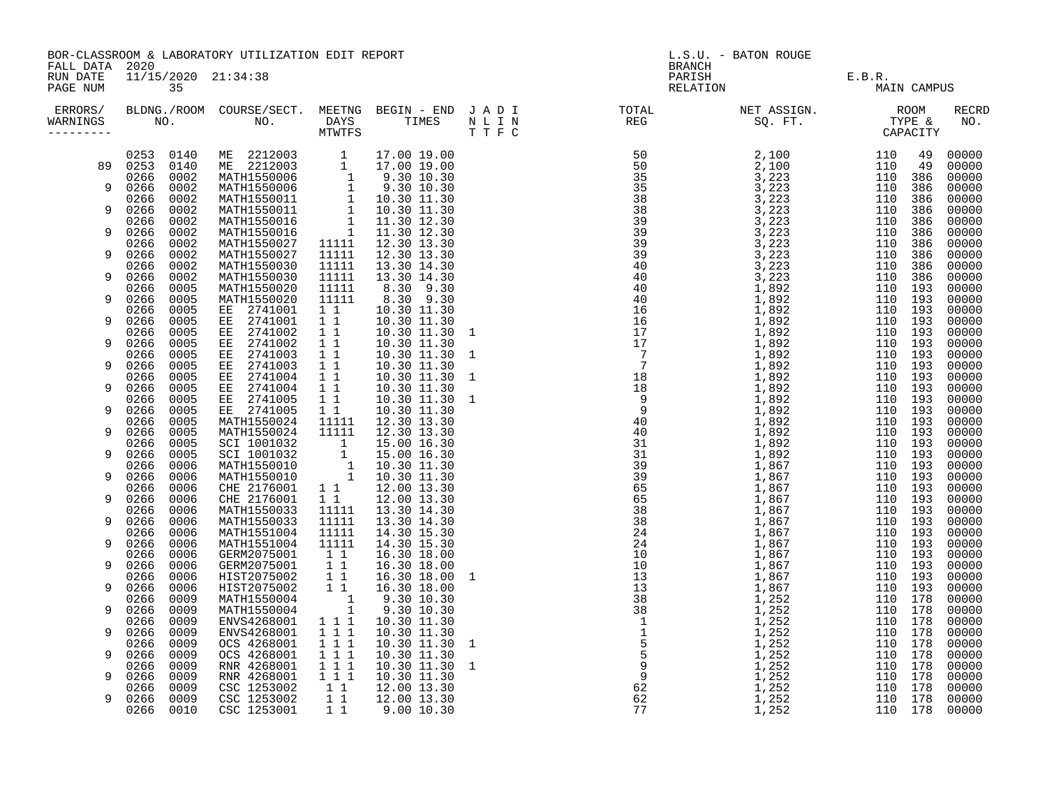|                      | BOR-CLASSROOM & LABORATORY UTILIZATION EDIT REPORT<br>FALL DATA 2020 |                      |                                                                                                                                                                                                                                                 |                                                                                                   |                                                                                                                                                                                                                                                                                                     |  | L.S.U. - BATON ROUGE<br><b>BRANCH</b> |                                              |                                                                                                                                                                                                                                                                                                                                                                                                                          |  |  |  |
|----------------------|----------------------------------------------------------------------|----------------------|-------------------------------------------------------------------------------------------------------------------------------------------------------------------------------------------------------------------------------------------------|---------------------------------------------------------------------------------------------------|-----------------------------------------------------------------------------------------------------------------------------------------------------------------------------------------------------------------------------------------------------------------------------------------------------|--|---------------------------------------|----------------------------------------------|--------------------------------------------------------------------------------------------------------------------------------------------------------------------------------------------------------------------------------------------------------------------------------------------------------------------------------------------------------------------------------------------------------------------------|--|--|--|
| RUN DATE<br>PAGE NUM |                                                                      | 35                   | 11/15/2020 21:34:38                                                                                                                                                                                                                             |                                                                                                   |                                                                                                                                                                                                                                                                                                     |  |                                       | PARISH E.B.R.<br>RELATION MAI<br>MAIN CAMPUS |                                                                                                                                                                                                                                                                                                                                                                                                                          |  |  |  |
| WARNINGS             |                                                                      |                      |                                                                                                                                                                                                                                                 |                                                                                                   |                                                                                                                                                                                                                                                                                                     |  |                                       |                                              | <b>RECRD</b><br>NO.<br>$\begin{smallmatrix} 1&\text{R1} & \text{R2} & \text{R3} & \text{R4} & \text{R5} & \text{R6} & \text{R6} & \text{R6} & \text{R6} & \text{R6} & \text{R6} & \text{R6} & \text{R6} & \text{R8} & \text{R8} & \text{R8} & \text{R8} & \text{R8} & \text{R8} & \text{R8} & \text{R8} & \text{R8} & \text{R8} & \text{R8} & \text{R8} & \text{R8} & \text{R8} & \text{R8} & \text{R8} & \text{R8} & \$ |  |  |  |
| 89                   | 0253 0140                                                            |                      |                                                                                                                                                                                                                                                 |                                                                                                   |                                                                                                                                                                                                                                                                                                     |  |                                       |                                              |                                                                                                                                                                                                                                                                                                                                                                                                                          |  |  |  |
| 9                    |                                                                      |                      | 0253 0140 ME 2212003 1 17.00 19.00<br>0266 0002 MATH1550006 1 9.30 10.30<br>0266 0002 MATH1550006 1 9.30 10.30<br>0266 0002 MATH1550006 1 9.30 10.30<br>0266 0002 MATH1550011 1 10.30 11.30<br>0266 0002 MATH1550016 1 11.30 12.30<br>0266 0002 |                                                                                                   |                                                                                                                                                                                                                                                                                                     |  |                                       |                                              |                                                                                                                                                                                                                                                                                                                                                                                                                          |  |  |  |
| 9                    |                                                                      |                      |                                                                                                                                                                                                                                                 |                                                                                                   |                                                                                                                                                                                                                                                                                                     |  |                                       |                                              |                                                                                                                                                                                                                                                                                                                                                                                                                          |  |  |  |
| 9                    |                                                                      |                      |                                                                                                                                                                                                                                                 |                                                                                                   |                                                                                                                                                                                                                                                                                                     |  |                                       |                                              |                                                                                                                                                                                                                                                                                                                                                                                                                          |  |  |  |
| 9                    | 0266<br>0266                                                         | 0002<br>0002         | MATH1550027 11111<br>MATH1550027                                                                                                                                                                                                                | 11111                                                                                             | 12.30 13.30<br>12.30 13.30                                                                                                                                                                                                                                                                          |  |                                       |                                              |                                                                                                                                                                                                                                                                                                                                                                                                                          |  |  |  |
| 9                    | 0266<br>0266                                                         | 0002<br>0002         | MATH1550030<br>MATH1550030                                                                                                                                                                                                                      | 11111<br>11111                                                                                    | 13.30 14.30<br>13.30 14.30                                                                                                                                                                                                                                                                          |  |                                       |                                              |                                                                                                                                                                                                                                                                                                                                                                                                                          |  |  |  |
| 9                    | 0266<br>0266                                                         | 0005<br>0005         | MATH1550020<br>MATH1550020<br>EE 2741001                                                                                                                                                                                                        | 11111<br>11111<br>$1\quad1$                                                                       | 8.30 9.30<br>8.30 9.30                                                                                                                                                                                                                                                                              |  |                                       |                                              |                                                                                                                                                                                                                                                                                                                                                                                                                          |  |  |  |
| 9                    | 0266<br>0266<br>0266                                                 | 0005<br>0005<br>0005 | EE 2741001<br>EE 2741002                                                                                                                                                                                                                        | $\overline{1}$ $\overline{1}$                                                                     | 10.30 11.30<br>10.30 11.30                                                                                                                                                                                                                                                                          |  |                                       |                                              |                                                                                                                                                                                                                                                                                                                                                                                                                          |  |  |  |
| 9                    | 0266<br>0266                                                         | 0005<br>0005         | 2741002<br>ЕE<br>2741003<br>EE                                                                                                                                                                                                                  |                                                                                                   |                                                                                                                                                                                                                                                                                                     |  |                                       |                                              |                                                                                                                                                                                                                                                                                                                                                                                                                          |  |  |  |
| 9                    | 0266<br>0266                                                         | 0005<br>0005         | 2741003<br>EE<br>2741004<br>EE                                                                                                                                                                                                                  |                                                                                                   |                                                                                                                                                                                                                                                                                                     |  |                                       |                                              |                                                                                                                                                                                                                                                                                                                                                                                                                          |  |  |  |
| 9                    | 0266<br>0266                                                         | 0005<br>0005         | 2741004<br>EE<br>EE 2741005                                                                                                                                                                                                                     |                                                                                                   |                                                                                                                                                                                                                                                                                                     |  |                                       |                                              |                                                                                                                                                                                                                                                                                                                                                                                                                          |  |  |  |
| 9                    | 0266<br>0266                                                         | 0005<br>0005         | EE 2741005<br>MATH1550024                                                                                                                                                                                                                       |                                                                                                   | $\begin{array}{cccc} & .50 & 11.30 \\ & & 10.30 & 11.30 \\ 1 & 1 & 10.30 & 11.30 \\ 03 & 1 & 1 & 10.30 & 11.30 \\ 04 & 1 & 1 & 10.30 & 11.30 \\ 4 & 1 & 1 & 10.30 & 11.30 \\ 5 & 1 & 1 & 10.30 & 11.30 \\ 6 & 1 & 1 & 10.30 & 11.30 \\ 1 & 1 & 10.30 & 11.30 \\ 1 & 1 & 10.30 & 11.30 \\ 1 & 1 & 1$ |  |                                       |                                              |                                                                                                                                                                                                                                                                                                                                                                                                                          |  |  |  |
| 9<br>9               | 0266<br>0266<br>0266                                                 | 0005<br>0005<br>0005 | MATH1550024 11111<br>SCI 1001032<br>SCI 1001032                                                                                                                                                                                                 |                                                                                                   | 12.30 13.30                                                                                                                                                                                                                                                                                         |  |                                       |                                              |                                                                                                                                                                                                                                                                                                                                                                                                                          |  |  |  |
| 9                    | 0266<br>0266                                                         | 0006<br>0006         | MATH1550010<br>MATH1550010                                                                                                                                                                                                                      |                                                                                                   | $\begin{array}{rrrr} 11111 & 12.30 & 15.30 \ 1 & 15.00 & 16.30 \ 1 & 15.00 & 16.30 \ 1 & 10.30 & 11.30 \ 1 & 10.30 & 11.30 \ 1 & 12.00 & 13.30 \ 1 & 1 & 12.00 & 13.30 \end{array}$                                                                                                                 |  |                                       |                                              |                                                                                                                                                                                                                                                                                                                                                                                                                          |  |  |  |
| 9                    | 0266<br>0266                                                         | 0006<br>0006         | CHE 2176001<br>CHE 2176001                                                                                                                                                                                                                      |                                                                                                   |                                                                                                                                                                                                                                                                                                     |  |                                       |                                              |                                                                                                                                                                                                                                                                                                                                                                                                                          |  |  |  |
| 9                    | 0266<br>0266                                                         | 0006<br>0006         | MATH1550033<br>MATH1550033                                                                                                                                                                                                                      |                                                                                                   | 11111    13.30    14.30<br>11111    13.30    14.30<br>13.30 14.30                                                                                                                                                                                                                                   |  |                                       |                                              |                                                                                                                                                                                                                                                                                                                                                                                                                          |  |  |  |
| 9                    | 0266<br>0266                                                         | 0006<br>0006         | MATH1551004<br>MATH1551004                                                                                                                                                                                                                      | 11111<br>11111                                                                                    | 14.30 15.30<br>14.30 15.30                                                                                                                                                                                                                                                                          |  |                                       |                                              |                                                                                                                                                                                                                                                                                                                                                                                                                          |  |  |  |
| 9                    | 0266<br>0266<br>0266                                                 | 0006<br>0006<br>0006 | GERM2075001                                                                                                                                                                                                                                     | $1\quad1$                                                                                         | 16.30 18.00<br>16.30 18.00<br>16.30 18.00 1                                                                                                                                                                                                                                                         |  |                                       |                                              |                                                                                                                                                                                                                                                                                                                                                                                                                          |  |  |  |
| 9                    | 0266<br>0266                                                         | 0006<br>0009         | HIST2075002 1 1<br>MATH1550004                                                                                                                                                                                                                  |                                                                                                   | 16.30 18.00                                                                                                                                                                                                                                                                                         |  |                                       |                                              |                                                                                                                                                                                                                                                                                                                                                                                                                          |  |  |  |
| 9                    | 0266<br>0266                                                         | 0009<br>0009         | MATH1550004<br>ENVS4268001                                                                                                                                                                                                                      |                                                                                                   | $\begin{bmatrix} 1 & 9.30 & 10.30 \\ 1 & 9.30 & 10.30 \\ 1 & 9.30 & 10.30 \end{bmatrix}$<br>10.30 11.30                                                                                                                                                                                             |  |                                       |                                              |                                                                                                                                                                                                                                                                                                                                                                                                                          |  |  |  |
| 9                    | 0266<br>0266                                                         | 0009<br>0009         | ENVS4268001<br>OCS 4268001                                                                                                                                                                                                                      | $\begin{array}{rrrr} & 1 & 1 & 1 \\ & 1 & 1 & 1 \end{array}$                                      | 10.30 11.30<br>10.30 11.30 1                                                                                                                                                                                                                                                                        |  |                                       |                                              |                                                                                                                                                                                                                                                                                                                                                                                                                          |  |  |  |
| 9                    | 0266<br>0266                                                         | 0009<br>0009         | OCS 4268001<br>RNR 4268001                                                                                                                                                                                                                      | $\begin{array}{cccc}\n1 & 1 & 1 \\ 1 & 1 & 1 \\ 1 & 1 & 1 \\ 1 & 1 & 1 \\ 1 & 1 & 1\n\end{array}$ | 10.30 11.30<br>10.30 11.30 1                                                                                                                                                                                                                                                                        |  |                                       |                                              |                                                                                                                                                                                                                                                                                                                                                                                                                          |  |  |  |
| 9                    | 0266<br>0266                                                         | 0009<br>0009         | RNR 4268001<br>CSC 1253002 1<br>CSC 1253002 1 1                                                                                                                                                                                                 |                                                                                                   | 10.30 11.30<br>12.00 13.30                                                                                                                                                                                                                                                                          |  |                                       |                                              |                                                                                                                                                                                                                                                                                                                                                                                                                          |  |  |  |
| 9                    | 0266 0009<br>0266 0010                                               |                      | CSC 1253001                                                                                                                                                                                                                                     |                                                                                                   | 12.00 13.30<br>1 1 9.00 10.30                                                                                                                                                                                                                                                                       |  |                                       |                                              |                                                                                                                                                                                                                                                                                                                                                                                                                          |  |  |  |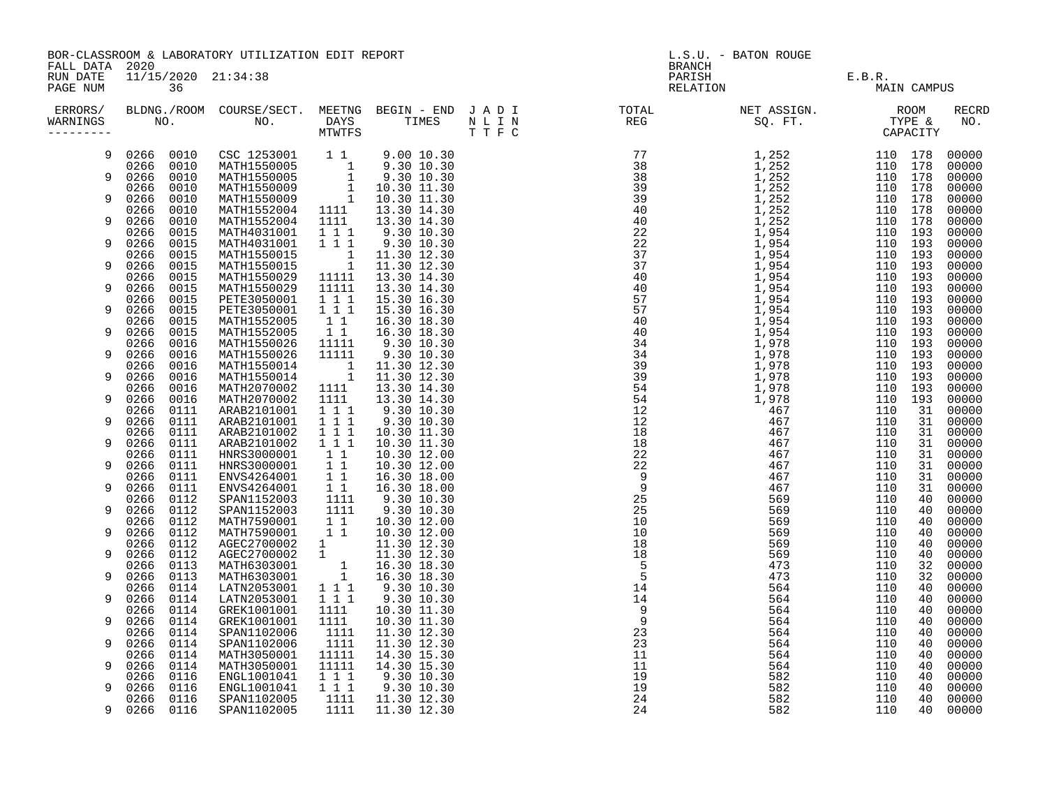BOR-CLASSROOM & LABORATORY UTILIZATION EDIT REPORT And the contract of the contract of the second second second t FALL DATA 2020 BRANCH

| ERRORS/<br>WARNINGS<br>--------- | BLDNG./ROOM<br>NO. | COURSE/SECT.<br>NO.        | MEETNG<br>BEGIN - END JADI<br>DAYS<br>TIMES<br><b>MTWTFS</b> | N L I N<br>TTFC | TOTAL<br>REG | NET ASSIGN.<br>SQ. FT. | ROOM<br>TYPE &<br>CAPACITY |         | <b>RECRD</b><br>NO. |       |
|----------------------------------|--------------------|----------------------------|--------------------------------------------------------------|-----------------|--------------|------------------------|----------------------------|---------|---------------------|-------|
| 9                                | 0010<br>0266       | CSC 1253001                | $1\quad1$                                                    | 9.00 10.30      |              |                        | 1,252                      | 110 178 |                     | 00000 |
|                                  | 0266<br>0010       | MATH1550005                | $\overline{1}$                                               | 9.30 10.30      |              |                        | 1,252                      | 110     | 178                 | 00000 |
| 9                                | 0266<br>0010       | MATH1550005                | 1                                                            | 9.30 10.30      |              |                        | 1,252                      | 110     | 178                 | 00000 |
|                                  | 0266<br>0010       | MATH1550009                | $\mathbf{1}$                                                 | 10.30 11.30     |              |                        | 1,252                      | 110     | 178                 | 00000 |
| 9                                | 0266<br>0010       | MATH1550009                | $\overline{\phantom{a}}$                                     | 10.30 11.30     |              |                        | 1,252                      | 110 178 |                     | 00000 |
|                                  | 0266<br>0010       | MATH1552004                | 1111                                                         | 13.30 14.30     |              |                        | 1,252                      | 110     | 178                 | 00000 |
| 9                                | 0266<br>0010       | MATH1552004                | 1111                                                         | 13.30 14.30     |              |                        | 1,252                      | 110     | 178                 | 00000 |
|                                  | 0266<br>0015       | MATH4031001                | 111                                                          | 9.30 10.30      |              |                        | 1,954                      | 110     | 193                 | 00000 |
| 9                                | 0266<br>0015       | MATH4031001                | 1 1 1                                                        | 9.30 10.30      |              |                        | 1,954                      | 110     | 193                 | 00000 |
|                                  | 0266<br>0015       | MATH1550015                | $\mathbf{1}$                                                 | 11.30 12.30     |              |                        | 1,954                      | 110     | 193                 | 00000 |
| 9                                | 0266<br>0015       | MATH1550015                | 1                                                            | 11.30 12.30     |              |                        | 1,954                      | 110     | 193                 | 00000 |
|                                  | 0266<br>0015       | MATH1550029                | 11111                                                        | 13.30 14.30     |              |                        | 1,954                      | 110 193 |                     | 00000 |
| 9                                | 0266<br>0015       | MATH1550029                | 11111                                                        | 13.30 14.30     |              |                        | 1,954                      | 110     | 193                 | 00000 |
|                                  | 0266<br>0015       | PETE3050001                | 1 1 1                                                        | 15.30 16.30     |              |                        | 1,954                      | 110     | 193                 | 00000 |
| 9                                | 0266<br>0015       | PETE3050001                | 1 1 1                                                        | 15.30 16.30     |              |                        | 1,954                      | 110     | 193                 | 00000 |
|                                  | 0266<br>0015       | MATH1552005                | 1 1                                                          | 16.30 18.30     |              |                        | 1,954                      | 110     | 193                 | 00000 |
|                                  | 0266<br>0015       | MATH1552005                | $1\quad1$                                                    | 16.30 18.30     |              |                        | 1,954                      | 110 193 |                     | 00000 |
|                                  | 0016<br>0266       | MATH1550026                | 11111                                                        | 9.30 10.30      |              |                        | 1,978                      | 110     | 193                 | 00000 |
| 9                                | 0266<br>0016       | MATH1550026                | 11111                                                        | 9.30 10.30      |              |                        | 1,978                      | 110     | 193                 | 00000 |
|                                  | 0266<br>0016       | MATH1550014                |                                                              | 11.30 12.30     |              |                        | 1,978                      | 110     | 193                 | 00000 |
| 9                                | 0266<br>0016       | MATH1550014                | - 1<br>$\overline{\phantom{0}}$ 1                            | 11.30 12.30     |              |                        | 1,978                      | 110     | 193                 | 00000 |
|                                  | 0266<br>0016       | MATH2070002                |                                                              | 13.30 14.30     |              |                        | 1,978                      | 110     | 193                 | 00000 |
|                                  |                    |                            | 1111                                                         |                 |              |                        |                            |         |                     |       |
| 9                                | 0266<br>0016       | MATH2070002<br>ARAB2101001 | 1111                                                         | 13.30 14.30     |              |                        | 1,978                      | 110     | 193                 | 00000 |
|                                  | 0266<br>0111       |                            | 1 1 1                                                        | 9.30 10.30      |              |                        | 467                        | 110     | 31                  | 00000 |
| 9                                | 0266<br>0111       | ARAB2101001                | 111                                                          | 9.30 10.30      |              |                        | 467                        | 110     | 31                  | 00000 |
|                                  | 0266<br>0111       | ARAB2101002                | 111                                                          | 10.30 11.30     |              |                        | 467                        | 110     | 31                  | 00000 |
| 9                                | 0266<br>0111       | ARAB2101002                | 111                                                          | 10.30 11.30     |              |                        | 467                        | 110     | 31                  | 00000 |
|                                  | 0266<br>0111       | HNRS3000001                | 1 1                                                          | 10.30 12.00     |              |                        | 467                        | 110     | 31                  | 00000 |
| 9<br>9                           | 0266<br>0111       | HNRS3000001                | $1\quad1$                                                    | 10.30 12.00     |              |                        | 467                        | 110     | 31                  | 00000 |
|                                  | 0111<br>0266       | ENVS4264001                | 11                                                           | 16.30 18.00     |              |                        | 467                        | 110     | 31                  | 00000 |
|                                  | 0266<br>0111       | ENVS4264001                | $1\quad1$                                                    | 16.30 18.00     |              |                        | 467                        | 110     | 31                  | 00000 |
|                                  | 0112<br>0266       | SPAN1152003                | 1111                                                         | 9.30 10.30      |              |                        | 569                        | 110     | 40                  | 00000 |
| 9                                | 0266<br>0112       | SPAN1152003                | 1111                                                         | 9.30 10.30      |              |                        | 569                        | 110     | 40                  | 00000 |
|                                  | 0266<br>0112       | MATH7590001                | $1\quad1$                                                    | 10.30 12.00     |              |                        | 569                        | 110     | 40                  | 00000 |
| 9                                | 0266<br>0112       | MATH7590001                | $1\quad1$                                                    | 10.30 12.00     |              | 10                     | 569                        | 110     | 40                  | 00000 |
|                                  | 0266<br>0112       | AGEC2700002                | $1 \quad \blacksquare$                                       | 11.30 12.30     |              | 18                     | 569                        | 110     | 40                  | 00000 |
| 9                                | 0266<br>0112       | AGEC2700002                | $\mathbf{1}$                                                 | 11.30 12.30     |              | 18                     | 569                        | 110     | 40                  | 00000 |
|                                  | 0266<br>0113       | MATH6303001                | 1                                                            | 16.30 18.30     |              | 5                      | 473                        | 110     | 32                  | 00000 |
| 9                                | 0266<br>0113       | MATH6303001                | $\mathbf{1}$                                                 | 16.30 18.30     |              | 5                      | 473                        | 110     | 32                  | 00000 |
|                                  | 0114<br>0266       | LATN2053001                | 1 1 1                                                        | 9.30 10.30      |              | 14                     | 564                        | 110     | 40                  | 00000 |
|                                  | 0266<br>0114       | LATN2053001                | 111                                                          | 9.30 10.30      |              | 14                     | 564                        | 110     | 40                  | 00000 |
|                                  | 0266<br>0114       | GREK1001001                | 1111                                                         | 10.30 11.30     |              | 9                      | 564                        | 110     | 40                  | 00000 |

RUN DATE 11/15/2020 21:34:38 PARISH E.B.R. E.B.R. PARISH E.B.R. PARISH E.B.R. E.B.R. RELATION RELATION RELATION RELATION RELATION MAIN CAMPUS 9 0266 0114 GREK1001001 1111 10.30 11.30 9 564 110 40 00000

0266 0114 SPAN1102006 1111 11.30 12.30 23 564 110 40 00000 9 0266 0114 SPAN1102006 1111 11.30 12.30 23 564 110 40 00000 0266 0114 MATH3050001 11111 14.30 15.30 11 564 110 40 00000 9 0266 0114 MATH3050001 11111 14.30 15.30 11 564 110 40 00000 0266 0116 ENGL1001041 1 1 1 9.30 10.30 19 582 110 40 00000 9 0266 0116 ENGL1001041 1 1 1 9.30 10.30 19 582 110 40 00000 0266 0116 SPAN1102005 1111 11.30 12.30 24 582 110 40 00000 9 0266 0116 SPAN1102005 1111 11.30 12.30 24 582 110 40 00000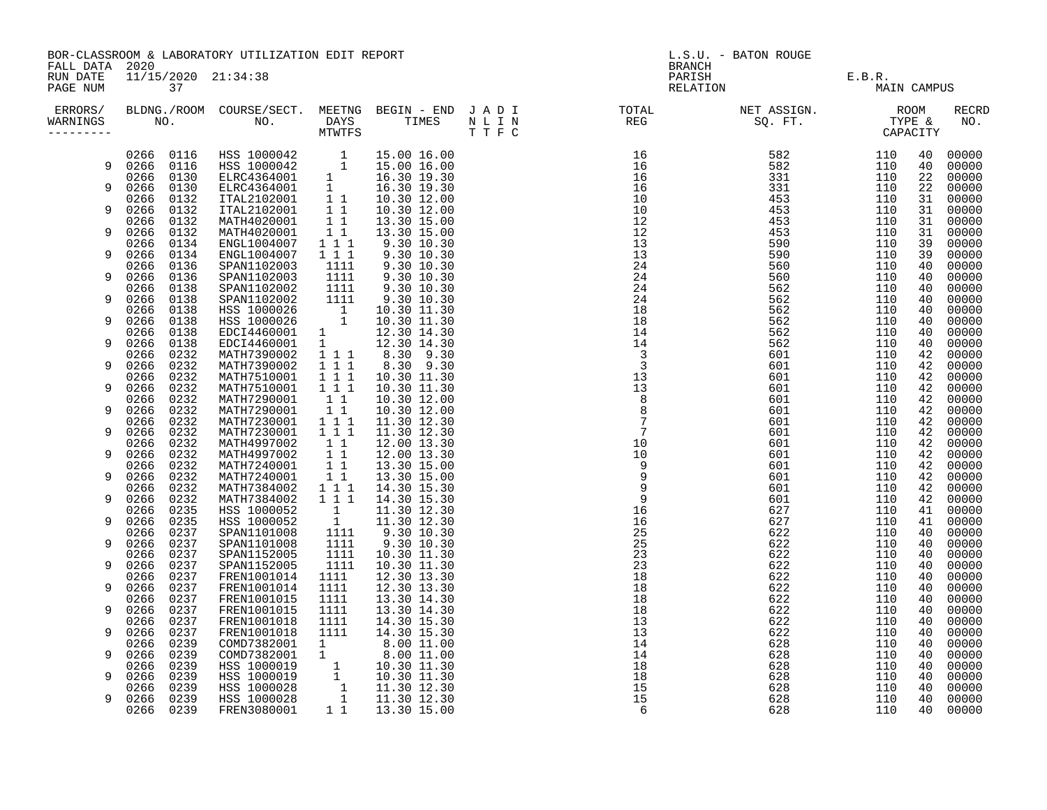| FALL DATA 2020       | BOR-CLASSROOM & LABORATORY UTILIZATION EDIT REPORT<br>11/15/2020 21:34:38 |              |                                                                                                                                                                                                                                                                                        |                                                |                              |  | L.S.U. - BATON ROUGE<br><b>BRANCH</b>                                                                                                                                                                                                                                    |                                              |             |          |                |
|----------------------|---------------------------------------------------------------------------|--------------|----------------------------------------------------------------------------------------------------------------------------------------------------------------------------------------------------------------------------------------------------------------------------------------|------------------------------------------------|------------------------------|--|--------------------------------------------------------------------------------------------------------------------------------------------------------------------------------------------------------------------------------------------------------------------------|----------------------------------------------|-------------|----------|----------------|
| RUN DATE<br>PAGE NUM | 37                                                                        |              |                                                                                                                                                                                                                                                                                        |                                                |                              |  |                                                                                                                                                                                                                                                                          | BRANCH<br>PARISH E.B.R.<br>RELATION MAIN CAM | MAIN CAMPUS |          |                |
| ERRORS/<br>WARNINGS  |                                                                           |              |                                                                                                                                                                                                                                                                                        |                                                |                              |  | $\begin{array}{cccc} 181.7 & 107.7 & 072.7 & 072.7 & 072.7 & 072.7 & 072.7 & 072.7 & 072.7 & 072.7 & 072.7 & 072.7 & 072.7 & 072.7 & 072.7 & 072.7 & 072.7 & 072.7 & 072.7 & 072.7 & 072.7 & 072.7 & 072.7 & 072.7 & 072.7 & 072.7 & 072.7 & 072.7 & 072.7 & 072.7 & 07$ |                                              |             |          | RECRD<br>NO.   |
|                      |                                                                           |              | $\begin{tabular}{cccc} 0.266 & 0.116 & HSS 1000042 & 1 & 15.00 16.00 \\ 9 & 0.266 & 0.116 & HSS 1000042 & 1 & 15.00 16.00 \\ 0.266 & 0.130 & ELRC4364001 & 1 & 16.30 19.30 \\ 9 & 0.266 & 0.130 & ELRC4364001 & 1 & 16.30 19.30 \\ 0.266 & 0.132 & ITAL2102001 & 1 & 10.30 12.00 \\ 9$ |                                                |                              |  |                                                                                                                                                                                                                                                                          |                                              |             | 40<br>40 | 00000<br>00000 |
|                      |                                                                           |              |                                                                                                                                                                                                                                                                                        |                                                |                              |  |                                                                                                                                                                                                                                                                          |                                              |             | 22       | 00000          |
|                      |                                                                           |              |                                                                                                                                                                                                                                                                                        |                                                |                              |  |                                                                                                                                                                                                                                                                          |                                              |             | 22<br>31 | 00000<br>00000 |
|                      |                                                                           |              |                                                                                                                                                                                                                                                                                        |                                                |                              |  |                                                                                                                                                                                                                                                                          |                                              |             | 31       | 00000          |
|                      |                                                                           |              |                                                                                                                                                                                                                                                                                        |                                                |                              |  |                                                                                                                                                                                                                                                                          |                                              |             | 31       | 00000          |
| 9                    | 0266<br>0266                                                              | 0132<br>0134 | MATH4020001<br>ENGL1004007                                                                                                                                                                                                                                                             | $\begin{smallmatrix}1&1\\1&1\end{smallmatrix}$ | 13.30 15.00<br>9.30 10.30    |  |                                                                                                                                                                                                                                                                          |                                              |             | 31<br>39 | 00000<br>00000 |
| 9                    | 0266                                                                      | 0134         | ENGL1004007<br>SPAN1102003                                                                                                                                                                                                                                                             | $1 1 1$                                        | 9.30 10.30                   |  |                                                                                                                                                                                                                                                                          |                                              |             | 39       | 00000          |
| 9                    | 0266<br>0266                                                              | 0136         |                                                                                                                                                                                                                                                                                        | 1111                                           | 9.30 10.30                   |  |                                                                                                                                                                                                                                                                          |                                              |             | 40       | 00000          |
|                      | 0266                                                                      | 0136<br>0138 | SPAN1102003<br>SPAN1102002                                                                                                                                                                                                                                                             | $\frac{1111}{1111}$                            | 9.30 10.30<br>$9.30$ $10.30$ |  |                                                                                                                                                                                                                                                                          |                                              |             | 40<br>40 | 00000<br>00000 |
| 9                    | 0266                                                                      | 0138         | SPAN1102002                                                                                                                                                                                                                                                                            | 1111                                           | 9.30 10.30                   |  |                                                                                                                                                                                                                                                                          |                                              |             | 40       | 00000          |
| 9                    | 0266<br>0266                                                              | 0138<br>0138 |                                                                                                                                                                                                                                                                                        |                                                |                              |  |                                                                                                                                                                                                                                                                          |                                              |             | 40<br>40 | 00000<br>00000 |
|                      | 0266                                                                      | 0138         |                                                                                                                                                                                                                                                                                        |                                                |                              |  |                                                                                                                                                                                                                                                                          |                                              |             | 40       | 00000          |
| 9                    | 0266                                                                      | 0138         | SPAN1102002 1111 9.30 10.30<br>HSS 1000026 1 10.30 11.30<br>HSS 1000026 1 10.30 11.30<br>EDCI4460001 1 12.30 14.30<br>EDCI4460001 1 12.30 14.30<br>MATH7390002 1 1 1 8.30 9.30<br>MATH7390002 1 1 1 1 0.30 11.30<br>MATH7510001 1 1 1 10.30                                            |                                                |                              |  |                                                                                                                                                                                                                                                                          |                                              |             | 40       | 00000          |
| 9                    | 0266<br>0266                                                              | 0232<br>0232 |                                                                                                                                                                                                                                                                                        |                                                |                              |  |                                                                                                                                                                                                                                                                          |                                              |             | 42<br>42 | 00000<br>00000 |
|                      | 0266                                                                      | 0232         |                                                                                                                                                                                                                                                                                        |                                                |                              |  |                                                                                                                                                                                                                                                                          |                                              |             | 42       | 00000          |
| 9                    | 0266<br>0266                                                              | 0232<br>0232 |                                                                                                                                                                                                                                                                                        |                                                | 10.30 12.00                  |  |                                                                                                                                                                                                                                                                          |                                              |             | 42<br>42 | 00000<br>00000 |
| 9                    | 0266                                                                      | 0232         | MATH7290001 11<br>MATH7290001 11                                                                                                                                                                                                                                                       |                                                | 10.30 12.00                  |  |                                                                                                                                                                                                                                                                          |                                              |             | 42       | 00000          |
|                      | 0266                                                                      | 0232         | MATH7230001 1 1 1<br>MATH7230001 1 1 1                                                                                                                                                                                                                                                 |                                                | 11.30 12.30                  |  |                                                                                                                                                                                                                                                                          |                                              |             | 42       | 00000          |
| 9                    | 0266<br>0266 0232                                                         | 0232         |                                                                                                                                                                                                                                                                                        |                                                | 11.30 12.30                  |  |                                                                                                                                                                                                                                                                          |                                              |             | 42<br>42 | 00000<br>00000 |
| 9                    | 0266                                                                      | 0232         |                                                                                                                                                                                                                                                                                        |                                                |                              |  |                                                                                                                                                                                                                                                                          |                                              |             | 42       | 00000          |
|                      | 0266                                                                      | 0232         | MATH4997002 1 1 12.00 13.30<br>MATH4997002 1 1 12.00 13.30<br>MATH4997002 1 1 12.00 13.30<br>MATH7240001 1 1 13.30 15.00<br>MATH7240001 1 1 13.30 15.00<br>MATH7384002 1 1 1 14.30 15.30<br>MATH7384002 1 1 1 14.30 15.30                                                              |                                                |                              |  |                                                                                                                                                                                                                                                                          |                                              |             | 42       | 00000          |
| 9                    | 0266<br>0266                                                              | 0232<br>0232 |                                                                                                                                                                                                                                                                                        |                                                |                              |  |                                                                                                                                                                                                                                                                          |                                              |             | 42<br>42 | 00000<br>00000 |
| 9                    | 0266                                                                      | 0232         |                                                                                                                                                                                                                                                                                        |                                                |                              |  |                                                                                                                                                                                                                                                                          |                                              |             | 42       | 00000          |
| 9                    | 0266<br>0266                                                              | 0235<br>0235 |                                                                                                                                                                                                                                                                                        |                                                | 11.30 12.30<br>11.30 12.30   |  |                                                                                                                                                                                                                                                                          |                                              |             | 41<br>41 | 00000<br>00000 |
|                      | 0266                                                                      | 0237         |                                                                                                                                                                                                                                                                                        |                                                | 9.30 10.30<br>9.30 10.30     |  |                                                                                                                                                                                                                                                                          |                                              |             | 40       | 00000          |
| 9                    | 0266                                                                      | 0237         | HSS 1000052<br>HSS 1000052<br>HSS 1000052<br>SPAN1101008<br>1111<br>SPAN1152005<br>1111<br>1111<br>1111<br>1111                                                                                                                                                                        |                                                |                              |  |                                                                                                                                                                                                                                                                          |                                              |             | 40       | 00000          |
| 9                    | 0266<br>0266                                                              | 0237<br>0237 | SPAN1152005                                                                                                                                                                                                                                                                            | 1111                                           | 10.30 11.30<br>10.30 11.30   |  |                                                                                                                                                                                                                                                                          |                                              |             | 40<br>40 | 00000<br>00000 |
|                      | 0266                                                                      | 0237         | FREN1001014                                                                                                                                                                                                                                                                            | 1111                                           | 12.30 13.30                  |  |                                                                                                                                                                                                                                                                          |                                              |             | 40       | 00000          |
| 9                    | 0266<br>0266                                                              | 0237<br>0237 | FREN1001014<br>FREN1001015                                                                                                                                                                                                                                                             | 1111<br>1111                                   | 12.30 13.30<br>13.30 14.30   |  |                                                                                                                                                                                                                                                                          |                                              |             | 40<br>40 | 00000<br>00000 |
| 9                    | 0266 0237                                                                 |              | FREN1001015                                                                                                                                                                                                                                                                            | 1111                                           | 13.30 14.30                  |  |                                                                                                                                                                                                                                                                          |                                              |             | 40       | 00000          |
|                      | 0266                                                                      | 0237         | FREN1001018                                                                                                                                                                                                                                                                            | 1111                                           | 14.30 15.30                  |  |                                                                                                                                                                                                                                                                          |                                              |             | 40       | 00000          |
| 9                    | 0266<br>0266                                                              | 0237<br>0239 | FREN1001018                                                                                                                                                                                                                                                                            | 1111                                           | 14.30 15.30                  |  |                                                                                                                                                                                                                                                                          |                                              |             | 40<br>40 | 00000<br>00000 |
| 9                    | 0266                                                                      | 0239         |                                                                                                                                                                                                                                                                                        |                                                |                              |  |                                                                                                                                                                                                                                                                          |                                              |             | 40       | 00000          |
|                      | 0266                                                                      | 0239         |                                                                                                                                                                                                                                                                                        |                                                |                              |  |                                                                                                                                                                                                                                                                          |                                              |             | 40       | 00000          |
| 9                    | 0266<br>0266                                                              | 0239<br>0239 |                                                                                                                                                                                                                                                                                        |                                                |                              |  |                                                                                                                                                                                                                                                                          |                                              |             | 40<br>40 | 00000<br>00000 |
| 9                    | 0266 0239                                                                 |              | COMD7382001 1 8.00 11.00<br>COMD7382001 1 8.00 11.00<br>COMD7382001 1 8.00 11.00<br>HSS 1000019 1 10.30 11.30<br>HSS 1000028 1 11.30 12.30<br>HSS 1000028 1 11.30 12.30<br>HSS 1000028 1 11.30 12.30<br>FREN3080001 1 13.30 15.00                                                      |                                                |                              |  |                                                                                                                                                                                                                                                                          |                                              |             | 40       | 00000          |
|                      | 0266 0239                                                                 |              |                                                                                                                                                                                                                                                                                        |                                                |                              |  |                                                                                                                                                                                                                                                                          |                                              |             |          | 40 00000       |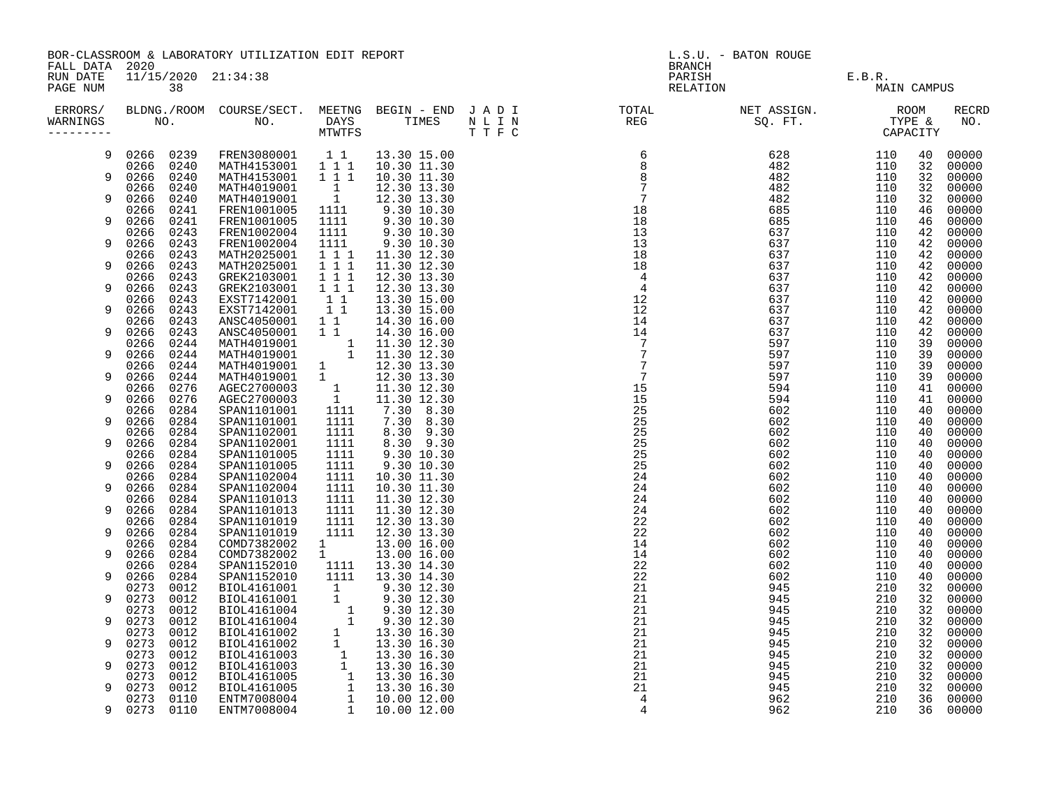| FALL DATA 2020       | BOR-CLASSROOM & LABORATORY UTILIZATION EDIT REPORT                                                                                                                                                                                                             |              |                                                                                                                                                                                                                                                                            |                                       |                                                                                                                                                                                                                                                                                                                                                      |  | L.S.U. - BATON ROUGE<br><b>BRANCH</b>                                                                                                                                                                                                                                                                                                                                                             |                               |             |          |                |  |
|----------------------|----------------------------------------------------------------------------------------------------------------------------------------------------------------------------------------------------------------------------------------------------------------|--------------|----------------------------------------------------------------------------------------------------------------------------------------------------------------------------------------------------------------------------------------------------------------------------|---------------------------------------|------------------------------------------------------------------------------------------------------------------------------------------------------------------------------------------------------------------------------------------------------------------------------------------------------------------------------------------------------|--|---------------------------------------------------------------------------------------------------------------------------------------------------------------------------------------------------------------------------------------------------------------------------------------------------------------------------------------------------------------------------------------------------|-------------------------------|-------------|----------|----------------|--|
| RUN DATE<br>PAGE NUM | 11/15/2020 21:34:38<br>38<br>ERRORS/ BLDNG./ROOM COURSE/SECT. MEETNG BEGIN – END JADI TOTAL TOTAL NETASSIGN. NET ASSIGN. ROOM ROOM COURSE/SECT. MEETNG BEGIN – END JADI TOTAL TOTAL NETASSIGN. TYPE &<br>WARNINGS NO. NO. DAYS TIMES NLIN REG SQ.FT. TYPE & CA |              |                                                                                                                                                                                                                                                                            |                                       |                                                                                                                                                                                                                                                                                                                                                      |  |                                                                                                                                                                                                                                                                                                                                                                                                   | PARISH E.B.R.<br>RELATION MAI | MAIN CAMPUS |          |                |  |
| WARNINGS             |                                                                                                                                                                                                                                                                |              |                                                                                                                                                                                                                                                                            |                                       |                                                                                                                                                                                                                                                                                                                                                      |  | $\begin{smallmatrix} 1&\text{R1} & \text{R2} & \text{R3} & \text{R3} & \text{R4} & \text{R5} & \text{R5} & \text{R6} & \text{R8} & \text{R8} & \text{R8} & \text{R8} & \text{R8} & \text{R9} & \text{R1} & \text{R1} & \text{R2} & \text{R3} & \text{R4} & \text{R5} & \text{R6} & \text{R8} & \text{R8} & \text{R8} & \text{R8} & \text{R8} & \text{R8} & \text{R8} & \text{R8} & \text{R8} & \$ |                               |             |          | RECRD<br>NO.   |  |
| 9                    | 0266 0239                                                                                                                                                                                                                                                      |              |                                                                                                                                                                                                                                                                            |                                       | FREN3080001 11 13.30 15.00                                                                                                                                                                                                                                                                                                                           |  |                                                                                                                                                                                                                                                                                                                                                                                                   |                               |             | 40       | 00000          |  |
|                      | 0266 0240                                                                                                                                                                                                                                                      |              | MATH4153001 1 1 1 10.30 11.30                                                                                                                                                                                                                                              |                                       |                                                                                                                                                                                                                                                                                                                                                      |  |                                                                                                                                                                                                                                                                                                                                                                                                   |                               |             | 32       | 00000          |  |
| 9                    | 0266<br>0240                                                                                                                                                                                                                                                   |              | MATH4153001 1 1 1                                                                                                                                                                                                                                                          |                                       | 10.30 11.30                                                                                                                                                                                                                                                                                                                                          |  |                                                                                                                                                                                                                                                                                                                                                                                                   |                               |             | 32       | 00000          |  |
| 9                    | 0240<br>0266<br>0266<br>0240                                                                                                                                                                                                                                   |              | MATH4019001                                                                                                                                                                                                                                                                | $\begin{array}{c} 1 \\ 1 \end{array}$ | 12.30 13.30                                                                                                                                                                                                                                                                                                                                          |  |                                                                                                                                                                                                                                                                                                                                                                                                   |                               |             | 32<br>32 | 00000<br>00000 |  |
|                      | 0266<br>0241                                                                                                                                                                                                                                                   |              | MATH4019001<br>FREN1001005<br>FREN1001005                                                                                                                                                                                                                                  | 1111                                  | $\begin{bmatrix} 1 & 12.30 & 13.30 \ 1111 & 9.30 & 10.30 \ 1111 & 9.30 & 10.30 \ 1111 & 9.30 & 10.30 \ 1111 & 9.30 & 10.30 \ 1111 & 9.30 & 10.30 \ 1111 & 11.30 & 12.30 \ \end{bmatrix}$                                                                                                                                                             |  |                                                                                                                                                                                                                                                                                                                                                                                                   |                               |             | 46       | 00000          |  |
| 9                    | 0266<br>0241                                                                                                                                                                                                                                                   |              |                                                                                                                                                                                                                                                                            | 1111                                  |                                                                                                                                                                                                                                                                                                                                                      |  |                                                                                                                                                                                                                                                                                                                                                                                                   |                               |             | 46       | 00000          |  |
|                      | 0266                                                                                                                                                                                                                                                           | 0243         | FREN1002004                                                                                                                                                                                                                                                                |                                       |                                                                                                                                                                                                                                                                                                                                                      |  |                                                                                                                                                                                                                                                                                                                                                                                                   |                               |             | 42       | 00000          |  |
| 9                    | 0266<br>0243                                                                                                                                                                                                                                                   |              | FREN1002004                                                                                                                                                                                                                                                                |                                       |                                                                                                                                                                                                                                                                                                                                                      |  |                                                                                                                                                                                                                                                                                                                                                                                                   |                               |             | 42       | 00000          |  |
|                      | 0243<br>0266                                                                                                                                                                                                                                                   |              | MATH2025001<br>MATH2025001                                                                                                                                                                                                                                                 |                                       |                                                                                                                                                                                                                                                                                                                                                      |  |                                                                                                                                                                                                                                                                                                                                                                                                   |                               |             | 42       | 00000          |  |
| 9                    | 0266<br>0243                                                                                                                                                                                                                                                   |              |                                                                                                                                                                                                                                                                            | 1 1 1                                 | 11.30 12.30                                                                                                                                                                                                                                                                                                                                          |  |                                                                                                                                                                                                                                                                                                                                                                                                   |                               |             | 42       | 00000          |  |
|                      | 0243<br>0266                                                                                                                                                                                                                                                   |              | GREK2103001                                                                                                                                                                                                                                                                | $1 1 1$                               | 12.30 13.30                                                                                                                                                                                                                                                                                                                                          |  |                                                                                                                                                                                                                                                                                                                                                                                                   |                               |             | 42       | 00000          |  |
| 9                    | 0266<br>0243<br>0243<br>0266                                                                                                                                                                                                                                   |              | GREK2103001<br>EXST7142001<br>GREK2103001 1 1 1 12.30 13.30<br>EXST7142001 1 1 13.30 15.00<br>EXST7142001 1 1 13.30 15.00<br>EXST7142001 1 1 14.30 16.00<br>ANSC4050001 1 1 14.30 16.00<br>ANSC4050001 1 11.30 12.30<br>MATH4019001 1 11.30 12.30<br>MATH4019001 1 12.30 1 | $1 1 1$                               | 12.30 13.30                                                                                                                                                                                                                                                                                                                                          |  |                                                                                                                                                                                                                                                                                                                                                                                                   |                               |             | 42<br>42 | 00000<br>00000 |  |
| 9                    | 0266<br>0243                                                                                                                                                                                                                                                   |              |                                                                                                                                                                                                                                                                            |                                       |                                                                                                                                                                                                                                                                                                                                                      |  |                                                                                                                                                                                                                                                                                                                                                                                                   |                               |             | 42       | 00000          |  |
|                      | 0243<br>0266                                                                                                                                                                                                                                                   |              |                                                                                                                                                                                                                                                                            |                                       |                                                                                                                                                                                                                                                                                                                                                      |  |                                                                                                                                                                                                                                                                                                                                                                                                   |                               |             | 42       | 00000          |  |
| 9                    | 0266<br>0243                                                                                                                                                                                                                                                   |              |                                                                                                                                                                                                                                                                            |                                       |                                                                                                                                                                                                                                                                                                                                                      |  |                                                                                                                                                                                                                                                                                                                                                                                                   |                               |             | 42       | 00000          |  |
|                      | 0244<br>0266                                                                                                                                                                                                                                                   |              |                                                                                                                                                                                                                                                                            |                                       |                                                                                                                                                                                                                                                                                                                                                      |  |                                                                                                                                                                                                                                                                                                                                                                                                   |                               |             | 39       | 00000          |  |
| 9                    | 0266                                                                                                                                                                                                                                                           | 0244         |                                                                                                                                                                                                                                                                            |                                       |                                                                                                                                                                                                                                                                                                                                                      |  |                                                                                                                                                                                                                                                                                                                                                                                                   |                               |             | 39       | 00000          |  |
|                      | 0266                                                                                                                                                                                                                                                           | 0244         |                                                                                                                                                                                                                                                                            |                                       |                                                                                                                                                                                                                                                                                                                                                      |  |                                                                                                                                                                                                                                                                                                                                                                                                   |                               |             | 39       | 00000          |  |
| 9                    | 0266                                                                                                                                                                                                                                                           | 0244         |                                                                                                                                                                                                                                                                            |                                       |                                                                                                                                                                                                                                                                                                                                                      |  |                                                                                                                                                                                                                                                                                                                                                                                                   |                               |             | 39       | 00000          |  |
|                      | 0266                                                                                                                                                                                                                                                           | 0276         |                                                                                                                                                                                                                                                                            |                                       |                                                                                                                                                                                                                                                                                                                                                      |  |                                                                                                                                                                                                                                                                                                                                                                                                   |                               |             | 41       | 00000          |  |
| 9                    | 0266                                                                                                                                                                                                                                                           | 0276         |                                                                                                                                                                                                                                                                            |                                       |                                                                                                                                                                                                                                                                                                                                                      |  |                                                                                                                                                                                                                                                                                                                                                                                                   |                               |             | 41       | 00000          |  |
| 9                    | 0266<br>0284                                                                                                                                                                                                                                                   |              |                                                                                                                                                                                                                                                                            |                                       |                                                                                                                                                                                                                                                                                                                                                      |  |                                                                                                                                                                                                                                                                                                                                                                                                   |                               |             | 40       | 00000          |  |
|                      | 0266<br>0266                                                                                                                                                                                                                                                   | 0284<br>0284 | SPAN1101001 1111<br>SPAN1102001                                                                                                                                                                                                                                            | 1111                                  | 7.30 8.30<br>8.30 9.30                                                                                                                                                                                                                                                                                                                               |  |                                                                                                                                                                                                                                                                                                                                                                                                   |                               |             | 40<br>40 | 00000<br>00000 |  |
| 9                    | 0266                                                                                                                                                                                                                                                           | 0284         | SPAN1102001                                                                                                                                                                                                                                                                | 1111                                  | 8.30 9.30                                                                                                                                                                                                                                                                                                                                            |  |                                                                                                                                                                                                                                                                                                                                                                                                   |                               |             | 40       | 00000          |  |
|                      | 0266<br>0284                                                                                                                                                                                                                                                   |              | SPAN1101005                                                                                                                                                                                                                                                                | 1111                                  |                                                                                                                                                                                                                                                                                                                                                      |  |                                                                                                                                                                                                                                                                                                                                                                                                   |                               |             | 40       | 00000          |  |
| 9                    | 0266<br>0284                                                                                                                                                                                                                                                   |              | SPAN1101005                                                                                                                                                                                                                                                                | 1111                                  | 9.30 10.30<br>9.30 10.30                                                                                                                                                                                                                                                                                                                             |  |                                                                                                                                                                                                                                                                                                                                                                                                   |                               |             | 40       | 00000          |  |
|                      | 0266<br>0284                                                                                                                                                                                                                                                   |              | SPAN1102004                                                                                                                                                                                                                                                                | 1111                                  | 10.30 11.30                                                                                                                                                                                                                                                                                                                                          |  |                                                                                                                                                                                                                                                                                                                                                                                                   |                               |             | 40       | 00000          |  |
| 9                    | 0266<br>0284                                                                                                                                                                                                                                                   |              | SPAN1102004                                                                                                                                                                                                                                                                | 1111                                  | 10.30 11.30                                                                                                                                                                                                                                                                                                                                          |  |                                                                                                                                                                                                                                                                                                                                                                                                   |                               |             | 40       | 00000          |  |
|                      | 0266 0284                                                                                                                                                                                                                                                      |              | SPAN1101013                                                                                                                                                                                                                                                                | 1111                                  | 11.30 12.30                                                                                                                                                                                                                                                                                                                                          |  |                                                                                                                                                                                                                                                                                                                                                                                                   |                               |             | 40       | 00000          |  |
| 9                    | 0266<br>0284                                                                                                                                                                                                                                                   |              | SPAN1101013                                                                                                                                                                                                                                                                | 1111<br>1111                          | 11.30 12.30                                                                                                                                                                                                                                                                                                                                          |  |                                                                                                                                                                                                                                                                                                                                                                                                   |                               |             | 40       | 00000          |  |
|                      | 0266                                                                                                                                                                                                                                                           | 0284         | SPAN1101019                                                                                                                                                                                                                                                                |                                       | 12.30 13.30                                                                                                                                                                                                                                                                                                                                          |  |                                                                                                                                                                                                                                                                                                                                                                                                   |                               |             | 40       | 00000          |  |
| 9                    | 0266<br>0266<br>0284                                                                                                                                                                                                                                           | 0284         | SPAN1101019<br>COMD7382002<br>COMD7382002                                                                                                                                                                                                                                  | 1111                                  | 12.30 13.30                                                                                                                                                                                                                                                                                                                                          |  |                                                                                                                                                                                                                                                                                                                                                                                                   |                               |             | 40<br>40 | 00000<br>00000 |  |
| 9                    | 0266<br>0284                                                                                                                                                                                                                                                   |              |                                                                                                                                                                                                                                                                            | $\begin{array}{c} 1 \\ 1 \end{array}$ | 13.00 16.00<br>13.00 16.00                                                                                                                                                                                                                                                                                                                           |  |                                                                                                                                                                                                                                                                                                                                                                                                   |                               |             | 40       | 00000          |  |
|                      | 0266                                                                                                                                                                                                                                                           | 0284         |                                                                                                                                                                                                                                                                            |                                       |                                                                                                                                                                                                                                                                                                                                                      |  |                                                                                                                                                                                                                                                                                                                                                                                                   |                               |             | 40       | 00000          |  |
| 9                    | 0266                                                                                                                                                                                                                                                           | 0284         |                                                                                                                                                                                                                                                                            |                                       |                                                                                                                                                                                                                                                                                                                                                      |  |                                                                                                                                                                                                                                                                                                                                                                                                   |                               |             | 40       | 00000          |  |
|                      | 0273                                                                                                                                                                                                                                                           | 0012         |                                                                                                                                                                                                                                                                            |                                       |                                                                                                                                                                                                                                                                                                                                                      |  |                                                                                                                                                                                                                                                                                                                                                                                                   |                               |             | 32       | 00000          |  |
| 9                    | 0273<br>0012                                                                                                                                                                                                                                                   |              |                                                                                                                                                                                                                                                                            |                                       |                                                                                                                                                                                                                                                                                                                                                      |  |                                                                                                                                                                                                                                                                                                                                                                                                   |                               |             | 32       | 00000          |  |
|                      | 0273                                                                                                                                                                                                                                                           | 0012         |                                                                                                                                                                                                                                                                            |                                       |                                                                                                                                                                                                                                                                                                                                                      |  |                                                                                                                                                                                                                                                                                                                                                                                                   |                               |             | 32       | 00000          |  |
| 9                    | 0273                                                                                                                                                                                                                                                           | 0012         |                                                                                                                                                                                                                                                                            |                                       |                                                                                                                                                                                                                                                                                                                                                      |  |                                                                                                                                                                                                                                                                                                                                                                                                   |                               |             | 32       | 00000          |  |
|                      | 0273                                                                                                                                                                                                                                                           | 0012         |                                                                                                                                                                                                                                                                            |                                       |                                                                                                                                                                                                                                                                                                                                                      |  |                                                                                                                                                                                                                                                                                                                                                                                                   |                               |             | 32       | 00000          |  |
| 9                    | 0273<br>0012                                                                                                                                                                                                                                                   |              |                                                                                                                                                                                                                                                                            |                                       |                                                                                                                                                                                                                                                                                                                                                      |  |                                                                                                                                                                                                                                                                                                                                                                                                   |                               |             | 32       | 00000          |  |
| 9                    | 0273<br>0273                                                                                                                                                                                                                                                   | 0012         |                                                                                                                                                                                                                                                                            |                                       |                                                                                                                                                                                                                                                                                                                                                      |  |                                                                                                                                                                                                                                                                                                                                                                                                   |                               |             | 32<br>32 | 00000          |  |
|                      | 0012<br>0273                                                                                                                                                                                                                                                   | 0012         |                                                                                                                                                                                                                                                                            |                                       |                                                                                                                                                                                                                                                                                                                                                      |  |                                                                                                                                                                                                                                                                                                                                                                                                   |                               |             | 32       | 00000<br>00000 |  |
| 9                    | 0273<br>0012                                                                                                                                                                                                                                                   |              |                                                                                                                                                                                                                                                                            |                                       |                                                                                                                                                                                                                                                                                                                                                      |  |                                                                                                                                                                                                                                                                                                                                                                                                   |                               |             | 32       | 00000          |  |
|                      | 0273 0110                                                                                                                                                                                                                                                      |              |                                                                                                                                                                                                                                                                            |                                       |                                                                                                                                                                                                                                                                                                                                                      |  |                                                                                                                                                                                                                                                                                                                                                                                                   |                               |             | 36       | 00000          |  |
| 9                    | 0273 0110                                                                                                                                                                                                                                                      |              |                                                                                                                                                                                                                                                                            |                                       | $\begin{tabular}{l c c c} \multicolumn{1}{c}{\textbf{COMD7382002}} & 1 & 13.00 16.00 \\ \multicolumn{1}{c}{\textbf{SPAN1152010}} & 1111 & 13.30 14.30 \\ \multicolumn{1}{c}{\textbf{SPAN1152010}} & 1111 & 13.30 14.30 \\ \multicolumn{1}{c}{\textbf{BIOL4161001}} & 1 & 9.30 12.30 \\ \multicolumn{1}{c}{\textbf{BIOL4161004}} & 1 & 9.30 12.30 \\$ |  |                                                                                                                                                                                                                                                                                                                                                                                                   |                               |             | 36       | 00000          |  |
|                      |                                                                                                                                                                                                                                                                |              |                                                                                                                                                                                                                                                                            |                                       |                                                                                                                                                                                                                                                                                                                                                      |  |                                                                                                                                                                                                                                                                                                                                                                                                   |                               |             |          |                |  |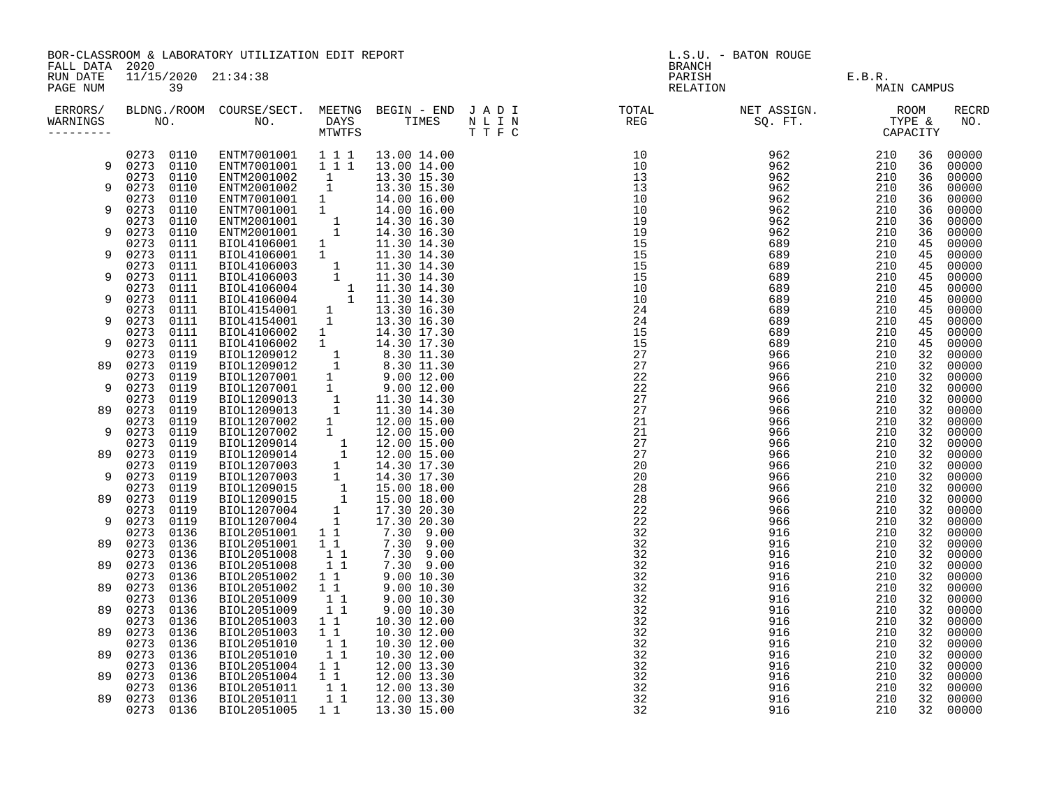| FALL DATA 2020       |                   |              | BOR-CLASSROOM & LABORATORY UTILIZATION EDIT REPORT                                                                                                                                                                                                                                                                                                                                             |           |             | L.S.U. - BATON ROUGE<br><b>BRANCH</b> |  |                               |             |          |                     |
|----------------------|-------------------|--------------|------------------------------------------------------------------------------------------------------------------------------------------------------------------------------------------------------------------------------------------------------------------------------------------------------------------------------------------------------------------------------------------------|-----------|-------------|---------------------------------------|--|-------------------------------|-------------|----------|---------------------|
| RUN DATE<br>PAGE NUM |                   | 39           | 11/15/2020 21:34:38                                                                                                                                                                                                                                                                                                                                                                            |           |             |                                       |  | PARISH E.B.R.<br>RELATION MAI | MAIN CAMPUS |          |                     |
| ERRORS/<br>WARNINGS  |                   |              |                                                                                                                                                                                                                                                                                                                                                                                                |           |             |                                       |  |                               |             |          | <b>RECRD</b><br>NO. |
|                      |                   |              | $\begin{array}{cccccccc} 0273 & 0110 & \text{ENTM}7001001 & 1 & 1 & 1 & 13.00 & 14.00 \\ 0273 & 0110 & \text{ENTM}7001001 & 1 & 1 & 1 & 13.00 & 14.00 \end{array}$                                                                                                                                                                                                                             |           |             |                                       |  |                               |             | 36       | 00000               |
| 9                    | 0273 0110         |              |                                                                                                                                                                                                                                                                                                                                                                                                |           |             |                                       |  |                               |             | 36       | 00000               |
| 9                    |                   | 0273 0110    | ENTM2001002 1<br>ENTM2001002 1<br>$\begin{tabular}{l c c c} \multicolumn{1}{c}{\textbf{ENTM2001002}} & 1 & 13.30 & 15.30 \\ \multicolumn{1}{c}{\textbf{ENTM2001001}} & 1 & 13.30 & 15.30 \\ \multicolumn{1}{c}{\textbf{ENTM7001001}} & 1 & 14.00 & 16.00 \\ \multicolumn{1}{c}{\textbf{ENTM7001001}} & 1 & 14.00 & 16.00 \\ \multicolumn{1}{c}{\textbf{ENTM2001001}} & 1 & 14.30 & 16.30 \\ \$ |           | 13.30 15.30 |                                       |  |                               |             | 36       | 00000               |
|                      | 0273 0110<br>0273 | 0110         |                                                                                                                                                                                                                                                                                                                                                                                                |           | 13.30 15.30 |                                       |  |                               |             | 36<br>36 | 00000<br>00000      |
| 9                    | 0273              | 0110         |                                                                                                                                                                                                                                                                                                                                                                                                |           |             |                                       |  |                               |             | 36       | 00000               |
|                      | 0273              | 0110         |                                                                                                                                                                                                                                                                                                                                                                                                |           |             |                                       |  |                               |             | 36       | 00000               |
| 9                    | 0273              | 0110         |                                                                                                                                                                                                                                                                                                                                                                                                |           |             |                                       |  |                               |             | 36       | 00000               |
|                      | 0273              | 0111         |                                                                                                                                                                                                                                                                                                                                                                                                |           |             |                                       |  |                               |             | 45       | 00000               |
| 9                    | 0273              | 0111         |                                                                                                                                                                                                                                                                                                                                                                                                |           |             |                                       |  |                               |             | 45       | 00000               |
|                      | 0273              | 0111         |                                                                                                                                                                                                                                                                                                                                                                                                |           |             |                                       |  |                               |             | 45       | 00000               |
| 9                    | 0273              | 0111         |                                                                                                                                                                                                                                                                                                                                                                                                |           |             |                                       |  |                               |             | 45       | 00000               |
| 9                    | 0273<br>0273      | 0111<br>0111 |                                                                                                                                                                                                                                                                                                                                                                                                |           |             |                                       |  |                               |             | 45<br>45 | 00000<br>00000      |
|                      | 0273              | 0111         |                                                                                                                                                                                                                                                                                                                                                                                                |           |             |                                       |  |                               |             | 45       | 00000               |
| 9                    | 0273              | 0111         |                                                                                                                                                                                                                                                                                                                                                                                                |           |             |                                       |  |                               |             | 45       | 00000               |
|                      | 0273              | 0111         |                                                                                                                                                                                                                                                                                                                                                                                                |           |             |                                       |  |                               |             | 45       | 00000               |
| 9                    | 0273              | 0111         |                                                                                                                                                                                                                                                                                                                                                                                                |           |             |                                       |  |                               |             | 45       | 00000               |
|                      | 0273              | 0119         |                                                                                                                                                                                                                                                                                                                                                                                                |           |             |                                       |  |                               |             | 32       | 00000               |
| 89                   | 0273              | 0119         |                                                                                                                                                                                                                                                                                                                                                                                                |           |             |                                       |  |                               |             | 32       | 00000               |
|                      | 0273              | 0119         |                                                                                                                                                                                                                                                                                                                                                                                                |           |             |                                       |  |                               |             | 32       | 00000               |
| 9                    | 0273<br>0273      | 0119<br>0119 |                                                                                                                                                                                                                                                                                                                                                                                                |           |             |                                       |  |                               |             | 32<br>32 | 00000<br>00000      |
| 89                   | 0273              | 0119         |                                                                                                                                                                                                                                                                                                                                                                                                |           |             |                                       |  |                               |             | 32       | 00000               |
|                      | 0273              | 0119         |                                                                                                                                                                                                                                                                                                                                                                                                |           |             |                                       |  |                               |             | 32       | 00000               |
| 9                    | 0273              | 0119         |                                                                                                                                                                                                                                                                                                                                                                                                |           |             |                                       |  |                               |             | 32       | 00000               |
|                      | 0273              | 0119         |                                                                                                                                                                                                                                                                                                                                                                                                |           |             |                                       |  |                               |             | 32       | 00000               |
| 89                   | 0273              | 0119         |                                                                                                                                                                                                                                                                                                                                                                                                |           |             |                                       |  |                               |             | 32       | 00000               |
|                      | 0273              | 0119         |                                                                                                                                                                                                                                                                                                                                                                                                |           |             |                                       |  |                               |             | 32       | 00000               |
| 9                    | 0273              | 0119         |                                                                                                                                                                                                                                                                                                                                                                                                |           |             |                                       |  |                               |             | 32       | 00000               |
|                      | 0273              | 0119         |                                                                                                                                                                                                                                                                                                                                                                                                |           |             |                                       |  |                               |             | 32<br>32 | 00000               |
| 89                   | 0273<br>0273      | 0119<br>0119 |                                                                                                                                                                                                                                                                                                                                                                                                |           |             |                                       |  |                               |             | 32       | 00000<br>00000      |
| 9                    | 0273              | 0119         |                                                                                                                                                                                                                                                                                                                                                                                                |           |             |                                       |  |                               |             | 32       | 00000               |
|                      | 0273              | 0136         | BIOL1207004 1 17.30 20.50<br>BIOL2051001 1 7.30 9.00<br>BIOL2051008 1 7.30 9.00<br>BIOL2051008 1 7.30 9.00<br>BIOL2051008 1 7.30 9.00<br>BIOL2051002 1 9.00 10.30<br>BIOL2051002 1 9.00 10.30<br>BIOL2051002 1 9.00 10.30<br>BIOL2051009 1 9.0                                                                                                                                                 |           |             |                                       |  |                               |             | 32       | 00000               |
| 89                   | 0273              | 0136         |                                                                                                                                                                                                                                                                                                                                                                                                |           |             |                                       |  |                               |             | 32       | 00000               |
|                      | 0273              | 0136         |                                                                                                                                                                                                                                                                                                                                                                                                |           |             |                                       |  |                               |             | 32       | 00000               |
| 89                   | 0273              | 0136         |                                                                                                                                                                                                                                                                                                                                                                                                |           |             |                                       |  |                               |             | 32       | 00000               |
|                      | 0273              | 0136         |                                                                                                                                                                                                                                                                                                                                                                                                |           |             |                                       |  |                               |             | 32       | 00000               |
| 89                   | 0273              | 0136         |                                                                                                                                                                                                                                                                                                                                                                                                |           |             |                                       |  |                               |             | 32       | 00000               |
| 89                   | 0273<br>0273      | 0136<br>0136 |                                                                                                                                                                                                                                                                                                                                                                                                |           |             |                                       |  |                               |             | 32<br>32 | 00000<br>00000      |
|                      | 0273              | 0136         | BIOL2051003                                                                                                                                                                                                                                                                                                                                                                                    | $1\quad1$ | 10.30 12.00 |                                       |  |                               |             | 32       | 00000               |
| 89                   | 0273              | 0136         | BIOL2051003                                                                                                                                                                                                                                                                                                                                                                                    | $1\quad1$ | 10.30 12.00 |                                       |  |                               |             | 32       | 00000               |
|                      | 0273              | 0136         | BIOL2051010                                                                                                                                                                                                                                                                                                                                                                                    | 11        | 10.30 12.00 |                                       |  |                               |             | 32       | 00000               |
| 89                   | 0273              | 0136         | BIOL2051010                                                                                                                                                                                                                                                                                                                                                                                    | 11        | 10.30 12.00 |                                       |  |                               |             | 32       | 00000               |
|                      | 0273              | 0136         | BIOL2051004                                                                                                                                                                                                                                                                                                                                                                                    | 11        | 12.00 13.30 |                                       |  |                               |             | 32       | 00000               |
| 89                   | 0273              | 0136         | BIOL2051004 11<br>BIOL2051011 11                                                                                                                                                                                                                                                                                                                                                               |           | 12.00 13.30 |                                       |  |                               |             | 32       | 00000               |
|                      | 0273              | 0136         |                                                                                                                                                                                                                                                                                                                                                                                                |           | 12.00 13.30 |                                       |  |                               |             | 32       | 00000               |
| 89                   | 0273              | 0136         | BIOL2051011                                                                                                                                                                                                                                                                                                                                                                                    | 11        | 12.00 13.30 |                                       |  |                               |             | 32       | 00000               |
|                      | 0273              | 0136         | BIOL2051005                                                                                                                                                                                                                                                                                                                                                                                    | $1\quad1$ | 13.30 15.00 |                                       |  |                               |             | 32       | 00000               |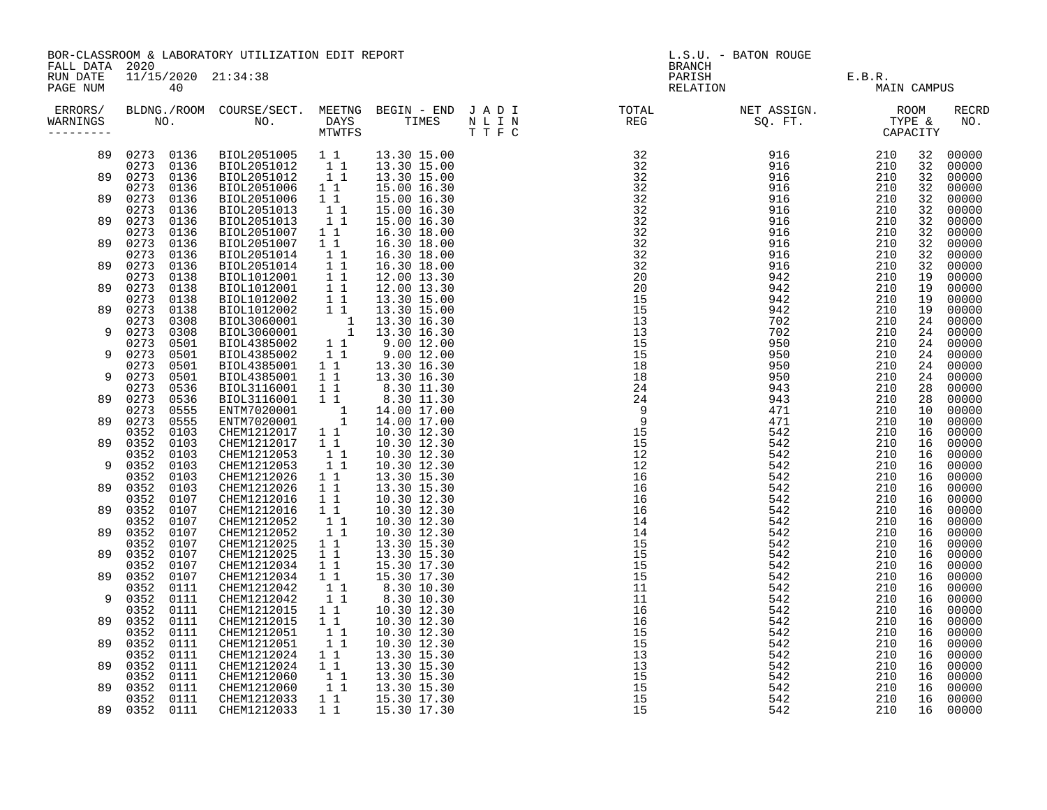| FALL DATA 2020       | BOR-CLASSROOM & LABORATORY UTILIZATION EDIT REPORT<br>11/15/2020 21:34:38 |              |                                                                                                                                                                                                                                                                                                           |                                                                          |                                           | L.S.U. - BATON ROUGE<br><b>BRANCH</b>                                                                                                                                                                                                                                                                                                                                                                                                                                                         |                                            |             |                |                         |
|----------------------|---------------------------------------------------------------------------|--------------|-----------------------------------------------------------------------------------------------------------------------------------------------------------------------------------------------------------------------------------------------------------------------------------------------------------|--------------------------------------------------------------------------|-------------------------------------------|-----------------------------------------------------------------------------------------------------------------------------------------------------------------------------------------------------------------------------------------------------------------------------------------------------------------------------------------------------------------------------------------------------------------------------------------------------------------------------------------------|--------------------------------------------|-------------|----------------|-------------------------|
| RUN DATE<br>PAGE NUM | 40                                                                        |              |                                                                                                                                                                                                                                                                                                           |                                                                          |                                           |                                                                                                                                                                                                                                                                                                                                                                                                                                                                                               | PARISH<br>PARISH E.B.R.<br>RELATION MAIN C | MAIN CAMPUS |                |                         |
| WARNINGS             |                                                                           |              |                                                                                                                                                                                                                                                                                                           |                                                                          |                                           | $\begin{tabular}{l} $N$ $\mathbf{1}$ $\mathbf{1}$ $\mathbf{1}$ $\mathbf{1}$ $\mathbf{1}$ $\mathbf{2}$ $\mathbf{3}$ $\mathbf{1}$ $\mathbf{3}$ $\mathbf{1}$ $\mathbf{3}$ $\mathbf{1}$ $\mathbf{3}$ $\mathbf{1}$ $\mathbf{3}$ $\mathbf{1}$ $\mathbf{3}$ $\mathbf{1}$ $\mathbf{3}$ $\mathbf{1}$ $\mathbf{3}$ $\mathbf{1}$ $\mathbf{3}$ $\mathbf{1}$ $\mathbf{3}$ $\mathbf{1}$ $\mathbf{3}$ $\mathbf{1}$ $\mathbf{3}$ $\mathbf{1}$ $\mathbf{3}$ $\mathbf{1}$ $\mathbf{3}$ $\mathbf{1}$ $\mathbf{3$ |                                            |             |                | <b>RECRD</b><br>NO.     |
| 89                   | 0273 0136<br>0273 0136                                                    |              |                                                                                                                                                                                                                                                                                                           |                                                                          | 13.30 15.00                               |                                                                                                                                                                                                                                                                                                                                                                                                                                                                                               |                                            |             | 32<br>32       | 00000<br>00000          |
|                      | 89 0273 0136                                                              |              |                                                                                                                                                                                                                                                                                                           |                                                                          |                                           |                                                                                                                                                                                                                                                                                                                                                                                                                                                                                               |                                            |             | 32             | 00000                   |
| 89                   | 0273 0136<br>0273 0136<br>0273 0136                                       |              | BIOL2051006<br>BIOL2051006<br>BIOL2051013                                                                                                                                                                                                                                                                 | $1\quad1$<br>$\begin{array}{rr} 1&1\\ &1&1\\ &1&1 \end{array}$           | 15.00 16.30<br>15.00 16.30<br>15.00 16.30 |                                                                                                                                                                                                                                                                                                                                                                                                                                                                                               |                                            |             | 32<br>32<br>32 | 00000<br>00000<br>00000 |
|                      | 89 0273                                                                   | 0136         | BIOL2051013                                                                                                                                                                                                                                                                                               |                                                                          | 15.00 16.30                               |                                                                                                                                                                                                                                                                                                                                                                                                                                                                                               |                                            |             | 32             | 00000                   |
| 89                   | 0273<br>0273                                                              | 0136<br>0136 | BIOL2051007<br>BIOL2051007                                                                                                                                                                                                                                                                                | $1\quad1$<br>11                                                          | 16.30 18.00<br>16.30 18.00                |                                                                                                                                                                                                                                                                                                                                                                                                                                                                                               |                                            |             | 32<br>32       | 00000<br>00000          |
|                      | 0273<br>89 0273                                                           | 0136<br>0136 | BIOL2051014<br>BIOL2051014                                                                                                                                                                                                                                                                                | $\begin{bmatrix} 1 \\ 1 \\ 1 \end{bmatrix}$                              | 16.30 18.00<br>16.30 18.00                |                                                                                                                                                                                                                                                                                                                                                                                                                                                                                               |                                            |             | 32<br>32       | 00000<br>00000          |
|                      | 0273                                                                      | 0138         | $\begin{tabular}{@{}c@{}}l@{}}\text{BIOL2051014} & 1 & 1 & 16.30 & 18.00 \\ \text{BIOL1012001} & 1 & 1 & 12.00 & 13.30 \\ \text{BIOL1012001} & 1 & 1 & 12.00 & 13.30 \\ \text{BIOL1012002} & 1 & 1 & 13.30 & 15.00 \\ \text{BIOL1012002} & 1 & 1 & 13.30 & 15.00 \\ \text{BIOL3060001} & 1 & 13.30 & 16.$ |                                                                          |                                           |                                                                                                                                                                                                                                                                                                                                                                                                                                                                                               |                                            |             | 19             | 00000                   |
| 89                   | 0273                                                                      | 0138         |                                                                                                                                                                                                                                                                                                           |                                                                          |                                           |                                                                                                                                                                                                                                                                                                                                                                                                                                                                                               |                                            |             | 19             | 00000                   |
| 89                   | 0273<br>0273                                                              | 0138<br>0138 |                                                                                                                                                                                                                                                                                                           |                                                                          |                                           |                                                                                                                                                                                                                                                                                                                                                                                                                                                                                               |                                            |             | 19<br>19       | 00000<br>00000          |
|                      | 0273                                                                      | 0308         |                                                                                                                                                                                                                                                                                                           |                                                                          |                                           |                                                                                                                                                                                                                                                                                                                                                                                                                                                                                               |                                            |             | 24             | 00000                   |
| 9                    | 0273 0308                                                                 |              |                                                                                                                                                                                                                                                                                                           |                                                                          |                                           |                                                                                                                                                                                                                                                                                                                                                                                                                                                                                               |                                            |             | 24             | 00000                   |
| 9                    | 0273<br>0273 0501                                                         | 0501         |                                                                                                                                                                                                                                                                                                           |                                                                          |                                           |                                                                                                                                                                                                                                                                                                                                                                                                                                                                                               |                                            |             | 24<br>24       | 00000<br>00000          |
|                      | 0273 0501                                                                 |              |                                                                                                                                                                                                                                                                                                           |                                                                          |                                           |                                                                                                                                                                                                                                                                                                                                                                                                                                                                                               |                                            |             | 24             | 00000                   |
| 9                    | 0273 0501                                                                 |              |                                                                                                                                                                                                                                                                                                           |                                                                          |                                           |                                                                                                                                                                                                                                                                                                                                                                                                                                                                                               |                                            |             | 24             | 00000                   |
|                      | 0273 0536                                                                 |              |                                                                                                                                                                                                                                                                                                           |                                                                          |                                           |                                                                                                                                                                                                                                                                                                                                                                                                                                                                                               |                                            |             | 28             | 00000                   |
|                      | 89 0273 0536<br>0273 0555                                                 |              |                                                                                                                                                                                                                                                                                                           |                                                                          |                                           |                                                                                                                                                                                                                                                                                                                                                                                                                                                                                               |                                            |             | 28<br>10       | 00000<br>00000          |
|                      | 89 0273 0555                                                              |              |                                                                                                                                                                                                                                                                                                           |                                                                          |                                           |                                                                                                                                                                                                                                                                                                                                                                                                                                                                                               |                                            |             | 10             | 00000                   |
|                      | 0352                                                                      | 0103         |                                                                                                                                                                                                                                                                                                           |                                                                          |                                           |                                                                                                                                                                                                                                                                                                                                                                                                                                                                                               |                                            |             | 16             | 00000                   |
|                      | 89 0352 0103<br>0352 0103                                                 |              | CHEM1212017                                                                                                                                                                                                                                                                                               | 11<br>$1\quad1$                                                          | 10.30 12.30<br>10.30 12.30                |                                                                                                                                                                                                                                                                                                                                                                                                                                                                                               |                                            |             | 16<br>16       | 00000                   |
| 9                    | 0352 0103                                                                 |              | CHEM1212053<br>CHEM1212053                                                                                                                                                                                                                                                                                | $1\quad1$                                                                | 10.30 12.30                               |                                                                                                                                                                                                                                                                                                                                                                                                                                                                                               |                                            |             | 16             | 00000<br>00000          |
|                      | 0352 0103                                                                 |              |                                                                                                                                                                                                                                                                                                           |                                                                          | 13.30 15.30                               |                                                                                                                                                                                                                                                                                                                                                                                                                                                                                               |                                            |             | 16             | 00000                   |
|                      |                                                                           |              | CHEM1212026<br>CHEM1212026<br>CHEM1212016                                                                                                                                                                                                                                                                 | $\begin{bmatrix} 1 & 1 \\ 1 & 1 \\ 1 & 1 \end{bmatrix}$                  | 13.30 15.30                               |                                                                                                                                                                                                                                                                                                                                                                                                                                                                                               |                                            |             | 16             | 00000                   |
|                      | 89 0352                                                                   |              |                                                                                                                                                                                                                                                                                                           |                                                                          | 10.30 12.30                               |                                                                                                                                                                                                                                                                                                                                                                                                                                                                                               |                                            |             | 16             | 00000                   |
|                      | 0352                                                                      | 0107<br>0107 | CHEM1212016<br>CHEM1212052                                                                                                                                                                                                                                                                                | $\begin{smallmatrix}1&&1\\&1\\1&&1\end{smallmatrix}$                     | 10.30 12.30<br>$10.30$ $12.30$            |                                                                                                                                                                                                                                                                                                                                                                                                                                                                                               |                                            |             | 16<br>16       | 00000<br>00000          |
|                      | 89 0352                                                                   | 0107         | CHEM1212052                                                                                                                                                                                                                                                                                               | 11                                                                       | 10.30 12.30                               |                                                                                                                                                                                                                                                                                                                                                                                                                                                                                               |                                            |             | 16             | 00000                   |
|                      | 0352                                                                      | 0107         | CHEM1212025                                                                                                                                                                                                                                                                                               | $\begin{array}{rr} & 1 & 1 \\ 1 & 1 & \\ 1 & 1 & \\ & 1 & 1 \end{array}$ | 13.30 15.30                               |                                                                                                                                                                                                                                                                                                                                                                                                                                                                                               |                                            |             | 16             | 00000                   |
|                      | 89 0352 0107<br>0352 0107                                                 |              | CHEM1212025                                                                                                                                                                                                                                                                                               |                                                                          | 13.30 15.30<br>15.30 17.30                |                                                                                                                                                                                                                                                                                                                                                                                                                                                                                               |                                            |             | 16<br>16       | 00000<br>00000          |
|                      | 89 0352 0107                                                              |              | CHEM1212034<br>CHEM1212034                                                                                                                                                                                                                                                                                | 11                                                                       | 15.30 17.30                               |                                                                                                                                                                                                                                                                                                                                                                                                                                                                                               |                                            |             | 16             | 00000                   |
|                      | 0352 0111                                                                 |              | CHEM1212042                                                                                                                                                                                                                                                                                               | $1\quad1$                                                                | 8.30 10.30<br>8.30 10.30                  |                                                                                                                                                                                                                                                                                                                                                                                                                                                                                               |                                            |             | 16             | 00000                   |
| 9                    | 0352 0111                                                                 |              | CHEM1212042                                                                                                                                                                                                                                                                                               | 11                                                                       |                                           |                                                                                                                                                                                                                                                                                                                                                                                                                                                                                               |                                            |             | 16             | 00000                   |
| 89                   | 0352 0111<br>0352 0111                                                    |              | CHEM1212015                                                                                                                                                                                                                                                                                               | 11<br>$1\quad1$                                                          | 10.30 12.30                               |                                                                                                                                                                                                                                                                                                                                                                                                                                                                                               |                                            |             | 16<br>16       | 00000<br>00000          |
|                      | 0352 0111                                                                 |              | CHEM1212015<br>CHEM1212051                                                                                                                                                                                                                                                                                | $1\quad1$                                                                | 10.30 12.30<br>10.30 12.30                |                                                                                                                                                                                                                                                                                                                                                                                                                                                                                               |                                            |             | 16             | 00000                   |
|                      | 89 0352 0111                                                              |              | CHEM1212051                                                                                                                                                                                                                                                                                               | 11                                                                       | 10.30 12.30                               |                                                                                                                                                                                                                                                                                                                                                                                                                                                                                               |                                            |             | 16             | 00000                   |
|                      | 0352 0111                                                                 |              | CHEM1212024                                                                                                                                                                                                                                                                                               | $1\quad1$                                                                | 13.30 15.30                               |                                                                                                                                                                                                                                                                                                                                                                                                                                                                                               |                                            |             | 16             | 00000                   |
|                      | 89 0352 0111<br>0352 0111                                                 |              | CHEM1212024 1 1<br>CHEM1212060 1 1<br>CHEM1212060 1 1                                                                                                                                                                                                                                                     |                                                                          | 13.30 15.30<br>13.30 15.30                | $\frac{1}{15}$<br>$\frac{1}{15}$                                                                                                                                                                                                                                                                                                                                                                                                                                                              |                                            |             | 16<br>16       | 00000<br>00000          |
|                      | 89 0352 0111                                                              |              |                                                                                                                                                                                                                                                                                                           |                                                                          | 13.30 15.30                               |                                                                                                                                                                                                                                                                                                                                                                                                                                                                                               |                                            |             | 16             | 00000                   |
|                      | 0352 0111                                                                 |              | CHEM1212033                                                                                                                                                                                                                                                                                               | $1\quad1$                                                                | 15.30 17.30                               |                                                                                                                                                                                                                                                                                                                                                                                                                                                                                               |                                            |             | 16             | 00000                   |
|                      | 89 0352 0111                                                              |              | CHEM1212033                                                                                                                                                                                                                                                                                               | 1 1                                                                      | 15.30 17.30                               |                                                                                                                                                                                                                                                                                                                                                                                                                                                                                               |                                            |             |                | 16 00000                |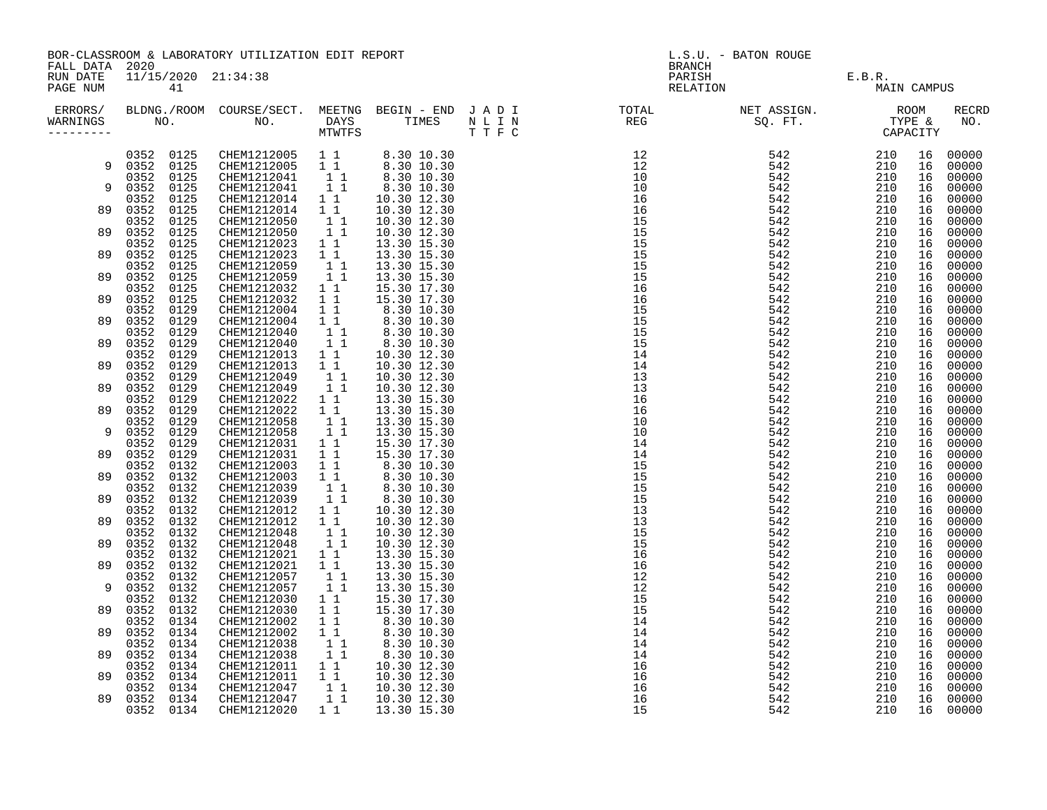| FALL DATA 2020       | BOR-CLASSROOM & LABORATORY UTILIZATION EDIT REPORT |                           |  |  |  | L.S.U. - BATON ROUGE<br>BRANCH |                                              |             |                |                               |
|----------------------|----------------------------------------------------|---------------------------|--|--|--|--------------------------------|----------------------------------------------|-------------|----------------|-------------------------------|
| RUN DATE<br>PAGE NUM |                                                    | 11/15/2020 21:34:38<br>41 |  |  |  |                                | PARISH<br>PARISH E.B.R.<br>RELATION MAIN CAM | MAIN CAMPUS |                |                               |
| ERRORS/<br>WARNINGS  |                                                    |                           |  |  |  |                                |                                              |             |                | <b>RECRD</b><br>NO.           |
|                      |                                                    |                           |  |  |  |                                |                                              |             | 16             | 16 00000<br>00000             |
|                      |                                                    |                           |  |  |  |                                |                                              |             | 16<br>16       | 00000<br>00000                |
|                      |                                                    |                           |  |  |  |                                |                                              |             | 16<br>16<br>16 | 00000<br>00000<br>00000       |
|                      |                                                    |                           |  |  |  |                                |                                              |             | 16<br>16       | 00000<br>00000                |
|                      |                                                    |                           |  |  |  |                                |                                              |             | 16<br>16       | 00000<br>00000                |
|                      |                                                    |                           |  |  |  |                                |                                              |             | 16<br>16       | 00000<br>00000                |
|                      |                                                    |                           |  |  |  |                                |                                              |             | 16<br>16<br>16 | 00000<br>00000<br>00000       |
|                      |                                                    |                           |  |  |  |                                |                                              |             | 16<br>16       | 00000<br>00000                |
|                      |                                                    |                           |  |  |  |                                |                                              |             | 16<br>16       | 00000<br>00000                |
|                      |                                                    |                           |  |  |  |                                |                                              |             | 16<br>16       | 00000<br>00000                |
|                      |                                                    |                           |  |  |  |                                |                                              |             | 16<br>16<br>16 | 00000<br>00000<br>00000       |
|                      |                                                    |                           |  |  |  |                                |                                              |             | 16<br>16       | 00000<br>00000                |
|                      |                                                    |                           |  |  |  |                                |                                              |             | 16<br>16       | 00000<br>00000                |
|                      |                                                    |                           |  |  |  |                                |                                              |             | 16<br>16<br>16 | 00000<br>00000<br>00000       |
|                      |                                                    |                           |  |  |  |                                |                                              |             | 16<br>16       | 00000<br>00000                |
|                      |                                                    |                           |  |  |  |                                |                                              |             | 16<br>16       | 00000<br>00000                |
|                      |                                                    |                           |  |  |  |                                |                                              |             | 16<br>16<br>16 | 00000<br>00000<br>00000       |
|                      |                                                    |                           |  |  |  |                                |                                              |             | 16<br>16       | 00000<br>00000                |
|                      |                                                    |                           |  |  |  |                                |                                              |             | 16<br>16<br>16 | 00000<br>00000                |
|                      |                                                    |                           |  |  |  |                                |                                              |             | 16<br>16       | 00000<br>00000<br>00000       |
|                      |                                                    |                           |  |  |  |                                |                                              |             | 16<br>16       | 00000<br>00000                |
|                      |                                                    |                           |  |  |  |                                |                                              |             | 16             | 00000<br>16 00000<br>16 00000 |
|                      |                                                    |                           |  |  |  |                                |                                              |             |                |                               |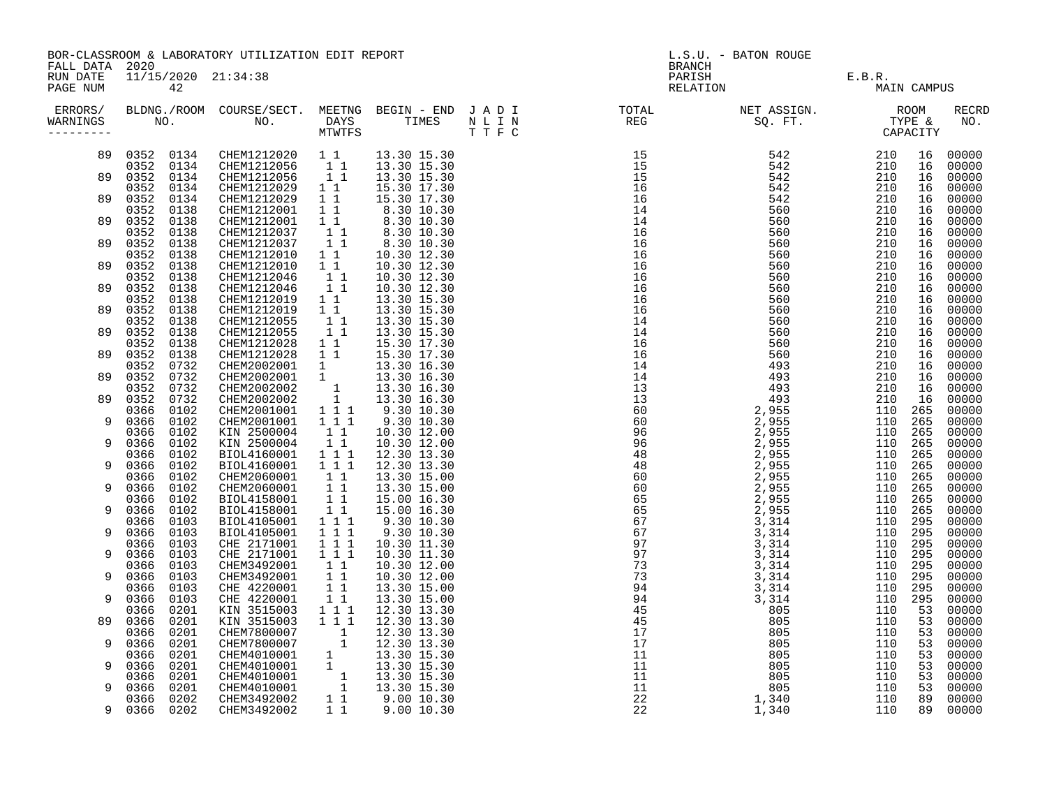| FALL DATA 2020       | BOR-CLASSROOM & LABORATORY UTILIZATION EDIT REPORT |                           |                                                                                                                                                                                                                                              |                  |                                                                                                                                                                                      |  | L.S.U. - BATON ROUGE<br>BRANCH |                                                                                                                                                                                                                                                                                                                                                                                                                                                          |             |  |                |  |
|----------------------|----------------------------------------------------|---------------------------|----------------------------------------------------------------------------------------------------------------------------------------------------------------------------------------------------------------------------------------------|------------------|--------------------------------------------------------------------------------------------------------------------------------------------------------------------------------------|--|--------------------------------|----------------------------------------------------------------------------------------------------------------------------------------------------------------------------------------------------------------------------------------------------------------------------------------------------------------------------------------------------------------------------------------------------------------------------------------------------------|-------------|--|----------------|--|
| RUN DATE<br>PAGE NUM |                                                    | 11/15/2020 21:34:38<br>42 |                                                                                                                                                                                                                                              |                  |                                                                                                                                                                                      |  |                                | PARISH E.B.R.<br>RELATION E.B.R. MAIN CAM                                                                                                                                                                                                                                                                                                                                                                                                                | MAIN CAMPUS |  |                |  |
| ERRORS/<br>WARNINGS  |                                                    |                           |                                                                                                                                                                                                                                              |                  |                                                                                                                                                                                      |  |                                | $\begin{tabular}{lllllllllllllllllllll} \texttt{BLDNG.} \texttt{ ROOM} & \texttt{COURSE/SECT.} & \texttt{MEETNG} & \texttt{BEGIN} & - & \texttt{END} & \texttt{J} & \texttt{A} & \texttt{D} & \texttt{I} & & & & \texttt{TOTAL} & & & \texttt{NET} & \texttt{ASSIGN.} & & & \texttt{ROOM} \\ \texttt{NO.} & & & & & & & \texttt{IMES} & & \texttt{N} & \texttt{I} & \texttt{N} & & & \texttt{REG} & & & \texttt{SQ. FT.} & & & \texttt{Type} & \texttt{$ |             |  | RECRD<br>NO.   |  |
|                      |                                                    |                           | $\begin{array}{cccccccc} 89 & 0352 & 0134 & \text{CHEM1212020} & 1 & 1 & 13.30 & 15.30 \\ 0352 & 0134 & \text{CHEM1212056} & 1 & 1 & 13.30 & 15.30 \\ 89 & 0352 & 0134 & \text{CHEM1212056} & 1 & 1 & 13.30 & 15.30 \\ \end{array}$          |                  |                                                                                                                                                                                      |  |                                |                                                                                                                                                                                                                                                                                                                                                                                                                                                          |             |  | 00000<br>00000 |  |
|                      | 0352 0134                                          |                           | CHEM1212029 1 1                                                                                                                                                                                                                              |                  | 15.30 17.30                                                                                                                                                                          |  |                                |                                                                                                                                                                                                                                                                                                                                                                                                                                                          |             |  | 00000<br>00000 |  |
| 89                   | 0352                                               | 0134                      |                                                                                                                                                                                                                                              | $1\quad1$        | 15.30 17.30                                                                                                                                                                          |  |                                |                                                                                                                                                                                                                                                                                                                                                                                                                                                          |             |  | 00000          |  |
|                      | 0352<br>89 0352                                    | 0138<br>0138              | CHEM1212029<br>CHEM1212001<br>CHEM1212001                                                                                                                                                                                                    |                  |                                                                                                                                                                                      |  |                                |                                                                                                                                                                                                                                                                                                                                                                                                                                                          |             |  | 00000<br>00000 |  |
| 89                   | 0352<br>0352                                       | 0138<br>0138              | CHEM1212037                                                                                                                                                                                                                                  |                  | $\begin{array}{cccc} 1 & 1 & 1 & 8 & .30 & 10 & .30 \ 1 & 1 & 8 & .30 & 10 & .30 \ 1 & 1 & 8 & .30 & 10 & .30 \ 1 & 1 & 8 & .30 & 10 & .30 \ 1 & 1 & 8 & .30 & 10 & .30 \end{array}$ |  |                                |                                                                                                                                                                                                                                                                                                                                                                                                                                                          |             |  | 00000<br>00000 |  |
| 89                   | 0352<br>0352                                       | 0138<br>0138              | CHEM1212037<br>CHEM1212010<br>CHEM1212010<br>CHEM1212010                                                                                                                                                                                     |                  | $\begin{array}{ccc} 1 & 1 & 10.30 & 12.30 \\ 1 & 1 & 10.30 & 12.30 \\ 1 & 1 & 10.30 & 12.30 \\ 1 & 1 & 10.30 & 12.30 \end{array}$                                                    |  |                                |                                                                                                                                                                                                                                                                                                                                                                                                                                                          |             |  | 00000<br>00000 |  |
|                      | 0352                                               | 0138                      | CHEM1212046                                                                                                                                                                                                                                  |                  |                                                                                                                                                                                      |  |                                |                                                                                                                                                                                                                                                                                                                                                                                                                                                          |             |  | 00000          |  |
| 89                   | 0352<br>0352                                       | 0138<br>0138              | CHEM1212046                                                                                                                                                                                                                                  | $\overline{1}$ 1 | 10.30 12.30                                                                                                                                                                          |  |                                |                                                                                                                                                                                                                                                                                                                                                                                                                                                          |             |  | 00000<br>00000 |  |
| 89                   | 0352 0138<br>0352                                  | 0138                      |                                                                                                                                                                                                                                              |                  |                                                                                                                                                                                      |  |                                |                                                                                                                                                                                                                                                                                                                                                                                                                                                          |             |  | 00000<br>00000 |  |
| 89                   | 0352                                               | 0138                      |                                                                                                                                                                                                                                              |                  |                                                                                                                                                                                      |  |                                |                                                                                                                                                                                                                                                                                                                                                                                                                                                          |             |  | 00000          |  |
|                      | 0352<br>89 0352 0138                               | 0138                      |                                                                                                                                                                                                                                              |                  |                                                                                                                                                                                      |  |                                |                                                                                                                                                                                                                                                                                                                                                                                                                                                          |             |  | 00000<br>00000 |  |
|                      | 0352                                               | 0732                      | CHEM1212028 1 1 15.30 17.30<br>CHEM1212028 1 1 15.30 17.30<br>CHEM2002001 1 13.30 16.30<br>CHEM2002001 1 13.30 16.30<br>CHEM2002002 1 13.30 16.30<br>CHEM2002002 1 13.30 16.30<br>CHEM2001001 1 1 9.30 10.30<br>CHEM2001001 1 1 9.30 10.30   |                  |                                                                                                                                                                                      |  |                                |                                                                                                                                                                                                                                                                                                                                                                                                                                                          |             |  | 00000          |  |
| 89                   | 0352<br>0352                                       | 0732<br>0732              |                                                                                                                                                                                                                                              |                  |                                                                                                                                                                                      |  |                                |                                                                                                                                                                                                                                                                                                                                                                                                                                                          |             |  | 00000<br>00000 |  |
|                      | 89 0352 0732<br>0366                               | 0102                      |                                                                                                                                                                                                                                              |                  |                                                                                                                                                                                      |  |                                |                                                                                                                                                                                                                                                                                                                                                                                                                                                          |             |  | 00000<br>00000 |  |
| 9                    | 0366                                               | 0102                      |                                                                                                                                                                                                                                              |                  | 9.3010.30                                                                                                                                                                            |  |                                |                                                                                                                                                                                                                                                                                                                                                                                                                                                          |             |  | 00000          |  |
| 9                    | 0366<br>0366                                       | 0102<br>0102              | CHEM2001001 1 1 1<br>KIN 2500004 1 1<br>KIN 2500004 1 1                                                                                                                                                                                      |                  | 10.30 12.00<br>10.30 12.00                                                                                                                                                           |  |                                |                                                                                                                                                                                                                                                                                                                                                                                                                                                          |             |  | 00000<br>00000 |  |
| 9                    | 0366<br>0366 0102                                  | 0102                      |                                                                                                                                                                                                                                              |                  |                                                                                                                                                                                      |  |                                |                                                                                                                                                                                                                                                                                                                                                                                                                                                          |             |  | 00000<br>00000 |  |
|                      | 0366                                               | 0102                      |                                                                                                                                                                                                                                              |                  |                                                                                                                                                                                      |  |                                |                                                                                                                                                                                                                                                                                                                                                                                                                                                          |             |  | 00000          |  |
| 9                    | 0366<br>0366                                       | 0102<br>0102              |                                                                                                                                                                                                                                              |                  |                                                                                                                                                                                      |  |                                |                                                                                                                                                                                                                                                                                                                                                                                                                                                          |             |  | 00000<br>00000 |  |
| 9                    | 0366<br>0366                                       | 0102<br>0103              | KIN 2500004 1 1 10.30 12.00<br>BIOL4160001 1 1 1 12.30 13.30<br>CHEM2060001 1 1 13.30 15.00<br>CHEM2060001 1 1 13.30 15.00<br>CHEM2060001 1 1 13.30 15.00<br>BIOL4158001 1 1 15.00 16.30<br>BIOL4158001 1 1 15.00 16.30<br>BIOL4158001 1 1 1 |                  |                                                                                                                                                                                      |  |                                |                                                                                                                                                                                                                                                                                                                                                                                                                                                          |             |  | 00000<br>00000 |  |
| 9                    | 0366                                               | 0103                      | BIOL4105001 1 1 1<br>CHE 2171001 1 1 1                                                                                                                                                                                                       |                  | 9.30 10.30                                                                                                                                                                           |  |                                |                                                                                                                                                                                                                                                                                                                                                                                                                                                          |             |  | 00000          |  |
| 9                    | 0366<br>0366                                       | 0103<br>0103              | CHE 2171001 1 1 1                                                                                                                                                                                                                            |                  | 10.30 11.30<br>10.30 11.30                                                                                                                                                           |  |                                |                                                                                                                                                                                                                                                                                                                                                                                                                                                          |             |  | 00000<br>00000 |  |
| 9                    | 0366 0103<br>0366                                  |                           |                                                                                                                                                                                                                                              |                  |                                                                                                                                                                                      |  |                                |                                                                                                                                                                                                                                                                                                                                                                                                                                                          |             |  | 00000<br>00000 |  |
|                      | 0366 0103                                          | 0103                      |                                                                                                                                                                                                                                              |                  |                                                                                                                                                                                      |  |                                |                                                                                                                                                                                                                                                                                                                                                                                                                                                          |             |  | 00000          |  |
| 9                    | 0366<br>0366                                       | 0103<br>0201              |                                                                                                                                                                                                                                              |                  |                                                                                                                                                                                      |  |                                |                                                                                                                                                                                                                                                                                                                                                                                                                                                          |             |  | 00000<br>00000 |  |
| 89                   | 0366                                               | 0201                      |                                                                                                                                                                                                                                              |                  |                                                                                                                                                                                      |  |                                |                                                                                                                                                                                                                                                                                                                                                                                                                                                          |             |  | 00000          |  |
| 9                    | 0366<br>0366                                       | 0201<br>0201              |                                                                                                                                                                                                                                              |                  |                                                                                                                                                                                      |  |                                |                                                                                                                                                                                                                                                                                                                                                                                                                                                          |             |  | 00000<br>00000 |  |
| 9                    | 0366<br>0366                                       | 0201<br>0201              |                                                                                                                                                                                                                                              |                  |                                                                                                                                                                                      |  |                                |                                                                                                                                                                                                                                                                                                                                                                                                                                                          |             |  | 00000<br>00000 |  |
|                      | 0366                                               | 0201                      |                                                                                                                                                                                                                                              |                  |                                                                                                                                                                                      |  |                                |                                                                                                                                                                                                                                                                                                                                                                                                                                                          |             |  | 00000          |  |
| 9                    | 0366<br>0366 0202                                  | 0201                      |                                                                                                                                                                                                                                              |                  |                                                                                                                                                                                      |  |                                |                                                                                                                                                                                                                                                                                                                                                                                                                                                          |             |  | 00000<br>00000 |  |
| 9                    | 0366 0202                                          |                           |                                                                                                                                                                                                                                              |                  |                                                                                                                                                                                      |  |                                |                                                                                                                                                                                                                                                                                                                                                                                                                                                          |             |  | 00000          |  |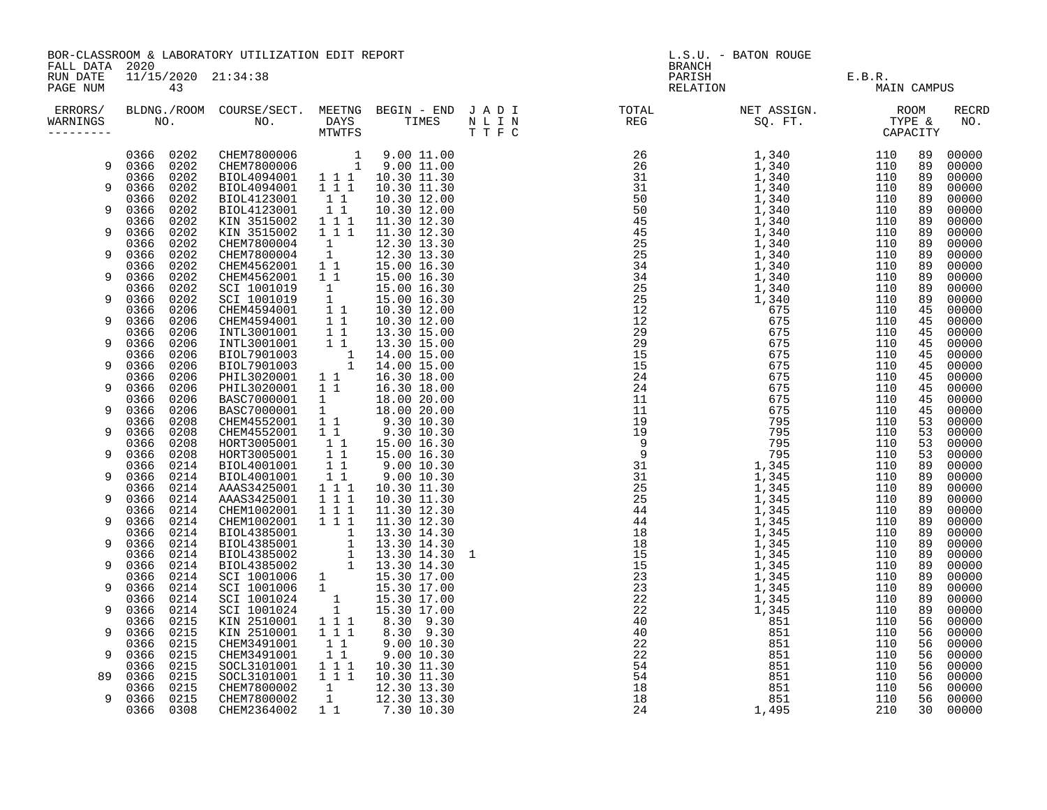| FALL DATA 2020       | BOR-CLASSROOM & LABORATORY UTILIZATION EDIT REPORT<br>11/15/2020 21:34:38 |    |          |  |  |  | L.S.U. - BATON ROUGE<br><b>BRANCH</b>                                                                              |                               |             |  |                     |
|----------------------|---------------------------------------------------------------------------|----|----------|--|--|--|--------------------------------------------------------------------------------------------------------------------|-------------------------------|-------------|--|---------------------|
| RUN DATE<br>PAGE NUM |                                                                           | 43 |          |  |  |  |                                                                                                                    | PARISH E.B.R.<br>RELATION MAI | MAIN CAMPUS |  |                     |
| ERRORS/<br>WARNINGS  |                                                                           |    | NO. DAYS |  |  |  | BLDNG./ROOM COURSE/SECT. MEETNG BEGIN – END JADI TOTAL NET ASSIGN. ROOM ROOM NO. DAYS TIMES NLIN REG SQ.FT. TYPE & |                               |             |  | <b>RECRD</b><br>NO. |
|                      |                                                                           |    |          |  |  |  |                                                                                                                    |                               |             |  | 00000               |
|                      | 9  0366  0202                                                             |    |          |  |  |  |                                                                                                                    |                               |             |  | 00000<br>00000      |
| 9                    |                                                                           |    |          |  |  |  |                                                                                                                    |                               |             |  | 00000               |
|                      |                                                                           |    |          |  |  |  |                                                                                                                    |                               |             |  | 00000               |
| 9                    |                                                                           |    |          |  |  |  |                                                                                                                    |                               |             |  | 00000               |
| 9                    |                                                                           |    |          |  |  |  |                                                                                                                    |                               |             |  | 00000<br>00000      |
|                      |                                                                           |    |          |  |  |  |                                                                                                                    |                               |             |  | 00000               |
| 9                    |                                                                           |    |          |  |  |  |                                                                                                                    |                               |             |  | 00000               |
|                      |                                                                           |    |          |  |  |  |                                                                                                                    |                               |             |  | 00000               |
| 9                    |                                                                           |    |          |  |  |  |                                                                                                                    |                               |             |  | 00000<br>00000      |
| 9                    |                                                                           |    |          |  |  |  |                                                                                                                    |                               |             |  | 00000               |
|                      |                                                                           |    |          |  |  |  |                                                                                                                    |                               |             |  | 00000               |
| 9                    |                                                                           |    |          |  |  |  |                                                                                                                    |                               |             |  | 00000               |
|                      |                                                                           |    |          |  |  |  |                                                                                                                    |                               |             |  | 00000               |
| 9                    |                                                                           |    |          |  |  |  |                                                                                                                    |                               |             |  | 00000<br>00000      |
| 9                    |                                                                           |    |          |  |  |  |                                                                                                                    |                               |             |  | 00000               |
|                      |                                                                           |    |          |  |  |  |                                                                                                                    |                               |             |  | 00000               |
| 9                    |                                                                           |    |          |  |  |  |                                                                                                                    |                               |             |  | 00000               |
| 9                    |                                                                           |    |          |  |  |  |                                                                                                                    |                               |             |  | 00000               |
|                      |                                                                           |    |          |  |  |  |                                                                                                                    |                               |             |  | 00000<br>00000      |
| 9                    |                                                                           |    |          |  |  |  |                                                                                                                    |                               |             |  | 00000               |
|                      |                                                                           |    |          |  |  |  |                                                                                                                    |                               |             |  | 00000               |
| 9                    |                                                                           |    |          |  |  |  |                                                                                                                    |                               |             |  | 00000               |
| 9                    |                                                                           |    |          |  |  |  |                                                                                                                    |                               |             |  | 00000<br>00000      |
|                      |                                                                           |    |          |  |  |  |                                                                                                                    |                               |             |  | 00000               |
| 9                    |                                                                           |    |          |  |  |  |                                                                                                                    |                               |             |  | 00000               |
|                      |                                                                           |    |          |  |  |  |                                                                                                                    |                               |             |  | 00000               |
| 9                    |                                                                           |    |          |  |  |  |                                                                                                                    |                               |             |  | 00000               |
| 9                    |                                                                           |    |          |  |  |  |                                                                                                                    |                               |             |  | 00000<br>00000      |
|                      |                                                                           |    |          |  |  |  |                                                                                                                    |                               |             |  | 00000               |
| 9                    |                                                                           |    |          |  |  |  |                                                                                                                    |                               |             |  | 00000               |
|                      |                                                                           |    |          |  |  |  |                                                                                                                    |                               |             |  | 00000               |
| 9                    |                                                                           |    |          |  |  |  |                                                                                                                    |                               |             |  | 00000<br>00000      |
| 9                    |                                                                           |    |          |  |  |  |                                                                                                                    |                               |             |  | 00000               |
|                      |                                                                           |    |          |  |  |  |                                                                                                                    |                               |             |  | 00000               |
| 9                    |                                                                           |    |          |  |  |  |                                                                                                                    |                               |             |  | 00000               |
|                      |                                                                           |    |          |  |  |  |                                                                                                                    |                               |             |  | 00000               |
| 9                    |                                                                           |    |          |  |  |  |                                                                                                                    |                               |             |  | 00000<br>00000      |
| 89                   |                                                                           |    |          |  |  |  |                                                                                                                    |                               |             |  | 00000               |
|                      |                                                                           |    |          |  |  |  |                                                                                                                    |                               |             |  | 00000               |
| 9                    |                                                                           |    |          |  |  |  |                                                                                                                    |                               |             |  | 00000               |
|                      |                                                                           |    |          |  |  |  |                                                                                                                    |                               |             |  | 00000               |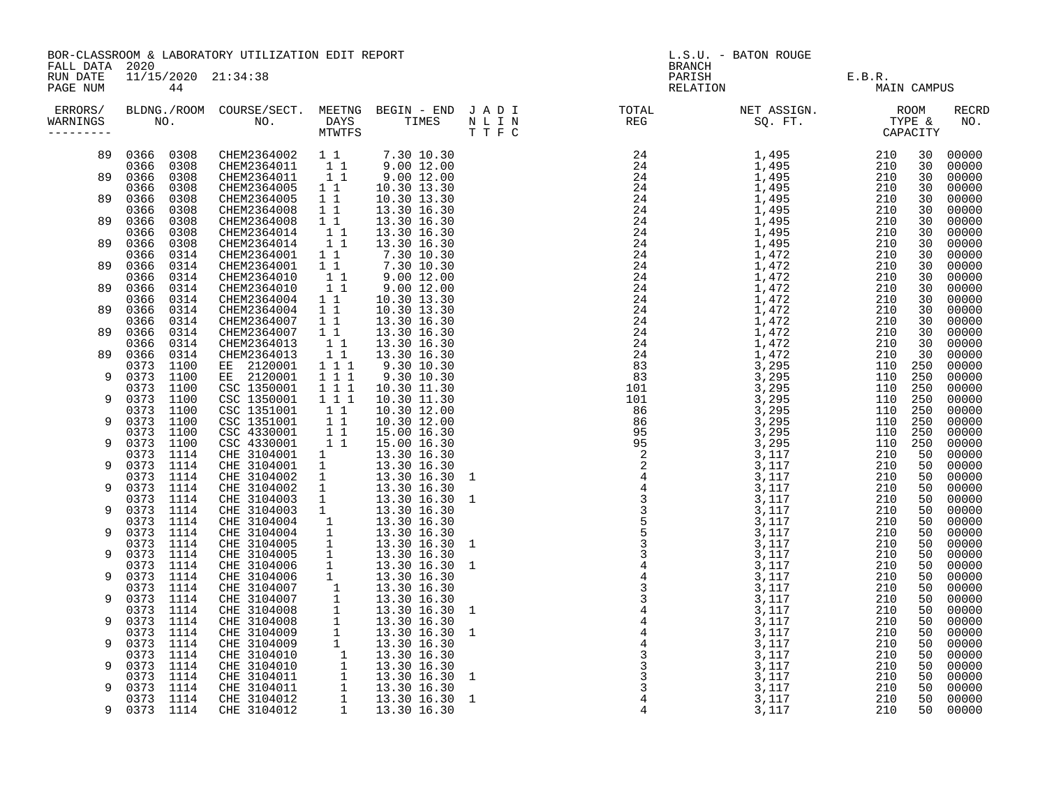|                                        | BOR-CLASSROOM & LABORATORY UTILIZATION EDIT REPORT |                                            |                                    |                                                                                          |                                                                                                                                                                                                                                              |  | L.S.U. - BATON ROUGE |                                                                                                                                                                                                                                                                                                                                                                                                                                                                                                                                                                                                                                                                              |  |                    |                         |  |
|----------------------------------------|----------------------------------------------------|--------------------------------------------|------------------------------------|------------------------------------------------------------------------------------------|----------------------------------------------------------------------------------------------------------------------------------------------------------------------------------------------------------------------------------------------|--|----------------------|------------------------------------------------------------------------------------------------------------------------------------------------------------------------------------------------------------------------------------------------------------------------------------------------------------------------------------------------------------------------------------------------------------------------------------------------------------------------------------------------------------------------------------------------------------------------------------------------------------------------------------------------------------------------------|--|--------------------|-------------------------|--|
| FALL DATA 2020<br>RUN DATE<br>PAGE NUM | 44                                                 | 11/15/2020 21:34:38                        |                                    |                                                                                          |                                                                                                                                                                                                                                              |  |                      | <b>BRANCH</b><br>PARISH E.B.R.<br>RELATION E.B.R.<br>MAI                                                                                                                                                                                                                                                                                                                                                                                                                                                                                                                                                                                                                     |  | MAIN CAMPUS        |                         |  |
| WARNINGS<br>---------                  |                                                    |                                            |                                    |                                                                                          |                                                                                                                                                                                                                                              |  |                      | ERRORS/ BLDNG./ROOM COURSE/SECT. MEETNG BEGIN – END JADI TOTAL TOTAL NETASSIGN. NET ASSIGN. ROOM ROOM COURSE/SECT. MEETNG BEGIN – END JADI TOTAL TOTAL NETASSIGN. TYPE &<br>WARNINGS NO. NO. DAYS TIMES NLIN REG SQ.FT. TPE & CAP<br>$\begin{array}{cccc} \texttt{M} & \texttt{M} & \texttt{M} & \texttt{M} & \texttt{M} & \texttt{M} & \texttt{M} & \texttt{M} & \texttt{M} \\ \texttt{M} & \texttt{M} & \texttt{M} & \texttt{M} & \texttt{M} & \texttt{M} & \texttt{M} \\ \texttt{M} & \texttt{M} & \texttt{M} & \texttt{M} & \texttt{M} & \texttt{M} \\ \texttt{M} & \texttt{M} & \texttt{M} & \texttt{M} & \texttt{M} & \texttt{M} \\ \texttt{M} & \texttt{M} & \texttt$ |  |                    | <b>RECRD</b><br>NO.     |  |
|                                        | 89 0366 0308<br>0366 0308                          |                                            |                                    |                                                                                          |                                                                                                                                                                                                                                              |  |                      |                                                                                                                                                                                                                                                                                                                                                                                                                                                                                                                                                                                                                                                                              |  | 30                 | 30 00000<br>00000       |  |
|                                        | 89 0366 0308<br>0366<br>0308                       |                                            |                                    | CHEM2364011 1<br>CHEM2364011 11<br>CHEM2364005 11                                        | $9.00$ 12.00<br>10.30 13.30                                                                                                                                                                                                                  |  |                      |                                                                                                                                                                                                                                                                                                                                                                                                                                                                                                                                                                                                                                                                              |  | 30<br>30           | 00000<br>00000          |  |
| 89                                     | 0366<br>0366                                       | 0308<br>CHEM2364005<br>CHEM2364008<br>0308 |                                    | $1\quad1$                                                                                | 10.30 13.30<br>13.30 16.30                                                                                                                                                                                                                   |  |                      |                                                                                                                                                                                                                                                                                                                                                                                                                                                                                                                                                                                                                                                                              |  | 30<br>30           | 00000<br>00000          |  |
| 89                                     | 0366<br>0366                                       | CHEM2364008<br>0308<br>0308                | CHEM2364014                        | $\begin{array}{cc} 1 & 1 \\ 1 & 1 \end{array}$<br>$\begin{bmatrix} 1 \\ 1 \end{bmatrix}$ | 13.30 16.30<br>13.30 16.30                                                                                                                                                                                                                   |  |                      |                                                                                                                                                                                                                                                                                                                                                                                                                                                                                                                                                                                                                                                                              |  | 30<br>30           | 00000<br>00000          |  |
| 89                                     | 0366<br>0366                                       | 0308<br>0314                               | CHEM2364014 1 1<br>CHEM2364001 1 1 |                                                                                          |                                                                                                                                                                                                                                              |  |                      |                                                                                                                                                                                                                                                                                                                                                                                                                                                                                                                                                                                                                                                                              |  | 30<br>30           | 00000<br>00000          |  |
| 89                                     | 0366<br>0366<br>0314                               | CHEM2364001<br>0314<br>CHEM2364010         |                                    | 11<br>$1^{\overline{1}}$                                                                 | $13.30 \; 16.30 \; 7.30 \; 10.30 \; 7.30 \; 10.30 \; 9.00 \; 12.00 \; 9.00 \; 12.00 \; 10.30 \; 13.30 \; 10.30 \; 13.30$                                                                                                                     |  |                      |                                                                                                                                                                                                                                                                                                                                                                                                                                                                                                                                                                                                                                                                              |  | 30<br>30           | 00000                   |  |
| 89                                     | 0366<br>0314<br>0314                               | CHEM2364010                                | CHEM2364004 1 1                    | $1\quad1$                                                                                |                                                                                                                                                                                                                                              |  |                      |                                                                                                                                                                                                                                                                                                                                                                                                                                                                                                                                                                                                                                                                              |  | 30                 | 00000<br>00000<br>00000 |  |
| 89                                     | 0366<br>0314<br>0366                               |                                            |                                    |                                                                                          |                                                                                                                                                                                                                                              |  |                      |                                                                                                                                                                                                                                                                                                                                                                                                                                                                                                                                                                                                                                                                              |  | 30<br>30<br>30     | 00000<br>00000          |  |
| 89                                     | 0314<br>0366<br>0366<br>0314                       |                                            |                                    |                                                                                          |                                                                                                                                                                                                                                              |  |                      |                                                                                                                                                                                                                                                                                                                                                                                                                                                                                                                                                                                                                                                                              |  | 30                 | 00000                   |  |
| 89                                     | 0366<br>0366                                       | 0314<br>0314                               |                                    |                                                                                          |                                                                                                                                                                                                                                              |  |                      |                                                                                                                                                                                                                                                                                                                                                                                                                                                                                                                                                                                                                                                                              |  | 30<br>30           | 00000<br>00000          |  |
| 9                                      | 0373<br>1100<br>0373 1100                          |                                            |                                    |                                                                                          | CHEM2364004 1 1 10.30 13.30<br>CHEM2364004 1 1 10.30 13.30<br>CHEM2364007 1 1 13.30 16.30<br>CHEM2364007 1 1 13.30 16.30<br>CHEM2364013 1 1 13.30 16.30<br>CHEM2364013 1 1 13.30 16.30<br>CHEM2364013 1 1 13.30 16.30<br>EE 2120001 1 1 1 9. |  |                      |                                                                                                                                                                                                                                                                                                                                                                                                                                                                                                                                                                                                                                                                              |  | 250<br>250         | 00000<br>00000          |  |
| 9                                      | 0373 1100<br>0373 1100                             | CSC 1350001<br>CSC 1351001                 |                                    | $1 1 1$                                                                                  | 10.30 11.30<br>10.30 12.00                                                                                                                                                                                                                   |  |                      |                                                                                                                                                                                                                                                                                                                                                                                                                                                                                                                                                                                                                                                                              |  | 110 250<br>250     | 00000<br>00000          |  |
| 9                                      | 0373 1100<br>0373 1100                             | CSC 1351001                                |                                    | $\begin{array}{cc} 1 & 1 \\ 1 & 1 \end{array}$                                           | 10.30 12.00                                                                                                                                                                                                                                  |  |                      |                                                                                                                                                                                                                                                                                                                                                                                                                                                                                                                                                                                                                                                                              |  | 110 250<br>110 250 | 00000<br>00000          |  |
| 9                                      | 0373<br>1100<br>0373<br>1100                       |                                            | CSC 4330001<br>CSC 4330001         | $\begin{array}{cc} 1 & 1 \\ 1 & 1 \end{array}$                                           | 15.00 16.30<br>15.00 16.30                                                                                                                                                                                                                   |  |                      |                                                                                                                                                                                                                                                                                                                                                                                                                                                                                                                                                                                                                                                                              |  | 110 250<br>110 250 | 00000<br>00000          |  |
| 9                                      | 0373 1114<br>0373 1114                             |                                            |                                    |                                                                                          |                                                                                                                                                                                                                                              |  |                      |                                                                                                                                                                                                                                                                                                                                                                                                                                                                                                                                                                                                                                                                              |  | 50<br>50           | 00000<br>00000          |  |
| 9                                      | 0373 1114<br>0373 1114                             |                                            |                                    |                                                                                          |                                                                                                                                                                                                                                              |  |                      |                                                                                                                                                                                                                                                                                                                                                                                                                                                                                                                                                                                                                                                                              |  | 50<br>50           | 00000<br>00000          |  |
| 9                                      | 0373 1114<br>0373 1114                             |                                            |                                    |                                                                                          |                                                                                                                                                                                                                                              |  |                      |                                                                                                                                                                                                                                                                                                                                                                                                                                                                                                                                                                                                                                                                              |  | 50<br>50           | 00000<br>00000          |  |
| 9                                      | 0373 1114<br>0373 1114<br>0373 1114                |                                            |                                    |                                                                                          |                                                                                                                                                                                                                                              |  |                      |                                                                                                                                                                                                                                                                                                                                                                                                                                                                                                                                                                                                                                                                              |  | 50<br>50           | 00000<br>00000          |  |
| 9                                      | 0373 1114                                          |                                            |                                    |                                                                                          |                                                                                                                                                                                                                                              |  |                      |                                                                                                                                                                                                                                                                                                                                                                                                                                                                                                                                                                                                                                                                              |  | 50<br>50<br>50     | 00000<br>00000<br>00000 |  |
| 9                                      | 0373 1114<br>0373 1114<br>0373 1114                |                                            |                                    |                                                                                          |                                                                                                                                                                                                                                              |  |                      |                                                                                                                                                                                                                                                                                                                                                                                                                                                                                                                                                                                                                                                                              |  | 50<br>50           | 00000<br>00000          |  |
| 9                                      | 0373 1114<br>0373 1114                             |                                            |                                    |                                                                                          |                                                                                                                                                                                                                                              |  |                      |                                                                                                                                                                                                                                                                                                                                                                                                                                                                                                                                                                                                                                                                              |  | 50<br>50           | 00000<br>00000          |  |
| 9                                      | 0373 1114<br>1114<br>0373                          |                                            |                                    |                                                                                          |                                                                                                                                                                                                                                              |  |                      |                                                                                                                                                                                                                                                                                                                                                                                                                                                                                                                                                                                                                                                                              |  | 50<br>50           | 00000<br>00000          |  |
| 9                                      | 0373 1114<br>0373 1114                             |                                            |                                    |                                                                                          |                                                                                                                                                                                                                                              |  |                      |                                                                                                                                                                                                                                                                                                                                                                                                                                                                                                                                                                                                                                                                              |  | 50<br>50           | 00000<br>00000          |  |
| 9                                      | 0373 1114<br>0373<br>1114                          |                                            |                                    |                                                                                          |                                                                                                                                                                                                                                              |  |                      |                                                                                                                                                                                                                                                                                                                                                                                                                                                                                                                                                                                                                                                                              |  | 50<br>50           | 00000<br>00000          |  |
| 9                                      | 1114<br>0373<br>0373 1114                          |                                            |                                    |                                                                                          | CSC 4330001 11 15.00 16.30<br>CHE 3104001 11 15.00 16.30<br>CHE 3104001 1 13.30 16.30<br>CHE 3104002 1 13.30 16.30 1<br>CHE 3104002 1 13.30 16.30 1<br>CHE 3104002 1 13.30 16.30 1<br>CHE 3104003 1 13.30 16.30 1<br>CHE 3104004 1 13.30 16. |  |                      |                                                                                                                                                                                                                                                                                                                                                                                                                                                                                                                                                                                                                                                                              |  | 50<br>50           | 00000<br>00000          |  |
| 9                                      | 0373 1114                                          |                                            |                                    |                                                                                          |                                                                                                                                                                                                                                              |  |                      |                                                                                                                                                                                                                                                                                                                                                                                                                                                                                                                                                                                                                                                                              |  | 50                 | 00000                   |  |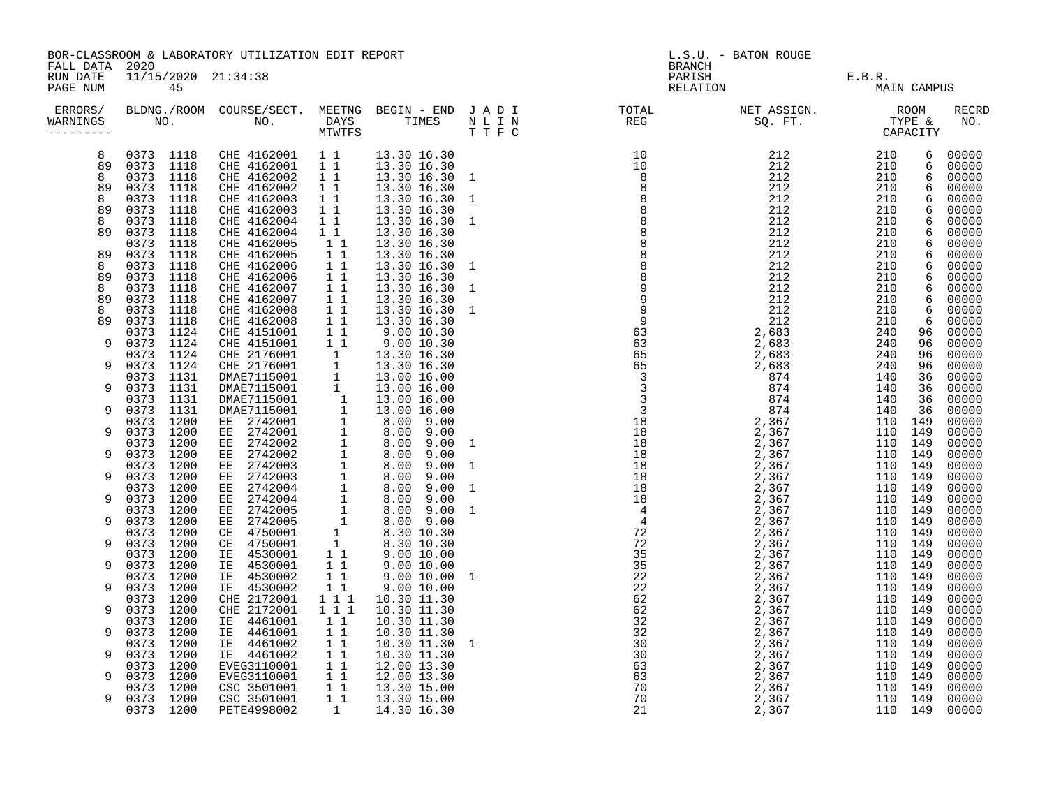| FALL DATA 2020       |                        | BOR-CLASSROOM & LABORATORY UTILIZATION EDIT REPORT                                                                                                                                                                                                           |                                                                                              |                               | L.S.U. - BATON ROUGE<br><b>BRANCH</b>                                                                                                                                                                                                                                                                                                                                                                                                                                                                                                                                                                                 |                            |             |  |                     |
|----------------------|------------------------|--------------------------------------------------------------------------------------------------------------------------------------------------------------------------------------------------------------------------------------------------------------|----------------------------------------------------------------------------------------------|-------------------------------|-----------------------------------------------------------------------------------------------------------------------------------------------------------------------------------------------------------------------------------------------------------------------------------------------------------------------------------------------------------------------------------------------------------------------------------------------------------------------------------------------------------------------------------------------------------------------------------------------------------------------|----------------------------|-------------|--|---------------------|
| RUN DATE<br>PAGE NUM | 45                     | 11/15/2020 21:34:38                                                                                                                                                                                                                                          |                                                                                              |                               |                                                                                                                                                                                                                                                                                                                                                                                                                                                                                                                                                                                                                       | PARISH E.B.R. RELATION MAI | MAIN CAMPUS |  |                     |
| WARNINGS             |                        |                                                                                                                                                                                                                                                              |                                                                                              |                               | ERRORS/ BLDNG./ROOM COURSE/SECT. MEETNG BEGIN – END JADI TOTAL NET ASSIGN.     ROOM ROOM COURSE/SECT. MEETNG BEGIN – END JADI TOTAL TOTAL NET ASSIGN.     ROOM ROOM COURSE/SECT. MEETNG BEGIN – END JADI TOTAL TOTAL SQ. FT.<br>$\begin{small} \textbf{0.1} & \textbf{1.2} & \textbf{0.3} & \textbf{0.4} & \textbf{0.5} & \textbf{0.7} & \textbf{0.8} & \textbf{0.8} & \textbf{0.8} & \textbf{0.8} & \textbf{0.8} & \textbf{0.8} & \textbf{0.8} & \textbf{0.8} & \textbf{0.8} & \textbf{0.8} & \textbf{0.8} & \textbf{0.8} & \textbf{0.8} & \textbf{0.8} & \textbf{0.8} & \textbf{0.8} & \textbf{0.8} & \textbf{0.8}$ |                            |             |  | <b>RECRD</b><br>NO. |
| 8                    | 0373 1118              | CHE 4162001 11<br>CHE 4162001 11                                                                                                                                                                                                                             |                                                                                              | 13.30 16.30                   |                                                                                                                                                                                                                                                                                                                                                                                                                                                                                                                                                                                                                       |                            |             |  | 00000               |
| 89                   | 0373 1118              |                                                                                                                                                                                                                                                              |                                                                                              | 13.30 16.30                   |                                                                                                                                                                                                                                                                                                                                                                                                                                                                                                                                                                                                                       |                            |             |  | 00000               |
| 8                    | 0373 1118              |                                                                                                                                                                                                                                                              |                                                                                              | CHE 4162002 1 1 13.30 16.30 1 |                                                                                                                                                                                                                                                                                                                                                                                                                                                                                                                                                                                                                       |                            |             |  | 00000               |
| 89                   | 0373 1118              | CHE 4162002                                                                                                                                                                                                                                                  | 11                                                                                           | 13.30 16.30                   |                                                                                                                                                                                                                                                                                                                                                                                                                                                                                                                                                                                                                       |                            |             |  | 00000               |
| 8                    | 0373 1118<br>0373      | CHE 4162003                                                                                                                                                                                                                                                  | $\begin{array}{ccc} \bar{1} & \bar{1} \\ \bar{1} & \bar{1} \\ \bar{1} & \bar{1} \end{array}$ | 13.30 16.30 1                 |                                                                                                                                                                                                                                                                                                                                                                                                                                                                                                                                                                                                                       |                            |             |  | 00000               |
| 89<br>8              | 1118<br>0373 1118      | CHE 4162003<br>CHE 4162004                                                                                                                                                                                                                                   |                                                                                              | 13.30 16.30<br>13.30 16.30 1  |                                                                                                                                                                                                                                                                                                                                                                                                                                                                                                                                                                                                                       |                            |             |  | 00000<br>00000      |
| 89                   | 0373 1118              | CHE 4162004                                                                                                                                                                                                                                                  |                                                                                              | 13.30 16.30                   |                                                                                                                                                                                                                                                                                                                                                                                                                                                                                                                                                                                                                       |                            |             |  | 00000               |
|                      | 0373 1118              | CHE 4162005                                                                                                                                                                                                                                                  |                                                                                              | 13.30 16.30                   |                                                                                                                                                                                                                                                                                                                                                                                                                                                                                                                                                                                                                       |                            |             |  | 00000               |
| 89                   | 0373<br>1118           | CHE 4162005                                                                                                                                                                                                                                                  | $\begin{array}{cccc}\n & 1 & 1 \\  & 1 & 1 \\  & 1 & 1 \\  & 1 & 1\n\end{array}$             | 13.30 16.30                   |                                                                                                                                                                                                                                                                                                                                                                                                                                                                                                                                                                                                                       |                            |             |  | 00000               |
| 8                    | 0373<br>1118           | CHE 4162006                                                                                                                                                                                                                                                  |                                                                                              | 13.30 16.30 1                 |                                                                                                                                                                                                                                                                                                                                                                                                                                                                                                                                                                                                                       |                            |             |  | 00000               |
| 89                   | 0373<br>1118           | CHE 4162006                                                                                                                                                                                                                                                  | $\overline{1}$ $\overline{1}$                                                                | 13.30 16.30                   |                                                                                                                                                                                                                                                                                                                                                                                                                                                                                                                                                                                                                       |                            |             |  | 00000               |
| 8                    | 0373<br>1118           | CHE 4162007 1 1<br>CHE 4162007 1 1                                                                                                                                                                                                                           |                                                                                              | 13.30 16.30 1                 |                                                                                                                                                                                                                                                                                                                                                                                                                                                                                                                                                                                                                       |                            |             |  | 00000               |
| 89                   | 0373<br>1118           |                                                                                                                                                                                                                                                              |                                                                                              | 13.30 16.30                   |                                                                                                                                                                                                                                                                                                                                                                                                                                                                                                                                                                                                                       |                            |             |  | 00000               |
| 8                    | 0373<br>1118           | CHE 4162008                                                                                                                                                                                                                                                  | $1\quad1$                                                                                    | 13.30 16.30 1                 |                                                                                                                                                                                                                                                                                                                                                                                                                                                                                                                                                                                                                       |                            |             |  | 00000               |
| 89                   | 1118<br>0373           | CHE 4162008                                                                                                                                                                                                                                                  | $\overline{1}$ $\overline{1}$                                                                | 13.30 16.30                   |                                                                                                                                                                                                                                                                                                                                                                                                                                                                                                                                                                                                                       |                            |             |  | 00000               |
|                      | 0373 1124              |                                                                                                                                                                                                                                                              |                                                                                              |                               |                                                                                                                                                                                                                                                                                                                                                                                                                                                                                                                                                                                                                       |                            |             |  | 00000               |
| 9                    | 0373 1124<br>0373 1124 |                                                                                                                                                                                                                                                              |                                                                                              |                               |                                                                                                                                                                                                                                                                                                                                                                                                                                                                                                                                                                                                                       |                            |             |  | 00000               |
| 9                    | 0373 1124              | CHE 416208<br>CHE 4162008<br>CHE 4151001<br>11 9.00 10.30<br>CHE 4151001<br>11 9.00 10.30<br>CHE 4151001<br>11 9.00 10.30<br>CHE 4151001<br>11 9.00 10.30<br>CHE 2176001<br>11 13.30 16.30<br>DMAE7115001<br>11 13.00 16.00<br>DMAE7115001<br>11 13.00 16.00 |                                                                                              |                               |                                                                                                                                                                                                                                                                                                                                                                                                                                                                                                                                                                                                                       |                            |             |  | 00000<br>00000      |
|                      | 0373 1131              |                                                                                                                                                                                                                                                              |                                                                                              |                               |                                                                                                                                                                                                                                                                                                                                                                                                                                                                                                                                                                                                                       |                            |             |  | 00000               |
| 9                    | 0373 1131              |                                                                                                                                                                                                                                                              |                                                                                              |                               |                                                                                                                                                                                                                                                                                                                                                                                                                                                                                                                                                                                                                       |                            |             |  | 00000               |
|                      | 0373 1131              |                                                                                                                                                                                                                                                              |                                                                                              |                               |                                                                                                                                                                                                                                                                                                                                                                                                                                                                                                                                                                                                                       |                            |             |  | 00000               |
| 9                    | 0373 1131              |                                                                                                                                                                                                                                                              |                                                                                              |                               |                                                                                                                                                                                                                                                                                                                                                                                                                                                                                                                                                                                                                       |                            |             |  | 00000               |
|                      | 0373 1200              |                                                                                                                                                                                                                                                              |                                                                                              |                               |                                                                                                                                                                                                                                                                                                                                                                                                                                                                                                                                                                                                                       |                            |             |  | 00000               |
| 9                    | 0373 1200              |                                                                                                                                                                                                                                                              |                                                                                              |                               |                                                                                                                                                                                                                                                                                                                                                                                                                                                                                                                                                                                                                       |                            |             |  | 00000               |
|                      | 0373 1200              |                                                                                                                                                                                                                                                              |                                                                                              |                               |                                                                                                                                                                                                                                                                                                                                                                                                                                                                                                                                                                                                                       |                            |             |  | 00000               |
| 9                    | 0373 1200              |                                                                                                                                                                                                                                                              |                                                                                              |                               |                                                                                                                                                                                                                                                                                                                                                                                                                                                                                                                                                                                                                       |                            |             |  | 00000               |
|                      | 0373 1200              |                                                                                                                                                                                                                                                              |                                                                                              |                               |                                                                                                                                                                                                                                                                                                                                                                                                                                                                                                                                                                                                                       |                            |             |  | 00000               |
| 9                    | 0373 1200              |                                                                                                                                                                                                                                                              |                                                                                              |                               |                                                                                                                                                                                                                                                                                                                                                                                                                                                                                                                                                                                                                       |                            |             |  | 00000               |
| 9                    | 0373 1200<br>0373 1200 |                                                                                                                                                                                                                                                              |                                                                                              |                               |                                                                                                                                                                                                                                                                                                                                                                                                                                                                                                                                                                                                                       |                            |             |  | 00000<br>00000      |
|                      | 0373 1200              |                                                                                                                                                                                                                                                              |                                                                                              |                               |                                                                                                                                                                                                                                                                                                                                                                                                                                                                                                                                                                                                                       |                            |             |  | 00000               |
| 9                    | 0373 1200              |                                                                                                                                                                                                                                                              |                                                                                              |                               |                                                                                                                                                                                                                                                                                                                                                                                                                                                                                                                                                                                                                       |                            |             |  | 00000               |
|                      | 0373 1200              |                                                                                                                                                                                                                                                              |                                                                                              |                               |                                                                                                                                                                                                                                                                                                                                                                                                                                                                                                                                                                                                                       |                            |             |  | 00000               |
| 9                    | 0373 1200              |                                                                                                                                                                                                                                                              |                                                                                              |                               |                                                                                                                                                                                                                                                                                                                                                                                                                                                                                                                                                                                                                       |                            |             |  | 00000               |
|                      | 0373 1200              |                                                                                                                                                                                                                                                              |                                                                                              |                               |                                                                                                                                                                                                                                                                                                                                                                                                                                                                                                                                                                                                                       |                            |             |  | 00000               |
| 9                    | 0373 1200              |                                                                                                                                                                                                                                                              |                                                                                              |                               |                                                                                                                                                                                                                                                                                                                                                                                                                                                                                                                                                                                                                       |                            |             |  | 00000               |
|                      | 0373 1200              |                                                                                                                                                                                                                                                              |                                                                                              |                               |                                                                                                                                                                                                                                                                                                                                                                                                                                                                                                                                                                                                                       |                            |             |  | 00000               |
| 9                    | 0373 1200              | IE 4530002                                                                                                                                                                                                                                                   | 11                                                                                           | 9.00 10.00                    |                                                                                                                                                                                                                                                                                                                                                                                                                                                                                                                                                                                                                       |                            |             |  | 00000               |
|                      | 0373 1200              | CHE 2172001                                                                                                                                                                                                                                                  | $\begin{array}{rrrr} & 1 & 1 \\ & 1 & 1 \\ & & 1 & 1 \end{array}$                            | 10.30 11.30                   |                                                                                                                                                                                                                                                                                                                                                                                                                                                                                                                                                                                                                       |                            |             |  | 00000               |
| 9                    | 0373 1200              | CHE 2172001                                                                                                                                                                                                                                                  |                                                                                              | 10.30 11.30                   |                                                                                                                                                                                                                                                                                                                                                                                                                                                                                                                                                                                                                       |                            |             |  | 00000               |
|                      | 0373 1200              | IE 4461001                                                                                                                                                                                                                                                   | 11                                                                                           | 10.30 11.30                   |                                                                                                                                                                                                                                                                                                                                                                                                                                                                                                                                                                                                                       |                            |             |  | 00000               |
| 9                    | 0373 1200<br>0373 1200 | IE 4461001<br>IE 4461002                                                                                                                                                                                                                                     | 11<br>11                                                                                     | 10.30 11.30<br>10.30 11.30 1  |                                                                                                                                                                                                                                                                                                                                                                                                                                                                                                                                                                                                                       |                            |             |  | 00000<br>00000      |
| 9                    | 0373 1200              |                                                                                                                                                                                                                                                              |                                                                                              | 10.30 11.30                   |                                                                                                                                                                                                                                                                                                                                                                                                                                                                                                                                                                                                                       |                            |             |  | 00000               |
|                      | 0373 1200              |                                                                                                                                                                                                                                                              |                                                                                              | 12.00 13.30                   |                                                                                                                                                                                                                                                                                                                                                                                                                                                                                                                                                                                                                       |                            |             |  | 00000               |
| 9                    | 0373 1200              |                                                                                                                                                                                                                                                              |                                                                                              | 12.00 13.30                   |                                                                                                                                                                                                                                                                                                                                                                                                                                                                                                                                                                                                                       |                            |             |  | 00000               |
|                      | 0373 1200              |                                                                                                                                                                                                                                                              |                                                                                              | 13.30 15.00                   |                                                                                                                                                                                                                                                                                                                                                                                                                                                                                                                                                                                                                       |                            |             |  | 00000               |
| 9                    | 0373 1200              | 1E 4461002 1 1<br>EVEG3110001 1 1<br>EVEG3110001 1 1<br>CSC 3501001 1 1<br>CSC 3501001 1 1                                                                                                                                                                   |                                                                                              | 13.30 15.00                   |                                                                                                                                                                                                                                                                                                                                                                                                                                                                                                                                                                                                                       |                            |             |  | 00000               |
|                      | 0373 1200              | PETE4998002                                                                                                                                                                                                                                                  |                                                                                              | 1 14.30 16.30                 |                                                                                                                                                                                                                                                                                                                                                                                                                                                                                                                                                                                                                       |                            |             |  | 00000               |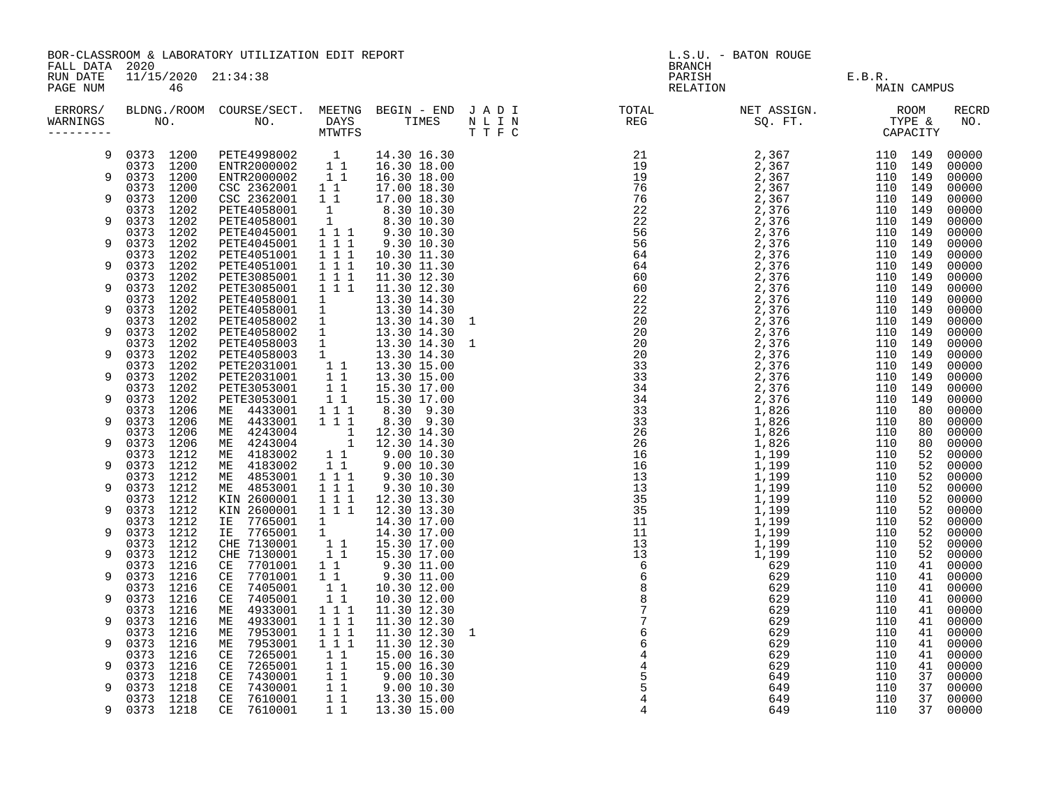|                                        |                           | BOR-CLASSROOM & LABORATORY UTILIZATION EDIT REPORT                                                                                                                                                                                                                                |                                                                     |                                                                                                                                                    | L.S.U. - BATON ROUGE<br><b>BRANCH</b>                                                                                                                                                                                             |                              |        |             |                     |  |
|----------------------------------------|---------------------------|-----------------------------------------------------------------------------------------------------------------------------------------------------------------------------------------------------------------------------------------------------------------------------------|---------------------------------------------------------------------|----------------------------------------------------------------------------------------------------------------------------------------------------|-----------------------------------------------------------------------------------------------------------------------------------------------------------------------------------------------------------------------------------|------------------------------|--------|-------------|---------------------|--|
| FALL DATA 2020<br>RUN DATE<br>PAGE NUM | 11/15/2020 21:34:38<br>46 |                                                                                                                                                                                                                                                                                   |                                                                     |                                                                                                                                                    |                                                                                                                                                                                                                                   | PARISH<br>RARISH<br>RELATION | E.B.R. | MAIN CAMPUS |                     |  |
| WARNINGS<br>---------                  |                           |                                                                                                                                                                                                                                                                                   |                                                                     |                                                                                                                                                    | ERRORS/ BLDNG./ROOM COURSE/SECT. MEETNG BEGIN – END JADI TOTAL TOTAL NETASSIGN. NET ASSIGN. ROOM ROOM COURSE/SECT. MEETNG BEGIN – END JADI TOTAL TOTAL NETASSIGN. TYPE &<br>WARNINGS NO. NO. DAYS TIMES NLIN REG SQ.FT. TYPE & CA |                              |        |             | <b>RECRD</b><br>NO. |  |
|                                        |                           | $\begin{array}{cccc} 0373 & 1200 & \texttt{PETE4998002} & 1 & 14.30\ 16.30 \\ 0373 & 1200 & \texttt{ENTR2000002} & 1 & 1 & 16.30\ 18.00 \\ 0373 & 1200 & \texttt{ENTR2000002} & 1 & 1 & 16.30\ 18.00 \\ 0373 & 1200 & \texttt{CSC 2362001} & 1 & 1 & 17.00\ 18.30 \\ \end{array}$ |                                                                     |                                                                                                                                                    |                                                                                                                                                                                                                                   |                              |        |             | 00000               |  |
| 9                                      |                           |                                                                                                                                                                                                                                                                                   |                                                                     |                                                                                                                                                    |                                                                                                                                                                                                                                   |                              |        |             | 00000<br>00000      |  |
|                                        |                           |                                                                                                                                                                                                                                                                                   |                                                                     |                                                                                                                                                    |                                                                                                                                                                                                                                   |                              |        |             | 00000               |  |
| 9                                      | 0373 1200<br>0373 1202    | CSC 2362001                                                                                                                                                                                                                                                                       | $1\quad1$<br>$\sim$ 1                                               | 17.00 18.30<br>8.30 10.30                                                                                                                          |                                                                                                                                                                                                                                   |                              |        |             | 00000<br>00000      |  |
| 9                                      | 0373 1202                 | PETE4058001<br>PETE4058001                                                                                                                                                                                                                                                        |                                                                     | $\begin{array}{rrrr} 1 & 8.30 & 10.30 \ 1 & 1 & 9.30 & 10.30 \ 1 & 1 & 1 & 9.30 & 10.30 \ 1 & 1 & 9.30 & 10.30 \end{array}$                        |                                                                                                                                                                                                                                   |                              |        |             | 00000               |  |
| 9                                      | 0373 1202<br>0373 1202    | PETE4045001<br>PETE4045001                                                                                                                                                                                                                                                        |                                                                     |                                                                                                                                                    |                                                                                                                                                                                                                                   |                              |        |             | 00000<br>00000      |  |
|                                        | 0373 1202                 |                                                                                                                                                                                                                                                                                   | $1 1 1$                                                             | 10.30 11.30                                                                                                                                        |                                                                                                                                                                                                                                   |                              |        |             | 00000               |  |
| 9                                      | 0373 1202<br>0373 1202    | PETE4051001<br>PETE4051001<br>PETE3085001                                                                                                                                                                                                                                         | $\overline{1}$ $\overline{1}$ $\overline{1}$                        | 10.30 11.30                                                                                                                                        |                                                                                                                                                                                                                                   |                              |        |             | 00000               |  |
| 9                                      | 0373 1202                 | PETE3085001                                                                                                                                                                                                                                                                       | $\overline{1}$ $\overline{1}$ $\overline{1}$<br>$1\quad 1\quad 1$   | 11.30 12.30                                                                                                                                        |                                                                                                                                                                                                                                   |                              |        |             | 00000<br>00000      |  |
|                                        | 0373 1202                 | PETE3085001 1 1 1 1.30 14.30<br>PETE4058001 1 1 13.30 14.30<br>PETE4058001 1 13.30 14.30<br>PETE4058002 1 13.30 14.30<br>PETE4058002 1 13.30 14.30<br>PETE4058002 1 13.30 14.30<br>PETE4058003 1 13.30 14.30<br>PETE4058003 1 13.30 14.30<br>P                                    |                                                                     |                                                                                                                                                    |                                                                                                                                                                                                                                   |                              |        |             | 00000               |  |
| 9                                      | 0373 1202<br>0373 1202    |                                                                                                                                                                                                                                                                                   |                                                                     |                                                                                                                                                    |                                                                                                                                                                                                                                   |                              |        |             | 00000<br>00000      |  |
| 9                                      | 0373 1202                 |                                                                                                                                                                                                                                                                                   |                                                                     |                                                                                                                                                    |                                                                                                                                                                                                                                   |                              |        |             | 00000               |  |
|                                        | 0373 1202<br>0373 1202    |                                                                                                                                                                                                                                                                                   |                                                                     |                                                                                                                                                    |                                                                                                                                                                                                                                   |                              |        |             | 00000<br>00000      |  |
|                                        | 0373 1202                 |                                                                                                                                                                                                                                                                                   |                                                                     |                                                                                                                                                    |                                                                                                                                                                                                                                   |                              |        |             | 00000               |  |
| 9                                      | 0373 1202                 |                                                                                                                                                                                                                                                                                   |                                                                     |                                                                                                                                                    |                                                                                                                                                                                                                                   |                              |        |             | 00000               |  |
| 9                                      | 0373 1202<br>0373 1202    |                                                                                                                                                                                                                                                                                   |                                                                     |                                                                                                                                                    |                                                                                                                                                                                                                                   |                              |        |             | 00000<br>00000      |  |
|                                        | 0373 1206                 |                                                                                                                                                                                                                                                                                   | $1\overline{1}$                                                     |                                                                                                                                                    |                                                                                                                                                                                                                                   |                              |        |             | 00000               |  |
| 9                                      | 0373 1206<br>0373 1206    | ME 4433001<br>ME 4243004                                                                                                                                                                                                                                                          | $1 1 1$                                                             | 8.30 9.30                                                                                                                                          |                                                                                                                                                                                                                                   |                              |        |             | 00000<br>00000      |  |
| 9                                      | 0373 1206                 | ME 4243004                                                                                                                                                                                                                                                                        |                                                                     | $\begin{array}{rrrr} 1 & 1 & 12.30 & 14.30 \ 1 & 12.30 & 14.30 \ 1 & 1 & 9.00 & 10.30 \ 1 & 1 & 9.00 & 10.30 \ 1 & 1 & 9.30 & 10.30 \ \end{array}$ |                                                                                                                                                                                                                                   |                              |        |             | 00000               |  |
| 9                                      | 0373 1212<br>0373 1212    | ME 4183002<br>ME 4183002                                                                                                                                                                                                                                                          |                                                                     |                                                                                                                                                    |                                                                                                                                                                                                                                   |                              |        |             | 00000<br>00000      |  |
|                                        | 0373 1212                 | ME 4853001                                                                                                                                                                                                                                                                        |                                                                     |                                                                                                                                                    |                                                                                                                                                                                                                                   |                              |        |             | 00000               |  |
| 9                                      | 0373 1212                 | ME 4853001<br>KIN 2600001                                                                                                                                                                                                                                                         | $\frac{1}{1}$ $\frac{1}{1}$ $\frac{1}{1}$                           | 9.30 10.30<br>9.30 10.30                                                                                                                           |                                                                                                                                                                                                                                   |                              |        |             | 00000               |  |
| 9                                      | 0373 1212<br>0373 1212    | KIN 2600001                                                                                                                                                                                                                                                                       | $\overline{1}$ $\overline{1}$ $\overline{1}$                        | 12.30 13.30<br>1 1 1 1 1 2.30 13.30                                                                                                                |                                                                                                                                                                                                                                   |                              |        |             | 00000<br>00000      |  |
|                                        | 0373 1212                 | IE 7765001                                                                                                                                                                                                                                                                        |                                                                     |                                                                                                                                                    |                                                                                                                                                                                                                                   |                              |        |             | 00000               |  |
| 9                                      | 0373 1212<br>0373 1212    | IE 7765001<br>CHE 7130001                                                                                                                                                                                                                                                         |                                                                     |                                                                                                                                                    |                                                                                                                                                                                                                                   |                              |        |             | 00000<br>00000      |  |
| 9                                      | 0373 1212                 | CHE 7130001                                                                                                                                                                                                                                                                       |                                                                     |                                                                                                                                                    |                                                                                                                                                                                                                                   |                              |        |             | 00000               |  |
| 9                                      | 0373 1216<br>0373 1216    | CE 7701001<br>7701001<br>CE                                                                                                                                                                                                                                                       |                                                                     |                                                                                                                                                    |                                                                                                                                                                                                                                   |                              |        |             | 00000<br>00000      |  |
|                                        | 0373 1216                 | 7405001<br>CE                                                                                                                                                                                                                                                                     |                                                                     |                                                                                                                                                    |                                                                                                                                                                                                                                   |                              |        |             | 00000               |  |
| 9                                      | 0373 1216                 | 7405001<br>CE                                                                                                                                                                                                                                                                     | $1\quad1$                                                           | 10.30 12.00                                                                                                                                        |                                                                                                                                                                                                                                   |                              |        |             | 00000               |  |
| 9                                      | 0373 1216<br>0373 1216    | 4933001<br>ME<br>4933001<br>ME                                                                                                                                                                                                                                                    | $1\quad1\quad1$<br>1 1 1                                            | 11.30 12.30<br>11.30 12.30                                                                                                                         |                                                                                                                                                                                                                                   |                              |        |             | 00000<br>00000      |  |
|                                        | 0373 1216                 | 7953001<br>ME                                                                                                                                                                                                                                                                     | $1\quad1\quad1$                                                     | 11.30 12.30 1                                                                                                                                      |                                                                                                                                                                                                                                   |                              |        |             | 00000               |  |
| 9                                      | 0373 1216<br>0373 1216    | 7953001<br>МE<br>7265001<br>CE                                                                                                                                                                                                                                                    | $1 1 1$<br>$1\quad1$                                                | 11.30 12.30<br>15.00 16.30                                                                                                                         |                                                                                                                                                                                                                                   |                              |        |             | 00000<br>00000      |  |
| 9                                      | 0373 1216                 | 7265001<br>CE                                                                                                                                                                                                                                                                     | 11                                                                  | 15.00 16.30                                                                                                                                        |                                                                                                                                                                                                                                   |                              |        |             | 00000               |  |
| 9                                      | 0373 1218<br>0373 1218    | 7430001<br>CE<br>7430001<br>CE                                                                                                                                                                                                                                                    | $\begin{array}{c} \overline{1} & \overline{1} \\ 1 & 1 \end{array}$ | 9.0010.30<br>9.00 10.30                                                                                                                            |                                                                                                                                                                                                                                   |                              |        |             | 00000<br>00000      |  |
|                                        | 0373 1218                 | $\mathbb{C}\mathbb{E}$<br>7610001                                                                                                                                                                                                                                                 | $\overline{1}$ 1                                                    | 13.30 15.00                                                                                                                                        |                                                                                                                                                                                                                                   |                              |        |             | 00000               |  |
| 9                                      | 0373 1218                 | 7610001<br>CE                                                                                                                                                                                                                                                                     | $1\overline{1}$                                                     | 13.30 15.00                                                                                                                                        |                                                                                                                                                                                                                                   |                              |        |             | 37 00000            |  |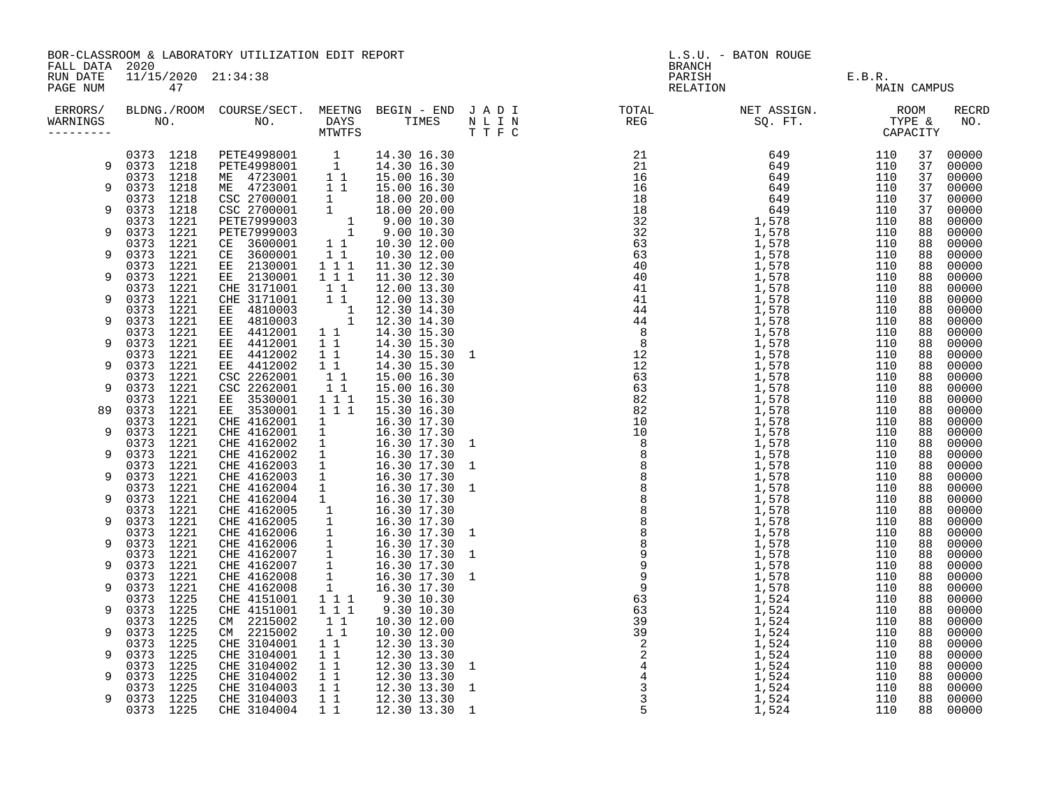|                                        |                              | BOR-CLASSROOM & LABORATORY UTILIZATION EDIT REPORT                                                                                                                                                                                                                                                        |                                                               |                                                                                                                                                                                                                                  | L.S.U. - BATON ROUGE<br><b>BRANCH</b> |               |             |          |                |
|----------------------------------------|------------------------------|-----------------------------------------------------------------------------------------------------------------------------------------------------------------------------------------------------------------------------------------------------------------------------------------------------------|---------------------------------------------------------------|----------------------------------------------------------------------------------------------------------------------------------------------------------------------------------------------------------------------------------|---------------------------------------|---------------|-------------|----------|----------------|
| FALL DATA 2020<br>RUN DATE<br>PAGE NUM | 11/15/2020 21:34:38<br>47    |                                                                                                                                                                                                                                                                                                           |                                                               |                                                                                                                                                                                                                                  | PARISH<br>RELATION                    | F.B.R.<br>MAI | MAIN CAMPUS |          |                |
| ERRORS/<br>WARNINGS<br>---------       |                              |                                                                                                                                                                                                                                                                                                           |                                                               |                                                                                                                                                                                                                                  |                                       |               |             |          | RECRD<br>NO.   |
|                                        | 0373 1218                    | $\begin{tabular}{l c c c} {\tt PETE4998001} & & 1 & 14.30 16.30 \\ {\tt PETE4998001} & 1 & 14.30 16.30 \\ {\tt ME} & 4723001 & 1 & 15.00 16.30 \\ {\tt ME} & 4723001 & 1 & 15.00 16.30 \\ {\tt CSC 2700001} & 1 & 18.00 20.00 \\ {\tt CSC 2700001} & 1 & 18.00 20.00 \\ {\tt CSC 2700001} & 1 & 18.00 20$ |                                                               |                                                                                                                                                                                                                                  |                                       |               | 110         | 37       | 00000          |
| 9                                      | 0373 1218<br>0373 1218       |                                                                                                                                                                                                                                                                                                           |                                                               |                                                                                                                                                                                                                                  |                                       |               | 110<br>110  | 37<br>37 | 00000<br>00000 |
| 9                                      | 0373 1218                    |                                                                                                                                                                                                                                                                                                           |                                                               |                                                                                                                                                                                                                                  |                                       |               | 110         | 37       | 00000          |
|                                        | 0373 1218                    |                                                                                                                                                                                                                                                                                                           |                                                               |                                                                                                                                                                                                                                  |                                       |               | 110         | 37       | 00000          |
| 9                                      | 1218<br>0373<br>0373<br>1221 |                                                                                                                                                                                                                                                                                                           |                                                               |                                                                                                                                                                                                                                  |                                       |               | 110<br>110  | 37<br>88 | 00000<br>00000 |
| 9                                      | 1221<br>0373                 |                                                                                                                                                                                                                                                                                                           |                                                               |                                                                                                                                                                                                                                  |                                       |               | 110         | 88       | 00000          |
|                                        | 0373<br>1221                 |                                                                                                                                                                                                                                                                                                           |                                                               |                                                                                                                                                                                                                                  |                                       |               | 110         | 88       | 00000          |
| 9                                      | 0373<br>1221<br>0373<br>1221 |                                                                                                                                                                                                                                                                                                           |                                                               |                                                                                                                                                                                                                                  |                                       |               | 110<br>110  | 88<br>88 | 00000<br>00000 |
| 9                                      | 1221<br>0373                 |                                                                                                                                                                                                                                                                                                           |                                                               |                                                                                                                                                                                                                                  |                                       |               | 110         | 88       | 00000          |
|                                        | 0373<br>1221                 | CHE 3171001                                                                                                                                                                                                                                                                                               | $\begin{array}{cc} 1 & 1 \\ 1 & 1 \end{array}$                | 12.00 13.30                                                                                                                                                                                                                      |                                       |               | 110         | 88       | 00000          |
| 9                                      | 1221<br>0373<br>1221         |                                                                                                                                                                                                                                                                                                           |                                                               |                                                                                                                                                                                                                                  |                                       |               | 110         | 88<br>88 | 00000          |
| 9                                      | 0373<br>1221<br>0373         |                                                                                                                                                                                                                                                                                                           |                                                               |                                                                                                                                                                                                                                  |                                       |               | 110<br>110  | 88       | 00000<br>00000 |
|                                        | 0373 1221                    |                                                                                                                                                                                                                                                                                                           |                                                               |                                                                                                                                                                                                                                  |                                       |               | 110         | 88       | 00000          |
| 9                                      | 0373<br>1221<br>1221         |                                                                                                                                                                                                                                                                                                           |                                                               | $\begin{array}{cccc} 1 & 1.2 & 1.30 & 14.30 & 1.30 \\ 1 & 1 & 14.30 & 15.30 & 1.30 \\ 1 & 1 & 14.30 & 15.30 & 1.4 & 1.30 & 1.30 \\ 1 & 1 & 14.30 & 15.30 & 1.4 & 1.5 & 1.00 \\ 1 & 1 & 15.00 & 16.30 & 1.5 & 3.0 \\ \end{array}$ |                                       |               | 110         | 88       | 00000          |
| 9                                      | 0373<br>0373<br>1221         | EE 4412002                                                                                                                                                                                                                                                                                                |                                                               |                                                                                                                                                                                                                                  |                                       |               | 110<br>110  | 88<br>88 | 00000<br>00000 |
|                                        | 1221<br>0373                 | CSC 2262001                                                                                                                                                                                                                                                                                               |                                                               |                                                                                                                                                                                                                                  |                                       |               | 110         | 88       | 00000          |
| 9                                      | 0373<br>1221                 | CSC 2262001                                                                                                                                                                                                                                                                                               | $\begin{array}{c} \bar{1} \ \bar{1} \\ 1 \ 1 \ 1 \end{array}$ | 15.00 16.30                                                                                                                                                                                                                      |                                       |               | 110         | 88       | 00000          |
| 89                                     | 1221<br>0373<br>0373<br>1221 | EE 3530001<br>EE 3530001                                                                                                                                                                                                                                                                                  | $1 1 1$                                                       | 15.30 16.30<br>15.30 16.30                                                                                                                                                                                                       |                                       |               | 110<br>110  | 88<br>88 | 00000<br>00000 |
|                                        | 0373<br>1221                 | CHE 4162001                                                                                                                                                                                                                                                                                               | $\overline{1}$                                                | 16.30 17.30                                                                                                                                                                                                                      |                                       |               | 110         | 88       | 00000          |
| 9                                      | 0373<br>1221                 | CHE 4162001                                                                                                                                                                                                                                                                                               | $\frac{1}{1}$                                                 | 16.30 17.30                                                                                                                                                                                                                      |                                       |               | 110         | 88       | 00000          |
| 9                                      | 0373<br>1221<br>0373<br>1221 | CHE 4162002                                                                                                                                                                                                                                                                                               |                                                               | 16.30 17.30 1                                                                                                                                                                                                                    |                                       |               | 110<br>110  | 88<br>88 | 00000<br>00000 |
|                                        | 1221<br>0373                 |                                                                                                                                                                                                                                                                                                           |                                                               |                                                                                                                                                                                                                                  |                                       |               | 110         | 88       | 00000          |
| 9                                      | 0373<br>1221<br>1221         |                                                                                                                                                                                                                                                                                                           |                                                               |                                                                                                                                                                                                                                  |                                       |               | 110         | 88       | 00000          |
| 9                                      | 0373                         |                                                                                                                                                                                                                                                                                                           |                                                               |                                                                                                                                                                                                                                  |                                       |               | 110         | 88       | 00000          |
|                                        | 0373<br>1221<br>1221<br>0373 |                                                                                                                                                                                                                                                                                                           |                                                               |                                                                                                                                                                                                                                  |                                       |               | 110<br>110  | 88<br>88 | 00000<br>00000 |
| 9                                      | 0373 1221                    |                                                                                                                                                                                                                                                                                                           |                                                               |                                                                                                                                                                                                                                  |                                       |               | 110         | 88       | 00000          |
|                                        | 1221<br>0373                 |                                                                                                                                                                                                                                                                                                           |                                                               |                                                                                                                                                                                                                                  |                                       |               | 110         | 88       | 00000          |
| 9                                      | 0373 1221<br>0373<br>1221    |                                                                                                                                                                                                                                                                                                           |                                                               |                                                                                                                                                                                                                                  |                                       |               | 110<br>110  | 88<br>88 | 00000<br>00000 |
| 9                                      | 0373<br>1221                 |                                                                                                                                                                                                                                                                                                           |                                                               |                                                                                                                                                                                                                                  |                                       |               | 110         | 88       | 00000          |
|                                        | 0373<br>1221                 |                                                                                                                                                                                                                                                                                                           |                                                               |                                                                                                                                                                                                                                  |                                       |               | 110         | 88       | 00000          |
| 9                                      | 1221<br>0373                 |                                                                                                                                                                                                                                                                                                           |                                                               |                                                                                                                                                                                                                                  |                                       |               | 110         | 88       | 00000          |
| 9                                      | 0373<br>1225<br>0373 1225    |                                                                                                                                                                                                                                                                                                           |                                                               |                                                                                                                                                                                                                                  |                                       |               | 110<br>110  | 88<br>88 | 00000<br>00000 |
|                                        | 0373 1225                    | CM 2215002                                                                                                                                                                                                                                                                                                | $1\quad1$                                                     | 10.30 12.00                                                                                                                                                                                                                      |                                       |               | 110         | 88       | 00000          |
| 9                                      | 0373<br>1225                 | CM 2215002                                                                                                                                                                                                                                                                                                | 11                                                            | 10.30 12.00                                                                                                                                                                                                                      |                                       |               | 110         | 88       | 00000          |
| 9                                      | 0373<br>1225<br>1225<br>0373 | CHE 3104001<br>CHE 3104001                                                                                                                                                                                                                                                                                | $\begin{array}{cc} 1 & 1 \\ 1 & 1 \end{array}$                | 12.30 13.30                                                                                                                                                                                                                      |                                       |               | 110<br>110  | 88<br>88 | 00000          |
|                                        | 0373<br>1225                 | CHE 3104002                                                                                                                                                                                                                                                                                               |                                                               | 12.30 13.30                                                                                                                                                                                                                      |                                       |               | 110         | 88       | 00000<br>00000 |
| 9                                      | 1225<br>0373                 | CHE 3104002<br>CHE 3104003                                                                                                                                                                                                                                                                                |                                                               |                                                                                                                                                                                                                                  |                                       |               | 110         | 88       | 00000          |
|                                        | 1225<br>0373                 |                                                                                                                                                                                                                                                                                                           |                                                               |                                                                                                                                                                                                                                  |                                       |               | 110         | 88       | 00000          |
| 9                                      | 1225<br>0373<br>0373 1225    | CHE 3104003<br>CHE 3104004                                                                                                                                                                                                                                                                                |                                                               | $\begin{bmatrix} 1 & 1 & 12.30 & 13.30 & 1 \\ 1 & 12.30 & 13.30 & 1 \\ 1 & 12.30 & 13.30 & 1 \\ 1 & 12.30 & 13.30 & 1 \\ 1 & 12.30 & 13.30 & 1 \\ 1 & 12.30 & 13.30 & 1 \\ \end{bmatrix}$                                        |                                       |               | 110<br>110  | 88<br>88 | 00000<br>00000 |
|                                        |                              |                                                                                                                                                                                                                                                                                                           |                                                               |                                                                                                                                                                                                                                  |                                       |               |             |          |                |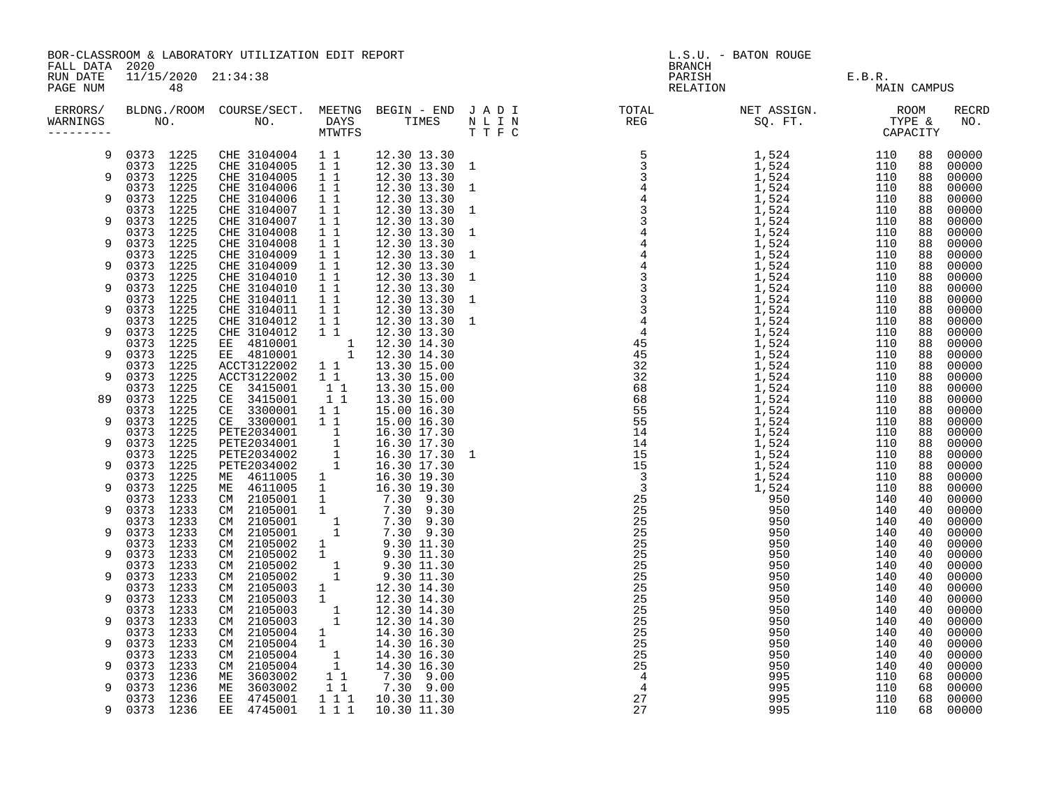|                                        |                           | BOR-CLASSROOM & LABORATORY UTILIZATION EDIT REPORT |                                                                                                                                                                       |                                                                                                                                                                                  | L.S.U. - BATON ROUGE                                                                                                                                                                                                                                                                                                                                                                                                                                                                                                                                                                                                                                                 |                                                   |             |          |                     |  |
|----------------------------------------|---------------------------|----------------------------------------------------|-----------------------------------------------------------------------------------------------------------------------------------------------------------------------|----------------------------------------------------------------------------------------------------------------------------------------------------------------------------------|----------------------------------------------------------------------------------------------------------------------------------------------------------------------------------------------------------------------------------------------------------------------------------------------------------------------------------------------------------------------------------------------------------------------------------------------------------------------------------------------------------------------------------------------------------------------------------------------------------------------------------------------------------------------|---------------------------------------------------|-------------|----------|---------------------|--|
| FALL DATA 2020<br>RUN DATE<br>PAGE NUM | 11/15/2020 21:34:38<br>48 |                                                    |                                                                                                                                                                       |                                                                                                                                                                                  |                                                                                                                                                                                                                                                                                                                                                                                                                                                                                                                                                                                                                                                                      | E.B.R.<br>BRANCH<br>PARISH E.B.R.<br>RELATION MAI | MAIN CAMPUS |          |                     |  |
| WARNINGS                               |                           |                                                    |                                                                                                                                                                       |                                                                                                                                                                                  | ERRORS/ BLDNG./ROOM COURSE/SECT. MEETNG BEGIN – END JADI TOTAL TOTAL NETASSIGN. NET ASSIGN. ROOM ROOM COURSE/SECT. MEETNG BEGIN – END JADI TOTAL TOTAL NETASSIGN. THE &<br>WARNINGS NO. NO. DAYS TIMES NILIN REG SQ.FT. TPE & CAP<br>$\begin{array}{cccccccccccc} \text{R.} & \text{L} & \text{L} & \text{L} & \text{L} & \text{L} & \text{L} & \text{L} & \text{L} & \text{L} & \text{L} & \text{L} & \text{L} & \text{L} & \text{L} & \text{L} & \text{L} & \text{L} & \text{L} & \text{L} & \text{L} & \text{L} & \text{L} & \text{L} & \text{L} & \text{L} & \text{L} & \text{L} & \text{L} & \text{L} & \text{L} & \text{L} & \text{L} & \text{L} & \text{L} &$ |                                                   |             |          | <b>RECRD</b><br>NO. |  |
| 9                                      | 0373 1225<br>0373 1225    | CHE 3104004 1 1<br>CHE 3104005                     | 11                                                                                                                                                                    | 12.30 13.30<br>12.30 13.30 1                                                                                                                                                     |                                                                                                                                                                                                                                                                                                                                                                                                                                                                                                                                                                                                                                                                      |                                                   |             | 88<br>88 | 00000<br>00000      |  |
|                                        | 0373 1225                 | CHE 3104005                                        | 11                                                                                                                                                                    | 12.30 13.30                                                                                                                                                                      |                                                                                                                                                                                                                                                                                                                                                                                                                                                                                                                                                                                                                                                                      |                                                   |             | 88       | 00000               |  |
|                                        | 0373 1225                 | CHE 3104006                                        | 1 1                                                                                                                                                                   | 12.30 13.30 1                                                                                                                                                                    |                                                                                                                                                                                                                                                                                                                                                                                                                                                                                                                                                                                                                                                                      |                                                   |             | 88       | 00000               |  |
| 9                                      | 0373 1225<br>0373 1225    | CHE 3104006<br>CHE 3104007                         | $1\quad1$<br>$1\quad1$                                                                                                                                                | 12.30 13.30<br>12.30 13.30 1                                                                                                                                                     |                                                                                                                                                                                                                                                                                                                                                                                                                                                                                                                                                                                                                                                                      |                                                   |             | 88<br>88 | 00000<br>00000      |  |
|                                        | 0373 1225                 | CHE 3104007                                        | $1\quad1$                                                                                                                                                             | 12.30 13.30                                                                                                                                                                      |                                                                                                                                                                                                                                                                                                                                                                                                                                                                                                                                                                                                                                                                      |                                                   |             | 88       | 00000               |  |
|                                        | 0373 1225                 | CHE 3104008                                        | 11<br>$\overline{1}$ $\overline{1}$                                                                                                                                   | 12.30 13.30 1                                                                                                                                                                    |                                                                                                                                                                                                                                                                                                                                                                                                                                                                                                                                                                                                                                                                      |                                                   |             | 88       | 00000               |  |
| 9                                      | 0373 1225<br>0373 1225    | CHE 3104008<br>CHE 3104009                         | $1\quad1$                                                                                                                                                             | 12.30 13.30<br>12.30 13.30 1                                                                                                                                                     |                                                                                                                                                                                                                                                                                                                                                                                                                                                                                                                                                                                                                                                                      |                                                   |             | 88<br>88 | 00000<br>00000      |  |
|                                        | 0373<br>1225              | CHE 3104009                                        | $\overline{1}$ $\overline{1}$                                                                                                                                         | 12.30 13.30                                                                                                                                                                      |                                                                                                                                                                                                                                                                                                                                                                                                                                                                                                                                                                                                                                                                      |                                                   |             | 88       | 00000               |  |
|                                        | 0373 1225                 | CHE 3104010                                        | $1\quad1$<br>11                                                                                                                                                       | 12.30 13.30 1                                                                                                                                                                    |                                                                                                                                                                                                                                                                                                                                                                                                                                                                                                                                                                                                                                                                      |                                                   |             | 88       | 00000               |  |
| 9                                      | 0373 1225<br>0373 1225    | CHE 3104010<br>CHE 3104011                         | 11                                                                                                                                                                    | 12.30 13.30<br>12.30 13.30 1                                                                                                                                                     |                                                                                                                                                                                                                                                                                                                                                                                                                                                                                                                                                                                                                                                                      |                                                   |             | 88<br>88 | 00000<br>00000      |  |
|                                        | 0373 1225                 | CHE 3104011                                        | 11                                                                                                                                                                    | 12.30 13.30                                                                                                                                                                      |                                                                                                                                                                                                                                                                                                                                                                                                                                                                                                                                                                                                                                                                      |                                                   |             | 88       | 00000               |  |
| 9                                      | 0373 1225<br>0373 1225    | CHE 3104012<br>CHE 3104012                         | $\overline{1}$ $\overline{1}$<br>$1\quad1$                                                                                                                            | $12.30$ $13.30$ 1<br>12.30 13.30                                                                                                                                                 |                                                                                                                                                                                                                                                                                                                                                                                                                                                                                                                                                                                                                                                                      |                                                   |             | 88<br>88 | 00000<br>00000      |  |
|                                        | 0373 1225                 | EE 4810001                                         |                                                                                                                                                                       | 12.30 14.30                                                                                                                                                                      |                                                                                                                                                                                                                                                                                                                                                                                                                                                                                                                                                                                                                                                                      |                                                   |             | 88       | 00000               |  |
| 9                                      | 0373<br>1225              | EE 4810001                                         | $\begin{array}{c} 1 \\ 1 \end{array}$                                                                                                                                 | 12.30 14.30                                                                                                                                                                      |                                                                                                                                                                                                                                                                                                                                                                                                                                                                                                                                                                                                                                                                      |                                                   |             | 88       | 00000               |  |
| 9                                      | 0373 1225<br>0373 1225    | ACCT3122002<br>ACCT3122002                         | 1 1<br>$1\quad1$                                                                                                                                                      | 13.30 15.00<br>13.30 15.00                                                                                                                                                       |                                                                                                                                                                                                                                                                                                                                                                                                                                                                                                                                                                                                                                                                      |                                                   |             | 88<br>88 | 00000<br>00000      |  |
|                                        | 0373 1225                 | CE 3415001                                         | 11                                                                                                                                                                    | 13.30 15.00                                                                                                                                                                      |                                                                                                                                                                                                                                                                                                                                                                                                                                                                                                                                                                                                                                                                      |                                                   |             | 88       | 00000               |  |
| 89                                     | 0373 1225                 | CE 3415001                                         | $1\quad1$                                                                                                                                                             | 13.30 15.00                                                                                                                                                                      |                                                                                                                                                                                                                                                                                                                                                                                                                                                                                                                                                                                                                                                                      |                                                   |             | 88       | 00000               |  |
| 9                                      | 0373 1225<br>0373 1225    | CE 3300001<br>CE 3300001                           | $1\quad1$<br>$1\quad1$                                                                                                                                                | 15.00 16.30<br>15.00 16.30                                                                                                                                                       |                                                                                                                                                                                                                                                                                                                                                                                                                                                                                                                                                                                                                                                                      |                                                   |             | 88<br>88 | 00000<br>00000      |  |
|                                        | 0373 1225                 | PETE2034001                                        |                                                                                                                                                                       | 16.30 17.30                                                                                                                                                                      |                                                                                                                                                                                                                                                                                                                                                                                                                                                                                                                                                                                                                                                                      |                                                   |             | 88       | 00000               |  |
| 9                                      | 0373 1225                 | PETE2034001                                        | $\begin{array}{c}\n\stackrel{\cdot}{\phantom{-}}1 \\ \stackrel{\cdot}{\phantom{-}}1 \\ \stackrel{\cdot}{\phantom{-}}1 \\ \stackrel{\cdot}{\phantom{-}}1\n\end{array}$ | 16.30 17.30                                                                                                                                                                      |                                                                                                                                                                                                                                                                                                                                                                                                                                                                                                                                                                                                                                                                      |                                                   |             | 88       | 00000               |  |
| 9                                      | 0373 1225<br>0373 1225    | PETE2034002<br>PETE2034002                         |                                                                                                                                                                       | 16.30 17.30 1<br>16.30 17.30                                                                                                                                                     |                                                                                                                                                                                                                                                                                                                                                                                                                                                                                                                                                                                                                                                                      |                                                   |             | 88<br>88 | 00000<br>00000      |  |
|                                        | 0373 1225                 | ME 4611005                                         |                                                                                                                                                                       |                                                                                                                                                                                  |                                                                                                                                                                                                                                                                                                                                                                                                                                                                                                                                                                                                                                                                      |                                                   |             | 88       | 00000               |  |
| 9                                      | 0373 1225                 | ME 4611005                                         |                                                                                                                                                                       |                                                                                                                                                                                  |                                                                                                                                                                                                                                                                                                                                                                                                                                                                                                                                                                                                                                                                      |                                                   |             | 88       | 00000               |  |
| 9                                      | 0373 1233<br>0373 1233    | CM 2105001<br>2105001<br>CM                        |                                                                                                                                                                       |                                                                                                                                                                                  |                                                                                                                                                                                                                                                                                                                                                                                                                                                                                                                                                                                                                                                                      |                                                   |             | 40<br>40 | 00000<br>00000      |  |
|                                        | 0373 1233                 | 2105001<br>CM                                      |                                                                                                                                                                       |                                                                                                                                                                                  |                                                                                                                                                                                                                                                                                                                                                                                                                                                                                                                                                                                                                                                                      |                                                   |             | 40       | 00000               |  |
| q                                      | 0373 1233<br>0373 1233    | 2105001<br>CM<br>CM 2105002                        |                                                                                                                                                                       | $\begin{array}{cccc} 1 & 16.30 & 17.30\ 1 & 16.30 & 19.30\ 1 & 16.30 & 19.30\ 1 & 7.30 & 9.30\ 1 & 7.30 & 9.30\ 1 & 7.30 & 9.30\ 1 & 7.30 & 9.30\ 1 & 9.30 & 11.30\ \end{array}$ |                                                                                                                                                                                                                                                                                                                                                                                                                                                                                                                                                                                                                                                                      |                                                   |             | 40<br>40 | 00000<br>00000      |  |
| 9                                      | 0373 1233                 | CM 2105002                                         | $\begin{smallmatrix}1\\1\\1\end{smallmatrix}$                                                                                                                         |                                                                                                                                                                                  |                                                                                                                                                                                                                                                                                                                                                                                                                                                                                                                                                                                                                                                                      |                                                   |             | 40       | 00000               |  |
|                                        | 0373 1233                 | 2105002<br>CM                                      |                                                                                                                                                                       | $9.30$ $\overline{11.30}$<br>$9.30$ $\overline{11.30}$<br>$\begin{array}{cccc} 1 & 9.30 & 11.30 \\ 1 & 9.30 & 11.30 \end{array}$                                                 |                                                                                                                                                                                                                                                                                                                                                                                                                                                                                                                                                                                                                                                                      |                                                   |             | 40       | 00000               |  |
| 9                                      | 0373 1233<br>0373 1233    | 2105002<br>CM<br>CM 2105003                        |                                                                                                                                                                       | 12.30 14.30                                                                                                                                                                      |                                                                                                                                                                                                                                                                                                                                                                                                                                                                                                                                                                                                                                                                      |                                                   |             | 40<br>40 | 00000<br>00000      |  |
| 9                                      | 0373 1233                 | 2105003<br>CM                                      |                                                                                                                                                                       | 12.30 14.30                                                                                                                                                                      |                                                                                                                                                                                                                                                                                                                                                                                                                                                                                                                                                                                                                                                                      |                                                   |             | 40       | 00000               |  |
|                                        | 0373 1233                 | 2105003<br>CM                                      | $\begin{bmatrix} 1 \\ 1 \\ 1 \\ 1 \end{bmatrix}$                                                                                                                      | 12.30 14.30                                                                                                                                                                      |                                                                                                                                                                                                                                                                                                                                                                                                                                                                                                                                                                                                                                                                      |                                                   |             | 40       | 00000               |  |
| 9                                      | 0373 1233<br>0373 1233    | 2105003<br>CM<br>2105004<br>CM                     |                                                                                                                                                                       | 12.30 14.30<br>14.30 16.30                                                                                                                                                       |                                                                                                                                                                                                                                                                                                                                                                                                                                                                                                                                                                                                                                                                      |                                                   |             | 40<br>40 | 00000<br>00000      |  |
| 9                                      | 0373 1233                 | 2105004<br>CM                                      | $\begin{bmatrix} 1 \\ 1 \end{bmatrix}$                                                                                                                                | 14.30 16.30                                                                                                                                                                      |                                                                                                                                                                                                                                                                                                                                                                                                                                                                                                                                                                                                                                                                      |                                                   |             | 40       | 00000               |  |
|                                        | 0373 1233                 | 2105004<br>CM                                      | $\begin{bmatrix} 1 \\ 1 \end{bmatrix}$                                                                                                                                | 14.30 16.30                                                                                                                                                                      |                                                                                                                                                                                                                                                                                                                                                                                                                                                                                                                                                                                                                                                                      |                                                   |             | 40       | 00000               |  |
|                                        | 0373 1233<br>0373 1236    | 2105004<br>CM.<br>3603002<br>МE                    |                                                                                                                                                                       | 14.30 16.30<br>7.30 9.00                                                                                                                                                         |                                                                                                                                                                                                                                                                                                                                                                                                                                                                                                                                                                                                                                                                      |                                                   |             | 40<br>68 | 00000<br>00000      |  |
| 9                                      | 0373 1236                 | 3603002<br>ME                                      | $\begin{array}{rr} & 1 & 1 \\ & 1 & 1 \end{array}$                                                                                                                    | 7.30 9.00                                                                                                                                                                        |                                                                                                                                                                                                                                                                                                                                                                                                                                                                                                                                                                                                                                                                      |                                                   |             | 68       | 00000               |  |
|                                        | 0373 1236                 | 4745001<br>EE                                      | 111                                                                                                                                                                   | 10.30 11.30                                                                                                                                                                      |                                                                                                                                                                                                                                                                                                                                                                                                                                                                                                                                                                                                                                                                      |                                                   |             | 68       | 00000               |  |
| 9                                      | 0373 1236                 | EE 4745001                                         | 111                                                                                                                                                                   | 10.30 11.30                                                                                                                                                                      |                                                                                                                                                                                                                                                                                                                                                                                                                                                                                                                                                                                                                                                                      |                                                   |             | 68       | 00000               |  |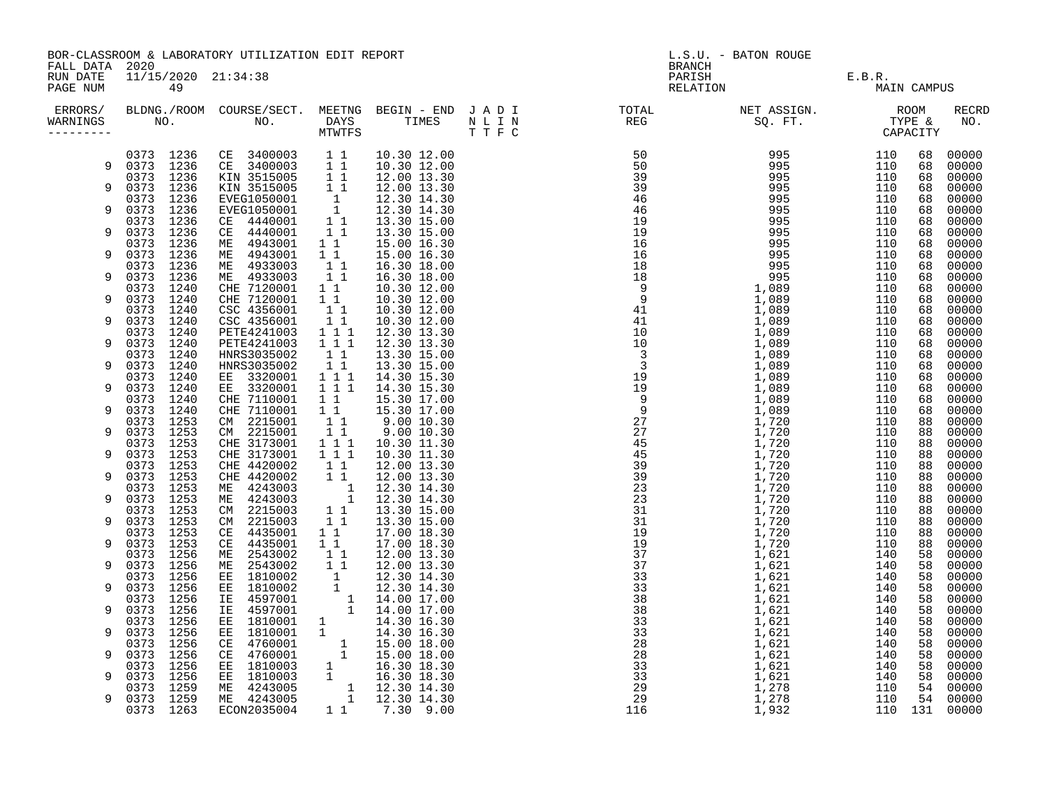| FALL DATA 2020                    |                              | BOR-CLASSROOM & LABORATORY UTILIZATION EDIT REPORT                                                                                           |                                                                                    |                                                                                                                                                                                                     |                                     | L.S.U. - BATON ROUGE                        |            |             |                |
|-----------------------------------|------------------------------|----------------------------------------------------------------------------------------------------------------------------------------------|------------------------------------------------------------------------------------|-----------------------------------------------------------------------------------------------------------------------------------------------------------------------------------------------------|-------------------------------------|---------------------------------------------|------------|-------------|----------------|
| RUN DATE<br>PAGE NUM              | 11/15/2020 21:34:38<br>49    |                                                                                                                                              |                                                                                    |                                                                                                                                                                                                     | <b>BRANCH</b><br>PARISH<br>RELATION | $\mathbf{I} = \mathbf{I} \times \mathbf{I}$ | E.B.R.     | MAIN CAMPUS |                |
| ERRORS/<br>WARNINGS<br>---------- |                              |                                                                                                                                              |                                                                                    |                                                                                                                                                                                                     |                                     |                                             |            |             | RECRD<br>NO.   |
|                                   | 0373 1236                    | CE 3400003 1 1<br>CE 3400003 1 1<br>KIN 3515005 1 1<br>KIN 3515005 1 1<br>EVEG1050001 1<br>EVEG1050001 1<br>CE 4440001 1 1<br>CE 4440001 1 1 |                                                                                    | 10.30 12.00                                                                                                                                                                                         |                                     |                                             | 110        | 68          | 00000          |
| 9                                 | 0373 1236<br>0373 1236       |                                                                                                                                              |                                                                                    | 10.30 12.00<br>12.00 13.30                                                                                                                                                                          |                                     |                                             | 110<br>110 | 68<br>68    | 00000<br>00000 |
| 9                                 | 0373 1236                    |                                                                                                                                              |                                                                                    | 12.00 13.30                                                                                                                                                                                         |                                     |                                             | 110        | 68          | 00000          |
| 9                                 | 0373<br>1236<br>1236<br>0373 |                                                                                                                                              |                                                                                    | 12.30 14.30                                                                                                                                                                                         |                                     |                                             | 110<br>110 | 68<br>68    | 00000<br>00000 |
|                                   | 0373<br>1236                 |                                                                                                                                              |                                                                                    | 12.30 14.30<br>13.30 15.00                                                                                                                                                                          |                                     |                                             | 110        | 68          | 00000          |
| 9                                 | 0373 1236                    | CE 4440001                                                                                                                                   | 11                                                                                 | 13.30 15.00                                                                                                                                                                                         |                                     |                                             | 110        | 68          | 00000          |
| 9                                 | 1236<br>0373<br>0373<br>1236 | ME 4943001<br>ME 4943001                                                                                                                     | 11<br>11                                                                           | 15.00 16.30<br>15.00 16.30                                                                                                                                                                          |                                     |                                             | 110<br>110 | 68<br>68    | 00000<br>00000 |
|                                   | 0373<br>1236                 | ME 4933003                                                                                                                                   | $\begin{bmatrix} 1 \\ 1 \\ 1 \end{bmatrix}$                                        | 16.30 18.00                                                                                                                                                                                         |                                     |                                             | 110        | 68          | 00000          |
| 9                                 | 0373 1236                    | ME 4933003                                                                                                                                   |                                                                                    | 16.30 18.00                                                                                                                                                                                         |                                     |                                             | 110        | 68          | 00000          |
| 9                                 | 1240<br>0373<br>0373<br>1240 | CHE 7120001<br>CHE 7120001                                                                                                                   | $1\quad1$<br>$1\quad1$                                                             | 10.30 12.00<br>10.30 12.00                                                                                                                                                                          |                                     |                                             | 110<br>110 | 68<br>68    | 00000<br>00000 |
|                                   | 0373<br>1240                 | CSC 4356001                                                                                                                                  | $1\quad1$                                                                          | 10.30 12.00                                                                                                                                                                                         |                                     |                                             | 110        | 68          | 00000          |
| 9                                 | 0373<br>1240                 | CSC 4356001                                                                                                                                  | $\begin{array}{c} \bar{1} & \bar{1} \\ 1 & 1 & 1 \end{array}$                      | 10.30 12.00                                                                                                                                                                                         |                                     |                                             | 110        | 68          | 00000          |
| 9                                 | 0373 1240<br>0373<br>1240    | PETE4241003<br>PETE4241003                                                                                                                   | 111                                                                                | 12.30 13.30<br>12.30 13.30                                                                                                                                                                          |                                     |                                             | 110<br>110 | 68<br>68    | 00000<br>00000 |
|                                   | 0373 1240                    | HNRS3035002                                                                                                                                  | 11                                                                                 | 13.30 15.00                                                                                                                                                                                         |                                     |                                             | 110        | 68          | 00000          |
| 9                                 | 0373<br>1240                 | HNRS3035002                                                                                                                                  | $\begin{array}{cccc} & 1 & 1 & & \\ 1 & 1 & 1 & & \\ 1 & 1 & 1 & & \\ \end{array}$ | 13.30 15.00                                                                                                                                                                                         |                                     |                                             | 110        | 68          | 00000          |
| 9                                 | 0373<br>1240<br>0373<br>1240 | EE 3320001<br>EE 3320001                                                                                                                     |                                                                                    | 14.30 15.30<br>14.30 15.30                                                                                                                                                                          |                                     |                                             | 110<br>110 | 68<br>68    | 00000<br>00000 |
|                                   | 0373<br>1240                 | CHE 7110001                                                                                                                                  | $1\quad1$                                                                          | 15.30 17.00                                                                                                                                                                                         |                                     |                                             | 110        | 68          | 00000          |
| 9                                 | 0373<br>1240                 | CHE 7110001                                                                                                                                  | $\overline{1}$ $\overline{1}$                                                      | 15.30 17.00                                                                                                                                                                                         |                                     |                                             | 110        | 68          | 00000          |
| 9                                 | 0373<br>1253<br>0373<br>1253 | CM 2215001                                                                                                                                   | 11<br>$\overline{1}$ $\overline{1}$                                                | 9.00 10.30<br>9.00 10.30                                                                                                                                                                            |                                     |                                             | 110<br>110 | 88<br>88    | 00000<br>00000 |
|                                   | 1253<br>0373                 | CM 2215001<br>CHE 3173001                                                                                                                    | $1\overline{1}$                                                                    | 10.30 11.30                                                                                                                                                                                         |                                     |                                             | 110        | 88          | 00000          |
| 9                                 | 0373<br>1253                 | CHE 3173001                                                                                                                                  | $1 1 1$                                                                            | 10.30 11.30                                                                                                                                                                                         |                                     |                                             | 110        | 88          | 00000          |
| 9                                 | 1253<br>0373<br>0373<br>1253 | CHE 4420002<br>CHE 4420002                                                                                                                   | $1\quad1$<br>$1\quad1$                                                             | 12.00 13.30<br>12.00 13.30                                                                                                                                                                          |                                     |                                             | 110<br>110 | 88<br>88    | 00000<br>00000 |
|                                   | 1253<br>0373                 | ME 4243003                                                                                                                                   | $\begin{bmatrix} 1 \\ 1 \end{bmatrix}$                                             | 12.30 14.30                                                                                                                                                                                         |                                     |                                             | 110        | 88          | 00000          |
| 9                                 | 0373<br>1253                 | ME 4243003                                                                                                                                   |                                                                                    | 12.30 14.30                                                                                                                                                                                         |                                     |                                             | 110        | 88          | 00000          |
| 9                                 | 0373 1253<br>0373 1253       | CM 2215003<br>CM 2215003                                                                                                                     | $1\quad1$<br>11                                                                    | 13.30 15.00<br>13.30 15.00                                                                                                                                                                          |                                     |                                             | 110<br>110 | 88<br>88    | 00000<br>00000 |
|                                   | 1253<br>0373                 | CE 4435001                                                                                                                                   | 11                                                                                 | 17.00 18.30                                                                                                                                                                                         |                                     |                                             | 110        | 88          | 00000          |
| 9                                 | 0373 1253                    | CE 4435001                                                                                                                                   | $1\quad1$                                                                          | 17.00 18.30                                                                                                                                                                                         |                                     |                                             | 110        | 88          | 00000          |
| 9                                 | 1256<br>0373<br>0373<br>1256 | ME 2543002<br>ME 2543002                                                                                                                     | 11                                                                                 | 12.00 13.30                                                                                                                                                                                         |                                     |                                             | 140<br>140 | 58<br>58    | 00000<br>00000 |
|                                   | 1256<br>0373                 | EE 1810002                                                                                                                                   |                                                                                    | $\begin{array}{rrrr} 1 & 1 & 12.00 & 13.30 \ 1 & 12.00 & 13.30 \ 1 & 12.30 & 14.30 \ 1 & 12.30 & 14.30 \ 1 & 14.00 & 17.00 \ 1 & 14.30 & 16.30 \ 1 & 14.30 & 16.30 \ 1 & 15.00 & 18.00 \end{array}$ |                                     |                                             | 140        | 58          | 00000          |
| 9                                 | 0373<br>1256                 | EE 1810002                                                                                                                                   |                                                                                    |                                                                                                                                                                                                     |                                     |                                             | 140        | 58          | 00000          |
| 9                                 | 0373<br>1256<br>0373<br>1256 | 4597001<br>IE<br>IE 4597001                                                                                                                  |                                                                                    |                                                                                                                                                                                                     |                                     |                                             | 140<br>140 | 58<br>58    | 00000<br>00000 |
|                                   | 0373<br>1256                 |                                                                                                                                              |                                                                                    |                                                                                                                                                                                                     |                                     |                                             | 140        | 58          | 00000          |
| 9                                 | 0373<br>1256                 |                                                                                                                                              |                                                                                    |                                                                                                                                                                                                     |                                     |                                             | 140        | 58          | 00000          |
| 9                                 | 0373<br>1256<br>0373<br>1256 | EE 1810001<br>EE 1810001<br>CE 4760001<br>CE 4760001<br>EE 1810003<br>ET 1810003                                                             |                                                                                    |                                                                                                                                                                                                     |                                     |                                             | 140<br>140 | 58<br>58    | 00000<br>00000 |
|                                   | 0373<br>1256                 |                                                                                                                                              |                                                                                    |                                                                                                                                                                                                     |                                     |                                             | 140        | 58          | 00000          |
| 9                                 | 0373<br>1256                 |                                                                                                                                              |                                                                                    |                                                                                                                                                                                                     |                                     |                                             | 140        | 58          | 00000          |
| 9                                 | 1259<br>0373<br>0373 1259    | EE 1810003<br>ME 4243005<br>ME 4243005                                                                                                       |                                                                                    | $\begin{array}{rrrr} 1 & 14.30 & 18.30 \ 1 & 15.00 & 18.00 \ 1 & 15.00 & 18.00 \ 1 & 16.30 & 18.30 \ 1 & 16.30 & 18.30 \ 1 & 12.30 & 14.30 \ 1 & 12.30 & 14.30 \end{array}$                         |                                     |                                             | 110<br>110 | 54<br>54    | 00000<br>00000 |
|                                   | 1263<br>0373                 | ECON2035004                                                                                                                                  |                                                                                    | 1 1 7.30 9.00                                                                                                                                                                                       |                                     |                                             |            |             | 110 131 00000  |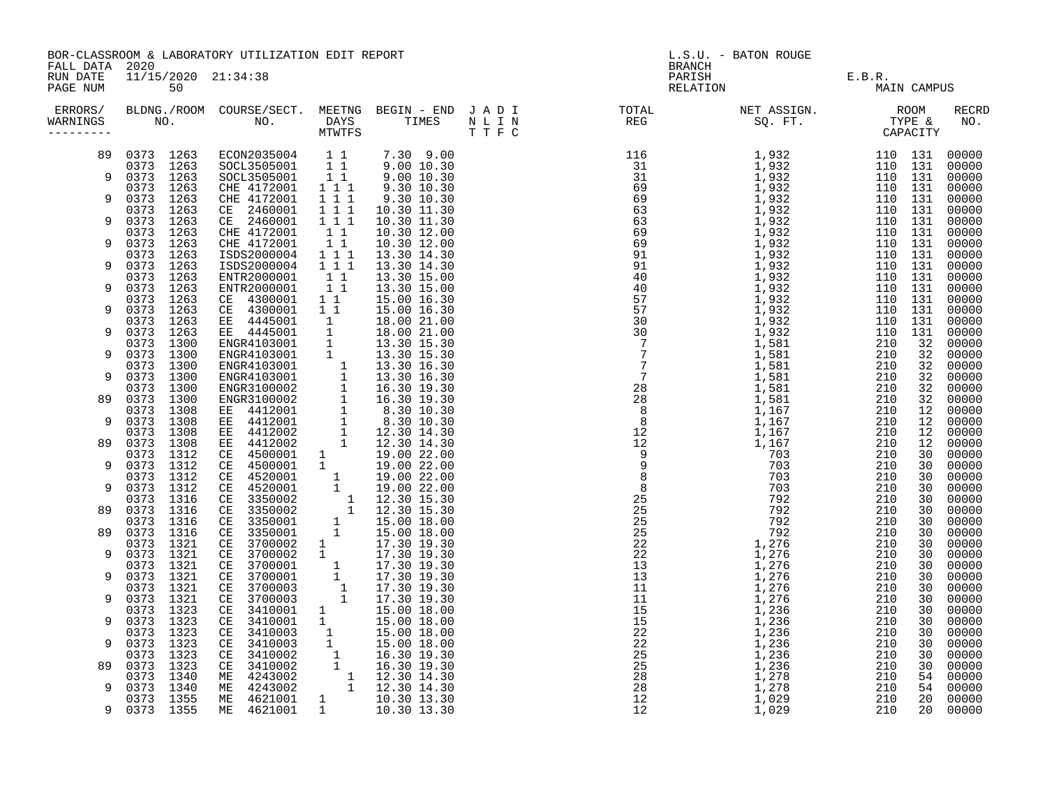|                                  | BOR-CLASSROOM & LABORATORY UTILIZATION EDIT REPORT<br>FALL DATA 2020<br>11/15/2020 21:34:38 |                                                                                                                                                                                                                                                |                                  |                                                                                                                                                                             |  | L.S.U. - BATON ROUGE<br><b>BRANCH</b>                                                                                                                                                                                                                                                                                                      |                    |                    |             |                        |  |
|----------------------------------|---------------------------------------------------------------------------------------------|------------------------------------------------------------------------------------------------------------------------------------------------------------------------------------------------------------------------------------------------|----------------------------------|-----------------------------------------------------------------------------------------------------------------------------------------------------------------------------|--|--------------------------------------------------------------------------------------------------------------------------------------------------------------------------------------------------------------------------------------------------------------------------------------------------------------------------------------------|--------------------|--------------------|-------------|------------------------|--|
| RUN DATE<br>PAGE NUM             | 50                                                                                          |                                                                                                                                                                                                                                                |                                  |                                                                                                                                                                             |  |                                                                                                                                                                                                                                                                                                                                            | PARISH<br>RELATION | E.B.R.             | MAIN CAMPUS |                        |  |
| ERRORS/<br>WARNINGS<br>--------- |                                                                                             |                                                                                                                                                                                                                                                |                                  |                                                                                                                                                                             |  | $\begin{tabular}{cccc} $N$ K1 T $P$ & $N$ K21 $P$ & $N$ K31 $141 $\\ $N$ R1 T $P$ & $N$ R21 $16$ \\ $10$ & $10$ & $10$ & $10$ & $10$ \\ $31$ & $1$ & $10$ & $32$ & $2$ \\ $41$ & $10$ & $10$ & $10$ & $10$ \\ $52$ & $11$ & $10$ & $10$ & $10$ \\ $63$ & $11$ & $10$ & $10$ & $10$ \\ $63$ & $11$ & $10$ & $10$ & $10$ \\ $7$ & $11$ & $1$ |                    |                    |             | RECRD<br>NO.           |  |
| 89                               | 0373 1263<br>0373 1263                                                                      | $\begin{tabular}{lllllllll} \texttt{ECON2035004} & & 1 & 1 & 7.30 & 9.00 \\ \texttt{SOCL3505001} & & 1 & 1 & 9.00 & 10.30 \\ \end{tabular}$                                                                                                    |                                  |                                                                                                                                                                             |  |                                                                                                                                                                                                                                                                                                                                            |                    | 110 131            |             | 110 131 00000<br>00000 |  |
| 9                                | 0373 1263<br>0373 1263                                                                      | SOCL3505001 11 9.00 10.30                                                                                                                                                                                                                      |                                  |                                                                                                                                                                             |  |                                                                                                                                                                                                                                                                                                                                            |                    | 110 131            |             | 00000                  |  |
| 9                                | 0373 1263                                                                                   | CHE 4172001<br>CHE 4172001                                                                                                                                                                                                                     | $1 1 1$<br>$1 1 1$               | $9.30$ $10.30$<br>9.30 10.30                                                                                                                                                |  |                                                                                                                                                                                                                                                                                                                                            |                    | 110 131<br>110 131 |             | 00000<br>00000         |  |
| 9                                | 0373 1263<br>0373 1263                                                                      | CE 2460001<br>CE 2460001                                                                                                                                                                                                                       | $1 1 1$<br>1 1 1                 | 10.30 11.30<br>10.30 11.30                                                                                                                                                  |  |                                                                                                                                                                                                                                                                                                                                            |                    | 110 131<br>110 131 |             | 00000<br>00000         |  |
| 9                                | 0373 1263<br>0373 1263                                                                      | CHE 4172001<br>CHE 4172001                                                                                                                                                                                                                     | $1\quad1$<br>$1\quad1$           | 10.30 12.00<br>10.30 12.00                                                                                                                                                  |  |                                                                                                                                                                                                                                                                                                                                            |                    | 110 131<br>110 131 |             | 00000<br>00000         |  |
| 9                                | 1263<br>0373                                                                                | ISDS2000004                                                                                                                                                                                                                                    | 1 1 1<br>111                     | 13.30 14.30                                                                                                                                                                 |  |                                                                                                                                                                                                                                                                                                                                            |                    | 110 131            |             | 00000                  |  |
|                                  | 0373<br>1263<br>1263<br>0373                                                                | ISDS2000004<br>ENTR2000001                                                                                                                                                                                                                     | $1\quad1$                        | 13.30 14.30<br>13.30 15.00                                                                                                                                                  |  |                                                                                                                                                                                                                                                                                                                                            |                    | 110 131<br>110 131 |             | 00000<br>00000         |  |
| 9                                | 0373 1263<br>0373<br>1263                                                                   | ENTR2000001<br>CE 4300001                                                                                                                                                                                                                      | $1\quad1$<br>$1\quad1$           | 13.30 15.00<br>15.00 16.30                                                                                                                                                  |  |                                                                                                                                                                                                                                                                                                                                            |                    | 110 131<br>110 131 |             | 00000<br>00000         |  |
| 9                                | 0373 1263                                                                                   | CE 4300001                                                                                                                                                                                                                                     | $1\quad1$                        | 15.00 16.30                                                                                                                                                                 |  |                                                                                                                                                                                                                                                                                                                                            |                    | 110 131            |             | 00000                  |  |
| 9                                | 0373<br>1263<br>0373 1263                                                                   |                                                                                                                                                                                                                                                |                                  |                                                                                                                                                                             |  |                                                                                                                                                                                                                                                                                                                                            |                    | 110 131<br>110 131 |             | 00000<br>00000         |  |
| 9                                | 1300<br>0373<br>1300<br>0373                                                                |                                                                                                                                                                                                                                                |                                  |                                                                                                                                                                             |  |                                                                                                                                                                                                                                                                                                                                            |                    | 210<br>210         | 32<br>32    | 00000<br>00000         |  |
|                                  | 1300<br>0373                                                                                |                                                                                                                                                                                                                                                |                                  |                                                                                                                                                                             |  |                                                                                                                                                                                                                                                                                                                                            |                    | 210                | 32          | 00000                  |  |
| 9                                | 0373 1300<br>0373<br>1300                                                                   |                                                                                                                                                                                                                                                |                                  |                                                                                                                                                                             |  |                                                                                                                                                                                                                                                                                                                                            |                    | 210<br>210         | 32<br>32    | 00000<br>00000         |  |
| 89                               | 0373 1300<br>0373<br>1308                                                                   |                                                                                                                                                                                                                                                |                                  |                                                                                                                                                                             |  |                                                                                                                                                                                                                                                                                                                                            |                    | 210<br>210         | 32<br>12    | 00000<br>00000         |  |
| 9                                | 0373 1308                                                                                   |                                                                                                                                                                                                                                                |                                  |                                                                                                                                                                             |  |                                                                                                                                                                                                                                                                                                                                            |                    | 210                | 12          | 00000                  |  |
| 89                               | 0373<br>1308<br>1308<br>0373                                                                |                                                                                                                                                                                                                                                |                                  |                                                                                                                                                                             |  |                                                                                                                                                                                                                                                                                                                                            |                    | 210<br>210         | 12<br>12    | 00000<br>00000         |  |
|                                  | 0373<br>1312                                                                                |                                                                                                                                                                                                                                                |                                  |                                                                                                                                                                             |  |                                                                                                                                                                                                                                                                                                                                            |                    | 210                | 30          | 00000                  |  |
| 9                                | 0373 1312<br>1312<br>0373                                                                   |                                                                                                                                                                                                                                                |                                  |                                                                                                                                                                             |  |                                                                                                                                                                                                                                                                                                                                            |                    | 210<br>210         | 30<br>30    | 00000<br>00000         |  |
| 9                                | 0373<br>1312<br>0373<br>1316                                                                |                                                                                                                                                                                                                                                |                                  |                                                                                                                                                                             |  |                                                                                                                                                                                                                                                                                                                                            |                    | 210<br>210         | 30<br>30    | 00000<br>00000         |  |
| 89                               | 0373<br>1316                                                                                |                                                                                                                                                                                                                                                |                                  |                                                                                                                                                                             |  |                                                                                                                                                                                                                                                                                                                                            |                    | 210                | 30          | 00000                  |  |
| 89                               | 0373<br>1316<br>0373<br>1316                                                                |                                                                                                                                                                                                                                                |                                  |                                                                                                                                                                             |  |                                                                                                                                                                                                                                                                                                                                            |                    | 210<br>210         | 30<br>30    | 00000<br>00000         |  |
| 9                                | 0373<br>1321<br>1321<br>0373                                                                | CE 4500001 1 19.00 22.00<br>CE 4520001 1 19.00 22.00<br>CE 4520001 1 19.00 22.00<br>CE 3350002 1 12.30 15.30<br>CE 3350002 1 12.30 15.30<br>CE 3350001 1 15.00 18.00<br>CE 3700002 1 17.30 19.30<br>CE 3700002 1 17.30 19.30<br>CE 3700002 1 1 |                                  |                                                                                                                                                                             |  |                                                                                                                                                                                                                                                                                                                                            |                    | 210<br>210         | 30<br>30    | 00000<br>00000         |  |
|                                  | 0373 1321                                                                                   | CE                                                                                                                                                                                                                                             |                                  |                                                                                                                                                                             |  |                                                                                                                                                                                                                                                                                                                                            |                    | 210                | 30          | 00000                  |  |
| 9                                | 0373<br>1321<br>0373 1321                                                                   | CE<br>CE 3700003                                                                                                                                                                                                                               |                                  | 3700001 1 17.30 19.30<br>3700001 1 17.30 19.30<br>3700003 1 17.30 19.30<br>3700003 1 17.30 19.30                                                                            |  |                                                                                                                                                                                                                                                                                                                                            |                    | 210<br>210         | 30<br>30    | 00000<br>00000         |  |
| 9                                | 1321<br>0373<br>1323<br>0373                                                                | $\mathbb{C}\mathbb{E}$<br>3410001<br>CE                                                                                                                                                                                                        |                                  | 15.00 18.00                                                                                                                                                                 |  |                                                                                                                                                                                                                                                                                                                                            |                    | 210<br>210         | 30<br>30    | 00000<br>00000         |  |
| 9                                | 0373<br>1323                                                                                | 3410001<br>CE                                                                                                                                                                                                                                  | $\begin{matrix}1\\1\end{matrix}$ | 15.00 18.00                                                                                                                                                                 |  |                                                                                                                                                                                                                                                                                                                                            |                    | 210                | 30          | 00000                  |  |
| 9                                | 1323<br>0373<br>1323<br>0373                                                                | 3410003<br>$\mathbb{C}\mathbb{E}$<br>3410003<br>$\mathbb{C}\mathbb{E}$                                                                                                                                                                         |                                  |                                                                                                                                                                             |  |                                                                                                                                                                                                                                                                                                                                            |                    | 210<br>210         | 30<br>30    | 00000<br>00000         |  |
| 89                               | 1323<br>0373<br>0373<br>1323                                                                | $\mathbb{C}\mathcal{E}$<br>3410002<br>3410002<br>$\mathbb{C}\mathbb{E}$                                                                                                                                                                        |                                  | $\begin{array}{cccc} 1 & 15.00 & 18.00 \ 1 & 15.00 & 18.00 \ 1 & 15.00 & 18.00 \ 1 & 16.30 & 19.30 \ 1 & 16.30 & 19.30 \ 1 & 12.30 & 14.30 \ 1 & 12.30 & 14.30 \end{array}$ |  |                                                                                                                                                                                                                                                                                                                                            |                    | 210<br>210         | 30<br>30    | 00000<br>00000         |  |
|                                  | 1340<br>0373                                                                                | ME 4243002<br>ME 4243002                                                                                                                                                                                                                       |                                  |                                                                                                                                                                             |  |                                                                                                                                                                                                                                                                                                                                            |                    | 210                | 54          | 00000                  |  |
| 9                                | 0373<br>1340<br>1355<br>0373                                                                | ME 4621001                                                                                                                                                                                                                                     |                                  |                                                                                                                                                                             |  |                                                                                                                                                                                                                                                                                                                                            |                    | 210<br>210         | 54<br>20    | 00000<br>00000         |  |
| 9                                | 0373 1355                                                                                   | ME 4621001                                                                                                                                                                                                                                     |                                  | $\begin{array}{ccc} 1 & 10.30 & 13.30 \\ 1 & 10.30 & 13.30 \end{array}$                                                                                                     |  |                                                                                                                                                                                                                                                                                                                                            |                    | 210                | 20          | 00000                  |  |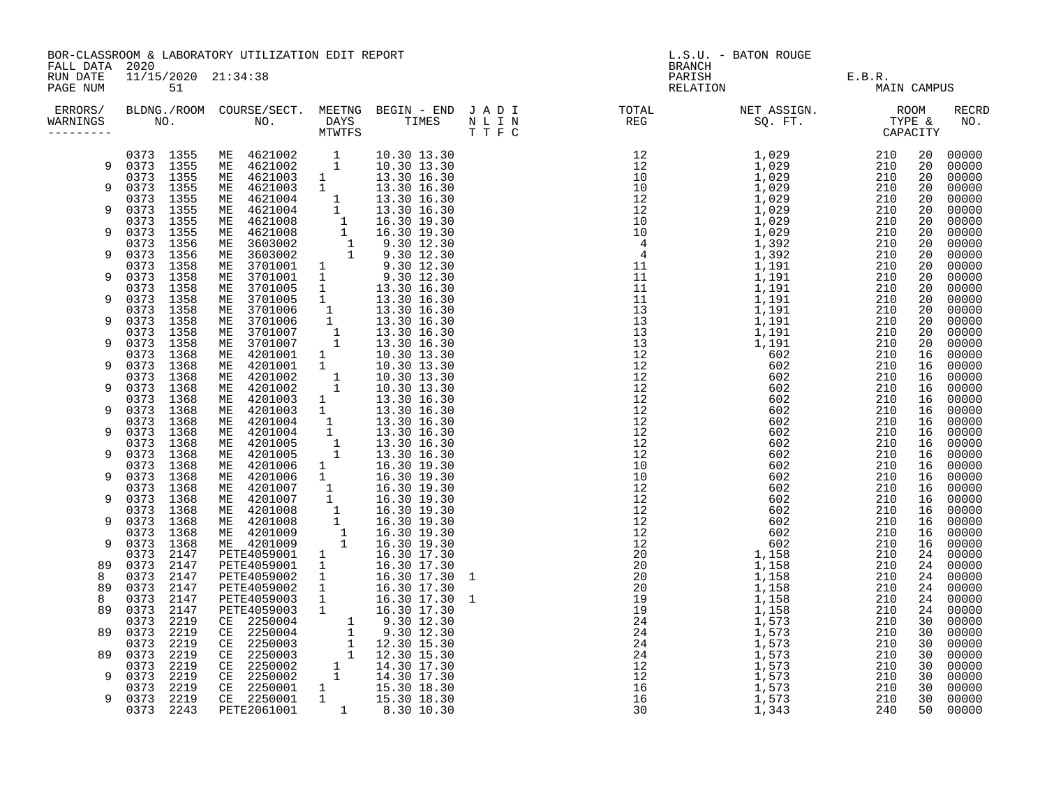|                       | BOR-CLASSROOM & LABORATORY UTILIZATION EDIT REPORT<br>FALL DATA 2020<br>11/15/2020 21:34:38 |              |                                                                                                                                                                                                                                                |               |                                                                                                                                                         | L.S.U. - BATON ROUGE<br>BRANCH |                                                                                                                                                                                                                                                                                                                                                                                                                                                                                                                                                                                                                                                                                                                   |                                  |             |          |                |
|-----------------------|---------------------------------------------------------------------------------------------|--------------|------------------------------------------------------------------------------------------------------------------------------------------------------------------------------------------------------------------------------------------------|---------------|---------------------------------------------------------------------------------------------------------------------------------------------------------|--------------------------------|-------------------------------------------------------------------------------------------------------------------------------------------------------------------------------------------------------------------------------------------------------------------------------------------------------------------------------------------------------------------------------------------------------------------------------------------------------------------------------------------------------------------------------------------------------------------------------------------------------------------------------------------------------------------------------------------------------------------|----------------------------------|-------------|----------|----------------|
| RUN DATE<br>PAGE NUM  |                                                                                             | 51           |                                                                                                                                                                                                                                                |               |                                                                                                                                                         |                                |                                                                                                                                                                                                                                                                                                                                                                                                                                                                                                                                                                                                                                                                                                                   | PARISH E.B.R.<br>RELATION E.B.R. | MAIN CAMPUS |          |                |
| WARNINGS<br>--------- |                                                                                             |              |                                                                                                                                                                                                                                                |               |                                                                                                                                                         |                                | ERRORS/ BLDNG./ROOM COURSE/SECT. MEETNG BEGIN – END JADI TOTAL TOTAL NETASSIGN. NET ASSIGN. ROOM ROOM COURSE/SECT. MEETNG BEGIN – END JADI TOTAL TOTAL NETASSIGN. TYPE &<br>WARNINGS NO. NO. DAYS TIMES NLIN REG SQ.FT. TPE & CAP<br>$\begin{array}{cccc} \texttt{N} = \texttt{N} & \texttt{N} = \texttt{N} \end{array} \hspace{0.5cm} \begin{array}{cccc} \texttt{N} = \texttt{N} \end{array} \hspace{1.5cm} \begin{array}{cccc} \texttt{N} = \texttt{N} \end{array} \hspace{1.5cm} \begin{array}{cccc} \texttt{N} = \texttt{N} \end{array} \hspace{1.5cm} \begin{array}{cccc} \texttt{N} = \texttt{N} \end{array} \hspace{1.5cm} \begin{array}{cccc} \texttt{N} = \texttt{N} \end{array} \hspace{1.5cm} \begin$ |                                  |             |          | RECRD<br>NO.   |
|                       | 9 0373 1355                                                                                 |              | 0373 1355 ME 4621002 1<br>0373 1355 ME 4621002 1<br>ME 4621002                                                                                                                                                                                 |               | 10.30 13.30<br>10.30 13.30                                                                                                                              |                                |                                                                                                                                                                                                                                                                                                                                                                                                                                                                                                                                                                                                                                                                                                                   |                                  |             | 20<br>20 | 00000<br>00000 |
|                       | 0373 1355                                                                                   |              | ME 4621003 1<br>ME 4621003 1                                                                                                                                                                                                                   |               | 13.30 16.30                                                                                                                                             |                                |                                                                                                                                                                                                                                                                                                                                                                                                                                                                                                                                                                                                                                                                                                                   |                                  |             | 20       | 00000          |
| 9                     | 0373 1355<br>0373 1355                                                                      |              |                                                                                                                                                                                                                                                |               | 13.30 16.30                                                                                                                                             |                                |                                                                                                                                                                                                                                                                                                                                                                                                                                                                                                                                                                                                                                                                                                                   |                                  |             | 20<br>20 | 00000<br>00000 |
| 9                     | 0373                                                                                        | 1355         |                                                                                                                                                                                                                                                |               |                                                                                                                                                         |                                |                                                                                                                                                                                                                                                                                                                                                                                                                                                                                                                                                                                                                                                                                                                   |                                  |             | 20       | 00000          |
| 9                     | 0373<br>0373                                                                                | 1355<br>1355 | ME 4621003 1 13.30 16.30<br>ME 4621004 1 13.30 16.30<br>ME 4621004 1 13.30 16.30<br>ME 4621008 1 16.30 19.30<br>ME 6621008 1 16.30 19.30<br>ME 663002 1 9.30 12.30<br>ME 3603002 1 9.30 12.30<br>ME 3701001 1 9.30 12.30<br>ME 3701005 1 13.30 |               |                                                                                                                                                         |                                |                                                                                                                                                                                                                                                                                                                                                                                                                                                                                                                                                                                                                                                                                                                   |                                  |             | 20<br>20 | 00000<br>00000 |
| 9                     | 0373<br>0373                                                                                | 1356<br>1356 |                                                                                                                                                                                                                                                |               |                                                                                                                                                         |                                |                                                                                                                                                                                                                                                                                                                                                                                                                                                                                                                                                                                                                                                                                                                   |                                  |             | 20<br>20 | 00000<br>00000 |
|                       | 0373                                                                                        | 1358         |                                                                                                                                                                                                                                                |               |                                                                                                                                                         |                                |                                                                                                                                                                                                                                                                                                                                                                                                                                                                                                                                                                                                                                                                                                                   |                                  |             | 20       | 00000          |
| 9                     | 0373<br>0373                                                                                | 1358<br>1358 |                                                                                                                                                                                                                                                |               |                                                                                                                                                         |                                |                                                                                                                                                                                                                                                                                                                                                                                                                                                                                                                                                                                                                                                                                                                   |                                  |             | 20<br>20 | 00000<br>00000 |
| 9                     | 0373                                                                                        | 1358         |                                                                                                                                                                                                                                                |               |                                                                                                                                                         |                                |                                                                                                                                                                                                                                                                                                                                                                                                                                                                                                                                                                                                                                                                                                                   |                                  |             | 20       | 00000          |
| 9                     | 0373<br>0373                                                                                | 1358<br>1358 |                                                                                                                                                                                                                                                |               |                                                                                                                                                         |                                |                                                                                                                                                                                                                                                                                                                                                                                                                                                                                                                                                                                                                                                                                                                   |                                  |             | 20<br>20 | 00000<br>00000 |
|                       | 0373 1358                                                                                   |              |                                                                                                                                                                                                                                                |               |                                                                                                                                                         |                                |                                                                                                                                                                                                                                                                                                                                                                                                                                                                                                                                                                                                                                                                                                                   |                                  |             | 20       | 00000          |
| 9                     | 0373<br>0373                                                                                | 1358<br>1368 |                                                                                                                                                                                                                                                |               |                                                                                                                                                         |                                |                                                                                                                                                                                                                                                                                                                                                                                                                                                                                                                                                                                                                                                                                                                   |                                  |             | 20<br>16 | 00000<br>00000 |
| 9                     | 0373                                                                                        | 1368         |                                                                                                                                                                                                                                                |               |                                                                                                                                                         |                                |                                                                                                                                                                                                                                                                                                                                                                                                                                                                                                                                                                                                                                                                                                                   |                                  |             | 16       | 00000          |
| 9                     | 0373 1368<br>0373                                                                           | 1368         |                                                                                                                                                                                                                                                |               |                                                                                                                                                         |                                |                                                                                                                                                                                                                                                                                                                                                                                                                                                                                                                                                                                                                                                                                                                   |                                  |             | 16<br>16 | 00000<br>00000 |
|                       | 0373                                                                                        | 1368         |                                                                                                                                                                                                                                                |               |                                                                                                                                                         |                                |                                                                                                                                                                                                                                                                                                                                                                                                                                                                                                                                                                                                                                                                                                                   |                                  |             | 16       | 00000          |
| 9                     | 0373<br>0373 1368                                                                           | 1368         | ME 4201004                                                                                                                                                                                                                                     |               |                                                                                                                                                         |                                |                                                                                                                                                                                                                                                                                                                                                                                                                                                                                                                                                                                                                                                                                                                   |                                  |             | 16<br>16 | 00000<br>00000 |
| 9                     | 0373 1368                                                                                   |              | ME 4201004                                                                                                                                                                                                                                     |               |                                                                                                                                                         |                                |                                                                                                                                                                                                                                                                                                                                                                                                                                                                                                                                                                                                                                                                                                                   |                                  |             | 16       | 00000          |
| 9                     | 0373<br>0373 1368                                                                           | 1368         | ME 4201005<br>ME 4201005                                                                                                                                                                                                                       |               | $\begin{array}{rrrr} 1 & 13.30 & 16.30 \ 1 & 13.30 & 16.30 \ 1 & 13.30 & 16.30 \ 1 & 13.30 & 16.30 \ 1 & 13.30 & 16.30 \ 1 & 13.30 & 16.30 \end{array}$ |                                |                                                                                                                                                                                                                                                                                                                                                                                                                                                                                                                                                                                                                                                                                                                   |                                  |             | 16<br>16 | 00000<br>00000 |
|                       | 0373                                                                                        | 1368         | ME 4201006                                                                                                                                                                                                                                     | 1             | 16.30 19.30                                                                                                                                             |                                |                                                                                                                                                                                                                                                                                                                                                                                                                                                                                                                                                                                                                                                                                                                   |                                  |             | 16       | 00000          |
| 9                     | 0373<br>0373                                                                                | 1368<br>1368 |                                                                                                                                                                                                                                                |               |                                                                                                                                                         |                                |                                                                                                                                                                                                                                                                                                                                                                                                                                                                                                                                                                                                                                                                                                                   |                                  |             | 16<br>16 | 00000<br>00000 |
| 9                     | 0373                                                                                        | 1368         |                                                                                                                                                                                                                                                |               |                                                                                                                                                         |                                |                                                                                                                                                                                                                                                                                                                                                                                                                                                                                                                                                                                                                                                                                                                   |                                  |             | 16       | 00000          |
| 9                     | 0373<br>0373 1368                                                                           | 1368         |                                                                                                                                                                                                                                                |               |                                                                                                                                                         |                                |                                                                                                                                                                                                                                                                                                                                                                                                                                                                                                                                                                                                                                                                                                                   |                                  |             | 16<br>16 | 00000<br>00000 |
|                       | 0373                                                                                        | 1368         |                                                                                                                                                                                                                                                |               |                                                                                                                                                         |                                |                                                                                                                                                                                                                                                                                                                                                                                                                                                                                                                                                                                                                                                                                                                   |                                  |             | 16       | 00000          |
| 9                     | 0373<br>0373                                                                                | 1368<br>2147 | ME 4201006 1 16.30 19.30<br>ME 4201006 1 16.30 19.30<br>ME 4201007 1 16.30 19.30<br>ME 4201007 1 16.30 19.30<br>ME 4201008 1 16.30 19.30<br>ME 4201008 1 16.30 19.30<br>ME 4201009 1 16.30 19.30<br>ME 4201009 1 16.30 19.30<br>ME 4201009 1 1 |               |                                                                                                                                                         |                                |                                                                                                                                                                                                                                                                                                                                                                                                                                                                                                                                                                                                                                                                                                                   |                                  |             | 16<br>24 | 00000<br>00000 |
| 89                    | 0373                                                                                        | 2147         | PETE4059001                                                                                                                                                                                                                                    | $\frac{1}{1}$ | 16.30 17.30                                                                                                                                             |                                |                                                                                                                                                                                                                                                                                                                                                                                                                                                                                                                                                                                                                                                                                                                   |                                  |             | 24       | 00000          |
| 8<br>89               | 0373<br>0373                                                                                | 2147<br>2147 | PETE4059002                                                                                                                                                                                                                                    |               | 16.30 17.30 1<br>16.30 17.30                                                                                                                            |                                |                                                                                                                                                                                                                                                                                                                                                                                                                                                                                                                                                                                                                                                                                                                   |                                  |             | 24<br>24 | 00000<br>00000 |
| 8                     | 0373                                                                                        | 2147         | PETE4059002 1<br>PETE4059002 1<br>PETE4059003 1                                                                                                                                                                                                |               | $16.30$ $17.30$ 1                                                                                                                                       |                                |                                                                                                                                                                                                                                                                                                                                                                                                                                                                                                                                                                                                                                                                                                                   |                                  |             | 24       | 00000          |
| 89                    | 0373<br>0373                                                                                | 2147<br>2219 |                                                                                                                                                                                                                                                |               | 16.30 17.30                                                                                                                                             |                                |                                                                                                                                                                                                                                                                                                                                                                                                                                                                                                                                                                                                                                                                                                                   |                                  |             | 24<br>30 | 00000<br>00000 |
| 89                    | 0373                                                                                        | 2219         |                                                                                                                                                                                                                                                |               |                                                                                                                                                         |                                |                                                                                                                                                                                                                                                                                                                                                                                                                                                                                                                                                                                                                                                                                                                   |                                  |             | 30       | 00000          |
| 89                    | 0373<br>0373                                                                                | 2219<br>2219 |                                                                                                                                                                                                                                                |               |                                                                                                                                                         |                                |                                                                                                                                                                                                                                                                                                                                                                                                                                                                                                                                                                                                                                                                                                                   |                                  |             | 30<br>30 | 00000<br>00000 |
|                       | 0373                                                                                        | 2219         | FETE4059003<br>CE 2250004 1 9.30 12.30<br>CE 2250004 1 9.30 12.30<br>CE 2250003 1 12.30 15.30<br>CE 2250003 1 12.30 15.30<br>CE 2250002 1 14.30 17.30<br>CE 2250002 1 14.30 17.30<br>CE 2250002 1 14.30 17.30                                  |               |                                                                                                                                                         |                                |                                                                                                                                                                                                                                                                                                                                                                                                                                                                                                                                                                                                                                                                                                                   |                                  |             | 30       | 00000          |
| 9                     | 0373<br>0373                                                                                | 2219<br>2219 |                                                                                                                                                                                                                                                |               |                                                                                                                                                         |                                |                                                                                                                                                                                                                                                                                                                                                                                                                                                                                                                                                                                                                                                                                                                   |                                  |             | 30<br>30 | 00000<br>00000 |
| 9                     | 0373 2219                                                                                   |              | CE 2250002<br>CE 2250002 1 14.30 18.30<br>CE 2250001 1 15.30 18.30<br>CE 2250001 1 15.30 18.30<br>8.30 10.30                                                                                                                                   |               |                                                                                                                                                         |                                |                                                                                                                                                                                                                                                                                                                                                                                                                                                                                                                                                                                                                                                                                                                   |                                  |             | 30       | 00000          |
|                       | 0373 2243                                                                                   |              |                                                                                                                                                                                                                                                |               |                                                                                                                                                         |                                |                                                                                                                                                                                                                                                                                                                                                                                                                                                                                                                                                                                                                                                                                                                   |                                  |             | 50       | 00000          |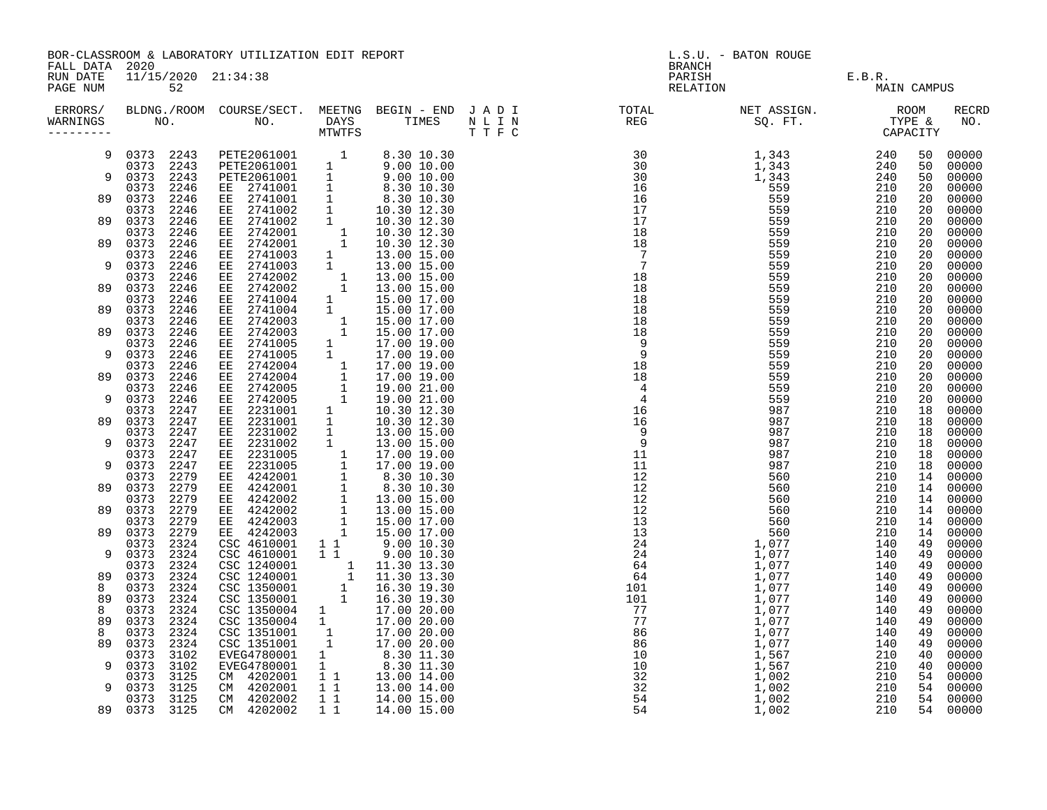|                       | BOR-CLASSROOM & LABORATORY UTILIZATION EDIT REPORT<br>FALL DATA 2020<br>11/15/2020 21:34:38 |                                                                                                                                                                                                                                                |                                            |                             |  | L.S.U. - BATON ROUGE<br>BRANCH                                                                                                                                                                                                                                                                                                                                                                                                                                                                                                                                   |                    |                       |          |                     |  |
|-----------------------|---------------------------------------------------------------------------------------------|------------------------------------------------------------------------------------------------------------------------------------------------------------------------------------------------------------------------------------------------|--------------------------------------------|-----------------------------|--|------------------------------------------------------------------------------------------------------------------------------------------------------------------------------------------------------------------------------------------------------------------------------------------------------------------------------------------------------------------------------------------------------------------------------------------------------------------------------------------------------------------------------------------------------------------|--------------------|-----------------------|----------|---------------------|--|
| RUN DATE<br>PAGE NUM  | 52                                                                                          |                                                                                                                                                                                                                                                |                                            |                             |  |                                                                                                                                                                                                                                                                                                                                                                                                                                                                                                                                                                  | PARISH<br>RELATION | E.B.R.<br>MAIN CAMPUS |          |                     |  |
| WARNINGS<br>--------- |                                                                                             |                                                                                                                                                                                                                                                |                                            |                             |  | ERRORS/ BLDNG./ROOM COURSE/SECT. MEETNG BEGIN – END JADI TOTAL TOTAL NETASSIGN. NET ASSIGN. ROOM ROOM COURSE/SECT. MEETNG BEGIN – END JADI TOTAL TOTAL NETASSIGN. TIPE &<br>WARNINGS NO. NO. DAYS TIMES NLIN REG SQ.FT. TPE & CAP<br>$\begin{tabular}{cccc} \bf 9.47 & \bf 1.78 & \bf 1.78 & \bf 1.78 & \bf 1.78 & \bf 1.78 & \bf 1.78 & \bf 1.78 & \bf 1.78 & \bf 1.78 & \bf 1.78 & \bf 1.78 & \bf 1.78 & \bf 1.78 & \bf 1.78 & \bf 1.78 & \bf 1.78 & \bf 1.78 & \bf 1.78 & \bf 1.78 & \bf 1.78 & \bf 1.78 & \bf 1.78 & \bf 1.78 & \bf 1.78 & \bf 1.78 & \bf 1$ |                    |                       |          | <b>RECRD</b><br>NO. |  |
| 9                     | 0373 2243<br>0373 2243                                                                      | PETE2061001 1<br>PETE2061001 1                                                                                                                                                                                                                 |                                            | 8.30 10.30<br>9.0010.00     |  |                                                                                                                                                                                                                                                                                                                                                                                                                                                                                                                                                                  |                    |                       | 50<br>50 | 00000<br>00000      |  |
| 9                     | 0373 2243<br>2246<br>0373                                                                   | PETE2061001 1<br>EE 2741001 1                                                                                                                                                                                                                  |                                            | $9.00\ 10.00$<br>8.30 10.30 |  |                                                                                                                                                                                                                                                                                                                                                                                                                                                                                                                                                                  |                    |                       | 50<br>20 | 00000<br>00000      |  |
| 89                    | 0373<br>2246<br>2246<br>0373                                                                | EE 2741001<br>EE 2741002                                                                                                                                                                                                                       | 1<br>1                                     | 8.30 10.30<br>10.30 12.30   |  |                                                                                                                                                                                                                                                                                                                                                                                                                                                                                                                                                                  |                    |                       | 20<br>20 | 00000<br>00000      |  |
| 89                    | 0373<br>2246<br>2246<br>0373                                                                | EE 2741002<br>EE 2742001                                                                                                                                                                                                                       | 1                                          | 10.30 12.30<br>10.30 12.30  |  |                                                                                                                                                                                                                                                                                                                                                                                                                                                                                                                                                                  |                    |                       | 20<br>20 | 00000<br>00000      |  |
| 89                    | 2246<br>0373                                                                                | EE 2742001                                                                                                                                                                                                                                     | $\frac{1}{1}$                              | 10.30 12.30                 |  |                                                                                                                                                                                                                                                                                                                                                                                                                                                                                                                                                                  |                    |                       | 20       | 00000               |  |
| 9                     | 2246<br>0373<br>0373<br>2246                                                                | 2741003<br>EE<br>2741003<br>EE                                                                                                                                                                                                                 | $\frac{1}{1}$                              | 13.00 15.00<br>13.00 15.00  |  |                                                                                                                                                                                                                                                                                                                                                                                                                                                                                                                                                                  |                    |                       | 20<br>20 | 00000<br>00000      |  |
| 89                    | 0373<br>2246<br>0373<br>2246                                                                | EE 2742002<br>2742002<br>EE                                                                                                                                                                                                                    |                                            | 13.00 15.00<br>13.00 15.00  |  |                                                                                                                                                                                                                                                                                                                                                                                                                                                                                                                                                                  |                    |                       | 20<br>20 | 00000<br>00000      |  |
| 89                    | 2246<br>0373<br>0373<br>2246                                                                | 2741004<br>ЕE<br>EE 2741004                                                                                                                                                                                                                    |                                            | 15.00 17.00<br>15.00 17.00  |  |                                                                                                                                                                                                                                                                                                                                                                                                                                                                                                                                                                  |                    |                       | 20<br>20 | 00000<br>00000      |  |
| 89                    | 0373<br>2246<br>0373<br>2246                                                                | 2742003<br>EE<br>2742003<br>EE                                                                                                                                                                                                                 |                                            | 15.00 17.00<br>15.00 17.00  |  |                                                                                                                                                                                                                                                                                                                                                                                                                                                                                                                                                                  |                    |                       | 20<br>20 | 00000<br>00000      |  |
| 9                     | 2246<br>0373<br>0373<br>2246                                                                | 2741005<br>EE<br>2741005<br>EE                                                                                                                                                                                                                 |                                            | 17.00 19.00<br>17.00 19.00  |  |                                                                                                                                                                                                                                                                                                                                                                                                                                                                                                                                                                  |                    |                       | 20<br>20 | 00000<br>00000      |  |
| 89                    | 2246<br>0373<br>2246<br>0373                                                                | EE 2742004 1<br>EE 2742004 1<br>EE 2742005 1<br>EE 2742005 1<br>EE 2231001 1                                                                                                                                                                   |                                            | 17.00 19.00<br>17.00 19.00  |  |                                                                                                                                                                                                                                                                                                                                                                                                                                                                                                                                                                  |                    |                       | 20<br>20 | 00000<br>00000      |  |
|                       | 0373<br>2246                                                                                |                                                                                                                                                                                                                                                |                                            | 19.00 21.00                 |  |                                                                                                                                                                                                                                                                                                                                                                                                                                                                                                                                                                  |                    |                       | 20       | 00000               |  |
| 9                     | 0373<br>2246<br>0373<br>2247                                                                |                                                                                                                                                                                                                                                |                                            | 19.00 21.00<br>10.30 12.30  |  |                                                                                                                                                                                                                                                                                                                                                                                                                                                                                                                                                                  |                    |                       | 20<br>18 | 00000<br>00000      |  |
| 89                    | 0373<br>2247<br>2247<br>0373                                                                | EE 2231001<br>EE 2231002                                                                                                                                                                                                                       | 1<br>1                                     | 10.30 12.30<br>13.00 15.00  |  |                                                                                                                                                                                                                                                                                                                                                                                                                                                                                                                                                                  |                    |                       | 18<br>18 | 00000<br>00000      |  |
| 9                     | 0373<br>2247<br>0373<br>2247                                                                |                                                                                                                                                                                                                                                |                                            |                             |  |                                                                                                                                                                                                                                                                                                                                                                                                                                                                                                                                                                  |                    |                       | 18<br>18 | 00000<br>00000      |  |
| 9                     | 0373<br>2247<br>0373<br>2279                                                                |                                                                                                                                                                                                                                                |                                            |                             |  |                                                                                                                                                                                                                                                                                                                                                                                                                                                                                                                                                                  |                    |                       | 18<br>14 | 00000<br>00000      |  |
| 89                    | 2279<br>0373<br>2279<br>0373                                                                |                                                                                                                                                                                                                                                |                                            |                             |  |                                                                                                                                                                                                                                                                                                                                                                                                                                                                                                                                                                  |                    |                       | 14<br>14 | 00000<br>00000      |  |
| 89                    | 0373<br>2279<br>2279<br>0373                                                                | EE 2231002 1 13.00 15.00<br>EE 2231002 1 13.00 15.00<br>EE 2231005 1 17.00 19.00<br>EE 2231005 1 17.00 19.00<br>EE 4242001 1 8.30 10.30<br>EE 4242002 1 13.00 15.00<br>EE 4242002 1 13.00 15.00<br>EE 4242002 1 13.00 15.00<br>EE 4242002 1 13 |                                            |                             |  |                                                                                                                                                                                                                                                                                                                                                                                                                                                                                                                                                                  |                    |                       | 14<br>14 | 00000<br>00000      |  |
| 89                    | 2279<br>0373<br>2324<br>0373                                                                | CSC 4610001 11                                                                                                                                                                                                                                 |                                            | 9.0010.30                   |  |                                                                                                                                                                                                                                                                                                                                                                                                                                                                                                                                                                  |                    |                       | 14<br>49 | 00000<br>00000      |  |
| 9                     | 2324<br>0373                                                                                | CSC 4610001 1 1                                                                                                                                                                                                                                |                                            | 9.00 10.30                  |  |                                                                                                                                                                                                                                                                                                                                                                                                                                                                                                                                                                  |                    |                       | 49       | 00000               |  |
| 89                    | 2324<br>0373<br>0373<br>2324                                                                | CSC 1240001<br>CSC 1240001                                                                                                                                                                                                                     |                                            | 11.30 13.30<br>11.30 13.30  |  |                                                                                                                                                                                                                                                                                                                                                                                                                                                                                                                                                                  |                    |                       | 49<br>49 | 00000<br>00000      |  |
| 8<br>89               | 2324<br>0373<br>0373<br>2324                                                                | CSC 1350001<br>CSC 1350001                                                                                                                                                                                                                     |                                            | 16.30 19.30<br>16.30 19.30  |  |                                                                                                                                                                                                                                                                                                                                                                                                                                                                                                                                                                  |                    |                       | 49<br>49 | 00000<br>00000      |  |
| 8<br>89               | 2324<br>0373<br>2324<br>0373                                                                | CSC 1350004 1<br>CSC 1350004 1                                                                                                                                                                                                                 |                                            | 17.00 20.00<br>17.00 20.00  |  |                                                                                                                                                                                                                                                                                                                                                                                                                                                                                                                                                                  |                    |                       | 49<br>49 | 00000<br>00000      |  |
| 8<br>89               | 0373<br>2324<br>2324<br>0373                                                                | CSC 1351001                                                                                                                                                                                                                                    | $\begin{array}{c} 1\\ 1\\ 1\\ \end{array}$ | 17.00 20.00                 |  |                                                                                                                                                                                                                                                                                                                                                                                                                                                                                                                                                                  |                    |                       | 49<br>49 | 00000<br>00000      |  |
| 9                     | 0373<br>3102<br>0373<br>3102                                                                |                                                                                                                                                                                                                                                |                                            |                             |  |                                                                                                                                                                                                                                                                                                                                                                                                                                                                                                                                                                  |                    |                       | 40<br>40 | 00000<br>00000      |  |
| 9                     | 3125<br>0373<br>0373 3125                                                                   | CSC 1351001 1 17.00 20.00<br>EVEG4780001 1 8.30 11.30<br>EVEG4780001 1 8.30 11.30<br>CM 4202001 1 13.00 14.00<br>CM 4202001 1 13.00 14.00                                                                                                      |                                            | 1 1 1 13.00 14.00           |  |                                                                                                                                                                                                                                                                                                                                                                                                                                                                                                                                                                  |                    |                       | 54<br>54 | 00000<br>00000      |  |

0373 3125 CM 4202002 1 1 14.00 15.00 54 1,002 210 54 00000 89 0373 3125 CM 4202002 1 1 14.00 15.00 54 1,002 210 54 00000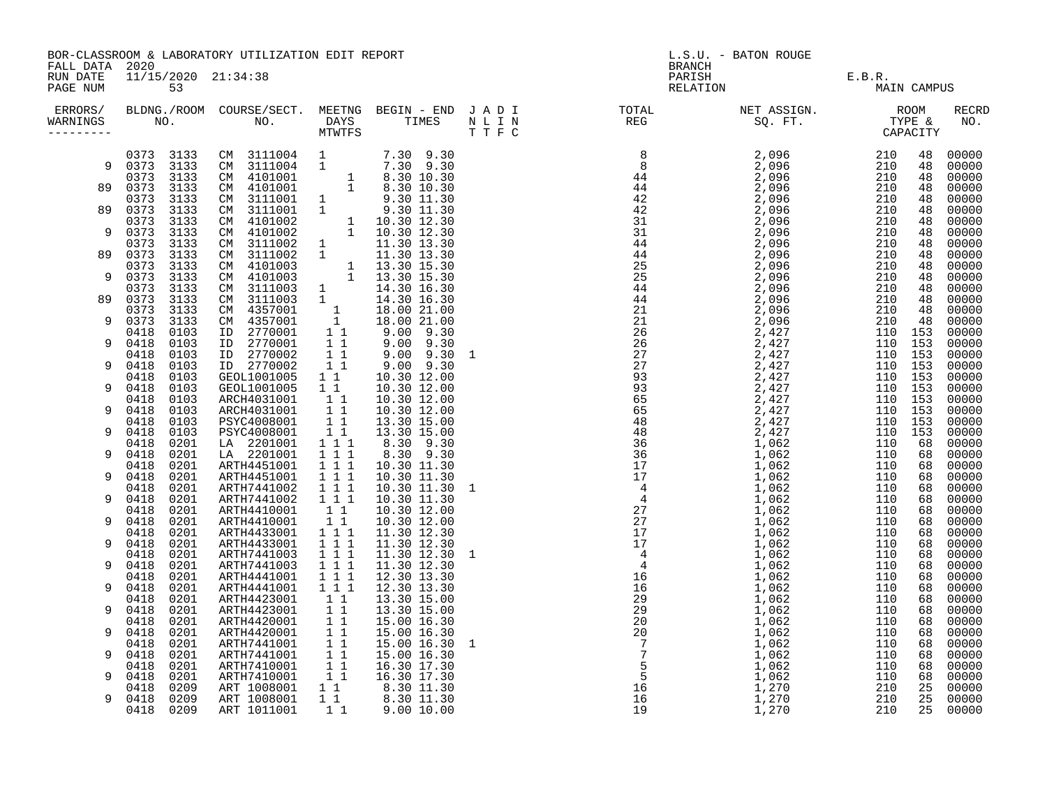BOR-CLASSROOM & LABORATORY UTILIZATION EDIT REPORT LOCAL CONSUMING BEANCH BRANCH BATON ROUGE FALL DATA 2020 FALL DATA 2020

| ERRORS/<br>WARNINGS |              | NO.          | BLDNG./ROOM COURSE/SECT. MEETNG BEGIN - END J A D I<br>NO. | DAYS<br><b>MTWTFS</b>        | TIMES                           | N L I N<br>TTFC | TOTAL<br>TOTAL<br>REG | NET ASSIGN.<br>SQ. FT.<br>CAPACITY | CAPACITY       |           | <b>RECRD</b><br>NO. |
|---------------------|--------------|--------------|------------------------------------------------------------|------------------------------|---------------------------------|-----------------|-----------------------|------------------------------------|----------------|-----------|---------------------|
| 9                   | 0373<br>0373 | 3133<br>3133 | CM<br>3111004<br>3111004<br>CM                             | $\frac{1}{1}$                | 7.30 9.30<br>7.30 9.30          |                 |                       |                                    | 210<br>210     | 48<br>48  | 00000<br>00000      |
|                     | 0373         | 3133         | 4101001<br>CM                                              | $\frac{1}{1}$                | 8.30 10.30                      |                 |                       |                                    | 210            | 48        | 00000               |
| 89                  | 0373<br>0373 | 3133<br>3133 | 4101001<br>CM<br>3111001<br>CM                             | $\mathbf{1}$                 | 8.30 10.30<br>9.30 11.30        |                 |                       |                                    | 210<br>210     | 48<br>48  | 00000<br>00000      |
| 89                  | 0373         | 3133         | 3111001<br>CM                                              | $\mathbf{1}$                 | 9.30 11.30                      |                 |                       |                                    | 210            | 48        | 00000               |
| 9                   | 0373<br>0373 | 3133<br>3133 | 4101002<br>CM<br>4101002<br>CM                             | $\mathbf{1}$<br>$\mathbf{1}$ | 10.30 12.30<br>10.30 12.30      |                 |                       |                                    | 210<br>210     | 48<br>48  | 00000<br>00000      |
|                     | 0373         | 3133         | 3111002<br>CM                                              | $\frac{1}{1}$                | 11.30 13.30                     |                 |                       |                                    | 210            | 48        | 00000               |
| 89                  | 0373         | 3133         | 3111002<br>CM.<br>4101003                                  |                              | 11.30 13.30                     |                 |                       |                                    | 210            | 48        | 00000               |
| 9                   | 0373<br>0373 | 3133<br>3133 | CM.<br>4101003<br>CM                                       | 1<br>$\mathbf{1}$            | 13.30 15.30<br>13.30 15.30      |                 |                       |                                    | 210<br>210     | 48<br>48  | 00000<br>00000      |
|                     | 0373         | 3133         | 3111003<br>CM.                                             | $\mathbf{1}$                 | 14.30 16.30                     |                 |                       |                                    | 210            | 48        | 00000               |
| 89                  | 0373         | 3133         | 3111003<br>CM                                              | 1                            | 14.30 16.30                     |                 |                       |                                    | 210            | 48        | 00000               |
| 9                   | 0373<br>0373 | 3133<br>3133 | 4357001<br>CM<br>4357001<br>CM                             | $\mathbf{1}$<br>$\mathbf{1}$ | 18.00 21.00<br>18.00 21.00      |                 |                       |                                    | 210<br>210     | 48<br>48  | 00000<br>00000      |
|                     | 0418         | 0103         | 2770001<br>ID                                              | $1\quad1$                    | 9.30<br>9.00                    |                 |                       |                                    | 110            | 153       | 00000               |
| 9                   | 0418         | 0103<br>0103 | 2770001<br>ID<br>2770002<br>ID                             | 11<br>11                     | 9.00<br>9.30<br>$9.00$ $9.30$ 1 |                 |                       |                                    | 110<br>110 153 | 153       | 00000               |
| 9                   | 0418<br>0418 | 0103         | ID 2770002                                                 | $1\quad1$                    | 9.00 9.30                       |                 |                       |                                    | 110 153        |           | 00000<br>00000      |
|                     | 0418         | 0103         | GEOL1001005                                                | $1\quad1$                    | 10.30 12.00                     |                 |                       |                                    | 110 153        |           | 00000               |
| 9                   | 0418<br>0418 | 0103<br>0103 | GEOL1001005<br>ARCH4031001                                 | $1\quad1$<br>11              | 10.30 12.00<br>10.30 12.00      |                 |                       |                                    | 110 153<br>110 | 153       | 00000<br>00000      |
| 9                   | 0418         | 0103         | ARCH4031001                                                | 11                           | 10.30 12.00                     |                 |                       |                                    | 110 153        |           | 00000               |
|                     | 0418         | 0103         | PSYC4008001                                                | $1\quad1$                    | 13.30 15.00                     |                 |                       |                                    | 110 153        |           | 00000               |
| 9                   | 0418<br>0418 | 0103<br>0201 | PSYC4008001<br>LA 2201001                                  | 11<br>111                    | 13.30 15.00<br>8.30 9.30        |                 |                       |                                    | 110<br>110     | 153<br>68 | 00000<br>00000      |
| 9                   | 0418         | 0201         | LA 2201001                                                 | 111                          | 8.30 9.30                       |                 |                       |                                    | 110            | 68        | 00000               |
|                     | 0418         | 0201         | ARTH4451001                                                | 111                          | 10.30 11.30                     |                 |                       |                                    | 110            | 68        | 00000               |
| 9                   | 0418<br>0418 | 0201<br>0201 | ARTH4451001<br>ARTH7441002                                 | 111<br>$1 1 1$               | 10.30 11.30<br>10.30 11.30 1    |                 |                       |                                    | 110<br>110     | 68<br>68  | 00000<br>00000      |
| 9                   | 0418         | 0201         | ARTH7441002                                                | 1 1 1                        | 10.30 11.30                     |                 |                       |                                    | 110            | 68        | 00000               |
|                     | 0418         | 0201         | ARTH4410001                                                | $1\quad1$                    | 10.30 12.00                     |                 |                       |                                    | 110            | 68        | 00000               |
| 9                   | 0418<br>0418 | 0201<br>0201 | ARTH4410001<br>ARTH4433001                                 | 11<br>1 1 1                  | 10.30 12.00<br>11.30 12.30      |                 |                       |                                    | 110<br>110     | 68<br>68  | 00000<br>00000      |
| 9                   | 0418         | 0201         | ARTH4433001                                                | 111                          | 11.30 12.30                     |                 |                       |                                    | 110            | 68        | 00000               |
|                     | 0418         | 0201         | ARTH7441003                                                | $11\overline{1}$             | 11.30 12.30 1                   |                 |                       |                                    | 110            | 68        | 00000               |
| 9                   | 0418<br>0418 | 0201<br>0201 | ARTH7441003<br>ARTH4441001                                 | 1 1 1<br>111                 | 11.30 12.30<br>12.30 13.30      |                 |                       |                                    | 110<br>110     | 68<br>68  | 00000<br>00000      |
| 9                   | 0418         | 0201         | ARTH4441001                                                | 1 1 1                        | 12.30 13.30                     |                 |                       |                                    | 110            | 68        | 00000               |
|                     | 0418         | 0201         | ARTH4423001                                                | 11                           | 13.30 15.00                     |                 |                       |                                    | 110            | 68        | 00000               |
| 9                   | 0418<br>0418 | 0201<br>0201 | ARTH4423001<br>ARTH4420001                                 | $1\quad1$<br>11              | 13.30 15.00<br>15.00 16.30      |                 |                       |                                    | 110<br>110     | 68<br>68  | 00000<br>00000      |
| 9                   | 0418         | 0201         | ARTH4420001                                                | $1\quad1$                    | 15.00 16.30                     |                 |                       |                                    | 110            | 68        | 00000               |
|                     | 0418         | 0201         | ARTH7441001                                                | $1\quad1$                    | 15.00 16.30                     | $\overline{1}$  |                       |                                    | 110            | 68        | 00000               |
| 9                   | 0418<br>0418 | 0201<br>0201 | ARTH7441001<br>ARTH7410001                                 | $1\quad1$<br>1 1             | 15.00 16.30<br>16.30 17.30      |                 |                       |                                    | 110<br>110     | 68<br>68  | 00000<br>00000      |
| 9                   | 0418         | 0201         | ARTH7410001                                                | $1\quad1$                    | 16.30 17.30                     |                 |                       |                                    | 110            | 68        | 00000               |
|                     | 0418         | 0209         | ART 1008001                                                | $1\quad1$                    | 8.30 11.30                      |                 |                       |                                    | 210            | 25        | 00000               |
| 9                   | 0418<br>0418 | 0209<br>0209 | ART 1008001<br>ART 1011001                                 | $1\quad1$<br>1 1             | 8.30 11.30<br>9.00 10.00        |                 |                       | 1,270<br>1,270                     | 210<br>210     | 25<br>25  | 00000<br>00000      |

| FALL DATA<br>RUN DATE<br>PAGE NUM | 2020<br>53        |                        | 11/15/2020 21:34:38                                                                                                                                                                                                                                                                                                 |                                                                      |                                  |                                                                                                                                                                                                                                                                                                          | BRANCH<br>PARISH E.B.R.<br>RELATION MAI | MAIN CAMPUS                    |            |                |
|-----------------------------------|-------------------|------------------------|---------------------------------------------------------------------------------------------------------------------------------------------------------------------------------------------------------------------------------------------------------------------------------------------------------------------|----------------------------------------------------------------------|----------------------------------|----------------------------------------------------------------------------------------------------------------------------------------------------------------------------------------------------------------------------------------------------------------------------------------------------------|-----------------------------------------|--------------------------------|------------|----------------|
| ERRORS/<br>WARNINGS               |                   |                        |                                                                                                                                                                                                                                                                                                                     |                                                                      | T T F C                          | $\begin{array}{cccccccc} \text{R}^1 & \text{R}^2 & \text{R}^3 & \text{R}^4 & \text{R}^3 \\ \text{R}^2 & \text{R}^3 & 2 & 0.066 & 2 & 100 & 0.002 & 0.004 & 0.002 & 0.004 & 0.004 & 0.004 & 0.004 & 0.004 & 0.004 & 0.004 & 0.004 & 0.004 & 0.004 & 0.004 & 0.004 & 0.004 & 0.004 & 0.004 & 0.004 & 0.00$ |                                         |                                |            | RECRI<br>NO.   |
| 9                                 | 0373 3133         |                        | 0373 3133 CM 3111004 1<br>0373 3133 CM 3111004 1                                                                                                                                                                                                                                                                    |                                                                      | 7.30 9.30<br>7.30 9.30           |                                                                                                                                                                                                                                                                                                          |                                         |                                | 48<br>48   | 00000<br>00000 |
|                                   | 89 0373 3133      | 0373 3133              |                                                                                                                                                                                                                                                                                                                     |                                                                      |                                  |                                                                                                                                                                                                                                                                                                          |                                         |                                | 48<br>48   | 00000<br>00000 |
|                                   | 89 0373 3133      | 0373 3133              | $\begin{tabular}{@{}c@{}}\text{CM} & 3111004 & 1 & 7.30 & 9.30 \\ \text{CM} & 4101001 & 1 & 8.30 & 10.30 \\ \text{CM} & 3111001 & 1 & 9.30 & 11.30 \\ \text{CM} & 3111001 & 1 & 9.30 & 11.30 \\ \text{CM} & 4101002 & 1 & 10.30 & 12.30 \\ \text{CM} & 4101002 & 1 & 10.30 & 12.30 \\ \text{CM} & 3111002 & 1 & 10$ |                                                                      |                                  |                                                                                                                                                                                                                                                                                                          |                                         |                                | 48<br>48   | 00000<br>00000 |
|                                   |                   | 0373 3133              |                                                                                                                                                                                                                                                                                                                     |                                                                      |                                  |                                                                                                                                                                                                                                                                                                          |                                         |                                | 48         | 00000          |
| 9                                 | 0373              | 3133<br>0373 3133      |                                                                                                                                                                                                                                                                                                                     |                                                                      |                                  |                                                                                                                                                                                                                                                                                                          |                                         |                                | 48<br>48   | 00000<br>00000 |
|                                   | 89 0373 3133      | 0373 3133              |                                                                                                                                                                                                                                                                                                                     |                                                                      |                                  |                                                                                                                                                                                                                                                                                                          |                                         |                                | 48<br>48   | 00000<br>00000 |
| 9                                 | 0373 3133         |                        |                                                                                                                                                                                                                                                                                                                     |                                                                      |                                  |                                                                                                                                                                                                                                                                                                          |                                         |                                | 48         | 00000          |
| 89                                | 0373 3133         | 0373 3133              |                                                                                                                                                                                                                                                                                                                     |                                                                      |                                  |                                                                                                                                                                                                                                                                                                          |                                         |                                | 48<br>48   | 00000<br>00000 |
| 9                                 | 0373<br>0373 3133 | 3133                   |                                                                                                                                                                                                                                                                                                                     |                                                                      |                                  |                                                                                                                                                                                                                                                                                                          |                                         |                                | 48<br>48   | 00000<br>00000 |
| 9                                 | 0418              | 0418 0103              | ID 2770001                                                                                                                                                                                                                                                                                                          | 11<br>$1\quad1$                                                      | $9.00$ $9.30$                    |                                                                                                                                                                                                                                                                                                          |                                         | 110 153                        |            | 00000          |
|                                   |                   | 0103<br>0418 0103      | ID 2770001<br>ID 2770002                                                                                                                                                                                                                                                                                            | 11                                                                   | $9.00$ $9.30$<br>$9.00$ $9.30$ 1 |                                                                                                                                                                                                                                                                                                          |                                         |                                | 153<br>153 | 00000<br>00000 |
| 9                                 | 0418 0103<br>0418 | 0103                   | ID 2770002<br>GEOL1001005                                                                                                                                                                                                                                                                                           | $\begin{smallmatrix}1&1\\1&1\end{smallmatrix}$                       | $9.00$ $9.30$<br>10.30 12.00     |                                                                                                                                                                                                                                                                                                          |                                         | 110 153<br>110 153             |            | 00000<br>00000 |
| 9                                 | 0418 0103         | 0418 0103              | GEOL1001005                                                                                                                                                                                                                                                                                                         | $1\quad1$                                                            | 10.30 12.00<br>10.30 12.00       |                                                                                                                                                                                                                                                                                                          |                                         | $\frac{1}{110}$ 153<br>110 153 |            | 00000<br>00000 |
| 9                                 | 0418 0103         |                        | ARCH4031001 1 1<br>ARCH4031001 1 1<br>PSYC4008001 1 1                                                                                                                                                                                                                                                               |                                                                      | 10.30 12.00                      |                                                                                                                                                                                                                                                                                                          |                                         |                                | 153        | 00000          |
| 9                                 |                   | 0418 0103<br>0418 0103 |                                                                                                                                                                                                                                                                                                                     |                                                                      | 13.30 15.00<br>13.30 15.00       |                                                                                                                                                                                                                                                                                                          |                                         |                                | 153<br>153 | 00000<br>00000 |
| 9                                 | 0418 0201         | 0418 0201              | PSYC4008001 11<br>LA 2201001 111<br>LA 2201001 111                                                                                                                                                                                                                                                                  |                                                                      | 8.30 9.30<br>8.30 9.30           |                                                                                                                                                                                                                                                                                                          |                                         |                                | 68<br>68   | 00000<br>00000 |
|                                   |                   | 0418 0201              | ARTH4451001  1  1  1                                                                                                                                                                                                                                                                                                |                                                                      | 10.30 11.30                      |                                                                                                                                                                                                                                                                                                          |                                         |                                | 68         | 00000          |
| 9                                 | 0418 0201         | 0418 0201              | ARTH4451001<br>ARTH7441002 1 1 1                                                                                                                                                                                                                                                                                    | 111                                                                  | 10.30 11.30<br>10.30 11.30 1     |                                                                                                                                                                                                                                                                                                          |                                         |                                | 68<br>68   | 00000<br>00000 |
| 9                                 | 0418              | 0418 0201<br>0201      | ARTH7441002 1 1 1<br>ARTH4410001                                                                                                                                                                                                                                                                                    |                                                                      | 10.30 11.30<br>10.30 12.00       |                                                                                                                                                                                                                                                                                                          |                                         |                                | 68<br>68   | 00000<br>00000 |
| 9                                 | 0418 0201         |                        | ARTH4410001<br>ARTH4433001 111                                                                                                                                                                                                                                                                                      | $\begin{array}{cc} 1 & 1 \\ 1 & 1 \end{array}$                       | 10.30 12.00                      |                                                                                                                                                                                                                                                                                                          |                                         |                                | 68         | 00000          |
| 9                                 | 0418 0201         | 0418 0201              | ARTH4433001 1 1 1                                                                                                                                                                                                                                                                                                   |                                                                      | 11.30 12.30<br>11.30 12.30       |                                                                                                                                                                                                                                                                                                          |                                         |                                | 68<br>68   | 00000<br>00000 |
| 9                                 | 0418 0201         | 0418 0201              | ARTH7441003 1 1 1<br>ARTH7441003 1 1 1                                                                                                                                                                                                                                                                              |                                                                      | 11.30 12.30 1<br>11.30 12.30     |                                                                                                                                                                                                                                                                                                          |                                         |                                | 68<br>68   | 00000<br>00000 |
| 9                                 | 0418<br>0418      | 0201<br>0201           | ARTH4441001 111<br>ARTH4441001 111                                                                                                                                                                                                                                                                                  |                                                                      | 12.30 13.30<br>12.30 13.30       |                                                                                                                                                                                                                                                                                                          |                                         |                                | 68<br>68   | 00000<br>00000 |
|                                   | 0418              | 0201                   | ARTH4423001                                                                                                                                                                                                                                                                                                         | $1\quad1$                                                            | 13.30 15.00                      |                                                                                                                                                                                                                                                                                                          |                                         |                                | 68         | 00000          |
| 9                                 | 0418 0201<br>0418 | 0201                   | ARTH4423001<br>ARTH4420001                                                                                                                                                                                                                                                                                          | $1\quad1$<br>11                                                      | 13.30 15.00<br>15.00 16.30       |                                                                                                                                                                                                                                                                                                          |                                         |                                | 68<br>68   | 00000<br>00000 |
| 9                                 | 0418 0201<br>0418 | 0201                   | ARTH4420001<br>ARTH7441001                                                                                                                                                                                                                                                                                          | $1\quad1$                                                            | 15.00 16.30<br>15.00 16.30 1     |                                                                                                                                                                                                                                                                                                          |                                         |                                | 68<br>68   | 00000<br>00000 |
| 9                                 | 0418              | 0201                   | ARTH7441001                                                                                                                                                                                                                                                                                                         | $\begin{array}{cccc}\n & 1 & 1 \\  & 1 & 1 \\  & 1 & 1\n\end{array}$ | 15.00 16.30                      |                                                                                                                                                                                                                                                                                                          |                                         |                                | 68         | 00000          |
|                                   | 0418 0201         | 0418 0201              | ARTH7410001<br>ARTH7410001                                                                                                                                                                                                                                                                                          | $1\quad1$                                                            | 16.30 17.30<br>16.30 17.30       |                                                                                                                                                                                                                                                                                                          |                                         |                                | 68<br>68   | 00000<br>00000 |
|                                   |                   | 0418 0209              | ART 1008001                                                                                                                                                                                                                                                                                                         | $1\quad1$                                                            | 8.30 11.30                       |                                                                                                                                                                                                                                                                                                          |                                         |                                |            | 25 00000       |

1,270 210 25 00000<br>1,270 210 25 00000<br>1,270 210 25 00000

210 25 00000 210 25 00000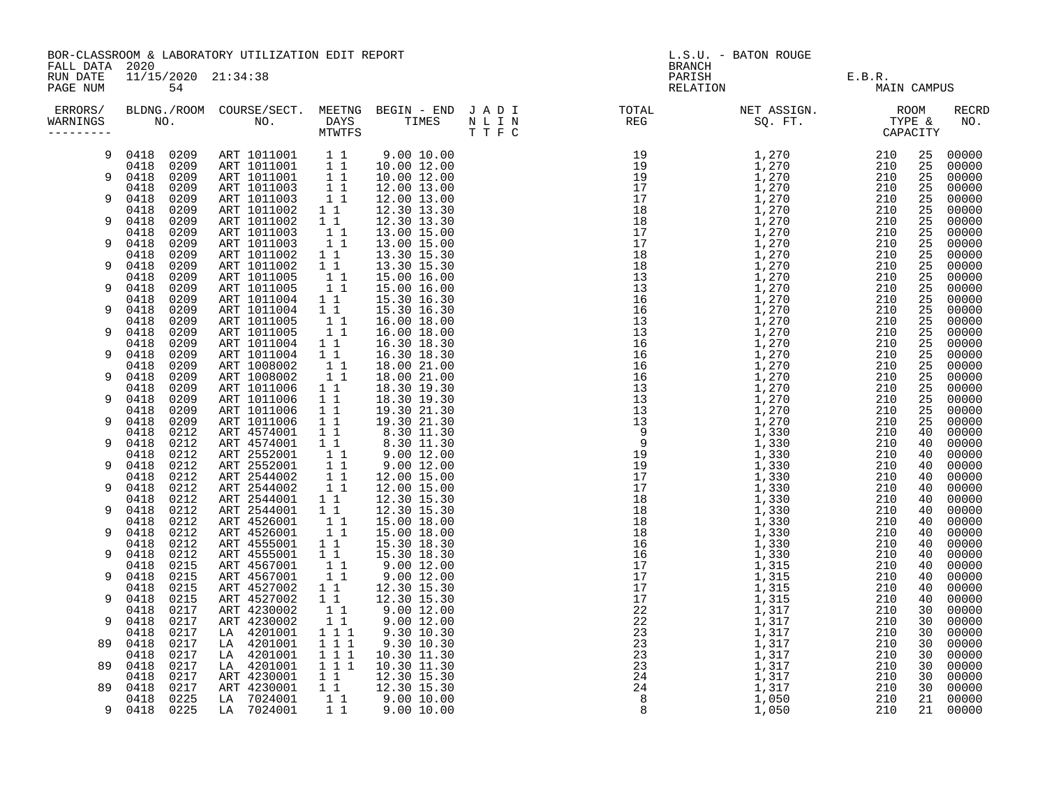|                                  | BOR-CLASSROOM & LABORATORY UTILIZATION EDIT REPORT<br>FALL DATA 2020<br>11/15/2020 21:34:38 |              |                            |                                                     |                                                                                                                                                           | L.S.U. - BATON ROUGE<br><b>BRANCH</b> |                                                                                                                                                                                                                                                                                                                                                                                         |                              |                       |          |                |
|----------------------------------|---------------------------------------------------------------------------------------------|--------------|----------------------------|-----------------------------------------------------|-----------------------------------------------------------------------------------------------------------------------------------------------------------|---------------------------------------|-----------------------------------------------------------------------------------------------------------------------------------------------------------------------------------------------------------------------------------------------------------------------------------------------------------------------------------------------------------------------------------------|------------------------------|-----------------------|----------|----------------|
| RUN DATE<br>PAGE NUM             |                                                                                             | 54           |                            |                                                     |                                                                                                                                                           |                                       |                                                                                                                                                                                                                                                                                                                                                                                         | PARISH<br>RARISH<br>RELATION | E.B.R.<br>MAIN CAMPUS |          |                |
| ERRORS/<br>WARNINGS<br>--------- |                                                                                             |              |                            |                                                     |                                                                                                                                                           |                                       | $\begin{array}{cccc} \textbf{11.5} & \textbf{12.6} & \textbf{13.7} \\ \textbf{13.8} & \textbf{15.8} \\ \textbf{14.9} & \textbf{15.9} \\ \textbf{15.1} & \textbf{15.9} \\ \textbf{16.1} & \textbf{17.9} \\ \textbf{18.1} & \textbf{17.9} \\ \textbf{18.1} & \textbf{17.9} \\ \textbf{18.1} & \textbf{17.9} \\ \textbf{18.1} & \textbf{17.9} \\ \textbf{18.1} & \textbf{17.9} \\ \textbf$ |                              |                       |          | RECRD<br>NO.   |
| 9                                | 0418 0209                                                                                   |              | ART 1011001 1 1            |                                                     | 9.00 10.00                                                                                                                                                |                                       |                                                                                                                                                                                                                                                                                                                                                                                         |                              |                       |          | 25 00000       |
|                                  | 0418 0209                                                                                   |              | ART 1011001 1 1            |                                                     | 10.00 12.00                                                                                                                                               |                                       |                                                                                                                                                                                                                                                                                                                                                                                         |                              |                       | 25       | 00000          |
| 9                                | 0418 0209                                                                                   |              | ART 1011001 1 1            |                                                     | 10.00 12.00                                                                                                                                               |                                       |                                                                                                                                                                                                                                                                                                                                                                                         |                              |                       | 25       | 00000          |
| 9                                | 0418<br>0418                                                                                | 0209<br>0209 | ART 1011003<br>ART 1011003 | $1\quad1$<br>11                                     | 12.00 13.00<br>12.00 13.00                                                                                                                                |                                       |                                                                                                                                                                                                                                                                                                                                                                                         |                              |                       | 25<br>25 | 00000<br>00000 |
|                                  | 0418                                                                                        | 0209         | ART 1011002                | $1\quad1$                                           | 12.30 13.30                                                                                                                                               |                                       |                                                                                                                                                                                                                                                                                                                                                                                         |                              |                       | 25       | 00000          |
| 9                                | 0418                                                                                        | 0209         | ART 1011002                | $1\quad1$                                           | 12.30 13.30                                                                                                                                               |                                       |                                                                                                                                                                                                                                                                                                                                                                                         |                              |                       | 25       | 00000          |
|                                  | 0418                                                                                        | 0209         | ART 1011003                | 11                                                  | 13.00 15.00                                                                                                                                               |                                       |                                                                                                                                                                                                                                                                                                                                                                                         |                              |                       | 25       | 00000          |
| 9                                | 0418                                                                                        | 0209         | ART 1011003                | 11                                                  | 13.00 15.00                                                                                                                                               |                                       |                                                                                                                                                                                                                                                                                                                                                                                         |                              |                       | 25       | 00000          |
|                                  | 0418                                                                                        | 0209         | ART 1011002                | 1 1                                                 | 13.30 15.30                                                                                                                                               |                                       |                                                                                                                                                                                                                                                                                                                                                                                         |                              |                       | 25       | 00000          |
| 9                                | 0418                                                                                        | 0209         | ART 1011002                | $1\quad1$                                           | 13.30 15.30                                                                                                                                               |                                       |                                                                                                                                                                                                                                                                                                                                                                                         |                              |                       | 25       | 00000          |
| 9                                | 0418<br>0418                                                                                | 0209<br>0209 | ART 1011005<br>ART 1011005 | $\begin{bmatrix} 1 \\ 1 \end{bmatrix}$<br>$1\quad1$ | 15.00 16.00<br>15.00 16.00                                                                                                                                |                                       |                                                                                                                                                                                                                                                                                                                                                                                         |                              |                       | 25<br>25 | 00000<br>00000 |
|                                  | 0418                                                                                        | 0209         | ART 1011004                | 1 1                                                 | 15.30 16.30                                                                                                                                               |                                       |                                                                                                                                                                                                                                                                                                                                                                                         |                              |                       | 25       | 00000          |
| 9                                | 0418                                                                                        | 0209         | ART 1011004                | $1\quad1$                                           | 15.30 16.30                                                                                                                                               |                                       |                                                                                                                                                                                                                                                                                                                                                                                         |                              |                       | 25       | 00000          |
|                                  | 0418                                                                                        | 0209         | ART 1011005                | $\begin{bmatrix} 1 \\ 1 \end{bmatrix}$              | 16.00 18.00                                                                                                                                               |                                       |                                                                                                                                                                                                                                                                                                                                                                                         |                              |                       | 25       | 00000          |
| 9                                | 0418                                                                                        | 0209         | ART 1011005                | $1\quad1$                                           | 16.00 18.00                                                                                                                                               |                                       |                                                                                                                                                                                                                                                                                                                                                                                         |                              |                       | 25       | 00000          |
|                                  | 0418                                                                                        | 0209         | ART 1011004                | $1\quad1$                                           | 16.30 18.30                                                                                                                                               |                                       |                                                                                                                                                                                                                                                                                                                                                                                         |                              |                       | 25       | 00000          |
| 9                                | 0418                                                                                        | 0209         | ART 1011004                | $1\quad1$                                           | 16.30 18.30                                                                                                                                               |                                       |                                                                                                                                                                                                                                                                                                                                                                                         |                              |                       | 25       | 00000          |
| 9                                | 0418<br>0418                                                                                | 0209         | ART 1008002                | 11                                                  | 18.00 21.00                                                                                                                                               |                                       |                                                                                                                                                                                                                                                                                                                                                                                         |                              |                       | 25<br>25 | 00000          |
|                                  | 0418                                                                                        | 0209<br>0209 | ART 1008002<br>ART 1011006 | $1\quad1$<br>$1\quad1$                              | 18.00 21.00<br>18.30 19.30                                                                                                                                |                                       |                                                                                                                                                                                                                                                                                                                                                                                         |                              |                       | 25       | 00000<br>00000 |
| 9                                | 0418                                                                                        | 0209         | ART 1011006                | $1\quad1$                                           | 18.30 19.30                                                                                                                                               |                                       |                                                                                                                                                                                                                                                                                                                                                                                         |                              |                       | 25       | 00000          |
|                                  | 0418                                                                                        | 0209         | ART 1011006                |                                                     | 1 1 18.30 19.30<br>1 1 19.30 21.30                                                                                                                        |                                       |                                                                                                                                                                                                                                                                                                                                                                                         |                              |                       | 25       | 00000          |
| 9                                | 0418                                                                                        | 0209         | ART 1011006                |                                                     | $\begin{array}{cccc} 1 & 1 & 1 & 19.30 & 21.30 \ 1 & 1 & 8.30 & 11.30 \ 1 & 1 & 8.30 & 11.30 \ 1 & 1 & 9.00 & 12.00 \ 1 & 1 & 9.00 & 12.00 \ \end{array}$ |                                       |                                                                                                                                                                                                                                                                                                                                                                                         |                              |                       | 25       | 00000          |
|                                  | 0418                                                                                        | 0212         | ART 4574001                |                                                     |                                                                                                                                                           |                                       |                                                                                                                                                                                                                                                                                                                                                                                         |                              |                       | 40       | 00000          |
| 9                                | 0418                                                                                        | 0212         | ART 4574001                |                                                     |                                                                                                                                                           |                                       |                                                                                                                                                                                                                                                                                                                                                                                         |                              |                       | 40       | 00000          |
| 9                                | 0418<br>0418                                                                                | 0212<br>0212 | ART 2552001<br>ART 2552001 |                                                     |                                                                                                                                                           |                                       |                                                                                                                                                                                                                                                                                                                                                                                         |                              |                       | 40<br>40 | 00000          |
|                                  | 0418                                                                                        | 0212         | ART 2544002                | 11                                                  | 12.00 15.00                                                                                                                                               |                                       |                                                                                                                                                                                                                                                                                                                                                                                         |                              |                       | 40       | 00000<br>00000 |
| 9                                | 0418                                                                                        | 0212         | ART 2544002                | 11                                                  | 12.00 15.00                                                                                                                                               |                                       |                                                                                                                                                                                                                                                                                                                                                                                         |                              |                       | 40       | 00000          |
|                                  | 0418 0212                                                                                   |              | ART 2544001                | 11                                                  | 12.30 15.30                                                                                                                                               |                                       |                                                                                                                                                                                                                                                                                                                                                                                         |                              |                       | 40       | 00000          |
| 9                                | 0418                                                                                        | 0212         | ART 2544001                | $1\quad1$                                           | 12.30 15.30                                                                                                                                               |                                       |                                                                                                                                                                                                                                                                                                                                                                                         |                              |                       | 40       | 00000          |
|                                  | 0418                                                                                        | 0212         | ART 4526001                | 11                                                  | 15.00 18.00                                                                                                                                               |                                       |                                                                                                                                                                                                                                                                                                                                                                                         |                              |                       | 40       | 00000          |
| 9                                | 0418                                                                                        | 0212         | ART 4526001                | 11                                                  | 15.00 18.00                                                                                                                                               |                                       |                                                                                                                                                                                                                                                                                                                                                                                         |                              |                       | 40       | 00000          |
| 9                                | 0418<br>0418                                                                                | 0212<br>0212 | ART 4555001                | $1\quad1$<br>$1\quad1$                              | 15.30 18.30                                                                                                                                               |                                       |                                                                                                                                                                                                                                                                                                                                                                                         |                              |                       | 40       | 00000<br>00000 |
|                                  | 0418                                                                                        | 0215         | ART 4555001<br>ART 4567001 | 11                                                  | 15.30 18.30                                                                                                                                               |                                       |                                                                                                                                                                                                                                                                                                                                                                                         |                              |                       | 40<br>40 | 00000          |
| 9                                | 0418                                                                                        | 0215         | ART 4567001                | 11                                                  | 9.00 12.00<br>9.00 12.00                                                                                                                                  |                                       |                                                                                                                                                                                                                                                                                                                                                                                         |                              |                       | 40       | 00000          |
|                                  | 0418                                                                                        | 0215         | ART 4527002                | $1\quad1$                                           | 12.30 15.30                                                                                                                                               |                                       |                                                                                                                                                                                                                                                                                                                                                                                         |                              |                       | 40       | 00000          |
| 9                                | 0418                                                                                        | 0215         | ART 4527002                | $1\quad1$                                           | 12.30 15.30                                                                                                                                               |                                       |                                                                                                                                                                                                                                                                                                                                                                                         |                              |                       | 40       | 00000          |
|                                  | 0418                                                                                        | 0217         | ART 4230002                | 11                                                  | $9.00\ \ 12.00$                                                                                                                                           |                                       |                                                                                                                                                                                                                                                                                                                                                                                         |                              |                       | 30       | 00000          |
| 9                                | 0418                                                                                        | 0217         | ART 4230002                | 11                                                  | 9.00 12.00                                                                                                                                                |                                       |                                                                                                                                                                                                                                                                                                                                                                                         |                              |                       | 30       | 00000          |
|                                  | 0418                                                                                        | 0217         | LA 4201001                 | 111                                                 | 9.30 10.30                                                                                                                                                |                                       |                                                                                                                                                                                                                                                                                                                                                                                         |                              |                       | 30       | 00000          |
| 89                               | 0418                                                                                        | 0217<br>0217 | LA 4201001<br>LA 4201001   | $1\hspace{0.1cm} 1\hspace{0.1cm} 1$                 | 9.30 10.30                                                                                                                                                |                                       |                                                                                                                                                                                                                                                                                                                                                                                         |                              |                       | 30       | 00000          |
| 89                               | 0418<br>0418                                                                                | 0217         | LA 4201001                 | $\begin{smallmatrix}1&1&1\\1&1&1\end{smallmatrix}$  | 10.30 11.30<br>10.30 11.30                                                                                                                                |                                       |                                                                                                                                                                                                                                                                                                                                                                                         |                              |                       | 30<br>30 | 00000<br>00000 |
|                                  | 0418                                                                                        | 0217         |                            |                                                     | 12.30 15.30                                                                                                                                               |                                       |                                                                                                                                                                                                                                                                                                                                                                                         |                              |                       | 30       | 00000          |
| 89                               | 0418                                                                                        | 0217         | ART 4230001<br>ART 4230001 | $\begin{array}{ccc} 1 & 1 \\ 1 & 1 \end{array}$     | 12.30 15.30                                                                                                                                               |                                       |                                                                                                                                                                                                                                                                                                                                                                                         |                              |                       | 30       | 00000          |
|                                  | 0418                                                                                        | 0225         | LA 7024001                 | $1\quad1$                                           | 9.00 10.00<br>9.00 10.00                                                                                                                                  |                                       |                                                                                                                                                                                                                                                                                                                                                                                         |                              |                       | 21       | 00000          |
|                                  | 9 0418                                                                                      | 0225         | LA 7024001                 | $1\quad1$                                           | 9.00 10.00                                                                                                                                                |                                       |                                                                                                                                                                                                                                                                                                                                                                                         |                              |                       | 21       | 00000          |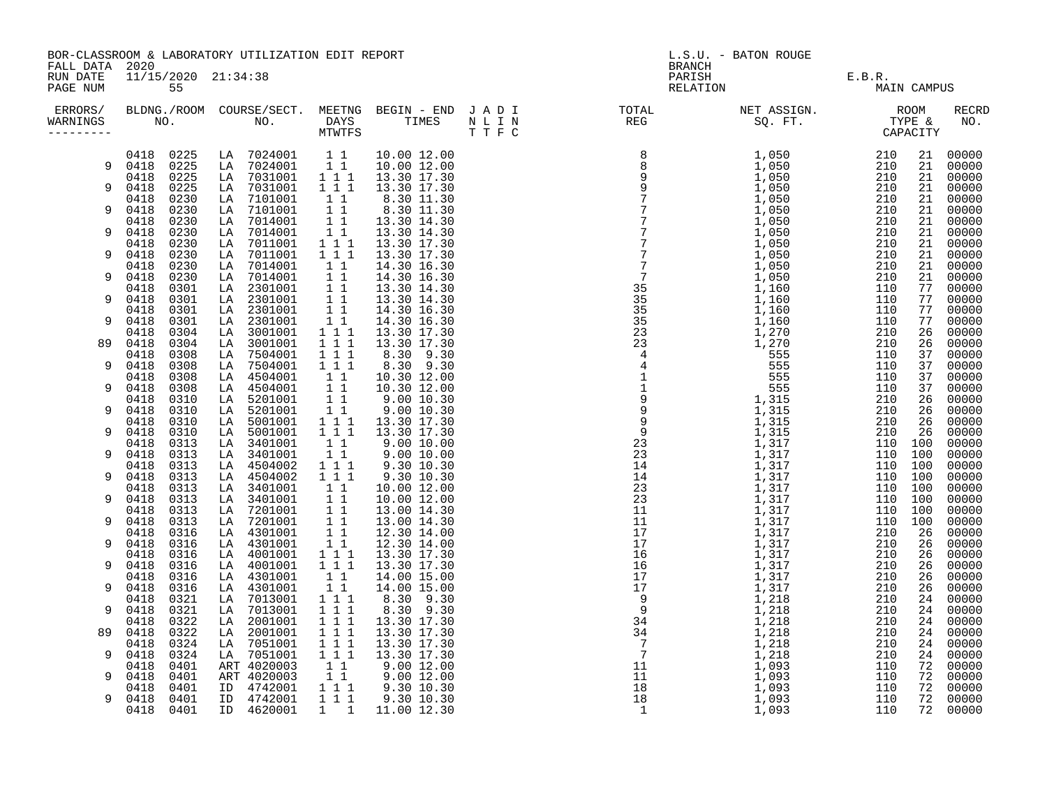|                                   | BOR-CLASSROOM & LABORATORY UTILIZATION EDIT REPORT<br>2020<br>11/15/2020 21:34:38 |                                |                                                                    |                            | L.S.U. - BATON ROUGE<br><b>BRANCH</b>                                                                                                                                                                                                                                                                                                                                                                                                                                                                                                                                        |                              |                       |            |                   |  |
|-----------------------------------|-----------------------------------------------------------------------------------|--------------------------------|--------------------------------------------------------------------|----------------------------|------------------------------------------------------------------------------------------------------------------------------------------------------------------------------------------------------------------------------------------------------------------------------------------------------------------------------------------------------------------------------------------------------------------------------------------------------------------------------------------------------------------------------------------------------------------------------|------------------------------|-----------------------|------------|-------------------|--|
| FALL DATA<br>RUN DATE<br>PAGE NUM | 55                                                                                |                                |                                                                    |                            |                                                                                                                                                                                                                                                                                                                                                                                                                                                                                                                                                                              | PARISH<br>PARISH<br>RELATION | E.B.R.<br>MAIN CAMPUS |            |                   |  |
| ERRORS/<br>WARNINGS<br>--------   |                                                                                   |                                |                                                                    |                            | BLDNG./ROOM COURSE/SECT. MEETNG BEGIN – END JADI TOTAL NET ASSIGN.     ROOM ROOM NO.     DAYS TIMES NLIN REG REG SQ. FT.     TYPE &<br>$\begin{array}{cccccccc} \textbf{N} & \textbf{I} & \textbf{I} & \textbf{N} & \textbf{E} & \textbf{E} & \textbf{E} & \textbf{E} & \textbf{E} & \textbf{E} & \textbf{E} & \textbf{E} & \textbf{E} & \textbf{E} & \textbf{E} & \textbf{E} & \textbf{E} & \textbf{E} & \textbf{E} & \textbf{E} & \textbf{E} & \textbf{E} & \textbf{E} & \textbf{E} & \textbf{E} & \textbf{E} & \textbf{E} & \textbf{E} & \textbf{E} & \textbf{E} & \text$ |                              |                       |            | RECRD<br>NO.      |  |
| 9                                 | 0418 0225<br>0418 0225                                                            | LA 7024001<br>LA 7024001       | $1\quad1$<br>11                                                    | 10.00 12.00<br>10.00 12.00 |                                                                                                                                                                                                                                                                                                                                                                                                                                                                                                                                                                              |                              | 210<br>210            | 21         | 21 00000<br>00000 |  |
| 9                                 | 0418<br>0225<br>0225<br>0418                                                      | LA 7031001<br>7031001<br>LA    | 1 1 1<br>$1\ 1\ 1$                                                 | 13.30 17.30<br>13.30 17.30 |                                                                                                                                                                                                                                                                                                                                                                                                                                                                                                                                                                              |                              | 210<br>210            | 21<br>21   | 00000<br>00000    |  |
| 9                                 | 0418<br>0230<br>0418<br>0230                                                      | 7101001<br>LA<br>7101001<br>LA | $1\quad1$<br>11                                                    | 8.30 11.30<br>8.30 11.30   |                                                                                                                                                                                                                                                                                                                                                                                                                                                                                                                                                                              |                              | 210<br>210            | 21<br>21   | 00000<br>00000    |  |
| 9                                 | 0230<br>0418<br>0418<br>0230                                                      | 7014001<br>LA<br>7014001<br>LA | 11<br>11                                                           | 13.30 14.30<br>13.30 14.30 |                                                                                                                                                                                                                                                                                                                                                                                                                                                                                                                                                                              |                              | 210<br>210            | 21<br>21   | 00000<br>00000    |  |
| 9                                 | 0230<br>0418<br>0418<br>0230                                                      | 7011001<br>LA<br>7011001<br>LA | $1 1 1$<br>111                                                     | 13.30 17.30<br>13.30 17.30 |                                                                                                                                                                                                                                                                                                                                                                                                                                                                                                                                                                              |                              | 210<br>210            | 21<br>21   | 00000<br>00000    |  |
| 9                                 | 0230<br>0418<br>0418<br>0230                                                      | 7014001<br>LA<br>7014001<br>LA | 11<br>$1\quad1$                                                    | 14.30 16.30<br>14.30 16.30 |                                                                                                                                                                                                                                                                                                                                                                                                                                                                                                                                                                              |                              | 210<br>210            | 21<br>21   | 00000<br>00000    |  |
|                                   | 0418<br>0301                                                                      | LA 2301001                     | $1\quad1$                                                          | 13.30 14.30                |                                                                                                                                                                                                                                                                                                                                                                                                                                                                                                                                                                              |                              | 110                   | 77         | 00000             |  |
| 9                                 | 0418<br>0301<br>0301<br>0418                                                      | 2301001<br>LA<br>LA 2301001    | $1\quad1$<br>11                                                    | 13.30 14.30<br>14.30 16.30 |                                                                                                                                                                                                                                                                                                                                                                                                                                                                                                                                                                              |                              | 110<br>110            | 77<br>77   | 00000<br>00000    |  |
| 9                                 | 0418<br>0301                                                                      | LA 2301001                     | 11                                                                 | 14.30 16.30                |                                                                                                                                                                                                                                                                                                                                                                                                                                                                                                                                                                              |                              | 110                   | 77         | 00000             |  |
| 89                                | 0418<br>0304<br>0418<br>0304                                                      | 3001001<br>LA<br>3001001<br>LA | 1 1 1                                                              | 13.30 17.30<br>13.30 17.30 |                                                                                                                                                                                                                                                                                                                                                                                                                                                                                                                                                                              |                              | 210<br>210            | 26<br>26   | 00000<br>00000    |  |
|                                   | 0418<br>0308                                                                      | 7504001<br>LA                  | $\begin{array}{rrrr} & 1&1&1\\ & 1&1&1 \end{array}$                | 8.30 9.30                  |                                                                                                                                                                                                                                                                                                                                                                                                                                                                                                                                                                              |                              | 110                   | 37         | 00000             |  |
| 9                                 | 0418<br>0308<br>0418<br>0308                                                      | 7504001<br>LA<br>4504001<br>LA | $1\ 1\ 1$<br>11                                                    | 8.30 9.30<br>10.30 12.00   |                                                                                                                                                                                                                                                                                                                                                                                                                                                                                                                                                                              |                              | 110<br>110            | 37<br>37   | 00000<br>00000    |  |
| 9                                 | 0418<br>0308                                                                      | LA 4504001                     | 11                                                                 | 10.30 12.00                |                                                                                                                                                                                                                                                                                                                                                                                                                                                                                                                                                                              |                              | 110                   | 37         | 00000             |  |
| 9                                 | 0310<br>0418<br>0418<br>0310                                                      | LA 5201001<br>LA 5201001       | $1\quad1$<br>$1\quad1$                                             | 9.00 10.30<br>9.00 10.30   |                                                                                                                                                                                                                                                                                                                                                                                                                                                                                                                                                                              |                              | 210<br>210            | 26<br>26   | 00000<br>00000    |  |
|                                   | 0310<br>0418                                                                      | LA 5001001                     | $1 1 1$                                                            | 13.30 17.30                |                                                                                                                                                                                                                                                                                                                                                                                                                                                                                                                                                                              |                              | 210                   | 26         | 00000             |  |
| 9                                 | 0418<br>0310<br>0313<br>0418                                                      | LA 5001001<br>LA 3401001       | $1\hspace{0.1cm} 1\hspace{0.1cm} 1$<br>11                          | 13.30 17.30<br>9.00 10.00  |                                                                                                                                                                                                                                                                                                                                                                                                                                                                                                                                                                              |                              | 210<br>110            | 26<br>100  | 00000<br>00000    |  |
| 9                                 | 0418<br>0313                                                                      | LA 3401001                     | 11                                                                 | 9.00 10.00                 |                                                                                                                                                                                                                                                                                                                                                                                                                                                                                                                                                                              |                              | 110                   | 100        | 00000             |  |
| 9                                 | 0418<br>0313<br>0418<br>0313                                                      | LA 4504002<br>LA 4504002       | 1 1 1<br>$1 1 1$                                                   | 9.30 10.30<br>9.30 10.30   |                                                                                                                                                                                                                                                                                                                                                                                                                                                                                                                                                                              |                              | 110<br>110 100        | 100        | 00000<br>00000    |  |
|                                   | 0313<br>0418                                                                      | LA 3401001                     | 11                                                                 | 10.00 12.00                |                                                                                                                                                                                                                                                                                                                                                                                                                                                                                                                                                                              |                              | 110                   | 100        | 00000             |  |
| 9                                 | 0418<br>0313<br>0418<br>0313                                                      | LA 3401001<br>7201001<br>LA    | 11<br>$1\quad1$                                                    | 10.00 12.00<br>13.00 14.30 |                                                                                                                                                                                                                                                                                                                                                                                                                                                                                                                                                                              |                              | 110<br>110            | 100<br>100 | 00000<br>00000    |  |
| 9                                 | 0418<br>0313                                                                      | 7201001<br>LA                  | 11                                                                 | 13.00 14.30                |                                                                                                                                                                                                                                                                                                                                                                                                                                                                                                                                                                              |                              | 110                   | 100        | 00000             |  |
| 9                                 | 0418<br>0316<br>0418<br>0316                                                      | LA 4301001<br>LA 4301001       | 11<br>11                                                           | 12.30 14.00<br>12.30 14.00 |                                                                                                                                                                                                                                                                                                                                                                                                                                                                                                                                                                              |                              | 210<br>210            | 26<br>26   | 00000<br>00000    |  |
|                                   | 0418<br>0316                                                                      | 4001001<br>LA                  | 1 1 1                                                              | 13.30 17.30                |                                                                                                                                                                                                                                                                                                                                                                                                                                                                                                                                                                              |                              | 210                   | 26         | 00000             |  |
| 9                                 | 0418<br>0316<br>0418<br>0316                                                      | LA 4001001<br>LA 4301001       | $1 1 1$<br>$1\quad1$                                               | 13.30 17.30<br>14.00 15.00 |                                                                                                                                                                                                                                                                                                                                                                                                                                                                                                                                                                              |                              | 210<br>210            | 26<br>26   | 00000<br>00000    |  |
| 9                                 | 0316<br>0418                                                                      | LA 4301001                     | $1\quad1$                                                          | 14.00 15.00                |                                                                                                                                                                                                                                                                                                                                                                                                                                                                                                                                                                              |                              | 210                   | 26         | 00000             |  |
| 9                                 | 0418<br>0321<br>0418<br>0321                                                      | 7013001<br>LA<br>7013001<br>LA | 1 1 1<br>$1 1 1$                                                   | 8.30 9.30<br>8.30 9.30     |                                                                                                                                                                                                                                                                                                                                                                                                                                                                                                                                                                              |                              | 210<br>210            | 24<br>24   | 00000<br>00000    |  |
|                                   | 0418<br>0322                                                                      | LA 2001001                     | $\begin{array}{cccc}\n1 & 1 & 1 \\ 1 & 1 & 1\n\end{array}$         | 13.30 17.30                |                                                                                                                                                                                                                                                                                                                                                                                                                                                                                                                                                                              |                              | 210                   | 24         | 00000             |  |
| 89                                | 0418<br>0322<br>0418<br>0324                                                      | 2001001<br>LA<br>7051001<br>LA |                                                                    | 13.30 17.30<br>13.30 17.30 |                                                                                                                                                                                                                                                                                                                                                                                                                                                                                                                                                                              |                              | 210<br>210            | 24<br>24   | 00000<br>00000    |  |
| 9                                 | 0418<br>0324                                                                      | LA 7051001                     | $\overline{1}$ $\overline{1}$ $\overline{1}$<br>$1$ $\overline{1}$ | 13.30 17.30                |                                                                                                                                                                                                                                                                                                                                                                                                                                                                                                                                                                              |                              | 210                   | 24         | 00000             |  |
| 9                                 | 0401<br>0418<br>0418<br>0401                                                      | ART 4020003<br>ART 4020003     | $1\quad1$<br>$1\quad1$                                             | 9.00 12.00<br>9.00 12.00   |                                                                                                                                                                                                                                                                                                                                                                                                                                                                                                                                                                              |                              | 110<br>110            | 72<br>72   | 00000<br>00000    |  |
|                                   | 0401<br>0418                                                                      | ID 4742001                     | $1 1 1$                                                            | 9.30 10.30                 |                                                                                                                                                                                                                                                                                                                                                                                                                                                                                                                                                                              |                              | 110                   | 72         | 00000             |  |
| 9                                 | 0401<br>0418<br>0418<br>0401                                                      | ID 4742001<br>ID 4620001       | $1 1 1$<br>$1 \quad 1$                                             | 9.30 10.30<br>11.00 12.30  |                                                                                                                                                                                                                                                                                                                                                                                                                                                                                                                                                                              |                              | 110<br>110            | 72<br>72   | 00000<br>00000    |  |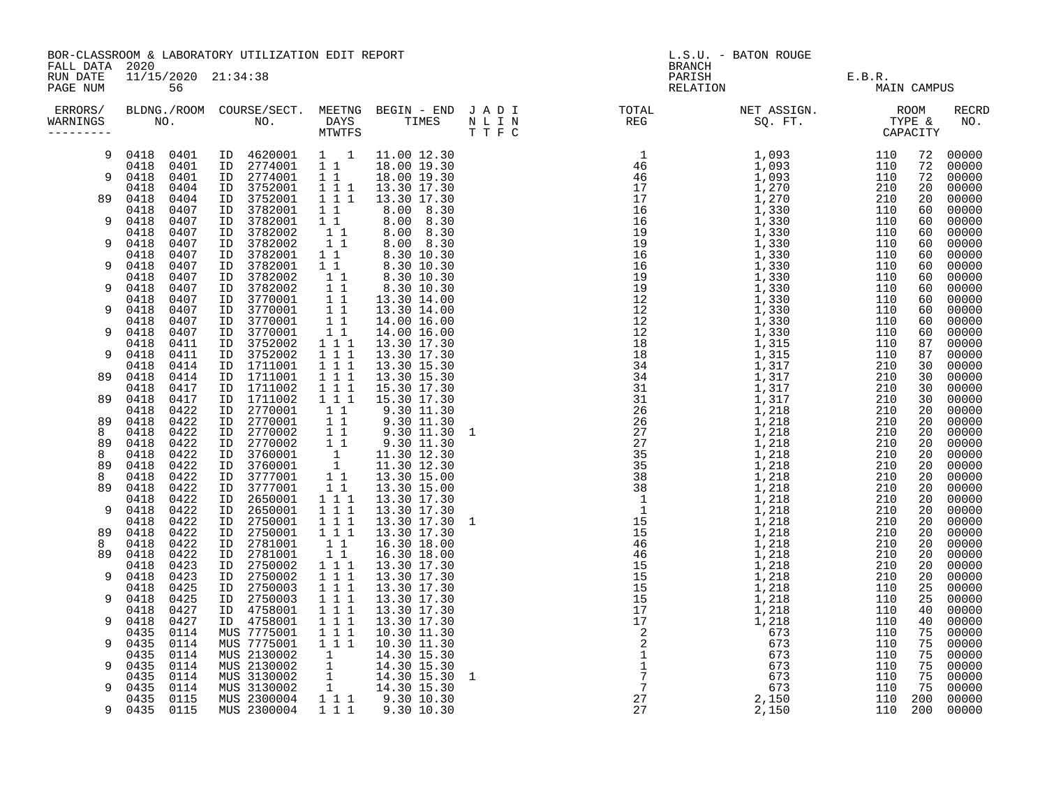|                                 | BOR-CLASSROOM & LABORATORY UTILIZATION EDIT REPORT<br>FALL DATA 2020<br>11/15/2020 21:34:38 |                                                 |                                 |                                           |  | L.S.U. - BATON ROUGE<br><b>BRANCH</b> |            |                   |                |                         |  |  |
|---------------------------------|---------------------------------------------------------------------------------------------|-------------------------------------------------|---------------------------------|-------------------------------------------|--|---------------------------------------|------------|-------------------|----------------|-------------------------|--|--|
| RUN DATE<br>PAGE NUM            | 56                                                                                          |                                                 |                                 |                                           |  | PARISH<br>RELATION                    |            | E.B.R.            | MAIN CAMPUS    |                         |  |  |
| ERRORS/<br>WARNINGS<br>-------- |                                                                                             |                                                 |                                 |                                           |  |                                       |            |                   |                | <b>RECRD</b><br>NO.     |  |  |
| 9                               | 0418 0401<br>0418<br>0401                                                                   | ID 4620001<br>ID 2774001                        | $1 \quad 1$<br>$1\quad1$        | 11.00 12.30<br>18.00 19.30                |  |                                       |            | 110<br>110        | 72<br>72       | 00000<br>00000          |  |  |
| 9                               | 0418<br>0401<br>0404<br>0418                                                                | ID 2774001<br>3752001<br>ID                     | $1\quad1$                       | 18.00 19.30<br>1 1 1 1 13.30 17.30        |  |                                       |            | 110<br>210        | 72<br>20       | 00000<br>00000          |  |  |
| 89                              | 0418<br>0404<br>0407<br>0418                                                                | 3752001<br>ID<br>3782001<br>ID                  | 111<br>$1\quad1$                | 13.30 17.30<br>8.00 8.30                  |  |                                       |            | 210<br>110        | 20<br>60       | 00000<br>00000          |  |  |
| 9                               | 0418<br>0407<br>0407                                                                        | 3782001<br>ID<br>3782002<br>ID                  | $1\quad1$<br>$1\quad1$          | 8.00 8.30<br>8.00 8.30                    |  |                                       |            | 110<br>110        | 60<br>60       | 00000<br>00000          |  |  |
| 9                               | 0418<br>0407<br>0418                                                                        | 3782002<br>ID<br>3782001                        | $\overline{1}$ $\overline{1}$   | 8.00 8.30                                 |  |                                       |            | 110               | 60             | 00000                   |  |  |
| 9                               | 0418<br>0407<br>0418<br>0407                                                                | ID<br>3782001<br>ID<br>3782002                  | $1\quad1$<br>$1\quad1$          | 8.30 10.30<br>8.30 10.30                  |  |                                       |            | 110<br>110<br>110 | 60<br>60<br>60 | 00000<br>00000          |  |  |
| 9                               | 0407<br>0418<br>0418<br>0407<br>0418                                                        | ID<br>3782002<br>ID<br>3770001                  | 1 1<br>11<br>11                 | 8.30 10.30<br>8.30 10.30<br>13.30 14.00   |  |                                       |            | 110<br>110        | 60<br>60       | 00000<br>00000          |  |  |
| 9                               | 0407<br>0418<br>0407                                                                        | ID<br>3770001<br>ID<br>3770001                  | 11<br>$1\quad1$                 | 13.30 14.00                               |  |                                       |            | 110               | 60             | 00000<br>00000          |  |  |
| 9                               | 0418<br>0407<br>0418<br>0407                                                                | ID<br>3770001<br>ID                             | $1\quad1$                       | 14.00 16.00<br>14.00 16.00                |  |                                       |            | 110<br>110<br>110 | 60<br>60<br>87 | 00000<br>00000          |  |  |
| 9                               | 0418<br>0411<br>0418<br>0411<br>0418                                                        | 3752002<br>ID<br>3752002<br>ID<br>1711001<br>ID | $1 1 1$<br>1 1 1<br>$1 1 1$     | 13.30 17.30<br>13.30 17.30                |  |                                       |            | 110<br>210        | 87<br>30       | 00000<br>00000<br>00000 |  |  |
| 89                              | 0414<br>0418<br>0414<br>0418<br>0417                                                        | 1711001<br>ID.<br>1711002<br>ID                 | 111<br>1 1 1                    | 13.30 15.30<br>13.30 15.30<br>15.30 17.30 |  |                                       |            | 210<br>210        | 30<br>30       | 00000<br>00000          |  |  |
| 89                              | 0418<br>0417<br>0422<br>0418                                                                | 1711002<br>ID<br>2770001<br>ID                  | 1 1 1<br>1 1                    | 15.30 17.30<br>9.30 11.30                 |  |                                       |            | 210<br>210        | 30<br>20       | 00000<br>00000          |  |  |
| 89<br>8                         | 0422<br>0418<br>0418<br>0422                                                                | 2770001<br>ID<br>2770002<br>ID                  | 11<br>11                        | 9.30 11.30<br>9.30 11.30 1                |  |                                       |            | 210<br>210        | 20<br>20       | 00000<br>00000          |  |  |
| 89<br>8                         | 0418<br>0422<br>0422<br>0418                                                                | ID<br>2770002<br>3760001<br>ID                  | $1\quad1$                       | $9.30$ $11.30$<br>11.30 12.30             |  |                                       |            | 210<br>210        | 20<br>20       | 00000<br>00000          |  |  |
| 89<br>8                         | 0422<br>0418<br>0422<br>0418                                                                | 3760001<br>ID<br>3777001<br>ID                  | $\frac{1}{1}$<br>$1\quad1$      | 11.30 12.30<br>13.30 15.00                |  |                                       |            | 210<br>210        | 20<br>20       | 00000<br>00000          |  |  |
| 89                              | 0422<br>0418<br>0422<br>0418                                                                | 3777001<br>ID<br>2650001<br>ID                  | $1\;1$<br>1 1 1                 | 13.30 15.00<br>13.30 17.30                |  |                                       |            | 210<br>210        | 20<br>20       | 00000<br>00000          |  |  |
| 9                               | 0418<br>0422<br>0418<br>0422                                                                | 2650001<br>ID<br>2750001<br>ID                  | $1 \quad 1 \quad 1$<br>111      | 13.30 17.30<br>13.30 17.30 1              |  |                                       |            | 210<br>210        | 20<br>20       | 00000<br>00000          |  |  |
| 89<br>8                         | 0418<br>0422<br>0422<br>0418                                                                | 2750001<br>ID<br>2781001<br>ID                  | 1 1 1<br>$1\quad1$              | 13.30 17.30<br>16.30 18.00                |  |                                       |            | 210<br>210        | 20<br>20       | 00000<br>00000          |  |  |
| 89                              | 0422<br>0418<br>0423<br>0418                                                                | 2781001<br>ID<br>2750002<br>ID                  | 11<br>111                       | 16.30 18.00<br>13.30 17.30                |  |                                       |            | 210<br>210        | 20<br>20       | 00000<br>00000          |  |  |
| 9                               | 0418<br>0423<br>0425<br>0418                                                                | 2750002<br>ID<br>2750003<br>ID                  | $1\ 1\ 1$<br>111                | 13.30 17.30<br>13.30 17.30                |  |                                       |            | 210<br>110        | 20<br>25       | 00000<br>00000          |  |  |
| 9                               | 0418<br>0425<br>0418<br>0427                                                                | 2750003<br>ID<br>ID 4758001                     | $1 1 1$<br>1 1 1                | 13.30 17.30<br>13.30 17.30                |  |                                       |            | 110<br>110        | 25<br>40       | 00000<br>00000          |  |  |
| 9                               | 0418<br>0427<br>0114<br>0435                                                                | ID 4758001<br>MUS 7775001                       | $1 1 1$<br>1 1 1                | 13.30 17.30<br>10.30 11.30                |  |                                       |            | 110<br>110        | 40<br>75       | 00000<br>00000          |  |  |
| 9                               | 0435<br>0114<br>0435<br>0114                                                                | MUS 7775001<br>MUS 2130002                      | 111<br>1                        | 10.30 11.30<br>14.30 15.30                |  |                                       |            | 110<br>110        | 75<br>75       | 00000<br>00000          |  |  |
| 9                               | 0435<br>0114<br>0435<br>0114                                                                | MUS 2130002<br>MUS 3130002                      | $\overline{1}$<br>$\frac{1}{1}$ | 14.30 15.30<br>14.30 15.30 1              |  |                                       | 673<br>673 | 110<br>110        | 75<br>75       | 00000<br>00000          |  |  |
| 9                               | 0435<br>0114<br>0435<br>0115                                                                | MUS 3130002<br>MUS 2300004                      | $1 1 1$                         | 14.30 15.30<br>9.30 10.30                 |  |                                       | 2,150      | 110<br>110        | 75<br>200      | 00000<br>00000          |  |  |
| 9                               | 0435<br>0115                                                                                | MUS 2300004                                     | $1 1 1$                         | 9.30 10.30                                |  |                                       | 2,150      | 110               | 200            | 00000                   |  |  |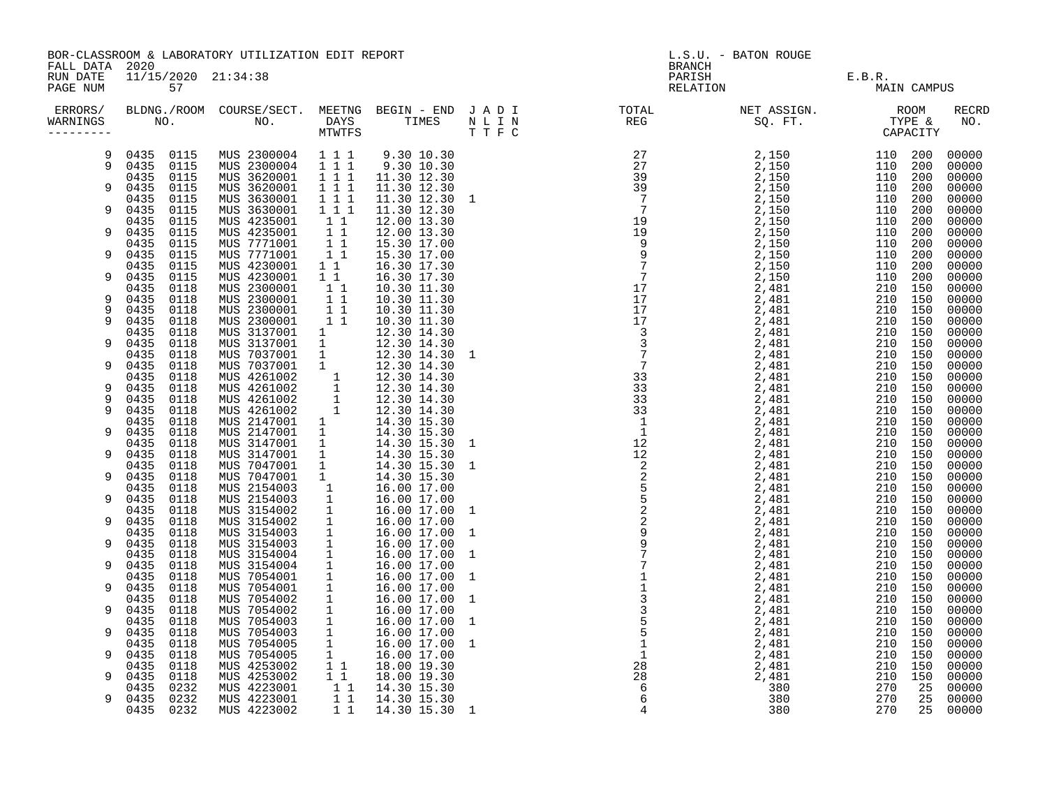BOR-CLASSROOM & LABORATORY UTILIZATION EDIT REPORT **Example 2008** L.S.U. - BATON ROUGE FALL DATA 2020 BRANCH 2020

| ERRORS/<br>WARNINGS |              | NO.          | BLDNG./ROOM COURSE/SECT. MEETNG<br>NO. | DAYS<br><b>MTWTFS</b>                            | BEGIN - END JADI<br>TIMES    | N L I N<br>T T F C | $\label{eq:2.1} \frac{1}{2} \int_{0}^{2\pi} \frac{1}{\sqrt{2\pi}} \left( \frac{1}{\sqrt{2\pi}} \right)^{2\pi} \frac{1}{\sqrt{2\pi}} \, \frac{1}{\sqrt{2\pi}} \, \frac{1}{\sqrt{2\pi}} \, \frac{1}{\sqrt{2\pi}} \, \frac{1}{\sqrt{2\pi}} \, \frac{1}{\sqrt{2\pi}} \, \frac{1}{\sqrt{2\pi}} \, \frac{1}{\sqrt{2\pi}} \, \frac{1}{\sqrt{2\pi}} \, \frac{1}{\sqrt{2\pi}} \, \frac{1}{\sqrt{2\pi}} \, \frac{1}{$<br>TOTAL<br><b>REG</b> | NET ASSIGN.<br>SQ. FT. TYPE & TYPE CAPACITY                                                                                                                                                                                                                                                                  | ROOM               |            | <b>RECRD</b><br>NO. |
|---------------------|--------------|--------------|----------------------------------------|--------------------------------------------------|------------------------------|--------------------|------------------------------------------------------------------------------------------------------------------------------------------------------------------------------------------------------------------------------------------------------------------------------------------------------------------------------------------------------------------------------------------------------------------------------------|--------------------------------------------------------------------------------------------------------------------------------------------------------------------------------------------------------------------------------------------------------------------------------------------------------------|--------------------|------------|---------------------|
| 9                   | 0435         | 0115         | MUS 2300004                            | 1 1 1                                            | 9.30 10.30                   |                    |                                                                                                                                                                                                                                                                                                                                                                                                                                    | $2$ , $150$<br>$2$ , $150$<br>$2$ , $150$<br>$2$ , $150$<br>$2$ , $150$<br>$2$ , $150$<br>$2$ , $150$<br>$2$ , $150$<br>$2$ , $150$<br>$2$ , $150$<br>$2$ , $150$<br>$2$ , $150$<br>$2$ , $150$<br>$2$ , $150$<br>$2$ , $150$<br>$2$ , $150$<br>$2$ , $150$<br>$2$ , $150$<br>$2$ , $150$<br>$2$ , $150$<br> | 110                | 200        | 00000               |
| 9                   | 0435<br>0435 | 0115<br>0115 | MUS 2300004<br>MUS 3620001             | 111<br>1 1 1                                     | 9.30 10.30<br>11.30 12.30    |                    |                                                                                                                                                                                                                                                                                                                                                                                                                                    |                                                                                                                                                                                                                                                                                                              | 110<br>110         | 200<br>200 | 00000<br>00000      |
| 9                   | 0435         | 0115         | MUS 3620001                            | 111                                              | 11.30 12.30                  |                    |                                                                                                                                                                                                                                                                                                                                                                                                                                    |                                                                                                                                                                                                                                                                                                              | 110 200            |            | 00000               |
|                     | 0435         | 0115         | MUS 3630001                            | 111                                              | 11.30 12.30 1                |                    |                                                                                                                                                                                                                                                                                                                                                                                                                                    |                                                                                                                                                                                                                                                                                                              | 110                | 200        | 00000               |
| 9                   | 0435         | 0115         | MUS 3630001                            | 1 1 1                                            | 11.30 12.30                  |                    |                                                                                                                                                                                                                                                                                                                                                                                                                                    |                                                                                                                                                                                                                                                                                                              | 110                | 200        | 00000               |
|                     | 0435         | 0115         | MUS 4235001                            | 11                                               | 12.00 13.30                  |                    |                                                                                                                                                                                                                                                                                                                                                                                                                                    |                                                                                                                                                                                                                                                                                                              | 110                | 200        | 00000               |
| 9                   | 0435         | 0115         | MUS 4235001                            | 11                                               | 12.00 13.30                  |                    |                                                                                                                                                                                                                                                                                                                                                                                                                                    |                                                                                                                                                                                                                                                                                                              | 110 200            |            | 00000               |
|                     | 0435         | 0115         | MUS 7771001<br>MUS 7771001             | $1\quad1$                                        | 15.30 17.00                  |                    |                                                                                                                                                                                                                                                                                                                                                                                                                                    |                                                                                                                                                                                                                                                                                                              | 110                | 200        | 00000               |
| 9                   | 0435<br>0435 | 0115<br>0115 | MUS 4230001                            | 11<br>$1\quad1$                                  | 15.30 17.00<br>16.30 17.30   |                    |                                                                                                                                                                                                                                                                                                                                                                                                                                    |                                                                                                                                                                                                                                                                                                              | 110<br>110 200     | 200        | 00000<br>00000      |
| 9                   | 0435         | 0115         | MUS 4230001                            | 1 1                                              | 16.30 17.30                  |                    |                                                                                                                                                                                                                                                                                                                                                                                                                                    |                                                                                                                                                                                                                                                                                                              | 110                | 200        | 00000               |
|                     | 0435         | 0118         | MUS 2300001                            | $1\quad1$                                        | 10.30 11.30                  |                    |                                                                                                                                                                                                                                                                                                                                                                                                                                    |                                                                                                                                                                                                                                                                                                              | 210 150            |            | 00000               |
| 9                   | 0435         | 0118         | MUS 2300001                            | $1\quad1$                                        | 10.30 11.30                  |                    |                                                                                                                                                                                                                                                                                                                                                                                                                                    |                                                                                                                                                                                                                                                                                                              | 210 150            |            | 00000               |
| 9                   | 0435         | 0118         | MUS 2300001                            | 11                                               | 10.30 11.30                  |                    |                                                                                                                                                                                                                                                                                                                                                                                                                                    |                                                                                                                                                                                                                                                                                                              | 210 150            |            | 00000               |
| 9                   | 0435         | 0118         | MUS 2300001                            | 11                                               | 10.30 11.30                  |                    |                                                                                                                                                                                                                                                                                                                                                                                                                                    |                                                                                                                                                                                                                                                                                                              | 210 150            |            | 00000               |
|                     | 0435         | 0118         | MUS 3137001                            | 1                                                | 12.30 14.30                  |                    |                                                                                                                                                                                                                                                                                                                                                                                                                                    |                                                                                                                                                                                                                                                                                                              | 210 150            |            | 00000               |
| 9                   | 0435<br>0435 | 0118<br>0118 | MUS 3137001<br>MUS 7037001             | 1<br>1                                           | 12.30 14.30<br>12.30 14.30 1 |                    |                                                                                                                                                                                                                                                                                                                                                                                                                                    |                                                                                                                                                                                                                                                                                                              | 210 150<br>210 150 |            | 00000<br>00000      |
| 9                   | 0435         | 0118         | MUS 7037001                            | $\mathbf{1}$                                     | 12.30 14.30                  |                    |                                                                                                                                                                                                                                                                                                                                                                                                                                    |                                                                                                                                                                                                                                                                                                              | 210 150            |            | 00000               |
|                     | 0435         | 0118         | MUS 4261002                            | $\begin{bmatrix} 1 \\ 1 \\ 1 \\ 1 \end{bmatrix}$ | 12.30 14.30                  |                    |                                                                                                                                                                                                                                                                                                                                                                                                                                    |                                                                                                                                                                                                                                                                                                              | 210 150            |            | 00000               |
| 9                   | 0435         | 0118         | MUS 4261002                            |                                                  | 12.30 14.30                  |                    |                                                                                                                                                                                                                                                                                                                                                                                                                                    |                                                                                                                                                                                                                                                                                                              | 210 150            |            | 00000               |
| 9                   | 0435         | 0118         | MUS 4261002                            |                                                  | 12.30 14.30                  |                    |                                                                                                                                                                                                                                                                                                                                                                                                                                    |                                                                                                                                                                                                                                                                                                              | 210 150            |            | 00000               |
| 9                   | 0435         | 0118         | MUS 4261002                            |                                                  | 12.30 14.30                  |                    |                                                                                                                                                                                                                                                                                                                                                                                                                                    |                                                                                                                                                                                                                                                                                                              | 210 150            |            | 00000               |
|                     | 0435         | 0118         | MUS 2147001                            | 1                                                | 14.30 15.30                  |                    |                                                                                                                                                                                                                                                                                                                                                                                                                                    |                                                                                                                                                                                                                                                                                                              | 210 150            |            | 00000               |
| 9                   | 0435<br>0435 | 0118<br>0118 | MUS 2147001<br>MUS 3147001             | $\frac{1}{1}$                                    | 14.30 15.30<br>14.30 15.30 1 |                    |                                                                                                                                                                                                                                                                                                                                                                                                                                    |                                                                                                                                                                                                                                                                                                              | 210 150<br>210 150 |            | 00000<br>00000      |
| 9                   | 0435         | 0118         | MUS 3147001                            | $\overline{1}$                                   | 14.30 15.30                  |                    |                                                                                                                                                                                                                                                                                                                                                                                                                                    |                                                                                                                                                                                                                                                                                                              | 210 150            |            | 00000               |
|                     | 0435         | 0118         | MUS 7047001                            | $\overline{1}$                                   | 14.30 15.30                  | $\overline{1}$     |                                                                                                                                                                                                                                                                                                                                                                                                                                    |                                                                                                                                                                                                                                                                                                              | 210 150            |            | 00000               |
| 9                   | 0435         | 0118         | MUS 7047001                            | 1                                                | 14.30 15.30                  |                    |                                                                                                                                                                                                                                                                                                                                                                                                                                    |                                                                                                                                                                                                                                                                                                              | 210 150            |            | 00000               |
|                     | 0435         | 0118         | MUS 2154003                            | $\overline{\phantom{a}}$                         | 16.00 17.00                  |                    |                                                                                                                                                                                                                                                                                                                                                                                                                                    |                                                                                                                                                                                                                                                                                                              | 210 150            |            | 00000               |
| 9                   | 0435         | 0118         | MUS 2154003                            | $\overline{\phantom{a}}$                         | 16.00 17.00                  |                    |                                                                                                                                                                                                                                                                                                                                                                                                                                    |                                                                                                                                                                                                                                                                                                              | 210 150            |            | 00000               |
|                     | 0435         | 0118         | MUS 3154002                            | $\overline{\phantom{a}}$                         | 16.00 17.00 1                |                    |                                                                                                                                                                                                                                                                                                                                                                                                                                    |                                                                                                                                                                                                                                                                                                              | 210 150            |            | 00000               |
| 9                   | 0435         | 0118<br>0118 | MUS 3154002                            | $\overline{\mathbf{1}}$                          | 16.00 17.00                  |                    |                                                                                                                                                                                                                                                                                                                                                                                                                                    |                                                                                                                                                                                                                                                                                                              | 210 150<br>210 150 |            | 00000               |
| 9                   | 0435<br>0435 | 0118         | MUS 3154003<br>MUS 3154003             | $\overline{\mathbf{1}}$<br>$\overline{1}$        | 16.00 17.00 1<br>16.00 17.00 |                    |                                                                                                                                                                                                                                                                                                                                                                                                                                    |                                                                                                                                                                                                                                                                                                              | 210 150            |            | 00000<br>00000      |
|                     | 0435         | 0118         | MUS 3154004                            | $\overline{\mathbf{1}}$                          | 16.00 17.00 1                |                    |                                                                                                                                                                                                                                                                                                                                                                                                                                    |                                                                                                                                                                                                                                                                                                              | 210 150            |            | 00000               |
| 9                   | 0435         | 0118         | MUS 3154004                            | $\overline{1}$                                   | 16.00 17.00                  |                    |                                                                                                                                                                                                                                                                                                                                                                                                                                    |                                                                                                                                                                                                                                                                                                              | 210 150            |            | 00000               |
|                     | 0435         | 0118         | MUS 7054001                            | $\overline{\mathbf{1}}$                          | 16.00 17.00 1                |                    |                                                                                                                                                                                                                                                                                                                                                                                                                                    |                                                                                                                                                                                                                                                                                                              | 210 150            |            | 00000               |
| 9                   | 0435         | 0118         | MUS 7054001                            | $\overline{1}$                                   | 16.00 17.00                  |                    |                                                                                                                                                                                                                                                                                                                                                                                                                                    |                                                                                                                                                                                                                                                                                                              | 210 150            |            | 00000               |
|                     | 0435         | 0118         | MUS 7054002                            | $\mathbf{1}$                                     | 16.00 17.00 1                |                    |                                                                                                                                                                                                                                                                                                                                                                                                                                    |                                                                                                                                                                                                                                                                                                              | 210 150            |            | 00000               |
| 9                   | 0435         | 0118         | MUS 7054002                            | $\overline{1}$                                   | 16.00 17.00                  |                    |                                                                                                                                                                                                                                                                                                                                                                                                                                    |                                                                                                                                                                                                                                                                                                              | 210 150            |            | 00000               |
| 9                   | 0435<br>0435 | 0118<br>0118 | MUS 7054003<br>MUS 7054003             | $\overline{1}$<br>$\mathbf{1}$                   | 16.00 17.00 1<br>16.00 17.00 |                    |                                                                                                                                                                                                                                                                                                                                                                                                                                    |                                                                                                                                                                                                                                                                                                              | 210 150<br>210 150 |            | 00000<br>00000      |
|                     | 0435         | 0118         | MUS 7054005                            | $\mathbf{1}$                                     | 16.00 17.00                  | $\overline{1}$     |                                                                                                                                                                                                                                                                                                                                                                                                                                    |                                                                                                                                                                                                                                                                                                              | 210 150            |            | 00000               |
| 9                   | 0435         | 0118         | MUS 7054005                            | $\mathbf{1}$                                     | 16.00 17.00                  |                    |                                                                                                                                                                                                                                                                                                                                                                                                                                    |                                                                                                                                                                                                                                                                                                              | 210 150            |            | 00000               |
|                     | 0435         | 0118         | MUS 4253002                            | 11                                               | 18.00 19.30                  |                    |                                                                                                                                                                                                                                                                                                                                                                                                                                    |                                                                                                                                                                                                                                                                                                              | 210 150            |            | 00000               |
| 9                   | 0435         | 0118         | MUS 4253002                            | $1\quad1$                                        | 18.00 19.30                  |                    |                                                                                                                                                                                                                                                                                                                                                                                                                                    |                                                                                                                                                                                                                                                                                                              | 210                | 150        | 00000               |
|                     | 0435         | 0232         | MUS 4223001                            | $1\quad1$                                        | 14.30 15.30                  |                    |                                                                                                                                                                                                                                                                                                                                                                                                                                    |                                                                                                                                                                                                                                                                                                              | 270                | 25         | 00000               |
| 9                   | 0435         | 0232         | MUS 4223001                            | 11                                               | 14.30 15.30                  |                    |                                                                                                                                                                                                                                                                                                                                                                                                                                    |                                                                                                                                                                                                                                                                                                              | 270                | 25         | 00000               |
|                     | 0435         | 0232         | MUS 4223002                            | $1\quad1$                                        | 14.30 15.30 1                |                    |                                                                                                                                                                                                                                                                                                                                                                                                                                    | 380                                                                                                                                                                                                                                                                                                          | 270                | 25         | 00000               |

| FALL DATA 2020<br>RUN DATE<br>PAGE NUM |                           | BOK-CLASSROOM & LABORAIORI UIILLIZAIION EDII REPORI                                                                                                                                                                                         |                            |  | L.S.U. - BAIUN KUUGL | MAIN CAMPUS |                   |
|----------------------------------------|---------------------------|---------------------------------------------------------------------------------------------------------------------------------------------------------------------------------------------------------------------------------------------|----------------------------|--|----------------------|-------------|-------------------|
| ERRORS/<br>WARNINGS                    |                           |                                                                                                                                                                                                                                             |                            |  |                      |             | <b>RECI</b><br>NO |
| 9<br>9                                 |                           | 0435 0115 MUS 2300004 1 1 1 9.30 10.30<br>0435 0115 MUS 2300004 1 1 1 9.30 10.30<br>0435 0115 MUS 3620001 1 1 1 11.30 12.30                                                                                                                 |                            |  |                      |             |                   |
|                                        |                           |                                                                                                                                                                                                                                             |                            |  |                      |             |                   |
| 9                                      | 0435 0115                 | MUS 3620001 1 1 1                                                                                                                                                                                                                           | 11.30 12.30                |  |                      |             |                   |
|                                        | 0435 0115                 |                                                                                                                                                                                                                                             | 11.30 12.30 1              |  |                      |             |                   |
| 9                                      | 0435 0115                 | MUS 3630001 1 1 1<br>MUS 3630001 1 1 1<br>MUS 4235001 1 1<br>MUS 4235001 1 1<br>MUS 7771001 1 1<br>MUS 7771001 1 1                                                                                                                          | 11.30 12.30                |  |                      |             |                   |
|                                        | 0435 0115                 |                                                                                                                                                                                                                                             | 12.00 13.30                |  |                      |             |                   |
| 9                                      | 0435 0115                 |                                                                                                                                                                                                                                             | 12.00 13.30<br>15.30 17.00 |  |                      |             |                   |
| 9                                      | 0435 0115<br>0435 0115    |                                                                                                                                                                                                                                             | 15.30 17.00                |  |                      |             |                   |
|                                        | 0435 0115                 | MUS 7771001 11<br>MUS 4230001 11                                                                                                                                                                                                            |                            |  |                      |             |                   |
| 9                                      | 0435 0115                 |                                                                                                                                                                                                                                             |                            |  |                      |             |                   |
|                                        | 0435 0118                 |                                                                                                                                                                                                                                             |                            |  |                      |             |                   |
| 9                                      | 0435 0118                 |                                                                                                                                                                                                                                             |                            |  |                      |             |                   |
| 9                                      | 0435 0118                 |                                                                                                                                                                                                                                             |                            |  |                      |             |                   |
| 9                                      | 0435<br>0118<br>0435 0118 |                                                                                                                                                                                                                                             |                            |  |                      |             |                   |
| 9                                      | 0435 0118                 |                                                                                                                                                                                                                                             |                            |  |                      |             |                   |
|                                        | 0435 0118                 |                                                                                                                                                                                                                                             |                            |  |                      |             |                   |
| 9                                      | 0435 0118                 |                                                                                                                                                                                                                                             |                            |  |                      |             |                   |
|                                        | 0435 0118                 |                                                                                                                                                                                                                                             |                            |  |                      |             |                   |
| 9                                      | 0435<br>0118              |                                                                                                                                                                                                                                             |                            |  |                      |             |                   |
| 9<br>9                                 | 0435 0118<br>0435 0118    |                                                                                                                                                                                                                                             |                            |  |                      |             |                   |
|                                        | 0435 0118                 |                                                                                                                                                                                                                                             |                            |  |                      |             |                   |
| 9                                      | 0435 0118                 |                                                                                                                                                                                                                                             |                            |  |                      |             | 0000              |
|                                        | 0435 0118                 |                                                                                                                                                                                                                                             |                            |  |                      |             |                   |
| 9                                      | 0435 0118                 |                                                                                                                                                                                                                                             |                            |  |                      |             |                   |
|                                        | 0435 0118                 |                                                                                                                                                                                                                                             |                            |  |                      |             |                   |
| 9                                      | 0435<br>0118              |                                                                                                                                                                                                                                             |                            |  |                      |             |                   |
| 9                                      | 0435 0118<br>0435 0118    |                                                                                                                                                                                                                                             |                            |  |                      |             |                   |
|                                        | 0435 0118                 |                                                                                                                                                                                                                                             |                            |  |                      |             |                   |
| 9                                      | 0435 0118                 |                                                                                                                                                                                                                                             |                            |  |                      |             |                   |
|                                        | 0435 0118                 |                                                                                                                                                                                                                                             |                            |  |                      |             |                   |
| 9                                      | 0435 0118                 |                                                                                                                                                                                                                                             |                            |  |                      |             |                   |
|                                        | 0435 0118                 |                                                                                                                                                                                                                                             |                            |  |                      |             |                   |
| 9                                      | 0435 0118<br>0435 0118    |                                                                                                                                                                                                                                             |                            |  |                      |             |                   |
| 9                                      | 0435 0118                 |                                                                                                                                                                                                                                             |                            |  |                      |             |                   |
|                                        | 0435 0118                 |                                                                                                                                                                                                                                             |                            |  |                      |             |                   |
| 9                                      | 0435 0118                 |                                                                                                                                                                                                                                             |                            |  |                      |             |                   |
|                                        | 0435 0118                 |                                                                                                                                                                                                                                             |                            |  |                      |             |                   |
| 9                                      | 0435 0118                 |                                                                                                                                                                                                                                             |                            |  |                      |             |                   |
|                                        | 0118<br>0435              |                                                                                                                                                                                                                                             |                            |  |                      |             | 0000              |
| 9                                      | 0435 0118<br>0435 0118    | AUS 7771001 1 1 15.30 17.00<br>MUS 7771001 1 1 15.30 17.00<br>MUS 7771001 1 1 15.30 17.00<br>MUS 4230001 1 1 16.30 17.30<br>MUS 2300001 1 1 16.30 17.30<br>MUS 2300001 1 1 10.30 11.30<br>MUS 2300001 1 1 10.30 11.30<br>MUS 2300001 1 1 10 |                            |  |                      |             | 0000              |
| 9                                      | 0435 0118                 |                                                                                                                                                                                                                                             |                            |  |                      |             |                   |
|                                        | 0435 0232                 |                                                                                                                                                                                                                                             |                            |  |                      |             |                   |
| 9                                      | 0435 0232                 |                                                                                                                                                                                                                                             |                            |  |                      |             |                   |
|                                        | 0435 0232                 | MITC 1993009                                                                                                                                                                                                                                |                            |  |                      |             |                   |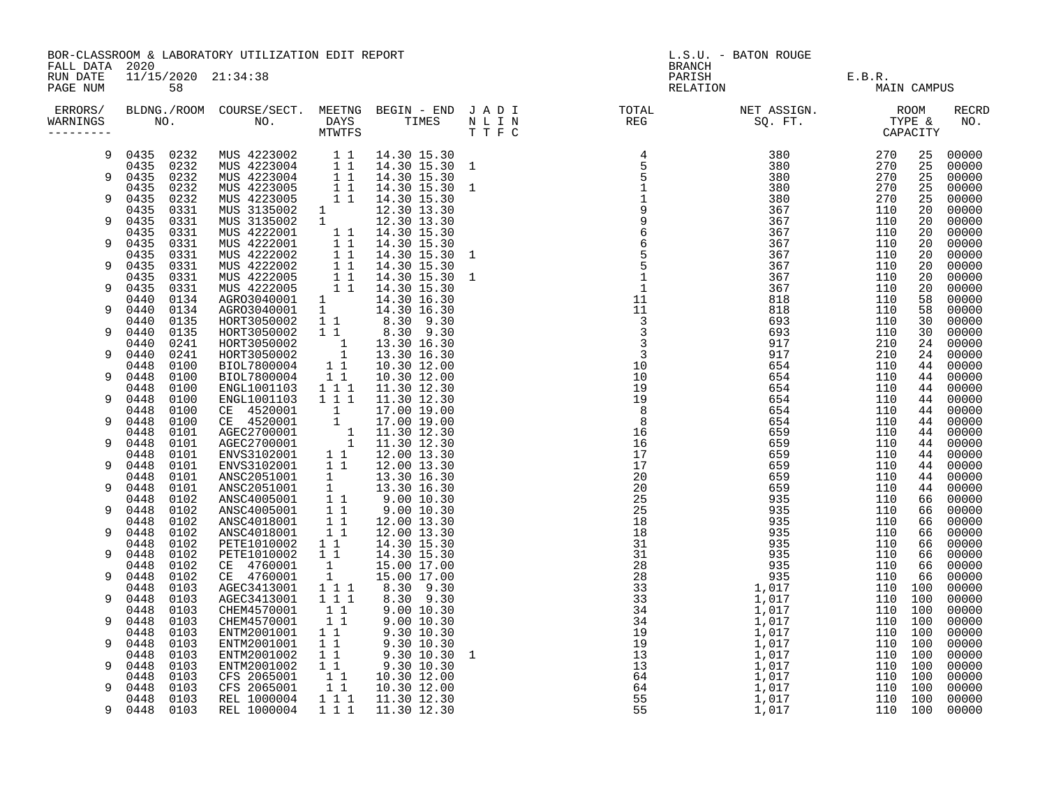|                                        |                              | BOR-CLASSROOM & LABORATORY UTILIZATION EDIT REPORT                                                                                                                                                                                             |                                                                            |                              |                                                                                                                           | L.S.U. - BATON ROUGE |                    |             |                |
|----------------------------------------|------------------------------|------------------------------------------------------------------------------------------------------------------------------------------------------------------------------------------------------------------------------------------------|----------------------------------------------------------------------------|------------------------------|---------------------------------------------------------------------------------------------------------------------------|----------------------|--------------------|-------------|----------------|
| FALL DATA 2020<br>RUN DATE<br>PAGE NUM | 11/15/2020 21:34:38<br>58    |                                                                                                                                                                                                                                                |                                                                            |                              | <b>BRANCH</b><br>PARISH<br>RELATION                                                                                       | E.B.R.<br>J MA1      |                    | MAIN CAMPUS |                |
| ERRORS/<br>WARNINGS<br>--------        |                              |                                                                                                                                                                                                                                                |                                                                            |                              | BLDNG./ROOM COURSE/SECT. MEETNG BEGIN – END JADI TOTAL NET ASSIGN. NET ASSIGN. ROOM NO. DAYS TIMES NLIN REG SQ.FT. TYPE & |                      |                    |             | RECRD<br>NO.   |
| 9                                      | 0435 0232<br>0435 0232       | MUS 4223002 1 1<br>MUS 4223004 1 1<br>MUS 4223004 1 1<br>MUS 4223005 1 1<br>MUS 4223005 1 1<br>MUS 3135002 1<br>MUS 3135002 1<br>MUS 3135002 1<br>MUS 3135002 1                                                                                |                                                                            | 14.30 15.30<br>14.30 15.30 1 |                                                                                                                           |                      | 270<br>270         | 25<br>25    | 00000<br>00000 |
| 9                                      | 0232<br>0435                 |                                                                                                                                                                                                                                                |                                                                            | 14.30 15.30                  |                                                                                                                           |                      | 270                | 25          | 00000          |
| 9                                      | 0232<br>0435<br>0435<br>0232 |                                                                                                                                                                                                                                                |                                                                            | 14.30 15.30 1<br>14.30 15.30 |                                                                                                                           |                      | 270<br>270         | 25<br>25    | 00000<br>00000 |
| 9                                      | 0435<br>0331<br>0435<br>0331 |                                                                                                                                                                                                                                                |                                                                            | 12.30 13.30<br>12.30 13.30   |                                                                                                                           |                      | 110<br>110         | 20<br>20    | 00000<br>00000 |
| 9                                      | 0435<br>0331<br>0435<br>0331 |                                                                                                                                                                                                                                                |                                                                            |                              |                                                                                                                           |                      | 110<br>110         | 20<br>20    | 00000<br>00000 |
| 9                                      | 0435<br>0331<br>0435<br>0331 | MUS 3135002 1 12.30 13.30<br>MUS 4222001 1 1 14.30 15.30<br>MUS 4222001 1 1 14.30 15.30<br>MUS 4222002 1 1 14.30 15.30<br>MUS 4222002 1 1 14.30 15.30<br>MUS 4222002 1 1 14.30 15.30<br>MUS 4222005 1 1 14.30 15.30<br>MUS 4222005 1 1 14.30   |                                                                            | 14.30 15.30 1                |                                                                                                                           |                      | 110<br>110         | 20<br>20    | 00000<br>00000 |
|                                        | 0435<br>0331                 |                                                                                                                                                                                                                                                |                                                                            | 14.30 15.30 1                |                                                                                                                           |                      | 110                | 20          | 00000          |
| 9                                      | 0435<br>0331<br>0440<br>0134 |                                                                                                                                                                                                                                                |                                                                            |                              |                                                                                                                           |                      | 110<br>110         | 20<br>58    | 00000<br>00000 |
| 9                                      | 0440<br>0134<br>0440<br>0135 |                                                                                                                                                                                                                                                |                                                                            |                              |                                                                                                                           |                      | 110<br>110         | 58<br>30    | 00000<br>00000 |
| 9                                      | 0440<br>0135<br>0241<br>0440 |                                                                                                                                                                                                                                                |                                                                            |                              |                                                                                                                           |                      | 110<br>210         | 30<br>24    | 00000<br>00000 |
| 9                                      | 0440<br>0241<br>0448<br>0100 | HORT3050002 1 1 8.30 9.30<br>HORT3050002 1 13.30 16.30<br>HORT3050002 1 13.30 16.30<br>BIOL7800004 1 1 10.30 12.00                                                                                                                             |                                                                            |                              |                                                                                                                           |                      | 210<br>110         | 24<br>44    | 00000<br>00000 |
| 9                                      | 0448<br>0100                 | BIOL7800004                                                                                                                                                                                                                                    | $\begin{array}{rr}\n\overline{1} & \overline{1} \\ 1 & 1 & 1\n\end{array}$ | 10.30 12.00                  |                                                                                                                           |                      | 110                | 44          | 00000          |
| 9                                      | 0448<br>0100<br>0448<br>0100 | ENGL1001103<br>ENGL1001103                                                                                                                                                                                                                     | 111                                                                        | 11.30 12.30<br>11.30 12.30   |                                                                                                                           |                      | 110<br>110         | 44<br>44    | 00000<br>00000 |
| 9                                      | 0448<br>0100<br>0448<br>0100 | ENGL1001103 1 1 1 11.30 12.30<br>CE 4520001 1 17.00 19.00<br>CE 4520001 1 17.00 19.00<br>AGEC2700001 1 11.30 12.30<br>AGEC2700001 1 11.30 12.30<br>ENVS3102001 1 12.00 13.30<br>ENVS3102001 1 12.00 13.30<br>ANSC2051001 1 13.30 16.30<br>ANSC |                                                                            |                              |                                                                                                                           |                      | 110<br>110         | 44<br>44    | 00000<br>00000 |
| 9                                      | 0448<br>0101<br>0448<br>0101 |                                                                                                                                                                                                                                                |                                                                            |                              |                                                                                                                           |                      | 110<br>110         | 44<br>44    | 00000<br>00000 |
| 9                                      | 0101<br>0448<br>0448         |                                                                                                                                                                                                                                                |                                                                            |                              |                                                                                                                           |                      | 110<br>110         | 44<br>44    | 00000<br>00000 |
|                                        | 0101<br>0101<br>0448         |                                                                                                                                                                                                                                                |                                                                            |                              |                                                                                                                           |                      | 110                | 44          | 00000          |
| 9                                      | 0448<br>0101<br>0448<br>0102 |                                                                                                                                                                                                                                                |                                                                            |                              |                                                                                                                           |                      | 110<br>110         | 44<br>66    | 00000<br>00000 |
| 9                                      | 0448<br>0102<br>0102<br>0448 | ANSC4018001                                                                                                                                                                                                                                    | $1\quad1$                                                                  | 12.00 13.30                  |                                                                                                                           |                      | 110<br>110         | 66<br>66    | 00000<br>00000 |
| 9                                      | 0448<br>0102<br>0102<br>0448 | ANSC4018001<br>PETE1010002                                                                                                                                                                                                                     | $1\quad1$<br>1 1                                                           | 12.00 13.30<br>14.30 15.30   |                                                                                                                           |                      | 110<br>110         | 66<br>66    | 00000<br>00000 |
| 9                                      | 0448<br>0102                 | PETE1010002<br>CE 4760001                                                                                                                                                                                                                      | 11                                                                         | 14.30 15.30                  |                                                                                                                           |                      | 110<br>110         | 66<br>66    | 00000<br>00000 |
| 9                                      | 0102<br>0448<br>0448<br>0102 | CE 4760001                                                                                                                                                                                                                                     | $\frac{1}{1}$                                                              | 15.00 17.00<br>15.00 17.00   |                                                                                                                           |                      | 110                | 66          | 00000          |
| 9                                      | 0103<br>0448<br>0103<br>0448 | AGEC3413001<br>AGEC3413001                                                                                                                                                                                                                     | $\begin{array}{ccc} 1&1&1\\ 1&1&1 \end{array}$                             | 8.30 9.30<br>8.30 9.30       |                                                                                                                           |                      | 110<br>110         | 100<br>100  | 00000<br>00000 |
| 9                                      | 0103<br>0448<br>0103<br>0448 | CHEM4570001<br>CHEM4570001                                                                                                                                                                                                                     | 11                                                                         | 9.00 10.30                   |                                                                                                                           |                      | 110 100<br>110 100 |             | 00000<br>00000 |
| 9                                      | 0103<br>0448<br>0448<br>0103 | ENTM2001001<br>ENTM2001001                                                                                                                                                                                                                     |                                                                            |                              |                                                                                                                           |                      | 110 100<br>110 100 |             | 00000<br>00000 |
| 9                                      | 0448<br>0103<br>0448<br>0103 | ENTM2001002<br>ENTM2001002                                                                                                                                                                                                                     |                                                                            |                              |                                                                                                                           |                      | 110 100<br>110 100 |             | 00000<br>00000 |
|                                        | 0103<br>0448                 | CFS 2065001<br>CFS 2065001                                                                                                                                                                                                                     | $\begin{bmatrix} 1 & 1 \\ 1 & 1 \\ 1 & 1 \end{bmatrix}$                    | 10.30 12.00                  |                                                                                                                           |                      | 110 100            |             | 00000          |
| 9                                      | 0448<br>0103<br>0103<br>0448 | REL 1000004                                                                                                                                                                                                                                    | $1 \quad 1 \quad 1$                                                        | 10.30 12.00<br>11.30 12.30   |                                                                                                                           |                      | 110 100<br>110 100 |             | 00000<br>00000 |
|                                        | 9 0448 0103                  | REL 1000004                                                                                                                                                                                                                                    | 1 1 1                                                                      | 11.30 12.30                  |                                                                                                                           |                      | 110 100            |             | 00000          |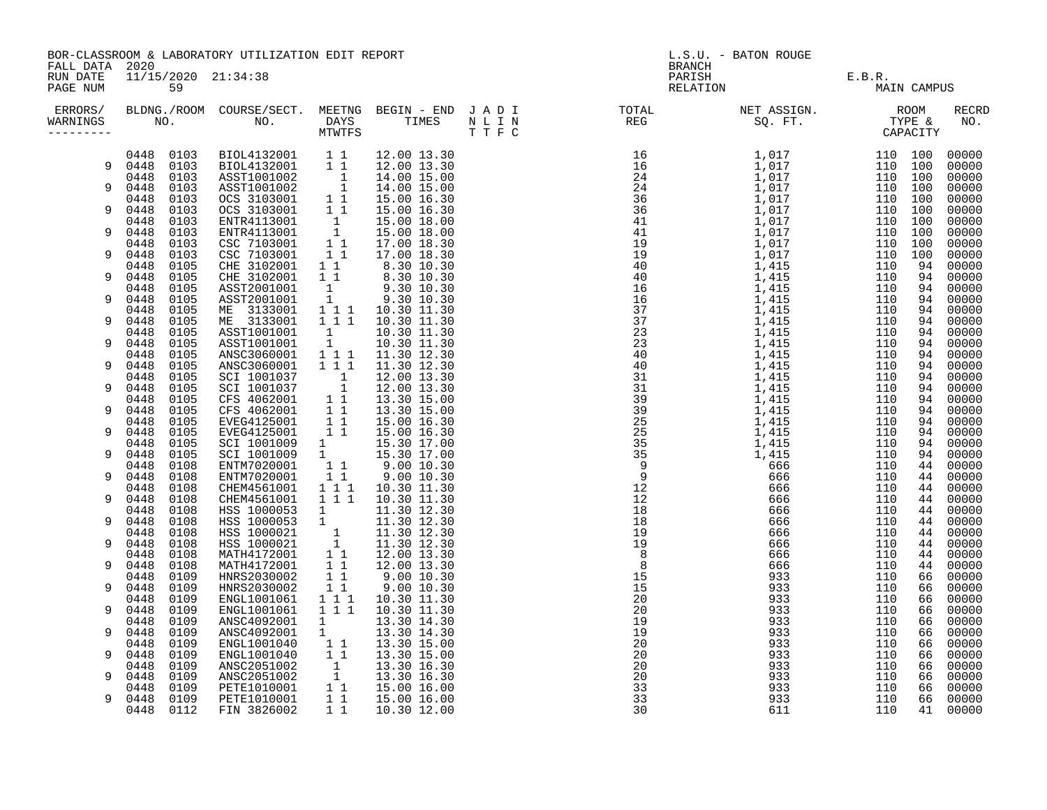|                      | BOR-CLASSROOM & LABORATORY UTILIZATION EDIT REPORT<br>FALL DATA 2020 |                                                                                                                                                                                                                                                                |                                                                                                                                                                                                                                                                                                                      |                                  |                                                | L.S.U. - BATON ROUGE<br><b>BRANCH</b> |  |                    |        |             |                |
|----------------------|----------------------------------------------------------------------|----------------------------------------------------------------------------------------------------------------------------------------------------------------------------------------------------------------------------------------------------------------|----------------------------------------------------------------------------------------------------------------------------------------------------------------------------------------------------------------------------------------------------------------------------------------------------------------------|----------------------------------|------------------------------------------------|---------------------------------------|--|--------------------|--------|-------------|----------------|
| RUN DATE<br>PAGE NUM |                                                                      | 11/15/2020 21:34:38<br>59<br>ERRORS/ BLDNG./ROOM COURSE/SECT. MEETNG BEGIN – END JADI TOTAL TOTAL NETASSIGN. NET ASSIGN. ROOM ROOM COURSE/SECT. MEETNG BEGIN – END JADI TOTAL TOTAL NETASSIGN. TYPE &<br>WARNINGS NO. NO. DAYS TIMES NLIN REG SQ.FT. TYPE & CA |                                                                                                                                                                                                                                                                                                                      |                                  |                                                |                                       |  | PARISH<br>RELATION | E.B.R. | MAIN CAMPUS |                |
| WARNINGS             |                                                                      |                                                                                                                                                                                                                                                                |                                                                                                                                                                                                                                                                                                                      |                                  |                                                |                                       |  |                    |        |             | RECRD<br>NO.   |
|                      |                                                                      |                                                                                                                                                                                                                                                                | $\begin{tabular}{cccc} 0448 & 0103 & \text{BIOL4132001} & 11 \\ 0448 & 0103 & \text{BIOL4132001} & 11 \\ 0448 & 0103 & \text{ASST1001002} & 1 \\ 0448 & 0103 & \text{ASST1001002} & 1 \\ 0448 & 0103 & \text{OCS 3103001} & 11 \\ 0448 & 0103 & \text{OCS 3103001} & 11 \\ 0448 & 0103 & \text{ENTR4113001} & 1 \\ $ |                                  | 12.00 13.30                                    |                                       |  |                    |        |             | 00000          |
|                      | 9 0448 0103                                                          |                                                                                                                                                                                                                                                                |                                                                                                                                                                                                                                                                                                                      |                                  | 12.00 13.30<br>14.00 15.00                     |                                       |  |                    |        |             | 00000<br>00000 |
| 9                    |                                                                      |                                                                                                                                                                                                                                                                |                                                                                                                                                                                                                                                                                                                      |                                  | 14.00 15.00                                    |                                       |  |                    |        |             | 00000          |
|                      |                                                                      |                                                                                                                                                                                                                                                                |                                                                                                                                                                                                                                                                                                                      |                                  | 15.00 16.30                                    |                                       |  |                    |        |             | 00000          |
| 9                    |                                                                      |                                                                                                                                                                                                                                                                |                                                                                                                                                                                                                                                                                                                      |                                  | 15.00 16.30                                    |                                       |  |                    |        |             | 00000          |
|                      |                                                                      |                                                                                                                                                                                                                                                                |                                                                                                                                                                                                                                                                                                                      |                                  | 15.00 18.00                                    |                                       |  |                    |        |             | 00000          |
| 9                    |                                                                      |                                                                                                                                                                                                                                                                |                                                                                                                                                                                                                                                                                                                      |                                  | 15.00 18.00<br>17.00 18.30                     |                                       |  |                    |        |             | 00000<br>00000 |
| 9                    | 0448                                                                 | 0103                                                                                                                                                                                                                                                           | CSC 7103001                                                                                                                                                                                                                                                                                                          | 11                               | 17.00 18.30                                    |                                       |  |                    |        |             | 00000          |
|                      | 0448                                                                 | 0105                                                                                                                                                                                                                                                           |                                                                                                                                                                                                                                                                                                                      |                                  |                                                |                                       |  |                    |        |             | 00000          |
| 9                    | 0448                                                                 | 0105                                                                                                                                                                                                                                                           | CHE 3102001 1 1 8.30 10.30<br>CHE 3102001 1 8.30 10.30<br>ASST2001001 1 9.30 10.30<br>ASST2001001 1 9.30 10.30                                                                                                                                                                                                       |                                  |                                                |                                       |  |                    |        |             | 00000          |
|                      | 0448                                                                 | 0105                                                                                                                                                                                                                                                           |                                                                                                                                                                                                                                                                                                                      |                                  |                                                |                                       |  |                    |        |             | 00000          |
| 9                    | 0448                                                                 | 0105                                                                                                                                                                                                                                                           |                                                                                                                                                                                                                                                                                                                      |                                  |                                                |                                       |  |                    |        |             | 00000          |
| 9                    | 0448<br>0448                                                         | 0105<br>0105                                                                                                                                                                                                                                                   | ME 3133001<br>ME 3133001                                                                                                                                                                                                                                                                                             |                                  | $1 1 1 1 10.30 11.30$<br>$1 1 1 1 10.30 11.30$ |                                       |  |                    |        |             | 00000<br>00000 |
|                      | 0448                                                                 | 0105                                                                                                                                                                                                                                                           | ASST1001001                                                                                                                                                                                                                                                                                                          |                                  | 10.30 11.30                                    |                                       |  |                    |        |             | 00000          |
| 9                    | 0448                                                                 | 0105                                                                                                                                                                                                                                                           | ASST1001001                                                                                                                                                                                                                                                                                                          | $\begin{matrix}1\\1\end{matrix}$ | 10.30 11.30                                    |                                       |  |                    |        |             | 00000          |
|                      | 0448                                                                 | 0105                                                                                                                                                                                                                                                           | ANSC3060001                                                                                                                                                                                                                                                                                                          | 1 1 1                            | 11.30 12.30                                    |                                       |  |                    |        |             | 00000          |
| 9                    | 0448                                                                 | 0105                                                                                                                                                                                                                                                           | ANSC3060001                                                                                                                                                                                                                                                                                                          | $1 1 1$                          | 11.30 12.30                                    |                                       |  |                    |        |             | 00000          |
| 9                    | 0448<br>0448                                                         | 0105                                                                                                                                                                                                                                                           |                                                                                                                                                                                                                                                                                                                      |                                  | 12.00 13.30                                    |                                       |  |                    |        |             | 00000          |
|                      | 0448                                                                 | 0105<br>0105                                                                                                                                                                                                                                                   |                                                                                                                                                                                                                                                                                                                      |                                  | 12.00 13.30<br>13.30 15.00                     |                                       |  |                    |        |             | 00000<br>00000 |
| 9                    | 0448                                                                 | 0105                                                                                                                                                                                                                                                           | SCI 1001037<br>SCI 1001037<br>SCI 1001037<br>CFS 4062001 11<br>CFS 4062001 11                                                                                                                                                                                                                                        |                                  | 13.30 15.00                                    |                                       |  |                    |        |             | 00000          |
|                      | 0448                                                                 | 0105                                                                                                                                                                                                                                                           | EVEG4125001 11<br>EVEG4125001 11<br>SCI 1001009 1<br>SCI 1001009 1<br>ENTM7020001 11                                                                                                                                                                                                                                 |                                  | 15.00 16.30                                    |                                       |  |                    |        |             | 00000          |
| 9                    | 0448                                                                 | 0105                                                                                                                                                                                                                                                           |                                                                                                                                                                                                                                                                                                                      |                                  | 15.00 16.30                                    |                                       |  |                    |        |             | 00000          |
|                      | 0448                                                                 | 0105                                                                                                                                                                                                                                                           |                                                                                                                                                                                                                                                                                                                      |                                  | 15.30 17.00                                    |                                       |  |                    |        |             | 00000          |
| 9                    | 0448<br>0448                                                         | 0105<br>0108                                                                                                                                                                                                                                                   |                                                                                                                                                                                                                                                                                                                      |                                  | 15.30 17.00                                    |                                       |  |                    |        |             | 00000<br>00000 |
| 9                    | 0448                                                                 | 0108                                                                                                                                                                                                                                                           | ENTM7020001                                                                                                                                                                                                                                                                                                          | $1\quad1$                        | $9.00$ $10.30$<br>$9.00$ $10.30$               |                                       |  |                    |        |             | 00000          |
|                      | 0448                                                                 | 0108                                                                                                                                                                                                                                                           | CHEM4561001                                                                                                                                                                                                                                                                                                          |                                  | 1 1 1 10.30 11.30                              |                                       |  |                    |        |             | 00000          |
| 9                    | 0448                                                                 | 0108                                                                                                                                                                                                                                                           | CHEM4561001                                                                                                                                                                                                                                                                                                          | $1 1 1$                          | 10.30 11.30                                    |                                       |  |                    |        |             | 00000          |
|                      | 0448                                                                 | 0108                                                                                                                                                                                                                                                           | MSS 1000053 1<br>HSS 1000053 1<br>HSS 1000053 1<br>HSS 1000021 1<br>11.30 12.30<br>HSS 1000021 1<br>11.30 12.30<br>MATH4172001 1 12.00 13.30<br>MATH4172001 1 12.00 13.30                                                                                                                                            |                                  |                                                |                                       |  |                    |        |             | 00000          |
| 9                    | 0448                                                                 | 0108                                                                                                                                                                                                                                                           |                                                                                                                                                                                                                                                                                                                      |                                  |                                                |                                       |  |                    |        |             | 00000          |
| 9                    | 0448<br>0448                                                         | 0108<br>0108                                                                                                                                                                                                                                                   |                                                                                                                                                                                                                                                                                                                      |                                  |                                                |                                       |  |                    |        |             | 00000<br>00000 |
|                      | 0448                                                                 | 0108                                                                                                                                                                                                                                                           |                                                                                                                                                                                                                                                                                                                      |                                  |                                                |                                       |  |                    |        |             | 00000          |
| 9                    | 0448                                                                 | 0108                                                                                                                                                                                                                                                           |                                                                                                                                                                                                                                                                                                                      |                                  | 12.00 13.30                                    |                                       |  |                    |        |             | 00000          |
|                      | 0448                                                                 | 0109                                                                                                                                                                                                                                                           | MATH4172001 1<br>HNRS2030002 1 1<br>HNRS2030002 1 1                                                                                                                                                                                                                                                                  |                                  | 9.0010.30                                      |                                       |  |                    |        |             | 00000          |
| 9                    | 0448                                                                 | 0109                                                                                                                                                                                                                                                           |                                                                                                                                                                                                                                                                                                                      |                                  | 9.00 10.30                                     |                                       |  |                    |        |             | 00000          |
|                      | 0448                                                                 | 0109                                                                                                                                                                                                                                                           | ENGL1001061                                                                                                                                                                                                                                                                                                          | $\frac{1}{2}$ $\frac{1}{1}$      | 10.30 11.30                                    |                                       |  |                    |        |             | 00000          |
| 9                    | 0448<br>0448                                                         | 0109<br>0109                                                                                                                                                                                                                                                   | ENGL1001061                                                                                                                                                                                                                                                                                                          | 1 1 1                            | 10.30 11.30                                    |                                       |  |                    |        |             | 00000<br>00000 |
| 9                    | 0448                                                                 | 0109                                                                                                                                                                                                                                                           | ANSC4092001<br>ANSC4092001                                                                                                                                                                                                                                                                                           | $\frac{1}{1}$                    | 13.30 14.30<br>13.30 14.30                     |                                       |  |                    |        |             | 00000          |
|                      | 0448                                                                 | 0109                                                                                                                                                                                                                                                           | ENGL1001040                                                                                                                                                                                                                                                                                                          | 11                               | 13.30 15.00                                    |                                       |  |                    |        |             | 00000          |
| 9                    | 0448                                                                 | 0109                                                                                                                                                                                                                                                           | ENGL1001040 1 1<br>ANSC2051002 1<br>ANSC2051002 1<br>PETE1010001 1 1                                                                                                                                                                                                                                                 |                                  | 13.30 15.00                                    |                                       |  |                    |        |             | 00000          |
|                      | 0448                                                                 | 0109                                                                                                                                                                                                                                                           |                                                                                                                                                                                                                                                                                                                      |                                  | 13.30 16.30                                    |                                       |  |                    |        |             | 00000          |
| 9                    | 0448                                                                 | 0109                                                                                                                                                                                                                                                           |                                                                                                                                                                                                                                                                                                                      |                                  | 13.30 16.30                                    |                                       |  |                    |        |             | 00000          |
| 9                    | 0448<br>0448 0109                                                    | 0109                                                                                                                                                                                                                                                           | PETE1010001                                                                                                                                                                                                                                                                                                          | $1\quad1$                        | 15.00 16.00<br>15.00 16.00                     |                                       |  |                    |        |             | 00000<br>00000 |
|                      | 0448                                                                 | 0112                                                                                                                                                                                                                                                           | FIN 3826002                                                                                                                                                                                                                                                                                                          | 11                               | 10.30 12.00                                    |                                       |  |                    |        |             | 00000          |
|                      |                                                                      |                                                                                                                                                                                                                                                                |                                                                                                                                                                                                                                                                                                                      |                                  |                                                |                                       |  |                    |        |             |                |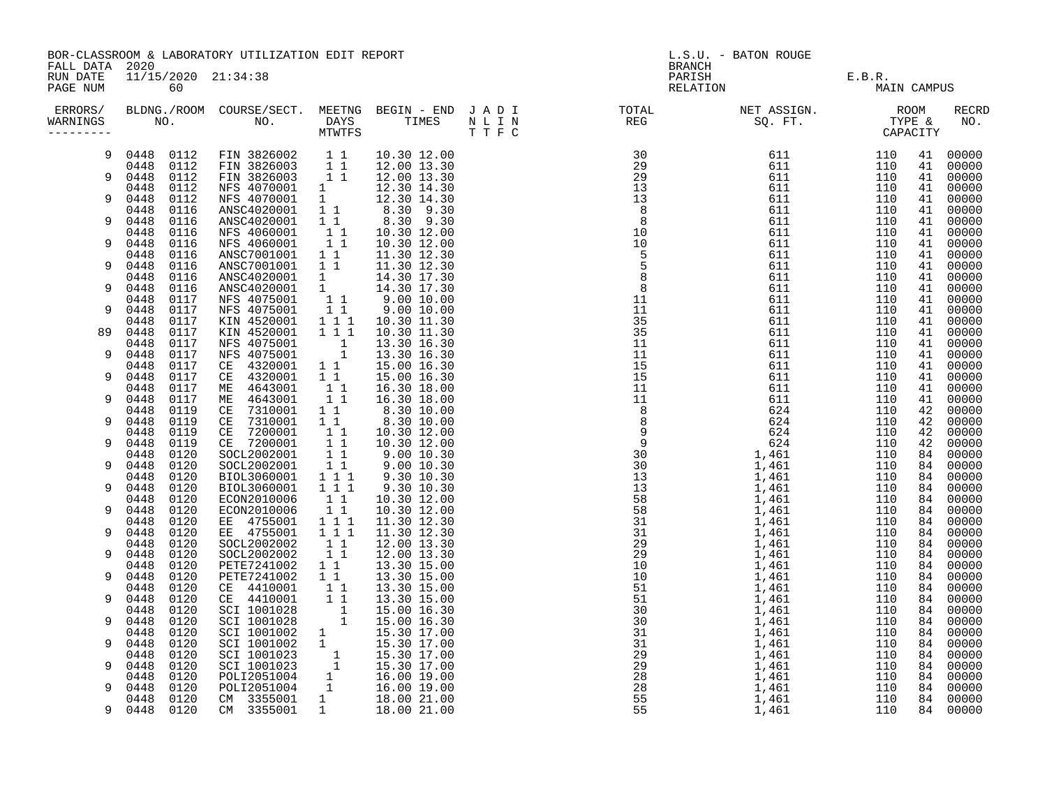| FALL DATA 2020       | BOR-CLASSROOM & LABORATORY UTILIZATION EDIT REPORT |                                                                                                                                                                                                                                                                |                                                                                                                                                                                                                                                                                                            |                                                                           |                                                                                                                                                                                           |  | L.S.U. - BATON ROUGE<br><b>BRANCH</b> |                    |                       |          |                     |  |
|----------------------|----------------------------------------------------|----------------------------------------------------------------------------------------------------------------------------------------------------------------------------------------------------------------------------------------------------------------|------------------------------------------------------------------------------------------------------------------------------------------------------------------------------------------------------------------------------------------------------------------------------------------------------------|---------------------------------------------------------------------------|-------------------------------------------------------------------------------------------------------------------------------------------------------------------------------------------|--|---------------------------------------|--------------------|-----------------------|----------|---------------------|--|
| RUN DATE<br>PAGE NUM |                                                    | 11/15/2020 21:34:38<br>60<br>ERRORS/ BLDNG./ROOM COURSE/SECT. MEETNG BEGIN – END JADI TOTAL TOTAL NETASSIGN. NET ASSIGN. ROOM ROOM COURSE/SECT. MEETNG BEGIN – END JADI TOTAL TOTAL NETASSIGN. TYPE &<br>WARNINGS NO. NO. DAYS TIMES NLIN REG SQ.FT. TYPE & CA |                                                                                                                                                                                                                                                                                                            |                                                                           |                                                                                                                                                                                           |  |                                       | PARISH<br>RELATION | E.B.R.<br>MAIN CAMPUS |          |                     |  |
| WARNINGS             |                                                    |                                                                                                                                                                                                                                                                |                                                                                                                                                                                                                                                                                                            |                                                                           |                                                                                                                                                                                           |  |                                       |                    |                       |          | <b>RECRD</b><br>NO. |  |
| 9                    |                                                    |                                                                                                                                                                                                                                                                | $\begin{tabular}{cccc} 0448 & 0112 & \text{FIN} & 3826002 & 1 & 1 & 10.30 & 12.00 \\ 0448 & 0112 & \text{FIN} & 3826003 & 1 & 1 & 12.00 & 13.30 \\ 0448 & 0112 & \text{FIN} & 3826003 & 1 & 1 & 12.00 & 13.30 \\ 0448 & 0112 & \text{NFS} & 4070001 & 1 & 12.30 & 14.30 \\ 0448 & 0112 & \text{NFS} & 407$ |                                                                           | 10.30 12.00                                                                                                                                                                               |  |                                       |                    | 110                   |          | 41 00000            |  |
| $\mathsf{Q}$         |                                                    |                                                                                                                                                                                                                                                                |                                                                                                                                                                                                                                                                                                            |                                                                           |                                                                                                                                                                                           |  |                                       |                    | 110<br>110            | 41<br>41 | 00000<br>00000      |  |
|                      |                                                    |                                                                                                                                                                                                                                                                |                                                                                                                                                                                                                                                                                                            |                                                                           |                                                                                                                                                                                           |  |                                       |                    | 110                   | 41       | 00000               |  |
| 9                    |                                                    |                                                                                                                                                                                                                                                                |                                                                                                                                                                                                                                                                                                            |                                                                           |                                                                                                                                                                                           |  |                                       |                    | 110                   | 41       | 00000               |  |
| 9                    |                                                    |                                                                                                                                                                                                                                                                |                                                                                                                                                                                                                                                                                                            |                                                                           |                                                                                                                                                                                           |  |                                       |                    | 110<br>110            | 41<br>41 | 00000<br>00000      |  |
|                      |                                                    |                                                                                                                                                                                                                                                                |                                                                                                                                                                                                                                                                                                            |                                                                           |                                                                                                                                                                                           |  |                                       |                    | 110                   | 41       | 00000               |  |
| 9                    | 0448                                               | 0116                                                                                                                                                                                                                                                           | NFS 4060001 1 1                                                                                                                                                                                                                                                                                            |                                                                           | 10.30 12.00                                                                                                                                                                               |  |                                       |                    | 110                   | 41       | 00000               |  |
| 9                    | 0448<br>0448                                       | 0116<br>0116                                                                                                                                                                                                                                                   | ANSC7001001 11<br>ANSC7001001 11                                                                                                                                                                                                                                                                           |                                                                           | 11.30 12.30<br>11.30 12.30                                                                                                                                                                |  |                                       |                    | 110<br>110            | 41<br>41 | 00000<br>00000      |  |
|                      | 0448                                               | 0116                                                                                                                                                                                                                                                           |                                                                                                                                                                                                                                                                                                            |                                                                           | 14.30 17.30                                                                                                                                                                               |  |                                       |                    | 110                   | 41       | 00000               |  |
| 9                    | 0448                                               | 0116                                                                                                                                                                                                                                                           | ANSC4020001 1<br>ANSC4020001 1<br>NFS 4075001 1 1<br>NFS 4075001 1 1                                                                                                                                                                                                                                       |                                                                           | 14.30 17.30                                                                                                                                                                               |  |                                       |                    | 110                   | 41       | 00000               |  |
| 9                    | 0448<br>0448                                       | 0117<br>0117                                                                                                                                                                                                                                                   |                                                                                                                                                                                                                                                                                                            |                                                                           | $9.00\ 10.00$                                                                                                                                                                             |  |                                       |                    | 110<br>110            | 41<br>41 | 00000<br>00000      |  |
|                      | 0448                                               | 0117                                                                                                                                                                                                                                                           | KIN 4520001                                                                                                                                                                                                                                                                                                |                                                                           | $9.00\ 10.00$<br>10.30 11.30                                                                                                                                                              |  |                                       |                    | 110                   | 41       | 00000               |  |
| 89                   | 0448                                               | 0117                                                                                                                                                                                                                                                           | KIN 4520001                                                                                                                                                                                                                                                                                                | $\begin{smallmatrix}&&1\\1&1&1\\1&1&1\end{smallmatrix}$                   | 10.30 11.30                                                                                                                                                                               |  |                                       |                    | 110                   | 41       | 00000               |  |
| 9                    | 0448<br>0448                                       | 0117                                                                                                                                                                                                                                                           | NFS 4075001 1<br>NFS 4075001 1<br>CE 4320001 1 1                                                                                                                                                                                                                                                           |                                                                           | 13.30 16.30                                                                                                                                                                               |  |                                       |                    | 110                   | 41<br>41 | 00000               |  |
|                      | 0448                                               | 0117<br>0117                                                                                                                                                                                                                                                   |                                                                                                                                                                                                                                                                                                            |                                                                           | 13.30 16.30<br>15.00 16.30                                                                                                                                                                |  |                                       |                    | 110<br>110            | 41       | 00000<br>00000      |  |
| 9                    | 0448                                               | 0117                                                                                                                                                                                                                                                           | CE 4320001                                                                                                                                                                                                                                                                                                 |                                                                           | $\begin{array}{rrrr} 1 & 1 & 15.00 & 16.30 \\ 1 & 1 & 16.30 & 18.00 \\ 1 & 1 & 16.30 & 18.00 \\ \end{array}$                                                                              |  |                                       |                    | 110                   | 41       | 00000               |  |
|                      | 0448                                               | 0117                                                                                                                                                                                                                                                           | ME 4643001                                                                                                                                                                                                                                                                                                 |                                                                           |                                                                                                                                                                                           |  |                                       |                    | 110                   | 41       | 00000               |  |
| 9                    | 0448<br>0448                                       | 0117<br>0119                                                                                                                                                                                                                                                   | ME 4643001                                                                                                                                                                                                                                                                                                 |                                                                           |                                                                                                                                                                                           |  |                                       |                    | 110<br>110            | 41<br>42 | 00000<br>00000      |  |
| 9                    | 0448                                               | 0119                                                                                                                                                                                                                                                           | CE 7310001 1 6.30 10.00<br>CE 7310001 1 1 8.30 10.00                                                                                                                                                                                                                                                       |                                                                           | $\begin{array}{rrrr} 1 & 1 & 8.30 & 10.00 & \ 1 & 1 & 10.30 & 12.00 & \ 1 & 1 & 10.30 & 12.00 & \ 1 & 1 & 9.00 & 10.30 & \ 1 & 1 & 9.00 & 10.30 & \ 1 & 1 & 9.00 & 10.30 & \ \end{array}$ |  |                                       |                    | 110                   | 42       | 00000               |  |
| 9                    | 0448<br>0448                                       | 0119                                                                                                                                                                                                                                                           | CE 7200001                                                                                                                                                                                                                                                                                                 |                                                                           |                                                                                                                                                                                           |  |                                       |                    | 110                   | 42       | 00000               |  |
|                      | 0448                                               | 0119<br>0120                                                                                                                                                                                                                                                   | CE 7200001<br>SOCL2002001                                                                                                                                                                                                                                                                                  |                                                                           |                                                                                                                                                                                           |  |                                       |                    | 110<br>110            | 42<br>84 | 00000<br>00000      |  |
| 9                    | 0448                                               | 0120                                                                                                                                                                                                                                                           | SOCL2002001                                                                                                                                                                                                                                                                                                |                                                                           |                                                                                                                                                                                           |  |                                       |                    | 110                   | 84       | 00000               |  |
|                      | 0448                                               | 0120                                                                                                                                                                                                                                                           | BIOL3060001                                                                                                                                                                                                                                                                                                | $\begin{array}{rrrr} & 1 & 1 & 1 \\ & 1 & 1 & 1 \end{array}$              | 9.30 10.30                                                                                                                                                                                |  |                                       |                    | 110                   | 84       | 00000               |  |
| 9                    | 0448<br>0448                                       | 0120<br>0120                                                                                                                                                                                                                                                   | BIOL3060001<br>ECON2010006                                                                                                                                                                                                                                                                                 | $1\quad1$                                                                 | 9.30 10.30<br>10.30 12.00                                                                                                                                                                 |  |                                       |                    | 110<br>110            | 84<br>84 | 00000<br>00000      |  |
| 9                    | 0448                                               | 0120                                                                                                                                                                                                                                                           | ECON2010006                                                                                                                                                                                                                                                                                                |                                                                           | 10.30 12.00                                                                                                                                                                               |  |                                       |                    | 110                   | 84       | 00000               |  |
|                      | 0448                                               | 0120                                                                                                                                                                                                                                                           | EE 4755001                                                                                                                                                                                                                                                                                                 | $\begin{array}{c} \n\phantom{0}1 \ \ 1 \ \ 1 \ \ 1 \ \ 1 \ \ \end{array}$ | 11.30 12.30                                                                                                                                                                               |  |                                       |                    | 110                   | 84       | 00000               |  |
| 9                    | 0448<br>0448                                       | 0120<br>0120                                                                                                                                                                                                                                                   | EE 4755001<br>SOCL2002002                                                                                                                                                                                                                                                                                  | 111                                                                       | 11.30 12.30<br>12.00 13.30                                                                                                                                                                |  |                                       |                    | 110<br>110            | 84<br>84 | 00000<br>00000      |  |
| 9                    | 0448                                               | 0120                                                                                                                                                                                                                                                           | SOCL2002002                                                                                                                                                                                                                                                                                                | $\begin{array}{rr} 1 & 1 \\ 1 & 1 \end{array}$                            | 12.00 13.30                                                                                                                                                                               |  |                                       |                    | 110                   | 84       | 00000               |  |
|                      | 0448                                               | 0120                                                                                                                                                                                                                                                           | PETE7241002                                                                                                                                                                                                                                                                                                | 1 1                                                                       | 13.30 15.00                                                                                                                                                                               |  |                                       |                    | 110                   | 84       | 00000               |  |
| 9                    | 0448<br>0448                                       | 0120<br>0120                                                                                                                                                                                                                                                   | PETE7241002<br>CE 4410001                                                                                                                                                                                                                                                                                  | 11<br>$1\quad1$                                                           | 13.30 15.00<br>13.30 15.00                                                                                                                                                                |  |                                       |                    | 110<br>110            | 84<br>84 | 00000<br>00000      |  |
| 9                    | 0448                                               | 0120                                                                                                                                                                                                                                                           | CE 4410001                                                                                                                                                                                                                                                                                                 | $\overline{1}$ $\overline{1}$                                             | 13.30 15.00                                                                                                                                                                               |  |                                       |                    | 110                   | 84       | 00000               |  |
|                      | 0448                                               | 0120                                                                                                                                                                                                                                                           |                                                                                                                                                                                                                                                                                                            |                                                                           |                                                                                                                                                                                           |  |                                       |                    | 110                   | 84       | 00000               |  |
| 9                    | 0448<br>0448                                       | 0120                                                                                                                                                                                                                                                           |                                                                                                                                                                                                                                                                                                            |                                                                           |                                                                                                                                                                                           |  |                                       |                    | 110<br>110            | 84       | 00000<br>00000      |  |
| 9                    | 0448                                               | 0120<br>0120                                                                                                                                                                                                                                                   |                                                                                                                                                                                                                                                                                                            |                                                                           |                                                                                                                                                                                           |  |                                       |                    | 110                   | 84<br>84 | 00000               |  |
|                      | 0448                                               | 0120                                                                                                                                                                                                                                                           |                                                                                                                                                                                                                                                                                                            |                                                                           |                                                                                                                                                                                           |  |                                       |                    | 110                   | 84       | 00000               |  |
| 9                    | 0448                                               | 0120                                                                                                                                                                                                                                                           |                                                                                                                                                                                                                                                                                                            |                                                                           |                                                                                                                                                                                           |  |                                       |                    | 110                   | 84       | 00000               |  |
| 9                    | 0448<br>0448                                       | 0120<br>0120                                                                                                                                                                                                                                                   |                                                                                                                                                                                                                                                                                                            |                                                                           |                                                                                                                                                                                           |  |                                       |                    | 110<br>110            | 84<br>84 | 00000<br>00000      |  |
|                      | 0448                                               | 0120                                                                                                                                                                                                                                                           | CE 4410001 1 1 13.30 15.00<br>SCI 1001028 1 15.00 16.30<br>SCI 1001028 1 15.00 16.30<br>SCI 1001002 1 15.30 17.00<br>SCI 1001002 1 15.30 17.00<br>SCI 1001023 1 15.30 17.00<br>SCI 1001023 1 15.30 17.00<br>SCI 1001023 1 15.30 17.00<br>SCI 1                                                             |                                                                           |                                                                                                                                                                                           |  |                                       |                    | 110                   | 84       | 00000               |  |
| 9                    | 0448 0120                                          |                                                                                                                                                                                                                                                                |                                                                                                                                                                                                                                                                                                            |                                                                           |                                                                                                                                                                                           |  |                                       |                    | 110                   | 84       | 00000               |  |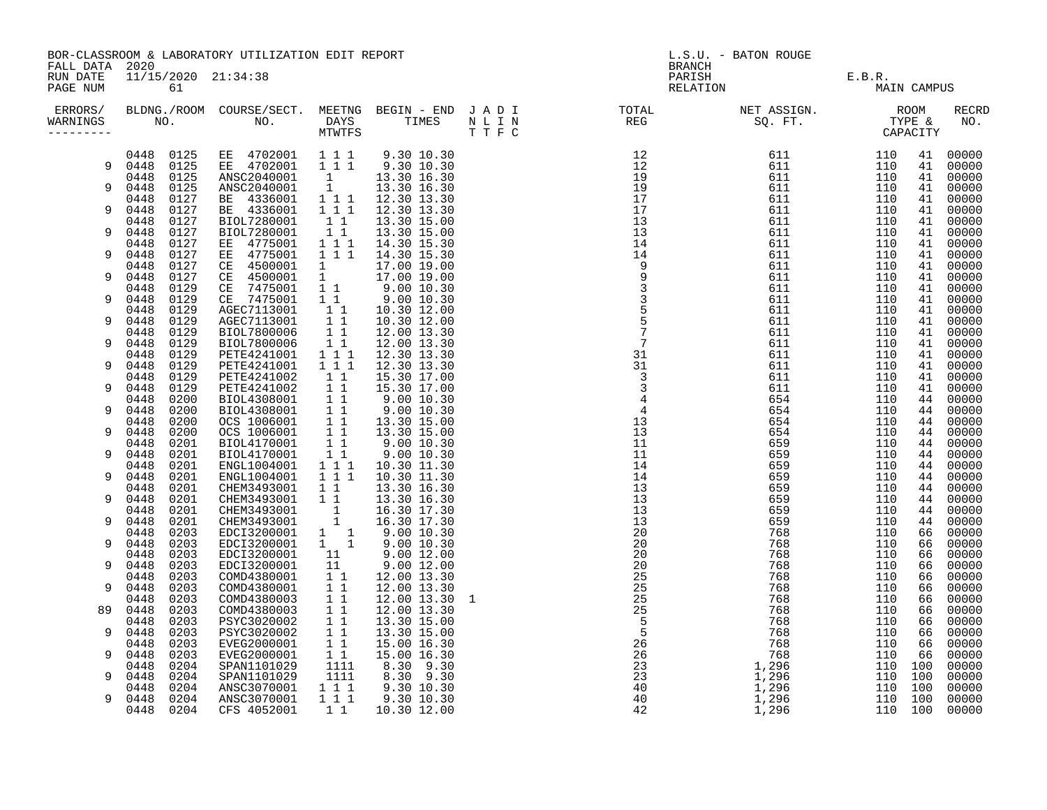|                      | BOR-CLASSROOM & LABORATORY UTILIZATION EDIT REPORT<br>FALL DATA 2020 |              |                                                            |                                                                  |                                                                                                                                                                      |  | L.S.U. - BATON ROUGE<br><b>BRANCH</b> |                 |                |             |                     |  |
|----------------------|----------------------------------------------------------------------|--------------|------------------------------------------------------------|------------------------------------------------------------------|----------------------------------------------------------------------------------------------------------------------------------------------------------------------|--|---------------------------------------|-----------------|----------------|-------------|---------------------|--|
| RUN DATE<br>PAGE NUM | 11/15/2020 21:34:38<br>61                                            |              |                                                            |                                                                  |                                                                                                                                                                      |  | PARISH<br>RELATION                    | E.B.R.<br>J MAI |                | MAIN CAMPUS |                     |  |
| ERRORS/<br>WARNINGS  |                                                                      |              |                                                            |                                                                  |                                                                                                                                                                      |  |                                       |                 |                |             | <b>RECRD</b><br>NO. |  |
|                      | 0448 0125                                                            |              | EE 4702001 111<br>EE 4702001 111                           |                                                                  | 9.30 10.30                                                                                                                                                           |  |                                       |                 | 110            | 41          | 00000               |  |
|                      | 9 0448 0125<br>0448 0125                                             |              | ANSC2040001                                                |                                                                  | 9.30 10.30<br>13.30 16.30                                                                                                                                            |  |                                       |                 | 110<br>110     | 41<br>41    | 00000               |  |
| 9                    | 0448                                                                 | 0125         |                                                            | $\begin{smallmatrix}1\\1\end{smallmatrix}$                       | 13.30 16.30                                                                                                                                                          |  |                                       |                 | 110            | 41          | 00000<br>00000      |  |
|                      | 0448                                                                 | 0127         | ANSC2040001<br>BE 4336001<br>BE 4336001                    |                                                                  |                                                                                                                                                                      |  |                                       |                 | 110            | 41          | 00000               |  |
| 9                    | 0448                                                                 | 0127         |                                                            |                                                                  |                                                                                                                                                                      |  |                                       |                 | 110            | 41          | 00000               |  |
|                      | 0448                                                                 | 0127         | BIOL7280001                                                | $1\quad1$                                                        | 13.30 15.00                                                                                                                                                          |  |                                       |                 | 110            | 41          | 00000               |  |
| 9                    | 0448<br>0448                                                         | 0127<br>0127 | BIOL7280001<br>EE 4775001                                  | $1\quad1$<br>$1\ 1\ 1$                                           | 13.30 15.00<br>14.30 15.30                                                                                                                                           |  |                                       |                 | 110<br>110     | 41<br>41    | 00000<br>00000      |  |
| 9                    | 0448                                                                 | 0127         |                                                            | $1 1 1$                                                          | 14.30 15.30                                                                                                                                                          |  |                                       |                 | 110            | 41          | 00000               |  |
|                      | 0448                                                                 | 0127         | EE 4775001<br>CE 4500001                                   | $\begin{bmatrix} 1 \\ 1 \end{bmatrix}$                           | 17.00 19.00                                                                                                                                                          |  |                                       |                 | 110            | 41          | 00000               |  |
| 9                    | 0448                                                                 | 0127         | CE 4500001                                                 |                                                                  | 17.00 19.00                                                                                                                                                          |  |                                       |                 | 110            | 41          | 00000               |  |
|                      | 0448                                                                 | 0129         | CE 7475001<br>CE 7475001                                   |                                                                  | $\begin{array}{cccc} 1 & 1 & 9.00 & 10.30 \\ 1 & 1 & 9.00 & 10.30 \end{array}$                                                                                       |  |                                       |                 | 110            | 41          | 00000               |  |
| 9                    | 0448                                                                 | 0129         |                                                            |                                                                  |                                                                                                                                                                      |  |                                       |                 | 110<br>110     | 41<br>41    | 00000               |  |
| 9                    | 0448<br>0448                                                         | 0129<br>0129 | AGEC7113001<br>AGEC7113001                                 |                                                                  | $\begin{bmatrix} 1 & 1 & 10.30 & 12.00 \\ 1 & 1 & 10.30 & 12.00 \end{bmatrix}$                                                                                       |  |                                       |                 | 110            | 41          | 00000<br>00000      |  |
|                      | 0448                                                                 | 0129         | BIOL7800006                                                | 11                                                               | 12.00 13.30                                                                                                                                                          |  |                                       |                 | 110            | 41          | 00000               |  |
| 9                    | 0448                                                                 | 0129         | BIOL7800006<br>PETE4241001                                 | $\begin{smallmatrix}1&1\\1&1&1\end{smallmatrix}$                 | 12.00 13.30                                                                                                                                                          |  |                                       |                 | 110            | 41          | 00000               |  |
|                      | 0448                                                                 | 0129         |                                                            |                                                                  | 12.30 13.30                                                                                                                                                          |  |                                       |                 | 110            | 41          | 00000               |  |
| 9                    | 0448                                                                 | 0129         | PETE4241001                                                | $1\ 1\ 1$                                                        | 12.30 13.30                                                                                                                                                          |  |                                       |                 | 110            | 41          | 00000               |  |
| 9                    | 0448<br>0448                                                         | 0129<br>0129 | PETE4241002<br>PETE4241002                                 | $1\quad1$<br>$\overline{1}$ $\overline{1}$                       | 15.30 17.00<br>15.30 17.00                                                                                                                                           |  |                                       |                 | 110<br>110     | 41<br>41    | 00000<br>00000      |  |
|                      | 0448                                                                 | 0200         |                                                            |                                                                  |                                                                                                                                                                      |  |                                       |                 | 110            | 44          | 00000               |  |
| 9                    | 0448                                                                 | 0200         | BIOL4308001 11<br>BIOL4308001 11                           |                                                                  | 9.00 10.30<br>9.00 10.30                                                                                                                                             |  |                                       |                 | 110            | 44          | 00000               |  |
|                      | 0448                                                                 | 0200         | 0CS 1006001 1 1 13.30 15.00<br>0CS 1006001 1 1 13.30 15.00 |                                                                  |                                                                                                                                                                      |  |                                       |                 | 110            | 44          | 00000               |  |
| 9                    | 0448                                                                 | 0200         |                                                            |                                                                  |                                                                                                                                                                      |  |                                       |                 | 110            | 44          | 00000               |  |
| 9                    | 0448<br>0448                                                         | 0201<br>0201 | BIOL4170001<br>BIOL4170001                                 | $1\quad1$<br>$1\quad1$                                           | 9.00 10.30<br>9.00 10.30                                                                                                                                             |  |                                       |                 | 110<br>110     | 44<br>44    | 00000<br>00000      |  |
|                      | 0448                                                                 | 0201         | ENGL1004001                                                |                                                                  | 10.30 11.30                                                                                                                                                          |  |                                       |                 | 110            | 44          | 00000               |  |
| 9                    | 0448                                                                 | 0201         | ENGL1004001                                                | $\begin{array}{rrrr} & 1 & 1 & 1 \\ & 1 & 1 & 1 \end{array}$     | 10.30 11.30                                                                                                                                                          |  |                                       |                 | 110            | 44          | 00000               |  |
|                      | 0448                                                                 | 0201         | CHEM3493001                                                | $\begin{array}{c} 1\\1\\1 \end{array}$                           | 13.30 16.30                                                                                                                                                          |  |                                       |                 | 110            | 44          | 00000               |  |
| 9                    | 0448                                                                 | 0201         | CHEM3493001                                                |                                                                  | 13.30 16.30                                                                                                                                                          |  |                                       |                 | 110            | 44          | 00000               |  |
|                      | 0448                                                                 | 0201         | CHEM3493001                                                |                                                                  |                                                                                                                                                                      |  |                                       |                 | 110            | 44          | 00000               |  |
| 9                    | 0448<br>0448                                                         | 0201<br>0203 | CHEM3493001<br>EDCI3200001                                 |                                                                  | $\begin{array}{cccc} 1 & 16.30 & 17.30 \\ 1 & 16.30 & 17.30 \\ 1 & 1 & 9.00 & 10.30 \\ 1 & 1 & 9.00 & 10.30 \\ 1 & 1 & 9.00 & 10.30 \\ 2 & 0.00 & 12.00 \end{array}$ |  |                                       |                 | 110<br>110     | 44<br>66    | 00000<br>00000      |  |
| 9                    | 0448                                                                 | 0203         |                                                            |                                                                  |                                                                                                                                                                      |  |                                       |                 | 110            | 66          | 00000               |  |
|                      | 0448                                                                 | 0203         | EDCI3200001<br>EDCI3200001                                 |                                                                  | 11 9.00 12.00                                                                                                                                                        |  |                                       |                 | 110            | 66          | 00000               |  |
| 9                    | 0448                                                                 | 0203         | EDCI3200001<br>COMD4380001                                 |                                                                  | $\begin{array}{cc} 11 & 9.00 & 12.00 \\ 1 & 1 & 12.00 & 13.30 \end{array}$                                                                                           |  |                                       |                 | 110            | 66          | 00000               |  |
|                      | 0448                                                                 | 0203         |                                                            |                                                                  |                                                                                                                                                                      |  |                                       |                 | 110            | 66          | 00000               |  |
| 9                    | 0448                                                                 | 0203         | COMD4380001                                                | $\begin{array}{c} 1 \\ 1 \\ 1 \end{array}$                       | 12.00 13.30                                                                                                                                                          |  |                                       |                 | 110            | 66          | 00000               |  |
| 89                   | 0448<br>0448                                                         | 0203<br>0203 | COMD4380003<br>COMD4380003                                 | $1\quad1$                                                        | 12.00 13.30 1<br>12.00 13.30                                                                                                                                         |  |                                       |                 | 110<br>110     | 66<br>66    | 00000<br>00000      |  |
|                      | 0448                                                                 | 0203         | PSYC3020002                                                | 11                                                               | 13.30 15.00                                                                                                                                                          |  |                                       |                 | 110            | 66          | 00000               |  |
| 9                    | 0448                                                                 | 0203         | PSYC3020002                                                | 11                                                               | 13.30 15.00                                                                                                                                                          |  |                                       |                 | 110            | 66          | 00000               |  |
|                      | 0448                                                                 | 0203         | EVEG2000001                                                | 11                                                               | 15.00 16.30                                                                                                                                                          |  |                                       |                 | 110            | 66          | 00000               |  |
| 9                    | 0448                                                                 | 0203         | EVEG2000001                                                | $\overline{\begin{smallmatrix} 1 & 1 \ 1 & 1 \end{smallmatrix}}$ | 15.00 16.30                                                                                                                                                          |  |                                       |                 | 110            | 66          | 00000               |  |
| 9                    | 0448                                                                 | 0204         | SPAN1101029                                                |                                                                  | 8.30 9.30                                                                                                                                                            |  |                                       |                 | 110 100        |             | 00000               |  |
|                      | 0448<br>0448                                                         | 0204<br>0204 | SPAN1101029<br>ANSC3070001                                 | 1111                                                             | 8.30 9.30<br>9.30 10.30                                                                                                                                              |  |                                       |                 | 110<br>110 100 | 100         | 00000<br>00000      |  |
| 9                    | 0448                                                                 | 0204         | ANSC3070001                                                | $\begin{smallmatrix}1&1&1\\1&1&1\end{smallmatrix}$               | 9.30 10.30                                                                                                                                                           |  |                                       |                 | 110 100        |             | 00000               |  |
|                      | 0448                                                                 | 0204         | CFS 4052001                                                | $1\quad1$                                                        | 10.30 12.00                                                                                                                                                          |  |                                       |                 | 110 100        |             | 00000               |  |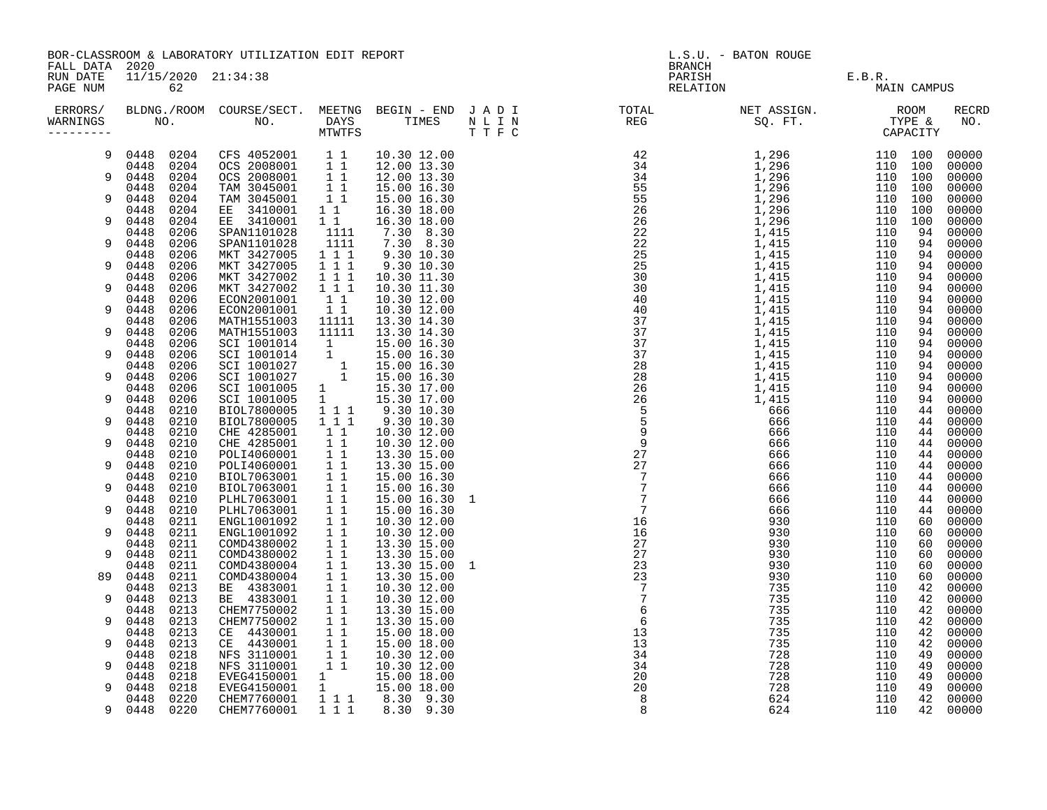|                      | BOR-CLASSROOM & LABORATORY UTILIZATION EDIT REPORT<br>FALL DATA 2020                                                                                                                                                                                           |                                                                                     |                                                    |                            |  | L.S.U. - BATON ROUGE<br>BRANCH                                                                                                                                                                                                              |  |             |  |              |
|----------------------|----------------------------------------------------------------------------------------------------------------------------------------------------------------------------------------------------------------------------------------------------------------|-------------------------------------------------------------------------------------|----------------------------------------------------|----------------------------|--|---------------------------------------------------------------------------------------------------------------------------------------------------------------------------------------------------------------------------------------------|--|-------------|--|--------------|
| RUN DATE<br>PAGE NUM | 11/15/2020 21:34:38<br>62<br>ERRORS/ BLDNG./ROOM COURSE/SECT. MEETNG BEGIN – END JADI TOTAL TOTAL NETASSIGN. NET ASSIGN. ROOM ROOM COURSE/SECT. MEETNG BEGIN – END JADI TOTAL TOTAL NETASSIGN. TYPE &<br>WARNINGS NO. NO. DAYS TIMES NLIN REG SQ.FT. TYPE & CA |                                                                                     |                                                    |                            |  | PARISH E.B.R.<br>RELATION E.B.R.<br>MAI                                                                                                                                                                                                     |  | MAIN CAMPUS |  |              |
| WARNINGS             |                                                                                                                                                                                                                                                                |                                                                                     |                                                    |                            |  | $\begin{smallmatrix}1.011&1.011&1.011&1.011&1.010&1.010&1.000&1.000&1.000&1.000&1.000&1.000&1.000&1.000&1.000&1.000&1.000&1.000&1.000&1.000&1.000&1.000&1.000&1.000&1.000&1.000&1.000&1.000&1.000&1.000&1.000&1.000&1.000&1.000&1.000&1.00$ |  |             |  | RECRD<br>NO. |
| 9                    |                                                                                                                                                                                                                                                                | 0448 0204 CFS 4052001 1 1<br>0448 0204 OCS 2008001 1 1<br>0448 0204 OCS 2008001 1 1 |                                                    | 10.30 12.00                |  |                                                                                                                                                                                                                                             |  |             |  |              |
| 9                    |                                                                                                                                                                                                                                                                |                                                                                     |                                                    | 12.00 13.30<br>12.00 13.30 |  |                                                                                                                                                                                                                                             |  |             |  |              |
|                      | 0448 0204                                                                                                                                                                                                                                                      | TAM 3045001                                                                         | 11                                                 | 15.00 16.30                |  |                                                                                                                                                                                                                                             |  |             |  |              |
| 9                    | 0448 0204                                                                                                                                                                                                                                                      | TAM 3045001                                                                         | $1\quad1$                                          | 15.00 16.30                |  |                                                                                                                                                                                                                                             |  |             |  |              |
|                      | 0204<br>0448                                                                                                                                                                                                                                                   | EE 3410001                                                                          | 11                                                 | 16.30 18.00                |  |                                                                                                                                                                                                                                             |  |             |  |              |
| 9                    | 0448<br>0204                                                                                                                                                                                                                                                   | EE 3410001                                                                          | 1 1                                                | 16.30 18.00                |  |                                                                                                                                                                                                                                             |  |             |  |              |
| 9                    | 0448 0206<br>0448<br>0206                                                                                                                                                                                                                                      | SPAN1101028<br>SPAN1101028                                                          | 1111<br>1111                                       | 7.30 8.30<br>7.30 8.30     |  |                                                                                                                                                                                                                                             |  |             |  |              |
|                      | 0206<br>0448                                                                                                                                                                                                                                                   | MKT 3427005                                                                         | 1 1 1                                              | 9.30 10.30                 |  |                                                                                                                                                                                                                                             |  |             |  |              |
| 9                    | 0448<br>0206                                                                                                                                                                                                                                                   | MKT 3427005                                                                         | 1 1 1                                              | 9.30 10.30                 |  |                                                                                                                                                                                                                                             |  |             |  |              |
|                      | 0448 0206                                                                                                                                                                                                                                                      | MKT 3427002                                                                         | $\frac{1}{1}$ $\frac{1}{1}$                        | 10.30 11.30                |  |                                                                                                                                                                                                                                             |  |             |  |              |
| 9                    | 0448 0206                                                                                                                                                                                                                                                      | MKT 3427002                                                                         | 1 1 1                                              | 10.30 11.30                |  |                                                                                                                                                                                                                                             |  |             |  |              |
| 9                    | 0206<br>0448<br>0448<br>0206                                                                                                                                                                                                                                   | ECON2001001                                                                         | $1\quad1$<br>11                                    | 10.30 12.00                |  |                                                                                                                                                                                                                                             |  |             |  |              |
|                      | 0206<br>0448                                                                                                                                                                                                                                                   | ECON2001001<br>MATH1551003                                                          | 11111                                              | 10.30 12.00<br>13.30 14.30 |  |                                                                                                                                                                                                                                             |  |             |  |              |
| 9                    | 0448<br>0206                                                                                                                                                                                                                                                   | MATH1551003                                                                         | 11111                                              | 13.30 14.30                |  |                                                                                                                                                                                                                                             |  |             |  |              |
|                      | 0206<br>0448                                                                                                                                                                                                                                                   | SCI 1001014                                                                         | $\mathbf{1}$                                       | 15.00 16.30                |  |                                                                                                                                                                                                                                             |  |             |  |              |
| 9                    | 0448<br>0206                                                                                                                                                                                                                                                   | SCI 1001014                                                                         |                                                    | 15.00 16.30                |  |                                                                                                                                                                                                                                             |  |             |  |              |
| 9                    | 0206<br>0448<br>0448<br>0206                                                                                                                                                                                                                                   | SCI 1001027<br>SCI 1001027                                                          | $\begin{array}{c} \bar{1}\\ 1\\ 1\\ \end{array}$   | 15.00 16.30<br>15.00 16.30 |  |                                                                                                                                                                                                                                             |  |             |  |              |
|                      | 0448<br>0206                                                                                                                                                                                                                                                   | SCI 1001005                                                                         |                                                    | 15.30 17.00                |  |                                                                                                                                                                                                                                             |  |             |  |              |
| 9                    | 0448<br>0206                                                                                                                                                                                                                                                   | SCI 1001005                                                                         | $\begin{matrix} 1 \\ 1 \end{matrix}$               | 15.30 17.00                |  |                                                                                                                                                                                                                                             |  |             |  |              |
|                      | 0448 0210                                                                                                                                                                                                                                                      | BIOL7800005                                                                         | $1 1 1$                                            | 9.30 10.30                 |  |                                                                                                                                                                                                                                             |  |             |  |              |
| 9                    | 0448 0210                                                                                                                                                                                                                                                      | BIOL7800005                                                                         | 111                                                | 9.30 10.30                 |  |                                                                                                                                                                                                                                             |  |             |  |              |
| 9                    | 0210<br>0448<br>0448                                                                                                                                                                                                                                           | CHE 4285001<br>CHE 4285001                                                          | $1\quad1$<br>$1\quad1$                             | 10.30 12.00                |  |                                                                                                                                                                                                                                             |  |             |  |              |
|                      | 0210<br>0448<br>0210                                                                                                                                                                                                                                           | POLI4060001                                                                         | 11                                                 | 10.30 12.00<br>13.30 15.00 |  |                                                                                                                                                                                                                                             |  |             |  |              |
| 9                    | 0448 0210                                                                                                                                                                                                                                                      | POLI4060001                                                                         | $1\quad1$                                          | 13.30 15.00                |  |                                                                                                                                                                                                                                             |  |             |  |              |
|                      | 0448 0210                                                                                                                                                                                                                                                      | BIOL7063001                                                                         | 11                                                 | 15.00 16.30                |  |                                                                                                                                                                                                                                             |  |             |  |              |
| 9                    | 0448<br>0210                                                                                                                                                                                                                                                   | BIOL7063001                                                                         | 11                                                 | 15.00 16.30                |  |                                                                                                                                                                                                                                             |  |             |  |              |
|                      | 0448<br>0210                                                                                                                                                                                                                                                   | PLHL7063001                                                                         | 1 1                                                | 15.00 16.30 1              |  |                                                                                                                                                                                                                                             |  |             |  |              |
| 9                    | 0448 0210<br>0448<br>0211                                                                                                                                                                                                                                      | PLHL7063001<br>ENGL1001092                                                          | 1 1<br>$1\quad1$                                   | 15.00 16.30<br>10.30 12.00 |  |                                                                                                                                                                                                                                             |  |             |  |              |
| 9                    | 0448<br>0211                                                                                                                                                                                                                                                   | ENGL1001092                                                                         | $1\quad1$                                          | 10.30 12.00                |  |                                                                                                                                                                                                                                             |  |             |  |              |
|                      | 0448<br>0211                                                                                                                                                                                                                                                   | COMD4380002                                                                         | $1\quad1$                                          | 13.30 15.00                |  |                                                                                                                                                                                                                                             |  |             |  |              |
| 9                    | 0448 0211                                                                                                                                                                                                                                                      | COMD4380002                                                                         | $1\quad1$                                          | 13.30 15.00                |  |                                                                                                                                                                                                                                             |  |             |  |              |
|                      | 0448<br>0211                                                                                                                                                                                                                                                   | COMD4380004                                                                         | $1\quad1$                                          | 13.30 15.00 1              |  |                                                                                                                                                                                                                                             |  |             |  |              |
| 89                   | 0448<br>0211<br>0213                                                                                                                                                                                                                                           | COMD4380004<br>BE 4383001                                                           | $1\quad1$<br>$1\quad1$                             | 13.30 15.00<br>10.30 12.00 |  |                                                                                                                                                                                                                                             |  |             |  |              |
| 9                    | 0448<br>0448<br>0213                                                                                                                                                                                                                                           | BE 4383001                                                                          | $1\quad1$                                          | 10.30 12.00                |  |                                                                                                                                                                                                                                             |  |             |  |              |
|                      | 0448<br>0213                                                                                                                                                                                                                                                   | CHEM7750002                                                                         | 1 1                                                | 13.30 15.00                |  |                                                                                                                                                                                                                                             |  |             |  |              |
| 9                    | 0448<br>0213                                                                                                                                                                                                                                                   | CHEM7750002                                                                         | $1\quad1$                                          | 13.30 15.00                |  |                                                                                                                                                                                                                                             |  |             |  |              |
|                      | 0448<br>0213                                                                                                                                                                                                                                                   | CE 4430001                                                                          | $1\quad1$                                          | 15.00 18.00                |  |                                                                                                                                                                                                                                             |  |             |  |              |
| 9                    | 0448<br>0213                                                                                                                                                                                                                                                   | CE 4430001                                                                          | $1\quad1$                                          | 15.00 18.00                |  |                                                                                                                                                                                                                                             |  |             |  |              |
| 9                    | 0448<br>0218<br>0448<br>0218                                                                                                                                                                                                                                   | NFS 3110001<br>NFS 3110001                                                          | $\begin{array}{rr} & 1 & 1 \\ & 1 & 1 \end{array}$ | 10.30 12.00<br>10.30 12.00 |  |                                                                                                                                                                                                                                             |  |             |  |              |
|                      | 0448<br>0218                                                                                                                                                                                                                                                   |                                                                                     |                                                    | 15.00 18.00                |  |                                                                                                                                                                                                                                             |  |             |  |              |
| 9                    | 0448<br>0218                                                                                                                                                                                                                                                   | EVEG4150001<br>EVEG4150001                                                          | $\begin{smallmatrix}1\\1\end{smallmatrix}$         | 15.00 18.00                |  |                                                                                                                                                                                                                                             |  |             |  |              |
|                      | 0448 0220                                                                                                                                                                                                                                                      | CHEM7760001                                                                         |                                                    | 1 1 1 8.30 9.30            |  |                                                                                                                                                                                                                                             |  |             |  |              |
| 9                    | 0448 0220                                                                                                                                                                                                                                                      | CHEM7760001                                                                         | 111                                                | 8.30 9.30                  |  |                                                                                                                                                                                                                                             |  |             |  |              |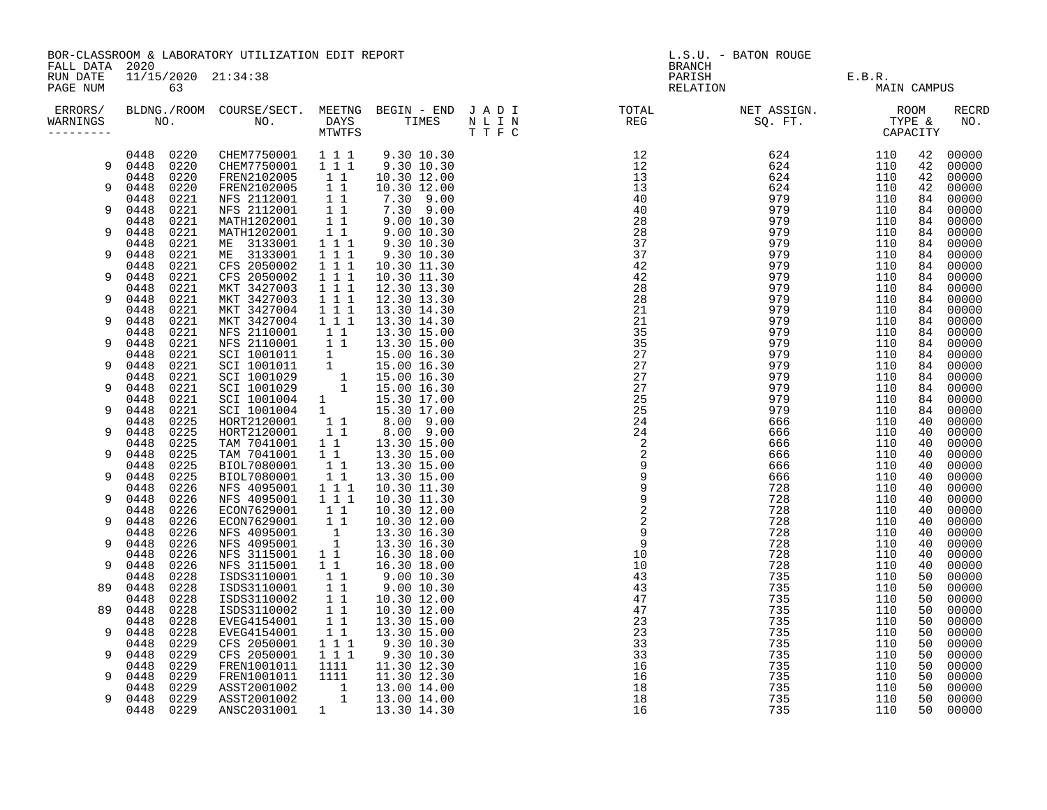| FALL DATA 2020                    | BOR-CLASSROOM & LABORATORY UTILIZATION EDIT REPORT |              |                                                                                     |                                                    |                            | L.S.U. - BATON ROUGE<br>BRANCH |  |                    |            |             |                |  |
|-----------------------------------|----------------------------------------------------|--------------|-------------------------------------------------------------------------------------|----------------------------------------------------|----------------------------|--------------------------------|--|--------------------|------------|-------------|----------------|--|
| RUN DATE<br>PAGE NUM              | 11/15/2020 21:34:38<br>63                          |              |                                                                                     |                                                    |                            |                                |  | PARISH<br>RELATION | E.B.R.     | MAIN CAMPUS |                |  |
| ERRORS/<br>WARNINGS<br>---------- |                                                    |              |                                                                                     |                                                    |                            |                                |  |                    |            |             | RECRD<br>NO.   |  |
|                                   | 0448 0220                                          |              | CHEM7750001 111                                                                     |                                                    | 9.30 10.30                 |                                |  |                    | 110        | 42          | 00000          |  |
| 9                                 | 0448 0220                                          |              | CHEM7750001 111<br>FREN2102005 1 1                                                  |                                                    | 9.30 10.30                 |                                |  |                    | 110<br>110 | 42<br>42    | 00000<br>00000 |  |
| 9                                 | 0448 0220<br>0448                                  | 0220         |                                                                                     |                                                    | 10.30 12.00<br>10.30 12.00 |                                |  |                    | 110        | 42          | 00000          |  |
|                                   | 0448                                               | 0221         | FREN2102005 11<br>NFS 2112001 11                                                    |                                                    | 7.30 9.00                  |                                |  |                    | 110        | 84          | 00000          |  |
| 9                                 | 0448                                               | 0221         | NFS 2112001                                                                         | $1\quad1$                                          | 7.30 9.00                  |                                |  |                    | 110        | 84          | 00000          |  |
|                                   | 0448                                               | 0221         | MATH1202001                                                                         | $\overline{1}$ 1                                   | $9.00$ 10.30<br>9.00 10.30 |                                |  |                    | 110        | 84          | 00000          |  |
| 9                                 | 0448<br>0448                                       | 0221<br>0221 | MATH1202001<br>ME 3133001                                                           | $1\quad1$<br>$1 1 1$                               | 9.30 10.30                 |                                |  |                    | 110<br>110 | 84<br>84    | 00000<br>00000 |  |
| 9                                 | 0448                                               | 0221         | ME 3133001                                                                          | $1 1 1$                                            | 9.30 10.30                 |                                |  |                    | 110        | 84          | 00000          |  |
|                                   | 0448                                               | 0221         | CFS 2050002                                                                         | $1 1 1$                                            | 10.30 11.30                |                                |  |                    | 110        | 84          | 00000          |  |
| 9                                 | 0448                                               | 0221         | CFS 2050002                                                                         | $1 1 1$                                            | 10.30 11.30                |                                |  |                    | 110        | 84          | 00000          |  |
|                                   | 0448                                               | 0221         | MKT 3427003                                                                         | 1 1 1                                              | 12.30 13.30                |                                |  |                    | 110        | 84          | 00000          |  |
| 9                                 | 0448                                               | 0221         | MKT 3427003                                                                         | $1 1 1$                                            | 12.30 13.30                |                                |  |                    | 110        | 84          | 00000          |  |
| 9                                 | 0448<br>0448                                       | 0221<br>0221 | MKT 3427004<br>MKT 3427004                                                          | 1 1 1<br>$1 1 1$                                   | 13.30 14.30<br>13.30 14.30 |                                |  |                    | 110<br>110 | 84<br>84    | 00000<br>00000 |  |
|                                   | 0448                                               | 0221         | NFS 2110001 1 1                                                                     |                                                    | 13.30 15.00                |                                |  |                    | 110        | 84          | 00000          |  |
| 9                                 | 0448                                               | 0221         |                                                                                     |                                                    | 13.30 15.00                |                                |  |                    | 110        | 84          | 00000          |  |
|                                   | 0448                                               | 0221         | NFS 2110001 1 1<br>SCI 1001011 1<br>SCI 1001011 1<br>SCI 1001029 1<br>SCI 1001029 1 |                                                    | 15.00 16.30                |                                |  |                    | 110        | 84          | 00000          |  |
| 9                                 | 0448                                               | 0221         |                                                                                     |                                                    | 15.00 16.30                |                                |  |                    | 110        | 84          | 00000          |  |
| 9                                 | 0448<br>0448                                       | 0221<br>0221 |                                                                                     |                                                    | 15.00 16.30<br>15.00 16.30 |                                |  |                    | 110<br>110 | 84<br>84    | 00000<br>00000 |  |
|                                   | 0448                                               | 0221         |                                                                                     |                                                    | 15.30 17.00                |                                |  |                    | 110        | 84          | 00000          |  |
| 9                                 | 0448                                               | 0221         | SCI 1001004 1<br>SCI 1001004 1                                                      |                                                    | 15.30 17.00                |                                |  |                    | 110        | 84          | 00000          |  |
|                                   | 0448                                               | 0225         | HORT2120001                                                                         | $\begin{array}{cccc}\n1 & 1 \\ 1 & 1\n\end{array}$ |                            |                                |  |                    | 110        | 40          | 00000          |  |
| 9                                 | 0448                                               | 0225         | HORT2120001                                                                         |                                                    |                            |                                |  |                    | 110        | 40          | 00000          |  |
| 9                                 | 0448<br>0448                                       | 0225<br>0225 | TAM 7041001<br>TAM 7041001                                                          | $1\quad1$                                          |                            |                                |  |                    | 110<br>110 | 40<br>40    | 00000<br>00000 |  |
|                                   | 0448                                               | 0225         | BIOL7080001                                                                         |                                                    | 1 1 1 13.30 15.00          |                                |  |                    | 110        | 40          | 00000          |  |
| 9                                 | 0448                                               | 0225         | BIOL7080001                                                                         | $1\quad1$                                          | 13.30 15.00                |                                |  |                    | 110        | 40          | 00000          |  |
|                                   | 0448                                               | 0226         | NFS 4095001                                                                         | $1 1 1$                                            | 10.30 11.30                |                                |  |                    | 110        | 40          | 00000          |  |
| 9                                 | 0448                                               | 0226         | NFS 4095001                                                                         | $1 1 1$                                            | 10.30 11.30                |                                |  |                    | 110        | 40          | 00000          |  |
| 9                                 | 0448<br>0448                                       | 0226<br>0226 | ECON7629001                                                                         | $1\quad1$                                          | 10.30 12.00<br>10.30 12.00 |                                |  |                    | 110<br>110 | 40<br>40    | 00000<br>00000 |  |
|                                   | 0448                                               | 0226         | ECON7629001 11<br>NFS 4095001                                                       |                                                    | 13.30 16.30                |                                |  |                    | 110        | 40          | 00000          |  |
| 9                                 | 0448                                               | 0226         | NFS 4095001                                                                         | $\frac{1}{1}$                                      | 13.30 16.30                |                                |  |                    | 110        | 40          | 00000          |  |
|                                   | 0448                                               | 0226         | NFS 3115001                                                                         | $1\quad1$                                          | 16.30 18.00                |                                |  |                    | 110        | 40          | 00000          |  |
| 9                                 | 0448                                               | 0226         | NFS 3115001                                                                         | $1\quad1$                                          | 16.30 18.00                |                                |  |                    | 110        | 40          | 00000          |  |
|                                   | 0448                                               | 0228         | ISDS3110001                                                                         | $1\quad1$                                          | 9.00 10.30<br>9.00 10.30   |                                |  |                    | 110        | 50          | 00000          |  |
| 89                                | 0448<br>0448                                       | 0228<br>0228 | ISDS3110001<br>ISDS3110002                                                          | $1\quad1$<br>11                                    | 10.30 12.00                |                                |  |                    | 110<br>110 | 50<br>50    | 00000<br>00000 |  |
| 89                                | 0448                                               | 0228         | ISDS3110002                                                                         | $1\quad1$                                          | 10.30 12.00                |                                |  |                    | 110        | 50          | 00000          |  |
|                                   | 0448                                               | 0228         | EVEG4154001                                                                         | 11                                                 | 13.30 15.00                |                                |  |                    | 110        | 50          | 00000          |  |
| 9                                 | 0448                                               | 0228         | EVEG4154001                                                                         | 11                                                 | 13.30 15.00                |                                |  |                    | 110        | 50          | 00000          |  |
|                                   | 0448                                               | 0229         | CFS 2050001                                                                         | $1 1 1$                                            | 9.30 10.30                 |                                |  |                    | 110        | 50          | 00000          |  |
| 9                                 | 0448<br>0448                                       | 0229<br>0229 | CFS 2050001                                                                         | 1 1 1<br>1111                                      | 9.30 10.30                 |                                |  |                    | 110<br>110 | 50<br>50    | 00000<br>00000 |  |
| 9                                 | 0448                                               | 0229         | FREN1001011<br>FREN1001011                                                          | 1111                                               | 11.30 12.30<br>11.30 12.30 |                                |  |                    | 110        | 50          | 00000          |  |
|                                   | 0448                                               | 0229         | ASST2001002                                                                         |                                                    | 13.00 14.00                |                                |  |                    | 110        | 50          | 00000          |  |
| 9                                 | 0448                                               | 0229         | ASST2001002                                                                         | $\begin{bmatrix} 1 \\ 1 \\ 1 \end{bmatrix}$        | 13.00 14.00                |                                |  |                    | 110        | 50          | 00000          |  |
|                                   | 0448                                               | 0229         | ANSC2031001                                                                         | $\mathbf{1}$                                       | 13.30 14.30                |                                |  |                    | 110        | 50          | 00000          |  |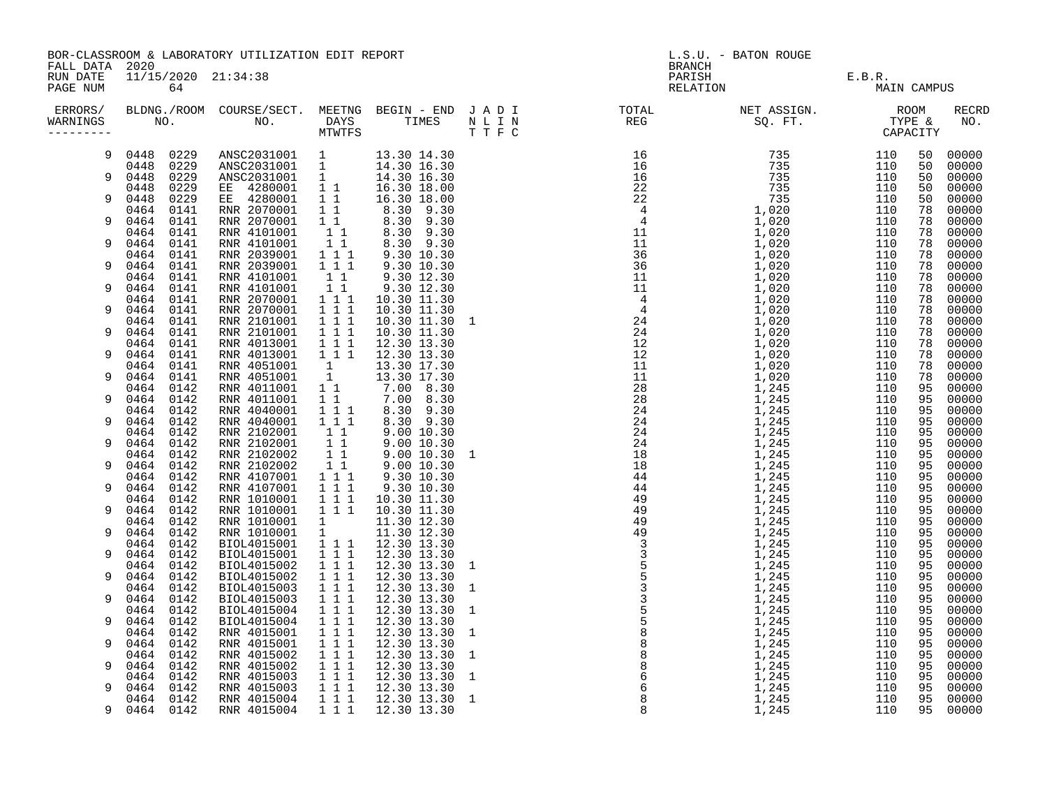|                        | BOR-CLASSROOM & LABORATORY UTILIZATION EDIT REPORT<br>FALL DATA 2020 |                                                                                                                                                                                                           |                                                                       |                                                                            |  | L.S.U. - BATON ROUGE<br><b>BRANCH</b>                                                                                                                                                                                                                                                                                                                                                                                                                                                                                                                                                                                                                                 |                               |                   |                |                         |  |
|------------------------|----------------------------------------------------------------------|-----------------------------------------------------------------------------------------------------------------------------------------------------------------------------------------------------------|-----------------------------------------------------------------------|----------------------------------------------------------------------------|--|-----------------------------------------------------------------------------------------------------------------------------------------------------------------------------------------------------------------------------------------------------------------------------------------------------------------------------------------------------------------------------------------------------------------------------------------------------------------------------------------------------------------------------------------------------------------------------------------------------------------------------------------------------------------------|-------------------------------|-------------------|----------------|-------------------------|--|
| RUN DATE<br>PAGE NUM   | 11/15/2020 21:34:38<br>64                                            |                                                                                                                                                                                                           |                                                                       |                                                                            |  |                                                                                                                                                                                                                                                                                                                                                                                                                                                                                                                                                                                                                                                                       | PARISH E.B.R.<br>RELATION MAI | MAIN CAMPUS       |                |                         |  |
| WARNINGS<br>---------- |                                                                      |                                                                                                                                                                                                           |                                                                       |                                                                            |  | ERRORS/ BLDNG./ROOM COURSE/SECT. MEETNG BEGIN – END JADI TOTAL NET ASSIGN.     ROOM ROOM COURSE/SECT. MEETNG BEGIN – END JADI TOTAL TOTAL NET ASSIGN.     ROOM ROOM COURSE/SECT. MEETNG BEGIN – END JADI TOTAL TOTAL SQ. FT.<br>$\begin{array}{cccccccccccc} \textbf{1} & \textbf{1} & \textbf{1} & \textbf{1} & \textbf{1} & \textbf{1} & \textbf{1} & \textbf{1} & \textbf{1} & \textbf{1} & \textbf{1} & \textbf{1} & \textbf{1} & \textbf{1} & \textbf{1} & \textbf{1} & \textbf{1} & \textbf{1} & \textbf{1} & \textbf{1} & \textbf{1} & \textbf{1} & \textbf{1} & \textbf{1} & \textbf{1} & \textbf{1} & \textbf{1} & \textbf{1} & \textbf{1} & \textbf{1} & \$ |                               |                   |                | <b>RECRD</b><br>NO.     |  |
| 9                      | 0448 0229<br>0448 0229                                               | ANSC2031001 1 13.30 14.30<br>ANSC2031001 1 14.30 16.30                                                                                                                                                    |                                                                       |                                                                            |  |                                                                                                                                                                                                                                                                                                                                                                                                                                                                                                                                                                                                                                                                       |                               | 110<br>110        | 50<br>50       | 00000<br>00000          |  |
| 9                      | 0229<br>0448<br>0229<br>0448                                         |                                                                                                                                                                                                           |                                                                       |                                                                            |  |                                                                                                                                                                                                                                                                                                                                                                                                                                                                                                                                                                                                                                                                       |                               | 110<br>110        | 50<br>50       | 00000<br>00000          |  |
| 9                      | 0229<br>0448<br>0141<br>0464                                         | ANSC2031001 1 14.30 16.30<br>ANSC2031001 1 14.30 16.30<br>EE 4280001 1 1 16.30 18.00<br>EE 4280001 1 1 16.30 18.00<br>RNR 2070001 1 1 8.30 9.30<br>RNR 2070001 1 1 8.30 9.30<br>RNR 4101001 1 1 8.30 9.30 |                                                                       |                                                                            |  |                                                                                                                                                                                                                                                                                                                                                                                                                                                                                                                                                                                                                                                                       |                               | 110<br>110        | 50<br>78       | 00000<br>00000          |  |
| 9                      | 0464<br>0141<br>0141<br>0464                                         |                                                                                                                                                                                                           |                                                                       |                                                                            |  |                                                                                                                                                                                                                                                                                                                                                                                                                                                                                                                                                                                                                                                                       |                               | 110<br>110        | 78<br>78       | 00000<br>00000          |  |
| 9                      | 0464<br>0141                                                         | RNR 4101001                                                                                                                                                                                               | $1\quad1$                                                             | 8.30 9.30                                                                  |  |                                                                                                                                                                                                                                                                                                                                                                                                                                                                                                                                                                                                                                                                       |                               | 110               | 78             | 00000                   |  |
| 9                      | 0464<br>0141<br>0464<br>0141                                         | RNR 2039001<br>RNR 2039001                                                                                                                                                                                | $\begin{array}{rrrr} & 1 & 1 & 1 \\ & 1 & 1 & 1 \end{array}$          | $9.30$ $10.30$<br>9.30 10.30                                               |  |                                                                                                                                                                                                                                                                                                                                                                                                                                                                                                                                                                                                                                                                       |                               | 110<br>110        | 78<br>78       | 00000<br>00000          |  |
| 9                      | 0464<br>0141<br>0464<br>0141                                         | RNR 4101001<br>RNR 4101001                                                                                                                                                                                | $1\quad1$<br>$1\quad1$                                                | 9.30 12.30<br>9.30 12.30                                                   |  |                                                                                                                                                                                                                                                                                                                                                                                                                                                                                                                                                                                                                                                                       |                               | 110<br>110        | 78<br>78       | 00000<br>00000          |  |
| 9                      | 0464<br>0141<br>0464<br>0141                                         | RNR 2070001<br>RNR 2070001                                                                                                                                                                                | 111<br>$1 1 1$                                                        | 10.30 11.30<br>10.30 11.30                                                 |  |                                                                                                                                                                                                                                                                                                                                                                                                                                                                                                                                                                                                                                                                       |                               | 110<br>110        | 78<br>78       | 00000<br>00000          |  |
| 9                      | 0464<br>0141<br>0464<br>0141                                         | RNR 2101001<br>RNR 2101001                                                                                                                                                                                | $1 1 1$<br>$1 1 1$                                                    | 10.30 11.30 1<br>10.30 11.30                                               |  |                                                                                                                                                                                                                                                                                                                                                                                                                                                                                                                                                                                                                                                                       |                               | 110<br>110        | 78<br>78       | 00000<br>00000          |  |
| 9                      | 0141<br>0464<br>0464<br>0141                                         | RNR 4013001<br>RNR 4013001                                                                                                                                                                                | $1 1 1$<br>111                                                        | 12.30 13.30<br>12.30 13.30                                                 |  |                                                                                                                                                                                                                                                                                                                                                                                                                                                                                                                                                                                                                                                                       |                               | 110<br>110        | 78<br>78       | 00000<br>00000          |  |
| 9                      | 0464<br>0141<br>0464<br>0141                                         | RNR 4051001<br>RNR 4051001                                                                                                                                                                                | 1<br>1                                                                | 13.30 17.30<br>13.30 17.30                                                 |  |                                                                                                                                                                                                                                                                                                                                                                                                                                                                                                                                                                                                                                                                       |                               | 110<br>110        | 78<br>78       | 00000<br>00000          |  |
| 9                      | 0464<br>0142<br>0464<br>0142                                         | RNR 4011001<br>RNR 4011001                                                                                                                                                                                |                                                                       | $\begin{bmatrix} 1 & 1 & 7.00 & 8.30 \\ 1 & 1 & 7.00 & 8.30 \end{bmatrix}$ |  |                                                                                                                                                                                                                                                                                                                                                                                                                                                                                                                                                                                                                                                                       |                               | 110<br>110        | 95<br>95       | 00000<br>00000          |  |
| 9                      | 0142<br>0464<br>0464<br>0142                                         | RNR 4040001<br>RNR 4040001                                                                                                                                                                                | $1 1 1$<br>1 1 1                                                      | 8.30 9.30<br>8.30 9.30                                                     |  |                                                                                                                                                                                                                                                                                                                                                                                                                                                                                                                                                                                                                                                                       |                               | 110<br>110        | 95<br>95       | 00000<br>00000          |  |
| 9                      | 0142<br>0464<br>0464<br>0142                                         | RNR 2102001<br>RNR 2102001                                                                                                                                                                                | 11<br>$\overline{1}$ $\overline{1}$                                   | 9.00 10.30<br>9.00 10.30                                                   |  |                                                                                                                                                                                                                                                                                                                                                                                                                                                                                                                                                                                                                                                                       |                               | 110<br>110        | 95<br>95       | 00000<br>00000          |  |
| 9                      | 0464<br>0142<br>0464<br>0142                                         | RNR 2102002<br>RNR 2102002                                                                                                                                                                                | $1\quad1$<br>$\overline{1}$ $\overline{1}$                            | 9.00 10.30 1<br>9.00 10.30                                                 |  |                                                                                                                                                                                                                                                                                                                                                                                                                                                                                                                                                                                                                                                                       |                               | 110<br>110        | 95<br>95       | 00000<br>00000          |  |
| 9                      | 0464<br>0142<br>0464<br>0142                                         | RNR 4107001<br>RNR 4107001                                                                                                                                                                                | 111<br>$\frac{1}{1}$ $\frac{1}{1}$ $\frac{1}{1}$                      | 9.30 10.30<br>9.30 10.30                                                   |  |                                                                                                                                                                                                                                                                                                                                                                                                                                                                                                                                                                                                                                                                       |                               | 110<br>110        | 95<br>95       | 00000<br>00000          |  |
| 9                      | 0464<br>0142<br>0464 0142                                            | RNR 1010001<br>RNR 1010001 111                                                                                                                                                                            | $1$ 1 1                                                               | 10.30 11.30<br>10.30 11.30                                                 |  |                                                                                                                                                                                                                                                                                                                                                                                                                                                                                                                                                                                                                                                                       |                               | 110<br>110        | 95<br>95       | 00000<br>00000          |  |
| 9                      | 0464 0142<br>0464 0142                                               | RNR 1010001<br>RNR 1010001                                                                                                                                                                                | $\frac{1}{1}$                                                         | 11.30 12.30<br>11.30 12.30                                                 |  |                                                                                                                                                                                                                                                                                                                                                                                                                                                                                                                                                                                                                                                                       |                               | 110<br>110        | 95<br>95       | 00000<br>00000          |  |
| 9                      | 0464<br>0142<br>0464 0142                                            | BIOL4015001<br>BIOL4015001                                                                                                                                                                                | 1 1 1                                                                 | 1 1 1 1 1 1 2 . 30 1 3 . 30<br>12.30 13.30                                 |  |                                                                                                                                                                                                                                                                                                                                                                                                                                                                                                                                                                                                                                                                       |                               | 110<br>110        | 95<br>95       | 00000<br>00000          |  |
| 9                      | 0464 0142<br>0464 0142                                               | BIOL4015002<br>BIOL4015002                                                                                                                                                                                | $1 1 1$<br>$1 1 1$                                                    | 12.30 13.30 1<br>12.30 13.30                                               |  |                                                                                                                                                                                                                                                                                                                                                                                                                                                                                                                                                                                                                                                                       |                               | 110<br>110        | 95<br>95       | 00000<br>00000          |  |
| 9                      | 0142<br>0464<br>0464 0142                                            | BIOL4015003<br>BIOL4015003                                                                                                                                                                                | $1 1 1$<br>1 1 1                                                      | 12.30 13.30 1<br>12.30 13.30                                               |  |                                                                                                                                                                                                                                                                                                                                                                                                                                                                                                                                                                                                                                                                       |                               | 110<br>110        | 95<br>95       | 00000<br>00000          |  |
| 9                      | 0464 0142<br>0464 0142                                               | BIOL4015004<br>BIOL4015004                                                                                                                                                                                | $1 1 1$                                                               | 12.30 13.30 1<br>12.30 13.30                                               |  |                                                                                                                                                                                                                                                                                                                                                                                                                                                                                                                                                                                                                                                                       |                               | 110<br>110        | 95<br>95       | 00000<br>00000          |  |
| 9                      | 0464<br>0142<br>0464<br>0142                                         | RNR 4015001<br>RNR 4015001                                                                                                                                                                                | $\begin{array}{rrrr} & 1 & 1 & 1 \\ & 1 & 1 & 1 \end{array}$          | 12.30 13.30 1<br>12.30 13.30                                               |  |                                                                                                                                                                                                                                                                                                                                                                                                                                                                                                                                                                                                                                                                       |                               | 110<br>110        | 95<br>95       | 00000<br>00000          |  |
| 9                      | 0464<br>0142<br>0464 0142                                            | RNR 4015002<br>RNR 4015002                                                                                                                                                                                | $\begin{array}{rrrr} & 1 & 1 & 1 \\ & 1 & 1 & 1 \end{array}$<br>1 1 1 | 12.30 13.30 1<br>12.30 13.30                                               |  |                                                                                                                                                                                                                                                                                                                                                                                                                                                                                                                                                                                                                                                                       |                               | 110<br>110        | 95<br>95       | 00000<br>00000          |  |
| 9                      | 0464<br>0142                                                         | RNR 4015003<br>RNR 4015003                                                                                                                                                                                | $\begin{array}{rrrr} & 1 & 1 & 1 \\ & 1 & 1 & 1 \end{array}$          | 12.30 13.30 1                                                              |  |                                                                                                                                                                                                                                                                                                                                                                                                                                                                                                                                                                                                                                                                       |                               | 110               | 95             | 00000                   |  |
| 9                      | 0464<br>0142<br>0464 0142<br>0464 0142                               | RNR 4015004<br>RNR 4015004                                                                                                                                                                                | $1 1 1$<br>$1 1 1$                                                    | 12.30 13.30<br>12.30 13.30 1<br>12.30 13.30                                |  |                                                                                                                                                                                                                                                                                                                                                                                                                                                                                                                                                                                                                                                                       |                               | 110<br>110<br>110 | 95<br>95<br>95 | 00000<br>00000<br>00000 |  |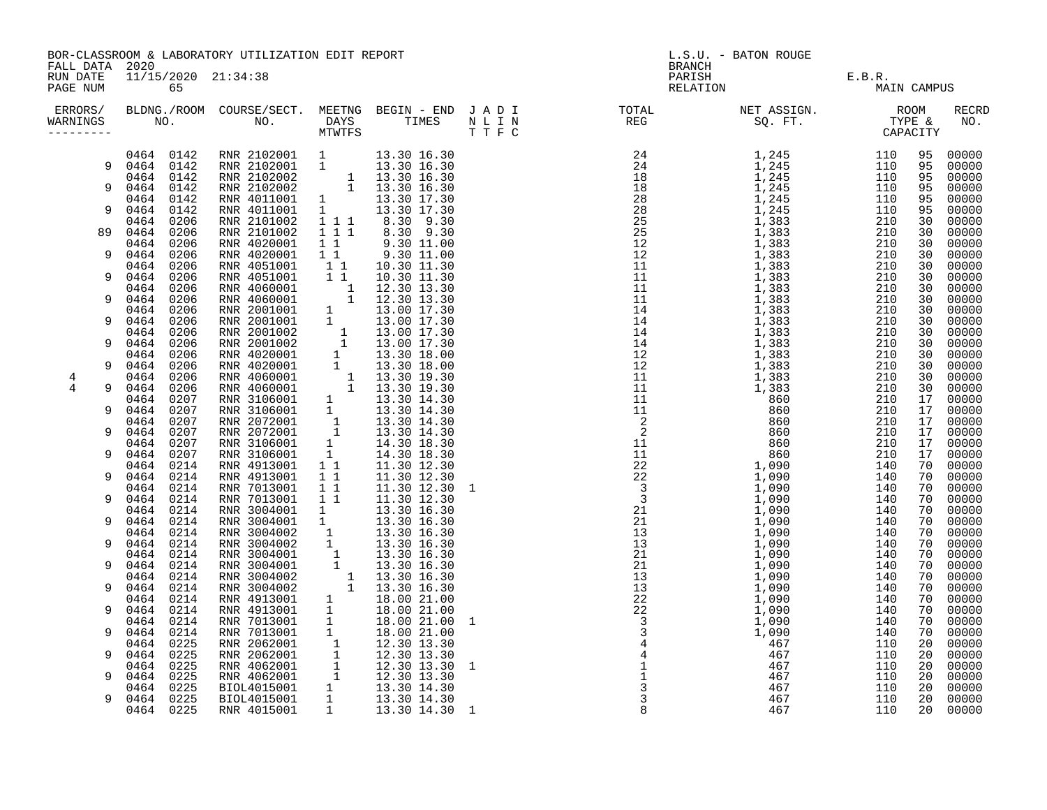| FALL DATA 2020                                                                                                      | BOR-CLASSROOM & LABORATORY UTILIZATION EDIT REPORT<br>11/15/2020 21:34:38                                                                                                                                                                                                                                                                                                                                                                                                                                                                                                                                                           |                                                                                                                                                                                                                                                                                                                                                                                                                                                                                                                                                                                                                                                                                                                                                  |  |  |  | L.S.U. - BATON ROUGE<br><b>BRANCH</b>                                                                                                                       |  |                                  |                                                                                                                                                                                                                                        |                                                                                                                                                                                                                                                                                                                                                             |
|---------------------------------------------------------------------------------------------------------------------|-------------------------------------------------------------------------------------------------------------------------------------------------------------------------------------------------------------------------------------------------------------------------------------------------------------------------------------------------------------------------------------------------------------------------------------------------------------------------------------------------------------------------------------------------------------------------------------------------------------------------------------|--------------------------------------------------------------------------------------------------------------------------------------------------------------------------------------------------------------------------------------------------------------------------------------------------------------------------------------------------------------------------------------------------------------------------------------------------------------------------------------------------------------------------------------------------------------------------------------------------------------------------------------------------------------------------------------------------------------------------------------------------|--|--|--|-------------------------------------------------------------------------------------------------------------------------------------------------------------|--|----------------------------------|----------------------------------------------------------------------------------------------------------------------------------------------------------------------------------------------------------------------------------------|-------------------------------------------------------------------------------------------------------------------------------------------------------------------------------------------------------------------------------------------------------------------------------------------------------------------------------------------------------------|
| RUN DATE<br>PAGE NUM                                                                                                | 65                                                                                                                                                                                                                                                                                                                                                                                                                                                                                                                                                                                                                                  |                                                                                                                                                                                                                                                                                                                                                                                                                                                                                                                                                                                                                                                                                                                                                  |  |  |  | PARISH<br>RELATION                                                                                                                                          |  | E.B.R.<br>MAIN CA<br>MAIN CAMPUS |                                                                                                                                                                                                                                        |                                                                                                                                                                                                                                                                                                                                                             |
| ERRORS/<br>WARNINGS<br>--------                                                                                     |                                                                                                                                                                                                                                                                                                                                                                                                                                                                                                                                                                                                                                     |                                                                                                                                                                                                                                                                                                                                                                                                                                                                                                                                                                                                                                                                                                                                                  |  |  |  | BLDNG./ROOM COURSE/SECT. MEETNG BEGIN – END JADI TOTAL NET ASSIGN. NET ASSIGN. ROOM ROOM COURSE WE BEGIN – END JADI TOTAL TOTAL NET ASSIGN. TYPE & CAPACITY |  |                                  |                                                                                                                                                                                                                                        | RECRD<br>NO.                                                                                                                                                                                                                                                                                                                                                |
| 9<br>9<br>9<br>89<br>9<br>9<br>9<br>9<br>9<br>9<br>$\overline{4}$<br>4<br>9<br>9<br>9<br>9<br>9<br>9<br>9<br>9<br>9 | 0464 0142<br>0464 0142<br>0464 0142<br>0464<br>0142<br>0464<br>0142<br>0464<br>0142<br>0464<br>0206<br>0464<br>0206<br>0464<br>0206<br>0464<br>0206<br>0464<br>0206<br>0464<br>0206<br>0206<br>0464<br>0464<br>0206<br>0206<br>0464<br>0464<br>0206<br>0206<br>0464<br>0464<br>0206<br>0464<br>0206<br>0464<br>0206<br>0464<br>0206<br>0464<br>0206<br>0464<br>0207<br>0464<br>0207<br>0207<br>0464<br>0464<br>0207<br>0464<br>0207<br>0464<br>0207<br>0214<br>0464<br>0464<br>0214<br>0214<br>0464<br>0464<br>0214<br>0214<br>0464<br>0464<br>0214<br>0214<br>0464<br>0214<br>0464<br>0464<br>0214<br>0464<br>0214<br>0464<br>0214 | RNR 2102001 1 13.30 16.30<br>RNR 2102001 1 13.30 16.30<br>RNR 2102002 1 13.30 16.30<br>RNR 2102002 1 13.30 16.30<br>RNR 4011001 1 13.30 17.30<br>RNR 2101002 1 1 1 8.30 9.30<br>RNR 2101002 1 1 1 8.30 9.30<br>RNR 2101002 1 1 1 8.30 9.30<br><br>RNR 2001002 1 1 1 3.30 3.30<br>RNR 4020001 1 1 9.30 11.00<br>RNR 4020001 1 1 9.30 11.00<br>RNR 4051001 1 1 10.30 11.30<br>RNR 4051001 1 1 10.30 11.30<br>RNR 4051001 1 1 10.30 11.30<br>RNR 4060001 1 1 12.30 13.30<br>RNR 2001001 1 13.00 1<br>RNR 4913001 11 11.30 12.30<br>RNR 4913001 11 11.30 12.30<br>RNR 7013001 11 11.30 12.30<br>RNR 7013001 11 11.30 12.30 1<br>RNR 3004001 1 13.30 16.30<br>RNR 3004002 1 13.30 16.30<br>RNR 3004002 1 13.30 16.30<br>RNR 3004002 1 13.30 16.30<br> |  |  |  |                                                                                                                                                             |  |                                  | 95<br>95<br>95<br>95<br>95<br>95<br>30<br>30<br>30<br>30<br>30<br>30<br>30<br>30<br>30<br>30<br>30<br>30<br>30<br>30<br>30<br>30<br>17<br>17<br>17<br>17<br>17<br>17<br>70<br>70<br>70<br>70<br>70<br>70<br>70<br>70<br>70<br>70<br>70 | 00000<br>00000<br>00000<br>00000<br>00000<br>00000<br>00000<br>00000<br>00000<br>00000<br>00000<br>00000<br>00000<br>00000<br>00000<br>00000<br>00000<br>00000<br>00000<br>00000<br>00000<br>00000<br>00000<br>00000<br>00000<br>00000<br>00000<br>00000<br>00000<br>00000<br>00000<br>00000<br>00000<br>00000<br>00000<br>00000<br>00000<br>00000<br>00000 |
| 9<br>9                                                                                                              | 0464<br>0214<br>0464<br>0214<br>0464<br>0214<br>0464<br>0214                                                                                                                                                                                                                                                                                                                                                                                                                                                                                                                                                                        |                                                                                                                                                                                                                                                                                                                                                                                                                                                                                                                                                                                                                                                                                                                                                  |  |  |  |                                                                                                                                                             |  |                                  | 70<br>70<br>70<br>70                                                                                                                                                                                                                   | 00000<br>00000<br>00000<br>00000                                                                                                                                                                                                                                                                                                                            |
| 9<br>9                                                                                                              | 0214<br>0464<br>0225<br>0464<br>0225<br>0464                                                                                                                                                                                                                                                                                                                                                                                                                                                                                                                                                                                        |                                                                                                                                                                                                                                                                                                                                                                                                                                                                                                                                                                                                                                                                                                                                                  |  |  |  |                                                                                                                                                             |  |                                  | 70<br>20<br>20                                                                                                                                                                                                                         | 00000<br>00000<br>00000                                                                                                                                                                                                                                                                                                                                     |
| 9                                                                                                                   | 0225<br>0464<br>0464<br>0225<br>0225<br>0464<br>0464<br>0225                                                                                                                                                                                                                                                                                                                                                                                                                                                                                                                                                                        |                                                                                                                                                                                                                                                                                                                                                                                                                                                                                                                                                                                                                                                                                                                                                  |  |  |  |                                                                                                                                                             |  |                                  | 20<br>20<br>20<br>20                                                                                                                                                                                                                   | 00000<br>00000<br>00000<br>00000                                                                                                                                                                                                                                                                                                                            |
|                                                                                                                     | 0464 0225                                                                                                                                                                                                                                                                                                                                                                                                                                                                                                                                                                                                                           |                                                                                                                                                                                                                                                                                                                                                                                                                                                                                                                                                                                                                                                                                                                                                  |  |  |  |                                                                                                                                                             |  |                                  | 20                                                                                                                                                                                                                                     | 00000                                                                                                                                                                                                                                                                                                                                                       |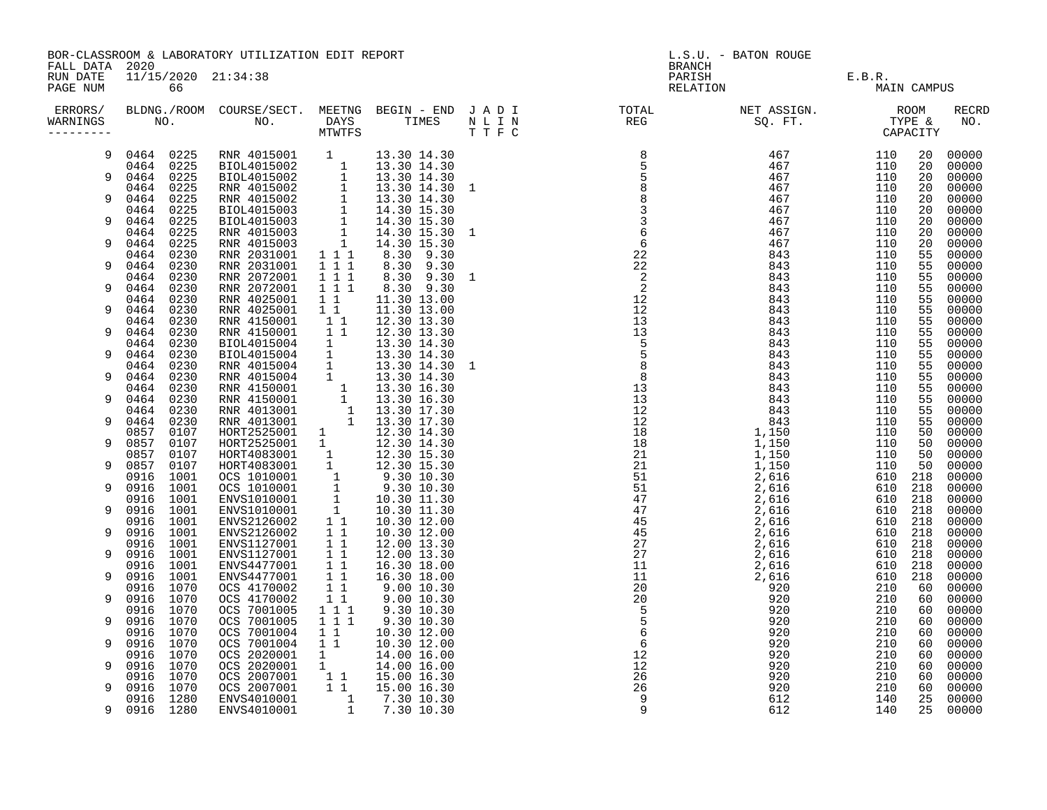| FALL DATA 2020       | BOR-CLASSROOM & LABORATORY UTILIZATION EDIT REPORT<br>11/15/2020 21:34:38 |              |                                                                                                                                                                                                                                                              |                                                        |                            |  | L.S.U. - BATON ROUGE<br><b>BRANCH</b>                                                                                                                                                                                             |                    |                       |  |                     |  |
|----------------------|---------------------------------------------------------------------------|--------------|--------------------------------------------------------------------------------------------------------------------------------------------------------------------------------------------------------------------------------------------------------------|--------------------------------------------------------|----------------------------|--|-----------------------------------------------------------------------------------------------------------------------------------------------------------------------------------------------------------------------------------|--------------------|-----------------------|--|---------------------|--|
| RUN DATE<br>PAGE NUM |                                                                           | 66           |                                                                                                                                                                                                                                                              |                                                        |                            |  |                                                                                                                                                                                                                                   | PARISH<br>RELATION | E.B.R.<br>MAIN CAMPUS |  |                     |  |
| WARNINGS             |                                                                           |              |                                                                                                                                                                                                                                                              |                                                        |                            |  | ERRORS/ BLDNG./ROOM COURSE/SECT. MEETNG BEGIN – END JADI TOTAL TOTAL NETASSIGN. NET ASSIGN. ROOM COURSE/SECT. MEETNG BEGIN – END JADI TOTAL TOTAL NETASSIGN. TYPE &<br>WARNINGS NO. NO. DAYS TIMES NLIN REG SQ.FT. TPE & CAPACITY |                    |                       |  | <b>RECRD</b><br>NO. |  |
| 9                    | 0464 0225                                                                 |              | RNR 4015001 1 13.30 14.30<br>BIOL4015002 1 13.30 14.30<br>BIOL4015002 1 13.30 14.30<br>RNR 4015002 1 13.30 14.30 1<br>RNR 4015002 1 13.30 14.30 1<br>RNR 4015003 1 14.30 15.30<br>BIOL4015003 1 14.30 15.30<br>RNR 4015003 1 14.30 15.30<br>RN               |                                                        |                            |  |                                                                                                                                                                                                                                   |                    |                       |  | 00000               |  |
| 9                    | 0464 0225<br>0464 0225                                                    |              |                                                                                                                                                                                                                                                              |                                                        |                            |  |                                                                                                                                                                                                                                   |                    |                       |  | 00000<br>00000      |  |
|                      | 0464 0225                                                                 |              |                                                                                                                                                                                                                                                              |                                                        |                            |  |                                                                                                                                                                                                                                   |                    |                       |  | 00000               |  |
| 9                    | 0464 0225                                                                 |              |                                                                                                                                                                                                                                                              |                                                        |                            |  |                                                                                                                                                                                                                                   |                    |                       |  | 00000               |  |
| 9                    | 0464<br>0464 0225                                                         | 0225         |                                                                                                                                                                                                                                                              |                                                        |                            |  |                                                                                                                                                                                                                                   |                    |                       |  | 00000<br>00000      |  |
|                      | 0464 0225                                                                 |              |                                                                                                                                                                                                                                                              |                                                        |                            |  |                                                                                                                                                                                                                                   |                    |                       |  | 00000               |  |
| 9                    | 0464 0225                                                                 |              |                                                                                                                                                                                                                                                              |                                                        |                            |  |                                                                                                                                                                                                                                   |                    |                       |  | 00000               |  |
|                      | 0464                                                                      | 0230         | RNR 2031001 1 1 1<br>RNR 2031001 1 1 1<br>RNR 2072001 1 1 1                                                                                                                                                                                                  |                                                        | 8.30 9.30                  |  |                                                                                                                                                                                                                                   |                    |                       |  | 00000               |  |
| 9                    | 0464<br>0464 0230                                                         | 0230         |                                                                                                                                                                                                                                                              |                                                        | 8.30 9.30<br>8.30 9.30 1   |  |                                                                                                                                                                                                                                   |                    |                       |  | 00000<br>00000      |  |
| 9                    | 0464 0230                                                                 |              | RNR 2072001                                                                                                                                                                                                                                                  |                                                        | 8.30 9.30                  |  |                                                                                                                                                                                                                                   |                    |                       |  | 00000               |  |
|                      | 0464 0230                                                                 |              | RNR 4025001                                                                                                                                                                                                                                                  | $\begin{array}{rrrr} 1 & 1 & 1 \\ 1 & 1 & \end{array}$ | 11.30 13.00                |  |                                                                                                                                                                                                                                   |                    |                       |  | 00000               |  |
| 9                    | 0464 0230                                                                 |              | RNR 4025001                                                                                                                                                                                                                                                  | $\begin{smallmatrix}1&&1\\&1\\1&&1\end{smallmatrix}$   | 11.30 13.00                |  |                                                                                                                                                                                                                                   |                    |                       |  | 00000               |  |
| 9                    | 0464 0230<br>0464 0230                                                    |              | RNR 4150001<br>NNR 4250001 1 12.30 13.30<br>RNR 4150001 1 1 12.30 13.30<br>BIOL4015004 1 13.30 14.30<br>BIOL4015004 1 13.30 14.30<br>RNR 4015004 1 13.30 14.30<br>RNR 4015004 1 13.30 14.30<br>RNR 4015004 1 13.30 14.30<br>RNR 4015004 1 13.30 14.30<br>RNR |                                                        | 12.30 13.30                |  |                                                                                                                                                                                                                                   |                    |                       |  | 00000<br>00000      |  |
|                      | 0464                                                                      | 0230         |                                                                                                                                                                                                                                                              |                                                        |                            |  |                                                                                                                                                                                                                                   |                    |                       |  | 00000               |  |
| 9                    | 0464                                                                      | 0230         |                                                                                                                                                                                                                                                              |                                                        |                            |  |                                                                                                                                                                                                                                   |                    |                       |  | 00000               |  |
|                      | 0464 0230                                                                 |              |                                                                                                                                                                                                                                                              |                                                        | 13.30 14.30 1              |  |                                                                                                                                                                                                                                   |                    |                       |  | 00000               |  |
| 9                    | 0464 0230<br>0464                                                         | 0230         |                                                                                                                                                                                                                                                              |                                                        |                            |  |                                                                                                                                                                                                                                   |                    |                       |  | 00000<br>00000      |  |
| 9                    | 0464                                                                      | 0230         |                                                                                                                                                                                                                                                              |                                                        |                            |  |                                                                                                                                                                                                                                   |                    |                       |  | 00000               |  |
|                      | 0464 0230                                                                 |              |                                                                                                                                                                                                                                                              |                                                        |                            |  |                                                                                                                                                                                                                                   |                    |                       |  | 00000               |  |
| 9                    | 0464 0230                                                                 |              |                                                                                                                                                                                                                                                              |                                                        |                            |  |                                                                                                                                                                                                                                   |                    |                       |  | 00000               |  |
| 9                    | 0857<br>0857                                                              | 0107<br>0107 |                                                                                                                                                                                                                                                              |                                                        |                            |  |                                                                                                                                                                                                                                   |                    |                       |  | 00000<br>00000      |  |
|                      | 0857 0107                                                                 |              |                                                                                                                                                                                                                                                              |                                                        |                            |  |                                                                                                                                                                                                                                   |                    |                       |  | 00000               |  |
| 9                    | 0857 0107                                                                 |              |                                                                                                                                                                                                                                                              |                                                        |                            |  |                                                                                                                                                                                                                                   |                    |                       |  | 00000               |  |
|                      | 0916 1001                                                                 |              |                                                                                                                                                                                                                                                              |                                                        |                            |  |                                                                                                                                                                                                                                   |                    |                       |  | 00000               |  |
| 9                    | 0916 1001                                                                 |              |                                                                                                                                                                                                                                                              |                                                        |                            |  |                                                                                                                                                                                                                                   |                    |                       |  | 00000               |  |
| 9                    | 0916 1001<br>0916 1001                                                    |              |                                                                                                                                                                                                                                                              |                                                        |                            |  |                                                                                                                                                                                                                                   |                    |                       |  | 00000<br>00000      |  |
|                      | 0916 1001                                                                 |              |                                                                                                                                                                                                                                                              |                                                        |                            |  |                                                                                                                                                                                                                                   |                    |                       |  | 00000               |  |
| 9                    | 0916                                                                      | 1001         |                                                                                                                                                                                                                                                              |                                                        |                            |  |                                                                                                                                                                                                                                   |                    |                       |  | 00000               |  |
|                      | 0916 1001                                                                 |              |                                                                                                                                                                                                                                                              |                                                        |                            |  |                                                                                                                                                                                                                                   |                    |                       |  | 00000               |  |
| 9                    | 0916 1001                                                                 |              |                                                                                                                                                                                                                                                              |                                                        |                            |  |                                                                                                                                                                                                                                   |                    |                       |  | 00000               |  |
| 9                    | 0916 1001<br>0916 1001                                                    |              | ENVS4477001 11<br>ENVS4477001 11                                                                                                                                                                                                                             |                                                        | 16.30 18.00<br>16.30 18.00 |  |                                                                                                                                                                                                                                   |                    |                       |  | 00000<br>00000      |  |
|                      | 0916 1070                                                                 |              | OCS 4170002                                                                                                                                                                                                                                                  | $\overline{1}$ $\overline{1}$                          |                            |  |                                                                                                                                                                                                                                   |                    |                       |  | 00000               |  |
| 9                    | 0916 1070                                                                 |              | OCS 4170002                                                                                                                                                                                                                                                  | 11                                                     | 9.00 10.30<br>9.00 10.30   |  |                                                                                                                                                                                                                                   |                    |                       |  | 00000               |  |
|                      | 0916 1070                                                                 |              | OCS 7001005                                                                                                                                                                                                                                                  | $1\quad 1\quad 1$                                      | 9.30 10.30                 |  |                                                                                                                                                                                                                                   |                    |                       |  | 00000               |  |
| 9                    | 0916<br>0916 1070                                                         | 1070         | OCS 7001005<br>OCS 7001004                                                                                                                                                                                                                                   | $1 1 1$<br>$1\quad1$                                   | 9.30 10.30<br>10.30 12.00  |  |                                                                                                                                                                                                                                   |                    |                       |  | 00000<br>00000      |  |
| 9                    | 0916 1070                                                                 |              | OCS 7001004                                                                                                                                                                                                                                                  | $1\quad1$                                              | 10.30 12.00                |  |                                                                                                                                                                                                                                   |                    |                       |  | 00000               |  |
|                      | 0916 1070                                                                 |              |                                                                                                                                                                                                                                                              |                                                        |                            |  |                                                                                                                                                                                                                                   |                    |                       |  | 00000               |  |
| 9                    | 0916 1070                                                                 |              |                                                                                                                                                                                                                                                              |                                                        |                            |  |                                                                                                                                                                                                                                   |                    |                       |  | 00000               |  |
| 9                    | 0916 1070<br>0916 1070                                                    |              |                                                                                                                                                                                                                                                              |                                                        |                            |  |                                                                                                                                                                                                                                   |                    |                       |  | 00000<br>00000      |  |
|                      | 0916 1280                                                                 |              |                                                                                                                                                                                                                                                              |                                                        |                            |  |                                                                                                                                                                                                                                   |                    |                       |  | 00000               |  |
| 9                    | 0916 1280                                                                 |              | 0CS 2020001 1<br>0CS 2020001 1<br>0CS 2020001 1<br>14.00 16.00<br>0CS 2007001 1 1 15.00 16.30<br>0CS 2007001 1 1 15.00 16.30<br>0CS 2007001 1 1 15.00 16.30<br>ENVS4010001 1 7.30 10.30<br>ENVS4010001 1 7.30 10.30                                          |                                                        |                            |  |                                                                                                                                                                                                                                   |                    |                       |  | 00000               |  |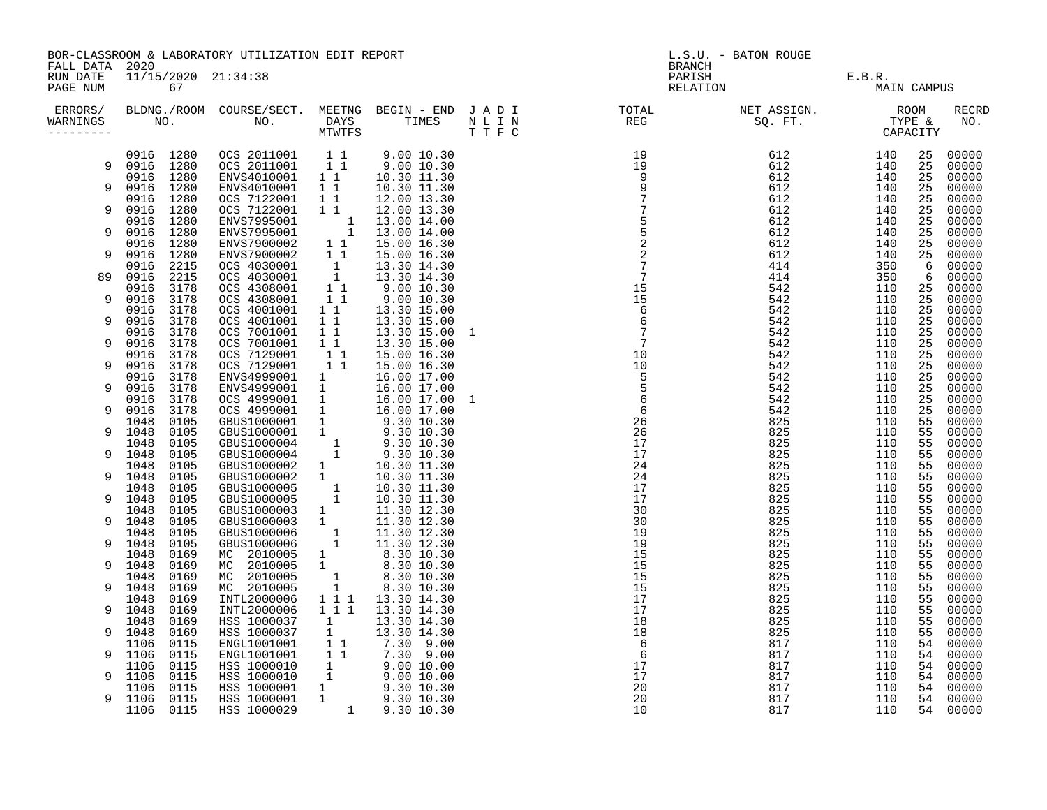| FALL DATA 2020       | BOR-CLASSROOM & LABORATORY UTILIZATION EDIT REPORT |                                                                                                                                                                                                                                                               |                                                                                                                                                                                                                                                                                                           |                                       |                                                                                                                                                                                                   | L.S.U. - BATON ROUGE<br>BRANCH |                                                                                                                                                                                                                                                                                |                                |             |          |                |
|----------------------|----------------------------------------------------|---------------------------------------------------------------------------------------------------------------------------------------------------------------------------------------------------------------------------------------------------------------|-----------------------------------------------------------------------------------------------------------------------------------------------------------------------------------------------------------------------------------------------------------------------------------------------------------|---------------------------------------|---------------------------------------------------------------------------------------------------------------------------------------------------------------------------------------------------|--------------------------------|--------------------------------------------------------------------------------------------------------------------------------------------------------------------------------------------------------------------------------------------------------------------------------|--------------------------------|-------------|----------|----------------|
| RUN DATE<br>PAGE NUM |                                                    | 11/15/2020 21:34:38<br>67<br>ERRORS/ BLDNG./ROOM COURSE/SECT. MEETNG BEGIN – END JADI (TOTAL (NET ASSIGN. ) ROOM (ROOM ) NET ASSIGN. (ROOM<br>VARNINGS NO. NO. DAYS TIMES NLIN (REG ) SQ.FT. TYPE & MINITFS (THE STYPE ) (THE STYPE ) (THE STYPE ) (THE STYPE |                                                                                                                                                                                                                                                                                                           |                                       |                                                                                                                                                                                                   |                                |                                                                                                                                                                                                                                                                                | PARISH E.B.R.<br>RELATION MAIN | MAIN CAMPUS |          |                |
| WARNINGS             |                                                    |                                                                                                                                                                                                                                                               | NO. NO. NO. DAYS TIMES                                                                                                                                                                                                                                                                                    |                                       |                                                                                                                                                                                                   |                                | $\begin{smallmatrix} 0.01 & 0.01 & 0.01 & 0.01 & 0.01 & 0.01 & 0.01 & 0.01 & 0.01 & 0.01 & 0.01 & 0.01 & 0.01 & 0.01 & 0.01 & 0.01 & 0.01 & 0.01 & 0.01 & 0.01 & 0.01 & 0.01 & 0.01 & 0.01 & 0.01 & 0.01 & 0.01 & 0.01 & 0.01 & 0.01 & 0.01 & 0.01 & 0.01 & 0.01 & 0.01 & 0.0$ |                                |             |          | RECRD<br>NO.   |
|                      |                                                    |                                                                                                                                                                                                                                                               | 0916 1280 OCS 2011001 1 1 9.00 10.30<br>0916 1280 OCS 2011001 1 1 9.00 10.30<br>0916 1280 ENVS4010001 1 1 10.30 11.30                                                                                                                                                                                     |                                       |                                                                                                                                                                                                   |                                |                                                                                                                                                                                                                                                                                |                                |             | 25       | 00000          |
|                      | 9 0916 1280                                        |                                                                                                                                                                                                                                                               |                                                                                                                                                                                                                                                                                                           |                                       |                                                                                                                                                                                                   |                                |                                                                                                                                                                                                                                                                                |                                |             | 25       | 00000          |
|                      | 9 0916 1280                                        |                                                                                                                                                                                                                                                               | ENVS4010001                                                                                                                                                                                                                                                                                               |                                       |                                                                                                                                                                                                   |                                |                                                                                                                                                                                                                                                                                |                                |             | 25<br>25 | 00000<br>00000 |
|                      | 0916 1280                                          |                                                                                                                                                                                                                                                               | OCS 7122001                                                                                                                                                                                                                                                                                               |                                       | $\begin{array}{ccc} 1 & 1 & 10.30 & 11.30 \\ 1 & 1 & 12.00 & 13.30 \end{array}$                                                                                                                   |                                |                                                                                                                                                                                                                                                                                |                                |             | 25       | 00000          |
| 9                    | 0916                                               | 1280                                                                                                                                                                                                                                                          | OCS 7122001                                                                                                                                                                                                                                                                                               | $1\quad1$                             | 12.00 13.30                                                                                                                                                                                       |                                |                                                                                                                                                                                                                                                                                |                                |             | 25       | 00000          |
|                      | 0916 1280                                          |                                                                                                                                                                                                                                                               | $\begin{tabular}{lcccc} \texttt{L14.00} & 14.30 \\ \texttt{ENVS7995001} & 1 & 13.00 & 14.00 \\ \texttt{ENVS7995001} & 1 & 13.00 & 14.00 \\ \texttt{ENVS7900002} & 1 & 1 & 15.00 & 16.30 \\ \texttt{ENVS7900002} & 1 & 1 & 15.00 & 16.30 \\ \texttt{CCS 4030002} & 1 & 1 & 15.00 & 16.30 \\ \end{tabular}$ |                                       |                                                                                                                                                                                                   |                                |                                                                                                                                                                                                                                                                                |                                |             | 25       | 00000          |
| 9                    | 0916 1280                                          |                                                                                                                                                                                                                                                               |                                                                                                                                                                                                                                                                                                           |                                       |                                                                                                                                                                                                   |                                |                                                                                                                                                                                                                                                                                |                                |             | 25       | 00000          |
|                      | 0916 1280                                          |                                                                                                                                                                                                                                                               |                                                                                                                                                                                                                                                                                                           |                                       |                                                                                                                                                                                                   |                                |                                                                                                                                                                                                                                                                                |                                |             | 25       | 00000          |
| 9                    | 0916                                               | 1280                                                                                                                                                                                                                                                          |                                                                                                                                                                                                                                                                                                           |                                       |                                                                                                                                                                                                   |                                |                                                                                                                                                                                                                                                                                |                                |             | 25       | 00000          |
| 89                   | 0916                                               | 2215<br>2215                                                                                                                                                                                                                                                  | COS 4030001<br>OCS 4030001 1<br>OCS 4308001 1<br>OCS 4308001 11<br>OCS 4308001 11                                                                                                                                                                                                                         |                                       | 13.30 14.30                                                                                                                                                                                       |                                |                                                                                                                                                                                                                                                                                |                                |             | - 6<br>6 | 00000          |
|                      | 0916<br>0916                                       | 3178                                                                                                                                                                                                                                                          |                                                                                                                                                                                                                                                                                                           |                                       | 13.30 14.30                                                                                                                                                                                       |                                |                                                                                                                                                                                                                                                                                |                                |             | 25       | 00000<br>00000 |
| 9                    | 0916                                               | 3178                                                                                                                                                                                                                                                          |                                                                                                                                                                                                                                                                                                           |                                       | 9.00 10.30<br>9.00 10.30                                                                                                                                                                          |                                |                                                                                                                                                                                                                                                                                |                                |             | 25       | 00000          |
|                      | 0916                                               | 3178                                                                                                                                                                                                                                                          | OCS 4001001                                                                                                                                                                                                                                                                                               | $1\quad1$                             | 13.30 15.00                                                                                                                                                                                       |                                |                                                                                                                                                                                                                                                                                |                                |             | 25       | 00000          |
| 9                    | 0916                                               | 3178                                                                                                                                                                                                                                                          | OCS 4001001                                                                                                                                                                                                                                                                                               |                                       | 1 1 1 13.30 15.00<br>1 1 1 13.30 15.00                                                                                                                                                            |                                |                                                                                                                                                                                                                                                                                |                                |             | 25       | 00000          |
|                      | 0916                                               | 3178                                                                                                                                                                                                                                                          | OCS 7001001                                                                                                                                                                                                                                                                                               |                                       | $1$ 1 $1$ 13.30 15.00 1<br>1 1 13.30 15.00                                                                                                                                                        |                                |                                                                                                                                                                                                                                                                                |                                |             | 25       | 00000          |
| 9                    | 0916                                               | 3178                                                                                                                                                                                                                                                          | OCS 7001001                                                                                                                                                                                                                                                                                               | 11                                    | 13.30 15.00                                                                                                                                                                                       |                                |                                                                                                                                                                                                                                                                                |                                |             | 25       | 00000          |
|                      | 0916                                               | 3178                                                                                                                                                                                                                                                          | OCS 7129001 1<br>OCS 7129001 1 1                                                                                                                                                                                                                                                                          |                                       | 15.00 16.30                                                                                                                                                                                       |                                |                                                                                                                                                                                                                                                                                |                                |             | 25       | 00000          |
| 9                    | 0916                                               | 3178                                                                                                                                                                                                                                                          |                                                                                                                                                                                                                                                                                                           |                                       | 15.00 16.30                                                                                                                                                                                       |                                |                                                                                                                                                                                                                                                                                |                                |             | 25       | 00000          |
| 9                    | 0916<br>0916                                       | 3178                                                                                                                                                                                                                                                          | ENVS4999001 1<br>ENVS4999001 1                                                                                                                                                                                                                                                                            |                                       | 16.00 17.00                                                                                                                                                                                       |                                |                                                                                                                                                                                                                                                                                |                                |             | 25       | 00000          |
|                      | 0916                                               | 3178<br>3178                                                                                                                                                                                                                                                  |                                                                                                                                                                                                                                                                                                           |                                       | 16.00 17.00<br>16.00 17.00 1                                                                                                                                                                      |                                |                                                                                                                                                                                                                                                                                |                                |             | 25<br>25 | 00000<br>00000 |
| 9                    | 0916                                               | 3178                                                                                                                                                                                                                                                          | 0CS 4999001 1 16.00 17.00<br>0CS 4999001 1 16.00 17.00                                                                                                                                                                                                                                                    |                                       |                                                                                                                                                                                                   |                                |                                                                                                                                                                                                                                                                                |                                |             | 25       | 00000          |
|                      | 1048                                               | 0105                                                                                                                                                                                                                                                          |                                                                                                                                                                                                                                                                                                           |                                       |                                                                                                                                                                                                   |                                |                                                                                                                                                                                                                                                                                |                                |             | 55       | 00000          |
| 9                    | 1048                                               | 0105                                                                                                                                                                                                                                                          |                                                                                                                                                                                                                                                                                                           |                                       |                                                                                                                                                                                                   |                                |                                                                                                                                                                                                                                                                                |                                |             | 55       | 00000          |
|                      | 1048                                               | 0105                                                                                                                                                                                                                                                          |                                                                                                                                                                                                                                                                                                           |                                       |                                                                                                                                                                                                   |                                |                                                                                                                                                                                                                                                                                |                                |             | 55       | 00000          |
| 9                    | 1048                                               | 0105                                                                                                                                                                                                                                                          |                                                                                                                                                                                                                                                                                                           |                                       |                                                                                                                                                                                                   |                                |                                                                                                                                                                                                                                                                                |                                |             | 55       | 00000          |
|                      | 1048                                               | 0105                                                                                                                                                                                                                                                          |                                                                                                                                                                                                                                                                                                           |                                       |                                                                                                                                                                                                   |                                |                                                                                                                                                                                                                                                                                |                                |             | 55       | 00000          |
| 9                    | 1048                                               | 0105                                                                                                                                                                                                                                                          |                                                                                                                                                                                                                                                                                                           |                                       |                                                                                                                                                                                                   |                                |                                                                                                                                                                                                                                                                                |                                |             | 55       | 00000          |
| 9                    | 1048<br>1048                                       | 0105<br>0105                                                                                                                                                                                                                                                  |                                                                                                                                                                                                                                                                                                           |                                       |                                                                                                                                                                                                   |                                |                                                                                                                                                                                                                                                                                |                                |             | 55<br>55 | 00000<br>00000 |
|                      | 1048                                               | 0105                                                                                                                                                                                                                                                          |                                                                                                                                                                                                                                                                                                           |                                       |                                                                                                                                                                                                   |                                |                                                                                                                                                                                                                                                                                |                                |             | 55       | 00000          |
| 9                    | 1048                                               | 0105                                                                                                                                                                                                                                                          |                                                                                                                                                                                                                                                                                                           |                                       |                                                                                                                                                                                                   |                                |                                                                                                                                                                                                                                                                                |                                |             | 55       | 00000          |
|                      | 1048                                               | 0105                                                                                                                                                                                                                                                          | GBUS1000006                                                                                                                                                                                                                                                                                               |                                       |                                                                                                                                                                                                   |                                |                                                                                                                                                                                                                                                                                |                                |             | 55       | 00000          |
| 9                    | 1048                                               | 0105                                                                                                                                                                                                                                                          | GBUS1000006                                                                                                                                                                                                                                                                                               |                                       | $\begin{array}{cccc} 1 & 11.30 & 12.30 \ 1 & 11.30 & 12.30 \ 1 & 11.30 & 12.30 \ 1 & 8.30 & 10.30 \ 1 & 8.30 & 10.30 \ 1 & 8.30 & 10.30 \ 1 & 8.30 & 10.30 \ 1 & 1 & 13.30 & 14.30 \ \end{array}$ |                                |                                                                                                                                                                                                                                                                                |                                |             | 55       | 00000          |
|                      | 1048                                               | 0169                                                                                                                                                                                                                                                          | MC 2010005                                                                                                                                                                                                                                                                                                |                                       |                                                                                                                                                                                                   |                                |                                                                                                                                                                                                                                                                                |                                |             | 55       | 00000          |
| 9                    | 1048                                               | 0169                                                                                                                                                                                                                                                          | MC 2010005                                                                                                                                                                                                                                                                                                |                                       |                                                                                                                                                                                                   |                                |                                                                                                                                                                                                                                                                                |                                |             | 55       | 00000          |
|                      | 1048                                               | 0169                                                                                                                                                                                                                                                          | MC 2010005                                                                                                                                                                                                                                                                                                |                                       |                                                                                                                                                                                                   |                                |                                                                                                                                                                                                                                                                                |                                |             | 55       | 00000          |
| 9                    | 1048                                               | 0169                                                                                                                                                                                                                                                          | MC 2010005                                                                                                                                                                                                                                                                                                |                                       |                                                                                                                                                                                                   |                                |                                                                                                                                                                                                                                                                                |                                |             | 55       | 00000          |
| 9                    | 1048<br>1048                                       | 0169<br>0169                                                                                                                                                                                                                                                  | INTL2000006<br>INTL2000006                                                                                                                                                                                                                                                                                | 111                                   | 13.30 14.30                                                                                                                                                                                       |                                |                                                                                                                                                                                                                                                                                |                                |             | 55<br>55 | 00000<br>00000 |
|                      | 1048                                               | 0169                                                                                                                                                                                                                                                          | HSS 1000037                                                                                                                                                                                                                                                                                               |                                       | 13.30 14.30                                                                                                                                                                                       |                                |                                                                                                                                                                                                                                                                                |                                |             | 55       | 00000          |
| 9                    | 1048                                               | 0169                                                                                                                                                                                                                                                          | HSS 1000037                                                                                                                                                                                                                                                                                               | $\begin{array}{c} 1 \\ 1 \end{array}$ | 13.30 14.30                                                                                                                                                                                       |                                |                                                                                                                                                                                                                                                                                |                                |             | 55       | 00000          |
|                      | 1106                                               | 0115                                                                                                                                                                                                                                                          |                                                                                                                                                                                                                                                                                                           |                                       |                                                                                                                                                                                                   |                                |                                                                                                                                                                                                                                                                                |                                |             | 54       | 00000          |
| 9                    | 1106                                               | 0115                                                                                                                                                                                                                                                          | ENGL1001001 1 1<br>ENGL1001001 1 1<br>HSS 1000010 1                                                                                                                                                                                                                                                       |                                       | $7.30$ 9.00<br>$7.30$ 9.00<br>9.00 10.00                                                                                                                                                          |                                |                                                                                                                                                                                                                                                                                |                                |             | 54       | 00000          |
|                      | 1106                                               | 0115                                                                                                                                                                                                                                                          |                                                                                                                                                                                                                                                                                                           |                                       |                                                                                                                                                                                                   |                                |                                                                                                                                                                                                                                                                                |                                |             | 54       | 00000          |
| 9                    | 1106                                               | 0115                                                                                                                                                                                                                                                          | HSS 1000010                                                                                                                                                                                                                                                                                               |                                       |                                                                                                                                                                                                   |                                |                                                                                                                                                                                                                                                                                |                                |             | 54       | 00000          |
|                      | 1106                                               | 0115                                                                                                                                                                                                                                                          | HSS 1000001                                                                                                                                                                                                                                                                                               |                                       | $\begin{array}{cccc} 1 & 9.00 & 10.00 \ 1 & 9.30 & 10.30 \ 1 & 9.30 & 10.30 \ 1 & 9.30 & 10.30 \ 1 & 9.30 & 10.30 \end{array}$                                                                    |                                |                                                                                                                                                                                                                                                                                |                                |             | 54       | 00000          |
| 9                    | 1106                                               | 0115                                                                                                                                                                                                                                                          | HSS 1000001                                                                                                                                                                                                                                                                                               |                                       |                                                                                                                                                                                                   |                                |                                                                                                                                                                                                                                                                                |                                |             | 54       | 00000          |
|                      | 1106 0115                                          |                                                                                                                                                                                                                                                               | HSS 1000029                                                                                                                                                                                                                                                                                               |                                       |                                                                                                                                                                                                   |                                |                                                                                                                                                                                                                                                                                |                                |             |          | 54 00000       |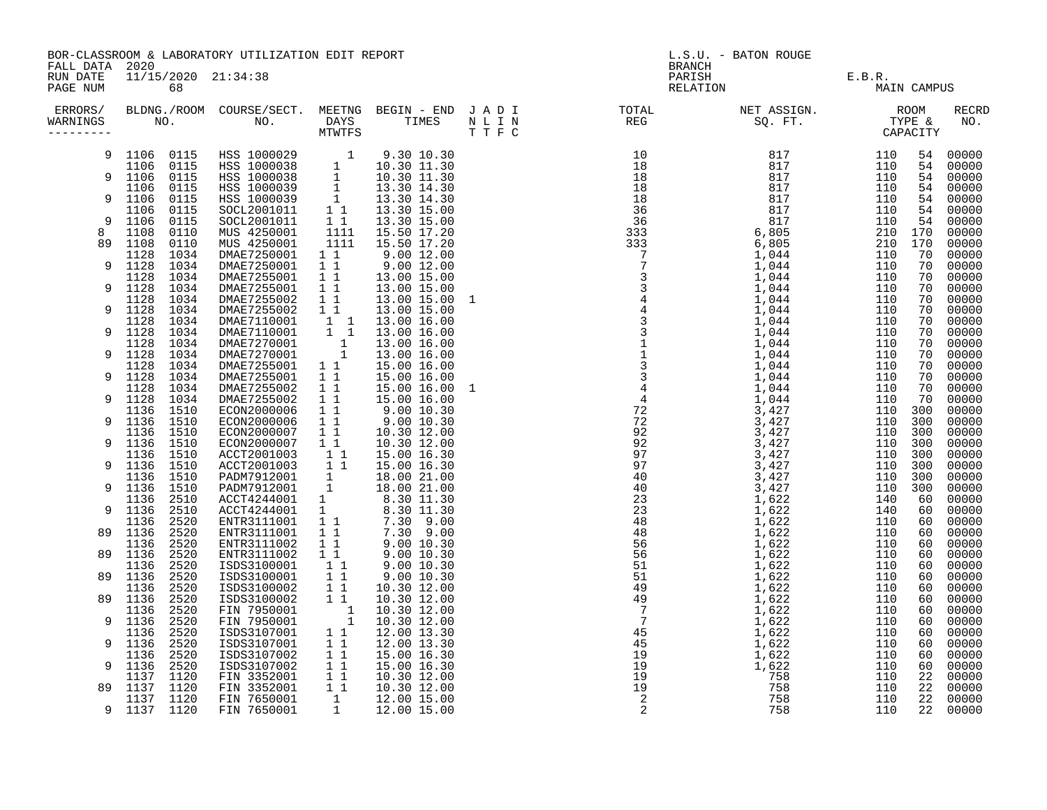| FALL DATA 2020                   | BOR-CLASSROOM & LABORATORY UTILIZATION EDIT REPORT                                                                                                     |                                                                                                                                                                                                        |                                                |                                                                                                                                                                                                                                          |  | L.S.U. - BATON ROUGE<br><b>BRANCH</b> |                            |             |            |                     |  |
|----------------------------------|--------------------------------------------------------------------------------------------------------------------------------------------------------|--------------------------------------------------------------------------------------------------------------------------------------------------------------------------------------------------------|------------------------------------------------|------------------------------------------------------------------------------------------------------------------------------------------------------------------------------------------------------------------------------------------|--|---------------------------------------|----------------------------|-------------|------------|---------------------|--|
| RUN DATE<br>PAGE NUM             | 11/15/2020 21:34:38<br>68<br>BLDNG./ROOM COURSE/SECT. MEETNG BEGIN – END JADI TOTAL NET ASSIGN. NET ASSIGN. ROOM NO. DAYS TIMES NLIN REG SQ.FT. TYPE & |                                                                                                                                                                                                        |                                                |                                                                                                                                                                                                                                          |  |                                       | PARISH E.B.R. RELATION MAI | MAIN CAMPUS |            |                     |  |
| ERRORS/<br>WARNINGS<br>--------- |                                                                                                                                                        |                                                                                                                                                                                                        |                                                |                                                                                                                                                                                                                                          |  |                                       |                            |             |            | <b>RECRD</b><br>NO. |  |
| 9                                | 1106 0115                                                                                                                                              |                                                                                                                                                                                                        |                                                | 9.30 10.30                                                                                                                                                                                                                               |  |                                       |                            | 110         | 54         | 00000               |  |
| 9                                | 1106 0115<br>1106<br>0115                                                                                                                              |                                                                                                                                                                                                        |                                                |                                                                                                                                                                                                                                          |  |                                       |                            | 110<br>110  | 54<br>54   | 00000<br>00000      |  |
| 9                                | 1106<br>0115<br>1106<br>0115                                                                                                                           | HSS 1000029 1 9.30 10.30<br>HSS 1000038 1 10.30 11.30<br>HSS 1000038 1 10.30 11.30<br>HSS 1000039 1 13.30 14.30<br>HSS 1000039 1 13.30 14.30<br>SOCL2001011 1 13.30 15.00<br>SOCL2001011 1 13.30 15.00 |                                                |                                                                                                                                                                                                                                          |  |                                       |                            | 110<br>110  | 54<br>54   | 00000<br>00000      |  |
| 9                                | 1106<br>0115<br>1106<br>0115                                                                                                                           | $SOCL2001011$ 1 1                                                                                                                                                                                      |                                                | 13.30 15.00                                                                                                                                                                                                                              |  |                                       |                            | 110<br>110  | 54<br>54   | 00000<br>00000      |  |
| 8                                | 1108<br>0110                                                                                                                                           | MUS 4250001                                                                                                                                                                                            | 1111                                           | 15.50 17.20                                                                                                                                                                                                                              |  |                                       |                            | 210         | 170        | 00000               |  |
| 89                               | 1108<br>0110                                                                                                                                           | MUS 4250001                                                                                                                                                                                            | 1111                                           | 15.50 17.20                                                                                                                                                                                                                              |  |                                       |                            | 210         | 170        | 00000               |  |
|                                  | 1128<br>1034                                                                                                                                           | DMAE7250001                                                                                                                                                                                            | $1\quad1$                                      | $9.00\,12.00$                                                                                                                                                                                                                            |  |                                       |                            | 110         | 70         | 00000               |  |
| 9                                | 1128<br>1034                                                                                                                                           | DMAE7250001                                                                                                                                                                                            | $\begin{array}{cc} 1 & 1 \\ 1 & 1 \end{array}$ | 9.00 12.00                                                                                                                                                                                                                               |  |                                       |                            | 110         | 70         | 00000               |  |
| 9                                | 1128<br>1034<br>1128<br>1034                                                                                                                           | DMAE7255001                                                                                                                                                                                            | $1\quad1$                                      | 13.00 15.00                                                                                                                                                                                                                              |  |                                       |                            | 110<br>110  | 70<br>70   | 00000<br>00000      |  |
|                                  | 1128<br>1034                                                                                                                                           | DMAE7255001<br>DMAE7255002                                                                                                                                                                             | 11                                             | $13.00$ $15.00$<br>13.00 15.00 1                                                                                                                                                                                                         |  |                                       |                            | 110         | 70         | 00000               |  |
| 9                                | 1128<br>1034                                                                                                                                           | DMAE7255002                                                                                                                                                                                            | $1\quad1$                                      | 13.00 15.00                                                                                                                                                                                                                              |  |                                       |                            | 110         | 70         | 00000               |  |
|                                  | 1128<br>1034                                                                                                                                           | DWAE72110001 1<br>DMAE7110001 1 1<br>DMAE7270001 1 1<br>DMAE7270001 1<br>DMAE7270001 1<br>DMAE7255001 1 1                                                                                              |                                                | 13.00 16.00                                                                                                                                                                                                                              |  |                                       |                            | 110         | 70         | 00000               |  |
| 9                                | 1128<br>1034                                                                                                                                           |                                                                                                                                                                                                        |                                                | 13.00 16.00                                                                                                                                                                                                                              |  |                                       |                            | 110         | 70         | 00000               |  |
| 9                                | 1034<br>1128<br>1128<br>1034                                                                                                                           |                                                                                                                                                                                                        |                                                | 13.00 16.00                                                                                                                                                                                                                              |  |                                       |                            | 110<br>110  | 70<br>70   | 00000<br>00000      |  |
|                                  | 1128<br>1034                                                                                                                                           |                                                                                                                                                                                                        |                                                | 13.00 16.00<br>15.00 16.00                                                                                                                                                                                                               |  |                                       |                            | 110         | 70         | 00000               |  |
| 9                                | 1128<br>1034                                                                                                                                           | DMAE7255001                                                                                                                                                                                            | $1\quad1$                                      | 15.00 16.00                                                                                                                                                                                                                              |  |                                       |                            | 110         | 70         | 00000               |  |
|                                  | 1128<br>1034                                                                                                                                           | DMAE7255002                                                                                                                                                                                            | $1\quad1$                                      |                                                                                                                                                                                                                                          |  |                                       |                            | 110         | 70         | 00000               |  |
| 9                                | 1128<br>1034                                                                                                                                           | DMAE7255002                                                                                                                                                                                            | 11                                             |                                                                                                                                                                                                                                          |  |                                       |                            | 110         | 70         | 00000               |  |
|                                  | 1136 1510                                                                                                                                              | ECON2000006                                                                                                                                                                                            | $1\quad1$                                      | $9.00$ $10.30$<br>$9.00$ $10.30$                                                                                                                                                                                                         |  |                                       |                            | 110         | 300        | 00000               |  |
| 9                                | 1136 1510<br>1510<br>1136                                                                                                                              | ECON2000006<br>ECON2000007                                                                                                                                                                             | $1\quad1$<br>$1\quad1$                         | 10.30 12.00                                                                                                                                                                                                                              |  |                                       |                            | 110<br>110  | 300<br>300 | 00000<br>00000      |  |
| 9                                | 1136<br>1510                                                                                                                                           | ECON2000007                                                                                                                                                                                            | 11                                             | 10.30 12.00                                                                                                                                                                                                                              |  |                                       |                            | 110         | 300        | 00000               |  |
|                                  | 1510<br>1136                                                                                                                                           | ACCT2001003 1 1<br>ACCT2001003 1 1                                                                                                                                                                     |                                                | 15.00 16.30                                                                                                                                                                                                                              |  |                                       |                            | 110         | 300        | 00000               |  |
| 9                                | 1136<br>1510                                                                                                                                           |                                                                                                                                                                                                        |                                                | 15.00 16.30                                                                                                                                                                                                                              |  |                                       |                            | 110         | 300        | 00000               |  |
|                                  | 1510<br>1136                                                                                                                                           | PADM7912001 1<br>PADM7912001 1                                                                                                                                                                         |                                                | 18.00 21.00                                                                                                                                                                                                                              |  |                                       |                            | 110         | 300        | 00000               |  |
| 9                                | 1136<br>1510                                                                                                                                           | ACCT4244001 1                                                                                                                                                                                          |                                                | 18.00 21.00                                                                                                                                                                                                                              |  |                                       |                            | 110         | 300        | 00000               |  |
| 9                                | 1136<br>2510<br>2510<br>1136                                                                                                                           | ACCT4244001                                                                                                                                                                                            |                                                |                                                                                                                                                                                                                                          |  |                                       |                            | 140<br>140  | 60<br>60   | 00000<br>00000      |  |
|                                  | 1136<br>2520                                                                                                                                           | ENTR3111001                                                                                                                                                                                            |                                                |                                                                                                                                                                                                                                          |  |                                       |                            | 110         | 60         | 00000               |  |
| 89                               | 1136<br>2520                                                                                                                                           | ENTR3111001<br>ENTR3111002                                                                                                                                                                             |                                                |                                                                                                                                                                                                                                          |  |                                       |                            | 110         | 60         | 00000               |  |
|                                  | 2520<br>1136                                                                                                                                           |                                                                                                                                                                                                        |                                                | $\begin{array}{cccc} 1 & 18.00 & 21.00\ 1 & 8.30 & 11.30\ 1 & 8.30 & 11.30\ 1 & 7.30 & 9.00\ 1 & 1 & 7.30 & 9.00\ 1 & 1 & 9.00 & 10.30\ 1 & 9.00 & 10.30\ 1 & 1 & 9.00 & 10.30\ 1 & 1 & 9.00 & 10.30\ 1 & 1 & 9.00 & 10.30\ \end{array}$ |  |                                       |                            | 110         | 60         | 00000               |  |
| 89                               | 2520<br>1136                                                                                                                                           | ENTR3111002                                                                                                                                                                                            |                                                |                                                                                                                                                                                                                                          |  |                                       |                            | 110         | 60         | 00000               |  |
| 89                               | 2520<br>1136<br>1136<br>2520                                                                                                                           | ISDS3100001<br>ISDS3100001                                                                                                                                                                             |                                                |                                                                                                                                                                                                                                          |  |                                       |                            | 110<br>110  | 60<br>60   | 00000<br>00000      |  |
|                                  | 2520<br>1136                                                                                                                                           | ISDS3100002                                                                                                                                                                                            | 11                                             | 10.30 12.00                                                                                                                                                                                                                              |  |                                       |                            | 110         | 60         | 00000               |  |
| 89                               | 2520<br>1136                                                                                                                                           | ISDS3100002                                                                                                                                                                                            | $1\quad1$                                      | 10.30 12.00                                                                                                                                                                                                                              |  |                                       |                            | 110         | 60         | 00000               |  |
|                                  | 2520<br>1136                                                                                                                                           |                                                                                                                                                                                                        |                                                | 10.30 12.00                                                                                                                                                                                                                              |  |                                       |                            | 110         | 60         | 00000               |  |
| 9                                | 1136<br>2520                                                                                                                                           |                                                                                                                                                                                                        |                                                | 10.30 12.00                                                                                                                                                                                                                              |  |                                       |                            | 110         | 60         | 00000               |  |
|                                  | 2520<br>1136                                                                                                                                           | FIN 7950001<br>FIN 7950001<br>ISDS3107001<br>ISDS3107001<br>1<br>1<br>ISDS3107001<br>1<br>1                                                                                                            |                                                | 12.00 13.30                                                                                                                                                                                                                              |  |                                       |                            | 110         | 60         | 00000               |  |
| 9                                | 1136<br>2520<br>1136<br>2520                                                                                                                           | ISDS3107002                                                                                                                                                                                            | $1\quad1$                                      | 12.00 13.30<br>15.00 16.30                                                                                                                                                                                                               |  |                                       |                            | 110<br>110  | 60<br>60   | 00000<br>00000      |  |
| 9                                | 1136<br>2520                                                                                                                                           | ISDS3107002 1 1                                                                                                                                                                                        |                                                | 15.00 16.30                                                                                                                                                                                                                              |  |                                       |                            | 110         | 60         | 00000               |  |
|                                  | 1120<br>1137                                                                                                                                           | FIN 3352001                                                                                                                                                                                            |                                                | 10.30 12.00                                                                                                                                                                                                                              |  |                                       |                            | 110         | 22         | 00000               |  |
| 89                               | 1137 1120                                                                                                                                              | FIN 3352001                                                                                                                                                                                            | $\begin{array}{cc} 1 & 1 \\ 1 & 1 \end{array}$ | 10.30 12.00                                                                                                                                                                                                                              |  |                                       |                            | 110         | 22         | 00000               |  |
|                                  | 1137 1120                                                                                                                                              | FIN 7650001                                                                                                                                                                                            | 1                                              | 12.00 15.00                                                                                                                                                                                                                              |  |                                       |                            | 110         | 22         | 00000               |  |
| 9                                | 1137 1120                                                                                                                                              | FIN 7650001                                                                                                                                                                                            |                                                | 1 12.00 15.00                                                                                                                                                                                                                            |  |                                       |                            | 110         | 22         | 00000               |  |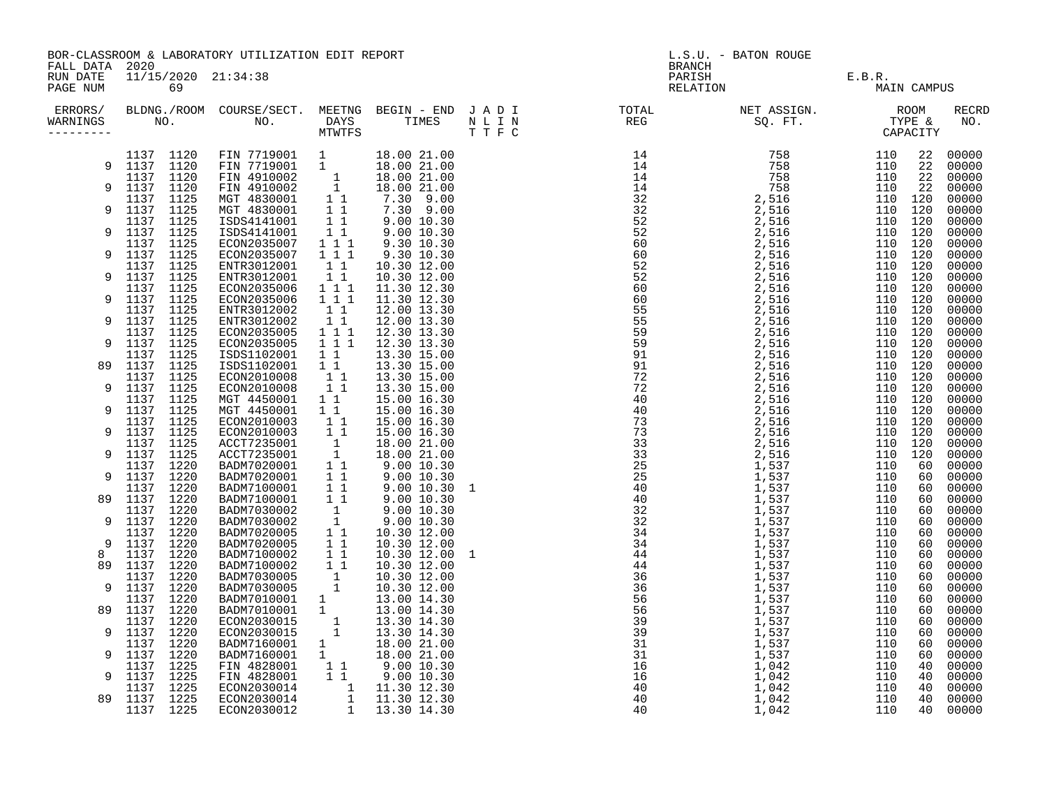| FALL DATA 2020                   |                              | BOR-CLASSROOM & LABORATORY UTILIZATION EDIT REPORT                                                                                                                                                                                                       |                                                         |                                                                                                                                                                                   | L.S.U. - BATON ROUGE<br><b>BRANCH</b> |                                                                                                                                                                                                                                                                                 |  |                    |             |                |
|----------------------------------|------------------------------|----------------------------------------------------------------------------------------------------------------------------------------------------------------------------------------------------------------------------------------------------------|---------------------------------------------------------|-----------------------------------------------------------------------------------------------------------------------------------------------------------------------------------|---------------------------------------|---------------------------------------------------------------------------------------------------------------------------------------------------------------------------------------------------------------------------------------------------------------------------------|--|--------------------|-------------|----------------|
| RUN DATE<br>PAGE NUM             | 11/15/2020 21:34:38<br>69    |                                                                                                                                                                                                                                                          |                                                         |                                                                                                                                                                                   |                                       | PARISH<br>RELATION                                                                                                                                                                                                                                                              |  | E.B.R.             | MAIN CAMPUS |                |
| ERRORS/<br>WARNINGS<br>--------- |                              |                                                                                                                                                                                                                                                          |                                                         |                                                                                                                                                                                   |                                       | $\begin{smallmatrix} 0.7 & 0.1 & 0.01 & 0.01 & 0.01 & 0.01 & 0.01 & 0.01 & 0.01 & 0.01 & 0.01 & 0.01 & 0.01 & 0.01 & 0.01 & 0.01 & 0.01 & 0.01 & 0.01 & 0.01 & 0.01 & 0.01 & 0.01 & 0.01 & 0.01 & 0.01 & 0.01 & 0.01 & 0.01 & 0.01 & 0.01 & 0.01 & 0.01 & 0.01 & 0.01 & 0.01 &$ |  |                    |             | RECRD<br>NO.   |
|                                  |                              | $\begin{array}{cccccccc} 1137 & 1120 & FIN & 7719001 & 1 & 18.00 & 21.00 \\ 1137 & 1120 & FIN & 7719001 & 1 & 18.00 & 21.00 \end{array}$                                                                                                                 |                                                         |                                                                                                                                                                                   |                                       |                                                                                                                                                                                                                                                                                 |  |                    | 22          | 00000          |
| 9                                | 1137 1120<br>1137 1120       | FIN 7719001 1 18.00 21.00<br>FIN 4910002 1 18.00 21.00<br>FIN 4910002 1 18.00 21.00<br>MGT 4830001 1 1 7.30 9.00<br>MGT 4830001 1 7.30 9.00<br>ISDS4141001 1 9.00 10.30<br>ECON2035007 1 1 1 9.30 10.30<br>ECON2035007 1 1 1 9.30 10.30                  |                                                         |                                                                                                                                                                                   |                                       |                                                                                                                                                                                                                                                                                 |  |                    | 22<br>22    | 00000          |
| 9                                | 1137 1120                    |                                                                                                                                                                                                                                                          |                                                         |                                                                                                                                                                                   |                                       |                                                                                                                                                                                                                                                                                 |  |                    | 22          | 00000<br>00000 |
|                                  | 1137 1125                    |                                                                                                                                                                                                                                                          |                                                         |                                                                                                                                                                                   |                                       |                                                                                                                                                                                                                                                                                 |  | 110 120            |             | 00000          |
| 9                                | 1137<br>1125                 |                                                                                                                                                                                                                                                          |                                                         |                                                                                                                                                                                   |                                       |                                                                                                                                                                                                                                                                                 |  | 110 120            |             | 00000          |
| 9                                | 1137 1125<br>1137 1125       |                                                                                                                                                                                                                                                          |                                                         |                                                                                                                                                                                   |                                       |                                                                                                                                                                                                                                                                                 |  | 110 120<br>110 120 |             | 00000<br>00000 |
|                                  | 1137 1125                    |                                                                                                                                                                                                                                                          |                                                         |                                                                                                                                                                                   |                                       |                                                                                                                                                                                                                                                                                 |  | 110 120            |             | 00000          |
| 9                                | 1137 1125                    | ECON2035007                                                                                                                                                                                                                                              | $1 1 1$                                                 | 9.30 10.30                                                                                                                                                                        |                                       |                                                                                                                                                                                                                                                                                 |  | 110 120            |             | 00000          |
|                                  | 1137 1125                    | ENTR3012001                                                                                                                                                                                                                                              | $1\quad1$                                               | 10.30 12.00                                                                                                                                                                       |                                       |                                                                                                                                                                                                                                                                                 |  | 110 120            |             | 00000          |
| 9                                | 1137 1125<br>1137 1125       | ENTR3012001<br>ECON2035006                                                                                                                                                                                                                               | $1\quad1$                                               | 10.30 12.00                                                                                                                                                                       |                                       |                                                                                                                                                                                                                                                                                 |  | 110 120            |             | 00000          |
| 9                                | 1137<br>1125                 | ECON2035006                                                                                                                                                                                                                                              | $1 1 1$<br>$1 1 1$                                      | 11.30 12.30<br>11.30 12.30                                                                                                                                                        |                                       |                                                                                                                                                                                                                                                                                 |  | 110 120<br>110 120 |             | 00000<br>00000 |
|                                  | 1125<br>1137                 | ENTR3012002                                                                                                                                                                                                                                              |                                                         | 12.00 13.30                                                                                                                                                                       |                                       |                                                                                                                                                                                                                                                                                 |  | 110 120            |             | 00000          |
| 9                                | 1137<br>1125                 | ENTR3012002                                                                                                                                                                                                                                              | $\begin{bmatrix} 1 & 1 \\ 1 & 1 \\ 1 & 1 \end{bmatrix}$ | 12.00 13.30                                                                                                                                                                       |                                       |                                                                                                                                                                                                                                                                                 |  | 110 120            |             | 00000          |
|                                  | 1137 1125                    | ECON2035005                                                                                                                                                                                                                                              |                                                         | 12.30 13.30                                                                                                                                                                       |                                       |                                                                                                                                                                                                                                                                                 |  | 110 120            |             | 00000          |
| 9                                | 1137<br>1125<br>1137<br>1125 | ECON2035005<br>ISDS1102001                                                                                                                                                                                                                               | $1 1 1$<br>$\overline{1}$ $\overline{1}$                | 12.30 13.30<br>13.30 15.00                                                                                                                                                        |                                       |                                                                                                                                                                                                                                                                                 |  | 110 120<br>110 120 |             | 00000<br>00000 |
| 89                               | 1125<br>1137                 | ISDS1102001                                                                                                                                                                                                                                              | $1\quad1$                                               | 13.30 15.00                                                                                                                                                                       |                                       |                                                                                                                                                                                                                                                                                 |  | 110 120            |             | 00000          |
|                                  | 1125<br>1137                 | ECON2010008                                                                                                                                                                                                                                              | $\begin{bmatrix} 1 \\ 1 \\ 1 \end{bmatrix}$             | 13.30 15.00                                                                                                                                                                       |                                       |                                                                                                                                                                                                                                                                                 |  | 110 120            |             | 00000          |
| 9                                | 1137<br>1125                 | ECON2010008                                                                                                                                                                                                                                              |                                                         | 13.30 15.00                                                                                                                                                                       |                                       |                                                                                                                                                                                                                                                                                 |  | 110 120            |             | 00000          |
| 9                                | 1137<br>1125<br>1137<br>1125 | MGT 4450001<br>MGT 4450001                                                                                                                                                                                                                               | $1\quad1$<br>$1\quad1$                                  | 15.00 16.30<br>15.00 16.30                                                                                                                                                        |                                       |                                                                                                                                                                                                                                                                                 |  | 110 120<br>110 120 |             | 00000<br>00000 |
|                                  | 1137 1125                    | ECON2010003                                                                                                                                                                                                                                              | 11                                                      | 15.00 16.30                                                                                                                                                                       |                                       |                                                                                                                                                                                                                                                                                 |  | 110 120            |             | 00000          |
| 9                                | 1137 1125                    | ECON2010003                                                                                                                                                                                                                                              | $1\quad1$                                               | 15.00 16.30                                                                                                                                                                       |                                       |                                                                                                                                                                                                                                                                                 |  | 110 120            |             | 00000          |
|                                  | 1137 1125                    |                                                                                                                                                                                                                                                          |                                                         | 18.00 21.00                                                                                                                                                                       |                                       |                                                                                                                                                                                                                                                                                 |  | 110 120            |             | 00000          |
| 9                                | 1137 1125<br>1137 1220       |                                                                                                                                                                                                                                                          |                                                         | 18.00 21.00                                                                                                                                                                       |                                       |                                                                                                                                                                                                                                                                                 |  | 110 120            | 60          | 00000<br>00000 |
| 9                                | 1137 1220                    |                                                                                                                                                                                                                                                          |                                                         | $9.00\ 10.30$<br>$9.00\ 10.30$<br>$9.00\ 10.30$<br>$9.00\ 10.30$<br>$9.00\ 10.30$                                                                                                 |                                       |                                                                                                                                                                                                                                                                                 |  |                    | 60          | 00000          |
|                                  | 1137 1220                    |                                                                                                                                                                                                                                                          |                                                         |                                                                                                                                                                                   |                                       |                                                                                                                                                                                                                                                                                 |  |                    | 60          | 00000          |
| 89                               | 1137 1220                    |                                                                                                                                                                                                                                                          |                                                         |                                                                                                                                                                                   |                                       |                                                                                                                                                                                                                                                                                 |  |                    | 60          | 00000          |
| 9                                | 1137 1220<br>1137 1220       |                                                                                                                                                                                                                                                          |                                                         | 9.00 10.30                                                                                                                                                                        |                                       |                                                                                                                                                                                                                                                                                 |  |                    | 60<br>60    | 00000<br>00000 |
|                                  | 1137<br>1220                 |                                                                                                                                                                                                                                                          |                                                         | 10.30 12.00                                                                                                                                                                       |                                       |                                                                                                                                                                                                                                                                                 |  |                    | 60          | 00000          |
| 9                                | 1137<br>1220                 | ECON2010003 1 1<br>ACCT7235001 1<br>ACCT7235001 1<br>BADM7020001 1 1<br>BADM7020001 1 1<br>BADM7020001 1 1<br>BADM7100001 1 1<br>BADM7030002 1<br>BADM7030002 1<br>BADM7020005 1 1<br>BADM7020005 1 1<br>BADM7020005 1 1<br>BADM7020005 1 1<br>BADM70200 |                                                         | 10.30 12.00                                                                                                                                                                       |                                       |                                                                                                                                                                                                                                                                                 |  |                    | 60          | 00000          |
| 8                                | 1137<br>1220                 |                                                                                                                                                                                                                                                          |                                                         | 10.30 12.00 1                                                                                                                                                                     |                                       |                                                                                                                                                                                                                                                                                 |  |                    | 60          | 00000          |
| 89                               | 1137<br>1220<br>1220         | AADW/100002 1 1<br>BADM7030005 1<br>BADM7030005 1<br>BADM7010001 1<br>BADM7010001 1                                                                                                                                                                      |                                                         | 10.30 12.00                                                                                                                                                                       |                                       |                                                                                                                                                                                                                                                                                 |  |                    | 60          | 00000          |
| 9                                | 1137<br>1137 1220            |                                                                                                                                                                                                                                                          |                                                         | 10.30 12.00<br>10.30 12.00                                                                                                                                                        |                                       |                                                                                                                                                                                                                                                                                 |  |                    | 60<br>60    | 00000<br>00000 |
|                                  | 1220<br>1137                 |                                                                                                                                                                                                                                                          |                                                         | 13.00 14.30                                                                                                                                                                       |                                       |                                                                                                                                                                                                                                                                                 |  |                    | 60          | 00000          |
| 89                               | 1137 1220                    |                                                                                                                                                                                                                                                          |                                                         | 13.00 14.30                                                                                                                                                                       |                                       |                                                                                                                                                                                                                                                                                 |  |                    | 60          | 00000          |
|                                  | 1220<br>1137                 | ECON2030015                                                                                                                                                                                                                                              | $\frac{1}{1}$                                           | 13.30 14.30                                                                                                                                                                       |                                       |                                                                                                                                                                                                                                                                                 |  |                    | 60          | 00000          |
| 9                                | 1137 1220<br>1220<br>1137    | ECON2030015<br>BADM7160001                                                                                                                                                                                                                               |                                                         | 13.30 14.30                                                                                                                                                                       |                                       |                                                                                                                                                                                                                                                                                 |  |                    | 60<br>60    | 00000<br>00000 |
| 9                                | 1137 1220                    | BADM7160001                                                                                                                                                                                                                                              |                                                         |                                                                                                                                                                                   |                                       |                                                                                                                                                                                                                                                                                 |  |                    | 60          | 00000          |
|                                  | 1225<br>1137                 | FIN 4828001                                                                                                                                                                                                                                              |                                                         |                                                                                                                                                                                   |                                       |                                                                                                                                                                                                                                                                                 |  |                    | 40          | 00000          |
| 9                                | 1137 1225                    | FIN 4828001                                                                                                                                                                                                                                              |                                                         |                                                                                                                                                                                   |                                       |                                                                                                                                                                                                                                                                                 |  |                    | 40          | 00000          |
| 89                               | 1137 1225<br>1137 1225       | ECON2030014                                                                                                                                                                                                                                              |                                                         |                                                                                                                                                                                   |                                       |                                                                                                                                                                                                                                                                                 |  |                    | 40<br>40    | 00000          |
|                                  | 1137 1225                    | ECON2030014<br>ECON2030012                                                                                                                                                                                                                               |                                                         | $\begin{array}{rrrr} 1 & 13.30 & 14.30 \ 1 & 18.00 & 21.00 \ 1 & 1 & 9.00 & 10.30 \ 1 & 9.00 & 10.30 \ 1 & 1 & 11.30 & 12.30 \ 1 & 11.30 & 12.30 \ 1 & 13.30 & 14.30 \end{array}$ |                                       |                                                                                                                                                                                                                                                                                 |  |                    | 40          | 00000<br>00000 |
|                                  |                              |                                                                                                                                                                                                                                                          |                                                         |                                                                                                                                                                                   |                                       |                                                                                                                                                                                                                                                                                 |  |                    |             |                |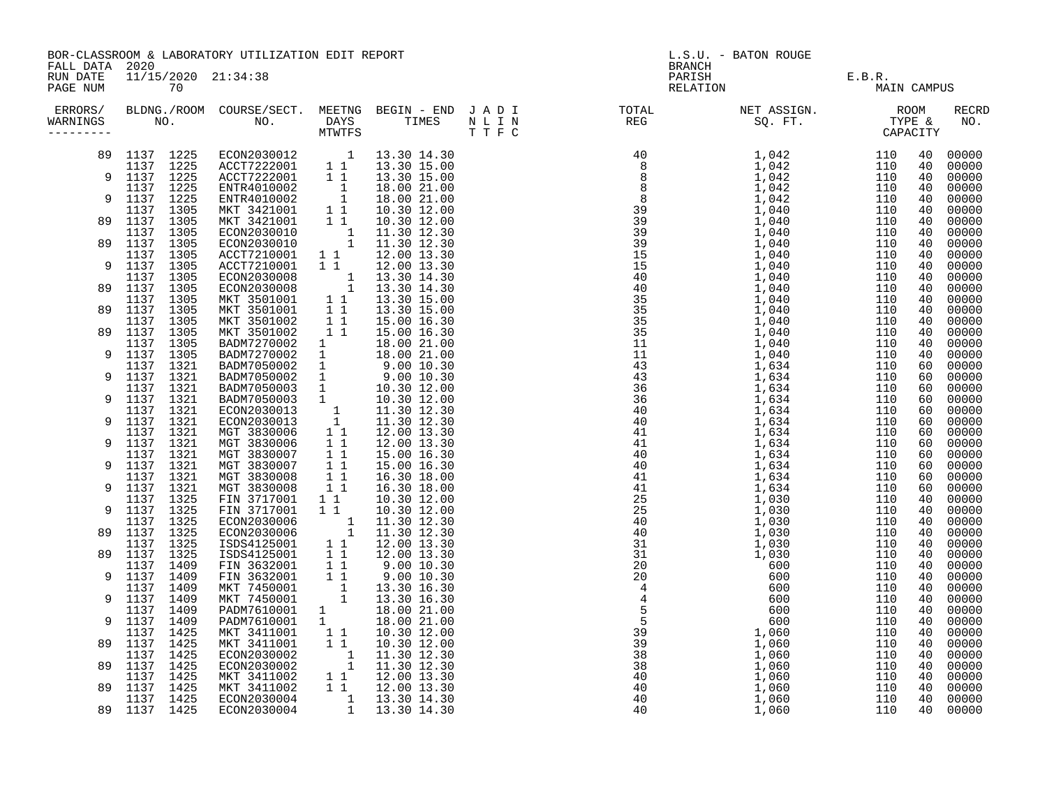|                      | BOR-CLASSROOM & LABORATORY UTILIZATION EDIT REPORT<br>FALL DATA 2020                                                                                                                                                                                      |  |                                                                                                                                                                                                                                                |                                            |                                                                                                                                                                               |                    | L.S.U. - BATON ROUGE<br><b>BRANCH</b> |  |  |          |                     |  |
|----------------------|-----------------------------------------------------------------------------------------------------------------------------------------------------------------------------------------------------------------------------------------------------------|--|------------------------------------------------------------------------------------------------------------------------------------------------------------------------------------------------------------------------------------------------|--------------------------------------------|-------------------------------------------------------------------------------------------------------------------------------------------------------------------------------|--------------------|---------------------------------------|--|--|----------|---------------------|--|
| RUN DATE<br>PAGE NUM | 11/15/2020 21:34:38<br>70<br>ERRORS/ BLDNG./ROOM COURSE/SECT. MEETNG BEGIN – END JADI TOTAL NET ASSIGN.     ROOM ROOM COURSE/SECT. MEETNG BEGIN – END JADI TOTAL TOTAL NET ASSIGN.     ROOM ROOM COURSE/SECT. MEETNG BEGIN – END JADI TOTAL TOTAL SQ. FT. |  |                                                                                                                                                                                                                                                |                                            |                                                                                                                                                                               | PARISH<br>RELATION | E.B.R.<br>MAIN CAMPUS                 |  |  |          |                     |  |
| WARNINGS             |                                                                                                                                                                                                                                                           |  |                                                                                                                                                                                                                                                |                                            |                                                                                                                                                                               |                    |                                       |  |  |          | <b>RECRD</b><br>NO. |  |
| 89                   | 1137 1225<br>1137 1225                                                                                                                                                                                                                                    |  | ECON2030012 1 13.30 14.30<br>ACCT7222001 1 1 13.30 15.00<br>ACCT7222001 1 1 13.30 15.00<br>ENTR4010002 1 18.00 21.00<br>ENTR4010002 1 18.00 21.00<br>MKT 3421001 1 10.30 12.00<br>ECON2030010 1 11.30 12.30<br>ECON2030010 1 11.30 12.30<br>EC |                                            |                                                                                                                                                                               |                    |                                       |  |  | 40<br>40 | 00000<br>00000      |  |
|                      | 9 1137 1225                                                                                                                                                                                                                                               |  |                                                                                                                                                                                                                                                |                                            |                                                                                                                                                                               |                    |                                       |  |  | 40       | 00000               |  |
| 9                    | 1137 1225<br>1137 1225                                                                                                                                                                                                                                    |  |                                                                                                                                                                                                                                                |                                            |                                                                                                                                                                               |                    |                                       |  |  | 40<br>40 | 00000<br>00000      |  |
| 89                   | 1137 1305<br>1137 1305                                                                                                                                                                                                                                    |  |                                                                                                                                                                                                                                                |                                            |                                                                                                                                                                               |                    |                                       |  |  | 40<br>40 | 00000<br>00000      |  |
| 89                   | 1137 1305<br>1137 1305                                                                                                                                                                                                                                    |  |                                                                                                                                                                                                                                                |                                            |                                                                                                                                                                               |                    |                                       |  |  | 40<br>40 | 00000<br>00000      |  |
|                      | 1137 1305                                                                                                                                                                                                                                                 |  | ACCT7210001 1 1                                                                                                                                                                                                                                |                                            | 12.00 13.30                                                                                                                                                                   |                    |                                       |  |  | 40       | 00000               |  |
| 9                    | 1137 1305<br>1137 1305                                                                                                                                                                                                                                    |  | ACCT7210001<br>ECON2030008                                                                                                                                                                                                                     |                                            | 12.00 13.30<br>13.30 14.30                                                                                                                                                    |                    |                                       |  |  | 40<br>40 | 00000<br>00000      |  |
| 89                   | 1137 1305<br>1137 1305                                                                                                                                                                                                                                    |  | ECON2030008<br>MKT 3501001                                                                                                                                                                                                                     |                                            | 13.30 14.30<br>13.30 15.00                                                                                                                                                    |                    |                                       |  |  | 40<br>40 | 00000<br>00000      |  |
| 89                   | 1137 1305                                                                                                                                                                                                                                                 |  | MKT 3501001                                                                                                                                                                                                                                    |                                            | 13.30 15.00                                                                                                                                                                   |                    |                                       |  |  | 40       | 00000               |  |
| 89                   | 1305<br>1137<br>1137 1305                                                                                                                                                                                                                                 |  | MKT 3501002<br>MKT 3501002                                                                                                                                                                                                                     | $1\quad1$                                  | 15.00 16.30<br>15.00 16.30                                                                                                                                                    |                    |                                       |  |  | 40<br>40 | 00000<br>00000      |  |
| 9                    | 1137<br>1305<br>1137 1305                                                                                                                                                                                                                                 |  | BADM7270002<br>BADM7270002                                                                                                                                                                                                                     | $\frac{1}{1}$                              | 18.00 21.00<br>18.00 21.00                                                                                                                                                    |                    |                                       |  |  | 40<br>40 | 00000<br>00000      |  |
|                      | 1137 1321                                                                                                                                                                                                                                                 |  | BADM7050002                                                                                                                                                                                                                                    | 1                                          | 9.00 10.30                                                                                                                                                                    |                    |                                       |  |  | 60       | 00000               |  |
| 9                    | 1137 1321<br>1137 1321                                                                                                                                                                                                                                    |  | BADM7050002<br>BADM7050003                                                                                                                                                                                                                     |                                            |                                                                                                                                                                               |                    |                                       |  |  | 60<br>60 | 00000<br>00000      |  |
| 9                    | 1137 1321<br>1137 1321                                                                                                                                                                                                                                    |  | BADM7050003<br>ECON2030013                                                                                                                                                                                                                     |                                            | $\begin{array}{cccc} 1 & 9.00 & 10.30 \ 1 & 9.00 & 10.30 \ 1 & 10.30 & 12.00 \ 1 & 10.30 & 12.00 \ 1 & 11.30 & 12.30 \ 1 & 11.30 & 12.30 \ 1 & 1 & 12.00 & 13.30 \end{array}$ |                    |                                       |  |  | 60<br>60 | 00000<br>00000      |  |
| 9                    | 1137 1321<br>1137 1321                                                                                                                                                                                                                                    |  | ECON2030013<br>MGT 3830006                                                                                                                                                                                                                     |                                            |                                                                                                                                                                               |                    |                                       |  |  | 60<br>60 | 00000<br>00000      |  |
| 9                    | 1137 1321                                                                                                                                                                                                                                                 |  | MGT 3830006                                                                                                                                                                                                                                    | 11                                         | 12.00 13.30                                                                                                                                                                   |                    |                                       |  |  | 60       | 00000               |  |
| 9                    | 1137 1321<br>1137 1321                                                                                                                                                                                                                                    |  | MGT 3830007<br>MGT 3830007                                                                                                                                                                                                                     | 11<br>$1\quad1$                            | 15.00 16.30<br>15.00 16.30                                                                                                                                                    |                    |                                       |  |  | 60<br>60 | 00000<br>00000      |  |
| 9                    | 1137 1321<br>1137 1321                                                                                                                                                                                                                                    |  | MGT 3830008<br>MGT 3830008                                                                                                                                                                                                                     | 11<br>11                                   | 16.30 18.00<br>16.30 18.00                                                                                                                                                    |                    |                                       |  |  | 60<br>60 | 00000<br>00000      |  |
|                      | 1137 1325                                                                                                                                                                                                                                                 |  | FIN 3717001                                                                                                                                                                                                                                    | $1\quad1$                                  | 10.30 12.00                                                                                                                                                                   |                    |                                       |  |  | 40       | 00000               |  |
| 9                    | 1137 1325<br>1137 1325                                                                                                                                                                                                                                    |  | FIN 3717001<br>ECON2030006                                                                                                                                                                                                                     | $1\quad1$                                  | 10.30 12.00<br>11.30 12.30                                                                                                                                                    |                    |                                       |  |  | 40<br>40 | 00000<br>00000      |  |
| 89                   | 1137 1325<br>1137 1325                                                                                                                                                                                                                                    |  | ECON2030006<br>ISDS4125001                                                                                                                                                                                                                     | $\begin{array}{c} 1 \\ 1 \\ 1 \end{array}$ | 11.30 12.30<br>12.00 13.30                                                                                                                                                    |                    |                                       |  |  | 40<br>40 | 00000<br>00000      |  |
| 89                   | 1137 1325                                                                                                                                                                                                                                                 |  | ISDS4125001                                                                                                                                                                                                                                    | $1\quad1$                                  | 12.00 13.30                                                                                                                                                                   |                    |                                       |  |  | 40       | 00000               |  |
| 9                    | 1137 1409<br>1137 1409                                                                                                                                                                                                                                    |  | FIN 3632001<br>FIN 3632001                                                                                                                                                                                                                     | $1\quad1$<br>$1\quad1$                     | 9.00 10.30<br>9.00 10.30                                                                                                                                                      |                    |                                       |  |  | 40<br>40 | 00000<br>00000      |  |
| 9                    | 1137 1409<br>1137 1409                                                                                                                                                                                                                                    |  | MKT 7450001<br>MKT 7450001                                                                                                                                                                                                                     | $\begin{array}{cc} & 1 \\ & 1 \end{array}$ | 13.30 16.30<br>13.30 16.30                                                                                                                                                    |                    |                                       |  |  | 40<br>40 | 00000<br>00000      |  |
| 9                    | 1137 1409                                                                                                                                                                                                                                                 |  | PADM7610001                                                                                                                                                                                                                                    | $\begin{array}{c} 1 \\ 1 \end{array}$      | 18.00 21.00                                                                                                                                                                   |                    |                                       |  |  | 40       | 00000               |  |
|                      | 1137<br>1409<br>1137 1425                                                                                                                                                                                                                                 |  | PADM7610001<br>MKT 3411001                                                                                                                                                                                                                     | 11                                         | 18.00 21.00<br>10.30 12.00                                                                                                                                                    |                    |                                       |  |  | 40<br>40 | 00000<br>00000      |  |
| 89                   | 1137 1425<br>1137 1425                                                                                                                                                                                                                                    |  | MKT 3411001                                                                                                                                                                                                                                    | $1\overline{1}$                            | 10.30 12.00                                                                                                                                                                   |                    |                                       |  |  | 40<br>40 | 00000<br>00000      |  |
| 89                   | 1137 1425<br>1137 1425                                                                                                                                                                                                                                    |  |                                                                                                                                                                                                                                                |                                            |                                                                                                                                                                               |                    |                                       |  |  | 40<br>40 | 00000<br>00000      |  |
| 89                   | 1137 1425                                                                                                                                                                                                                                                 |  |                                                                                                                                                                                                                                                |                                            |                                                                                                                                                                               |                    |                                       |  |  | 40       | 00000               |  |
| 89                   | 1137 1425<br>1137 1425                                                                                                                                                                                                                                    |  | NET 19411002<br>ECON2030002<br>ECON2030002<br>ACON2030002<br>1 11.30 12.30<br>MKT 3411002<br>1 12.00 13.30<br>MKT 3411002<br>1 12.00 13.30<br>ECON2030004<br>1 13.30 14.30<br>ECON2030004<br>1 13.30 14.30                                     |                                            |                                                                                                                                                                               |                    |                                       |  |  | 40<br>40 | 00000<br>00000      |  |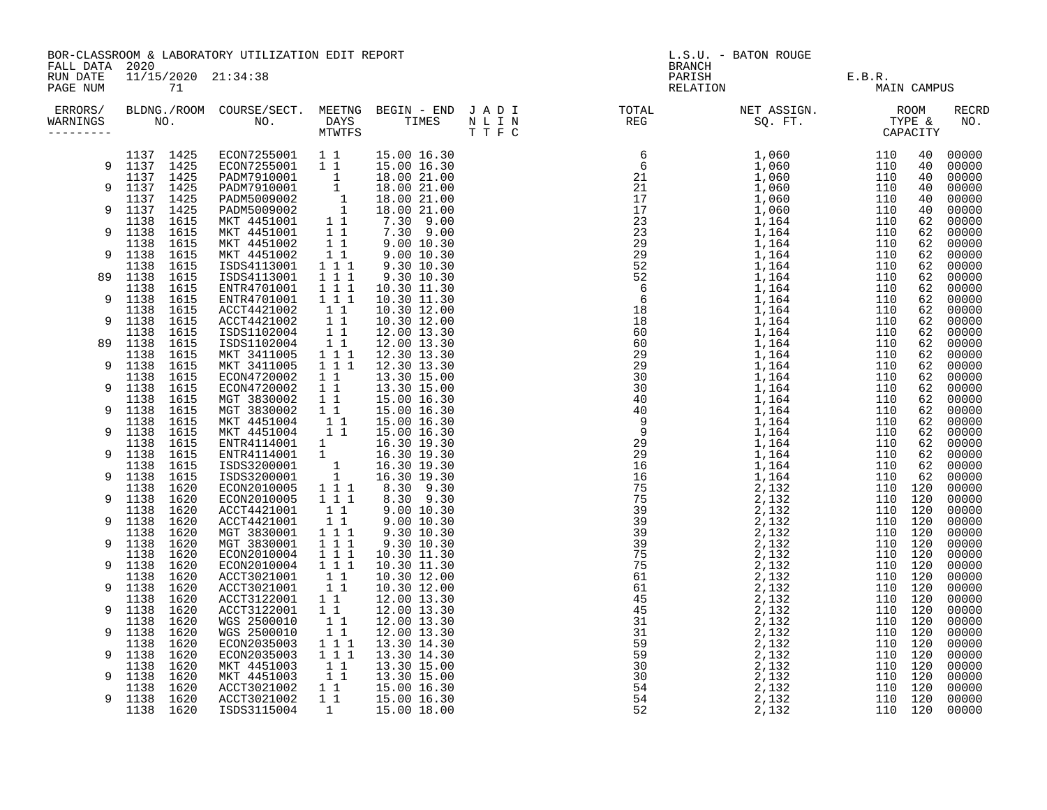| FALL DATA 2020       |                               |  | BOR-CLASSROOM & LABORATORY UTILIZATION EDIT REPORT                                                   |                                                                                                           |                                                                                                                                                                                                             | L.S.U. - BATON ROUGE |                                                      |  |                     |             |                |  |  |
|----------------------|-------------------------------|--|------------------------------------------------------------------------------------------------------|-----------------------------------------------------------------------------------------------------------|-------------------------------------------------------------------------------------------------------------------------------------------------------------------------------------------------------------|----------------------|------------------------------------------------------|--|---------------------|-------------|----------------|--|--|
| RUN DATE<br>PAGE NUM | $11/15/2020$ $21:34:38$<br>71 |  |                                                                                                      |                                                                                                           |                                                                                                                                                                                                             |                      | <b>BRANCH</b><br>PARISH<br>E.B.R.<br>MAI<br>RELATION |  |                     | MAIN CAMPUS |                |  |  |
| ERRORS/<br>WARNINGS  |                               |  |                                                                                                      |                                                                                                           |                                                                                                                                                                                                             |                      |                                                      |  | <b>RECRD</b><br>NO. |             |                |  |  |
|                      | 1137 1425                     |  | ECON7255001 11<br>ECON7255001 11                                                                     |                                                                                                           | 15.00 16.30                                                                                                                                                                                                 |                      |                                                      |  |                     |             | 00000          |  |  |
|                      | 9 1137 1425                   |  |                                                                                                      |                                                                                                           | 15.00 16.30                                                                                                                                                                                                 |                      |                                                      |  |                     |             | 00000          |  |  |
| 9                    | 1137 1425<br>1137 1425        |  |                                                                                                      |                                                                                                           | 18.00 21.00<br>18.00 21.00                                                                                                                                                                                  |                      |                                                      |  |                     |             | 00000<br>00000 |  |  |
|                      | 1137 1425                     |  |                                                                                                      |                                                                                                           | 18.00 21.00                                                                                                                                                                                                 |                      |                                                      |  |                     |             | 00000          |  |  |
| 9                    | 1137 1425                     |  | ECON7230001 1<br>PADM7910001 1<br>PADM5009002 1<br>PADM5009002 1<br>MKT 4451001 11<br>MKT 4451001 11 |                                                                                                           | 18.00 21.00                                                                                                                                                                                                 |                      |                                                      |  |                     |             | 00000          |  |  |
|                      | 1138 1615                     |  |                                                                                                      |                                                                                                           | $\begin{array}{cccc} 1 & 1 & 1 & 0.0 & 21.00 \\ 1 & 1 & 7.30 & 9.00 \\ 1 & 1 & 9.00 & 10.30 \\ 1 & 1 & 9.00 & 10.30 \\ 1 & 1 & 9.30 & 10.30 \\ 1 & 1 & 9.30 & 10.30 \\ 1 & 1 & 9.30 & 10.30 \\ \end{array}$ |                      |                                                      |  |                     |             | 00000          |  |  |
| 9                    | 1138 1615<br>1138 1615        |  | MKT 4451001<br>MKT 4451002                                                                           |                                                                                                           |                                                                                                                                                                                                             |                      |                                                      |  |                     |             | 00000<br>00000 |  |  |
| 9                    | 1138 1615                     |  | MKT 4451002                                                                                          |                                                                                                           |                                                                                                                                                                                                             |                      |                                                      |  |                     |             | 00000          |  |  |
|                      | 1138 1615                     |  | ISDS4113001                                                                                          |                                                                                                           |                                                                                                                                                                                                             |                      |                                                      |  |                     |             | 00000          |  |  |
| 89                   | 1138 1615                     |  | ISDS4113001                                                                                          |                                                                                                           |                                                                                                                                                                                                             |                      |                                                      |  |                     |             | 00000          |  |  |
|                      | 1138 1615                     |  | ENTR4701001                                                                                          | $1 1 1$                                                                                                   | 10.30 11.30                                                                                                                                                                                                 |                      |                                                      |  |                     |             | 00000          |  |  |
| 9                    | 1138 1615                     |  | ENTR4701001                                                                                          | 111                                                                                                       | 10.30 11.30                                                                                                                                                                                                 |                      |                                                      |  |                     |             | 00000          |  |  |
| 9                    | 1138 1615<br>1138 1615        |  | ACCT4421002<br>ACCT4421002                                                                           | $1\quad1$<br>$1\quad1$                                                                                    | 10.30 12.00<br>10.30 12.00                                                                                                                                                                                  |                      |                                                      |  |                     |             | 00000<br>00000 |  |  |
|                      | 1138 1615                     |  | ISDS1102004                                                                                          | $1\quad1$                                                                                                 | 12.00 13.30                                                                                                                                                                                                 |                      |                                                      |  |                     |             | 00000          |  |  |
| 89                   | 1138 1615                     |  | ISDS1102004                                                                                          |                                                                                                           | 12.00 13.30                                                                                                                                                                                                 |                      |                                                      |  |                     |             | 00000          |  |  |
|                      | 1138 1615                     |  | MKT 3411005                                                                                          | $\begin{array}{c} \bar{1} & \bar{1} \\ 1 & 1 & 1 \end{array}$                                             | 12.30 13.30                                                                                                                                                                                                 |                      |                                                      |  |                     |             | 00000          |  |  |
| 9                    | 1138 1615                     |  | MKT 3411005                                                                                          | $1 1 1$                                                                                                   | 12.30 13.30                                                                                                                                                                                                 |                      |                                                      |  |                     |             | 00000          |  |  |
| 9                    | 1138 1615<br>1138 1615        |  | ECON4720002<br>ECON4720002                                                                           | $1\quad1$<br>11                                                                                           | 13.30 15.00<br>13.30 15.00                                                                                                                                                                                  |                      |                                                      |  |                     |             | 00000<br>00000 |  |  |
|                      | 1138 1615                     |  | MGT 3830002                                                                                          | 11                                                                                                        | 15.00 16.30                                                                                                                                                                                                 |                      |                                                      |  |                     |             | 00000          |  |  |
| 9                    | 1138 1615                     |  | MGT 3830002                                                                                          | 11                                                                                                        | 15.00 16.30                                                                                                                                                                                                 |                      |                                                      |  |                     |             | 00000          |  |  |
|                      | 1138 1615                     |  | MKT 4451004 1<br>MKT 4451004 11<br>ENTR4114001 1<br>ENTR4114001 1                                    |                                                                                                           | 15.00 16.30                                                                                                                                                                                                 |                      |                                                      |  |                     |             | 00000          |  |  |
| 9                    | 1138 1615                     |  |                                                                                                      |                                                                                                           | 15.00 16.30                                                                                                                                                                                                 |                      |                                                      |  |                     |             | 00000          |  |  |
| 9                    | 1138 1615                     |  |                                                                                                      |                                                                                                           | 16.30 19.30                                                                                                                                                                                                 |                      |                                                      |  |                     |             | 00000          |  |  |
|                      | 1138 1615<br>1138 1615        |  | ISDS3200001                                                                                          |                                                                                                           | 16.30 19.30<br>16.30 19.30                                                                                                                                                                                  |                      |                                                      |  |                     |             | 00000<br>00000 |  |  |
| 9                    | 1138 1615                     |  | ISDS3200001                                                                                          | $\begin{array}{cccc} & & & 1 & & \\ & & 1 & & \\ & & 1 & 1 & \\ 1 & 1 & 1 & \\ & & 1 & 1 & 1 \end{array}$ | 16.30 19.30                                                                                                                                                                                                 |                      |                                                      |  |                     |             | 00000          |  |  |
|                      | 1138 1620                     |  | ECON2010005<br>ECON2010005                                                                           |                                                                                                           | 8.30 9.30<br>8.30 9.30                                                                                                                                                                                      |                      |                                                      |  |                     |             | 00000          |  |  |
| 9                    | 1138 1620                     |  |                                                                                                      |                                                                                                           |                                                                                                                                                                                                             |                      |                                                      |  |                     |             | 00000          |  |  |
|                      | 1138 1620<br>1138 1620        |  | ACCT4421001<br>ACCT4421001                                                                           | $\begin{array}{cc} 1 & 1 \\ 1 & 1 \end{array}$                                                            | 9.00 10.30<br>9.00 10.30                                                                                                                                                                                    |                      |                                                      |  |                     |             | 00000          |  |  |
| 9                    | 1138 1620                     |  |                                                                                                      | $1 1 1$                                                                                                   | 9.30 10.30                                                                                                                                                                                                  |                      |                                                      |  |                     |             | 00000<br>00000 |  |  |
| 9                    | 1138 1620                     |  | MGT 3830001<br>MGT 3830001                                                                           | $1\overline{1}$ $1\overline{1}$                                                                           | 9.30 10.30                                                                                                                                                                                                  |                      |                                                      |  |                     |             | 00000          |  |  |
|                      | 1138 1620                     |  | ECON2010004                                                                                          | $\overline{1}$ $\overline{1}$ $\overline{1}$                                                              | 10.30 11.30                                                                                                                                                                                                 |                      |                                                      |  |                     |             | 00000          |  |  |
| 9                    | 1138 1620                     |  | ECON2010004<br>ACCT3021001                                                                           | 111                                                                                                       | 10.30 11.30                                                                                                                                                                                                 |                      |                                                      |  |                     |             | 00000          |  |  |
|                      | 1138 1620                     |  |                                                                                                      | $\begin{bmatrix} 1 & 1 \\ 1 & 1 \end{bmatrix}$                                                            | 10.30 12.00                                                                                                                                                                                                 |                      |                                                      |  |                     |             | 00000          |  |  |
| 9                    | 1138 1620<br>1138 1620        |  | ACCT3021001                                                                                          | 1 1                                                                                                       | 10.30 12.00                                                                                                                                                                                                 |                      |                                                      |  |                     |             | 00000          |  |  |
| 9                    | 1138 1620                     |  | ACCT3122001<br>ACCT3122001                                                                           | $1\quad1$                                                                                                 | 12.00 13.30<br>12.00 13.30                                                                                                                                                                                  |                      |                                                      |  |                     |             | 00000<br>00000 |  |  |
|                      | 1138 1620                     |  | WGS 2500010                                                                                          | 11                                                                                                        | 12.00 13.30                                                                                                                                                                                                 |                      |                                                      |  |                     |             | 00000          |  |  |
| 9                    | 1138 1620                     |  | WGS 2500010                                                                                          | 11                                                                                                        | 12.00 13.30                                                                                                                                                                                                 |                      |                                                      |  |                     |             | 00000          |  |  |
|                      | 1138 1620                     |  | ECON2035003                                                                                          | 1 1 1                                                                                                     | 13.30 14.30                                                                                                                                                                                                 |                      |                                                      |  |                     |             | 00000          |  |  |
| 9                    | 1138 1620                     |  | ECON2035003                                                                                          | 111                                                                                                       | 13.30 14.30                                                                                                                                                                                                 |                      |                                                      |  |                     |             | 00000          |  |  |
| 9                    | 1138 1620<br>1138 1620        |  | MKT 4451003                                                                                          | $\begin{bmatrix} 1 \\ 1 \\ 1 \end{bmatrix}$                                                               | 13.30 15.00<br>13.30 15.00                                                                                                                                                                                  |                      |                                                      |  |                     |             | 00000<br>00000 |  |  |
|                      | 1138 1620                     |  | MKT 4451003<br>ACCT3021002                                                                           | 11                                                                                                        | 15.00 16.30                                                                                                                                                                                                 |                      |                                                      |  |                     |             | 00000          |  |  |
| 9                    | 1138 1620                     |  | ACCT3021002                                                                                          | 11                                                                                                        | 15.00 16.30                                                                                                                                                                                                 |                      |                                                      |  |                     |             | 00000          |  |  |
|                      | 1138 1620                     |  | ISDS3115004                                                                                          | $\overline{1}$                                                                                            | 15.00 18.00                                                                                                                                                                                                 |                      |                                                      |  |                     |             | 00000          |  |  |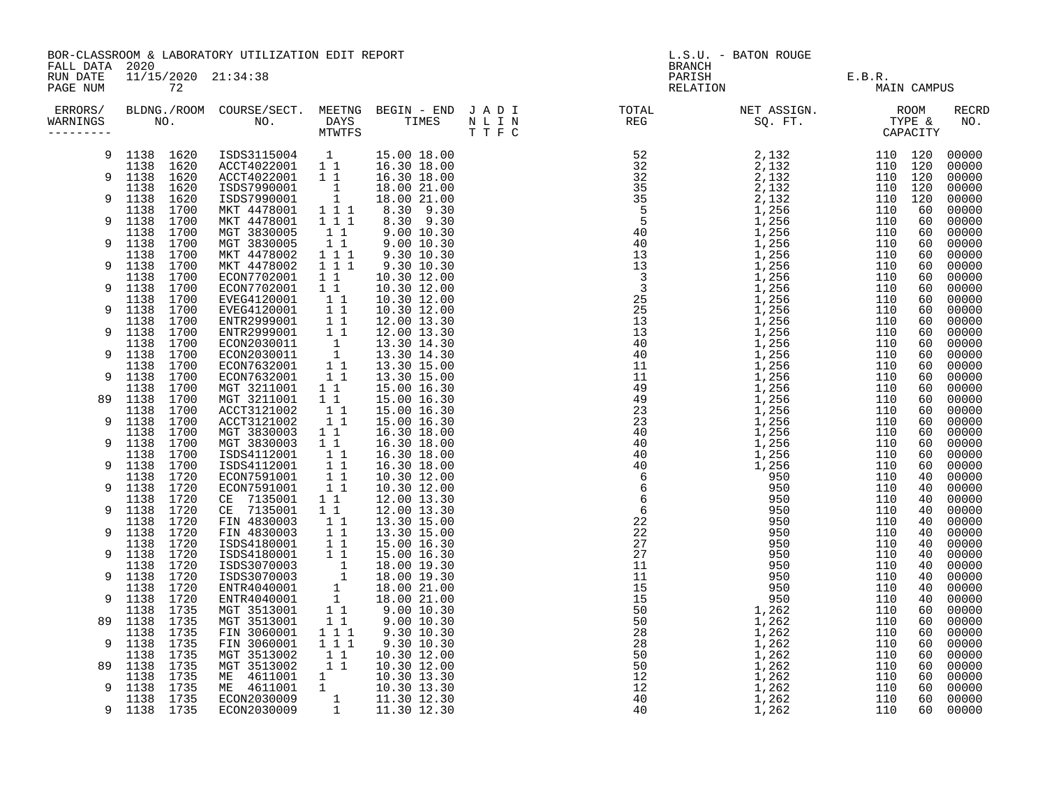|                      | BOR-CLASSROOM & LABORATORY UTILIZATION EDIT REPORT<br>FALL DATA 2020 |  |                                                               |                                                                                                   |                            |  | L.S.U. - BATON ROUGE<br><b>BRANCH</b> |                                     |             |  |                     |  |
|----------------------|----------------------------------------------------------------------|--|---------------------------------------------------------------|---------------------------------------------------------------------------------------------------|----------------------------|--|---------------------------------------|-------------------------------------|-------------|--|---------------------|--|
| RUN DATE<br>PAGE NUM | 11/15/2020 21:34:38<br>72                                            |  |                                                               |                                                                                                   |                            |  | PARISH                                | $E.B.R.$ $\blacksquare$<br>RELATION | MAIN CAMPUS |  |                     |  |
| ERRORS/<br>WARNINGS  |                                                                      |  | $NO.$ NO.                                                     |                                                                                                   |                            |  |                                       |                                     |             |  | <b>RECRD</b><br>NO. |  |
|                      | 9 1138 1620                                                          |  |                                                               |                                                                                                   | 15.00 18.00                |  |                                       |                                     |             |  |                     |  |
| 9                    | 1138 1620<br>1138 1620                                               |  |                                                               |                                                                                                   |                            |  |                                       |                                     |             |  |                     |  |
|                      | 1138 1620                                                            |  | ISDS7990001                                                   | $\begin{array}{c} 1 \\ 1 \end{array}$                                                             | 18.00 21.00                |  |                                       |                                     |             |  |                     |  |
| 9                    | 1138 1620                                                            |  | ISDS7990001                                                   |                                                                                                   | 18.00 21.00                |  |                                       |                                     |             |  |                     |  |
| 9                    | 1138 1700<br>1138 1700                                               |  | MKT 4478001<br>MKT 4478001                                    | $1 1 1$<br>$\overline{1}$ $\overline{1}$ $\overline{1}$                                           | 8.30 9.30<br>8.30 9.30     |  |                                       |                                     |             |  |                     |  |
|                      | 1138 1700                                                            |  |                                                               | $\begin{array}{rr} 1 & 1 \\ 1 & 1 \end{array}$                                                    |                            |  |                                       |                                     |             |  |                     |  |
| 9                    | 1138 1700                                                            |  | MGT 3830005<br>MGT 3830005                                    |                                                                                                   | 9.00 10.30<br>9.00 10.30   |  |                                       |                                     |             |  |                     |  |
| 9                    | 1138 1700<br>1138 1700                                               |  | MKT 4478002<br>MKT 4478002                                    | $\begin{array}{rrrr} & 1 & 1 & 1 \\ & 1 & 1 & 1 \end{array}$                                      | 9.30 10.30<br>9.30 10.30   |  |                                       |                                     |             |  |                     |  |
|                      | 1138 1700                                                            |  | ECON7702001                                                   | $1\quad1$                                                                                         | 10.30 12.00                |  |                                       |                                     |             |  |                     |  |
| 9                    | 1138 1700                                                            |  | ECON7702001                                                   | $1\quad1$                                                                                         | 10.30 12.00                |  |                                       |                                     |             |  |                     |  |
|                      | 1138 1700                                                            |  | EVEG4120001                                                   | $\begin{bmatrix} 1 \\ 1 \\ 1 \end{bmatrix}$                                                       | 10.30 12.00                |  |                                       |                                     |             |  |                     |  |
| 9                    | 1138 1700<br>1138 1700                                               |  | EVEG4120001<br>ENTR2999001                                    |                                                                                                   | 10.30 12.00<br>12.00 13.30 |  |                                       |                                     |             |  |                     |  |
| 9                    | 1138 1700                                                            |  | ENTR2999001                                                   | $\begin{bmatrix} 1 & 1 \\ 1 & 1 \\ 1 & 1 \\ 1 & 1 \end{bmatrix}$                                  | 12.00 13.30                |  |                                       |                                     |             |  |                     |  |
|                      | 1138 1700                                                            |  | ECON2030011                                                   |                                                                                                   | 13.30 14.30                |  |                                       |                                     |             |  |                     |  |
| 9                    | 1138 1700                                                            |  | ECON2030011                                                   |                                                                                                   | 13.30 14.30                |  |                                       |                                     |             |  |                     |  |
| 9                    | 1138 1700<br>1138 1700                                               |  | ECON7632001<br>ECON7632001                                    | $\begin{bmatrix} 1 \\ 1 \\ 1 \end{bmatrix}$                                                       | 13.30 15.00<br>13.30 15.00 |  |                                       |                                     |             |  |                     |  |
|                      | 1138 1700                                                            |  | MGT 3211001                                                   | $1\quad1$                                                                                         | 15.00 16.30                |  |                                       |                                     |             |  |                     |  |
| 89                   | 1138 1700                                                            |  | MGT 3211001                                                   | $1\quad1$                                                                                         | 15.00 16.30                |  |                                       |                                     |             |  |                     |  |
|                      | 1138 1700                                                            |  | ACCT3121002                                                   | $1\quad1$                                                                                         | 15.00 16.30                |  |                                       |                                     |             |  |                     |  |
| 9                    | 1138 1700<br>1138 1700                                               |  | ACCT3121002<br>MGT 3830003                                    | 11<br>11                                                                                          | 15.00 16.30<br>16.30 18.00 |  |                                       |                                     |             |  |                     |  |
| 9                    | 1138 1700                                                            |  | MGT 3830003                                                   | 11                                                                                                | 16.30 18.00                |  |                                       |                                     |             |  |                     |  |
|                      | 1138 1700                                                            |  | ISDS4112001                                                   | $1\quad1$                                                                                         | 16.30 18.00                |  |                                       |                                     |             |  |                     |  |
| 9                    | 1138 1700                                                            |  | ISDS4112001                                                   | $1\quad1$                                                                                         | 16.30 18.00                |  |                                       |                                     |             |  |                     |  |
| 9                    | 1138 1720                                                            |  | ECON7591001<br>ECON7591001                                    | $1\quad1$<br>$1\quad1$                                                                            | 10.30 12.00<br>10.30 12.00 |  |                                       |                                     |             |  |                     |  |
|                      | 1138 1720<br>1138 1720                                               |  | CE 7135001                                                    | $1\quad1$                                                                                         | 12.00 13.30                |  |                                       |                                     |             |  |                     |  |
| 9                    | 1138 1720<br>1138 1720                                               |  | CE 7135001                                                    |                                                                                                   | 12.00 13.30                |  |                                       |                                     |             |  |                     |  |
| 9                    | 1138 1720                                                            |  | FIN 4830003                                                   |                                                                                                   | 13.30 15.00                |  |                                       |                                     |             |  |                     |  |
|                      | 1138 1720                                                            |  | FIN 4830003<br>ISDS4180001                                    | $\begin{array}{cccc} & 1 & 1 & \\ & & 1 & 1 & \\ & & 1 & 1 & \\ & & 1 & 1 & \\ & & & \end{array}$ | 13.30 15.00<br>15.00 16.30 |  |                                       |                                     |             |  |                     |  |
| 9                    | 1138 1720                                                            |  | ISDS4180001                                                   |                                                                                                   | 15.00 16.30                |  |                                       |                                     |             |  |                     |  |
|                      | 1138 1720                                                            |  | ISDS3070003                                                   |                                                                                                   | 18.00 19.30                |  |                                       |                                     |             |  |                     |  |
| 9                    | 1138 1720<br>1138 1720                                               |  | ISDS3070003<br>ENTR4040001                                    |                                                                                                   | 18.00 19.30<br>18.00 21.00 |  |                                       |                                     |             |  |                     |  |
| 9                    | 1138 1720                                                            |  | ENTR4040001                                                   |                                                                                                   | 18.00 21.00                |  |                                       |                                     |             |  |                     |  |
|                      | 1138 1735                                                            |  | MGT 3513001                                                   |                                                                                                   | 9.00 10.30                 |  |                                       |                                     |             |  |                     |  |
|                      | 89 1138 1735                                                         |  | MGT 3513001                                                   | 11                                                                                                | 9.00 10.30                 |  |                                       |                                     |             |  |                     |  |
| 9                    | 1138 1735<br>1138 1735                                               |  | FIN 3060001<br>FIN 3060001                                    | $1 1 1$<br>$1 1 1$                                                                                | 9.30 10.30<br>9.30 10.30   |  |                                       |                                     |             |  |                     |  |
|                      | 1138 1735                                                            |  |                                                               |                                                                                                   | 10.30 12.00                |  |                                       |                                     |             |  |                     |  |
| 89                   | 1138 1735                                                            |  | MGT 3513002<br>MGT 3513002 11<br>ME 4611001 1<br>ME 4611001 1 |                                                                                                   | 10.30 12.00                |  |                                       |                                     |             |  |                     |  |
|                      | 1138 1735                                                            |  |                                                               |                                                                                                   | 10.30 13.30                |  |                                       |                                     |             |  |                     |  |
| 9                    | 1138 1735<br>1138 1735                                               |  | ECON2030009                                                   |                                                                                                   | 10.30 13.30<br>11.30 12.30 |  |                                       |                                     |             |  |                     |  |
| 9                    | 1138 1735                                                            |  | ECON2030009                                                   | $\begin{array}{cc} 1 \\ 1 \\ 1 \end{array}$                                                       | 11.30 12.30                |  |                                       |                                     |             |  |                     |  |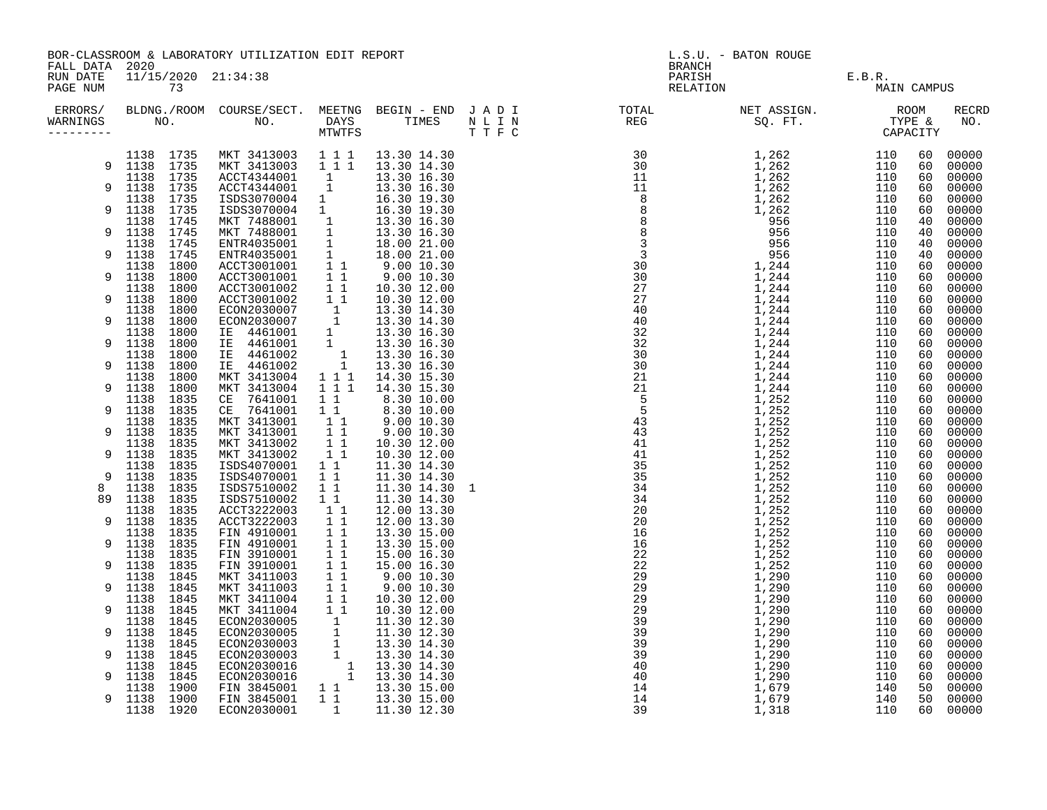|                      | BOR-CLASSROOM & LABORATORY UTILIZATION EDIT REPORT<br>FALL DATA 2020 |                                                                                                                                                                                                                                                                                                                                                                                                                              |                                                                 | L.S.U. - BATON ROUGE<br><b>BRANCH</b>       |                                                                                                                                                                                                                                                                                                                                                                                                                                     |                   |             |                      |                                  |
|----------------------|----------------------------------------------------------------------|------------------------------------------------------------------------------------------------------------------------------------------------------------------------------------------------------------------------------------------------------------------------------------------------------------------------------------------------------------------------------------------------------------------------------|-----------------------------------------------------------------|---------------------------------------------|-------------------------------------------------------------------------------------------------------------------------------------------------------------------------------------------------------------------------------------------------------------------------------------------------------------------------------------------------------------------------------------------------------------------------------------|-------------------|-------------|----------------------|----------------------------------|
| RUN DATE<br>PAGE NUM | 11/15/2020 21:34:38<br>73                                            |                                                                                                                                                                                                                                                                                                                                                                                                                              |                                                                 |                                             | PARISH<br>RELATION                                                                                                                                                                                                                                                                                                                                                                                                                  | E.B.R.<br>MAIN CA | MAIN CAMPUS |                      |                                  |
| ERRORS/<br>WARNINGS  | NO.                                                                  |                                                                                                                                                                                                                                                                                                                                                                                                                              |                                                                 |                                             | BLDNG./ROOM COURSE/SECT. MEETNG BEGIN – END JADI TOTAL TOTAL NET ASSIGN. NO ROOM NO. DAYS TIMES NLIN REG SQ.FT. TYPE &                                                                                                                                                                                                                                                                                                              |                   |             |                      | RECRD<br>NO.                     |
| 9                    | 1138 1735<br>1138 1735                                               | $\begin{array}{cccccccc} 1138 & 1735 & \text{MKT} & 3413003 & 1 & 1 & 1 & 13.30 & 14.30 \\ 9 & 1138 & 1735 & \text{MKT} & 3413003 & 1 & 1 & 1 & 13.30 & 14.30 \end{array}$<br>MKT 3413003 1 1 1 13.30 14.30<br>ACCT4344001 1 13.30 14.30<br>ACCT4344001 1 13.30 16.30<br>ISDS3070004 1 16.30 19.30<br>ISDS3070004 1 16.30 19.30<br>ISDS3070004 1 16.30 19.30<br>MKT 7488001 1 13.30 16.30<br>MKT 7488001 1 13.30 16.30<br>EN |                                                                 |                                             | $\begin{smallmatrix} \text{R}=\text{R} & \text{R} & \text{R} & \text{R} & \text{R} & \text{R} \\ \text{R} & \text{R} & \text{R} & \text{R} & \text{R} & \text{R} \\ \text{R} & \text{R} & \text{R} & \text{R} & \text{R} \\ \text{R} & \text{R} & \text{R} & \text{R} & \text{R} \\ \text{R} & \text{R} & \text{R} & \text{R} & \text{R} \\ \text{R} & \text{R} & \text{R} & \text{R} & \text{R} \\ \text{R} & \text{R} & \text{R}$ |                   |             | 60<br>60<br>60<br>60 | 00000<br>00000<br>00000<br>00000 |
| 9                    | 1138 1735<br>1138 1735<br>1138 1745                                  |                                                                                                                                                                                                                                                                                                                                                                                                                              |                                                                 |                                             |                                                                                                                                                                                                                                                                                                                                                                                                                                     |                   |             | 60<br>60<br>40       | 00000<br>00000<br>00000          |
| 9<br>9               | 1138 1745<br>1138 1745<br>1138 1745                                  |                                                                                                                                                                                                                                                                                                                                                                                                                              |                                                                 |                                             |                                                                                                                                                                                                                                                                                                                                                                                                                                     |                   |             | 40<br>40<br>40       | 00000<br>00000<br>00000          |
| 9                    | 1138 1800<br>1138 1800<br>1138 1800                                  |                                                                                                                                                                                                                                                                                                                                                                                                                              |                                                                 |                                             |                                                                                                                                                                                                                                                                                                                                                                                                                                     |                   |             | 60<br>60<br>60       | 00000<br>00000                   |
| 9<br>9               | 1138 1800<br>1138 1800<br>1138 1800                                  |                                                                                                                                                                                                                                                                                                                                                                                                                              |                                                                 |                                             |                                                                                                                                                                                                                                                                                                                                                                                                                                     |                   |             | 60<br>60             | 00000<br>00000<br>00000          |
| 9                    | 1138 1800<br>1138 1800<br>1138 1800                                  |                                                                                                                                                                                                                                                                                                                                                                                                                              |                                                                 |                                             |                                                                                                                                                                                                                                                                                                                                                                                                                                     |                   |             | 60<br>60<br>60       | 00000<br>00000<br>00000          |
| 9                    | 1138 1800<br>1138 1800                                               |                                                                                                                                                                                                                                                                                                                                                                                                                              |                                                                 |                                             |                                                                                                                                                                                                                                                                                                                                                                                                                                     |                   |             | 60<br>60<br>60       | 00000<br>00000<br>00000          |
| 9<br>9               | 1138 1800<br>1138 1835<br>1138 1835                                  |                                                                                                                                                                                                                                                                                                                                                                                                                              |                                                                 |                                             |                                                                                                                                                                                                                                                                                                                                                                                                                                     |                   |             | 60<br>60<br>60       | 00000<br>00000<br>00000          |
| 9                    | 1138 1835<br>1138 1835<br>1138 1835                                  | CE 7641001 11 8.30 10.00<br>CE 7641001 11 8.30 10.00<br>CE 7641001 11 8.30 10.00<br>MKT 3413001 11 9.00 10.30<br>MKT 3413002 11 10.30 12.00                                                                                                                                                                                                                                                                                  |                                                                 |                                             |                                                                                                                                                                                                                                                                                                                                                                                                                                     |                   |             | 60<br>60<br>60       | 00000<br>00000<br>00000          |
| 9<br>9               | 1138 1835<br>1138 1835<br>1138 1835                                  | MKT 3413002 11<br>ISDS4070001 11<br>ISDS4070001                                                                                                                                                                                                                                                                                                                                                                              | $1\quad1$                                                       | 10.30 12.00<br>11.30 14.30<br>11.30 14.30   |                                                                                                                                                                                                                                                                                                                                                                                                                                     |                   |             | 60<br>60<br>60       | 00000<br>00000<br>00000          |
| 8<br>89              | 1138 1835<br>1138 1835<br>1138 1835                                  | ISDS7510002<br>ISDS7510002<br>ACCT3222003                                                                                                                                                                                                                                                                                                                                                                                    | $\begin{matrix} 1 & 1 \\ 1 & 1 \end{matrix}$<br>$1\quad1$<br>11 | 11.30 14.30 1<br>11.30 14.30<br>12.00 13.30 |                                                                                                                                                                                                                                                                                                                                                                                                                                     |                   |             | 60<br>60<br>60       | 00000<br>00000<br>00000          |
| 9<br>9               | 1138 1835<br>1138 1835<br>1138 1835                                  | ACCT3222003<br>FIN 4910001<br>FIN 4910001                                                                                                                                                                                                                                                                                                                                                                                    | 11<br>11<br>11                                                  | 12.00 13.30<br>13.30 15.00<br>13.30 15.00   |                                                                                                                                                                                                                                                                                                                                                                                                                                     |                   |             | 60<br>60<br>60       | 00000<br>00000<br>00000          |
| 9                    | 1138 1835<br>1138 1835<br>1138 1845                                  | FIN 3910001 1<br>FIN 3910001 1<br>MKT 3411003 1<br>1<br>FIN 3910001<br>MKT 3411003                                                                                                                                                                                                                                                                                                                                           |                                                                 | 15.00 16.30<br>15.00 16.30                  |                                                                                                                                                                                                                                                                                                                                                                                                                                     |                   |             | 60<br>60<br>60       | 00000<br>00000<br>00000          |
| 9<br>9               | 1138 1845<br>1138 1845<br>1138 1845                                  |                                                                                                                                                                                                                                                                                                                                                                                                                              |                                                                 | $9.00$ $10.30$<br>$9.00$ $10.30$            |                                                                                                                                                                                                                                                                                                                                                                                                                                     |                   |             | 60<br>60<br>60       | 00000<br>00000<br>00000          |
| 9                    | 1138 1845<br>1138 1845<br>1138 1845                                  |                                                                                                                                                                                                                                                                                                                                                                                                                              |                                                                 |                                             |                                                                                                                                                                                                                                                                                                                                                                                                                                     |                   |             | 60<br>60<br>60       | 00000<br>00000<br>00000          |
| 9<br>9               | 1138 1845<br>1138 1845<br>1138 1845                                  |                                                                                                                                                                                                                                                                                                                                                                                                                              |                                                                 |                                             |                                                                                                                                                                                                                                                                                                                                                                                                                                     |                   |             | 60<br>60<br>60       | 00000<br>00000<br>00000          |
| 9                    | 1138 1900<br>1138 1900<br>1138 1920                                  | MKT 3411003 1 1 9.00 10.30<br>MKT 3411003 1 1 9.00 10.30<br>MKT 3411004 1 1 10.30 12.00<br>MKT 3411004 1 1 10.30 12.00<br>ECON2030005 1 11.30 12.30<br>ECON2030005 1 11.30 12.30<br>ECON2030005 1 13.30 14.30<br>ECON2030016 1 13.30 14.30<br>                                                                                                                                                                               |                                                                 |                                             |                                                                                                                                                                                                                                                                                                                                                                                                                                     |                   |             | 50<br>50             | 00000<br>00000<br>60 00000       |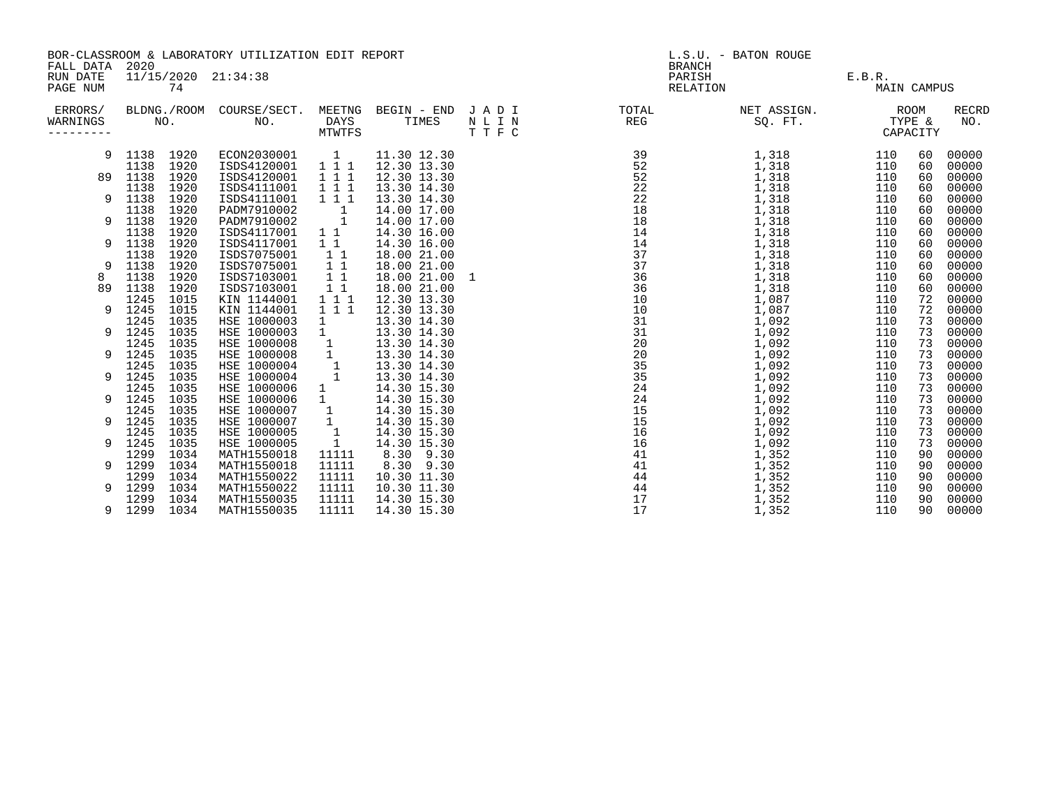| FALL DATA                        | BOR-CLASSROOM & LABORATORY UTILIZATION EDIT REPORT<br>2020 |                    |                            |                                 |                            | L.S.U. - BATON ROUGE<br><b>BRANCH</b> |                    |                        |                              |                                   |                     |
|----------------------------------|------------------------------------------------------------|--------------------|----------------------------|---------------------------------|----------------------------|---------------------------------------|--------------------|------------------------|------------------------------|-----------------------------------|---------------------|
| RUN DATE<br>PAGE NUM             |                                                            | 74                 | 11/15/2020 21:34:38        |                                 |                            |                                       | PARISH<br>RELATION |                        | E.B.R.<br><b>MAIN CAMPUS</b> |                                   |                     |
| ERRORS/<br>WARNINGS<br>--------- |                                                            | BLDNG./ROOM<br>NO. | COURSE/SECT.<br>NO.        | MEETNG<br><b>DAYS</b><br>MTWTFS | BEGIN - END<br>TIMES       | JADI<br>N L I N<br>TTFC               | TOTAL<br>REG       | NET ASSIGN.<br>SQ. FT. |                              | <b>ROOM</b><br>TYPE &<br>CAPACITY | <b>RECRD</b><br>NO. |
| 9                                | 1138<br>1138                                               | 1920<br>1920       | ECON2030001<br>ISDS4120001 | $\mathbf{1}$<br>111             | 11.30 12.30<br>12.30 13.30 |                                       | 39<br>52           | 1,318<br>1,318         | 110<br>110                   | 60<br>60                          | 00000<br>00000      |
| 89                               | 1138                                                       | 1920               | ISDS4120001                | 111                             | 12.30 13.30                |                                       | 52                 | 1,318                  | 110                          | 60                                | 00000               |
|                                  | 1138                                                       | 1920               | ISDS4111001                | 111                             | 13.30 14.30                |                                       | 22                 | 1,318                  | 110                          | 60                                | 00000               |
| 9                                | 1138                                                       | 1920               | ISDS4111001                | 111                             | 13.30 14.30                |                                       | 22                 | 1,318                  | 110                          | 60                                | 00000               |
|                                  | 1138                                                       | 1920               | PADM7910002                | $\overline{1}$                  | 14.00 17.00                |                                       | 18                 | 1,318                  | 110                          | 60                                | 00000               |
| 9                                | 1138                                                       | 1920               | PADM7910002                | 1                               | 14.00 17.00                |                                       | 18                 | 1,318                  | 110                          | 60                                | 00000               |
|                                  | 1138                                                       | 1920               | ISDS4117001                | $1\quad1$                       | 14.30 16.00                |                                       | 14                 | 1,318                  | 110                          | 60                                | 00000               |
| 9                                | 1138                                                       | 1920               | ISDS4117001                | $1\quad1$                       | 14.30 16.00                |                                       | 14                 | 1,318                  | 110                          | 60                                | 00000               |
|                                  | 1138                                                       | 1920               | ISDS7075001                | $1\quad1$                       | 18.00 21.00                |                                       | 37                 | 1,318                  | 110                          | 60                                | 00000               |
| 9                                | 1138                                                       | 1920               | ISDS7075001                | $1\quad1$                       | 18.00 21.00                |                                       | 37                 | 1,318                  | 110                          | 60                                | 00000               |
| 8                                | 1138                                                       | 1920               | ISDS7103001                | $1\quad1$                       | 18.00 21.00 1              |                                       | 36                 | 1,318                  | 110                          | 60                                | 00000               |
| 89                               | 1138                                                       | 1920               | ISDS7103001                | $1\quad1$                       | 18.00 21.00                |                                       | 36                 | 1,318                  | 110                          | 60                                | 00000               |
|                                  | 1245                                                       | 1015               | KIN 1144001                | 1 1 1                           | 12.30 13.30                |                                       | 10                 | 1,087                  | 110                          | 72                                | 00000               |
| 9                                | 1245                                                       | 1015               | KIN 1144001                | 111                             | 12.30 13.30                |                                       | 10                 | 1,087                  | 110                          | 72                                | 00000               |
|                                  | 1245                                                       | 1035               | HSE 1000003                | 1                               | 13.30 14.30                |                                       | 31                 | 1,092                  | 110                          | 73                                | 00000               |
| 9                                | 1245                                                       | 1035               | HSE 1000003                | $\mathbf{1}$                    | 13.30 14.30                |                                       | 31                 | 1,092                  | 110                          | 73                                | 00000               |
|                                  | 1245                                                       | 1035               | HSE 1000008                | $\mathbf{1}$                    | 13.30 14.30                |                                       | 20                 | 1,092                  | 110                          | 73                                | 00000               |
|                                  | 1245                                                       | 1035               | HSE 1000008                | $\mathbf 1$                     | 13.30 14.30                |                                       | 20                 | 1,092                  | 110                          | 73                                | 00000               |
|                                  | 1245                                                       | 1035               | HSE 1000004                | $\overline{1}$                  | 13.30 14.30                |                                       | 35                 | 1,092                  | 110                          | 73                                | 00000               |
| 9                                | 1245                                                       | 1035               | HSE 1000004                | $\mathbf{1}$                    | 13.30 14.30                |                                       | 35                 | 1,092                  | 110                          | 73                                | 00000               |
|                                  | 1245                                                       | 1035               | HSE 1000006                | 1                               | 14.30 15.30                |                                       | 24                 | 1,092                  | 110                          | 73                                | 00000               |
| 9                                | 1245                                                       | 1035               | HSE 1000006                | $\mathbf{1}$                    | 14.30 15.30                |                                       | 24                 | 1,092                  | 110                          | 73                                | 00000               |
|                                  | 1245                                                       | 1035               | HSE 1000007                | $\mathbf{1}$                    | 14.30 15.30                |                                       | 15                 | 1,092                  | 110                          | 73                                | 00000               |
| 9                                | 1245                                                       | 1035               | HSE 1000007                | $\mathbf{1}$                    | 14.30 15.30                |                                       | 15                 | 1,092                  | 110                          | 73                                | 00000               |
|                                  | 1245                                                       | 1035               | HSE 1000005                | $\overline{1}$                  | 14.30 15.30                |                                       | 16                 | 1,092                  | 110                          | 73                                | 00000               |
| 9                                | 1245                                                       | 1035               | HSE 1000005                | $\mathbf{1}$                    | 14.30 15.30                |                                       | 16                 | 1,092                  | 110                          | 73                                | 00000               |
|                                  | 1299                                                       | 1034               | MATH1550018                | 11111                           | 8.30 9.30                  |                                       | 41                 | 1,352                  | 110                          | 90                                | 00000               |
| 9                                | 1299                                                       | 1034               | MATH1550018                | 11111                           | 8.30 9.30                  |                                       | 41                 | 1,352                  | 110                          | 90                                | 00000               |
|                                  | 1299                                                       | 1034               | MATH1550022                | 11111                           | 10.30 11.30                |                                       | 44                 | 1,352                  | 110                          | 90                                | 00000               |
|                                  | 1299                                                       | 1034               | MATH1550022                | 11111                           | 10.30 11.30                |                                       | 44                 | 1,352                  | 110                          | 90                                | 00000               |
|                                  | 1299                                                       | 1034               | MATH1550035                | 11111                           | 14.30 15.30                |                                       | 17                 | 1,352                  | 110                          | 90                                | 00000               |
| 9                                | 1299                                                       | 1034               | MATH1550035                | 11111                           | 14.30 15.30                |                                       | 17                 | 1,352                  | 110                          | 90                                | 00000               |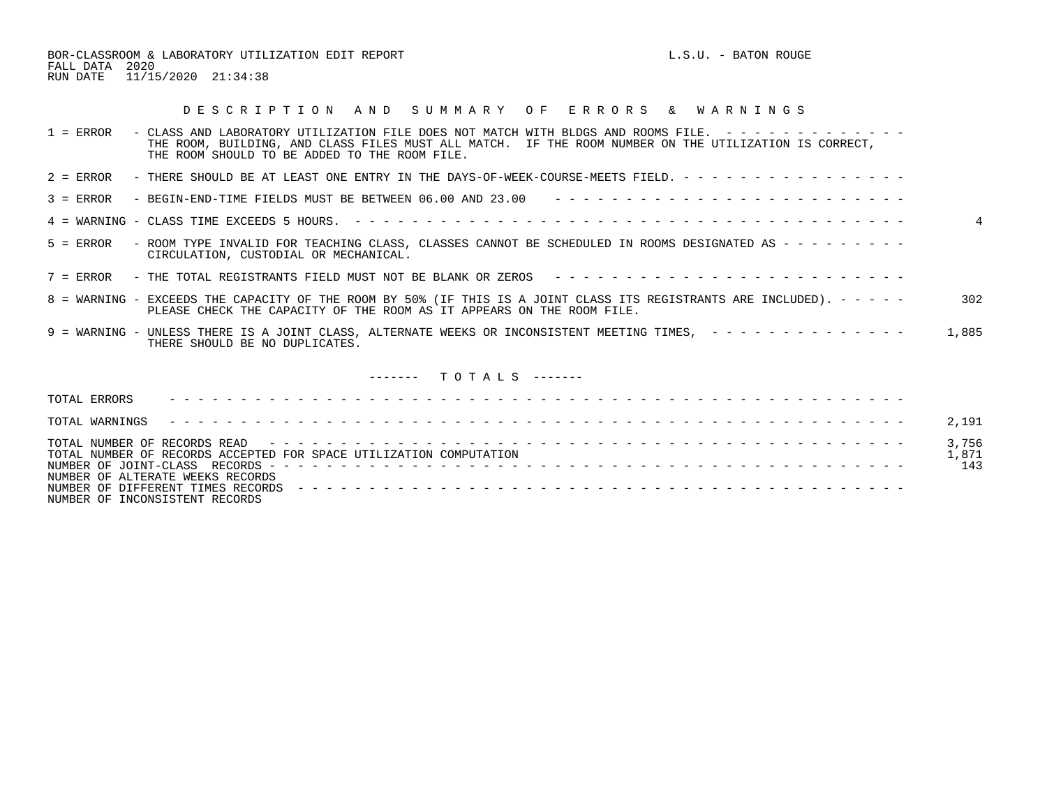BOR-CLASSROOM & LABORATORY UTILIZATION EDIT REPORT **Example 2008** L.S.U. - BATON ROUGE FALL DATA 2020 RUN DATE 11/15/2020 21:34:38

## D E S C R I P T I O N A N D S U M M A R Y O F E R R O R S & W A R N I N G S

| $1 =$ ERROR    | - CLASS AND LABORATORY UTILIZATION FILE DOES NOT MATCH WITH BLDGS AND ROOMS FILE. -------------<br>THE ROOM, BUILDING, AND CLASS FILES MUST ALL MATCH. IF THE ROOM NUMBER ON THE UTILIZATION IS CORRECT,<br>THE ROOM SHOULD TO BE ADDED TO THE ROOM FILE. |                       |
|----------------|-----------------------------------------------------------------------------------------------------------------------------------------------------------------------------------------------------------------------------------------------------------|-----------------------|
| $2 =$ ERROR    | - THERE SHOULD BE AT LEAST ONE ENTRY IN THE DAYS-OF-WEEK-COURSE-MEETS FIELD. - - - - - - - - - - - - - - - -                                                                                                                                              |                       |
| $3 = ERROR$    |                                                                                                                                                                                                                                                           |                       |
|                |                                                                                                                                                                                                                                                           | $\overline{4}$        |
| $5 =$ ERROR    | - ROOM TYPE INVALID FOR TEACHING CLASS, CLASSES CANNOT BE SCHEDULED IN ROOMS DESIGNATED AS - - - - - - - - -<br>CIRCULATION, CUSTODIAL OR MECHANICAL.                                                                                                     |                       |
|                | 7 = ERROR - THE TOTAL REGISTRANTS FIELD MUST NOT BE BLANK OR ZEROS ---------------------------                                                                                                                                                            |                       |
|                | 8 = WARNING - EXCEEDS THE CAPACITY OF THE ROOM BY 50% (IF THIS IS A JOINT CLASS ITS REGISTRANTS ARE INCLUDED). - - - - -<br>PLEASE CHECK THE CAPACITY OF THE ROOM AS IT APPEARS ON THE ROOM FILE.                                                         | 302                   |
|                | 9 = WARNING - UNLESS THERE IS A JOINT CLASS, ALTERNATE WEEKS OR INCONSISTENT MEETING TIMES, ---------------<br>THERE SHOULD BE NO DUPLICATES.                                                                                                             | 1,885                 |
|                | $------$ TOTALS $---$                                                                                                                                                                                                                                     |                       |
| TOTAL ERRORS   |                                                                                                                                                                                                                                                           |                       |
| TOTAL WARNINGS |                                                                                                                                                                                                                                                           | 2,191                 |
|                | TOTAL NUMBER OF RECORDS ACCEPTED FOR SPACE UTILIZATION COMPUTATION<br>NUMBER OF ALTERATE WEEKS RECORDS                                                                                                                                                    | 3,756<br>1,871<br>143 |

NUMBER OF INCONSISTENT RECORDS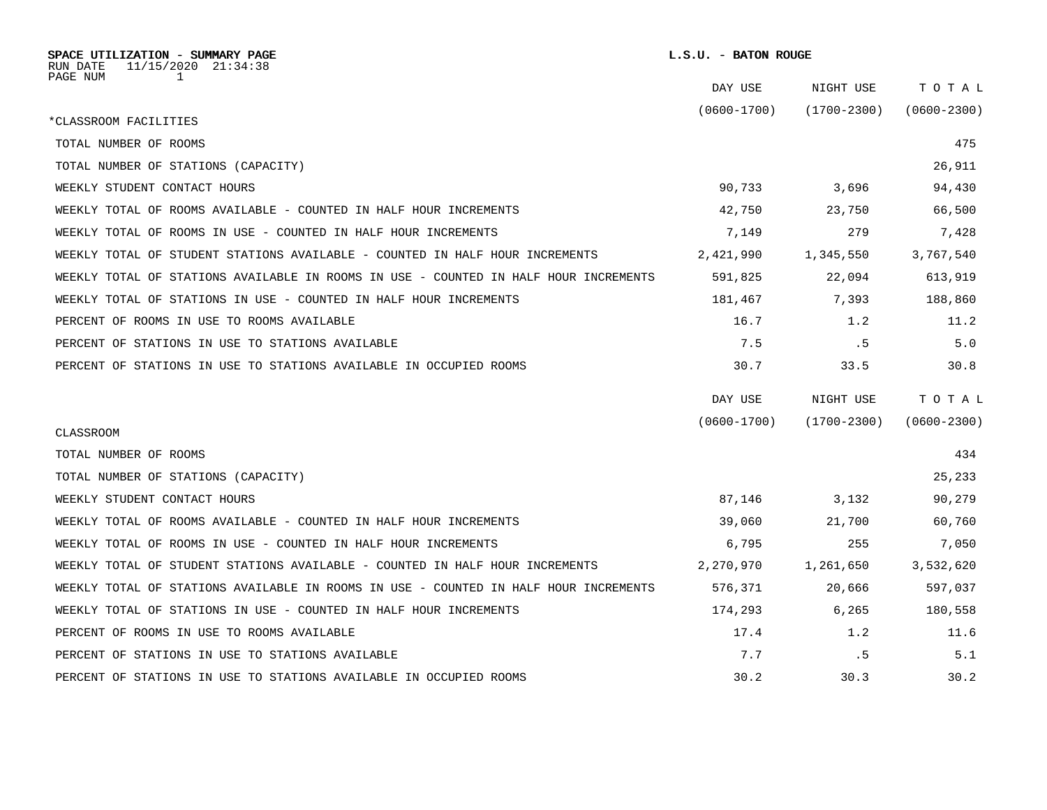| SPACE UTILIZATION - SUMMARY PAGE<br>RUN DATE<br>$11/15/2020$ $21:34:38$              | L.S.U. - BATON ROUGE |                 |                 |  |
|--------------------------------------------------------------------------------------|----------------------|-----------------|-----------------|--|
| PAGE NUM<br>1                                                                        | DAY USE              | NIGHT USE       | TOTAL           |  |
| *CLASSROOM FACILITIES                                                                | $(0600 - 1700)$      | $(1700 - 2300)$ | $(0600 - 2300)$ |  |
| TOTAL NUMBER OF ROOMS                                                                |                      |                 | 475             |  |
| TOTAL NUMBER OF STATIONS (CAPACITY)                                                  |                      |                 | 26,911          |  |
| WEEKLY STUDENT CONTACT HOURS                                                         | 90,733               | 3,696           | 94,430          |  |
| WEEKLY TOTAL OF ROOMS AVAILABLE - COUNTED IN HALF HOUR INCREMENTS                    | 42,750               | 23,750          | 66,500          |  |
| WEEKLY TOTAL OF ROOMS IN USE - COUNTED IN HALF HOUR INCREMENTS                       | 7,149                | 279             | 7,428           |  |
| WEEKLY TOTAL OF STUDENT STATIONS AVAILABLE - COUNTED IN HALF HOUR INCREMENTS         | 2,421,990            | 1,345,550       | 3,767,540       |  |
| WEEKLY TOTAL OF STATIONS AVAILABLE IN ROOMS IN USE - COUNTED IN HALF HOUR INCREMENTS | 591,825              | 22,094          | 613,919         |  |
| WEEKLY TOTAL OF STATIONS IN USE - COUNTED IN HALF HOUR INCREMENTS                    | 181,467              | 7,393           | 188,860         |  |
| PERCENT OF ROOMS IN USE TO ROOMS AVAILABLE                                           | 16.7                 | 1.2             | 11.2            |  |
| PERCENT OF STATIONS IN USE TO STATIONS AVAILABLE                                     | 7.5                  | . 5             | 5.0             |  |
| PERCENT OF STATIONS IN USE TO STATIONS AVAILABLE IN OCCUPIED ROOMS                   | 30.7                 | 33.5            | 30.8            |  |
|                                                                                      | DAY USE              | NIGHT USE       | TOTAL           |  |
|                                                                                      | $(0600 - 1700)$      | $(1700 - 2300)$ | $(0600 - 2300)$ |  |
| <b>CLASSROOM</b>                                                                     |                      |                 |                 |  |
| TOTAL NUMBER OF ROOMS                                                                |                      |                 | 434             |  |
| TOTAL NUMBER OF STATIONS (CAPACITY)                                                  |                      |                 | 25,233          |  |
| WEEKLY STUDENT CONTACT HOURS                                                         | 87,146               | 3,132           | 90,279          |  |
| WEEKLY TOTAL OF ROOMS AVAILABLE - COUNTED IN HALF HOUR INCREMENTS                    | 39,060               | 21,700          | 60,760          |  |
| WEEKLY TOTAL OF ROOMS IN USE - COUNTED IN HALF HOUR INCREMENTS                       | 6,795                | 255             | 7,050           |  |
| WEEKLY TOTAL OF STUDENT STATIONS AVAILABLE - COUNTED IN HALF HOUR INCREMENTS         | 2,270,970            | 1,261,650       | 3,532,620       |  |
| WEEKLY TOTAL OF STATIONS AVAILABLE IN ROOMS IN USE - COUNTED IN HALF HOUR INCREMENTS | 576,371              | 20,666          | 597,037         |  |
| WEEKLY TOTAL OF STATIONS IN USE - COUNTED IN HALF HOUR INCREMENTS                    | 174,293              | 6,265           | 180,558         |  |
| PERCENT OF ROOMS IN USE TO ROOMS AVAILABLE                                           | 17.4                 | 1.2             | 11.6            |  |
| PERCENT OF STATIONS IN USE TO STATIONS AVAILABLE                                     | 7.7                  | .5              | 5.1             |  |
| PERCENT OF STATIONS IN USE TO STATIONS AVAILABLE IN OCCUPIED ROOMS                   | 30.2                 | 30.3            | 30.2            |  |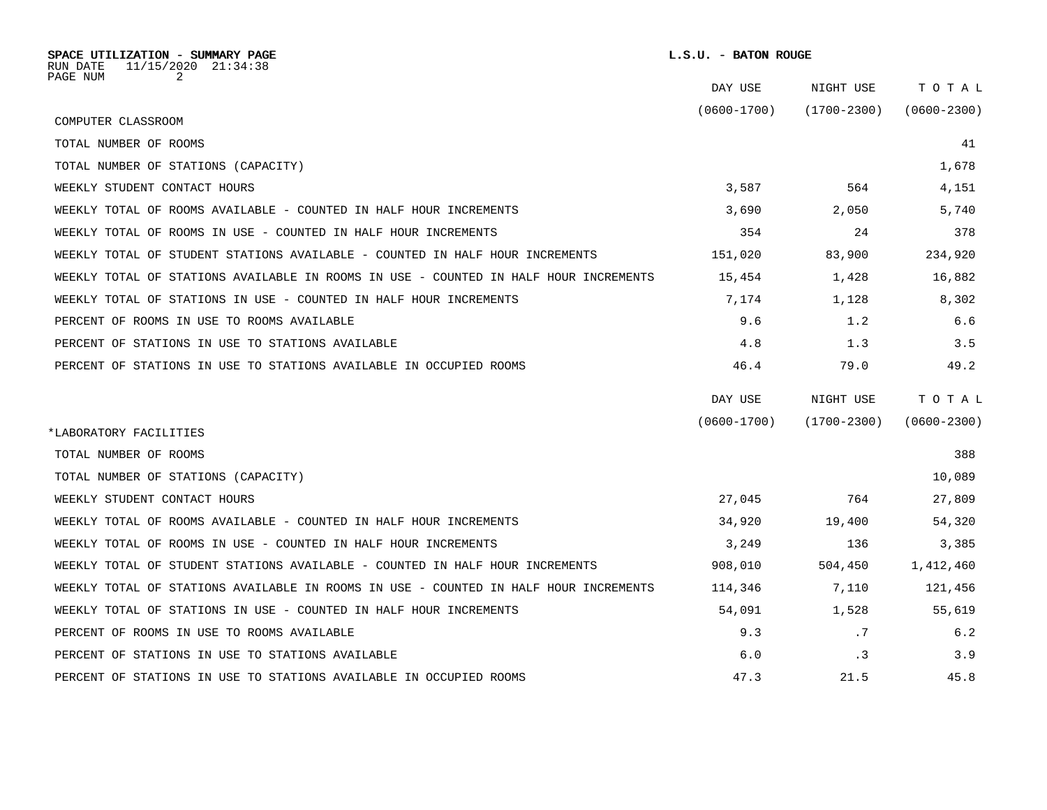| SPACE UTILIZATION - SUMMARY PAGE<br>11/15/2020 21:34:38<br>RUN DATE<br>PAGE NUM<br>2 | L.S.U. - BATON ROUGE |                 |                 |  |  |
|--------------------------------------------------------------------------------------|----------------------|-----------------|-----------------|--|--|
|                                                                                      | DAY USE              | NIGHT USE       | TOTAL           |  |  |
| COMPUTER CLASSROOM                                                                   | $(0600 - 1700)$      | $(1700 - 2300)$ | $(0600 - 2300)$ |  |  |
| TOTAL NUMBER OF ROOMS                                                                |                      |                 | 41              |  |  |
| TOTAL NUMBER OF STATIONS (CAPACITY)                                                  |                      |                 | 1,678           |  |  |
| WEEKLY STUDENT CONTACT HOURS                                                         | 3,587                | 564             | 4,151           |  |  |
| WEEKLY TOTAL OF ROOMS AVAILABLE - COUNTED IN HALF HOUR INCREMENTS                    | 3,690                | 2,050           | 5,740           |  |  |
| WEEKLY TOTAL OF ROOMS IN USE - COUNTED IN HALF HOUR INCREMENTS                       | 354                  | 24              | 378             |  |  |
| WEEKLY TOTAL OF STUDENT STATIONS AVAILABLE - COUNTED IN HALF HOUR INCREMENTS         | 151,020              | 83,900          | 234,920         |  |  |
| WEEKLY TOTAL OF STATIONS AVAILABLE IN ROOMS IN USE - COUNTED IN HALF HOUR INCREMENTS | 15,454               | 1,428           | 16,882          |  |  |
| WEEKLY TOTAL OF STATIONS IN USE - COUNTED IN HALF HOUR INCREMENTS                    | 7,174                | 1,128           | 8,302           |  |  |
| PERCENT OF ROOMS IN USE TO ROOMS AVAILABLE                                           | 9.6                  | 1.2             | 6.6             |  |  |
| PERCENT OF STATIONS IN USE TO STATIONS AVAILABLE                                     | 4.8                  | 1.3             | 3.5             |  |  |
| PERCENT OF STATIONS IN USE TO STATIONS AVAILABLE IN OCCUPIED ROOMS                   | 46.4                 | 79.0            | 49.2            |  |  |
|                                                                                      | DAY USE              | NIGHT USE       | TOTAL           |  |  |
|                                                                                      | $(0600 - 1700)$      | $(1700 - 2300)$ | $(0600 - 2300)$ |  |  |
| *LABORATORY FACILITIES                                                               |                      |                 |                 |  |  |
| TOTAL NUMBER OF ROOMS                                                                |                      |                 | 388             |  |  |
| TOTAL NUMBER OF STATIONS (CAPACITY)                                                  |                      |                 | 10,089          |  |  |
| WEEKLY STUDENT CONTACT HOURS                                                         | 27,045               | 764             | 27,809          |  |  |
| WEEKLY TOTAL OF ROOMS AVAILABLE - COUNTED IN HALF HOUR INCREMENTS                    | 34,920               | 19,400          | 54,320          |  |  |
| WEEKLY TOTAL OF ROOMS IN USE - COUNTED IN HALF HOUR INCREMENTS                       | 3,249                | 136             | 3,385           |  |  |
| WEEKLY TOTAL OF STUDENT STATIONS AVAILABLE - COUNTED IN HALF HOUR INCREMENTS         | 908,010              | 504,450         | 1,412,460       |  |  |
| WEEKLY TOTAL OF STATIONS AVAILABLE IN ROOMS IN USE - COUNTED IN HALF HOUR INCREMENTS | 114,346              | 7,110           | 121,456         |  |  |
| WEEKLY TOTAL OF STATIONS IN USE - COUNTED IN HALF HOUR INCREMENTS                    | 54,091               | 1,528           | 55,619          |  |  |
| PERCENT OF ROOMS IN USE TO ROOMS AVAILABLE                                           | 9.3                  | .7              | 6.2             |  |  |
| PERCENT OF STATIONS IN USE TO STATIONS AVAILABLE                                     | 6.0                  | .3              | 3.9             |  |  |
| PERCENT OF STATIONS IN USE TO STATIONS AVAILABLE IN OCCUPIED ROOMS                   | 47.3                 | 21.5            | 45.8            |  |  |